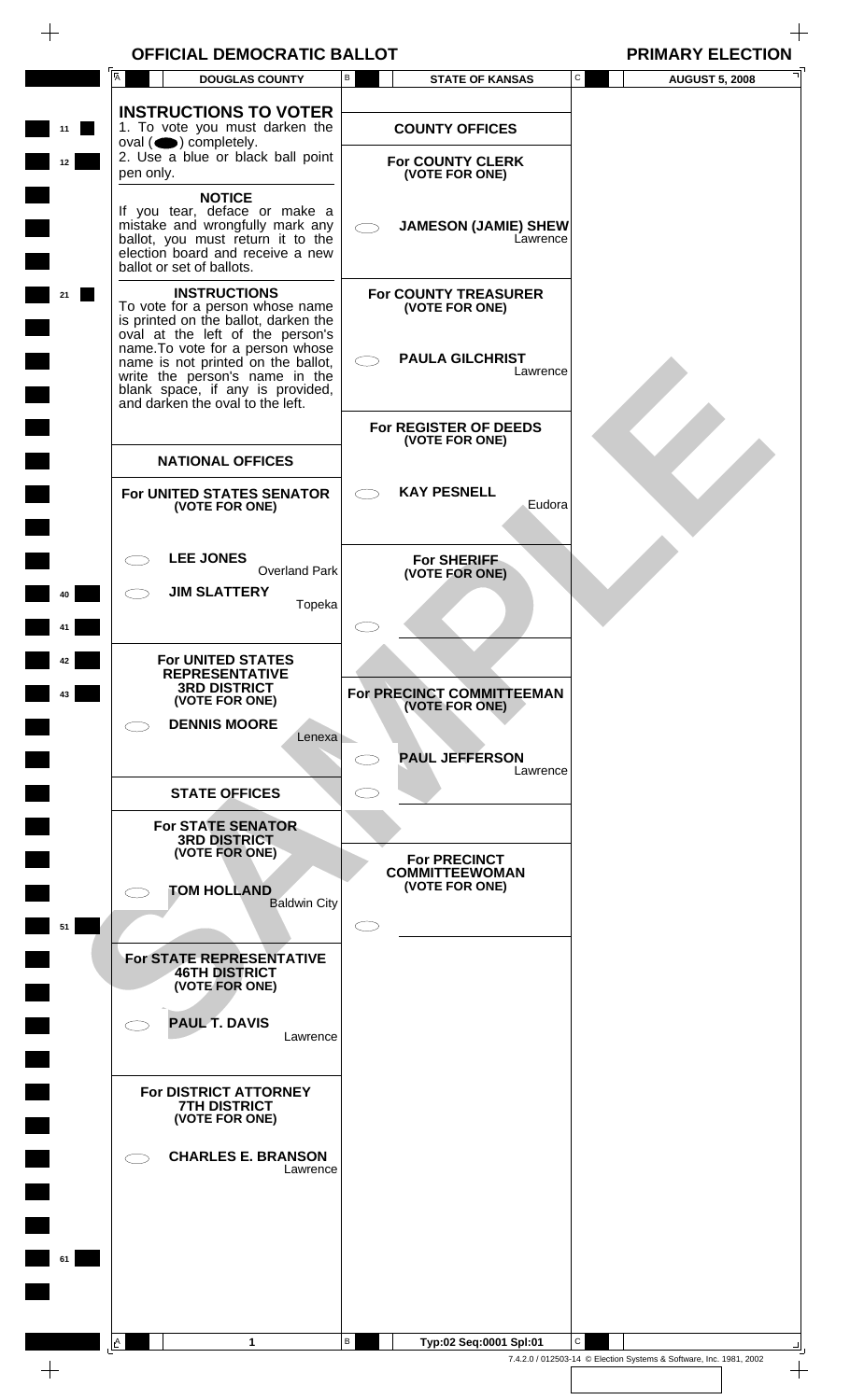$\begin{array}{c} + \end{array}$ 

|                | $\overline{A}$<br><b>DOUGLAS COUNTY</b>                                                                                                                                                                                                                                                                            | <b>STATE OF KANSAS</b><br>В                                                         | $\mathtt{C}$<br><b>AUGUST 5, 2008</b>                                   |
|----------------|--------------------------------------------------------------------------------------------------------------------------------------------------------------------------------------------------------------------------------------------------------------------------------------------------------------------|-------------------------------------------------------------------------------------|-------------------------------------------------------------------------|
| 11<br>12       | <b>INSTRUCTIONS TO VOTER</b><br>1. To vote you must darken the<br>oval $($ $\bullet)$ completely.<br>2. Use a blue or black ball point<br>pen only.                                                                                                                                                                | <b>COUNTY OFFICES</b><br><b>For COUNTY CLERK</b><br>(VOTE FOR ONE)                  |                                                                         |
|                | <b>NOTICE</b><br>If you tear, deface or make a<br>mistake and wrongfully mark any<br>ballot, you must return it to the<br>election board and receive a new<br>ballot or set of ballots.                                                                                                                            | <b>JAMESON (JAMIE) SHEW</b><br>Lawrence                                             |                                                                         |
| 21             | <b>INSTRUCTIONS</b><br>To vote for a person whose name<br>is printed on the ballot, darken the<br>oval at the left of the person's<br>name.To vote for a person whose<br>name is not printed on the ballot,<br>write the person's name in the<br>blank space, if any is provided, and darken the oval to the left. | <b>For COUNTY TREASURER</b><br>(VOTE FOR ONE)<br><b>PAULA GILCHRIST</b><br>Lawrence |                                                                         |
|                | <b>NATIONAL OFFICES</b>                                                                                                                                                                                                                                                                                            | For REGISTER OF DEEDS<br>(VOTE FOR ONE)                                             |                                                                         |
|                | For UNITED STATES SENATOR<br>(VOTE FOR ONE)                                                                                                                                                                                                                                                                        | <b>KAY PESNELL</b><br>Eudora                                                        |                                                                         |
|                | <b>LEE JONES</b><br><b>Overland Park</b><br><b>JIM SLATTERY</b><br>Topeka                                                                                                                                                                                                                                          | For SHERIFF<br>(VOTE FOR ONE)                                                       |                                                                         |
| 41<br>42<br>43 | For UNITED STATES<br><b>REPRESENTATIVE</b><br><b>3RD DISTRICT</b>                                                                                                                                                                                                                                                  | For PRECINCT COMMITTEEMAN                                                           |                                                                         |
|                | (VOTE FOR ONE)<br><b>DENNIS MOORE</b><br>Lenexa                                                                                                                                                                                                                                                                    | (VOTE FOR ONE)<br><b>PAUL JEFFERSON</b><br>Lawrence                                 |                                                                         |
|                | <b>STATE OFFICES</b>                                                                                                                                                                                                                                                                                               | CD.                                                                                 |                                                                         |
|                | <b>For STATE SENATOR</b><br><b>3RD DISTRICT</b><br>(VOTE FOR ONE)                                                                                                                                                                                                                                                  | <b>For PRECINCT</b><br><b>COMMITTEEWOMAN</b><br>(VOTE FOR ONE)                      |                                                                         |
| 51             | <b>TOM HOLLAND</b><br><b>Baldwin City</b>                                                                                                                                                                                                                                                                          |                                                                                     |                                                                         |
|                | For STATE REPRESENTATIVE<br><b>46TH DISTRICT</b><br>(VOTE FOR ONE)                                                                                                                                                                                                                                                 |                                                                                     |                                                                         |
|                | <b>PAUL T. DAVIS</b><br>Lawrence                                                                                                                                                                                                                                                                                   |                                                                                     |                                                                         |
|                | <b>For DISTRICT ATTORNEY</b><br><b>7TH DISTRICT</b><br>(VOTE FOR ONE)                                                                                                                                                                                                                                              |                                                                                     |                                                                         |
|                | <b>CHARLES E. BRANSON</b><br>$\overline{\phantom{0}}$<br>Lawrence                                                                                                                                                                                                                                                  |                                                                                     |                                                                         |
| 61             |                                                                                                                                                                                                                                                                                                                    |                                                                                     |                                                                         |
|                |                                                                                                                                                                                                                                                                                                                    |                                                                                     |                                                                         |
|                | 1<br><u>A</u>                                                                                                                                                                                                                                                                                                      | В<br>Typ:02 Seq:0001 Spl:01                                                         | C<br>7.4.2.0 / 012503-14 © Election Systems & Software, Inc. 1981, 2002 |
|                |                                                                                                                                                                                                                                                                                                                    |                                                                                     |                                                                         |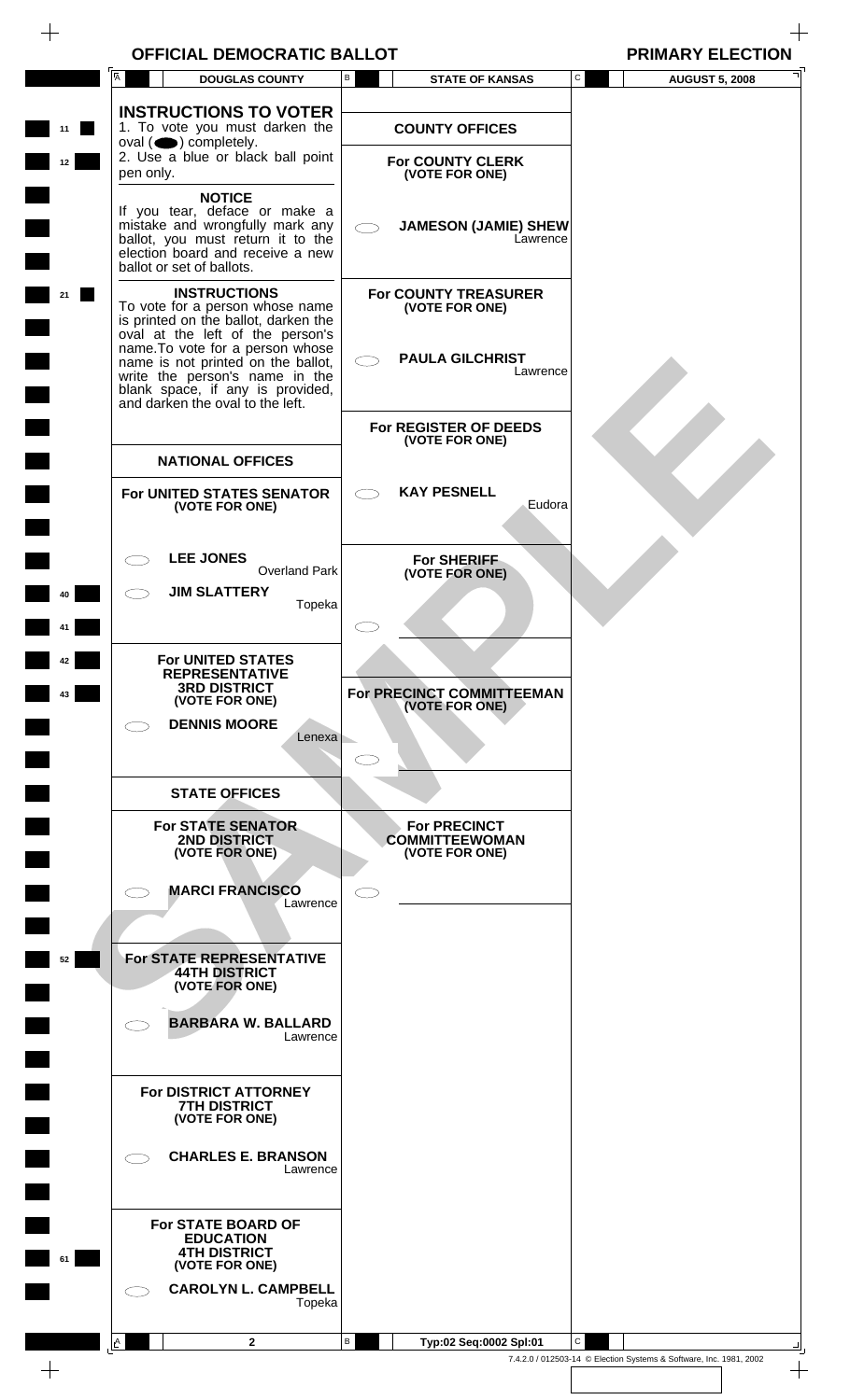$\begin{array}{c} + \end{array}$ 

|          |              | <b>DOUGLAS COUNTY</b>                                                                                                                                                                   | В | <b>STATE OF KANSAS</b>                                         | C            | <b>AUGUST 5, 2008</b>                                              |
|----------|--------------|-----------------------------------------------------------------------------------------------------------------------------------------------------------------------------------------|---|----------------------------------------------------------------|--------------|--------------------------------------------------------------------|
| 11       |              | <b>INSTRUCTIONS TO VOTER</b><br>1. To vote you must darken the<br>$oval(\n\bullet)$ completely.                                                                                         |   | <b>COUNTY OFFICES</b>                                          |              |                                                                    |
| 12       | pen only.    | 2. Use a blue or black ball point                                                                                                                                                       |   | <b>For COUNTY CLERK</b><br>(VOTE FOR ONE)                      |              |                                                                    |
|          |              | <b>NOTICE</b><br>If you tear, deface or make a<br>mistake and wrongfully mark any<br>ballot, you must return it to the<br>election board and receive a new<br>ballot or set of ballots. |   | <b>JAMESON (JAMIE) SHEW</b><br>Lawrence                        |              |                                                                    |
| 21       |              | <b>INSTRUCTIONS</b><br>To vote for a person whose name<br>is printed on the ballot, darken the<br>oval at the left of the person's                                                      |   | <b>For COUNTY TREASURER</b><br>(VOTE FOR ONE)                  |              |                                                                    |
|          |              | name. To vote for a person whose<br>name is not printed on the ballot,<br>write the person's name in the<br>blank space, if any is provided,<br>and darken the oval to the left.        |   | <b>PAULA GILCHRIST</b><br>Lawrence                             |              |                                                                    |
|          |              | <b>NATIONAL OFFICES</b>                                                                                                                                                                 |   | For REGISTER OF DEEDS<br>(VOTE FOR ONE)                        |              |                                                                    |
|          |              | For UNITED STATES SENATOR<br>(VOTE FOR ONE)                                                                                                                                             |   | <b>KAY PESNELL</b><br>Eudora                                   |              |                                                                    |
|          |              | <b>LEE JONES</b><br><b>Overland Park</b><br><b>JIM SLATTERY</b><br>Topeka                                                                                                               |   | <b>For SHERIFF</b><br>(VOTE FOR ONE)                           |              |                                                                    |
|          |              |                                                                                                                                                                                         |   |                                                                |              |                                                                    |
| 42<br>43 |              | <b>For UNITED STATES</b><br><b>REPRESENTATIVE</b><br><b>3RD DISTRICT</b><br>(VOTE FOR ONE)                                                                                              |   | For PRECINCT COMMITTEEMAN<br>(VOTE FOR ONE)                    |              |                                                                    |
|          |              | <b>DENNIS MOORE</b><br>Lenexa                                                                                                                                                           |   |                                                                |              |                                                                    |
|          |              | <b>STATE OFFICES</b>                                                                                                                                                                    |   |                                                                |              |                                                                    |
|          |              | <b>For STATE SENATOR</b><br><b>2ND DISTRICT</b><br>(VOTE FOR ONE)                                                                                                                       |   | <b>For PRECINCT</b><br><b>COMMITTEEWOMAN</b><br>(VOTE FOR ONE) |              |                                                                    |
|          |              | <b>MARCI FRANCISCO</b><br>Lawrence                                                                                                                                                      |   |                                                                |              |                                                                    |
| 52       |              | For STATE REPRESENTATIVE<br><b>44TH DISTRICT</b><br>(VOTE FOR ONE)                                                                                                                      |   |                                                                |              |                                                                    |
|          |              | <b>BARBARA W. BALLARD</b><br>Lawrence                                                                                                                                                   |   |                                                                |              |                                                                    |
|          |              | <b>For DISTRICT ATTORNEY</b><br><b>7TH DISTRICT</b><br>(VOTE FOR ONE)                                                                                                                   |   |                                                                |              |                                                                    |
|          |              | <b>CHARLES E. BRANSON</b><br>Lawrence                                                                                                                                                   |   |                                                                |              |                                                                    |
| 61       |              | For STATE BOARD OF<br><b>EDUCATION</b><br><b>4TH DISTRICT</b><br>(VOTE FOR ONE)                                                                                                         |   |                                                                |              |                                                                    |
|          |              | <b>CAROLYN L. CAMPBELL</b><br>Topeka                                                                                                                                                    |   |                                                                |              |                                                                    |
|          | $\mathbb{A}$ | $\mathbf{2}$                                                                                                                                                                            | В | Typ:02 Seq:0002 Spl:01                                         | $\mathsf{C}$ | 7.4.2.0 / 012503-14 © Election Systems & Software, Inc. 1981, 2002 |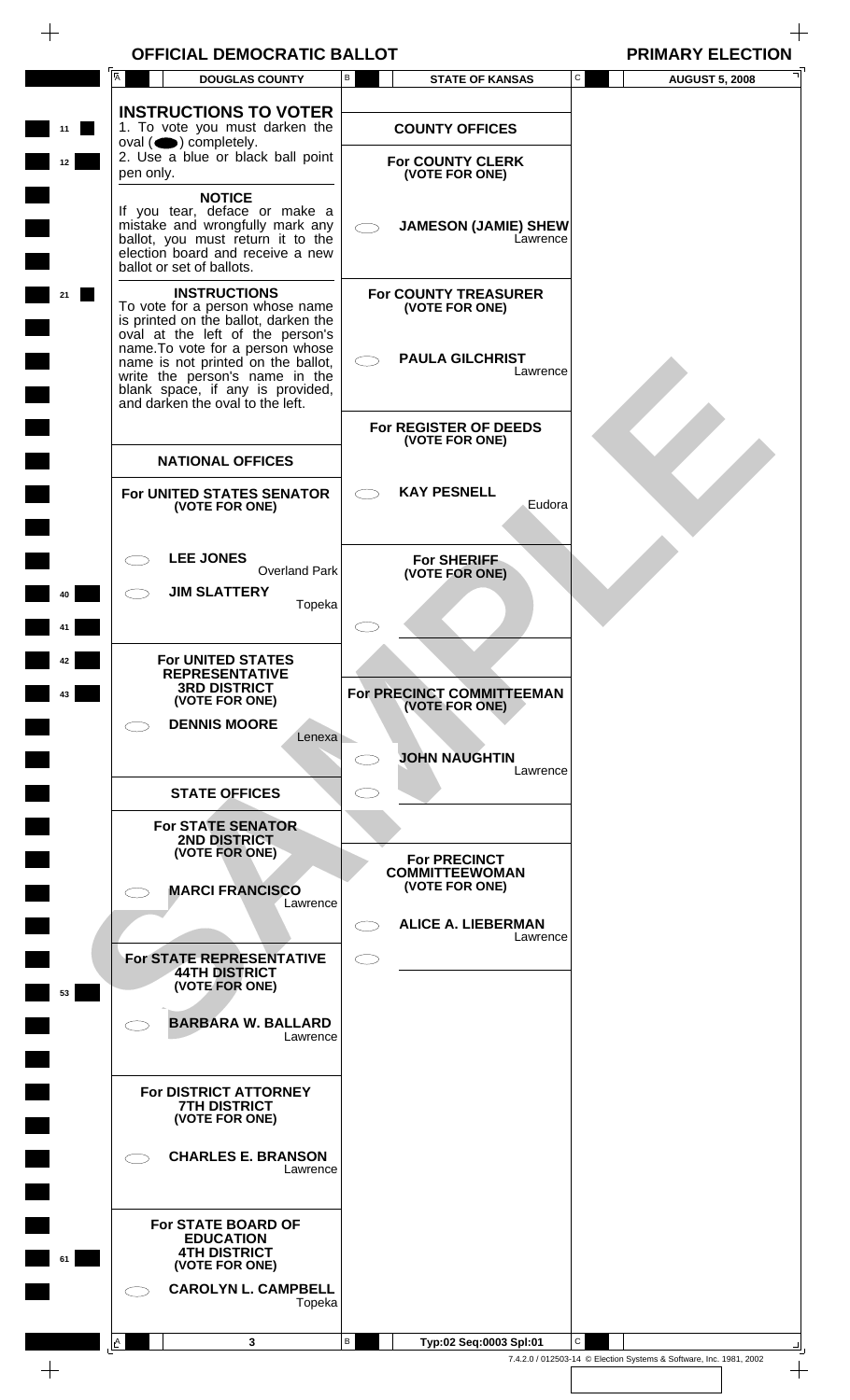$\begin{array}{c} + \end{array}$ 

|          | $\overline{A}$           | <b>DOUGLAS COUNTY</b>                                                                                                                                                                                                                                                                                                 | В                   | <b>STATE OF KANSAS</b>                                                              | C | <b>AUGUST 5, 2008</b>                                              |
|----------|--------------------------|-----------------------------------------------------------------------------------------------------------------------------------------------------------------------------------------------------------------------------------------------------------------------------------------------------------------------|---------------------|-------------------------------------------------------------------------------------|---|--------------------------------------------------------------------|
| 11<br>12 | pen only.                | <b>INSTRUCTIONS TO VOTER</b><br>1. To vote you must darken the<br>oval $($ $\bullet)$ completely.<br>2. Use a blue or black ball point                                                                                                                                                                                |                     | <b>COUNTY OFFICES</b><br><b>For COUNTY CLERK</b><br>(VOTE FOR ONE)                  |   |                                                                    |
|          |                          | <b>NOTICE</b><br>If you tear, deface or make a<br>mistake and wrongfully mark any<br>ballot, you must return it to the<br>election board and receive a new<br>ballot or set of ballots.                                                                                                                               |                     | <b>JAMESON (JAMIE) SHEW</b><br>Lawrence                                             |   |                                                                    |
| 21       |                          | <b>INSTRUCTIONS</b><br>To vote for a person whose name<br>is printed on the ballot, darken the<br>oval at the left of the person's<br>name.To vote for a person whose<br>name is not printed on the ballot,<br>write the person's name in the<br>blank space, if any is provided,<br>and darken the oval to the left. |                     | <b>For COUNTY TREASURER</b><br>(VOTE FOR ONE)<br><b>PAULA GILCHRIST</b><br>Lawrence |   |                                                                    |
|          |                          | <b>NATIONAL OFFICES</b>                                                                                                                                                                                                                                                                                               |                     | For REGISTER OF DEEDS<br>(VOTE FOR ONE)                                             |   |                                                                    |
|          |                          | For UNITED STATES SENATOR<br>(VOTE FOR ONE)                                                                                                                                                                                                                                                                           |                     | <b>KAY PESNELL</b><br>Eudora                                                        |   |                                                                    |
| 41       |                          | <b>LEE JONES</b><br><b>Overland Park</b><br><b>JIM SLATTERY</b><br>Topeka                                                                                                                                                                                                                                             |                     | For SHERIFF<br>(VOTE FOR ONE)                                                       |   |                                                                    |
| 42<br>43 |                          | For UNITED STATES<br><b>REPRESENTATIVE</b><br><b>3RD DISTRICT</b><br>(VOTE FOR ONE)                                                                                                                                                                                                                                   |                     | For PRECINCT COMMITTEEMAN<br>(VOTE FOR ONE)                                         |   |                                                                    |
|          |                          | <b>DENNIS MOORE</b><br>Lenexa                                                                                                                                                                                                                                                                                         | CΞ                  | <b>JOHN NAUGHTIN</b><br>Lawrence                                                    |   |                                                                    |
|          |                          | <b>STATE OFFICES</b><br><b>For STATE SENATOR</b><br><b>2ND DISTRICT</b><br>(VOTE FOR ONE)                                                                                                                                                                                                                             | $\subset$ $\supset$ | <b>For PRECINCT</b>                                                                 |   |                                                                    |
|          |                          | <b>MARCI FRANCISCO</b><br>Lawrence                                                                                                                                                                                                                                                                                    |                     | <b>COMMITTEEWOMAN</b><br>(VOTE FOR ONE)<br><b>ALICE A. LIEBERMAN</b>                |   |                                                                    |
| 53       |                          | For STATE REPRESENTATIVE<br><b>44TH DISTRICT</b><br>(VOTE FOR ONE)                                                                                                                                                                                                                                                    | くつ                  | Lawrence                                                                            |   |                                                                    |
|          |                          | <b>BARBARA W. BALLARD</b><br>Lawrence                                                                                                                                                                                                                                                                                 |                     |                                                                                     |   |                                                                    |
|          | $\overline{\phantom{0}}$ | <b>For DISTRICT ATTORNEY</b><br><b>7TH DISTRICT</b><br>(VOTE FOR ONE)<br><b>CHARLES E. BRANSON</b>                                                                                                                                                                                                                    |                     |                                                                                     |   |                                                                    |
|          |                          | Lawrence<br>For STATE BOARD OF                                                                                                                                                                                                                                                                                        |                     |                                                                                     |   |                                                                    |
| 61       |                          | <b>EDUCATION</b><br><b>4TH DISTRICT</b><br>(VOTE FOR ONE)<br><b>CAROLYN L. CAMPBELL</b><br>Topeka                                                                                                                                                                                                                     |                     |                                                                                     |   |                                                                    |
|          | <u>A</u>                 | 3                                                                                                                                                                                                                                                                                                                     | В                   | Typ:02 Seq:0003 Spl:01                                                              | C | 7.4.2.0 / 012503-14 © Election Systems & Software, Inc. 1981, 2002 |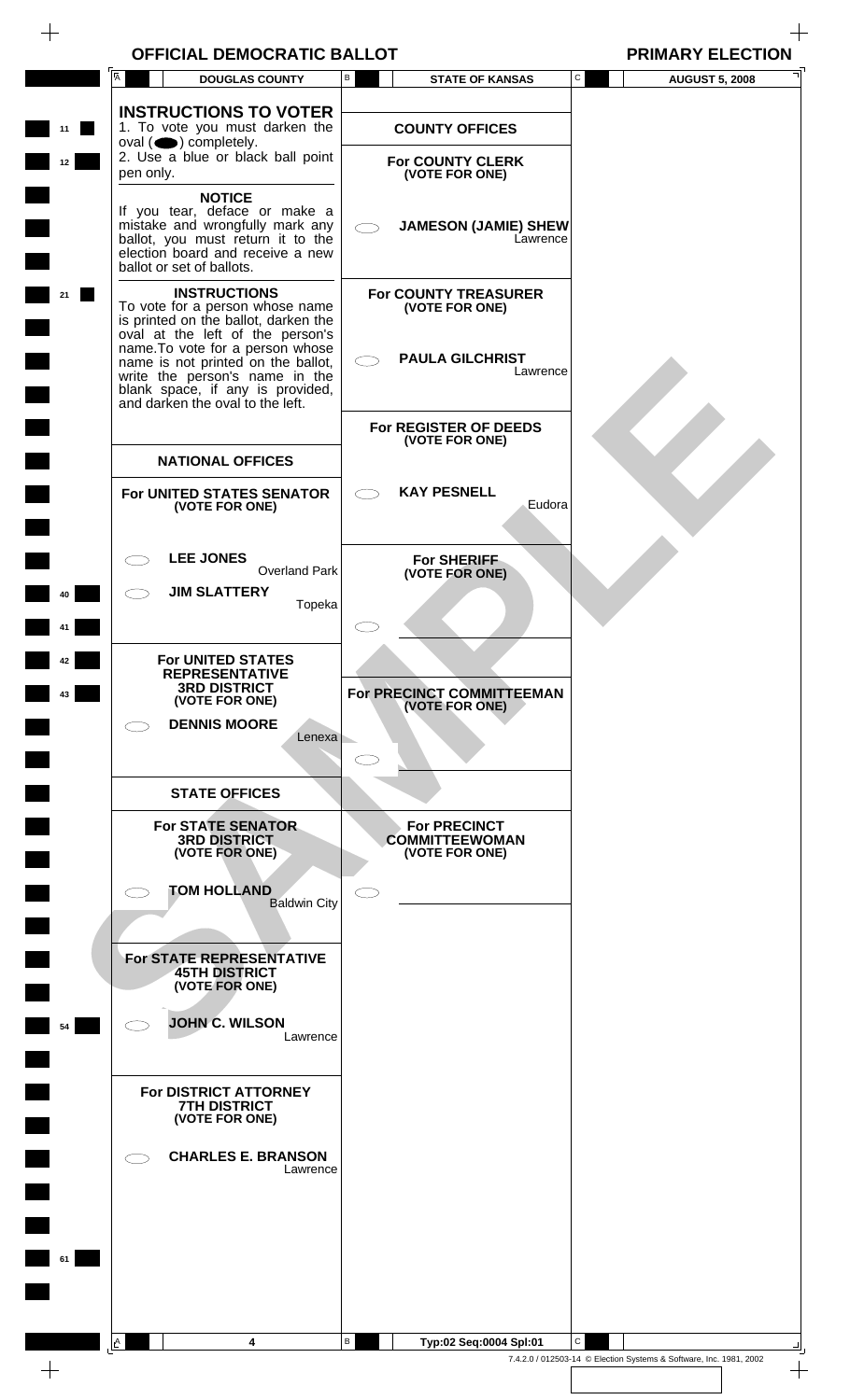$\begin{array}{c} + \end{array}$ 

|          |              | <b>DOUGLAS COUNTY</b>                                                                                                                                                                                        | В | <b>STATE OF KANSAS</b>                                                  | C | <b>AUGUST 5, 2008</b>                                              |
|----------|--------------|--------------------------------------------------------------------------------------------------------------------------------------------------------------------------------------------------------------|---|-------------------------------------------------------------------------|---|--------------------------------------------------------------------|
| 11<br>12 | pen only.    | <b>INSTRUCTIONS TO VOTER</b><br>1. To vote you must darken the<br>oval $($ $\bullet)$ completely.<br>2. Use a blue or black ball point                                                                       |   | <b>COUNTY OFFICES</b><br><b>For COUNTY CLERK</b><br>(VOTE FOR ONE)      |   |                                                                    |
|          |              | <b>NOTICE</b><br>If you tear, deface or make a<br>mistake and wrongfully mark any<br>ballot, you must return it to the<br>election board and receive a new<br>ballot or set of ballots.                      |   | <b>JAMESON (JAMIE) SHEW</b><br>Lawrence                                 |   |                                                                    |
| 21       |              | <b>INSTRUCTIONS</b><br>To vote for a person whose name<br>is printed on the ballot, darken the<br>oval at the left of the person's<br>name. To vote for a person whose<br>name is not printed on the ballot, |   | <b>For COUNTY TREASURER</b><br>(VOTE FOR ONE)<br><b>PAULA GILCHRIST</b> |   |                                                                    |
|          |              | write the person's name in the<br>blank space, if any is provided,<br>and darken the oval to the left.                                                                                                       |   | Lawrence<br>For REGISTER OF DEEDS                                       |   |                                                                    |
|          |              | <b>NATIONAL OFFICES</b>                                                                                                                                                                                      |   | (VOTE FOR ONE)                                                          |   |                                                                    |
|          |              | For UNITED STATES SENATOR<br>(VOTE FOR ONE)                                                                                                                                                                  |   | <b>KAY PESNELL</b><br>Eudora                                            |   |                                                                    |
| 40       |              | <b>LEE JONES</b><br><b>Overland Park</b><br><b>JIM SLATTERY</b><br>Topeka                                                                                                                                    |   | <b>For SHERIFF</b><br>(VOTE FOR ONE)                                    |   |                                                                    |
| 42       |              | <b>For UNITED STATES</b>                                                                                                                                                                                     |   |                                                                         |   |                                                                    |
| 43       |              | <b>REPRESENTATIVE</b><br><b>3RD DISTRICT</b><br>(VOTE FOR ONE)                                                                                                                                               |   | For PRECINCT COMMITTEEMAN<br>(VOTE FOR ONE)                             |   |                                                                    |
|          |              | <b>DENNIS MOORE</b><br>Lenexa                                                                                                                                                                                |   |                                                                         |   |                                                                    |
|          |              | <b>STATE OFFICES</b>                                                                                                                                                                                         |   |                                                                         |   |                                                                    |
|          |              | <b>For STATE SENATOR</b><br><b>3RD DISTRICT</b><br>(VOTE FOR ONE)                                                                                                                                            |   | <b>For PRECINCT</b><br><b>COMMITTEEWOMAN</b><br>(VOTE FOR ONE)          |   |                                                                    |
|          |              | <b>TOM HOLLAND</b><br><b>Baldwin City</b>                                                                                                                                                                    |   |                                                                         |   |                                                                    |
|          |              | For STATE REPRESENTATIVE<br><b>45TH DISTRICT</b><br>(VOTE FOR ONE)                                                                                                                                           |   |                                                                         |   |                                                                    |
| 54       |              | <b>JOHN C. WILSON</b><br>Lawrence                                                                                                                                                                            |   |                                                                         |   |                                                                    |
|          |              | For DISTRICT ATTORNEY<br><b>7TH DISTRICT</b><br>(VOTE FOR ONE)                                                                                                                                               |   |                                                                         |   |                                                                    |
|          |              | <b>CHARLES E. BRANSON</b><br>Lawrence                                                                                                                                                                        |   |                                                                         |   |                                                                    |
|          |              |                                                                                                                                                                                                              |   |                                                                         |   |                                                                    |
| 61       |              |                                                                                                                                                                                                              |   |                                                                         |   |                                                                    |
|          | $\mathbf{A}$ | 4                                                                                                                                                                                                            | В | Typ:02 Seq:0004 Spl:01                                                  | C |                                                                    |
|          |              |                                                                                                                                                                                                              |   |                                                                         |   | 7.4.2.0 / 012503-14 © Election Systems & Software, Inc. 1981, 2002 |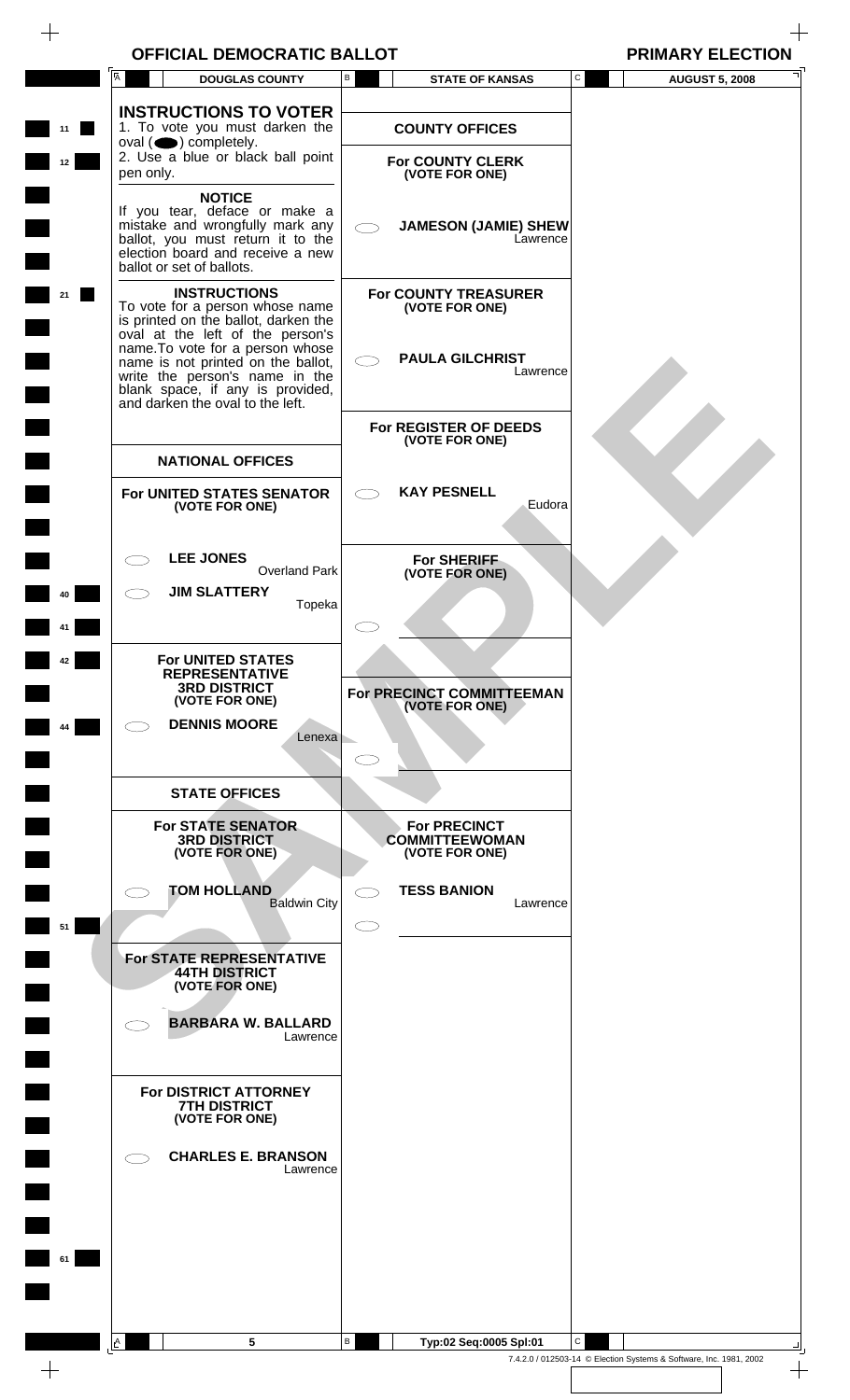$\begin{array}{c} + \end{array}$ 

|          | A<br><b>DOUGLAS COUNTY</b>                                                                                                                                                                                   | В | <b>STATE OF KANSAS</b>                                                              | C            | <b>AUGUST 5, 2008</b>                                              |
|----------|--------------------------------------------------------------------------------------------------------------------------------------------------------------------------------------------------------------|---|-------------------------------------------------------------------------------------|--------------|--------------------------------------------------------------------|
| 11<br>12 | <b>INSTRUCTIONS TO VOTER</b><br>1. To vote you must darken the<br>oval $($ $\bullet)$ completely.<br>2. Use a blue or black ball point<br>pen only.                                                          |   | <b>COUNTY OFFICES</b><br><b>For COUNTY CLERK</b><br>(VOTE FOR ONE)                  |              |                                                                    |
|          | <b>NOTICE</b><br>If you tear, deface or make a<br>mistake and wrongfully mark any<br>ballot, you must return it to the<br>election board and receive a new<br>ballot or set of ballots.                      |   | <b>JAMESON (JAMIE) SHEW</b><br>Lawrence                                             |              |                                                                    |
| 21       | <b>INSTRUCTIONS</b><br>To vote for a person whose name<br>is printed on the ballot, darken the<br>oval at the left of the person's<br>name. To vote for a person whose<br>name is not printed on the ballot, |   | <b>For COUNTY TREASURER</b><br>(VOTE FOR ONE)<br><b>PAULA GILCHRIST</b><br>Lawrence |              |                                                                    |
|          | write the person's name in the<br>blank space, if any is provided,<br>and darken the oval to the left.                                                                                                       |   | For REGISTER OF DEEDS                                                               |              |                                                                    |
|          | <b>NATIONAL OFFICES</b>                                                                                                                                                                                      |   | (VOTE FOR ONE)                                                                      |              |                                                                    |
|          | For UNITED STATES SENATOR<br>(VOTE FOR ONE)                                                                                                                                                                  |   | <b>KAY PESNELL</b><br>Eudora                                                        |              |                                                                    |
|          | <b>LEE JONES</b><br><b>Overland Park</b><br><b>JIM SLATTERY</b><br>Topeka                                                                                                                                    |   | <b>For SHERIFF</b><br>(VOTE FOR ONE)                                                |              |                                                                    |
| 41<br>42 | For UNITED STATES<br><b>REPRESENTATIVE</b>                                                                                                                                                                   |   |                                                                                     |              |                                                                    |
| 44       | <b>3RD DISTRICT</b><br>(VOTE FOR ONE)<br><b>DENNIS MOORE</b><br>Lenexa                                                                                                                                       |   | For PRECINCT COMMITTEEMAN<br>(VOTE FOR ONE)                                         |              |                                                                    |
|          | <b>STATE OFFICES</b>                                                                                                                                                                                         |   |                                                                                     |              |                                                                    |
|          | <b>For STATE SENATOR</b><br><b>3RD DISTRICT</b><br>(VOTE FOR ONE)                                                                                                                                            |   | <b>For PRECINCT</b><br><b>COMMITTEEWOMAN</b><br>(VOTE FOR ONE)                      |              |                                                                    |
| 51       | <b>TOM HOLLAND</b><br><b>Baldwin City</b>                                                                                                                                                                    |   | <b>TESS BANION</b><br>Lawrence                                                      |              |                                                                    |
|          | For STATE REPRESENTATIVE<br><b>44TH DISTRICT</b><br>(VOTE FOR ONE)                                                                                                                                           |   |                                                                                     |              |                                                                    |
|          | <b>BARBARA W. BALLARD</b><br>Lawrence                                                                                                                                                                        |   |                                                                                     |              |                                                                    |
|          | <b>For DISTRICT ATTORNEY</b><br><b>7TH DISTRICT</b><br>(VOTE FOR ONE)                                                                                                                                        |   |                                                                                     |              |                                                                    |
|          | <b>CHARLES E. BRANSON</b><br>Lawrence                                                                                                                                                                        |   |                                                                                     |              |                                                                    |
| 61       |                                                                                                                                                                                                              |   |                                                                                     |              |                                                                    |
|          |                                                                                                                                                                                                              |   |                                                                                     |              |                                                                    |
| $+$      | 5<br>A                                                                                                                                                                                                       | В | Typ:02 Seq:0005 Spl:01                                                              | $\mathsf{C}$ | 7.4.2.0 / 012503-14 © Election Systems & Software, Inc. 1981, 2002 |
|          |                                                                                                                                                                                                              |   |                                                                                     |              |                                                                    |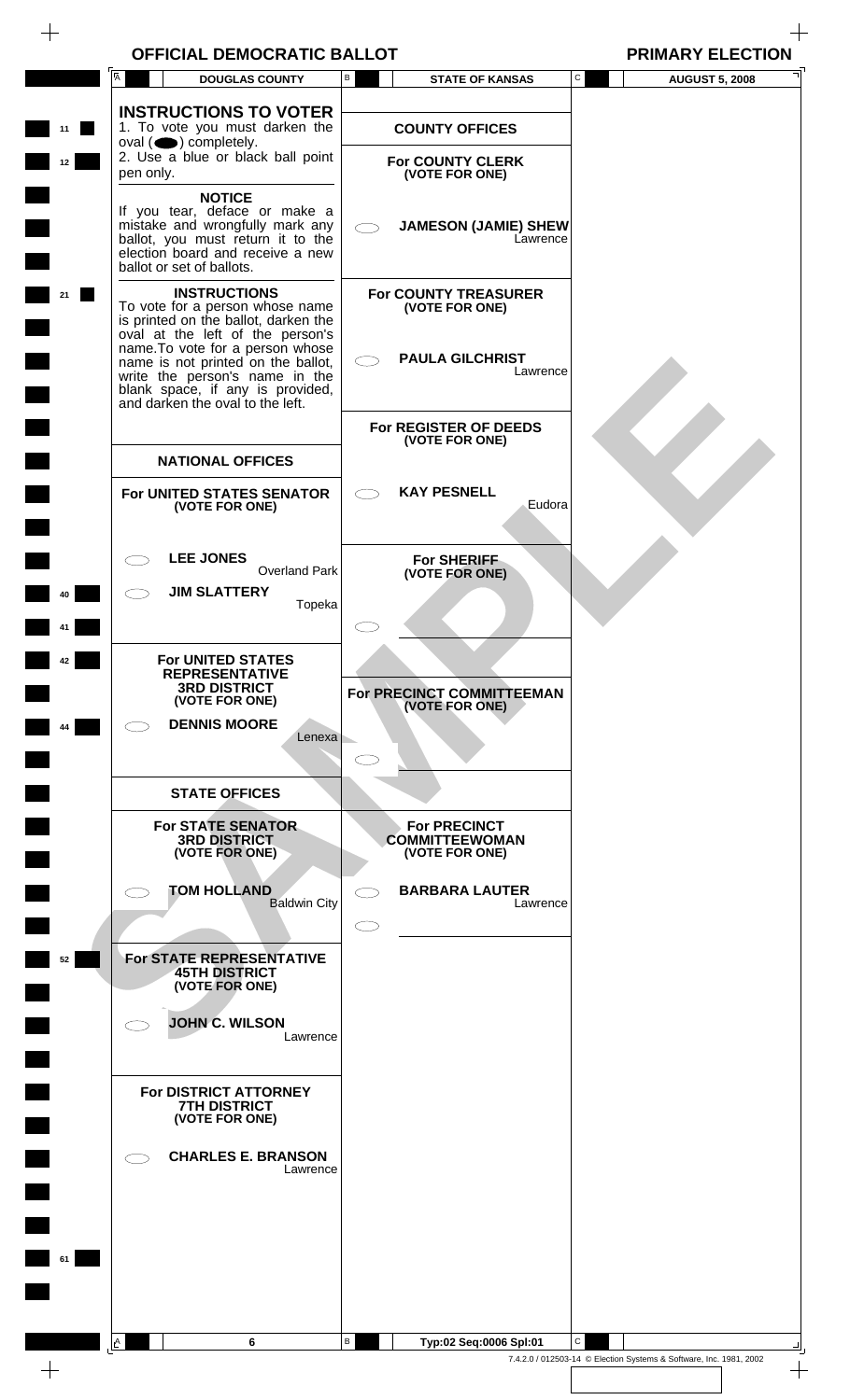$\begin{array}{c} + \end{array}$ 

|          | $\overline{A}$<br><b>DOUGLAS COUNTY</b>                                                                                                                                                                                                       | В<br><b>STATE OF KANSAS</b>                                                         | $\mathsf{C}$<br><b>AUGUST 5, 2008</b>                              |
|----------|-----------------------------------------------------------------------------------------------------------------------------------------------------------------------------------------------------------------------------------------------|-------------------------------------------------------------------------------------|--------------------------------------------------------------------|
| 11<br>12 | <b>INSTRUCTIONS TO VOTER</b><br>1. To vote you must darken the<br>oval $($ $\bullet)$ completely.<br>2. Use a blue or black ball point                                                                                                        | <b>COUNTY OFFICES</b><br><b>For COUNTY CLERK</b>                                    |                                                                    |
|          | pen only.<br><b>NOTICE</b><br>If you tear, deface or make a<br>mistake and wrongfully mark any<br>ballot, you must return it to the<br>election board and receive a new<br>ballot or set of ballots.                                          | (VOTE FOR ONE)<br><b>JAMESON (JAMIE) SHEW</b><br>Lawrence                           |                                                                    |
| 21       | <b>INSTRUCTIONS</b><br>To vote for a person whose name<br>is printed on the ballot, darken the<br>oval at the left of the person's<br>name.To vote for a person whose<br>name is not printed on the ballot,<br>write the person's name in the | <b>For COUNTY TREASURER</b><br>(VOTE FOR ONE)<br><b>PAULA GILCHRIST</b><br>Lawrence |                                                                    |
|          | blank space, if any is provided,<br>and darken the oval to the left.<br><b>NATIONAL OFFICES</b>                                                                                                                                               | For REGISTER OF DEEDS<br>(VOTE FOR ONE)                                             |                                                                    |
|          | For UNITED STATES SENATOR<br>(VOTE FOR ONE)                                                                                                                                                                                                   | <b>KAY PESNELL</b><br>Eudora                                                        |                                                                    |
| 40       | <b>LEE JONES</b><br><b>Overland Park</b><br><b>JIM SLATTERY</b><br>Topeka                                                                                                                                                                     | <b>For SHERIFF</b><br>(VOTE FOR ONE)                                                |                                                                    |
| 42<br>44 | For UNITED STATES<br><b>REPRESENTATIVE</b><br><b>3RD DISTRICT</b><br>(VOTE FOR ONE)<br><b>DENNIS MOORE</b><br>Lenexa                                                                                                                          | For PRECINCT COMMITTEEMAN<br>(VOTE FOR ONE)                                         |                                                                    |
|          | <b>STATE OFFICES</b>                                                                                                                                                                                                                          |                                                                                     |                                                                    |
|          | <b>For STATE SENATOR</b><br><b>3RD DISTRICT</b><br>(VOTE FOR ONE)                                                                                                                                                                             | <b>For PRECINCT</b><br><b>COMMITTEEWOMAN</b><br>(VOTE FOR ONE)                      |                                                                    |
|          | <b>TOM HOLLAND</b><br><b>Baldwin City</b>                                                                                                                                                                                                     | <b>BARBARA LAUTER</b><br>Lawrence                                                   |                                                                    |
| 52       | For STATE REPRESENTATIVE<br><b>45TH DISTRICT</b><br>(VOTE FOR ONE)                                                                                                                                                                            |                                                                                     |                                                                    |
|          | <b>JOHN C. WILSON</b><br>Lawrence                                                                                                                                                                                                             |                                                                                     |                                                                    |
|          | For DISTRICT ATTORNEY<br><b>7TH DISTRICT</b><br>(VOTE FOR ONE)<br><b>CHARLES E. BRANSON</b>                                                                                                                                                   |                                                                                     |                                                                    |
|          | Lawrence                                                                                                                                                                                                                                      |                                                                                     |                                                                    |
| 61       |                                                                                                                                                                                                                                               |                                                                                     |                                                                    |
|          | 6<br><u>A</u>                                                                                                                                                                                                                                 | B<br>С<br>Typ:02 Seq:0006 Spl:01                                                    |                                                                    |
|          |                                                                                                                                                                                                                                               |                                                                                     | 7.4.2.0 / 012503-14 © Election Systems & Software, Inc. 1981, 2002 |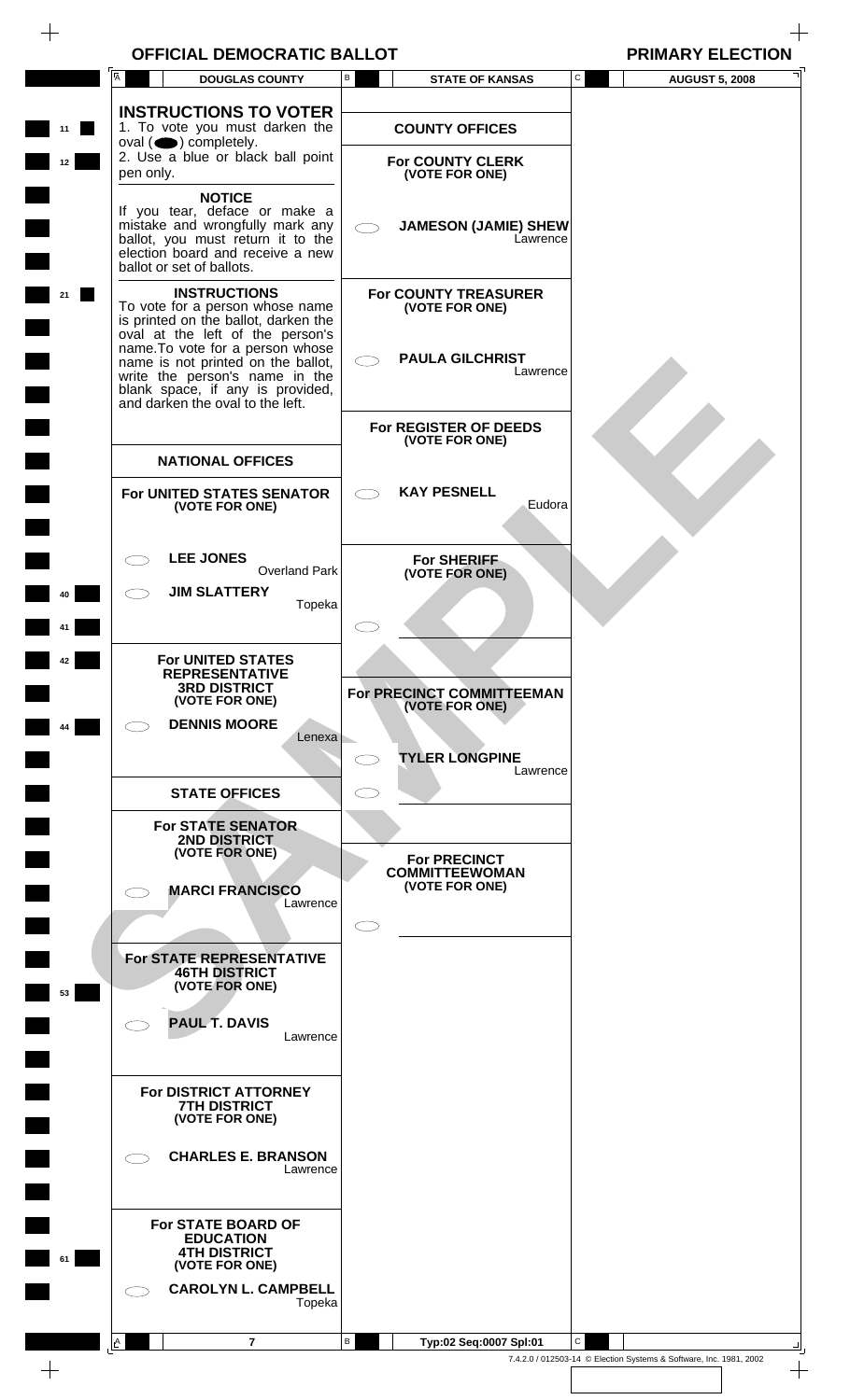$\begin{array}{c} + \end{array}$ 

|          | $\overline{A}$ | <b>DOUGLAS COUNTY</b>                                                                                                                                                                                                                                                                                                 | В                   | <b>STATE OF KANSAS</b>                                                              | C | <b>AUGUST 5, 2008</b>                                              |
|----------|----------------|-----------------------------------------------------------------------------------------------------------------------------------------------------------------------------------------------------------------------------------------------------------------------------------------------------------------------|---------------------|-------------------------------------------------------------------------------------|---|--------------------------------------------------------------------|
| 11<br>12 | pen only.      | <b>INSTRUCTIONS TO VOTER</b><br>1. To vote you must darken the<br>oval $($ $\bullet)$ completely.<br>2. Use a blue or black ball point                                                                                                                                                                                |                     | <b>COUNTY OFFICES</b><br><b>For COUNTY CLERK</b><br>(VOTE FOR ONE)                  |   |                                                                    |
|          |                | <b>NOTICE</b><br>If you tear, deface or make a<br>mistake and wrongfully mark any<br>ballot, you must return it to the<br>election board and receive a new<br>ballot or set of ballots.                                                                                                                               |                     | <b>JAMESON (JAMIE) SHEW</b><br>Lawrence                                             |   |                                                                    |
| 21       |                | <b>INSTRUCTIONS</b><br>To vote for a person whose name<br>is printed on the ballot, darken the<br>oval at the left of the person's<br>name.To vote for a person whose<br>name is not printed on the ballot,<br>write the person's name in the<br>blank space, if any is provided,<br>and darken the oval to the left. |                     | <b>For COUNTY TREASURER</b><br>(VOTE FOR ONE)<br><b>PAULA GILCHRIST</b><br>Lawrence |   |                                                                    |
|          |                | <b>NATIONAL OFFICES</b>                                                                                                                                                                                                                                                                                               |                     | For REGISTER OF DEEDS<br>(VOTE FOR ONE)                                             |   |                                                                    |
|          |                | For UNITED STATES SENATOR<br>(VOTE FOR ONE)                                                                                                                                                                                                                                                                           |                     | <b>KAY PESNELL</b><br>Eudora                                                        |   |                                                                    |
| 41       |                | <b>LEE JONES</b><br><b>Overland Park</b><br><b>JIM SLATTERY</b><br>Topeka                                                                                                                                                                                                                                             |                     | For SHERIFF<br>(VOTE FOR ONE)                                                       |   |                                                                    |
| 42       |                | For UNITED STATES<br><b>REPRESENTATIVE</b><br><b>3RD DISTRICT</b><br>(VOTE FOR ONE)                                                                                                                                                                                                                                   |                     | For PRECINCT COMMITTEEMAN<br>(VOTE FOR ONE)                                         |   |                                                                    |
| 44       |                | <b>DENNIS MOORE</b><br>Lenexa                                                                                                                                                                                                                                                                                         | CΞ                  | <b>TYLER LONGPINE</b><br>Lawrence                                                   |   |                                                                    |
|          |                | <b>STATE OFFICES</b><br><b>For STATE SENATOR</b><br><b>2ND DISTRICT</b><br>(VOTE FOR ONE)                                                                                                                                                                                                                             | $\subset$ $\supset$ | <b>For PRECINCT</b>                                                                 |   |                                                                    |
|          |                | <b>MARCI FRANCISCO</b><br>Lawrence                                                                                                                                                                                                                                                                                    |                     | <b>COMMITTEEWOMAN</b><br>(VOTE FOR ONE)                                             |   |                                                                    |
| 53       |                | For STATE REPRESENTATIVE<br><b>46TH DISTRICT</b><br>(VOTE FOR ONE)                                                                                                                                                                                                                                                    |                     |                                                                                     |   |                                                                    |
|          |                | <b>PAUL T. DAVIS</b><br>Lawrence                                                                                                                                                                                                                                                                                      |                     |                                                                                     |   |                                                                    |
|          |                | <b>For DISTRICT ATTORNEY</b><br><b>7TH DISTRICT</b><br>(VOTE FOR ONE)                                                                                                                                                                                                                                                 |                     |                                                                                     |   |                                                                    |
|          | ⊂ ⊇            | <b>CHARLES E. BRANSON</b><br>Lawrence<br>For STATE BOARD OF                                                                                                                                                                                                                                                           |                     |                                                                                     |   |                                                                    |
| 61       |                | <b>EDUCATION</b><br><b>4TH DISTRICT</b><br>(VOTE FOR ONE)<br><b>CAROLYN L. CAMPBELL</b><br>Topeka                                                                                                                                                                                                                     |                     |                                                                                     |   |                                                                    |
|          | <u>A</u>       | 7                                                                                                                                                                                                                                                                                                                     | В                   | Typ:02 Seq:0007 Spl:01                                                              | C | 7.4.2.0 / 012503-14 © Election Systems & Software, Inc. 1981, 2002 |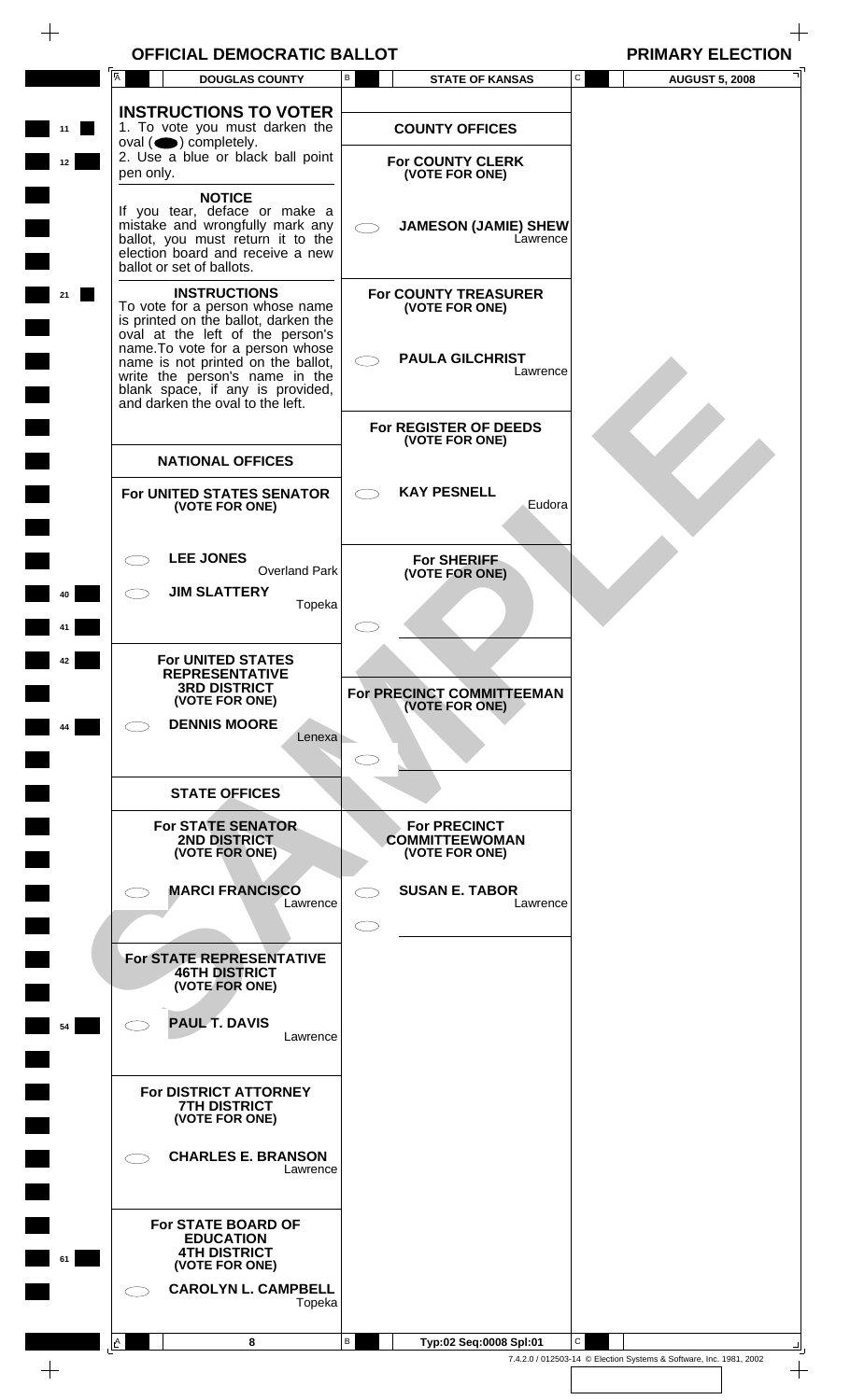$\begin{array}{c} + \end{array}$ 

|          | Ā<br><b>DOUGLAS COUNTY</b>                                                                                                                                                                                                                    | B           | <b>STATE OF KANSAS</b>                                                              | C | <b>AUGUST 5, 2008</b>                                              |
|----------|-----------------------------------------------------------------------------------------------------------------------------------------------------------------------------------------------------------------------------------------------|-------------|-------------------------------------------------------------------------------------|---|--------------------------------------------------------------------|
| 11<br>12 | <b>INSTRUCTIONS TO VOTER</b><br>1. To vote you must darken the<br>$oval(\n\bullet)$ completely.<br>2. Use a blue or black ball point<br>pen only.                                                                                             |             | <b>COUNTY OFFICES</b><br><b>For COUNTY CLERK</b><br>(VOTE FOR ONE)                  |   |                                                                    |
|          | <b>NOTICE</b><br>If you tear, deface or make a<br>mistake and wrongfully mark any<br>ballot, you must return it to the<br>election board and receive a new<br>ballot or set of ballots.                                                       |             | <b>JAMESON (JAMIE) SHEW</b><br>Lawrence                                             |   |                                                                    |
| 21       | <b>INSTRUCTIONS</b><br>To vote for a person whose name<br>is printed on the ballot, darken the<br>oval at the left of the person's<br>name.To vote for a person whose<br>name is not printed on the ballot,<br>write the person's name in the |             | <b>For COUNTY TREASURER</b><br>(VOTE FOR ONE)<br><b>PAULA GILCHRIST</b><br>Lawrence |   |                                                                    |
|          | blank space, if any is provided,<br>and darken the oval to the left.<br><b>NATIONAL OFFICES</b>                                                                                                                                               |             | For REGISTER OF DEEDS<br>(VOTE FOR ONE)                                             |   |                                                                    |
|          | For UNITED STATES SENATOR<br>(VOTE FOR ONE)                                                                                                                                                                                                   |             | <b>KAY PESNELL</b><br>Eudora                                                        |   |                                                                    |
| 40<br>41 | <b>LEE JONES</b><br><b>Overland Park</b><br><b>JIM SLATTERY</b><br>Topeka                                                                                                                                                                     |             | <b>For SHERIFF</b><br>(VOTE FOR ONE)                                                |   |                                                                    |
| 42       | <b>For UNITED STATES</b><br><b>REPRESENTATIVE</b><br><b>3RD DISTRICT</b><br>(VOTE FOR ONE)                                                                                                                                                    |             | For PRECINCT COMMITTEEMAN<br>(VOTE FOR ONE)                                         |   |                                                                    |
| 44       | <b>DENNIS MOORE</b><br>Lenexa                                                                                                                                                                                                                 | $\subset$ . |                                                                                     |   |                                                                    |
|          | <b>STATE OFFICES</b><br><b>For STATE SENATOR</b><br><b>2ND DISTRICT</b><br>(VOTE FOR ONE)                                                                                                                                                     |             | <b>For PRECINCT</b><br><b>COMMITTEEWOMAN</b><br>(VOTE FOR ONE)                      |   |                                                                    |
|          | <b>MARCI FRANCISCO</b><br>Lawrence                                                                                                                                                                                                            |             | <b>SUSAN E. TABOR</b><br>Lawrence                                                   |   |                                                                    |
| 54       | For STATE REPRESENTATIVE<br><b>46TH DISTRICT</b><br>(VOTE FOR ONE)<br><b>PAUL T. DAVIS</b>                                                                                                                                                    |             |                                                                                     |   |                                                                    |
|          | Lawrence<br>For DISTRICT ATTORNEY<br><b>7TH DISTRICT</b>                                                                                                                                                                                      |             |                                                                                     |   |                                                                    |
|          | (VOTE FOR ONE)<br><b>CHARLES E. BRANSON</b><br>Lawrence                                                                                                                                                                                       |             |                                                                                     |   |                                                                    |
| 61       | For STATE BOARD OF<br><b>EDUCATION</b><br><b>4TH DISTRICT</b><br>(VOTE FOR ONE)<br><b>CAROLYN L. CAMPBELL</b>                                                                                                                                 |             |                                                                                     |   |                                                                    |
|          | Topeka<br>8<br><u>A</u>                                                                                                                                                                                                                       | B           | Typ:02 Seq:0008 Spl:01                                                              | C | 7.4.2.0 / 012503-14 © Election Systems & Software, Inc. 1981, 2002 |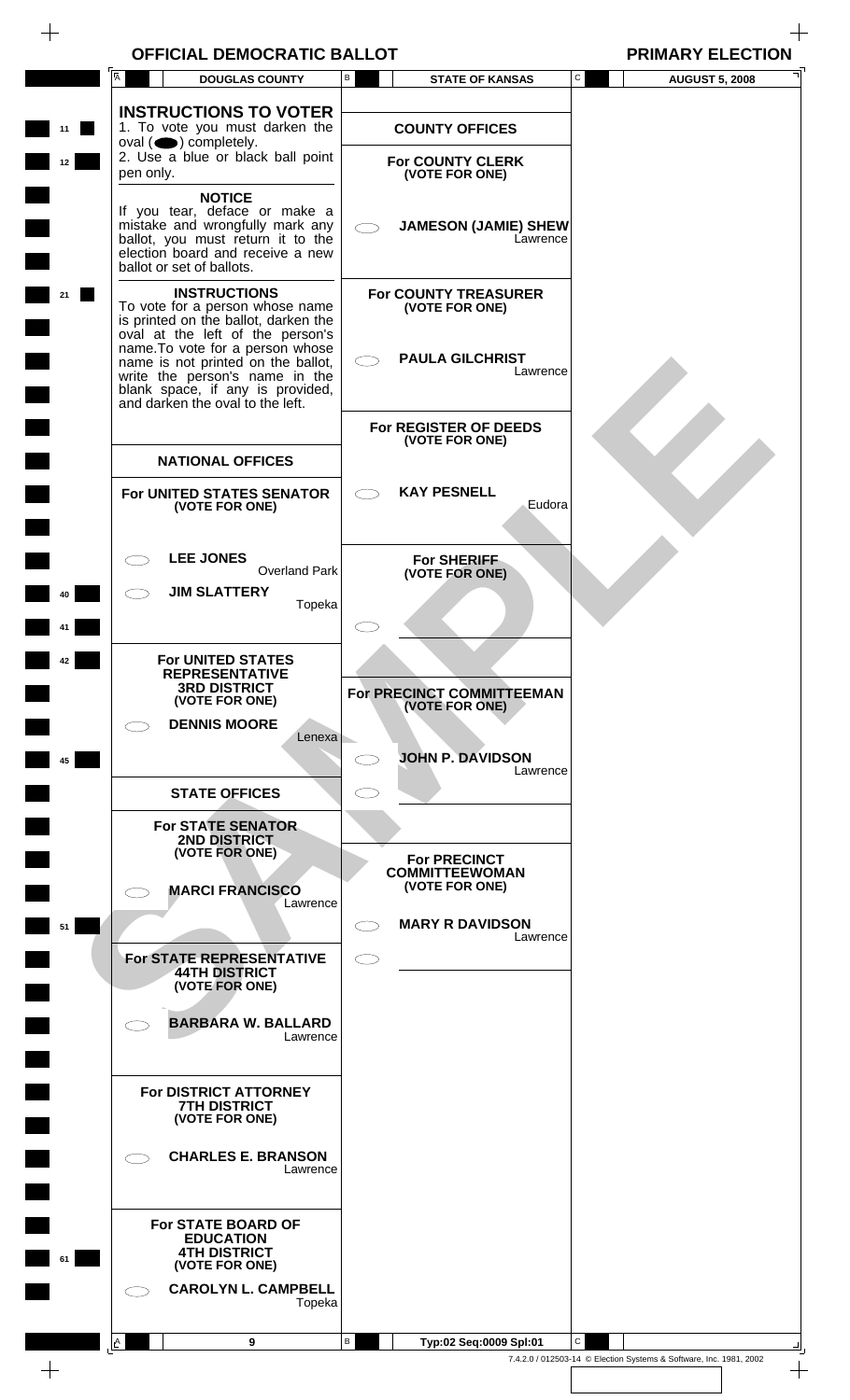$\begin{array}{c} + \end{array}$ 

|          | $\overline{A}$<br><b>DOUGLAS COUNTY</b>                                                                                                                                       | B         | <b>STATE OF KANSAS</b>                                         | С | <b>AUGUST 5, 2008</b>                                              |
|----------|-------------------------------------------------------------------------------------------------------------------------------------------------------------------------------|-----------|----------------------------------------------------------------|---|--------------------------------------------------------------------|
| 11<br>12 | <b>INSTRUCTIONS TO VOTER</b><br>1. To vote you must darken the<br>oval $($ $\bullet)$ completely.<br>2. Use a blue or black ball point                                        |           | <b>COUNTY OFFICES</b><br><b>For COUNTY CLERK</b>               |   |                                                                    |
|          | pen only.<br><b>NOTICE</b><br>If you tear, deface or make a<br>mistake and wrongfully mark any<br>ballot, you must return it to the<br>election board and receive a new       |           | (VOTE FOR ONE)<br><b>JAMESON (JAMIE) SHEW</b><br>Lawrence      |   |                                                                    |
| 21       | ballot or set of ballots.<br><b>INSTRUCTIONS</b><br>To vote for a person whose name<br>is printed on the ballot, darken the<br>oval at the left of the person's               |           | <b>For COUNTY TREASURER</b><br>(VOTE FOR ONE)                  |   |                                                                    |
|          | name. To vote for a person whose<br>name is not printed on the ballot,<br>write the person's name in the<br>blank space, if any is provided, and darken the oval to the left. |           | <b>PAULA GILCHRIST</b><br>Lawrence                             |   |                                                                    |
|          | <b>NATIONAL OFFICES</b>                                                                                                                                                       |           | For REGISTER OF DEEDS<br>(VOTE FOR ONE)                        |   |                                                                    |
|          | For UNITED STATES SENATOR<br>(VOTE FOR ONE)                                                                                                                                   |           | <b>KAY PESNELL</b><br>Eudora                                   |   |                                                                    |
|          | <b>LEE JONES</b><br><b>Overland Park</b><br><b>JIM SLATTERY</b>                                                                                                               |           | <b>For SHERIFF</b><br>(VOTE FOR ONE)                           |   |                                                                    |
|          | Topeka                                                                                                                                                                        |           |                                                                |   |                                                                    |
|          | <b>For UNITED STATES</b><br><b>REPRESENTATIVE</b><br><b>3RD DISTRICT</b><br>(VOTE FOR ONE)<br><b>DENNIS MOORE</b>                                                             |           | For PRECINCT COMMITTEEMAN<br>(VOTE FOR ONE)                    |   |                                                                    |
| 45       | Lenexa                                                                                                                                                                        |           | <b>JOHN P. DAVIDSON</b><br>Lawrence                            |   |                                                                    |
|          | <b>STATE OFFICES</b>                                                                                                                                                          |           |                                                                |   |                                                                    |
|          | <b>For STATE SENATOR</b><br><b>2ND DISTRICT</b><br>(VOTE FOR ONE)<br><b>MARCI FRANCISCO</b><br>Lawrence                                                                       |           | <b>For PRECINCT</b><br><b>COMMITTEEWOMAN</b><br>(VOTE FOR ONE) |   |                                                                    |
| 51       |                                                                                                                                                                               |           | <b>MARY R DAVIDSON</b><br>Lawrence                             |   |                                                                    |
|          | <b>For STATE REPRESENTATIVE</b><br><b>44TH DISTRICT</b><br>(VOTE FOR ONE)                                                                                                     | $\subset$ |                                                                |   |                                                                    |
|          | <b>BARBARA W. BALLARD</b><br>Lawrence                                                                                                                                         |           |                                                                |   |                                                                    |
|          | <b>For DISTRICT ATTORNEY</b><br><b>7TH DISTRICT</b><br>(VOTE FOR ONE)                                                                                                         |           |                                                                |   |                                                                    |
|          | <b>CHARLES E. BRANSON</b><br>Lawrence                                                                                                                                         |           |                                                                |   |                                                                    |
| 61       | <b>For STATE BOARD OF</b><br><b>EDUCATION</b><br><b>4TH DISTRICT</b><br>(VOTE FOR ONE)<br><b>CAROLYN L. CAMPBELL</b><br>Topeka                                                |           |                                                                |   |                                                                    |
|          | 9                                                                                                                                                                             | В         | Typ:02 Seq:0009 Spl:01                                         | С |                                                                    |
|          | $\mathsf{L}^\mathsf{A}$                                                                                                                                                       |           |                                                                |   | 7.4.2.0 / 012503-14 © Election Systems & Software, Inc. 1981, 2002 |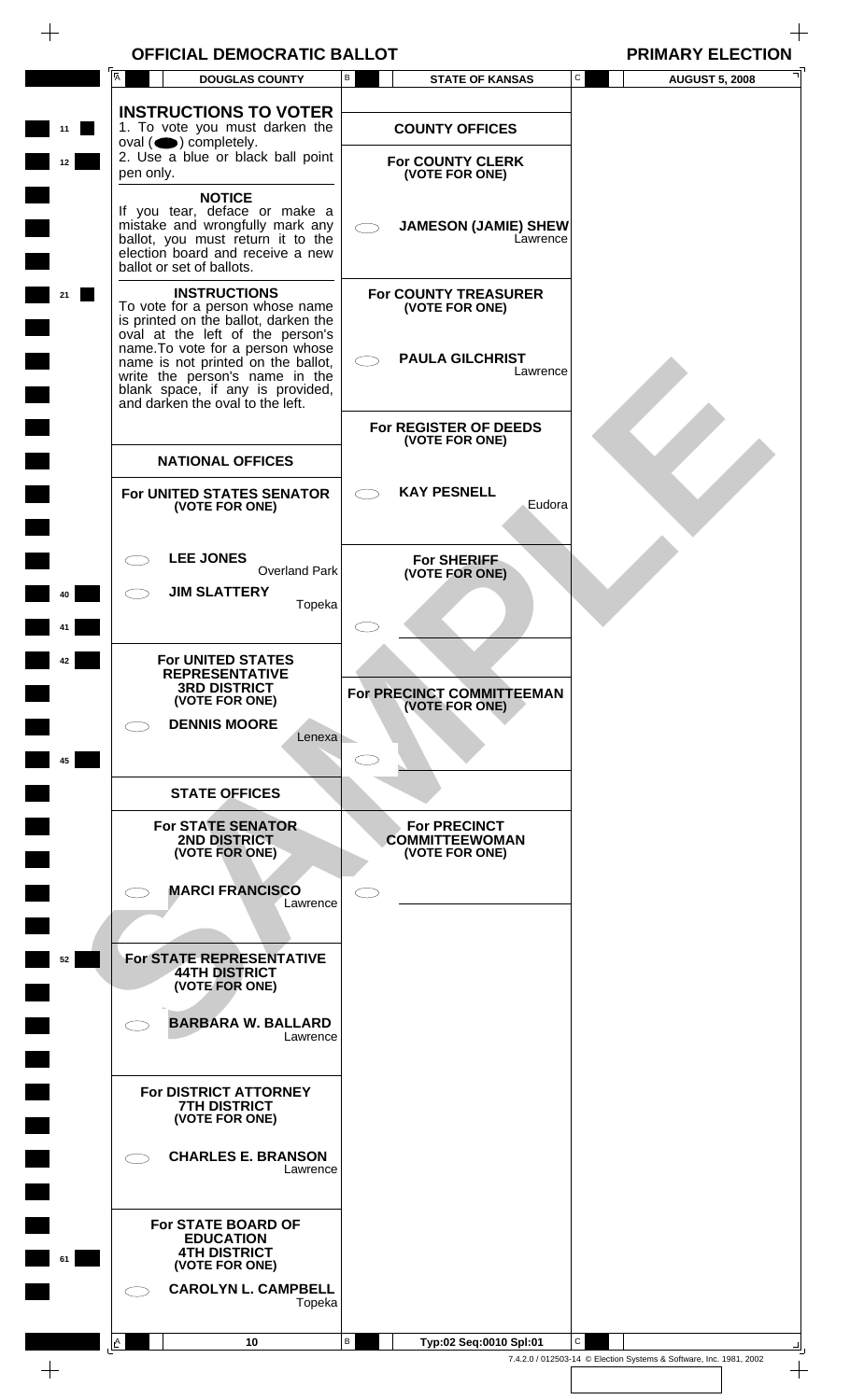$\begin{array}{c} + \end{array}$ 

 $\frac{1}{\sqrt{2}}$ 

|          | Ā<br><b>DOUGLAS COUNTY</b>                                                                                                                                                                                                                                                                                             | В                              | <b>STATE OF KANSAS</b>                                                  | С            | <b>AUGUST 5, 2008</b>                                              |
|----------|------------------------------------------------------------------------------------------------------------------------------------------------------------------------------------------------------------------------------------------------------------------------------------------------------------------------|--------------------------------|-------------------------------------------------------------------------|--------------|--------------------------------------------------------------------|
| 11<br>12 | <b>INSTRUCTIONS TO VOTER</b><br>1. To vote you must darken the<br>oval $($ $\bullet)$ completely.<br>2. Use a blue or black ball point<br>pen only.                                                                                                                                                                    |                                | <b>COUNTY OFFICES</b><br><b>For COUNTY CLERK</b><br>(VOTE FOR ONE)      |              |                                                                    |
|          | <b>NOTICE</b><br>If you tear, deface or make a<br>mistake and wrongfully mark any<br>ballot, you must return it to the<br>election board and receive a new<br>ballot or set of ballots.                                                                                                                                |                                | <b>JAMESON (JAMIE) SHEW</b>                                             | Lawrence     |                                                                    |
|          | <b>INSTRUCTIONS</b><br>To vote for a person whose name<br>is printed on the ballot, darken the<br>oval at the left of the person's<br>name. To vote for a person whose<br>name is not printed on the ballot,<br>write the person's name in the<br>blank space, if any is provided,<br>and darken the oval to the left. |                                | <b>For COUNTY TREASURER</b><br>(VOTE FOR ONE)<br><b>PAULA GILCHRIST</b> | Lawrence     |                                                                    |
|          | <b>NATIONAL OFFICES</b>                                                                                                                                                                                                                                                                                                |                                | For REGISTER OF DEEDS<br>(VOTE FOR ONE)                                 |              |                                                                    |
|          | For UNITED STATES SENATOR<br>(VOTE FOR ONE)                                                                                                                                                                                                                                                                            |                                | <b>KAY PESNELL</b>                                                      | Eudora       |                                                                    |
|          | <b>LEE JONES</b><br><b>JIM SLATTERY</b>                                                                                                                                                                                                                                                                                | <b>Overland Park</b><br>Topeka | <b>For SHERIFF</b><br>(VOTE FOR ONE)                                    |              |                                                                    |
| 42       | <b>For UNITED STATES</b><br><b>REPRESENTATIVE</b><br><b>3RD DISTRICT</b><br>(VOTE FOR ONE)<br><b>DENNIS MOORE</b>                                                                                                                                                                                                      |                                | For PRECINCT COMMITTEEMAN<br>(VOTE FOR ONE)                             |              |                                                                    |
| 45       | <b>STATE OFFICES</b>                                                                                                                                                                                                                                                                                                   | Lenexa                         |                                                                         |              |                                                                    |
|          | <b>For STATE SENATOR</b><br><b>2ND DISTRICT</b><br>(VOTE FOR ONE)                                                                                                                                                                                                                                                      |                                | <b>For PRECINCT</b><br><b>COMMITTEEWOMAN</b><br>(VOTE FOR ONE)          |              |                                                                    |
|          | <b>MARCI FRANCISCO</b>                                                                                                                                                                                                                                                                                                 | Lawrence                       |                                                                         |              |                                                                    |
| 52       | <b>For STATE REPRESENTATIVE</b><br><b>44TH DISTRICT</b><br>(VOTE FOR ONE)                                                                                                                                                                                                                                              |                                |                                                                         |              |                                                                    |
|          | <b>BARBARA W. BALLARD</b>                                                                                                                                                                                                                                                                                              | Lawrence                       |                                                                         |              |                                                                    |
|          | <b>For DISTRICT ATTORNEY</b><br><b>7TH DISTRICT</b><br>(VOTE FOR ONE)                                                                                                                                                                                                                                                  |                                |                                                                         |              |                                                                    |
|          | <b>CHARLES E. BRANSON</b>                                                                                                                                                                                                                                                                                              | Lawrence                       |                                                                         |              |                                                                    |
| 61       | <b>For STATE BOARD OF</b><br><b>EDUCATION</b><br><b>4TH DISTRICT</b><br>(VOTE FOR ONE)<br><b>CAROLYN L. CAMPBELL</b>                                                                                                                                                                                                   |                                |                                                                         |              |                                                                    |
|          |                                                                                                                                                                                                                                                                                                                        | Topeka                         |                                                                         |              |                                                                    |
|          | 10<br>. ≜.                                                                                                                                                                                                                                                                                                             | B                              | Typ:02 Seq:0010 Spl:01                                                  | $\mathsf{C}$ | 7.4.2.0 / 012503-14 © Election Systems & Software, Inc. 1981, 2002 |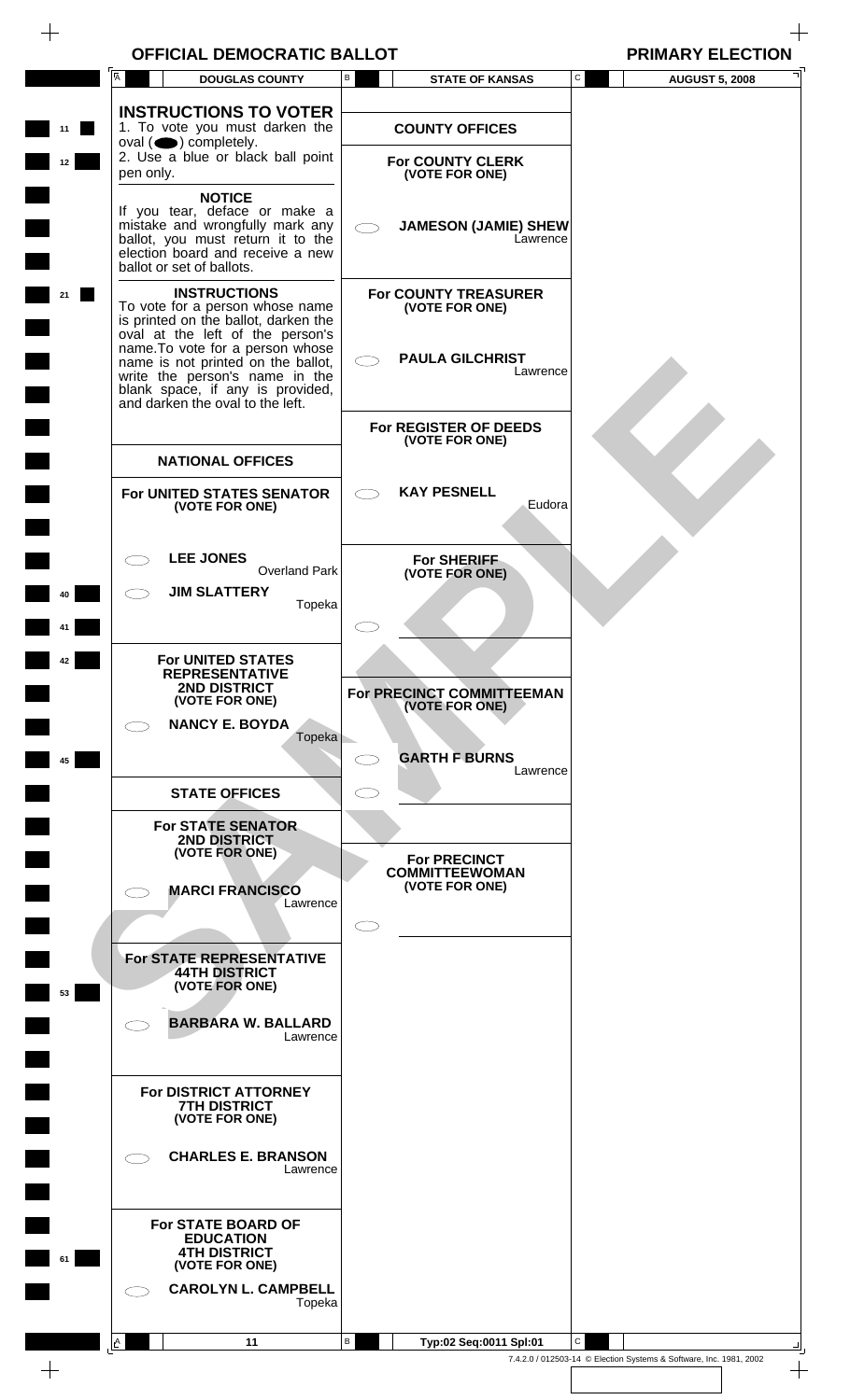$\begin{array}{c} + \end{array}$ 

|    | A         | <b>DOUGLAS COUNTY</b>                                                                                                                                                                                                                                                                                                  |                      | В           | <b>STATE OF KANSAS</b>                                                              | ${\bf C}$ | <b>AUGUST 5, 2008</b> |
|----|-----------|------------------------------------------------------------------------------------------------------------------------------------------------------------------------------------------------------------------------------------------------------------------------------------------------------------------------|----------------------|-------------|-------------------------------------------------------------------------------------|-----------|-----------------------|
| 11 |           | <b>INSTRUCTIONS TO VOTER</b><br>1. To vote you must darken the                                                                                                                                                                                                                                                         |                      |             | <b>COUNTY OFFICES</b>                                                               |           |                       |
| 12 | pen only. | oval $($ $\bullet)$ completely.<br>2. Use a blue or black ball point                                                                                                                                                                                                                                                   |                      |             | <b>For COUNTY CLERK</b><br>(VOTE FOR ONE)                                           |           |                       |
|    |           | <b>NOTICE</b><br>If you tear, deface or make a<br>mistake and wrongfully mark any<br>ballot, you must return it to the<br>election board and receive a new<br>ballot or set of ballots.                                                                                                                                |                      | $\subset$ . | <b>JAMESON (JAMIE) SHEW</b><br>Lawrence                                             |           |                       |
| 21 |           | <b>INSTRUCTIONS</b><br>To vote for a person whose name<br>is printed on the ballot, darken the<br>oval at the left of the person's<br>name. To vote for a person whose<br>name is not printed on the ballot,<br>write the person's name in the<br>blank space, if any is provided,<br>and darken the oval to the left. |                      | C i         | <b>For COUNTY TREASURER</b><br>(VOTE FOR ONE)<br><b>PAULA GILCHRIST</b><br>Lawrence |           |                       |
|    |           | <b>NATIONAL OFFICES</b>                                                                                                                                                                                                                                                                                                |                      |             | For REGISTER OF DEEDS<br>(VOTE FOR ONE)                                             |           |                       |
|    |           | For UNITED STATES SENATOR<br>(VOTE FOR ONE)                                                                                                                                                                                                                                                                            |                      |             | <b>KAY PESNELL</b><br>Eudora                                                        |           |                       |
|    |           | <b>LEE JONES</b><br><b>JIM SLATTERY</b>                                                                                                                                                                                                                                                                                | <b>Overland Park</b> |             | <b>For SHERIFF</b><br>(VOTE FOR ONE)                                                |           |                       |
|    |           |                                                                                                                                                                                                                                                                                                                        | Topeka               |             |                                                                                     |           |                       |
|    | C - 0     | For UNITED STATES<br><b>REPRESENTATIVE</b><br>2ND DISTRICT<br>(VOTE FOR ONE)<br><b>NANCY E. BOYDA</b>                                                                                                                                                                                                                  |                      |             | <b>For PRECINCT COMMITTEEMAN</b><br>(VOTE FOR ONE)                                  |           |                       |
| 45 |           |                                                                                                                                                                                                                                                                                                                        | Topeka               |             | <b>GARTH F BURNS</b><br>Lawrence                                                    |           |                       |
|    |           | <b>STATE OFFICES</b>                                                                                                                                                                                                                                                                                                   |                      | 31          |                                                                                     |           |                       |
|    |           | <b>For STATE SENATOR</b><br><b>2ND DISTRICT</b><br>(VOTE FOR ONE)<br><b>MARCI FRANCISCO</b>                                                                                                                                                                                                                            | Lawrence             |             | <b>For PRECINCT</b><br><b>COMMITTEEWOMAN</b><br>(VOTE FOR ONE)                      |           |                       |
| 53 |           | For STATE REPRESENTATIVE<br><b>44TH DISTRICT</b><br>(VOTE FOR ONE)<br><b>BARBARA W. BALLARD</b>                                                                                                                                                                                                                        |                      |             |                                                                                     |           |                       |
|    |           | For DISTRICT ATTORNEY<br><b>7TH DISTRICT</b><br>(VOTE FOR ONE)                                                                                                                                                                                                                                                         | Lawrence             |             |                                                                                     |           |                       |
|    |           | <b>CHARLES E. BRANSON</b>                                                                                                                                                                                                                                                                                              | Lawrence             |             |                                                                                     |           |                       |
| 61 |           | For STATE BOARD OF<br><b>EDUCATION</b><br><b>4TH DISTRICT</b><br>(VOTE FOR ONE)<br><b>CAROLYN L. CAMPBELL</b>                                                                                                                                                                                                          | Topeka               |             |                                                                                     |           |                       |
|    |           |                                                                                                                                                                                                                                                                                                                        |                      |             |                                                                                     |           |                       |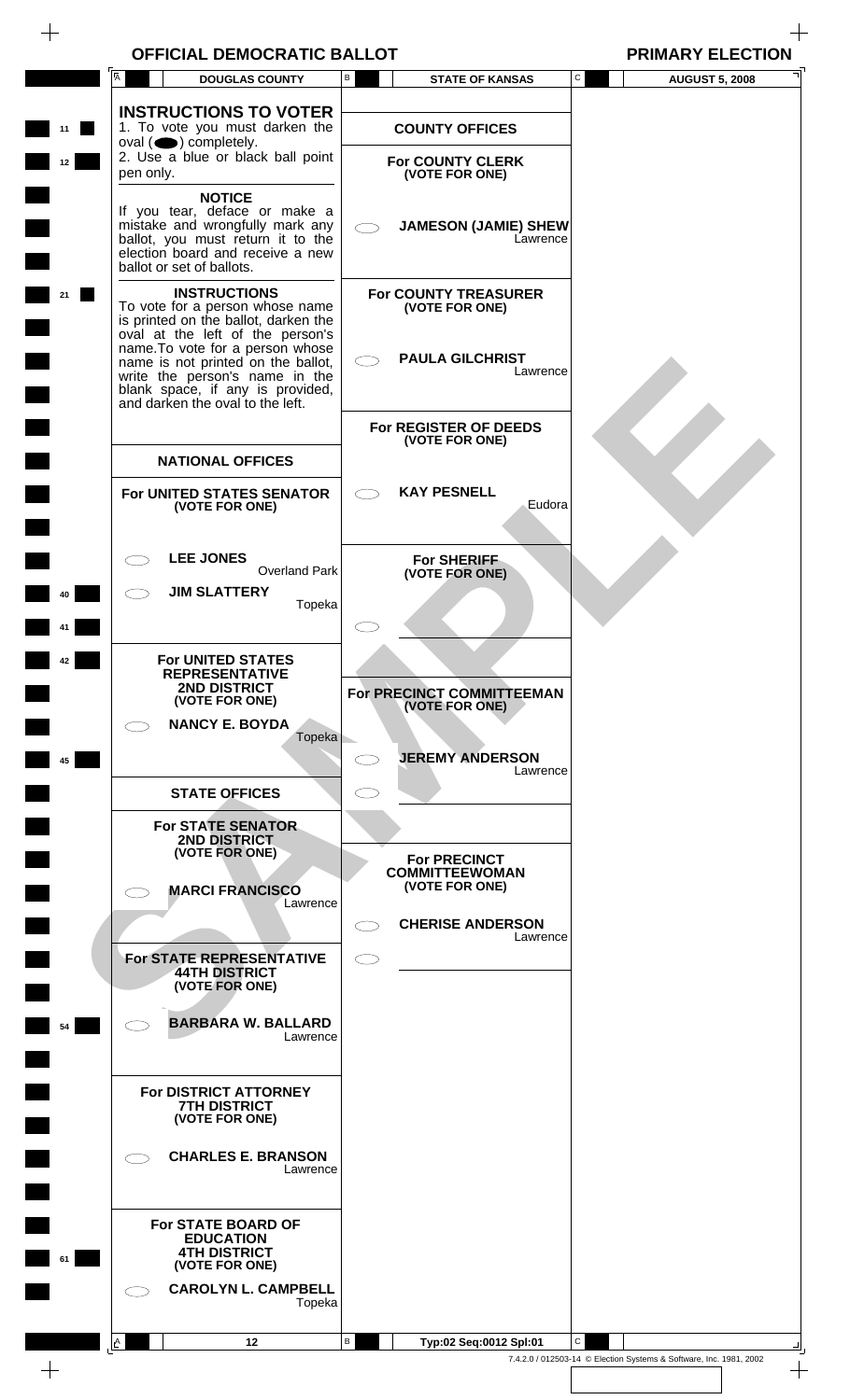$\begin{array}{c} + \end{array}$ 

|          | Ā<br><b>DOUGLAS COUNTY</b>                                                                                                                                                                                   | B         | <b>STATE OF KANSAS</b>                                                  | C | <b>AUGUST 5, 2008</b>                                              |
|----------|--------------------------------------------------------------------------------------------------------------------------------------------------------------------------------------------------------------|-----------|-------------------------------------------------------------------------|---|--------------------------------------------------------------------|
| 11<br>12 | <b>INSTRUCTIONS TO VOTER</b><br>1. To vote you must darken the<br>$oval(\bigodot)$ completely.<br>2. Use a blue or black ball point                                                                          |           | <b>COUNTY OFFICES</b><br><b>For COUNTY CLERK</b>                        |   |                                                                    |
|          | pen only.<br><b>NOTICE</b><br>If you tear, deface or make a<br>mistake and wrongfully mark any<br>ballot, you must return it to the<br>election board and receive a new<br>ballot or set of ballots.         |           | (VOTE FOR ONE)<br><b>JAMESON (JAMIE) SHEW</b><br>Lawrence               |   |                                                                    |
| 21       | <b>INSTRUCTIONS</b><br>To vote for a person whose name<br>is printed on the ballot, darken the<br>oval at the left of the person's<br>name. To vote for a person whose<br>name is not printed on the ballot, |           | <b>For COUNTY TREASURER</b><br>(VOTE FOR ONE)<br><b>PAULA GILCHRIST</b> |   |                                                                    |
|          | write the person's name in the<br>blank space, if any is provided, and darken the oval to the left.                                                                                                          |           | Lawrence<br>For REGISTER OF DEEDS                                       |   |                                                                    |
|          | <b>NATIONAL OFFICES</b>                                                                                                                                                                                      |           | (VOTE FOR ONE)                                                          |   |                                                                    |
|          | For UNITED STATES SENATOR<br>(VOTE FOR ONE)                                                                                                                                                                  |           | <b>KAY PESNELL</b><br>Eudora                                            |   |                                                                    |
|          | <b>LEE JONES</b><br><b>Overland Park</b>                                                                                                                                                                     |           | <b>For SHERIFF</b><br>(VOTE FOR ONE)                                    |   |                                                                    |
|          | <b>JIM SLATTERY</b><br>Topeka                                                                                                                                                                                |           |                                                                         |   |                                                                    |
|          | <b>For UNITED STATES</b>                                                                                                                                                                                     |           |                                                                         |   |                                                                    |
|          | <b>REPRESENTATIVE</b><br>2ND DISTRICT<br>(VOTE FOR ONE)                                                                                                                                                      |           | For PRECINCT COMMITTEEMAN<br>(VOTE FOR ONE)                             |   |                                                                    |
|          | <b>NANCY E. BOYDA</b><br>Topeka                                                                                                                                                                              |           |                                                                         |   |                                                                    |
| 45       | <b>STATE OFFICES</b>                                                                                                                                                                                         |           | <b>JEREMY ANDERSON</b><br>Lawrence                                      |   |                                                                    |
|          | <b>For STATE SENATOR</b><br><b>2ND DISTRICT</b>                                                                                                                                                              |           |                                                                         |   |                                                                    |
|          | (VOTE FOR ONE)<br><b>MARCI FRANCISCO</b>                                                                                                                                                                     |           | <b>For PRECINCT</b><br><b>COMMITTEEWOMAN</b><br>(VOTE FOR ONE)          |   |                                                                    |
|          | Lawrence                                                                                                                                                                                                     |           | <b>CHERISE ANDERSON</b>                                                 |   |                                                                    |
|          | For STATE REPRESENTATIVE<br><b>44TH DISTRICT</b><br>(VOTE FOR ONE)                                                                                                                                           | $\subset$ | Lawrence                                                                |   |                                                                    |
| 54       | <b>BARBARA W. BALLARD</b><br>Lawrence                                                                                                                                                                        |           |                                                                         |   |                                                                    |
|          | <b>For DISTRICT ATTORNEY</b><br><b>7TH DISTRICT</b><br>(VOTE FOR ONE)                                                                                                                                        |           |                                                                         |   |                                                                    |
|          | <b>CHARLES E. BRANSON</b><br>Lawrence                                                                                                                                                                        |           |                                                                         |   |                                                                    |
| 61       | <b>For STATE BOARD OF</b><br><b>EDUCATION</b><br><b>4TH DISTRICT</b><br>(VOTE FOR ONE)<br><b>CAROLYN L. CAMPBELL</b><br>Topeka                                                                               |           |                                                                         |   |                                                                    |
|          | 12                                                                                                                                                                                                           | B         |                                                                         | С |                                                                    |
|          | <u>A</u>                                                                                                                                                                                                     |           | Typ:02 Seq:0012 Spl:01                                                  |   | 7.4.2.0 / 012503-14 © Election Systems & Software, Inc. 1981, 2002 |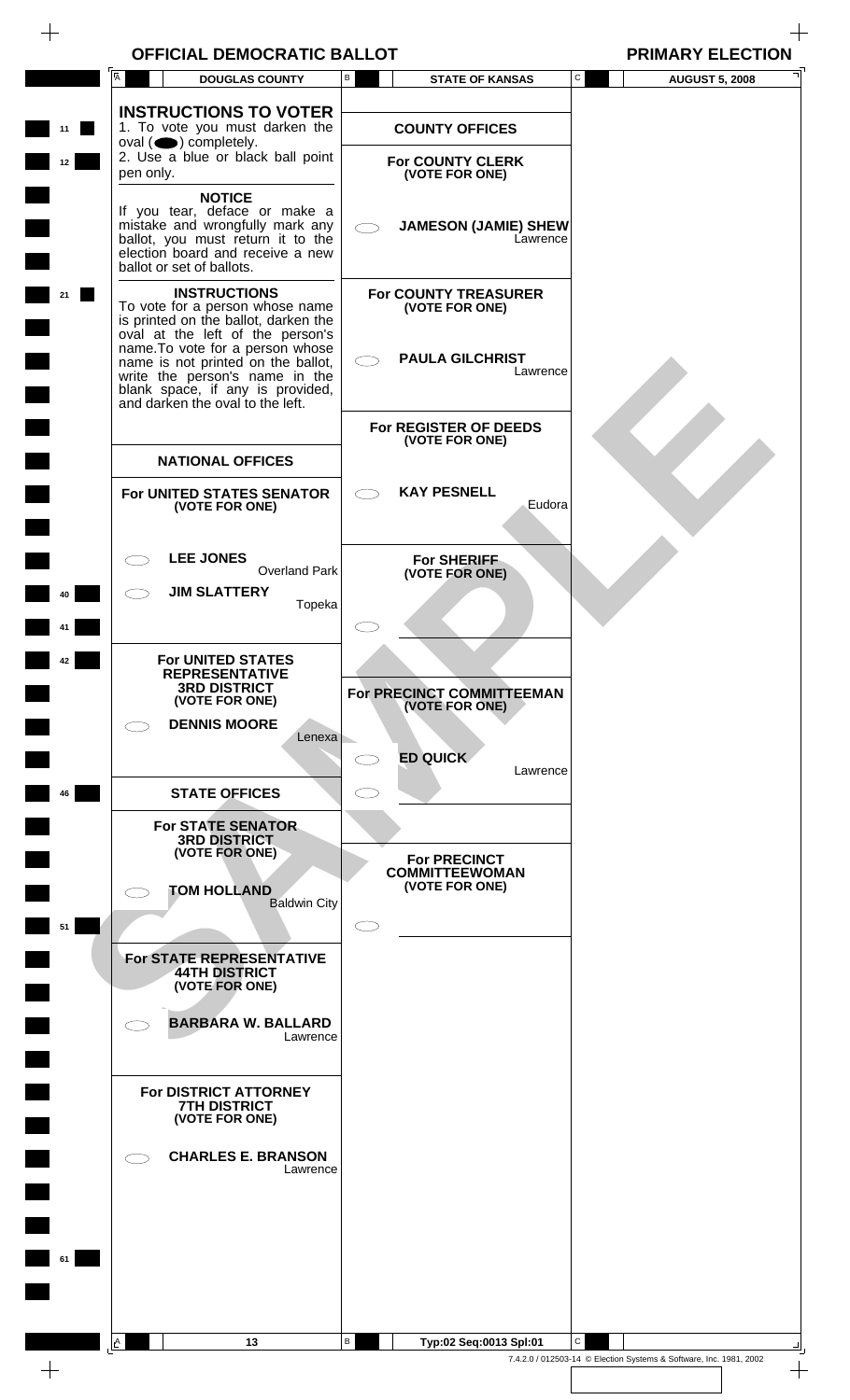$\begin{array}{c} + \end{array}$ 

|          | Ā                                                                                                                                                                                                                                                                                                                     | <b>DOUGLAS COUNTY</b>                 | В | <b>STATE OF KANSAS</b>                                                              | C | <b>AUGUST 5, 2008</b>                                              |
|----------|-----------------------------------------------------------------------------------------------------------------------------------------------------------------------------------------------------------------------------------------------------------------------------------------------------------------------|---------------------------------------|---|-------------------------------------------------------------------------------------|---|--------------------------------------------------------------------|
| 11<br>12 | <b>INSTRUCTIONS TO VOTER</b><br>1. To vote you must darken the<br>$oval(\bigodot)$ completely.<br>2. Use a blue or black ball point<br>pen only.                                                                                                                                                                      |                                       |   | <b>COUNTY OFFICES</b><br><b>For COUNTY CLERK</b><br>(VOTE FOR ONE)                  |   |                                                                    |
|          | <b>NOTICE</b><br>If you tear, deface or make a<br>mistake and wrongfully mark any<br>ballot, you must return it to the<br>election board and receive a new<br>ballot or set of ballots.                                                                                                                               |                                       |   | <b>JAMESON (JAMIE) SHEW</b><br>Lawrence                                             |   |                                                                    |
|          | <b>INSTRUCTIONS</b><br>To vote for a person whose name<br>is printed on the ballot, darken the<br>oval at the left of the person's<br>name.To vote for a person whose<br>name is not printed on the ballot,<br>write the person's name in the<br>blank space, if any is provided,<br>and darken the oval to the left. |                                       |   | <b>For COUNTY TREASURER</b><br>(VOTE FOR ONE)<br><b>PAULA GILCHRIST</b><br>Lawrence |   |                                                                    |
|          | <b>NATIONAL OFFICES</b>                                                                                                                                                                                                                                                                                               |                                       |   | For REGISTER OF DEEDS<br>(VOTE FOR ONE)                                             |   |                                                                    |
|          | For UNITED STATES SENATOR<br>(VOTE FOR ONE)                                                                                                                                                                                                                                                                           |                                       |   | <b>KAY PESNELL</b><br>Eudora                                                        |   |                                                                    |
|          | <b>LEE JONES</b><br><b>JIM SLATTERY</b>                                                                                                                                                                                                                                                                               | <b>Overland Park</b>                  |   | <b>For SHERIFF</b><br>(VOTE FOR ONE)                                                |   |                                                                    |
| 41       |                                                                                                                                                                                                                                                                                                                       | Topeka                                |   |                                                                                     |   |                                                                    |
|          | <b>For UNITED STATES</b><br><b>REPRESENTATIVE</b><br><b>3RD DISTRICT</b><br>(VOTE FOR ONE)<br><b>DENNIS MOORE</b>                                                                                                                                                                                                     |                                       |   | For PRECINCT COMMITTEEMAN<br>(VOTE FOR ONE)                                         |   |                                                                    |
|          |                                                                                                                                                                                                                                                                                                                       | Lenexa                                |   | <b>ED QUICK</b><br>Lawrence                                                         |   |                                                                    |
| 46       | <b>STATE OFFICES</b><br><b>For STATE SENATOR</b><br><b>3RD DISTRICT</b><br>(VOTE FOR ONE)                                                                                                                                                                                                                             |                                       |   | <b>For PRECINCT</b>                                                                 |   |                                                                    |
| 51       | <b>TOM HOLLAND</b>                                                                                                                                                                                                                                                                                                    | <b>Baldwin City</b>                   |   | <b>COMMITTEEWOMAN</b><br>(VOTE FOR ONE)                                             |   |                                                                    |
|          | For STATE REPRESENTATIVE<br><b>44TH DISTRICT</b><br>(VOTE FOR ONE)                                                                                                                                                                                                                                                    |                                       |   |                                                                                     |   |                                                                    |
|          |                                                                                                                                                                                                                                                                                                                       | <b>BARBARA W. BALLARD</b><br>Lawrence |   |                                                                                     |   |                                                                    |
|          | For DISTRICT ATTORNEY<br><b>7TH DISTRICT</b><br>(VOTE FOR ONE)                                                                                                                                                                                                                                                        |                                       |   |                                                                                     |   |                                                                    |
|          |                                                                                                                                                                                                                                                                                                                       | <b>CHARLES E. BRANSON</b><br>Lawrence |   |                                                                                     |   |                                                                    |
| 61       |                                                                                                                                                                                                                                                                                                                       |                                       |   |                                                                                     |   |                                                                    |
|          |                                                                                                                                                                                                                                                                                                                       |                                       |   |                                                                                     |   |                                                                    |
|          | <u>A</u>                                                                                                                                                                                                                                                                                                              | 13                                    | В | Typ:02 Seq:0013 Spl:01                                                              | C |                                                                    |
|          |                                                                                                                                                                                                                                                                                                                       |                                       |   |                                                                                     |   | 7.4.2.0 / 012503-14 © Election Systems & Software, Inc. 1981, 2002 |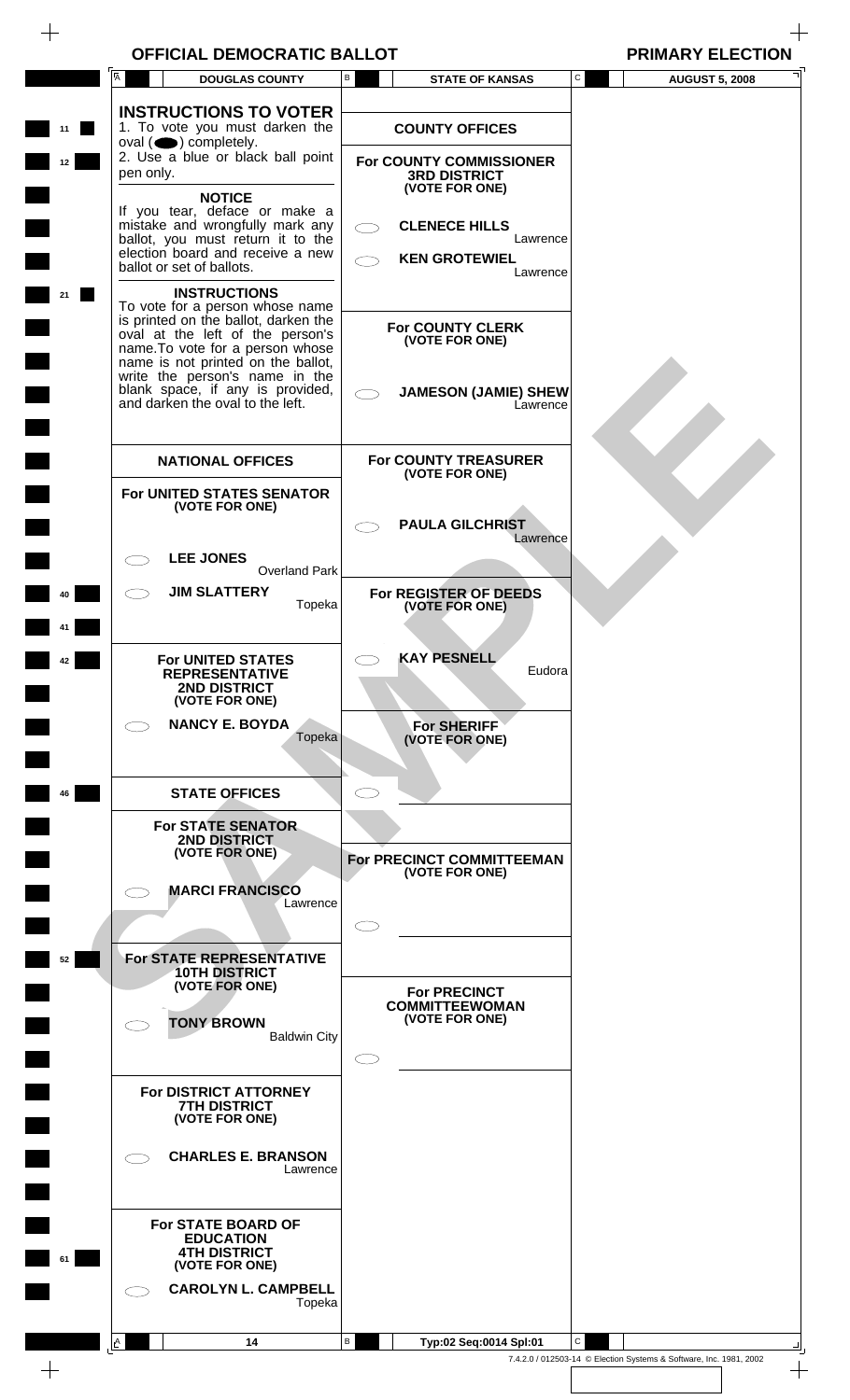$\begin{array}{c} + \end{array}$ 

|                 | Ā           | <b>DOUGLAS COUNTY</b>                                                                                                                                                                                                | В         | <b>STATE OF KANSAS</b>                                                  | C            | <b>AUGUST 5, 2008</b>                                              |
|-----------------|-------------|----------------------------------------------------------------------------------------------------------------------------------------------------------------------------------------------------------------------|-----------|-------------------------------------------------------------------------|--------------|--------------------------------------------------------------------|
| 11              |             | <b>INSTRUCTIONS TO VOTER</b><br>1. To vote you must darken the<br>$oval(\n\bullet)$ completely.                                                                                                                      |           | <b>COUNTY OFFICES</b>                                                   |              |                                                                    |
| 12 <sub>2</sub> | pen only.   | 2. Use a blue or black ball point<br><b>NOTICE</b>                                                                                                                                                                   |           | <b>For COUNTY COMMISSIONER</b><br><b>3RD DISTRICT</b><br>(VOTE FOR ONE) |              |                                                                    |
|                 |             | If you tear, deface or make a<br>mistake and wrongfully mark any<br>ballot, you must return it to the<br>election board and receive a new<br>ballot or set of ballots.                                               |           | <b>CLENECE HILLS</b><br>Lawrence<br><b>KEN GROTEWIEL</b>                |              |                                                                    |
| 21              |             | <b>INSTRUCTIONS</b><br>To vote for a person whose name<br>is printed on the ballot, darken the                                                                                                                       |           | Lawrence<br><b>For COUNTY CLERK</b>                                     |              |                                                                    |
|                 |             | oval at the left of the person's<br>name. To vote for a person whose<br>name is not printed on the ballot,<br>write the person's name in the<br>blank space, if any is provided,<br>and darken the oval to the left. |           | (VOTE FOR ONE)<br><b>JAMESON (JAMIE) SHEW</b><br>Lawrence               |              |                                                                    |
|                 |             | <b>NATIONAL OFFICES</b>                                                                                                                                                                                              |           | <b>For COUNTY TREASURER</b><br>(VOTE FOR ONE)                           |              |                                                                    |
|                 |             | For UNITED STATES SENATOR<br>(VOTE FOR ONE)                                                                                                                                                                          |           | <b>PAULA GILCHRIST</b><br>Lawrence                                      |              |                                                                    |
| 40              |             | <b>LEE JONES</b><br><b>Overland Park</b><br><b>JIM SLATTERY</b>                                                                                                                                                      |           | For REGISTER OF DEEDS                                                   |              |                                                                    |
|                 |             | Topeka                                                                                                                                                                                                               |           | (VOTE FOR ONE)<br><b>KAY PESNELL</b>                                    |              |                                                                    |
| 12              |             | <b>For UNITED STATES</b><br><b>REPRESENTATIVE</b><br><b>2ND DISTRICT</b><br>(VOTE FOR ONE)                                                                                                                           |           | Eudora                                                                  |              |                                                                    |
|                 |             | <b>NANCY E. BOYDA</b><br>Topeka                                                                                                                                                                                      |           | <b>For SHERIFF</b><br>(VOTE FOR ONE)                                    |              |                                                                    |
| 46              |             | <b>STATE OFFICES</b>                                                                                                                                                                                                 |           |                                                                         |              |                                                                    |
|                 |             | <b>For STATE SENATOR</b><br><b>2ND DISTRICT</b><br>(VOTE FOR ONE)                                                                                                                                                    |           | For PRECINCT COMMITTEEMAN<br>(VOTE FOR ONE)                             |              |                                                                    |
|                 |             | <b>MARCI FRANCISCO</b><br>Lawrence                                                                                                                                                                                   | $\subset$ |                                                                         |              |                                                                    |
| 52              |             | For STATE REPRESENTATIVE<br><b>10TH DISTRICT</b>                                                                                                                                                                     |           |                                                                         |              |                                                                    |
|                 |             | (VOTE FOR ONE)<br><b>TONY BROWN</b><br><b>Baldwin City</b>                                                                                                                                                           |           | <b>For PRECINCT</b><br><b>COMMITTEEWOMAN</b><br>(VOTE FOR ONE)          |              |                                                                    |
|                 |             | For DISTRICT ATTORNEY<br><b>7TH DISTRICT</b><br>(VOTE FOR ONE)                                                                                                                                                       |           |                                                                         |              |                                                                    |
|                 |             | <b>CHARLES E. BRANSON</b><br>Lawrence                                                                                                                                                                                |           |                                                                         |              |                                                                    |
| 61              |             | <b>For STATE BOARD OF</b><br><b>EDUCATION</b><br><b>4TH DISTRICT</b><br>(VOTE FOR ONE)<br><b>CAROLYN L. CAMPBELL</b>                                                                                                 |           |                                                                         |              |                                                                    |
|                 |             | Topeka                                                                                                                                                                                                               |           |                                                                         |              |                                                                    |
| $+$             | $A_{\perp}$ | 14                                                                                                                                                                                                                   | В         | Typ:02 Seq:0014 Spl:01                                                  | $\mathsf{C}$ | 7.4.2.0 / 012503-14 © Election Systems & Software, Inc. 1981, 2002 |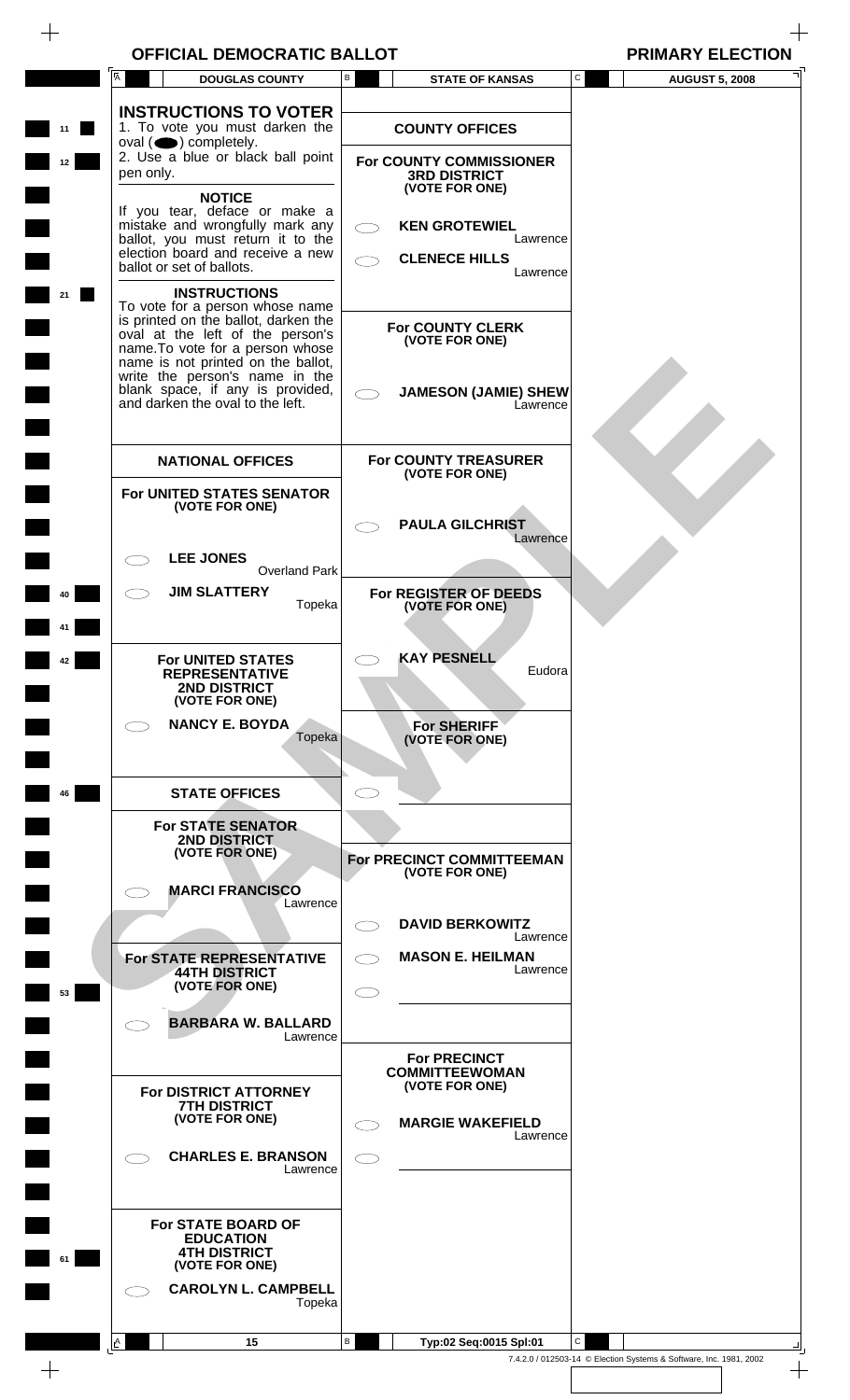$\begin{array}{c} + \end{array}$ 

| <b>INSTRUCTIONS TO VOTER</b><br>1. To vote you must darken the<br><b>COUNTY OFFICES</b><br>11<br>$oval(\n\bullet)$ completely.<br>2. Use a blue or black ball point<br><b>For COUNTY COMMISSIONER</b><br>12<br>pen only.<br><b>3RD DISTRICT</b><br>(VOTE FOR ONE)<br><b>NOTICE</b><br>If you tear, deface or make a<br>mistake and wrongfully mark any<br><b>KEN GROTEWIEL</b><br>ballot, you must return it to the<br>Lawrence<br>election board and receive a new<br><b>CLENECE HILLS</b><br>ballot or set of ballots.<br>Lawrence<br><b>INSTRUCTIONS</b><br>21<br>To vote for a person whose name<br>is printed on the ballot, darken the<br><b>For COUNTY CLERK</b><br>oval at the left of the person's<br>(VOTE FOR ONE)<br>name. To vote for a person whose<br>name is not printed on the ballot,<br>write the person's name in the<br>blank space, if any is provided,<br><b>JAMESON (JAMIE) SHEW</b><br>and darken the oval to the left.<br>Lawrence<br><b>For COUNTY TREASURER</b><br><b>NATIONAL OFFICES</b><br>(VOTE FOR ONE)<br>For UNITED STATES SENATOR<br>(VOTE FOR ONE)<br><b>PAULA GILCHRIST</b><br>Lawrence<br><b>LEE JONES</b><br><b>Overland Park</b><br><b>JIM SLATTERY</b><br>For REGISTER OF DEEDS<br>Topeka<br>(VOTE FOR ONE)<br>41<br><b>KAY PESNELL</b><br><b>For UNITED STATES</b><br>42<br>Eudora<br><b>REPRESENTATIVE</b><br><b>2ND DISTRICT</b><br>(VOTE FOR ONE)<br><b>NANCY E. BOYDA</b><br><b>For SHERIFF</b><br>Topeka<br>(VOTE FOR ONE)<br><b>STATE OFFICES</b><br>46<br><b>For STATE SENATOR</b><br><b>2ND DISTRICT</b><br>(VOTE FOR ONE)<br>For PRECINCT COMMITTEEMAN<br>(VOTE FOR ONE)<br><b>MARCI FRANCISCO</b><br>Lawrence<br><b>DAVID BERKOWITZ</b><br>$\subset$ $\supset$<br>Lawrence<br><b>MASON E. HEILMAN</b><br>For STATE REPRESENTATIVE<br>Lawrence<br><b>44TH DISTRICT</b><br>(VOTE FOR ONE)<br>$\subset$ .<br>53<br><b>BARBARA W. BALLARD</b><br>Lawrence<br><b>For PRECINCT</b><br><b>COMMITTEEWOMAN</b><br>(VOTE FOR ONE)<br>For DISTRICT ATTORNEY<br><b>7TH DISTRICT</b><br>(VOTE FOR ONE)<br><b>MARGIE WAKEFIELD</b><br>Lawrence<br><b>CHARLES E. BRANSON</b><br>$\subset$<br>Lawrence<br>For STATE BOARD OF<br><b>EDUCATION</b><br><b>4TH DISTRICT</b><br>61<br>(VOTE FOR ONE)<br><b>CAROLYN L. CAMPBELL</b><br>Topeka<br>В<br>$\mathsf{C}$<br>15<br>Typ:02 Seq:0015 Spl:01<br>I A | <b>DOUGLAS COUNTY</b> | В | <b>STATE OF KANSAS</b> | C | <b>AUGUST 5, 2008</b> |
|------------------------------------------------------------------------------------------------------------------------------------------------------------------------------------------------------------------------------------------------------------------------------------------------------------------------------------------------------------------------------------------------------------------------------------------------------------------------------------------------------------------------------------------------------------------------------------------------------------------------------------------------------------------------------------------------------------------------------------------------------------------------------------------------------------------------------------------------------------------------------------------------------------------------------------------------------------------------------------------------------------------------------------------------------------------------------------------------------------------------------------------------------------------------------------------------------------------------------------------------------------------------------------------------------------------------------------------------------------------------------------------------------------------------------------------------------------------------------------------------------------------------------------------------------------------------------------------------------------------------------------------------------------------------------------------------------------------------------------------------------------------------------------------------------------------------------------------------------------------------------------------------------------------------------------------------------------------------------------------------------------------------------------------------------------------------------------------------------------------------------------------------------------------------------------------------------------------------------------------------------------------------------------------------------------------------------------------|-----------------------|---|------------------------|---|-----------------------|
|                                                                                                                                                                                                                                                                                                                                                                                                                                                                                                                                                                                                                                                                                                                                                                                                                                                                                                                                                                                                                                                                                                                                                                                                                                                                                                                                                                                                                                                                                                                                                                                                                                                                                                                                                                                                                                                                                                                                                                                                                                                                                                                                                                                                                                                                                                                                          |                       |   |                        |   |                       |
|                                                                                                                                                                                                                                                                                                                                                                                                                                                                                                                                                                                                                                                                                                                                                                                                                                                                                                                                                                                                                                                                                                                                                                                                                                                                                                                                                                                                                                                                                                                                                                                                                                                                                                                                                                                                                                                                                                                                                                                                                                                                                                                                                                                                                                                                                                                                          |                       |   |                        |   |                       |
|                                                                                                                                                                                                                                                                                                                                                                                                                                                                                                                                                                                                                                                                                                                                                                                                                                                                                                                                                                                                                                                                                                                                                                                                                                                                                                                                                                                                                                                                                                                                                                                                                                                                                                                                                                                                                                                                                                                                                                                                                                                                                                                                                                                                                                                                                                                                          |                       |   |                        |   |                       |
|                                                                                                                                                                                                                                                                                                                                                                                                                                                                                                                                                                                                                                                                                                                                                                                                                                                                                                                                                                                                                                                                                                                                                                                                                                                                                                                                                                                                                                                                                                                                                                                                                                                                                                                                                                                                                                                                                                                                                                                                                                                                                                                                                                                                                                                                                                                                          |                       |   |                        |   |                       |
|                                                                                                                                                                                                                                                                                                                                                                                                                                                                                                                                                                                                                                                                                                                                                                                                                                                                                                                                                                                                                                                                                                                                                                                                                                                                                                                                                                                                                                                                                                                                                                                                                                                                                                                                                                                                                                                                                                                                                                                                                                                                                                                                                                                                                                                                                                                                          |                       |   |                        |   |                       |
|                                                                                                                                                                                                                                                                                                                                                                                                                                                                                                                                                                                                                                                                                                                                                                                                                                                                                                                                                                                                                                                                                                                                                                                                                                                                                                                                                                                                                                                                                                                                                                                                                                                                                                                                                                                                                                                                                                                                                                                                                                                                                                                                                                                                                                                                                                                                          |                       |   |                        |   |                       |
|                                                                                                                                                                                                                                                                                                                                                                                                                                                                                                                                                                                                                                                                                                                                                                                                                                                                                                                                                                                                                                                                                                                                                                                                                                                                                                                                                                                                                                                                                                                                                                                                                                                                                                                                                                                                                                                                                                                                                                                                                                                                                                                                                                                                                                                                                                                                          |                       |   |                        |   |                       |
|                                                                                                                                                                                                                                                                                                                                                                                                                                                                                                                                                                                                                                                                                                                                                                                                                                                                                                                                                                                                                                                                                                                                                                                                                                                                                                                                                                                                                                                                                                                                                                                                                                                                                                                                                                                                                                                                                                                                                                                                                                                                                                                                                                                                                                                                                                                                          |                       |   |                        |   |                       |
|                                                                                                                                                                                                                                                                                                                                                                                                                                                                                                                                                                                                                                                                                                                                                                                                                                                                                                                                                                                                                                                                                                                                                                                                                                                                                                                                                                                                                                                                                                                                                                                                                                                                                                                                                                                                                                                                                                                                                                                                                                                                                                                                                                                                                                                                                                                                          |                       |   |                        |   |                       |
|                                                                                                                                                                                                                                                                                                                                                                                                                                                                                                                                                                                                                                                                                                                                                                                                                                                                                                                                                                                                                                                                                                                                                                                                                                                                                                                                                                                                                                                                                                                                                                                                                                                                                                                                                                                                                                                                                                                                                                                                                                                                                                                                                                                                                                                                                                                                          |                       |   |                        |   |                       |
|                                                                                                                                                                                                                                                                                                                                                                                                                                                                                                                                                                                                                                                                                                                                                                                                                                                                                                                                                                                                                                                                                                                                                                                                                                                                                                                                                                                                                                                                                                                                                                                                                                                                                                                                                                                                                                                                                                                                                                                                                                                                                                                                                                                                                                                                                                                                          |                       |   |                        |   |                       |
|                                                                                                                                                                                                                                                                                                                                                                                                                                                                                                                                                                                                                                                                                                                                                                                                                                                                                                                                                                                                                                                                                                                                                                                                                                                                                                                                                                                                                                                                                                                                                                                                                                                                                                                                                                                                                                                                                                                                                                                                                                                                                                                                                                                                                                                                                                                                          |                       |   |                        |   |                       |
|                                                                                                                                                                                                                                                                                                                                                                                                                                                                                                                                                                                                                                                                                                                                                                                                                                                                                                                                                                                                                                                                                                                                                                                                                                                                                                                                                                                                                                                                                                                                                                                                                                                                                                                                                                                                                                                                                                                                                                                                                                                                                                                                                                                                                                                                                                                                          |                       |   |                        |   |                       |
|                                                                                                                                                                                                                                                                                                                                                                                                                                                                                                                                                                                                                                                                                                                                                                                                                                                                                                                                                                                                                                                                                                                                                                                                                                                                                                                                                                                                                                                                                                                                                                                                                                                                                                                                                                                                                                                                                                                                                                                                                                                                                                                                                                                                                                                                                                                                          |                       |   |                        |   |                       |
| 7.4.2.0 / 012503-14 © Election Systems & Software, Inc. 1981, 2002                                                                                                                                                                                                                                                                                                                                                                                                                                                                                                                                                                                                                                                                                                                                                                                                                                                                                                                                                                                                                                                                                                                                                                                                                                                                                                                                                                                                                                                                                                                                                                                                                                                                                                                                                                                                                                                                                                                                                                                                                                                                                                                                                                                                                                                                       |                       |   |                        |   |                       |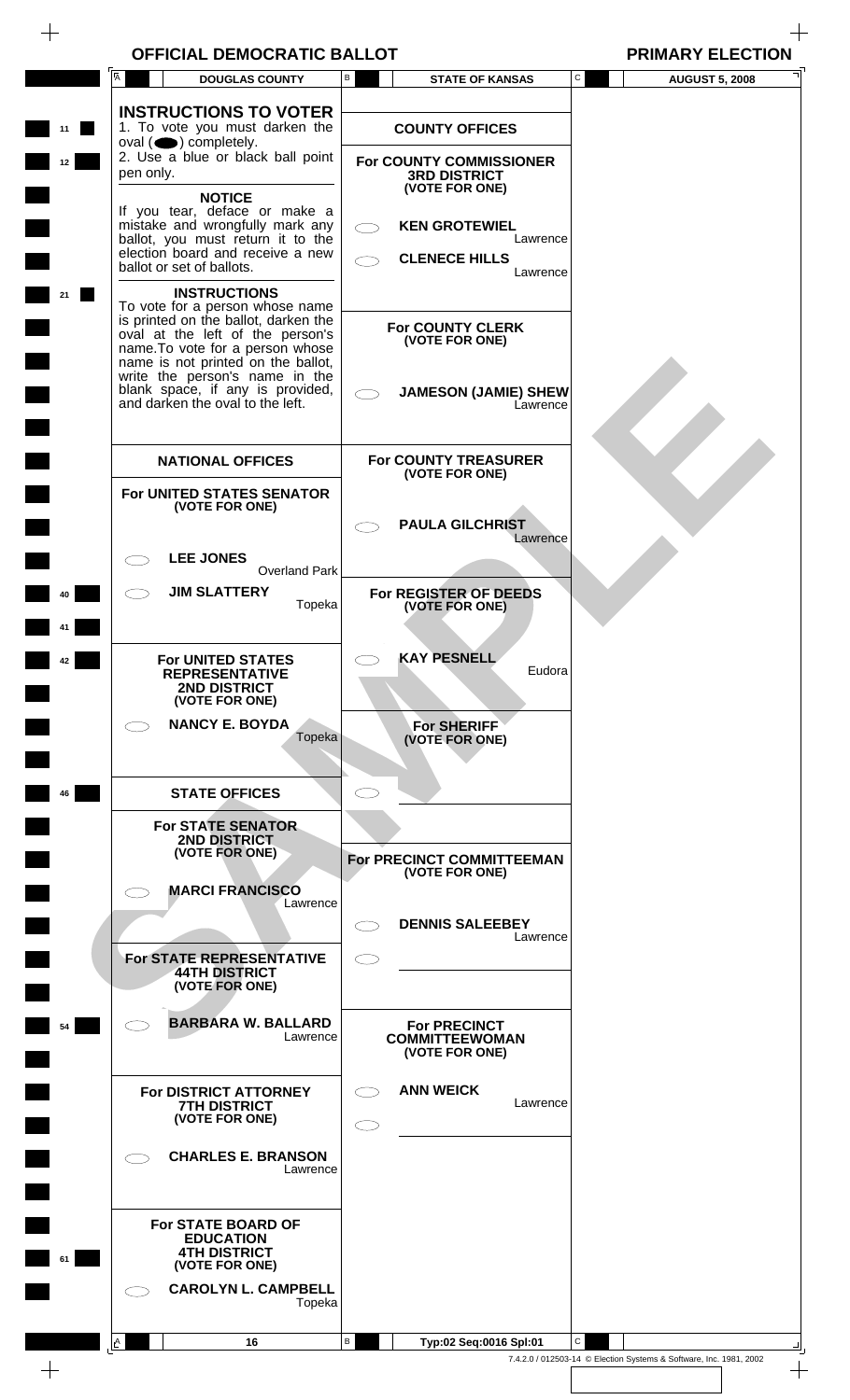$\begin{array}{c} + \end{array}$ 

 $\boldsymbol{+}$ 

|                 | A<br><b>DOUGLAS COUNTY</b>                                                                                                                                                                                                                                                                      | В         | <b>STATE OF KANSAS</b>                                                               | C<br><b>AUGUST 5, 2008</b>                                         |  |
|-----------------|-------------------------------------------------------------------------------------------------------------------------------------------------------------------------------------------------------------------------------------------------------------------------------------------------|-----------|--------------------------------------------------------------------------------------|--------------------------------------------------------------------|--|
| 11              | <b>INSTRUCTIONS TO VOTER</b><br>1. To vote you must darken the                                                                                                                                                                                                                                  |           | <b>COUNTY OFFICES</b>                                                                |                                                                    |  |
| 12 <sub>2</sub> | oval $($ $\bullet)$ completely.<br>2. Use a blue or black ball point<br>pen only.                                                                                                                                                                                                               |           | <b>For COUNTY COMMISSIONER</b><br><b>3RD DISTRICT</b><br>(VOTE FOR ONE)              |                                                                    |  |
|                 | <b>NOTICE</b><br>If you tear, deface or make a<br>mistake and wrongfully mark any<br>ballot, you must return it to the<br>election board and receive a new<br>ballot or set of ballots.<br><b>INSTRUCTIONS</b>                                                                                  |           | <b>KEN GROTEWIEL</b><br>Lawrence<br><b>CLENECE HILLS</b><br>Lawrence                 |                                                                    |  |
| 21              | To vote for a person whose name<br>is printed on the ballot, darken the<br>oval at the left of the person's<br>name. To vote for a person whose<br>name is not printed on the ballot,<br>write the person's name in the<br>blank space, if any is provided,<br>and darken the oval to the left. |           | <b>For COUNTY CLERK</b><br>(VOTE FOR ONE)<br><b>JAMESON (JAMIE) SHEW</b><br>Lawrence |                                                                    |  |
|                 | <b>NATIONAL OFFICES</b><br><b>For UNITED STATES SENATOR</b><br>(VOTE FOR ONE)                                                                                                                                                                                                                   |           | <b>For COUNTY TREASURER</b><br>(VOTE FOR ONE)                                        |                                                                    |  |
|                 | <b>LEE JONES</b><br><b>Overland Park</b>                                                                                                                                                                                                                                                        |           | <b>PAULA GILCHRIST</b><br>Lawrence                                                   |                                                                    |  |
| 40              | <b>JIM SLATTERY</b><br>Topeka                                                                                                                                                                                                                                                                   |           | For REGISTER OF DEEDS<br>(VOTE FOR ONE)                                              |                                                                    |  |
| 42              | <b>For UNITED STATES</b><br><b>REPRESENTATIVE</b><br><b>2ND DISTRICT</b><br>(VOTE FOR ONE)                                                                                                                                                                                                      |           | <b>KAY PESNELL</b><br>Eudora                                                         |                                                                    |  |
|                 | <b>NANCY E. BOYDA</b><br>Topeka                                                                                                                                                                                                                                                                 |           | <b>For SHERIFF</b><br>(VOTE FOR ONE)                                                 |                                                                    |  |
| 46              | <b>STATE OFFICES</b>                                                                                                                                                                                                                                                                            |           |                                                                                      |                                                                    |  |
|                 | <b>For STATE SENATOR</b><br><b>2ND DISTRICT</b><br>(VOTE FOR ONE)                                                                                                                                                                                                                               |           | For PRECINCT COMMITTEEMAN<br>(VOTE FOR ONE)                                          |                                                                    |  |
|                 | <b>MARCI FRANCISCO</b><br>Lawrence                                                                                                                                                                                                                                                              |           |                                                                                      |                                                                    |  |
|                 | For STATE REPRESENTATIVE<br><b>44TH DISTRICT</b><br>(VOTE FOR ONE)                                                                                                                                                                                                                              | $\subset$ | <b>DENNIS SALEEBEY</b><br>Lawrence                                                   |                                                                    |  |
| 54              | <b>BARBARA W. BALLARD</b><br>Lawrence                                                                                                                                                                                                                                                           |           | <b>For PRECINCT</b><br><b>COMMITTEEWOMAN</b><br>(VOTE FOR ONE)                       |                                                                    |  |
|                 | <b>For DISTRICT ATTORNEY</b><br><b>7TH DISTRICT</b><br>(VOTE FOR ONE)                                                                                                                                                                                                                           | $\subset$ | <b>ANN WEICK</b><br>Lawrence                                                         |                                                                    |  |
|                 | <b>CHARLES E. BRANSON</b><br>Lawrence                                                                                                                                                                                                                                                           |           |                                                                                      |                                                                    |  |
| 61              | For STATE BOARD OF<br><b>EDUCATION</b><br><b>4TH DISTRICT</b><br>(VOTE FOR ONE)<br><b>CAROLYN L. CAMPBELL</b><br>Topeka                                                                                                                                                                         |           |                                                                                      |                                                                    |  |
|                 | A<br>16                                                                                                                                                                                                                                                                                         | B         | Typ:02 Seq:0016 Spl:01                                                               | $\mathsf{C}$                                                       |  |
|                 |                                                                                                                                                                                                                                                                                                 |           |                                                                                      | 7.4.2.0 / 012503-14 © Election Systems & Software, Inc. 1981, 2002 |  |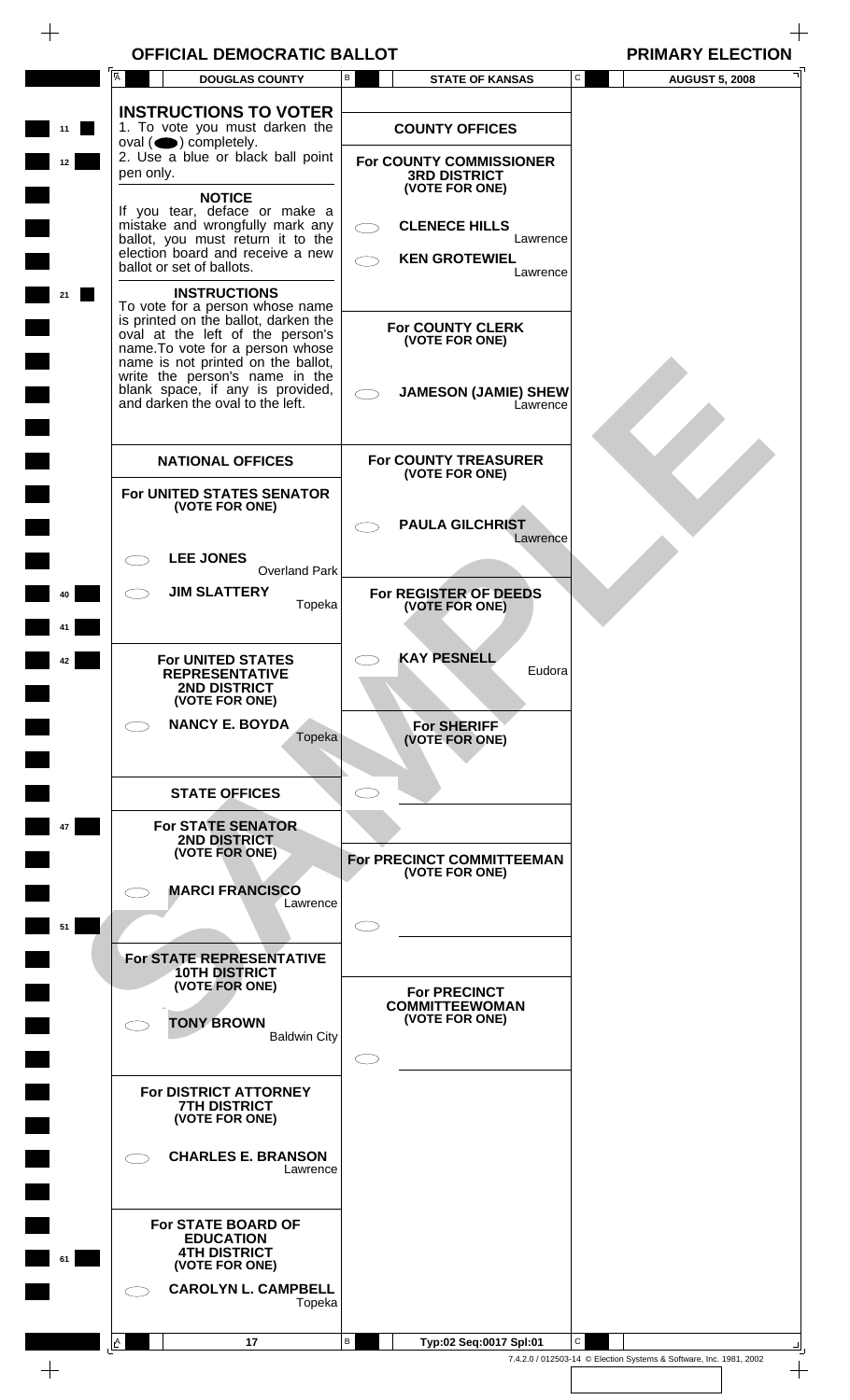$\begin{array}{c} + \end{array}$ 

|                 | A         | <b>DOUGLAS COUNTY</b>                                                                                                                                                            | В        | <b>STATE OF KANSAS</b>                                                  | C            | <b>AUGUST 5, 2008</b>                                              |
|-----------------|-----------|----------------------------------------------------------------------------------------------------------------------------------------------------------------------------------|----------|-------------------------------------------------------------------------|--------------|--------------------------------------------------------------------|
| 11              |           | <b>INSTRUCTIONS TO VOTER</b><br>1. To vote you must darken the<br>oval $($ $\bullet)$ completely.                                                                                |          | <b>COUNTY OFFICES</b>                                                   |              |                                                                    |
| 12 <sub>2</sub> | pen only. | 2. Use a blue or black ball point<br><b>NOTICE</b>                                                                                                                               |          | <b>For COUNTY COMMISSIONER</b><br><b>3RD DISTRICT</b><br>(VOTE FOR ONE) |              |                                                                    |
|                 |           | If you tear, deface or make a<br>mistake and wrongfully mark any<br>ballot, you must return it to the<br>election board and receive a new<br>ballot or set of ballots.           |          | <b>CLENECE HILLS</b><br>Lawrence<br><b>KEN GROTEWIEL</b>                |              |                                                                    |
| 21              |           | <b>INSTRUCTIONS</b><br>To vote for a person whose name<br>is printed on the ballot, darken the                                                                                   |          | Lawrence                                                                |              |                                                                    |
|                 |           | oval at the left of the person's<br>name. To vote for a person whose<br>name is not printed on the ballot,<br>write the person's name in the<br>blank space, if any is provided, |          | <b>For COUNTY CLERK</b><br>(VOTE FOR ONE)                               |              |                                                                    |
|                 |           | and darken the oval to the left.                                                                                                                                                 |          | <b>JAMESON (JAMIE) SHEW</b><br>Lawrence                                 |              |                                                                    |
|                 |           | <b>NATIONAL OFFICES</b>                                                                                                                                                          |          | <b>For COUNTY TREASURER</b><br>(VOTE FOR ONE)                           |              |                                                                    |
|                 |           | <b>For UNITED STATES SENATOR</b><br>(VOTE FOR ONE)                                                                                                                               |          | <b>PAULA GILCHRIST</b><br>Lawrence                                      |              |                                                                    |
|                 |           | <b>LEE JONES</b><br><b>Overland Park</b>                                                                                                                                         |          |                                                                         |              |                                                                    |
| 40              |           | <b>JIM SLATTERY</b>                                                                                                                                                              | Topeka   | For REGISTER OF DEEDS<br>(VOTE FOR ONE)                                 |              |                                                                    |
| 42              |           | <b>For UNITED STATES</b><br><b>REPRESENTATIVE</b><br><b>2ND DISTRICT</b><br>(VOTE FOR ONE)                                                                                       |          | <b>KAY PESNELL</b><br>Eudora                                            |              |                                                                    |
|                 |           | <b>NANCY E. BOYDA</b>                                                                                                                                                            | Topeka   | For SHERIFF<br>(VOTE FOR ONE)                                           |              |                                                                    |
|                 |           | <b>STATE OFFICES</b>                                                                                                                                                             |          |                                                                         |              |                                                                    |
| 47              |           | <b>For STATE SENATOR</b><br><b>2ND DISTRICT</b><br>(VOTE FOR ONE)                                                                                                                |          | For PRECINCT COMMITTEEMAN<br>(VOTE FOR ONE)                             |              |                                                                    |
| 51              |           | <b>MARCI FRANCISCO</b>                                                                                                                                                           | Lawrence |                                                                         |              |                                                                    |
|                 |           | For STATE REPRESENTATIVE<br><b>10TH DISTRICT</b>                                                                                                                                 |          |                                                                         |              |                                                                    |
|                 |           | (VOTE FOR ONE)<br><b>TONY BROWN</b>                                                                                                                                              |          | <b>For PRECINCT</b><br><b>COMMITTEEWOMAN</b><br>(VOTE FOR ONE)          |              |                                                                    |
|                 |           | <b>Baldwin City</b>                                                                                                                                                              |          |                                                                         |              |                                                                    |
|                 |           | <b>For DISTRICT ATTORNEY</b><br><b>7TH DISTRICT</b><br>(VOTE FOR ONE)                                                                                                            |          |                                                                         |              |                                                                    |
|                 |           | <b>CHARLES E. BRANSON</b>                                                                                                                                                        | Lawrence |                                                                         |              |                                                                    |
| 61              |           | For STATE BOARD OF<br><b>EDUCATION</b><br><b>4TH DISTRICT</b><br>(VOTE FOR ONE)                                                                                                  |          |                                                                         |              |                                                                    |
|                 |           | <b>CAROLYN L. CAMPBELL</b>                                                                                                                                                       | Topeka   |                                                                         |              |                                                                    |
|                 | <b>A</b>  | 17                                                                                                                                                                               | B        | Typ:02 Seq:0017 Spl:01                                                  | $\mathsf{C}$ |                                                                    |
|                 |           |                                                                                                                                                                                  |          |                                                                         |              | 7.4.2.0 / 012503-14 © Election Systems & Software, Inc. 1981, 2002 |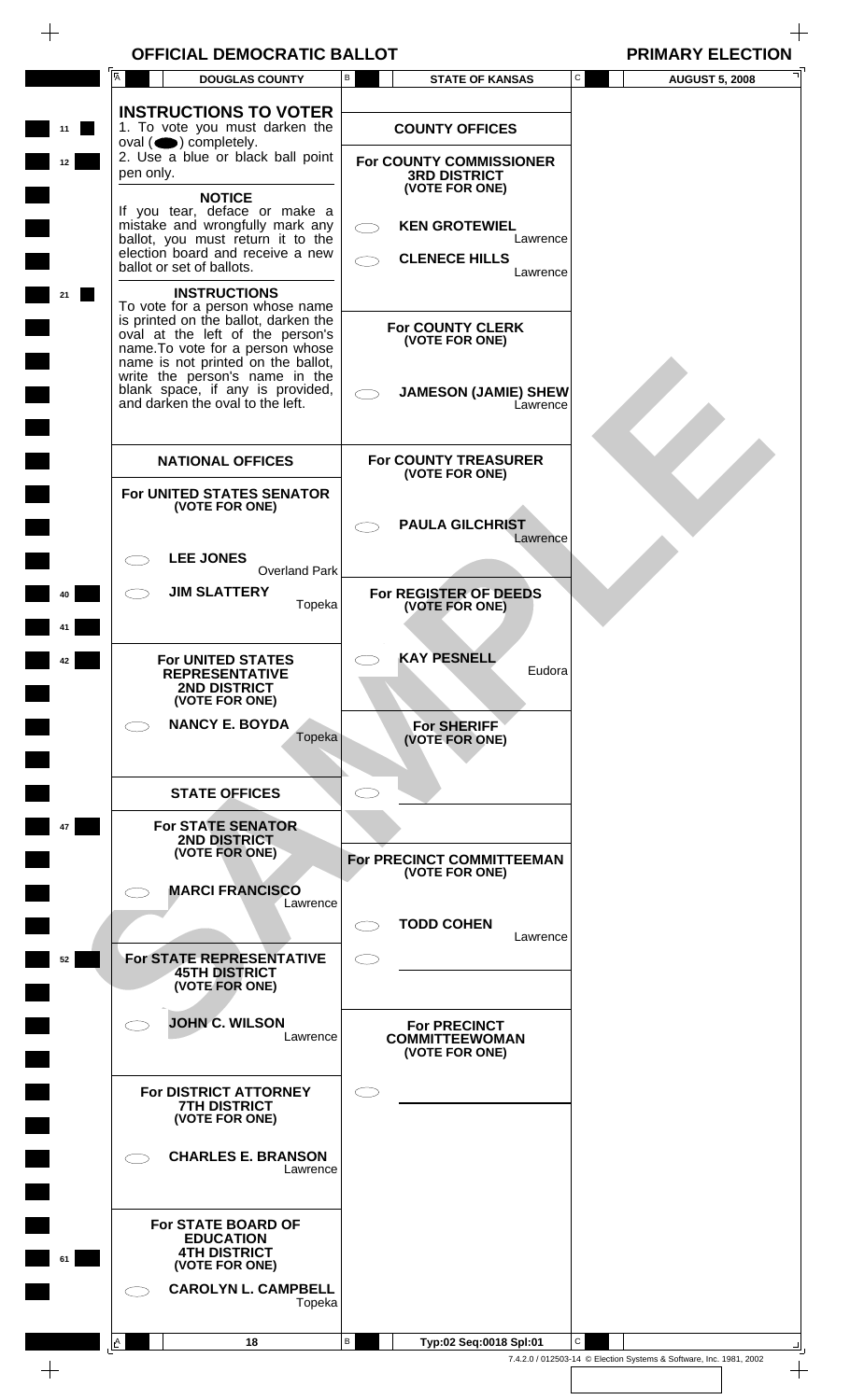$\begin{array}{c} + \end{array}$ 

|          | Ā<br><b>DOUGLAS COUNTY</b>                                                                                                                                                                                                                                                                      | В | <b>STATE OF KANSAS</b>                                                                    | C            | <b>AUGUST 5, 2008</b>                                              |
|----------|-------------------------------------------------------------------------------------------------------------------------------------------------------------------------------------------------------------------------------------------------------------------------------------------------|---|-------------------------------------------------------------------------------------------|--------------|--------------------------------------------------------------------|
| 11<br>12 | <b>INSTRUCTIONS TO VOTER</b><br>1. To vote you must darken the<br>oval $($ $\bullet)$ completely.<br>2. Use a blue or black ball point<br>pen only.                                                                                                                                             |   | <b>COUNTY OFFICES</b><br>For COUNTY COMMISSIONER<br><b>3RD DISTRICT</b><br>(VOTE FOR ONE) |              |                                                                    |
| 21       | <b>NOTICE</b><br>If you tear, deface or make a<br>mistake and wrongfully mark any<br>ballot, you must return it to the<br>election board and receive a new<br>ballot or set of ballots.<br><b>INSTRUCTIONS</b>                                                                                  |   | <b>KEN GROTEWIEL</b><br>Lawrence<br><b>CLENECE HILLS</b><br>Lawrence                      |              |                                                                    |
|          | To vote for a person whose name<br>is printed on the ballot, darken the<br>oval at the left of the person's<br>name. To vote for a person whose<br>name is not printed on the ballot,<br>write the person's name in the<br>blank space, if any is provided,<br>and darken the oval to the left. |   | <b>For COUNTY CLERK</b><br>(VOTE FOR ONE)<br><b>JAMESON (JAMIE) SHEW</b><br>Lawrence      |              |                                                                    |
|          | <b>NATIONAL OFFICES</b>                                                                                                                                                                                                                                                                         |   | <b>For COUNTY TREASURER</b><br>(VOTE FOR ONE)                                             |              |                                                                    |
|          | For UNITED STATES SENATOR<br>(VOTE FOR ONE)                                                                                                                                                                                                                                                     |   | <b>PAULA GILCHRIST</b><br>Lawrence                                                        |              |                                                                    |
| 40       | <b>LEE JONES</b><br><b>Overland Park</b><br><b>JIM SLATTERY</b><br>Topeka                                                                                                                                                                                                                       |   | For REGISTER OF DEEDS<br>(VOTE FOR ONE)                                                   |              |                                                                    |
| 42       | <b>For UNITED STATES</b><br><b>REPRESENTATIVE</b><br><b>2ND DISTRICT</b><br>(VOTE FOR ONE)                                                                                                                                                                                                      |   | <b>KAY PESNELL</b><br>Eudora                                                              |              |                                                                    |
|          | <b>NANCY E. BOYDA</b><br>Topeka                                                                                                                                                                                                                                                                 |   | <b>For SHERIFF</b><br>(VOTE FOR ONE)                                                      |              |                                                                    |
|          | <b>STATE OFFICES</b>                                                                                                                                                                                                                                                                            |   |                                                                                           |              |                                                                    |
| 47       | <b>For STATE SENATOR</b><br><b>2ND DISTRICT</b><br>(VOTE FOR ONE)<br><b>MARCI FRANCISCO</b>                                                                                                                                                                                                     |   | For PRECINCT COMMITTEEMAN<br>(VOTE FOR ONE)                                               |              |                                                                    |
|          | Lawrence                                                                                                                                                                                                                                                                                        |   | <b>TODD COHEN</b>                                                                         |              |                                                                    |
| 52       | For STATE REPRESENTATIVE<br><b>45TH DISTRICT</b><br>(VOTE FOR ONE)                                                                                                                                                                                                                              |   | Lawrence                                                                                  |              |                                                                    |
|          | <b>JOHN C. WILSON</b><br>Lawrence                                                                                                                                                                                                                                                               |   | <b>For PRECINCT</b><br><b>COMMITTEEWOMAN</b><br>(VOTE FOR ONE)                            |              |                                                                    |
|          | For DISTRICT ATTORNEY<br><b>7TH DISTRICT</b><br>(VOTE FOR ONE)                                                                                                                                                                                                                                  |   |                                                                                           |              |                                                                    |
|          | <b>CHARLES E. BRANSON</b><br>Lawrence                                                                                                                                                                                                                                                           |   |                                                                                           |              |                                                                    |
| 61       | For STATE BOARD OF<br><b>EDUCATION</b><br><b>4TH DISTRICT</b><br>(VOTE FOR ONE)<br><b>CAROLYN L. CAMPBELL</b><br>Topeka                                                                                                                                                                         |   |                                                                                           |              |                                                                    |
|          | A<br>18                                                                                                                                                                                                                                                                                         | B | Typ:02 Seq:0018 Spl:01                                                                    | $\mathsf{C}$ |                                                                    |
|          |                                                                                                                                                                                                                                                                                                 |   |                                                                                           |              | 7.4.2.0 / 012503-14 © Election Systems & Software, Inc. 1981, 2002 |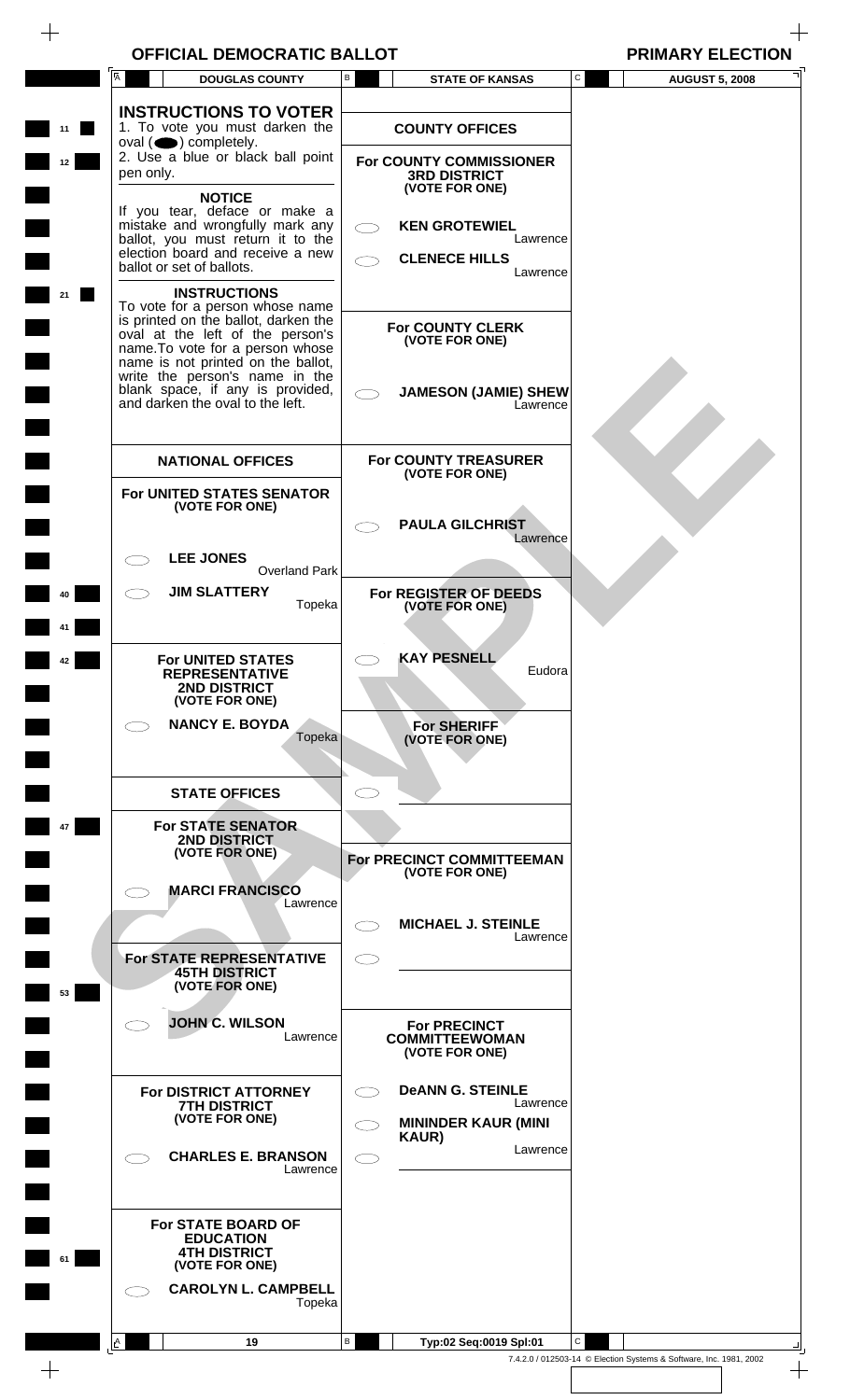$\begin{array}{c} + \end{array}$ 

 $\boldsymbol{+}$ 

|    | A<br><b>DOUGLAS COUNTY</b>                                                                                                                                                                                                                                                                      | В<br><b>STATE OF KANSAS</b>                                                                                   | C<br><b>AUGUST 5, 2008</b>                                         |
|----|-------------------------------------------------------------------------------------------------------------------------------------------------------------------------------------------------------------------------------------------------------------------------------------------------|---------------------------------------------------------------------------------------------------------------|--------------------------------------------------------------------|
| 11 | <b>INSTRUCTIONS TO VOTER</b><br>1. To vote you must darken the                                                                                                                                                                                                                                  | <b>COUNTY OFFICES</b>                                                                                         |                                                                    |
| 12 | $oval(\n\bullet)$ completely.<br>2. Use a blue or black ball point<br>pen only.                                                                                                                                                                                                                 | For COUNTY COMMISSIONER<br><b>3RD DISTRICT</b><br>(VOTE FOR ONE)                                              |                                                                    |
| 21 | <b>NOTICE</b><br>If you tear, deface or make a<br>mistake and wrongfully mark any<br>ballot, you must return it to the<br>election board and receive a new<br>ballot or set of ballots.<br><b>INSTRUCTIONS</b>                                                                                  | <b>KEN GROTEWIEL</b><br>Lawrence<br><b>CLENECE HILLS</b><br>Lawrence                                          |                                                                    |
|    | To vote for a person whose name<br>is printed on the ballot, darken the<br>oval at the left of the person's<br>name. To vote for a person whose<br>name is not printed on the ballot,<br>write the person's name in the<br>blank space, if any is provided,<br>and darken the oval to the left. | <b>For COUNTY CLERK</b><br>(VOTE FOR ONE)<br><b>JAMESON (JAMIE) SHEW</b><br>Lawrence                          |                                                                    |
|    | <b>NATIONAL OFFICES</b><br>For UNITED STATES SENATOR<br>(VOTE FOR ONE)                                                                                                                                                                                                                          | <b>For COUNTY TREASURER</b><br>(VOTE FOR ONE)                                                                 |                                                                    |
|    | <b>LEE JONES</b><br><b>Overland Park</b>                                                                                                                                                                                                                                                        | <b>PAULA GILCHRIST</b><br>Lawrence                                                                            |                                                                    |
| 40 | <b>JIM SLATTERY</b><br>Topeka                                                                                                                                                                                                                                                                   | For REGISTER OF DEEDS<br>(VOTE FOR ONE)                                                                       |                                                                    |
| 42 | <b>For UNITED STATES</b><br><b>REPRESENTATIVE</b><br><b>2ND DISTRICT</b><br>(VOTE FOR ONE)                                                                                                                                                                                                      | <b>KAY PESNELL</b><br>Eudora                                                                                  |                                                                    |
|    | <b>NANCY E. BOYDA</b><br>Topeka                                                                                                                                                                                                                                                                 | <b>For SHERIFF</b><br>(VOTE FOR ONE)                                                                          |                                                                    |
|    | <b>STATE OFFICES</b>                                                                                                                                                                                                                                                                            |                                                                                                               |                                                                    |
| 47 | <b>For STATE SENATOR</b><br><b>2ND DISTRICT</b><br>(VOTE FOR ONE)                                                                                                                                                                                                                               | For PRECINCT COMMITTEEMAN<br>(VOTE FOR ONE)                                                                   |                                                                    |
|    | <b>MARCI FRANCISCO</b><br>Lawrence                                                                                                                                                                                                                                                              | <b>MICHAEL J. STEINLE</b>                                                                                     |                                                                    |
| 53 | For STATE REPRESENTATIVE<br><b>45TH DISTRICT</b><br>(VOTE FOR ONE)                                                                                                                                                                                                                              | Lawrence<br>$\subset$                                                                                         |                                                                    |
|    | <b>JOHN C. WILSON</b><br>Lawrence                                                                                                                                                                                                                                                               | <b>For PRECINCT</b><br><b>COMMITTEEWOMAN</b><br>(VOTE FOR ONE)                                                |                                                                    |
|    | For DISTRICT ATTORNEY<br><b>7TH DISTRICT</b><br>(VOTE FOR ONE)                                                                                                                                                                                                                                  | <b>DeANN G. STEINLE</b><br>$\overline{\phantom{0}}$<br>Lawrence<br><b>MININDER KAUR (MINI</b><br><b>KAUR)</b> |                                                                    |
|    | <b>CHARLES E. BRANSON</b><br>Lawrence                                                                                                                                                                                                                                                           | Lawrence<br>$\subset$                                                                                         |                                                                    |
| 61 | <b>For STATE BOARD OF</b><br><b>EDUCATION</b><br><b>4TH DISTRICT</b><br>(VOTE FOR ONE)<br><b>CAROLYN L. CAMPBELL</b><br>Topeka                                                                                                                                                                  |                                                                                                               |                                                                    |
|    | A<br>19                                                                                                                                                                                                                                                                                         | В<br>Typ:02 Seq:0019 Spl:01                                                                                   | $\mathbf C$                                                        |
|    |                                                                                                                                                                                                                                                                                                 |                                                                                                               | 7.4.2.0 / 012503-14 © Election Systems & Software, Inc. 1981, 2002 |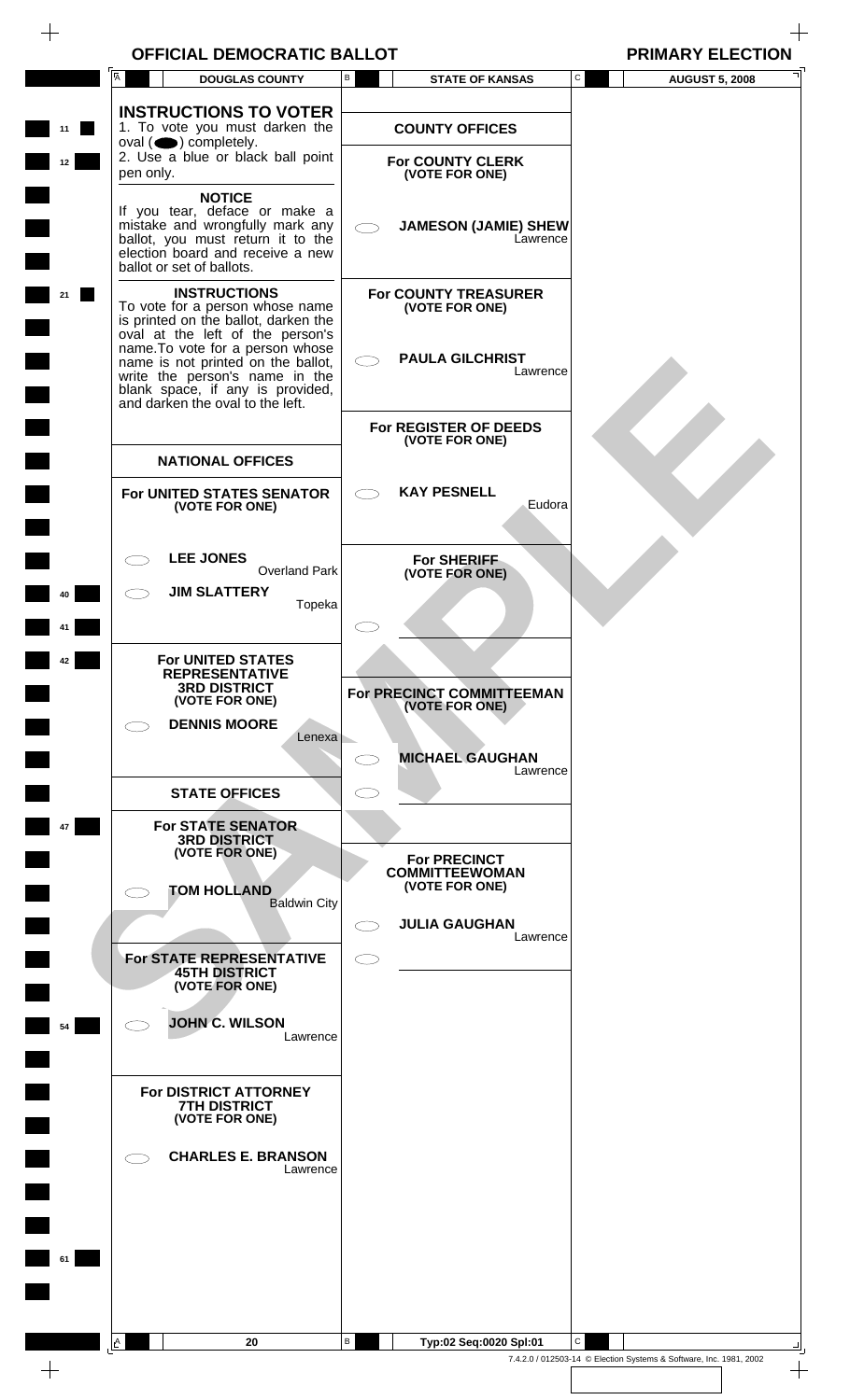$\begin{array}{c} + \end{array}$ 

|         | A         | <b>DOUGLAS COUNTY</b>                                                                                                                                                                                                                                                                                                  | В                   | <b>STATE OF KANSAS</b>                                                              | C | <b>AUGUST 5, 2008</b>                                              |
|---------|-----------|------------------------------------------------------------------------------------------------------------------------------------------------------------------------------------------------------------------------------------------------------------------------------------------------------------------------|---------------------|-------------------------------------------------------------------------------------|---|--------------------------------------------------------------------|
| ×<br>11 |           | <b>INSTRUCTIONS TO VOTER</b><br>1. To vote you must darken the                                                                                                                                                                                                                                                         |                     | <b>COUNTY OFFICES</b>                                                               |   |                                                                    |
| 12      | pen only. | $oval(\n\bullet)$ completely.<br>2. Use a blue or black ball point                                                                                                                                                                                                                                                     |                     | <b>For COUNTY CLERK</b><br>(VOTE FOR ONE)                                           |   |                                                                    |
|         |           | <b>NOTICE</b><br>If you tear, deface or make a<br>mistake and wrongfully mark any<br>ballot, you must return it to the<br>election board and receive a new<br>ballot or set of ballots.                                                                                                                                | $\subset$ $\supset$ | <b>JAMESON (JAMIE) SHEW</b><br>Lawrence                                             |   |                                                                    |
| 21      |           | <b>INSTRUCTIONS</b><br>To vote for a person whose name<br>is printed on the ballot, darken the<br>oval at the left of the person's<br>name. To vote for a person whose<br>name is not printed on the ballot,<br>write the person's name in the<br>blank space, if any is provided,<br>and darken the oval to the left. | $\subset$ $\supset$ | <b>For COUNTY TREASURER</b><br>(VOTE FOR ONE)<br><b>PAULA GILCHRIST</b><br>Lawrence |   |                                                                    |
|         |           | <b>NATIONAL OFFICES</b>                                                                                                                                                                                                                                                                                                |                     | For REGISTER OF DEEDS<br>(VOTE FOR ONE)                                             |   |                                                                    |
|         |           | For UNITED STATES SENATOR<br>(VOTE FOR ONE)                                                                                                                                                                                                                                                                            |                     | <b>KAY PESNELL</b><br>Eudora                                                        |   |                                                                    |
|         |           | <b>LEE JONES</b><br><b>Overland Park</b><br><b>JIM SLATTERY</b>                                                                                                                                                                                                                                                        |                     | <b>For SHERIFF</b><br>(VOTE FOR ONE)                                                |   |                                                                    |
|         |           | Topeka                                                                                                                                                                                                                                                                                                                 |                     |                                                                                     |   |                                                                    |
| 42      | C D       | <b>For UNITED STATES</b><br><b>REPRESENTATIVE</b><br><b>3RD DISTRICT</b><br>(VOTE FOR ONE)<br><b>DENNIS MOORE</b>                                                                                                                                                                                                      |                     | <b>For PRECINCT COMMITTEEMAN</b><br>(VOTE FOR ONE)                                  |   |                                                                    |
|         |           | Lenexa                                                                                                                                                                                                                                                                                                                 | C.                  | <b>MICHAEL GAUGHAN</b><br>Lawrence                                                  |   |                                                                    |
| 47      |           | <b>STATE OFFICES</b><br><b>For STATE SENATOR</b>                                                                                                                                                                                                                                                                       | СD                  |                                                                                     |   |                                                                    |
|         |           | <b>3RD DISTRICT</b><br>(VOTE FOR ONE)<br><b>TOM HOLLAND</b><br><b>Baldwin City</b>                                                                                                                                                                                                                                     |                     | <b>For PRECINCT</b><br><b>COMMITTEEWOMAN</b><br>(VOTE FOR ONE)                      |   |                                                                    |
|         |           | For STATE REPRESENTATIVE                                                                                                                                                                                                                                                                                               | $\subset$ .<br>Œ    | <b>JULIA GAUGHAN</b><br>Lawrence                                                    |   |                                                                    |
|         |           | <b>45TH DISTRICT</b><br>(VOTE FOR ONE)                                                                                                                                                                                                                                                                                 |                     |                                                                                     |   |                                                                    |
| 54      |           | <b>JOHN C. WILSON</b><br>Lawrence                                                                                                                                                                                                                                                                                      |                     |                                                                                     |   |                                                                    |
|         |           | <b>For DISTRICT ATTORNEY</b><br><b>7TH DISTRICT</b><br>(VOTE FOR ONE)                                                                                                                                                                                                                                                  |                     |                                                                                     |   |                                                                    |
|         | C D       | <b>CHARLES E. BRANSON</b><br>Lawrence                                                                                                                                                                                                                                                                                  |                     |                                                                                     |   |                                                                    |
| 61      |           |                                                                                                                                                                                                                                                                                                                        |                     |                                                                                     |   |                                                                    |
|         |           |                                                                                                                                                                                                                                                                                                                        |                     |                                                                                     |   |                                                                    |
|         | L≜        | 20                                                                                                                                                                                                                                                                                                                     | В                   | Typ:02 Seq:0020 Spl:01                                                              | С | 7.4.2.0 / 012503-14 © Election Systems & Software, Inc. 1981, 2002 |
|         |           |                                                                                                                                                                                                                                                                                                                        |                     |                                                                                     |   |                                                                    |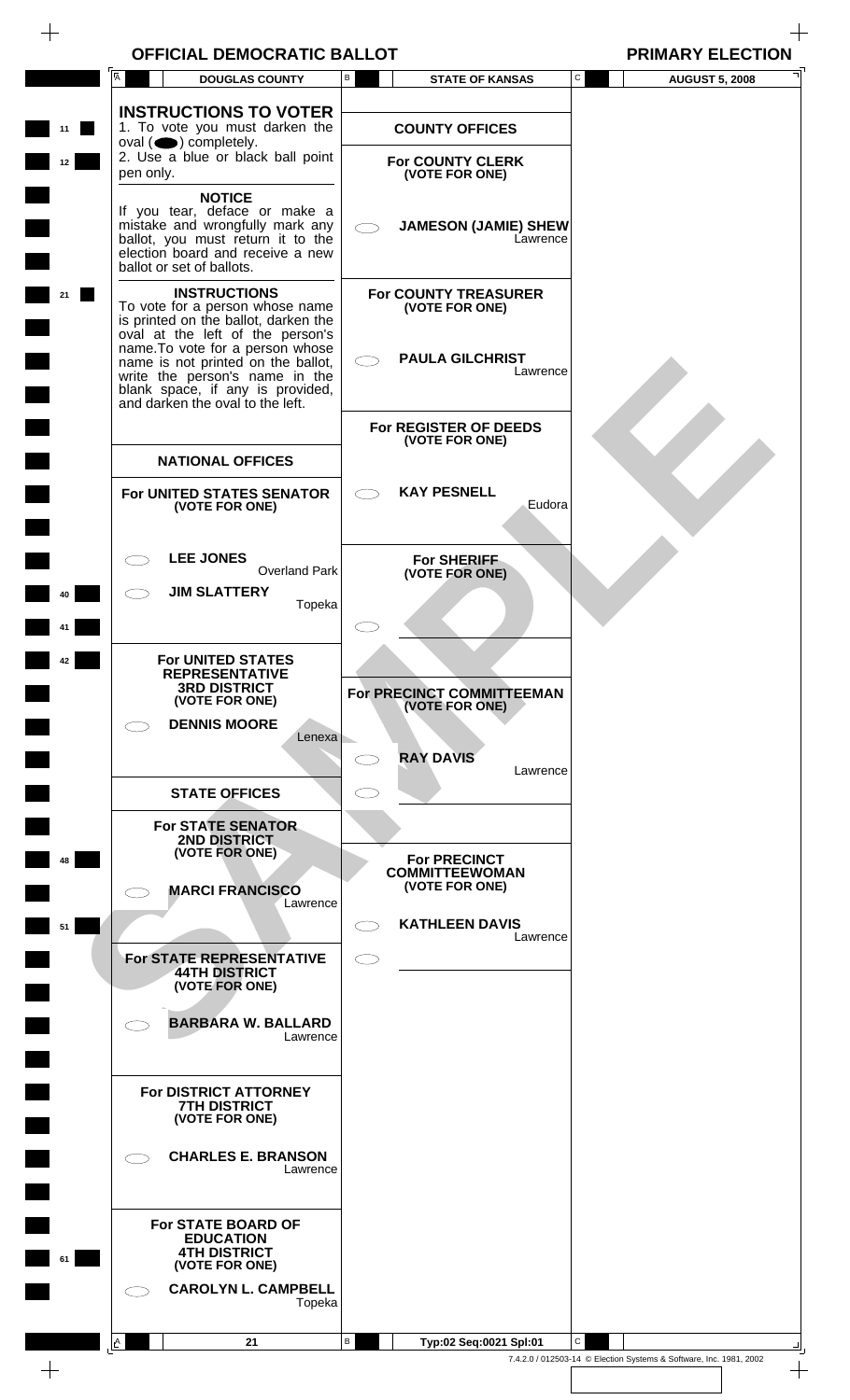$\qquad \qquad +$ 

|          | A<br><b>DOUGLAS COUNTY</b>                                                                                                                                                                                                                                                                                             | В   | <b>STATE OF KANSAS</b>                                                              | $\mathtt{C}$ | <b>AUGUST 5, 2008</b>                                              |
|----------|------------------------------------------------------------------------------------------------------------------------------------------------------------------------------------------------------------------------------------------------------------------------------------------------------------------------|-----|-------------------------------------------------------------------------------------|--------------|--------------------------------------------------------------------|
| 11<br>12 | <b>INSTRUCTIONS TO VOTER</b><br>1. To vote you must darken the<br>oval $($ $\bullet)$ completely.<br>2. Use a blue or black ball point<br>pen only.                                                                                                                                                                    |     | <b>COUNTY OFFICES</b><br><b>For COUNTY CLERK</b><br>(VOTE FOR ONE)                  |              |                                                                    |
|          | <b>NOTICE</b><br>If you tear, deface or make a<br>mistake and wrongfully mark any<br>ballot, you must return it to the<br>election board and receive a new<br>ballot or set of ballots.                                                                                                                                |     | <b>JAMESON (JAMIE) SHEW</b><br>Lawrence                                             |              |                                                                    |
|          | <b>INSTRUCTIONS</b><br>To vote for a person whose name<br>is printed on the ballot, darken the<br>oval at the left of the person's<br>name. To vote for a person whose<br>name is not printed on the ballot,<br>write the person's name in the<br>blank space, if any is provided,<br>and darken the oval to the left. |     | <b>For COUNTY TREASURER</b><br>(VOTE FOR ONE)<br><b>PAULA GILCHRIST</b><br>Lawrence |              |                                                                    |
|          | <b>NATIONAL OFFICES</b>                                                                                                                                                                                                                                                                                                |     | For REGISTER OF DEEDS<br>(VOTE FOR ONE)                                             |              |                                                                    |
|          | For UNITED STATES SENATOR<br>(VOTE FOR ONE)                                                                                                                                                                                                                                                                            |     | <b>KAY PESNELL</b><br>Eudora                                                        |              |                                                                    |
|          | <b>LEE JONES</b><br><b>Overland Park</b><br><b>JIM SLATTERY</b><br>Topeka                                                                                                                                                                                                                                              |     | <b>For SHERIFF</b><br>(VOTE FOR ONE)                                                |              |                                                                    |
|          | <b>For UNITED STATES</b><br><b>REPRESENTATIVE</b><br><b>3RD DISTRICT</b><br>(VOTE FOR ONE)<br><b>DENNIS MOORE</b>                                                                                                                                                                                                      |     | For PRECINCT COMMITTEEMAN<br>(VOTE FOR ONE)                                         |              |                                                                    |
|          | Lenexa<br><b>STATE OFFICES</b>                                                                                                                                                                                                                                                                                         |     | <b>RAY DAVIS</b><br>Lawrence                                                        |              |                                                                    |
| 48       | <b>For STATE SENATOR</b><br><b>2ND DISTRICT</b><br>(VOTE FOR ONE)                                                                                                                                                                                                                                                      |     | <b>For PRECINCT</b><br><b>COMMITTEEWOMAN</b>                                        |              |                                                                    |
| 51       | <b>MARCI FRANCISCO</b><br>Lawrence                                                                                                                                                                                                                                                                                     |     | (VOTE FOR ONE)<br><b>KATHLEEN DAVIS</b><br>Lawrence                                 |              |                                                                    |
|          | For STATE REPRESENTATIVE<br><b>44TH DISTRICT</b><br>(VOTE FOR ONE)                                                                                                                                                                                                                                                     | C D |                                                                                     |              |                                                                    |
|          | <b>BARBARA W. BALLARD</b><br>Lawrence                                                                                                                                                                                                                                                                                  |     |                                                                                     |              |                                                                    |
|          | For DISTRICT ATTORNEY<br><b>7TH DISTRICT</b><br>(VOTE FOR ONE)                                                                                                                                                                                                                                                         |     |                                                                                     |              |                                                                    |
|          | <b>CHARLES E. BRANSON</b><br>Lawrence                                                                                                                                                                                                                                                                                  |     |                                                                                     |              |                                                                    |
| 61       | For STATE BOARD OF<br><b>EDUCATION</b><br><b>4TH DISTRICT</b><br>(VOTE FOR ONE)<br><b>CAROLYN L. CAMPBELL</b><br>Topeka                                                                                                                                                                                                |     |                                                                                     |              |                                                                    |
|          | 21<br>Ŀ                                                                                                                                                                                                                                                                                                                | В   | Typ:02 Seq:0021 Spl:01                                                              | С            | 7.4.2.0 / 012503-14 © Election Systems & Software, Inc. 1981, 2002 |
|          |                                                                                                                                                                                                                                                                                                                        |     |                                                                                     |              |                                                                    |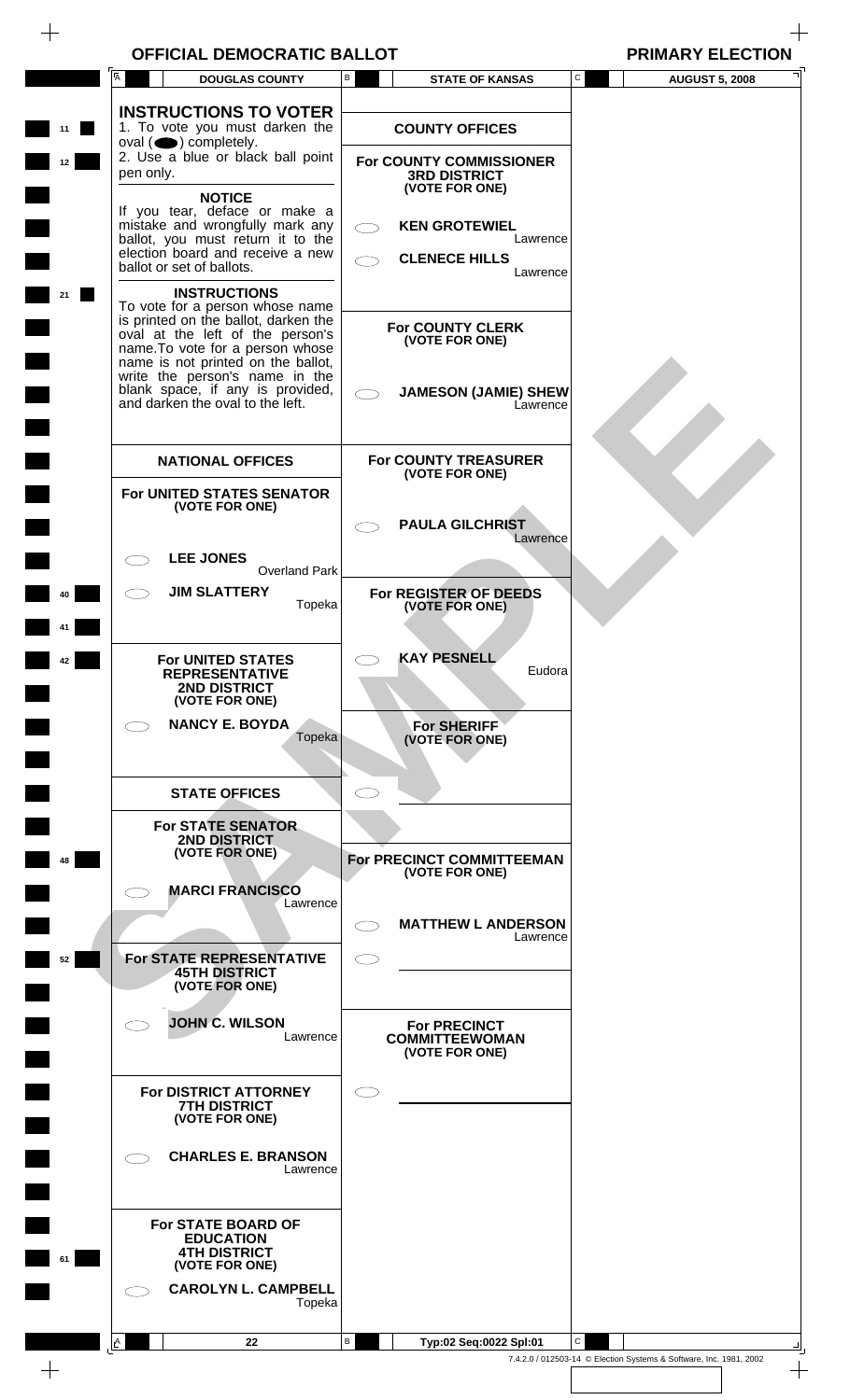$\begin{array}{c} + \end{array}$ 

|    | Ā         |                                                                                            | <b>DOUGLAS COUNTY</b>                                                                                                                                                                                                   | В | <b>STATE OF KANSAS</b>                                           | C | <b>AUGUST 5, 2008</b>                                              |
|----|-----------|--------------------------------------------------------------------------------------------|-------------------------------------------------------------------------------------------------------------------------------------------------------------------------------------------------------------------------|---|------------------------------------------------------------------|---|--------------------------------------------------------------------|
| 11 |           |                                                                                            | <b>INSTRUCTIONS TO VOTER</b><br>1. To vote you must darken the                                                                                                                                                          |   | <b>COUNTY OFFICES</b>                                            |   |                                                                    |
| 12 | pen only. | oval $($ $\bullet)$ completely.                                                            | 2. Use a blue or black ball point                                                                                                                                                                                       |   | For COUNTY COMMISSIONER<br><b>3RD DISTRICT</b><br>(VOTE FOR ONE) |   |                                                                    |
|    |           | <b>NOTICE</b>                                                                              | If you tear, deface or make a<br>mistake and wrongfully mark any<br>ballot, you must return it to the<br>election board and receive a new                                                                               |   | <b>KEN GROTEWIEL</b><br>Lawrence                                 |   |                                                                    |
| 21 |           | ballot or set of ballots.<br><b>INSTRUCTIONS</b>                                           |                                                                                                                                                                                                                         |   | <b>CLENECE HILLS</b><br>Lawrence                                 |   |                                                                    |
|    |           |                                                                                            | To vote for a person whose name<br>is printed on the ballot, darken the<br>oval at the left of the person's<br>name. To vote for a person whose<br>name is not printed on the ballot,<br>write the person's name in the |   | <b>For COUNTY CLERK</b><br>(VOTE FOR ONE)                        |   |                                                                    |
|    |           | and darken the oval to the left.                                                           | blank space, if any is provided,                                                                                                                                                                                        |   | <b>JAMESON (JAMIE) SHEW</b><br>Lawrence                          |   |                                                                    |
|    |           | <b>NATIONAL OFFICES</b>                                                                    |                                                                                                                                                                                                                         |   | <b>For COUNTY TREASURER</b><br>(VOTE FOR ONE)                    |   |                                                                    |
|    |           | (VOTE FOR ONE)                                                                             | For UNITED STATES SENATOR                                                                                                                                                                                               |   | <b>PAULA GILCHRIST</b><br>Lawrence                               |   |                                                                    |
|    |           | <b>LEE JONES</b><br><b>JIM SLATTERY</b>                                                    | Overland Park                                                                                                                                                                                                           |   | For REGISTER OF DEEDS                                            |   |                                                                    |
|    |           |                                                                                            | Topeka                                                                                                                                                                                                                  |   | (VOTE FOR ONE)                                                   |   |                                                                    |
|    |           | <b>For UNITED STATES</b><br><b>REPRESENTATIVE</b><br><b>2ND DISTRICT</b><br>(VOTE FOR ONE) |                                                                                                                                                                                                                         |   | <b>KAY PESNELL</b><br>Eudora                                     |   |                                                                    |
|    |           | <b>NANCY E. BOYDA</b>                                                                      | Topeka                                                                                                                                                                                                                  |   | <b>For SHERIFF</b><br>(VOTE FOR ONE)                             |   |                                                                    |
|    |           | <b>STATE OFFICES</b>                                                                       |                                                                                                                                                                                                                         |   |                                                                  |   |                                                                    |
| 48 |           | <b>For STATE SENATOR</b><br><b>2ND DISTRICT</b><br>(VOTE FOR ONE)                          |                                                                                                                                                                                                                         |   | For PRECINCT COMMITTEEMAN<br>(VOTE FOR ONE)                      |   |                                                                    |
|    |           | <b>MARCI FRANCISCO</b>                                                                     | Lawrence                                                                                                                                                                                                                |   |                                                                  |   |                                                                    |
| 52 |           | <b>45TH DISTRICT</b><br>(VOTE FOR ONE)                                                     | For STATE REPRESENTATIVE                                                                                                                                                                                                |   | <b>MATTHEW L ANDERSON</b><br>Lawrence                            |   |                                                                    |
|    |           | <b>JOHN C. WILSON</b>                                                                      | Lawrence                                                                                                                                                                                                                |   | <b>For PRECINCT</b><br><b>COMMITTEEWOMAN</b><br>(VOTE FOR ONE)   |   |                                                                    |
|    |           | <b>For DISTRICT ATTORNEY</b><br><b>7TH DISTRICT</b><br>(VOTE FOR ONE)                      |                                                                                                                                                                                                                         |   |                                                                  |   |                                                                    |
|    |           |                                                                                            | <b>CHARLES E. BRANSON</b><br>Lawrence                                                                                                                                                                                   |   |                                                                  |   |                                                                    |
| 61 |           | For STATE BOARD OF<br><b>EDUCATION</b><br><b>4TH DISTRICT</b><br>(VOTE FOR ONE)            |                                                                                                                                                                                                                         |   |                                                                  |   |                                                                    |
|    |           |                                                                                            | <b>CAROLYN L. CAMPBELL</b><br>Topeka                                                                                                                                                                                    |   |                                                                  |   |                                                                    |
|    | A         |                                                                                            | 22                                                                                                                                                                                                                      | В | Typ:02 Seq:0022 Spl:01                                           | C | 7.4.2.0 / 012503-14 © Election Systems & Software, Inc. 1981, 2002 |
|    |           |                                                                                            |                                                                                                                                                                                                                         |   |                                                                  |   |                                                                    |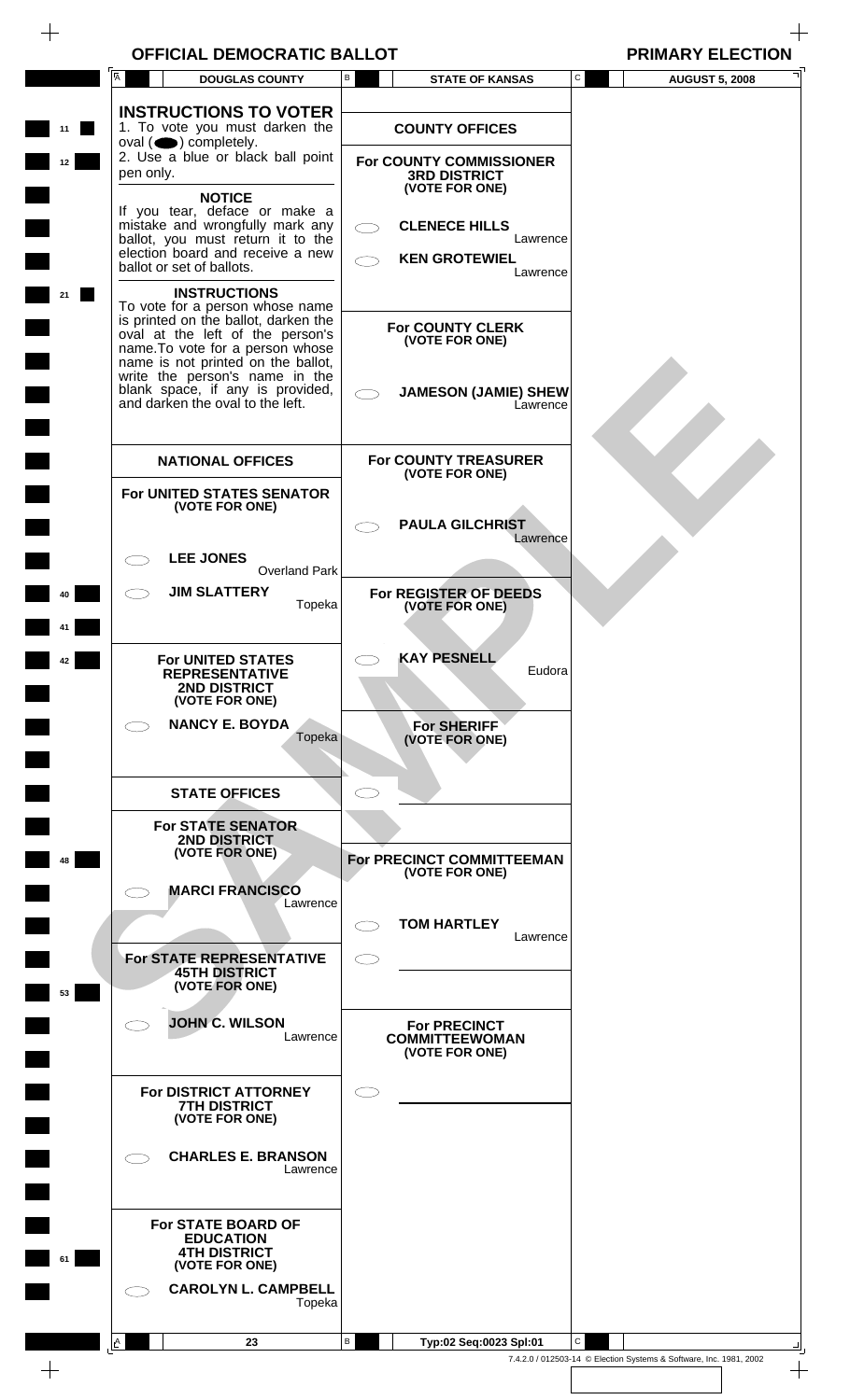$\begin{array}{c} + \end{array}$ 

|                       | Ā         | <b>DOUGLAS COUNTY</b>                                                                                                                                                                                                                                                                                                                                             | В               | <b>STATE OF KANSAS</b>                                                                                            | C | <b>AUGUST 5, 2008</b>                                              |
|-----------------------|-----------|-------------------------------------------------------------------------------------------------------------------------------------------------------------------------------------------------------------------------------------------------------------------------------------------------------------------------------------------------------------------|-----------------|-------------------------------------------------------------------------------------------------------------------|---|--------------------------------------------------------------------|
| 11<br>12 <sub>2</sub> | pen only. | <b>INSTRUCTIONS TO VOTER</b><br>1. To vote you must darken the<br>oval $($ $\bullet)$ completely.<br>2. Use a blue or black ball point                                                                                                                                                                                                                            |                 | <b>COUNTY OFFICES</b><br><b>For COUNTY COMMISSIONER</b><br><b>3RD DISTRICT</b><br>(VOTE FOR ONE)                  |   |                                                                    |
| 21                    |           | <b>NOTICE</b><br>If you tear, deface or make a<br>mistake and wrongfully mark any<br>ballot, you must return it to the<br>election board and receive a new<br>ballot or set of ballots.<br><b>INSTRUCTIONS</b><br>To vote for a person whose name<br>is printed on the ballot, darken the<br>oval at the left of the person's<br>name. To vote for a person whose |                 | <b>CLENECE HILLS</b><br>Lawrence<br><b>KEN GROTEWIEL</b><br>Lawrence<br><b>For COUNTY CLERK</b><br>(VOTE FOR ONE) |   |                                                                    |
|                       |           | name is not printed on the ballot,<br>write the person's name in the<br>blank space, if any is provided,<br>and darken the oval to the left.                                                                                                                                                                                                                      |                 | <b>JAMESON (JAMIE) SHEW</b><br>Lawrence                                                                           |   |                                                                    |
|                       |           | <b>NATIONAL OFFICES</b>                                                                                                                                                                                                                                                                                                                                           |                 | <b>For COUNTY TREASURER</b><br>(VOTE FOR ONE)                                                                     |   |                                                                    |
|                       |           | For UNITED STATES SENATOR<br>(VOTE FOR ONE)<br><b>LEE JONES</b>                                                                                                                                                                                                                                                                                                   |                 | <b>PAULA GILCHRIST</b><br>Lawrence                                                                                |   |                                                                    |
| 40                    |           | <b>Overland Park</b><br><b>JIM SLATTERY</b><br>Topeka                                                                                                                                                                                                                                                                                                             |                 | For REGISTER OF DEEDS<br>(VOTE FOR ONE)                                                                           |   |                                                                    |
|                       |           | <b>For UNITED STATES</b><br><b>REPRESENTATIVE</b><br><b>2ND DISTRICT</b><br>(VOTE FOR ONE)<br><b>NANCY E. BOYDA</b>                                                                                                                                                                                                                                               |                 | <b>KAY PESNELL</b><br>Eudora<br><b>For SHERIFF</b>                                                                |   |                                                                    |
|                       |           | Topeka                                                                                                                                                                                                                                                                                                                                                            |                 | (VOTE FOR ONE)                                                                                                    |   |                                                                    |
|                       |           | <b>STATE OFFICES</b>                                                                                                                                                                                                                                                                                                                                              |                 |                                                                                                                   |   |                                                                    |
| 48                    |           | <b>For STATE SENATOR</b><br><b>2ND DISTRICT</b><br>(VOTE FOR ONE)<br><b>MARCI FRANCISCO</b>                                                                                                                                                                                                                                                                       |                 | For PRECINCT COMMITTEEMAN<br>(VOTE FOR ONE)                                                                       |   |                                                                    |
|                       |           | Lawrence                                                                                                                                                                                                                                                                                                                                                          |                 | <b>TOM HARTLEY</b>                                                                                                |   |                                                                    |
| 53                    |           | For STATE REPRESENTATIVE<br><b>45TH DISTRICT</b><br>(VOTE FOR ONE)                                                                                                                                                                                                                                                                                                | $\subset$       | Lawrence                                                                                                          |   |                                                                    |
|                       |           | <b>JOHN C. WILSON</b><br>Lawrence                                                                                                                                                                                                                                                                                                                                 |                 | <b>For PRECINCT</b><br><b>COMMITTEEWOMAN</b><br>(VOTE FOR ONE)                                                    |   |                                                                    |
|                       |           | <b>For DISTRICT ATTORNEY</b><br><b>7TH DISTRICT</b><br>(VOTE FOR ONE)                                                                                                                                                                                                                                                                                             |                 |                                                                                                                   |   |                                                                    |
|                       |           | <b>CHARLES E. BRANSON</b><br>Lawrence                                                                                                                                                                                                                                                                                                                             |                 |                                                                                                                   |   |                                                                    |
| 61                    |           | <b>For STATE BOARD OF</b><br><b>EDUCATION</b><br><b>4TH DISTRICT</b><br>(VOTE FOR ONE)<br><b>CAROLYN L. CAMPBELL</b><br>Topeka                                                                                                                                                                                                                                    |                 |                                                                                                                   |   |                                                                    |
|                       |           |                                                                                                                                                                                                                                                                                                                                                                   |                 |                                                                                                                   |   |                                                                    |
|                       | A         | 23                                                                                                                                                                                                                                                                                                                                                                | $\, {\bf B} \,$ | Typ:02 Seq:0023 Spl:01                                                                                            | C | 7.4.2.0 / 012503-14 © Election Systems & Software, Inc. 1981, 2002 |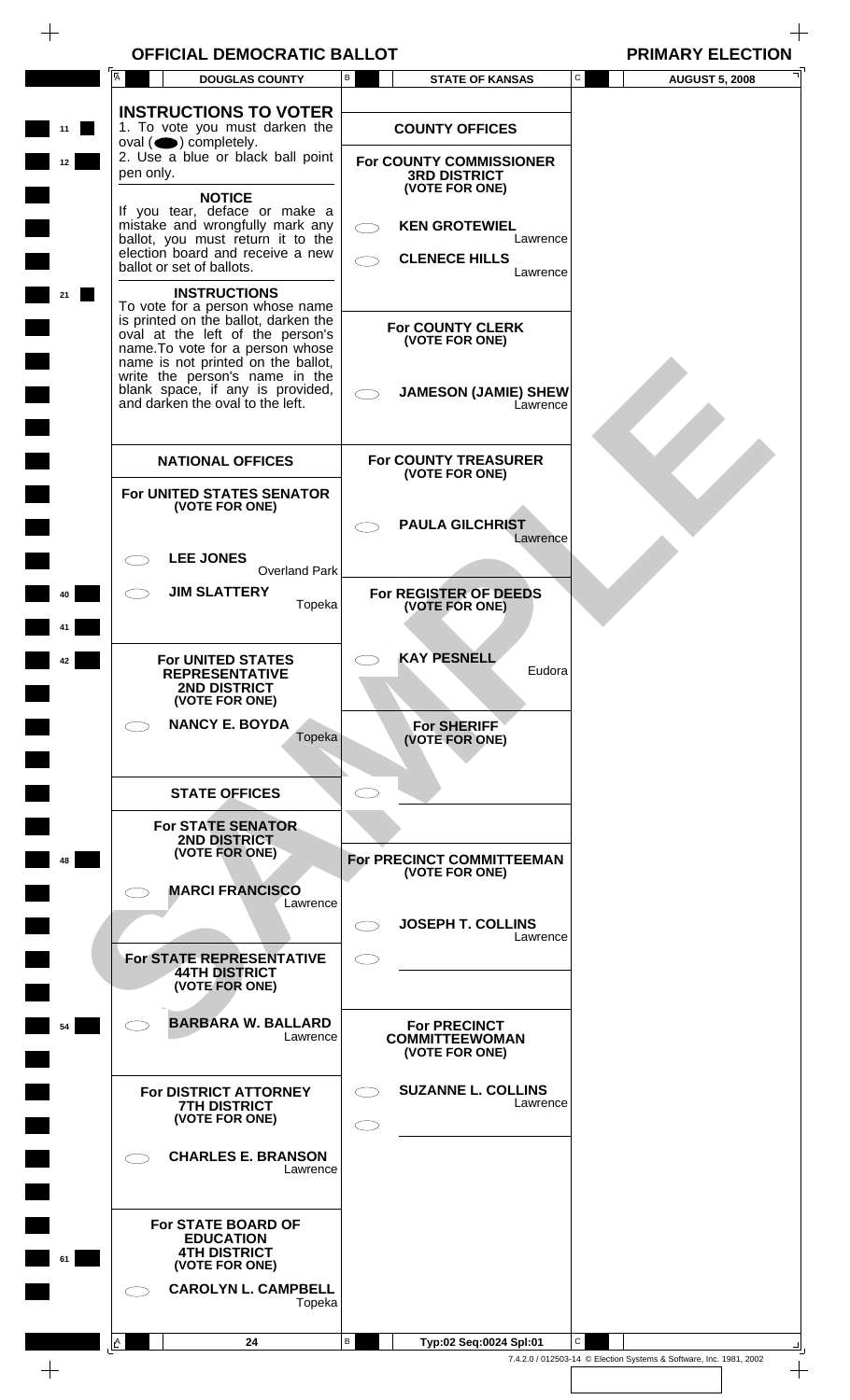$\begin{array}{c} + \end{array}$ 

|          | Ā<br><b>DOUGLAS COUNTY</b>                                                                                                                                                                                                                                                                      | В | <b>STATE OF KANSAS</b>                                                                 | C            | <b>AUGUST 5, 2008</b>                                              |
|----------|-------------------------------------------------------------------------------------------------------------------------------------------------------------------------------------------------------------------------------------------------------------------------------------------------|---|----------------------------------------------------------------------------------------|--------------|--------------------------------------------------------------------|
| 11<br>12 | <b>INSTRUCTIONS TO VOTER</b><br>1. To vote you must darken the<br>oval $($ $\bullet)$ completely.<br>2. Use a blue or black ball point<br>pen only.                                                                                                                                             |   | <b>COUNTY OFFICES</b><br>For COUNTY COMMISSIONER<br><b>3RD DISTRICT</b>                |              |                                                                    |
| 21       | <b>NOTICE</b><br>If you tear, deface or make a<br>mistake and wrongfully mark any<br>ballot, you must return it to the<br>election board and receive a new<br>ballot or set of ballots.<br><b>INSTRUCTIONS</b>                                                                                  |   | (VOTE FOR ONE)<br><b>KEN GROTEWIEL</b><br>Lawrence<br><b>CLENECE HILLS</b><br>Lawrence |              |                                                                    |
|          | To vote for a person whose name<br>is printed on the ballot, darken the<br>oval at the left of the person's<br>name. To vote for a person whose<br>name is not printed on the ballot,<br>write the person's name in the<br>blank space, if any is provided,<br>and darken the oval to the left. |   | <b>For COUNTY CLERK</b><br>(VOTE FOR ONE)<br><b>JAMESON (JAMIE) SHEW</b><br>Lawrence   |              |                                                                    |
|          | <b>NATIONAL OFFICES</b>                                                                                                                                                                                                                                                                         |   | <b>For COUNTY TREASURER</b>                                                            |              |                                                                    |
|          | For UNITED STATES SENATOR<br>(VOTE FOR ONE)<br><b>LEE JONES</b>                                                                                                                                                                                                                                 |   | (VOTE FOR ONE)<br><b>PAULA GILCHRIST</b><br>Lawrence                                   |              |                                                                    |
| 40       | Overland Park<br><b>JIM SLATTERY</b><br>Topeka                                                                                                                                                                                                                                                  |   | For REGISTER OF DEEDS<br>(VOTE FOR ONE)                                                |              |                                                                    |
| 42       | <b>For UNITED STATES</b><br><b>REPRESENTATIVE</b><br><b>2ND DISTRICT</b><br>(VOTE FOR ONE)                                                                                                                                                                                                      |   | <b>KAY PESNELL</b><br>Eudora                                                           |              |                                                                    |
|          | <b>NANCY E. BOYDA</b><br>Topeka                                                                                                                                                                                                                                                                 |   | <b>For SHERIFF</b><br>(VOTE FOR ONE)                                                   |              |                                                                    |
|          | <b>STATE OFFICES</b>                                                                                                                                                                                                                                                                            |   |                                                                                        |              |                                                                    |
| 48       | <b>For STATE SENATOR</b><br><b>2ND DISTRICT</b><br>(VOTE FOR ONE)                                                                                                                                                                                                                               |   | For PRECINCT COMMITTEEMAN<br>(VOTE FOR ONE)                                            |              |                                                                    |
|          | <b>MARCI FRANCISCO</b><br>Lawrence                                                                                                                                                                                                                                                              |   | <b>JOSEPH T. COLLINS</b><br>Lawrence                                                   |              |                                                                    |
|          | For STATE REPRESENTATIVE<br><b>44TH DISTRICT</b><br>(VOTE FOR ONE)                                                                                                                                                                                                                              |   |                                                                                        |              |                                                                    |
| 54       | <b>BARBARA W. BALLARD</b><br>Lawrence                                                                                                                                                                                                                                                           |   | <b>For PRECINCT</b><br><b>COMMITTEEWOMAN</b><br>(VOTE FOR ONE)                         |              |                                                                    |
|          | For DISTRICT ATTORNEY<br><b>7TH DISTRICT</b><br>(VOTE FOR ONE)                                                                                                                                                                                                                                  |   | <b>SUZANNE L. COLLINS</b><br>Lawrence                                                  |              |                                                                    |
|          | <b>CHARLES E. BRANSON</b><br>Lawrence                                                                                                                                                                                                                                                           |   |                                                                                        |              |                                                                    |
| 61       | For STATE BOARD OF<br><b>EDUCATION</b><br><b>4TH DISTRICT</b><br>(VOTE FOR ONE)<br><b>CAROLYN L. CAMPBELL</b><br>Topeka                                                                                                                                                                         |   |                                                                                        |              |                                                                    |
|          |                                                                                                                                                                                                                                                                                                 |   |                                                                                        |              |                                                                    |
|          | A<br>24                                                                                                                                                                                                                                                                                         | B | Typ:02 Seq:0024 Spl:01                                                                 | $\mathsf{C}$ | 7.4.2.0 / 012503-14 © Election Systems & Software, Inc. 1981, 2002 |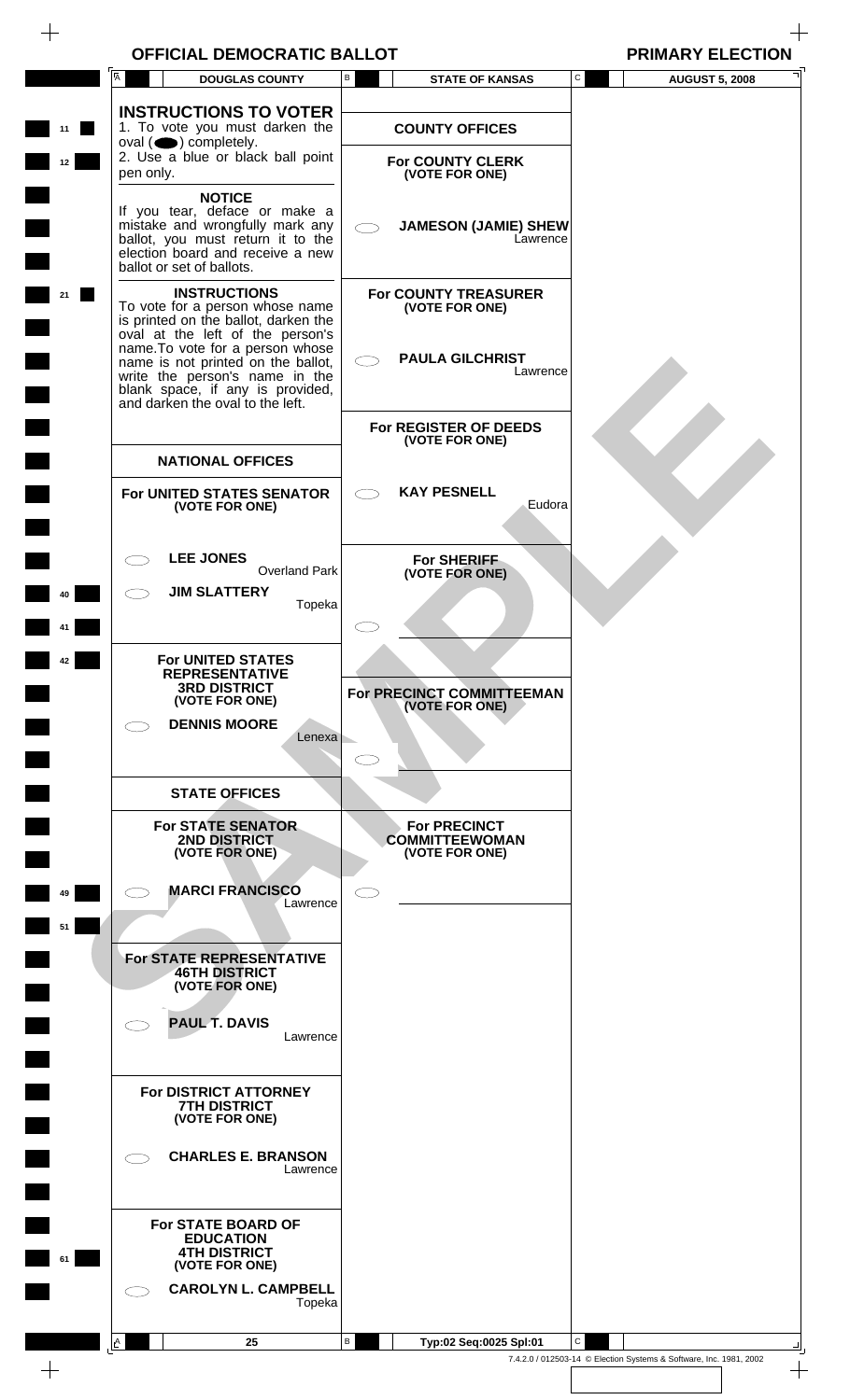$\begin{array}{c} + \end{array}$ 

|          | A<br><b>DOUGLAS COUNTY</b>                                                                                                                                                                                                                                                                                         | B<br><b>STATE OF KANSAS</b>                                                         | C<br><b>AUGUST 5, 2008</b>                                              |
|----------|--------------------------------------------------------------------------------------------------------------------------------------------------------------------------------------------------------------------------------------------------------------------------------------------------------------------|-------------------------------------------------------------------------------------|-------------------------------------------------------------------------|
| 11<br>12 | <b>INSTRUCTIONS TO VOTER</b><br>1. To vote you must darken the<br>$oval(\n\bullet)$ completely.<br>2. Use a blue or black ball point<br>pen only.                                                                                                                                                                  | <b>COUNTY OFFICES</b><br><b>For COUNTY CLERK</b><br>(VOTE FOR ONE)                  |                                                                         |
|          | <b>NOTICE</b><br>If you tear, deface or make a<br>mistake and wrongfully mark any<br>ballot, you must return it to the<br>election board and receive a new<br>ballot or set of ballots.                                                                                                                            | <b>JAMESON (JAMIE) SHEW</b><br>Lawrence                                             |                                                                         |
| 21       | <b>INSTRUCTIONS</b><br>To vote for a person whose name<br>is printed on the ballot, darken the<br>oval at the left of the person's<br>name.To vote for a person whose<br>name is not printed on the ballot,<br>write the person's name in the<br>blank space, if any is provided, and darken the oval to the left. | <b>For COUNTY TREASURER</b><br>(VOTE FOR ONE)<br><b>PAULA GILCHRIST</b><br>Lawrence |                                                                         |
|          | <b>NATIONAL OFFICES</b>                                                                                                                                                                                                                                                                                            | For REGISTER OF DEEDS<br>(VOTE FOR ONE)                                             |                                                                         |
|          | For UNITED STATES SENATOR<br>(VOTE FOR ONE)                                                                                                                                                                                                                                                                        | <b>KAY PESNELL</b><br>Eudora                                                        |                                                                         |
| 40       | <b>LEE JONES</b><br><b>Overland Park</b><br><b>JIM SLATTERY</b><br>Topeka                                                                                                                                                                                                                                          | <b>For SHERIFF</b><br>(VOTE FOR ONE)                                                |                                                                         |
| 41<br>42 | <b>For UNITED STATES</b><br><b>REPRESENTATIVE</b><br><b>3RD DISTRICT</b><br>(VOTE FOR ONE)<br><b>DENNIS MOORE</b><br>Lenexa                                                                                                                                                                                        | For PRECINCT COMMITTEEMAN<br>(VOTE FOR ONE)                                         |                                                                         |
|          | <b>STATE OFFICES</b>                                                                                                                                                                                                                                                                                               |                                                                                     |                                                                         |
|          | <b>For STATE SENATOR</b><br><b>2ND DISTRICT</b><br>(VOTE FOR ONE)                                                                                                                                                                                                                                                  | <b>For PRECINCT</b><br><b>COMMITTEEWOMAN</b><br>(VOTE FOR ONE)                      |                                                                         |
| 49<br>51 | <b>MARCI FRANCISCO</b><br>Lawrence                                                                                                                                                                                                                                                                                 |                                                                                     |                                                                         |
|          | <b>For STATE REPRESENTATIVE</b><br><b>46TH DISTRICT</b><br>(VOTE FOR ONE)                                                                                                                                                                                                                                          |                                                                                     |                                                                         |
|          | <b>PAUL T. DAVIS</b><br>Lawrence                                                                                                                                                                                                                                                                                   |                                                                                     |                                                                         |
|          | For DISTRICT ATTORNEY<br><b>7TH DISTRICT</b><br>(VOTE FOR ONE)                                                                                                                                                                                                                                                     |                                                                                     |                                                                         |
|          | <b>CHARLES E. BRANSON</b><br>Lawrence                                                                                                                                                                                                                                                                              |                                                                                     |                                                                         |
| 61       | For STATE BOARD OF<br><b>EDUCATION</b><br><b>4TH DISTRICT</b><br>(VOTE FOR ONE)<br><b>CAROLYN L. CAMPBELL</b><br>Topeka                                                                                                                                                                                            |                                                                                     |                                                                         |
|          |                                                                                                                                                                                                                                                                                                                    |                                                                                     |                                                                         |
|          | 25<br>$\mathbb{A}$                                                                                                                                                                                                                                                                                                 | В<br>Typ:02 Seq:0025 Spl:01                                                         | C<br>7.4.2.0 / 012503-14 © Election Systems & Software, Inc. 1981, 2002 |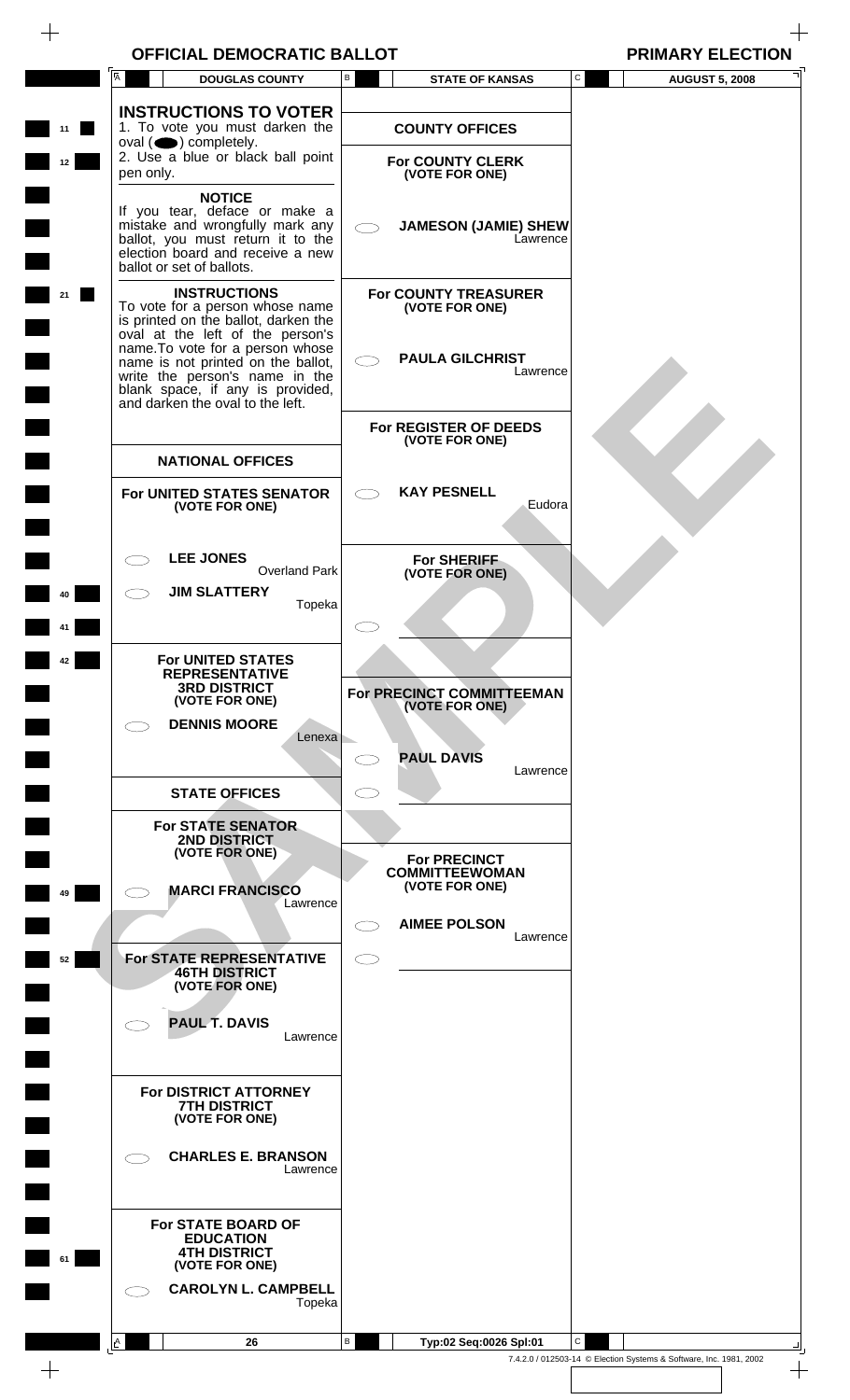$\begin{array}{c} + \end{array}$ 

|          | Ā<br><b>DOUGLAS COUNTY</b>                                                                                                                                                                                                                                                                                             | В<br><b>STATE OF KANSAS</b>                                                         | C<br><b>AUGUST 5, 2008</b>                                              |
|----------|------------------------------------------------------------------------------------------------------------------------------------------------------------------------------------------------------------------------------------------------------------------------------------------------------------------------|-------------------------------------------------------------------------------------|-------------------------------------------------------------------------|
| 11<br>12 | <b>INSTRUCTIONS TO VOTER</b><br>1. To vote you must darken the<br>oval $($ $\bullet)$ completely.<br>2. Use a blue or black ball point<br>pen only.                                                                                                                                                                    | <b>COUNTY OFFICES</b><br><b>For COUNTY CLERK</b>                                    |                                                                         |
|          | <b>NOTICE</b><br>If you tear, deface or make a<br>mistake and wrongfully mark any<br>ballot, you must return it to the<br>election board and receive a new<br>ballot or set of ballots.                                                                                                                                | (VOTE FOR ONE)<br><b>JAMESON (JAMIE) SHEW</b><br>Lawrence                           |                                                                         |
| 21       | <b>INSTRUCTIONS</b><br>To vote for a person whose name<br>is printed on the ballot, darken the<br>oval at the left of the person's<br>name. To vote for a person whose<br>name is not printed on the ballot,<br>write the person's name in the<br>blank space, if any is provided,<br>and darken the oval to the left. | <b>For COUNTY TREASURER</b><br>(VOTE FOR ONE)<br><b>PAULA GILCHRIST</b><br>Lawrence |                                                                         |
|          | <b>NATIONAL OFFICES</b>                                                                                                                                                                                                                                                                                                | For REGISTER OF DEEDS<br>(VOTE FOR ONE)                                             |                                                                         |
|          | For UNITED STATES SENATOR<br>(VOTE FOR ONE)                                                                                                                                                                                                                                                                            | <b>KAY PESNELL</b><br>Eudora                                                        |                                                                         |
| 41       | <b>LEE JONES</b><br><b>Overland Park</b><br><b>JIM SLATTERY</b><br>Topeka                                                                                                                                                                                                                                              | <b>For SHERIFF</b><br>(VOTE FOR ONE)                                                |                                                                         |
| 42       | <b>For UNITED STATES</b><br><b>REPRESENTATIVE</b><br><b>3RD DISTRICT</b><br>(VOTE FOR ONE)<br><b>DENNIS MOORE</b><br>Lenexa                                                                                                                                                                                            | For PRECINCT COMMITTEEMAN<br>(VOTE FOR ONE)                                         |                                                                         |
|          | <b>STATE OFFICES</b>                                                                                                                                                                                                                                                                                                   | <b>PAUL DAVIS</b><br>Lawrence<br>⊂                                                  |                                                                         |
| 49       | <b>For STATE SENATOR</b><br><b>2ND DISTRICT</b><br>(VOTE FOR ONE)<br><b>MARCI FRANCISCO</b>                                                                                                                                                                                                                            | <b>For PRECINCT</b><br><b>COMMITTEEWOMAN</b><br>(VOTE FOR ONE)                      |                                                                         |
| 52       | Lawrence<br>For STATE REPRESENTATIVE<br><b>46TH DISTRICT</b>                                                                                                                                                                                                                                                           | <b>AIMEE POLSON</b><br>Lawrence<br>$\subset$ 3                                      |                                                                         |
|          | (VOTE FOR ONE)<br><b>PAUL T. DAVIS</b><br>Lawrence                                                                                                                                                                                                                                                                     |                                                                                     |                                                                         |
|          | For DISTRICT ATTORNEY<br><b>7TH DISTRICT</b><br>(VOTE FOR ONE)                                                                                                                                                                                                                                                         |                                                                                     |                                                                         |
|          | <b>CHARLES E. BRANSON</b><br>Lawrence                                                                                                                                                                                                                                                                                  |                                                                                     |                                                                         |
| 61       | For STATE BOARD OF<br><b>EDUCATION</b><br><b>4TH DISTRICT</b><br>(VOTE FOR ONE)<br><b>CAROLYN L. CAMPBELL</b><br>Topeka                                                                                                                                                                                                |                                                                                     |                                                                         |
|          | 26<br>$\underline{\mathsf{I}}^{\mathsf{A}}$ .                                                                                                                                                                                                                                                                          | В<br>Typ:02 Seq:0026 Spl:01                                                         | C<br>7.4.2.0 / 012503-14 © Election Systems & Software, Inc. 1981, 2002 |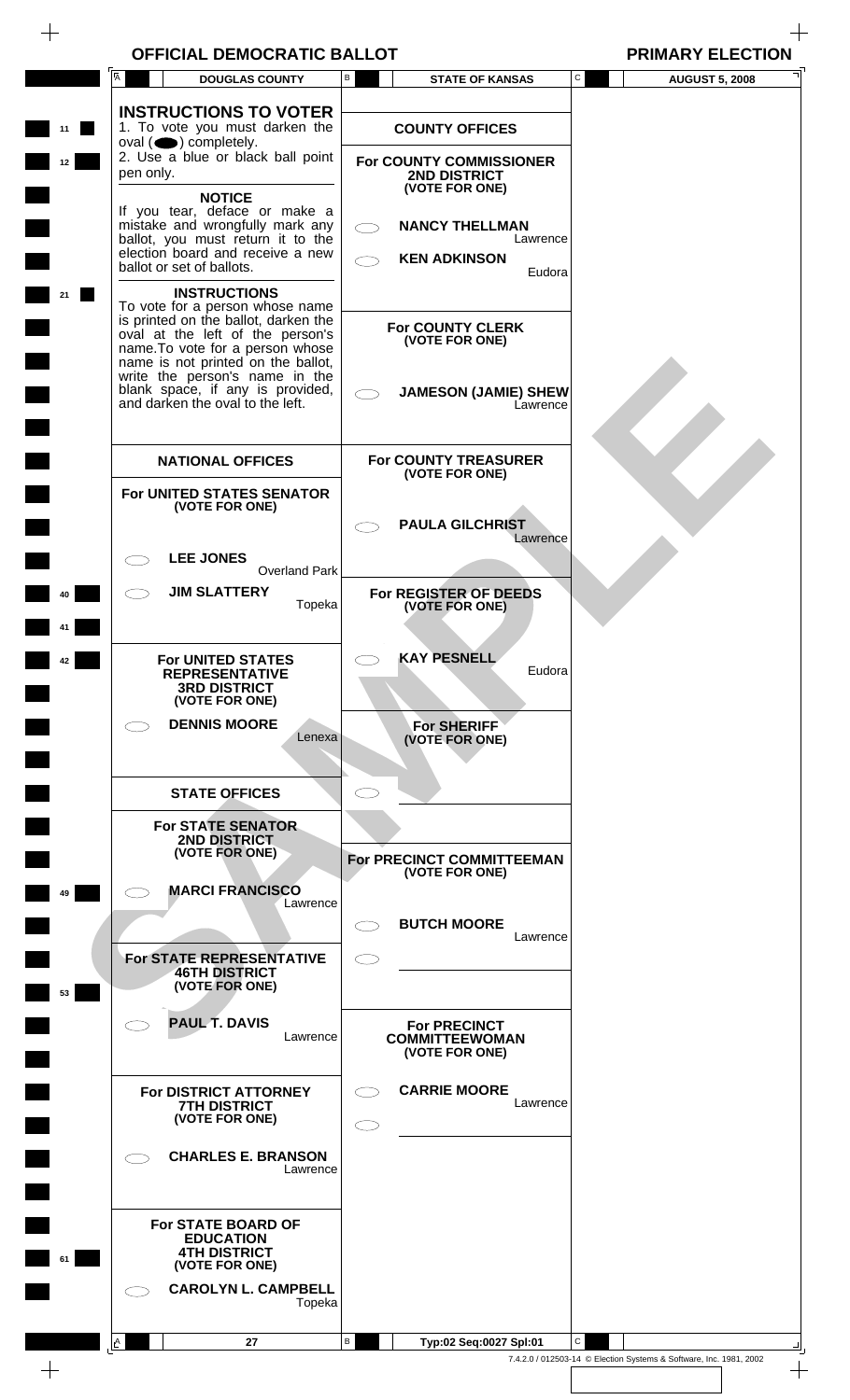$\begin{array}{c} + \end{array}$ 

|                       |           | <b>DOUGLAS COUNTY</b>                                                                                                                                                                                                | В            | <b>STATE OF KANSAS</b>                                              | C            | <b>AUGUST 5, 2008</b>                                              |
|-----------------------|-----------|----------------------------------------------------------------------------------------------------------------------------------------------------------------------------------------------------------------------|--------------|---------------------------------------------------------------------|--------------|--------------------------------------------------------------------|
| 11<br>12 <sub>2</sub> |           | <b>INSTRUCTIONS TO VOTER</b><br>1. To vote you must darken the<br>oval $($ $\bullet)$ completely.<br>2. Use a blue or black ball point                                                                               |              | <b>COUNTY OFFICES</b><br>For COUNTY COMMISSIONER                    |              |                                                                    |
|                       | pen only. | <b>NOTICE</b><br>If you tear, deface or make a<br>mistake and wrongfully mark any<br>ballot, you must return it to the<br>election board and receive a new                                                           |              | 2ND DISTRICT<br>(VOTE FOR ONE)<br><b>NANCY THELLMAN</b><br>Lawrence |              |                                                                    |
| 21                    |           | ballot or set of ballots.<br><b>INSTRUCTIONS</b><br>To vote for a person whose name<br>is printed on the ballot, darken the                                                                                          |              | <b>KEN ADKINSON</b><br>Eudora<br><b>For COUNTY CLERK</b>            |              |                                                                    |
|                       |           | oval at the left of the person's<br>name. To vote for a person whose<br>name is not printed on the ballot,<br>write the person's name in the<br>blank space, if any is provided,<br>and darken the oval to the left. |              | (VOTE FOR ONE)<br><b>JAMESON (JAMIE) SHEW</b><br>Lawrence           |              |                                                                    |
|                       |           | <b>NATIONAL OFFICES</b>                                                                                                                                                                                              |              | <b>For COUNTY TREASURER</b><br>(VOTE FOR ONE)                       |              |                                                                    |
|                       |           | For UNITED STATES SENATOR<br>(VOTE FOR ONE)<br><b>LEE JONES</b>                                                                                                                                                      |              | <b>PAULA GILCHRIST</b><br>Lawrence                                  |              |                                                                    |
| 40                    |           | <b>Overland Park</b><br><b>JIM SLATTERY</b><br>Topeka                                                                                                                                                                |              | For REGISTER OF DEEDS<br>(VOTE FOR ONE)                             |              |                                                                    |
| 12                    |           | <b>For UNITED STATES</b><br><b>REPRESENTATIVE</b><br><b>3RD DISTRICT</b><br>(VOTE FOR ONE)                                                                                                                           |              | <b>KAY PESNELL</b><br>Eudora                                        |              |                                                                    |
|                       |           | <b>DENNIS MOORE</b><br>Lenexa                                                                                                                                                                                        |              | <b>For SHERIFF</b><br>(VOTE FOR ONE)                                |              |                                                                    |
|                       |           | <b>STATE OFFICES</b><br><b>For STATE SENATOR</b><br><b>2ND DISTRICT</b><br>(VOTE FOR ONE)                                                                                                                            |              | For PRECINCT COMMITTEEMAN                                           |              |                                                                    |
| 49                    |           | <b>MARCI FRANCISCO</b><br>Lawrence                                                                                                                                                                                   |              | (VOTE FOR ONE)                                                      |              |                                                                    |
| 53                    |           | For STATE REPRESENTATIVE<br><b>46TH DISTRICT</b><br>(VOTE FOR ONE)                                                                                                                                                   | $\subset$    | <b>BUTCH MOORE</b><br>Lawrence                                      |              |                                                                    |
|                       |           | <b>PAUL T. DAVIS</b><br>Lawrence                                                                                                                                                                                     |              | <b>For PRECINCT</b><br><b>COMMITTEEWOMAN</b><br>(VOTE FOR ONE)      |              |                                                                    |
|                       |           | For DISTRICT ATTORNEY<br><b>7TH DISTRICT</b><br>(VOTE FOR ONE)                                                                                                                                                       | $\subset$    | <b>CARRIE MOORE</b><br>Lawrence                                     |              |                                                                    |
|                       |           | <b>CHARLES E. BRANSON</b><br>Lawrence                                                                                                                                                                                |              |                                                                     |              |                                                                    |
| 61                    |           | <b>For STATE BOARD OF</b><br><b>EDUCATION</b><br><b>4TH DISTRICT</b><br>(VOTE FOR ONE)<br><b>CAROLYN L. CAMPBELL</b><br>Topeka                                                                                       |              |                                                                     |              |                                                                    |
|                       | A         | 27                                                                                                                                                                                                                   | $\mathsf{B}$ | Typ:02 Seq:0027 Spl:01                                              | $\mathsf{C}$ |                                                                    |
| $+$                   |           |                                                                                                                                                                                                                      |              |                                                                     |              | 7.4.2.0 / 012503-14 © Election Systems & Software, Inc. 1981, 2002 |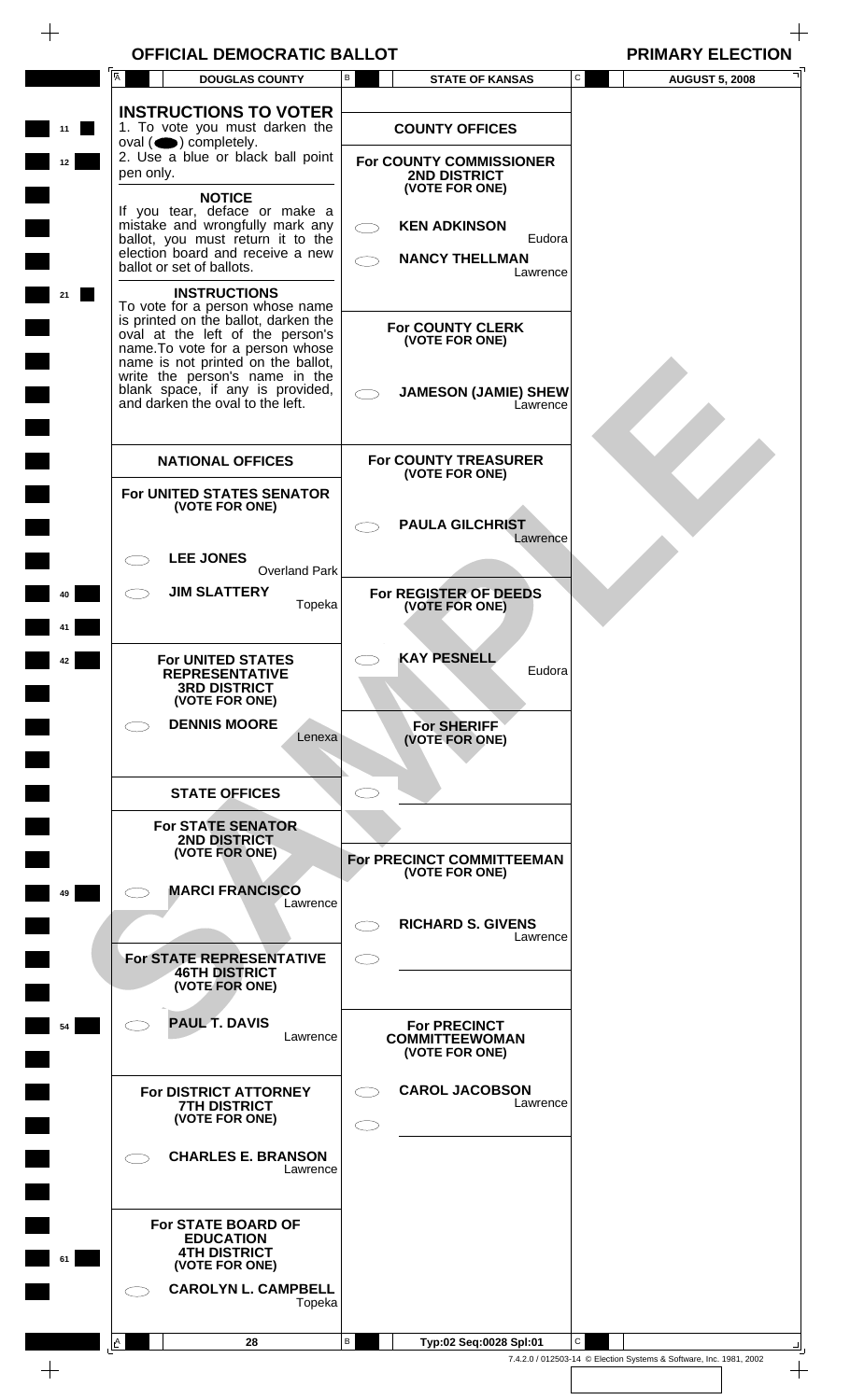$\begin{array}{c} \begin{array}{c} \begin{array}{c} \end{array} \end{array} \end{array}$ 

 $\begin{array}{c} \begin{array}{c} \begin{array}{c} \begin{array}{c} \end{array} \end{array} \end{array} \end{array} \end{array}$ 

|    | A <sup>l</sup><br><b>DOUGLAS COUNTY</b>                                                                                                                                               | В                             | <b>STATE OF KANSAS</b>                                         | $\mathtt{C}$ | <b>AUGUST 5, 2008</b>                                              |
|----|---------------------------------------------------------------------------------------------------------------------------------------------------------------------------------------|-------------------------------|----------------------------------------------------------------|--------------|--------------------------------------------------------------------|
|    |                                                                                                                                                                                       |                               |                                                                |              |                                                                    |
| 11 | <b>INSTRUCTIONS TO VOTER</b><br>1. To vote you must darken the                                                                                                                        |                               | <b>COUNTY OFFICES</b>                                          |              |                                                                    |
| 12 | oval $($ $\bullet)$ completely.<br>2. Use a blue or black ball point<br>pen only.                                                                                                     |                               | <b>For COUNTY COMMISSIONER</b><br><b>2ND DISTRICT</b>          |              |                                                                    |
|    | <b>NOTICE</b><br>If you tear, deface or make a<br>mistake and wrongfully mark any<br>ballot, you must return it to the                                                                | $\bigcirc$                    | (VOTE FOR ONE)<br><b>KEN ADKINSON</b><br>Eudora                |              |                                                                    |
| 21 | election board and receive a new<br>ballot or set of ballots.<br><b>INSTRUCTIONS</b>                                                                                                  |                               | <b>NANCY THELLMAN</b><br>Lawrence                              |              |                                                                    |
|    | To vote for a person whose name<br>is printed on the ballot, darken the<br>oval at the left of the person's<br>name. To vote for a person whose<br>name is not printed on the ballot, |                               | <b>For COUNTY CLERK</b><br>(VOTE FOR ONE)                      |              |                                                                    |
|    | write the person's name in the<br>blank space, if any is provided,<br>and darken the oval to the left.                                                                                |                               | <b>JAMESON (JAMIE) SHEW</b><br>Lawrence                        |              |                                                                    |
|    | <b>NATIONAL OFFICES</b>                                                                                                                                                               |                               | <b>For COUNTY TREASURER</b><br>(VOTE FOR ONE)                  |              |                                                                    |
|    | For UNITED STATES SENATOR<br>(VOTE FOR ONE)                                                                                                                                           |                               | <b>PAULA GILCHRIST</b><br>Lawrence                             |              |                                                                    |
|    | <b>LEE JONES</b><br><b>Overland Park</b>                                                                                                                                              |                               |                                                                |              |                                                                    |
|    | <b>JIM SLATTERY</b><br>Topeka                                                                                                                                                         |                               | For REGISTER OF DEEDS<br>(VOTE FOR ONE)                        |              |                                                                    |
| 42 | <b>For UNITED STATES</b><br><b>REPRESENTATIVE</b><br><b>3RD DISTRICT</b><br>(VOTE FOR ONE)                                                                                            |                               | <b>KAY PESNELL</b><br>Eudora                                   |              |                                                                    |
|    | <b>DENNIS MOORE</b><br>Lenexa                                                                                                                                                         |                               | <b>For SHERIFF</b><br>(VOTE FOR ONE)                           |              |                                                                    |
|    | <b>STATE OFFICES</b>                                                                                                                                                                  | E.                            |                                                                |              |                                                                    |
|    | <b>For STATE SENATOR</b><br><b>2ND DISTRICT</b><br>(VOTE FOR ONE)                                                                                                                     |                               | For PRECINCT COMMITTEEMAN<br>(VOTE FOR ONE)                    |              |                                                                    |
| 49 | <b>MARCI FRANCISCO</b><br>Lawrence                                                                                                                                                    |                               |                                                                |              |                                                                    |
|    | For STATE REPRESENTATIVE<br><b>46TH DISTRICT</b>                                                                                                                                      | $\subset$ $\Box$<br>$\subset$ | <b>RICHARD S. GIVENS</b><br>Lawrence                           |              |                                                                    |
|    | (VOTE FOR ONE)                                                                                                                                                                        |                               |                                                                |              |                                                                    |
| 54 | <b>PAUL T. DAVIS</b><br>Lawrence                                                                                                                                                      |                               | <b>For PRECINCT</b><br><b>COMMITTEEWOMAN</b><br>(VOTE FOR ONE) |              |                                                                    |
|    | For DISTRICT ATTORNEY<br><b>7TH DISTRICT</b><br>(VOTE FOR ONE)                                                                                                                        | $\subset$<br>$\subset$        | <b>CAROL JACOBSON</b><br>Lawrence                              |              |                                                                    |
|    | <b>CHARLES E. BRANSON</b><br>Lawrence                                                                                                                                                 |                               |                                                                |              |                                                                    |
| 61 | For STATE BOARD OF<br><b>EDUCATION</b><br><b>4TH DISTRICT</b><br>(VOTE FOR ONE)                                                                                                       |                               |                                                                |              |                                                                    |
|    | <b>CAROLYN L. CAMPBELL</b><br>Topeka                                                                                                                                                  |                               |                                                                |              |                                                                    |
|    | A<br>28                                                                                                                                                                               | В                             | Typ:02 Seq:0028 Spl:01                                         | C            | 7.4.2.0 / 012503-14 © Election Systems & Software, Inc. 1981, 2002 |
|    |                                                                                                                                                                                       |                               |                                                                |              |                                                                    |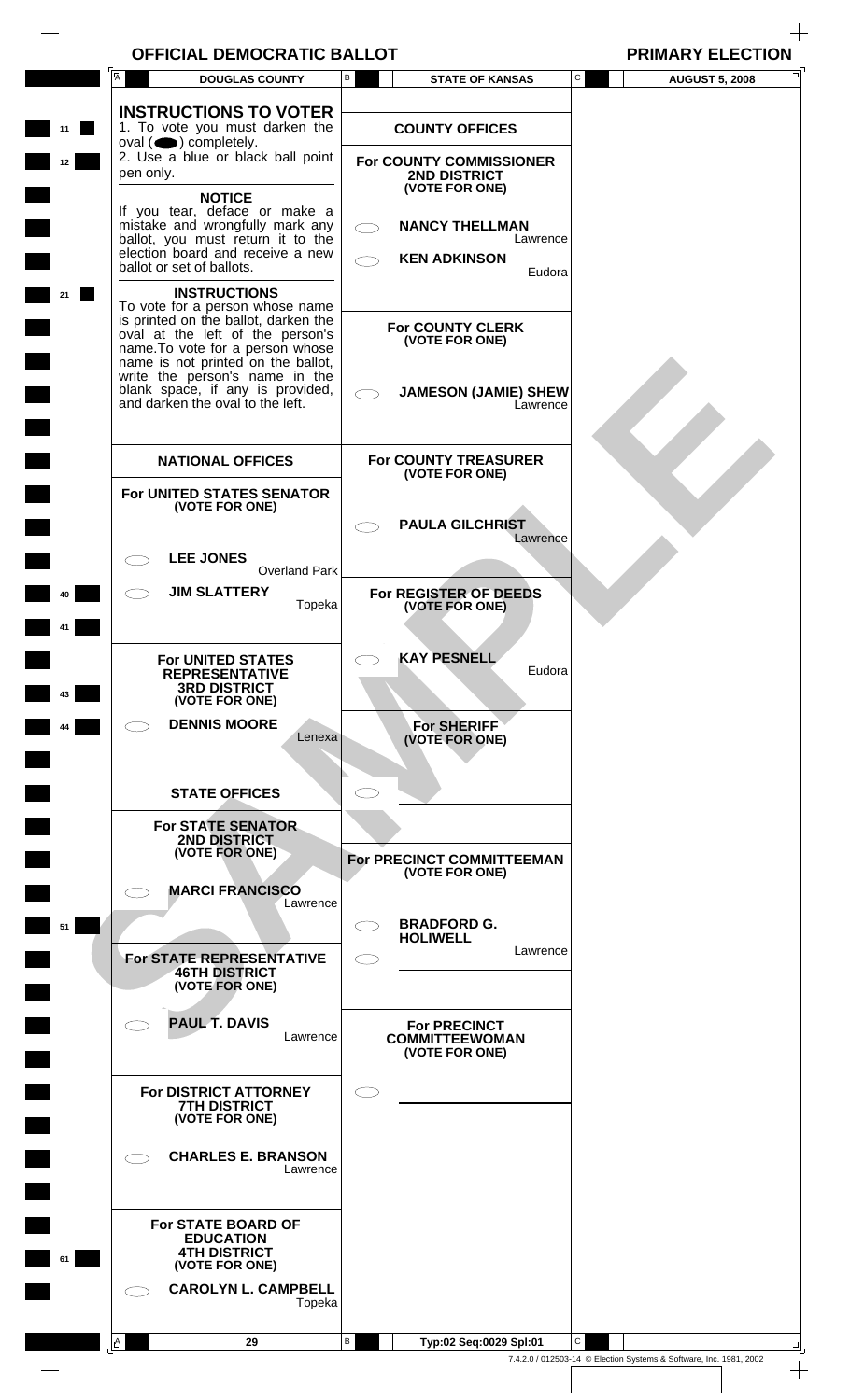$\begin{array}{c} + \end{array}$ 

|                 | Ā         | <b>DOUGLAS COUNTY</b>                                                                                                                                                                                                                                        | В         | <b>STATE OF KANSAS</b>                                                               | C | <b>AUGUST 5, 2008</b> |
|-----------------|-----------|--------------------------------------------------------------------------------------------------------------------------------------------------------------------------------------------------------------------------------------------------------------|-----------|--------------------------------------------------------------------------------------|---|-----------------------|
| 11              |           | <b>INSTRUCTIONS TO VOTER</b><br>1. To vote you must darken the<br>oval $($ $\bullet)$ completely.                                                                                                                                                            |           | <b>COUNTY OFFICES</b>                                                                |   |                       |
| 12 <sub>2</sub> | pen only. | 2. Use a blue or black ball point<br><b>NOTICE</b>                                                                                                                                                                                                           |           | <b>For COUNTY COMMISSIONER</b><br><b>2ND DISTRICT</b><br>(VOTE FOR ONE)              |   |                       |
|                 |           | If you tear, deface or make a<br>mistake and wrongfully mark any<br>ballot, you must return it to the<br>election board and receive a new                                                                                                                    |           | <b>NANCY THELLMAN</b><br>Lawrence                                                    |   |                       |
| 21              |           | ballot or set of ballots.<br><b>INSTRUCTIONS</b><br>To vote for a person whose name                                                                                                                                                                          |           | <b>KEN ADKINSON</b><br>Eudora                                                        |   |                       |
|                 |           | is printed on the ballot, darken the<br>oval at the left of the person's<br>name. To vote for a person whose<br>name is not printed on the ballot,<br>write the person's name in the<br>blank space, if any is provided,<br>and darken the oval to the left. |           | <b>For COUNTY CLERK</b><br>(VOTE FOR ONE)<br><b>JAMESON (JAMIE) SHEW</b><br>Lawrence |   |                       |
|                 |           | <b>NATIONAL OFFICES</b>                                                                                                                                                                                                                                      |           | <b>For COUNTY TREASURER</b>                                                          |   |                       |
|                 |           | For UNITED STATES SENATOR                                                                                                                                                                                                                                    |           | (VOTE FOR ONE)                                                                       |   |                       |
|                 |           | (VOTE FOR ONE)                                                                                                                                                                                                                                               |           | <b>PAULA GILCHRIST</b><br>Lawrence                                                   |   |                       |
|                 |           | <b>LEE JONES</b><br><b>Overland Park</b>                                                                                                                                                                                                                     |           |                                                                                      |   |                       |
| 40              |           | <b>JIM SLATTERY</b><br>Topeka                                                                                                                                                                                                                                |           | For REGISTER OF DEEDS<br>(VOTE FOR ONE)                                              |   |                       |
| 43              |           | <b>For UNITED STATES</b><br><b>REPRESENTATIVE</b><br><b>3RD DISTRICT</b><br>(VOTE FOR ONE)                                                                                                                                                                   |           | <b>KAY PESNELL</b><br>Eudora                                                         |   |                       |
| 44              |           | <b>DENNIS MOORE</b><br>Lenexa                                                                                                                                                                                                                                |           | <b>For SHERIFF</b><br>(VOTE FOR ONE)                                                 |   |                       |
|                 |           | <b>STATE OFFICES</b>                                                                                                                                                                                                                                         |           |                                                                                      |   |                       |
|                 |           | <b>For STATE SENATOR</b><br><b>2ND DISTRICT</b><br>(VOTE FOR ONE)                                                                                                                                                                                            |           | For PRECINCT COMMITTEEMAN<br>(VOTE FOR ONE)                                          |   |                       |
|                 |           | <b>MARCI FRANCISCO</b><br>Lawrence                                                                                                                                                                                                                           |           |                                                                                      |   |                       |
| 51              |           | For STATE REPRESENTATIVE                                                                                                                                                                                                                                     | $\subset$ | <b>BRADFORD G.</b><br><b>HOLIWELL</b><br>Lawrence                                    |   |                       |
|                 |           | <b>46TH DISTRICT</b><br>(VOTE FOR ONE)                                                                                                                                                                                                                       |           |                                                                                      |   |                       |
|                 |           | <b>PAUL T. DAVIS</b><br>Lawrence                                                                                                                                                                                                                             |           | <b>For PRECINCT</b><br><b>COMMITTEEWOMAN</b><br>(VOTE FOR ONE)                       |   |                       |
|                 |           | For DISTRICT ATTORNEY<br><b>7TH DISTRICT</b><br>(VOTE FOR ONE)                                                                                                                                                                                               | $\subset$ |                                                                                      |   |                       |
|                 |           | <b>CHARLES E. BRANSON</b><br>Lawrence                                                                                                                                                                                                                        |           |                                                                                      |   |                       |
| 61              |           | <b>For STATE BOARD OF</b><br><b>EDUCATION</b><br><b>4TH DISTRICT</b><br>(VOTE FOR ONE)<br><b>CAROLYN L. CAMPBELL</b>                                                                                                                                         |           |                                                                                      |   |                       |
|                 |           | Topeka                                                                                                                                                                                                                                                       |           |                                                                                      |   |                       |
|                 | A         | 29                                                                                                                                                                                                                                                           | В         | Typ:02 Seq:0029 Spl:01                                                               | C |                       |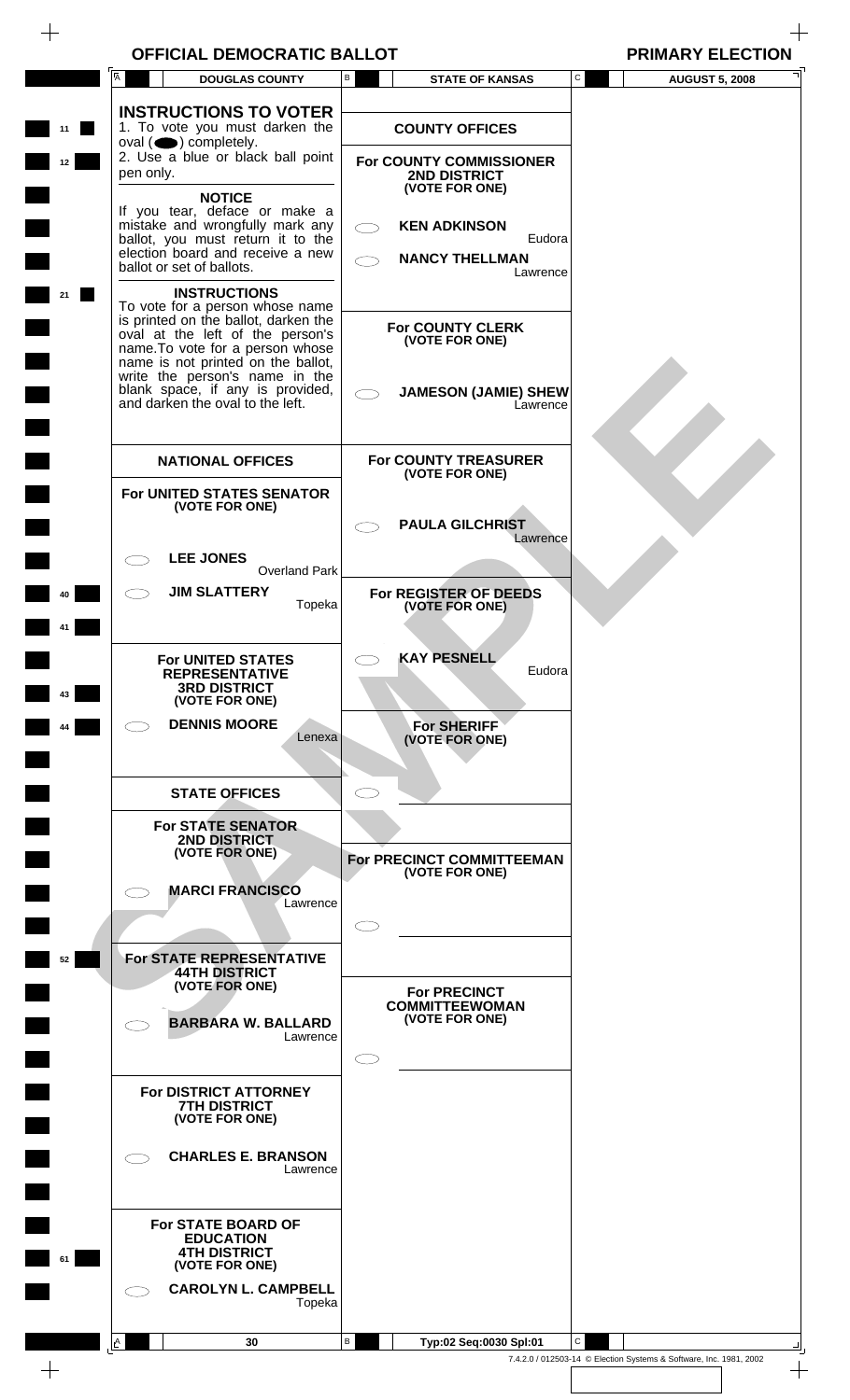$\begin{array}{c} \begin{array}{c} \begin{array}{c} \end{array} \end{array} \end{array}$ 

 $\begin{array}{c} \begin{array}{c} \begin{array}{c} \begin{array}{c} \end{array} \end{array} \end{array} \end{array} \end{array}$ 

|    | $\overline{A}$<br><b>DOUGLAS COUNTY</b>                                                                                            | B          | <b>STATE OF KANSAS</b>                                           | C | <b>AUGUST 5, 2008</b> |
|----|------------------------------------------------------------------------------------------------------------------------------------|------------|------------------------------------------------------------------|---|-----------------------|
| 11 | <b>INSTRUCTIONS TO VOTER</b><br>1. To vote you must darken the<br>oval $($ $\bullet)$ completely.                                  |            | <b>COUNTY OFFICES</b>                                            |   |                       |
| 12 | 2. Use a blue or black ball point<br>pen only.                                                                                     |            | For COUNTY COMMISSIONER<br><b>2ND DISTRICT</b><br>(VOTE FOR ONE) |   |                       |
|    | <b>NOTICE</b><br>If you tear, deface or make a<br>mistake and wrongfully mark any<br>ballot, you must return it to the             | $\bigcirc$ | <b>KEN ADKINSON</b><br>Eudora                                    |   |                       |
|    | election board and receive a new<br>ballot or set of ballots.                                                                      |            | <b>NANCY THELLMAN</b><br>Lawrence                                |   |                       |
| 21 | <b>INSTRUCTIONS</b><br>To vote for a person whose name<br>is printed on the ballot, darken the<br>oval at the left of the person's |            | <b>For COUNTY CLERK</b>                                          |   |                       |
|    | name. To vote for a person whose<br>name is not printed on the ballot,<br>write the person's name in the                           |            | (VOTE FOR ONE)                                                   |   |                       |
|    | blank space, if any is provided,<br>and darken the oval to the left.                                                               |            | <b>JAMESON (JAMIE) SHEW</b><br>Lawrence                          |   |                       |
|    | <b>NATIONAL OFFICES</b>                                                                                                            |            | <b>For COUNTY TREASURER</b><br>(VOTE FOR ONE)                    |   |                       |
|    | For UNITED STATES SENATOR<br>(VOTE FOR ONE)                                                                                        |            | <b>PAULA GILCHRIST</b>                                           |   |                       |
|    | <b>LEE JONES</b><br><b>Overland Park</b>                                                                                           |            | Lawrence                                                         |   |                       |
|    | <b>JIM SLATTERY</b><br>Topeka                                                                                                      |            | For REGISTER OF DEEDS<br>(VOTE FOR ONE)                          |   |                       |
|    | <b>For UNITED STATES</b><br><b>REPRESENTATIVE</b>                                                                                  |            | <b>KAY PESNELL</b><br>Eudora                                     |   |                       |
| 43 | <b>3RD DISTRICT</b><br>(VOTE FOR ONE)                                                                                              |            |                                                                  |   |                       |
| 44 | <b>DENNIS MOORE</b><br>Lenexa                                                                                                      |            | <b>For SHERIFF</b><br>(VOTE FOR ONE)                             |   |                       |
|    | <b>STATE OFFICES</b>                                                                                                               |            |                                                                  |   |                       |
|    | <b>For STATE SENATOR</b><br><b>2ND DISTRICT</b><br>(VOTE FOR ONE)                                                                  |            | For PRECINCT COMMITTEEMAN                                        |   |                       |
|    | <b>MARCI FRANCISCO</b><br>Lawrence                                                                                                 |            | (VOTE FOR ONE)                                                   |   |                       |
| 52 | For STATE REPRESENTATIVE                                                                                                           |            |                                                                  |   |                       |
|    | <b>44TH DISTRICT</b><br>(VOTE FOR ONE)                                                                                             |            | <b>For PRECINCT</b><br><b>COMMITTEEWOMAN</b><br>(VOTE FOR ONE)   |   |                       |
|    | <b>BARBARA W. BALLARD</b><br>Lawrence                                                                                              |            |                                                                  |   |                       |
|    | For DISTRICT ATTORNEY<br><b>7TH DISTRICT</b><br>(VOTE FOR ONE)                                                                     |            |                                                                  |   |                       |
|    | <b>CHARLES E. BRANSON</b>                                                                                                          |            |                                                                  |   |                       |
|    | Lawrence                                                                                                                           |            |                                                                  |   |                       |
| 61 | <b>For STATE BOARD OF</b><br><b>EDUCATION</b><br><b>4TH DISTRICT</b><br>(VOTE FOR ONE)                                             |            |                                                                  |   |                       |
|    | <b>CAROLYN L. CAMPBELL</b><br>Topeka                                                                                               |            |                                                                  |   |                       |
|    |                                                                                                                                    |            |                                                                  |   |                       |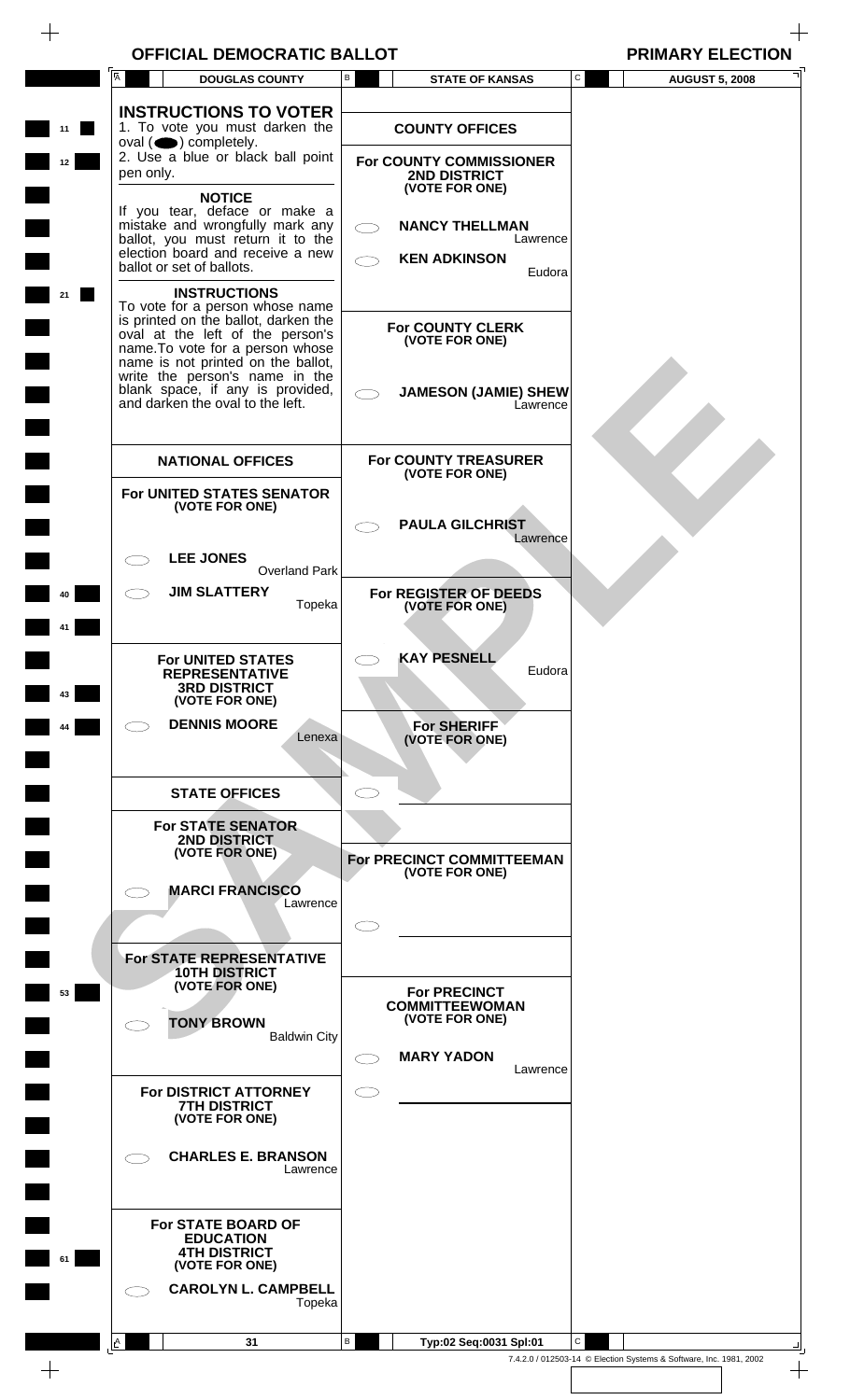$\qquad \qquad +$ 

|                 | Ā         | <b>DOUGLAS COUNTY</b>                                                                                                                                                                                                                                                                                                  | В         | <b>STATE OF KANSAS</b><br>C                                                                                  | <b>AUGUST 5, 2008</b> |
|-----------------|-----------|------------------------------------------------------------------------------------------------------------------------------------------------------------------------------------------------------------------------------------------------------------------------------------------------------------------------|-----------|--------------------------------------------------------------------------------------------------------------|-----------------------|
| 11              |           | <b>INSTRUCTIONS TO VOTER</b><br>1. To vote you must darken the<br>$oval(\n\bullet)$ completely.                                                                                                                                                                                                                        |           | <b>COUNTY OFFICES</b>                                                                                        |                       |
| 12 <sub>2</sub> | pen only. | 2. Use a blue or black ball point                                                                                                                                                                                                                                                                                      |           | <b>For COUNTY COMMISSIONER</b><br>2ND DISTRICT<br>(VOTE FOR ONE)                                             |                       |
|                 |           | <b>NOTICE</b><br>If you tear, deface or make a<br>mistake and wrongfully mark any<br>ballot, you must return it to the<br>election board and receive a new<br>ballot or set of ballots.                                                                                                                                |           | <b>NANCY THELLMAN</b><br>Lawrence<br><b>KEN ADKINSON</b><br>Eudora                                           |                       |
| 21              |           | <b>INSTRUCTIONS</b><br>To vote for a person whose name<br>is printed on the ballot, darken the<br>oval at the left of the person's<br>name. To vote for a person whose<br>name is not printed on the ballot,<br>write the person's name in the<br>blank space, if any is provided,<br>and darken the oval to the left. |           | <b>For COUNTY CLERK</b><br>(VOTE FOR ONE)<br><b>JAMESON (JAMIE) SHEW</b><br>Lawrence                         |                       |
|                 |           | <b>NATIONAL OFFICES</b>                                                                                                                                                                                                                                                                                                |           | <b>For COUNTY TREASURER</b>                                                                                  |                       |
|                 |           | For UNITED STATES SENATOR<br>(VOTE FOR ONE)                                                                                                                                                                                                                                                                            |           | (VOTE FOR ONE)<br><b>PAULA GILCHRIST</b><br>Lawrence                                                         |                       |
|                 |           | <b>LEE JONES</b><br><b>Overland Park</b>                                                                                                                                                                                                                                                                               |           |                                                                                                              |                       |
| 40              |           | <b>JIM SLATTERY</b><br>Topeka                                                                                                                                                                                                                                                                                          |           | For REGISTER OF DEEDS<br>(VOTE FOR ONE)                                                                      |                       |
| 43              |           | <b>For UNITED STATES</b><br><b>REPRESENTATIVE</b><br><b>3RD DISTRICT</b><br>(VOTE FOR ONE)                                                                                                                                                                                                                             |           | <b>KAY PESNELL</b><br>Eudora                                                                                 |                       |
| 44              |           | <b>DENNIS MOORE</b><br>Lenexa                                                                                                                                                                                                                                                                                          |           | <b>For SHERIFF</b><br>(VOTE FOR ONE)                                                                         |                       |
|                 |           | <b>STATE OFFICES</b>                                                                                                                                                                                                                                                                                                   |           |                                                                                                              |                       |
|                 |           | <b>For STATE SENATOR</b><br><b>2ND DISTRICT</b><br>(VOTE FOR ONE)                                                                                                                                                                                                                                                      |           | For PRECINCT COMMITTEEMAN<br>(VOTE FOR ONE)                                                                  |                       |
|                 |           | <b>MARCI FRANCISCO</b><br>Lawrence                                                                                                                                                                                                                                                                                     | $\subset$ |                                                                                                              |                       |
| 53              |           | For STATE REPRESENTATIVE<br><b>10TH DISTRICT</b><br>(VOTE FOR ONE)                                                                                                                                                                                                                                                     |           | <b>For PRECINCT</b><br><b>COMMITTEEWOMAN</b>                                                                 |                       |
|                 |           | <b>TONY BROWN</b><br><b>Baldwin City</b>                                                                                                                                                                                                                                                                               | $\frown$  | (VOTE FOR ONE)<br><b>MARY YADON</b><br>Lawrence                                                              |                       |
|                 |           | For DISTRICT ATTORNEY<br><b>7TH DISTRICT</b><br>(VOTE FOR ONE)                                                                                                                                                                                                                                                         | $\subset$ |                                                                                                              |                       |
|                 |           | <b>CHARLES E. BRANSON</b><br>Lawrence                                                                                                                                                                                                                                                                                  |           |                                                                                                              |                       |
| 61              |           | <b>For STATE BOARD OF</b><br><b>EDUCATION</b><br><b>4TH DISTRICT</b><br>(VOTE FOR ONE)<br><b>CAROLYN L. CAMPBELL</b>                                                                                                                                                                                                   |           |                                                                                                              |                       |
|                 |           | Topeka                                                                                                                                                                                                                                                                                                                 |           |                                                                                                              |                       |
| $+$             | A         | 31                                                                                                                                                                                                                                                                                                                     | В         | $\mathsf{C}$<br>Typ:02 Seq:0031 Spl:01<br>7.4.2.0 / 012503-14 © Election Systems & Software, Inc. 1981, 2002 |                       |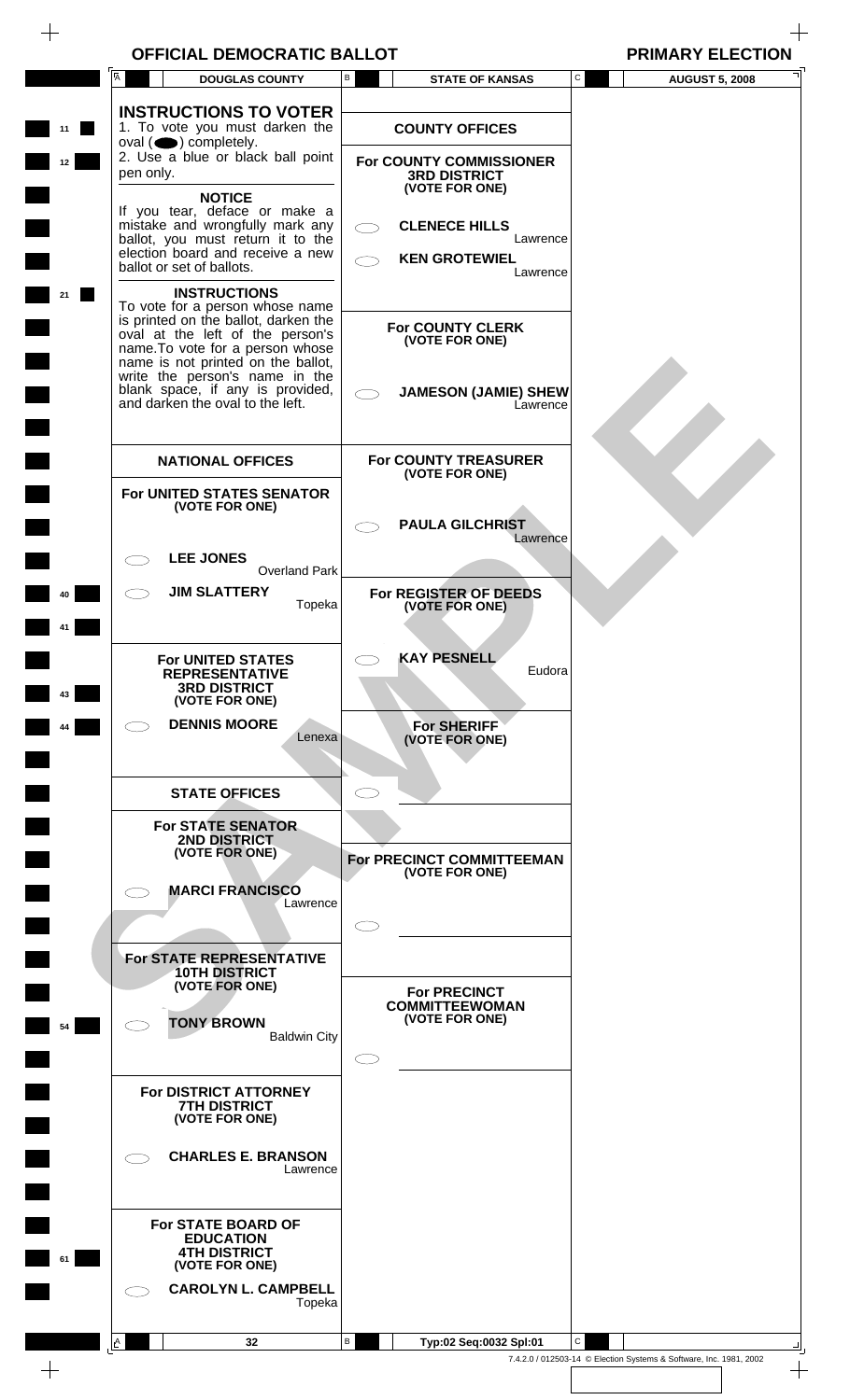# $\begin{array}{ccc} & + \ \text{OFFICIAL DEMOCRATIC BALLOT} \end{array}$

 $\begin{array}{c} + \end{array}$ 

|                | A                                                                                                                                                                                                                                                                                                                                                                                                        | <b>DOUGLAS COUNTY</b>                      | В | <b>STATE OF KANSAS</b>                                                                                                                                            | ${\bf C}$ | <b>AUGUST 5, 2008</b> |
|----------------|----------------------------------------------------------------------------------------------------------------------------------------------------------------------------------------------------------------------------------------------------------------------------------------------------------------------------------------------------------------------------------------------------------|--------------------------------------------|---|-------------------------------------------------------------------------------------------------------------------------------------------------------------------|-----------|-----------------------|
| 11<br>12<br>21 | <b>INSTRUCTIONS TO VOTER</b><br>1. To vote you must darken the<br>oval $($ $\bullet)$ completely.<br>2. Use a blue or black ball point<br>pen only.<br><b>NOTICE</b><br>If you tear, deface or make a<br>mistake and wrongfully mark any<br>ballot, you must return it to the<br>election board and receive a new<br>ballot or set of ballots.<br><b>INSTRUCTIONS</b><br>To vote for a person whose name |                                            |   | <b>COUNTY OFFICES</b><br>For COUNTY COMMISSIONER<br><b>3RD DISTRICT</b><br>(VOTE FOR ONE)<br><b>CLENECE HILLS</b><br>Lawrence<br><b>KEN GROTEWIEL</b><br>Lawrence |           |                       |
|                | is printed on the ballot, darken the<br>oval at the left of the person's<br>name. To vote for a person whose<br>name is not printed on the ballot,<br>write the person's name in the<br>blank space, if any is provided,<br>and darken the oval to the left.                                                                                                                                             |                                            |   | <b>For COUNTY CLERK</b><br>(VOTE FOR ONE)<br><b>JAMESON (JAMIE) SHEW</b><br>Lawrence                                                                              |           |                       |
|                | <b>NATIONAL OFFICES</b><br>For UNITED STATES SENATOR<br>(VOTE FOR ONE)                                                                                                                                                                                                                                                                                                                                   |                                            |   | <b>For COUNTY TREASURER</b><br>(VOTE FOR ONE)<br><b>PAULA GILCHRIST</b><br>Lawrence                                                                               |           |                       |
| 40             | <b>LEE JONES</b><br><b>JIM SLATTERY</b><br>For UNITED STATES                                                                                                                                                                                                                                                                                                                                             | <b>Overland Park</b><br>Topeka             |   | For REGISTER OF DEEDS<br>(VOTE FOR ONE)<br><b>KAY PESNELL</b>                                                                                                     |           |                       |
| 43<br>44       | <b>REPRESENTATIVE</b><br><b>3RD DISTRICT</b><br>(VOTE FOR ONE)<br><b>DENNIS MOORE</b>                                                                                                                                                                                                                                                                                                                    | Lenexa                                     |   | Eudora<br><b>For SHERIFF</b><br>(VOTE FOR ONE)                                                                                                                    |           |                       |
|                | <b>STATE OFFICES</b><br><b>For STATE SENATOR</b><br><b>2ND DISTRICT</b><br>(VOTE FOR ONE)<br><b>MARCI FRANCISCO</b>                                                                                                                                                                                                                                                                                      |                                            |   | For PRECINCT COMMITTEEMAN<br>(VOTE FOR ONE)                                                                                                                       |           |                       |
|                | For STATE REPRESENTATIVE<br><b>10TH DISTRICT</b><br>(VOTE FOR ONE)                                                                                                                                                                                                                                                                                                                                       | Lawrence                                   |   | <b>For PRECINCT</b><br><b>COMMITTEEWOMAN</b>                                                                                                                      |           |                       |
| 54             | <b>TONY BROWN</b><br>For DISTRICT ATTORNEY<br><b>7TH DISTRICT</b><br>(VOTE FOR ONE)                                                                                                                                                                                                                                                                                                                      | <b>Baldwin City</b>                        |   | (VOTE FOR ONE)                                                                                                                                                    |           |                       |
|                | For STATE BOARD OF                                                                                                                                                                                                                                                                                                                                                                                       | <b>CHARLES E. BRANSON</b><br>Lawrence      |   |                                                                                                                                                                   |           |                       |
| 61             | <b>EDUCATION</b><br><b>4TH DISTRICT</b><br>(VOTE FOR ONE)                                                                                                                                                                                                                                                                                                                                                |                                            |   |                                                                                                                                                                   |           |                       |
|                |                                                                                                                                                                                                                                                                                                                                                                                                          | <b>CAROLYN L. CAMPBELL</b><br>Topeka<br>32 | В | Typ:02 Seq:0032 Spl:01                                                                                                                                            | C         |                       |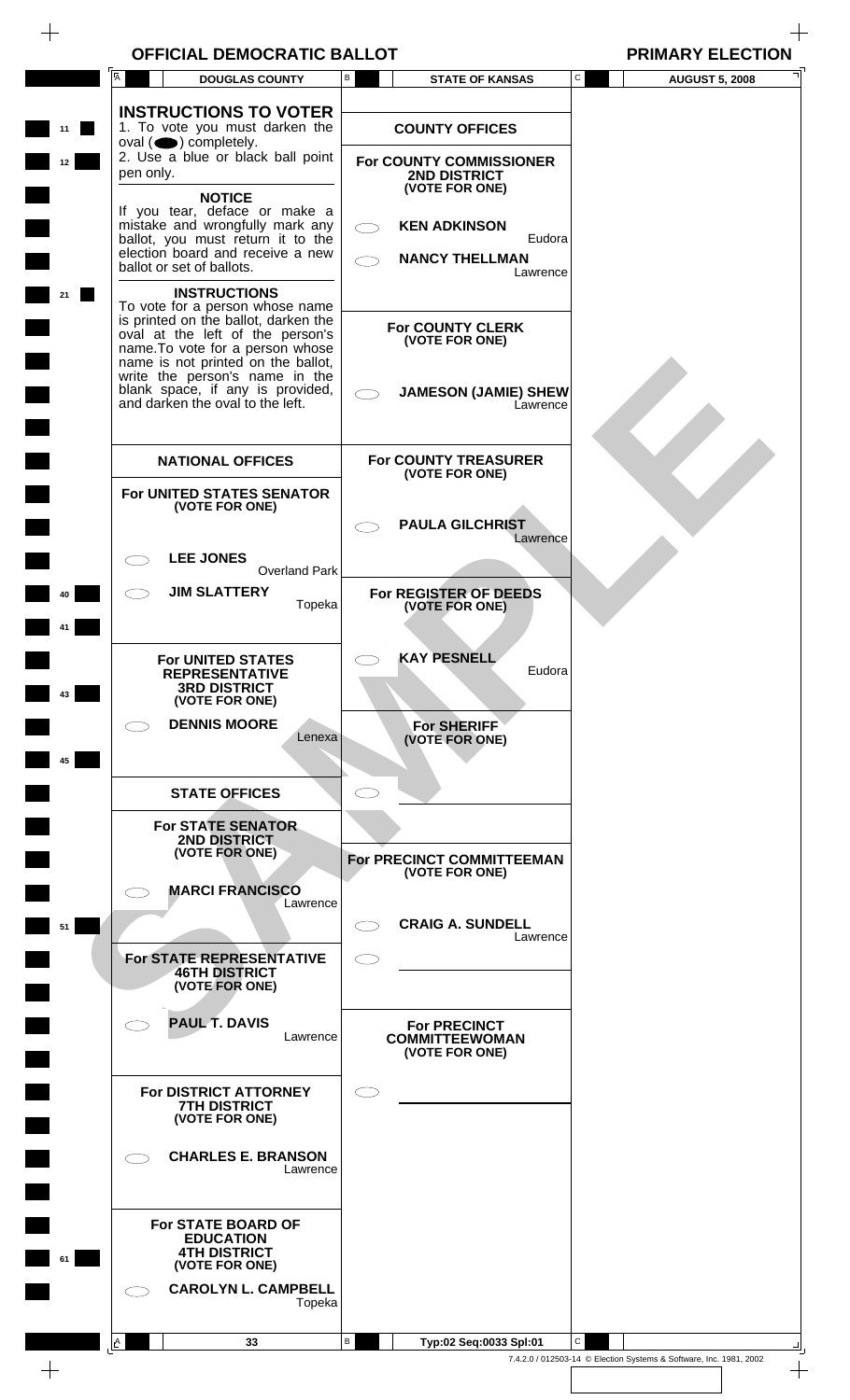$\begin{array}{c} \begin{array}{c} \begin{array}{c} \end{array} \end{array} \end{array}$ 

 $\begin{array}{c} \begin{array}{c} \begin{array}{c} \begin{array}{c} \end{array} \end{array} \end{array} \end{array} \end{array}$ 

|    | A<br><b>DOUGLAS COUNTY</b>                                                                                                                                                                                                                                                                                             | $\, {\bf B} \,$     | <b>STATE OF KANSAS</b>                                                               | $\mathtt{C}$ | <b>AUGUST 5, 2008</b> |
|----|------------------------------------------------------------------------------------------------------------------------------------------------------------------------------------------------------------------------------------------------------------------------------------------------------------------------|---------------------|--------------------------------------------------------------------------------------|--------------|-----------------------|
| 11 | <b>INSTRUCTIONS TO VOTER</b><br>1. To vote you must darken the<br>$oval(\n\bullet)$ completely.                                                                                                                                                                                                                        |                     | <b>COUNTY OFFICES</b>                                                                |              |                       |
| 12 | 2. Use a blue or black ball point<br>pen only.                                                                                                                                                                                                                                                                         |                     | For COUNTY COMMISSIONER<br>2ND DISTRICT                                              |              |                       |
|    | <b>NOTICE</b><br>If you tear, deface or make a<br>mistake and wrongfully mark any                                                                                                                                                                                                                                      | $\subset$ $\supset$ | (VOTE FOR ONE)<br><b>KEN ADKINSON</b>                                                |              |                       |
|    | ballot, you must return it to the<br>election board and receive a new<br>ballot or set of ballots.                                                                                                                                                                                                                     |                     | Eudora<br><b>NANCY THELLMAN</b><br>Lawrence                                          |              |                       |
| 21 | <b>INSTRUCTIONS</b><br>To vote for a person whose name<br>is printed on the ballot, darken the<br>oval at the left of the person's<br>name. To vote for a person whose<br>name is not printed on the ballot,<br>write the person's name in the<br>blank space, if any is provided,<br>and darken the oval to the left. |                     | <b>For COUNTY CLERK</b><br>(VOTE FOR ONE)<br><b>JAMESON (JAMIE) SHEW</b><br>Lawrence |              |                       |
|    | <b>NATIONAL OFFICES</b>                                                                                                                                                                                                                                                                                                |                     | <b>For COUNTY TREASURER</b>                                                          |              |                       |
|    | For UNITED STATES SENATOR                                                                                                                                                                                                                                                                                              |                     | (VOTE FOR ONE)                                                                       |              |                       |
|    | (VOTE FOR ONE)                                                                                                                                                                                                                                                                                                         |                     | <b>PAULA GILCHRIST</b><br>Lawrence                                                   |              |                       |
|    | <b>LEE JONES</b><br><b>Overland Park</b>                                                                                                                                                                                                                                                                               |                     |                                                                                      |              |                       |
| 40 | <b>JIM SLATTERY</b><br>Topeka                                                                                                                                                                                                                                                                                          |                     | For REGISTER OF DEEDS<br>(VOTE FOR ONE)                                              |              |                       |
| 41 |                                                                                                                                                                                                                                                                                                                        |                     | <b>KAY PESNELL</b>                                                                   |              |                       |
| 43 | <b>For UNITED STATES</b><br><b>REPRESENTATIVE</b><br><b>3RD DISTRICT</b><br>(VOTE FOR ONE)                                                                                                                                                                                                                             |                     | Eudora                                                                               |              |                       |
|    | <b>DENNIS MOORE</b><br>Lenexa                                                                                                                                                                                                                                                                                          |                     | <b>For SHERIFF</b><br>(VOTE FOR ONE)                                                 |              |                       |
| 45 | <b>STATE OFFICES</b>                                                                                                                                                                                                                                                                                                   |                     |                                                                                      |              |                       |
|    | <b>For STATE SENATOR</b>                                                                                                                                                                                                                                                                                               |                     |                                                                                      |              |                       |
|    | <b>2ND DISTRICT</b><br>(VOTE FOR ONE)                                                                                                                                                                                                                                                                                  |                     | For PRECINCT COMMITTEEMAN<br>(VOTE FOR ONE)                                          |              |                       |
|    | <b>MARCI FRANCISCO</b><br>Lawrence                                                                                                                                                                                                                                                                                     |                     |                                                                                      |              |                       |
| 51 |                                                                                                                                                                                                                                                                                                                        |                     | <b>CRAIG A. SUNDELL</b><br>Lawrence                                                  |              |                       |
|    | For STATE REPRESENTATIVE<br><b>46TH DISTRICT</b><br>(VOTE FOR ONE)                                                                                                                                                                                                                                                     | $\subset$           |                                                                                      |              |                       |
|    | <b>PAUL T. DAVIS</b><br>Lawrence                                                                                                                                                                                                                                                                                       |                     | <b>For PRECINCT</b><br><b>COMMITTEEWOMAN</b><br>(VOTE FOR ONE)                       |              |                       |
|    | For DISTRICT ATTORNEY<br><b>7TH DISTRICT</b><br>(VOTE FOR ONE)                                                                                                                                                                                                                                                         | $\subset$           |                                                                                      |              |                       |
|    | <b>CHARLES E. BRANSON</b><br>Lawrence                                                                                                                                                                                                                                                                                  |                     |                                                                                      |              |                       |
| 61 | <b>For STATE BOARD OF</b><br><b>EDUCATION</b><br><b>4TH DISTRICT</b><br>(VOTE FOR ONE)                                                                                                                                                                                                                                 |                     |                                                                                      |              |                       |
|    | <b>CAROLYN L. CAMPBELL</b><br>Topeka                                                                                                                                                                                                                                                                                   |                     |                                                                                      |              |                       |
|    | A<br>33                                                                                                                                                                                                                                                                                                                | $\, {\bf B} \,$     | Typ:02 Seq:0033 Spl:01                                                               | C            |                       |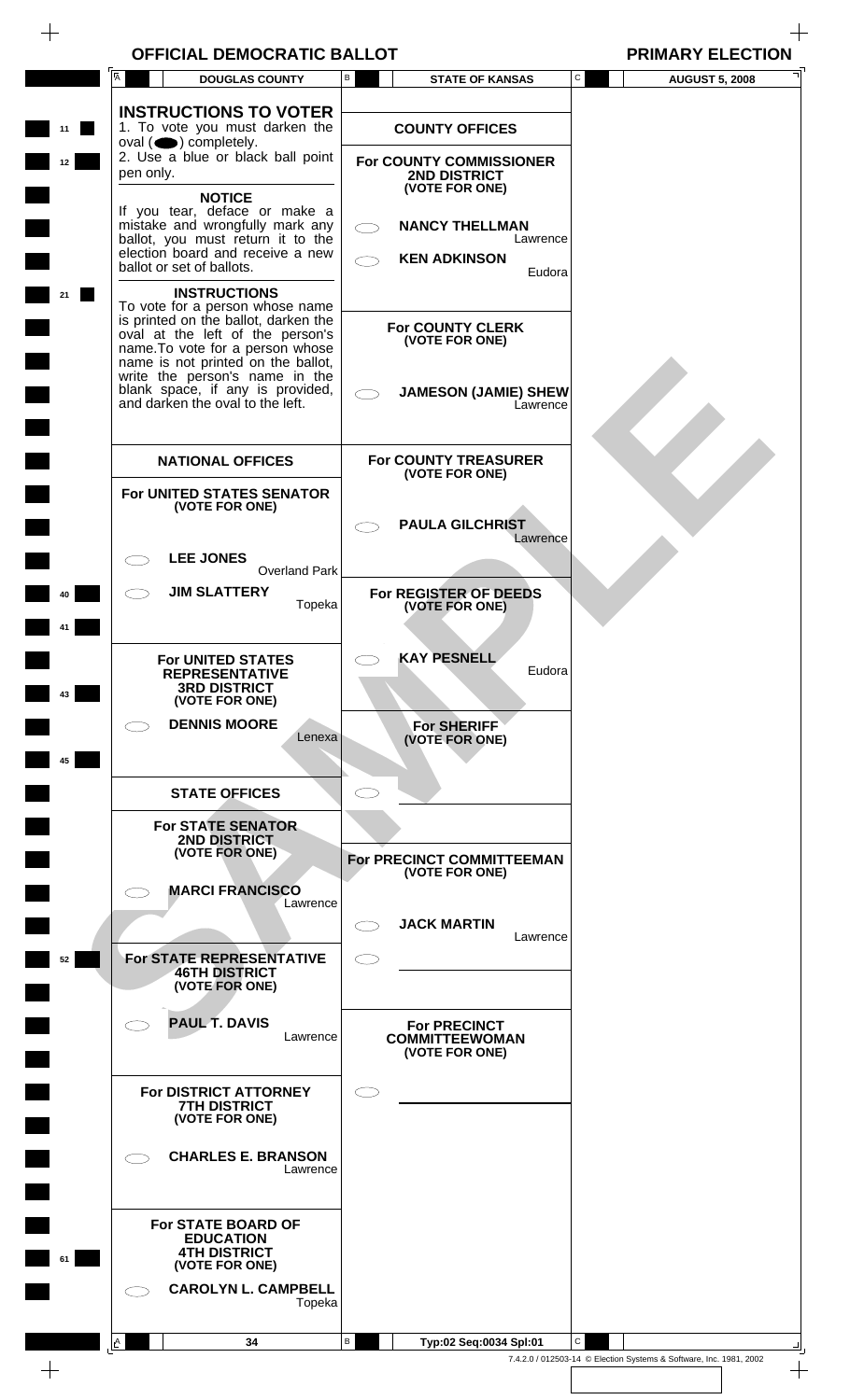$\begin{array}{c} + \end{array}$ 

|          | Ā<br><b>DOUGLAS COUNTY</b>                                                                                                                                                                                                                                                                                             | В        | <b>STATE OF KANSAS</b>                                                                    | C<br><b>AUGUST 5, 2008</b>                                         |
|----------|------------------------------------------------------------------------------------------------------------------------------------------------------------------------------------------------------------------------------------------------------------------------------------------------------------------------|----------|-------------------------------------------------------------------------------------------|--------------------------------------------------------------------|
| 11<br>12 | <b>INSTRUCTIONS TO VOTER</b><br>1. To vote you must darken the<br>oval $($ $\bullet)$ completely.<br>2. Use a blue or black ball point<br>pen only.                                                                                                                                                                    |          | <b>COUNTY OFFICES</b><br><b>For COUNTY COMMISSIONER</b><br>2ND DISTRICT<br>(VOTE FOR ONE) |                                                                    |
|          | <b>NOTICE</b><br>If you tear, deface or make a<br>mistake and wrongfully mark any<br>ballot, you must return it to the<br>election board and receive a new<br>ballot or set of ballots.                                                                                                                                |          | <b>NANCY THELLMAN</b><br>Lawrence<br><b>KEN ADKINSON</b><br>Eudora                        |                                                                    |
| 21       | <b>INSTRUCTIONS</b><br>To vote for a person whose name<br>is printed on the ballot, darken the<br>oval at the left of the person's<br>name. To vote for a person whose<br>name is not printed on the ballot,<br>write the person's name in the<br>blank space, if any is provided,<br>and darken the oval to the left. |          | <b>For COUNTY CLERK</b><br>(VOTE FOR ONE)<br><b>JAMESON (JAMIE) SHEW</b><br>Lawrence      |                                                                    |
|          | <b>NATIONAL OFFICES</b>                                                                                                                                                                                                                                                                                                |          | <b>For COUNTY TREASURER</b><br>(VOTE FOR ONE)                                             |                                                                    |
|          | For UNITED STATES SENATOR<br>(VOTE FOR ONE)                                                                                                                                                                                                                                                                            |          | <b>PAULA GILCHRIST</b><br>Lawrence                                                        |                                                                    |
| 40       | <b>LEE JONES</b><br><b>Overland Park</b><br><b>JIM SLATTERY</b>                                                                                                                                                                                                                                                        | Topeka   | For REGISTER OF DEEDS<br>(VOTE FOR ONE)                                                   |                                                                    |
| 43       | <b>For UNITED STATES</b><br><b>REPRESENTATIVE</b><br><b>3RD DISTRICT</b><br>(VOTE FOR ONE)                                                                                                                                                                                                                             |          | <b>KAY PESNELL</b><br>Eudora                                                              |                                                                    |
| 45       | <b>DENNIS MOORE</b>                                                                                                                                                                                                                                                                                                    | Lenexa   | <b>For SHERIFF</b><br>(VOTE FOR ONE)                                                      |                                                                    |
|          | <b>STATE OFFICES</b>                                                                                                                                                                                                                                                                                                   |          |                                                                                           |                                                                    |
|          | <b>For STATE SENATOR</b><br><b>2ND DISTRICT</b><br>(VOTE FOR ONE)                                                                                                                                                                                                                                                      |          | For PRECINCT COMMITTEEMAN<br>(VOTE FOR ONE)                                               |                                                                    |
|          | <b>MARCI FRANCISCO</b>                                                                                                                                                                                                                                                                                                 | Lawrence | <b>JACK MARTIN</b>                                                                        |                                                                    |
| 52       | For STATE REPRESENTATIVE<br><b>46TH DISTRICT</b><br>(VOTE FOR ONE)                                                                                                                                                                                                                                                     |          | Lawrence                                                                                  |                                                                    |
|          | <b>PAUL T. DAVIS</b>                                                                                                                                                                                                                                                                                                   | Lawrence | <b>For PRECINCT</b><br><b>COMMITTEEWOMAN</b><br>(VOTE FOR ONE)                            |                                                                    |
|          | For DISTRICT ATTORNEY<br><b>7TH DISTRICT</b><br>(VOTE FOR ONE)                                                                                                                                                                                                                                                         |          |                                                                                           |                                                                    |
|          | <b>CHARLES E. BRANSON</b>                                                                                                                                                                                                                                                                                              | Lawrence |                                                                                           |                                                                    |
| 61       | <b>For STATE BOARD OF</b><br><b>EDUCATION</b><br><b>4TH DISTRICT</b><br>(VOTE FOR ONE)<br><b>CAROLYN L. CAMPBELL</b>                                                                                                                                                                                                   | Topeka   |                                                                                           |                                                                    |
|          | 34                                                                                                                                                                                                                                                                                                                     | В        |                                                                                           | C                                                                  |
| $+$      | A                                                                                                                                                                                                                                                                                                                      |          | Typ:02 Seq:0034 Spl:01                                                                    | 7.4.2.0 / 012503-14 © Election Systems & Software, Inc. 1981, 2002 |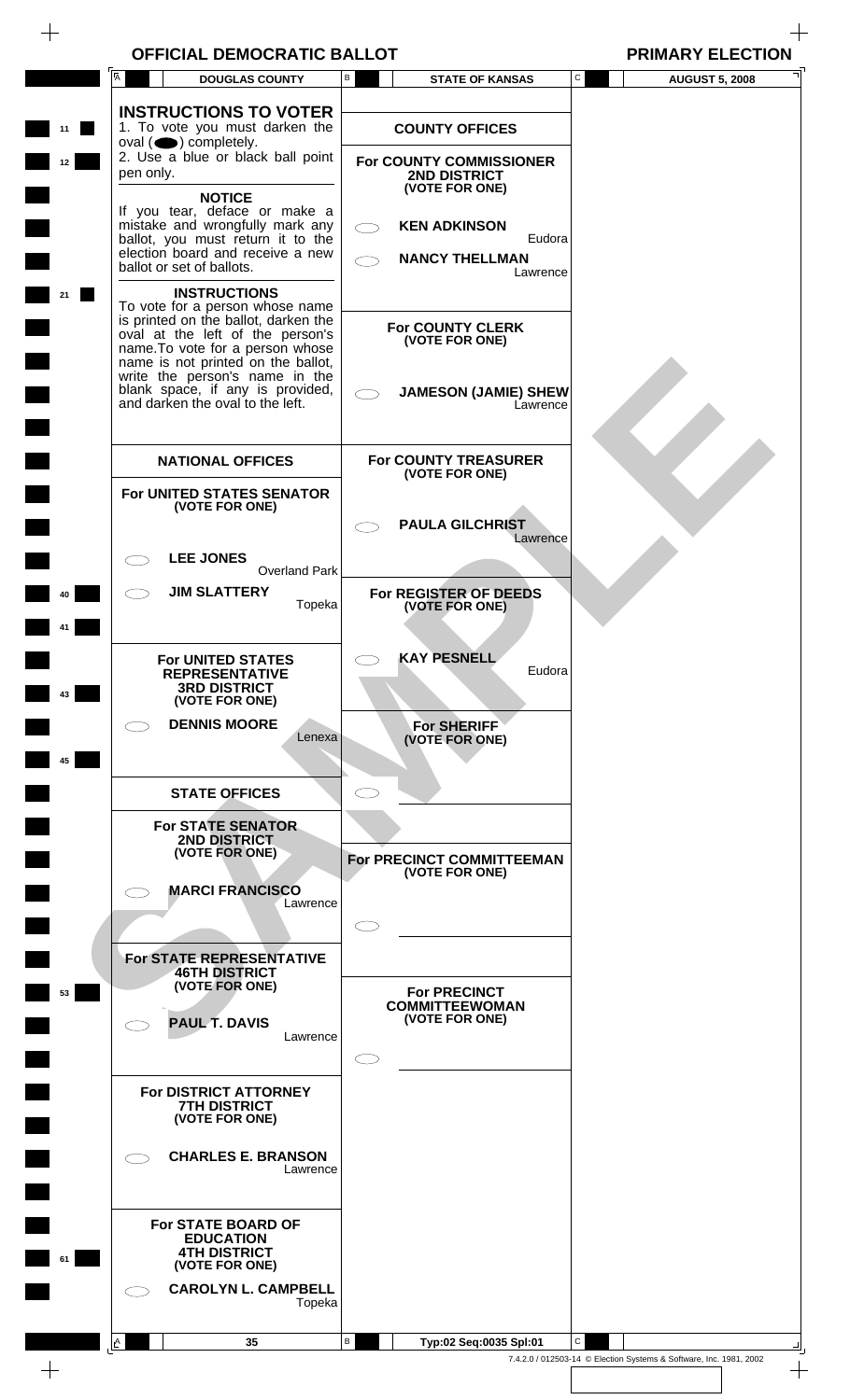$\begin{array}{c} \begin{array}{c} \begin{array}{c} \end{array} \end{array} \end{array}$ 

 $\begin{array}{c} \begin{array}{c} \begin{array}{c} \begin{array}{c} \end{array} \end{array} \end{array} \end{array} \end{array}$ 

| $\overline{A}$ | <b>DOUGLAS COUNTY</b>                                                   | $\mathsf{B}$    | <b>STATE OF KANSAS</b>                        | C<br><b>AUGUST 5, 2008</b> |
|----------------|-------------------------------------------------------------------------|-----------------|-----------------------------------------------|----------------------------|
|                | <b>INSTRUCTIONS TO VOTER</b>                                            |                 |                                               |                            |
|                | 1. To vote you must darken the<br>$oval(\bigodot)$ completely.          |                 | <b>COUNTY OFFICES</b>                         |                            |
|                | 2. Use a blue or black ball point                                       |                 | For COUNTY COMMISSIONER                       |                            |
|                | pen only.                                                               |                 | <b>2ND DISTRICT</b><br>(VOTE FOR ONE)         |                            |
|                | <b>NOTICE</b><br>If you tear, deface or make a                          |                 |                                               |                            |
|                | mistake and wrongfully mark any                                         | $\bigcirc$      | <b>KEN ADKINSON</b>                           |                            |
|                | ballot, you must return it to the<br>election board and receive a new   |                 | Eudora                                        |                            |
|                | ballot or set of ballots.                                               |                 | <b>NANCY THELLMAN</b><br>Lawrence             |                            |
|                | <b>INSTRUCTIONS</b>                                                     |                 |                                               |                            |
|                | To vote for a person whose name<br>is printed on the ballot, darken the |                 |                                               |                            |
|                | oval at the left of the person's                                        |                 | <b>For COUNTY CLERK</b><br>(VOTE FOR ONE)     |                            |
|                | name. To vote for a person whose<br>name is not printed on the ballot,  |                 |                                               |                            |
|                | write the person's name in the<br>blank space, if any is provided,      |                 |                                               |                            |
|                | and darken the oval to the left.                                        |                 | <b>JAMESON (JAMIE) SHEW</b><br>Lawrence       |                            |
|                |                                                                         |                 |                                               |                            |
|                |                                                                         |                 |                                               |                            |
|                | <b>NATIONAL OFFICES</b>                                                 |                 | <b>For COUNTY TREASURER</b><br>(VOTE FOR ONE) |                            |
|                | For UNITED STATES SENATOR                                               |                 |                                               |                            |
|                | (VOTE FOR ONE)                                                          |                 | <b>PAULA GILCHRIST</b>                        |                            |
|                |                                                                         |                 | Lawrence                                      |                            |
|                | <b>LEE JONES</b><br><b>Overland Park</b>                                |                 |                                               |                            |
|                | <b>JIM SLATTERY</b>                                                     |                 | For REGISTER OF DEEDS                         |                            |
|                | Topeka                                                                  |                 | (VOTE FOR ONE)                                |                            |
|                |                                                                         |                 |                                               |                            |
|                |                                                                         |                 | <b>KAY PESNELL</b>                            |                            |
|                | <b>For UNITED STATES</b><br><b>REPRESENTATIVE</b>                       |                 | Eudora                                        |                            |
|                | <b>3RD DISTRICT</b><br>(VOTE FOR ONE)                                   |                 |                                               |                            |
|                | <b>DENNIS MOORE</b>                                                     |                 |                                               |                            |
|                | Lenexa                                                                  |                 | <b>For SHERIFF</b><br>(VOTE FOR ONE)          |                            |
|                |                                                                         |                 |                                               |                            |
|                | <b>STATE OFFICES</b>                                                    |                 |                                               |                            |
|                |                                                                         |                 |                                               |                            |
|                | <b>For STATE SENATOR</b>                                                |                 |                                               |                            |
|                | <b>2ND DISTRICT</b><br>(VOTE FOR ONE)                                   |                 | For PRECINCT COMMITTEEMAN                     |                            |
|                |                                                                         |                 | (VOTE FOR ONE)                                |                            |
|                | <b>MARCI FRANCISCO</b><br>Lawrence                                      |                 |                                               |                            |
|                |                                                                         |                 |                                               |                            |
|                |                                                                         |                 |                                               |                            |
|                | For STATE REPRESENTATIVE<br><b>46TH DISTRICT</b>                        |                 |                                               |                            |
|                | (VOTE FOR ONE)                                                          |                 | <b>For PRECINCT</b>                           |                            |
|                |                                                                         |                 | <b>COMMITTEEWOMAN</b><br>(VOTE FOR ONE)       |                            |
|                | <b>PAUL T. DAVIS</b><br>Lawrence                                        |                 |                                               |                            |
|                |                                                                         |                 |                                               |                            |
|                |                                                                         |                 |                                               |                            |
|                | For DISTRICT ATTORNEY<br><b>7TH DISTRICT</b>                            |                 |                                               |                            |
|                | (VOTE FOR ONE)                                                          |                 |                                               |                            |
|                | <b>CHARLES E. BRANSON</b>                                               |                 |                                               |                            |
|                | Lawrence                                                                |                 |                                               |                            |
|                |                                                                         |                 |                                               |                            |
|                |                                                                         |                 |                                               |                            |
|                | <b>For STATE BOARD OF</b><br><b>EDUCATION</b>                           |                 |                                               |                            |
|                | <b>4TH DISTRICT</b><br>(VOTE FOR ONE)                                   |                 |                                               |                            |
|                | <b>CAROLYN L. CAMPBELL</b>                                              |                 |                                               |                            |
|                | Topeka                                                                  |                 |                                               |                            |
|                |                                                                         |                 |                                               |                            |
|                |                                                                         | $\, {\bf B} \,$ |                                               |                            |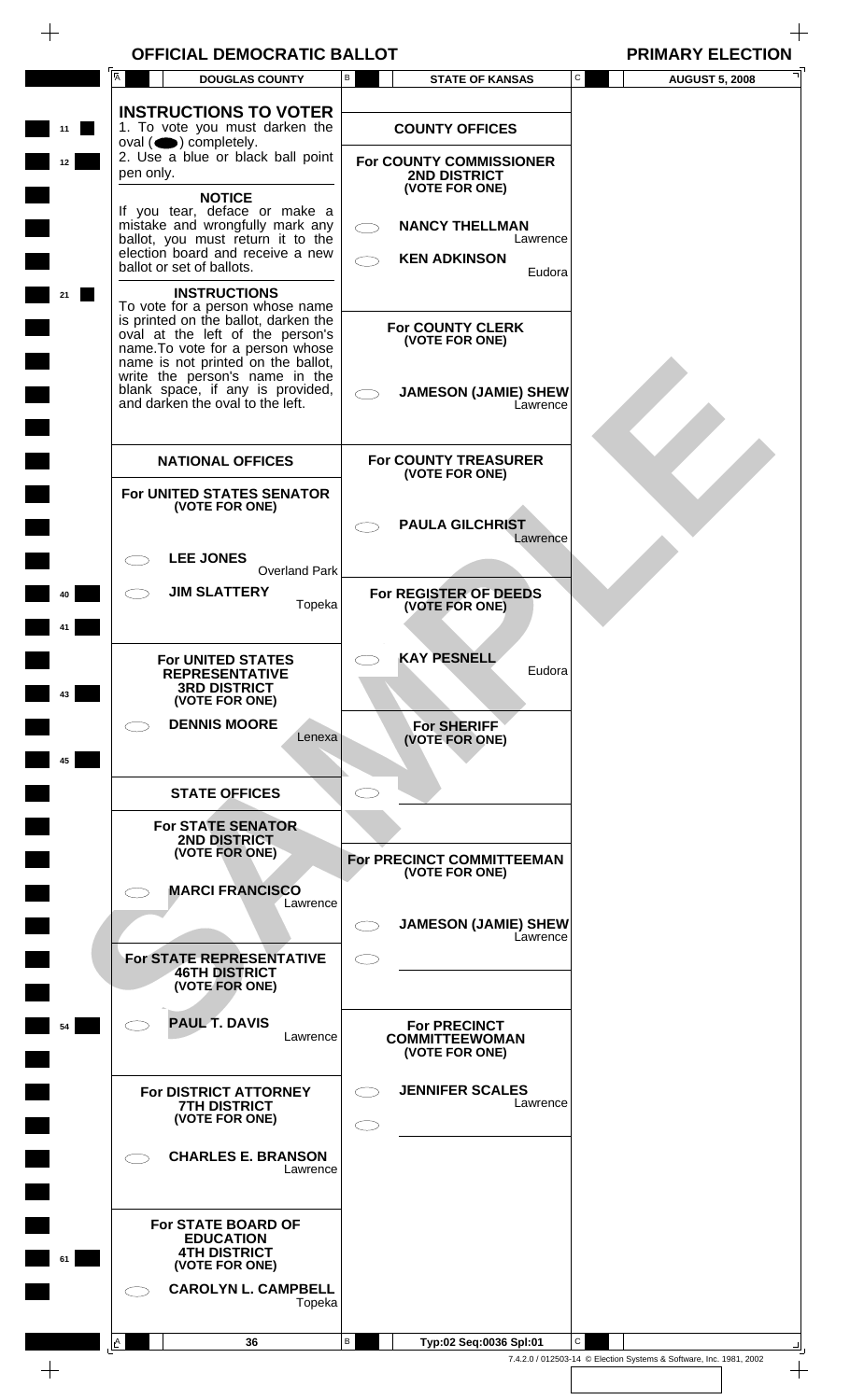$\begin{array}{c} + \end{array}$ 

|                   | Ā<br><b>DOUGLAS COUNTY</b>                                                                                                                                                           | В          | <b>STATE OF KANSAS</b>                                         | С | <b>AUGUST 5, 2008</b>                                              |
|-------------------|--------------------------------------------------------------------------------------------------------------------------------------------------------------------------------------|------------|----------------------------------------------------------------|---|--------------------------------------------------------------------|
| 11                | <b>INSTRUCTIONS TO VOTER</b><br>1. To vote you must darken the<br>$oval(\n\bullet)$ completely.                                                                                      |            | <b>COUNTY OFFICES</b>                                          |   |                                                                    |
| 12                | 2. Use a blue or black ball point<br>pen only.                                                                                                                                       |            | For COUNTY COMMISSIONER<br>2ND DISTRICT<br>(VOTE FOR ONE)      |   |                                                                    |
|                   | <b>NOTICE</b><br>If you tear, deface or make a<br>mistake and wrongfully mark any<br>ballot, you must return it to the<br>election board and receive a new                           |            | <b>NANCY THELLMAN</b><br>Lawrence<br><b>KEN ADKINSON</b>       |   |                                                                    |
| 21                | ballot or set of ballots.<br><b>INSTRUCTIONS</b><br>To vote for a person whose name                                                                                                  |            | Eudora                                                         |   |                                                                    |
|                   | is printed on the ballot, darken the<br>oval at the left of the person's<br>name. To vote for a person whose<br>name is not printed on the ballot,<br>write the person's name in the |            | <b>For COUNTY CLERK</b><br>(VOTE FOR ONE)                      |   |                                                                    |
|                   | blank space, if any is provided,<br>and darken the oval to the left.                                                                                                                 |            | <b>JAMESON (JAMIE) SHEW</b><br>Lawrence                        |   |                                                                    |
|                   | <b>NATIONAL OFFICES</b>                                                                                                                                                              |            | <b>For COUNTY TREASURER</b><br>(VOTE FOR ONE)                  |   |                                                                    |
|                   | For UNITED STATES SENATOR<br>(VOTE FOR ONE)                                                                                                                                          |            | <b>PAULA GILCHRIST</b><br>Lawrence                             |   |                                                                    |
| 40                | <b>LEE JONES</b><br><b>Overland Park</b><br><b>JIM SLATTERY</b>                                                                                                                      |            | For REGISTER OF DEEDS                                          |   |                                                                    |
|                   | Topeka                                                                                                                                                                               |            | (VOTE FOR ONE)                                                 |   |                                                                    |
| 43                | <b>For UNITED STATES</b><br><b>REPRESENTATIVE</b><br><b>3RD DISTRICT</b><br>(VOTE FOR ONE)                                                                                           |            | <b>KAY PESNELL</b><br>Eudora                                   |   |                                                                    |
| 45                | <b>DENNIS MOORE</b><br>Lenexa                                                                                                                                                        |            | <b>For SHERIFF</b><br>(VOTE FOR ONE)                           |   |                                                                    |
|                   | <b>STATE OFFICES</b>                                                                                                                                                                 |            |                                                                |   |                                                                    |
|                   | <b>For STATE SENATOR</b><br><b>2ND DISTRICT</b><br>(VOTE FOR ONE)                                                                                                                    |            | For PRECINCT COMMITTEEMAN<br>(VOTE FOR ONE)                    |   |                                                                    |
|                   | <b>MARCI FRANCISCO</b><br>Lawrence                                                                                                                                                   |            |                                                                |   |                                                                    |
|                   | For STATE REPRESENTATIVE<br><b>46TH DISTRICT</b>                                                                                                                                     | $\subset$  | <b>JAMESON (JAMIE) SHEW</b><br>Lawrence                        |   |                                                                    |
|                   | (VOTE FOR ONE)<br><b>PAUL T. DAVIS</b>                                                                                                                                               |            |                                                                |   |                                                                    |
| 54                | Lawrence                                                                                                                                                                             |            | <b>For PRECINCT</b><br><b>COMMITTEEWOMAN</b><br>(VOTE FOR ONE) |   |                                                                    |
|                   | For DISTRICT ATTORNEY<br><b>7TH DISTRICT</b><br>(VOTE FOR ONE)                                                                                                                       | $\sqrt{2}$ | <b>JENNIFER SCALES</b><br>Lawrence                             |   |                                                                    |
|                   | <b>CHARLES E. BRANSON</b><br>Lawrence                                                                                                                                                |            |                                                                |   |                                                                    |
| 61                | For STATE BOARD OF<br><b>EDUCATION</b><br><b>4TH DISTRICT</b><br>(VOTE FOR ONE)                                                                                                      |            |                                                                |   |                                                                    |
|                   | <b>CAROLYN L. CAMPBELL</b><br>Topeka                                                                                                                                                 |            |                                                                |   |                                                                    |
|                   | A<br>36                                                                                                                                                                              | В          | Typ:02 Seq:0036 Spl:01                                         | C | 7.4.2.0 / 012503-14 © Election Systems & Software, Inc. 1981, 2002 |
| $\qquad \qquad +$ |                                                                                                                                                                                      |            |                                                                |   |                                                                    |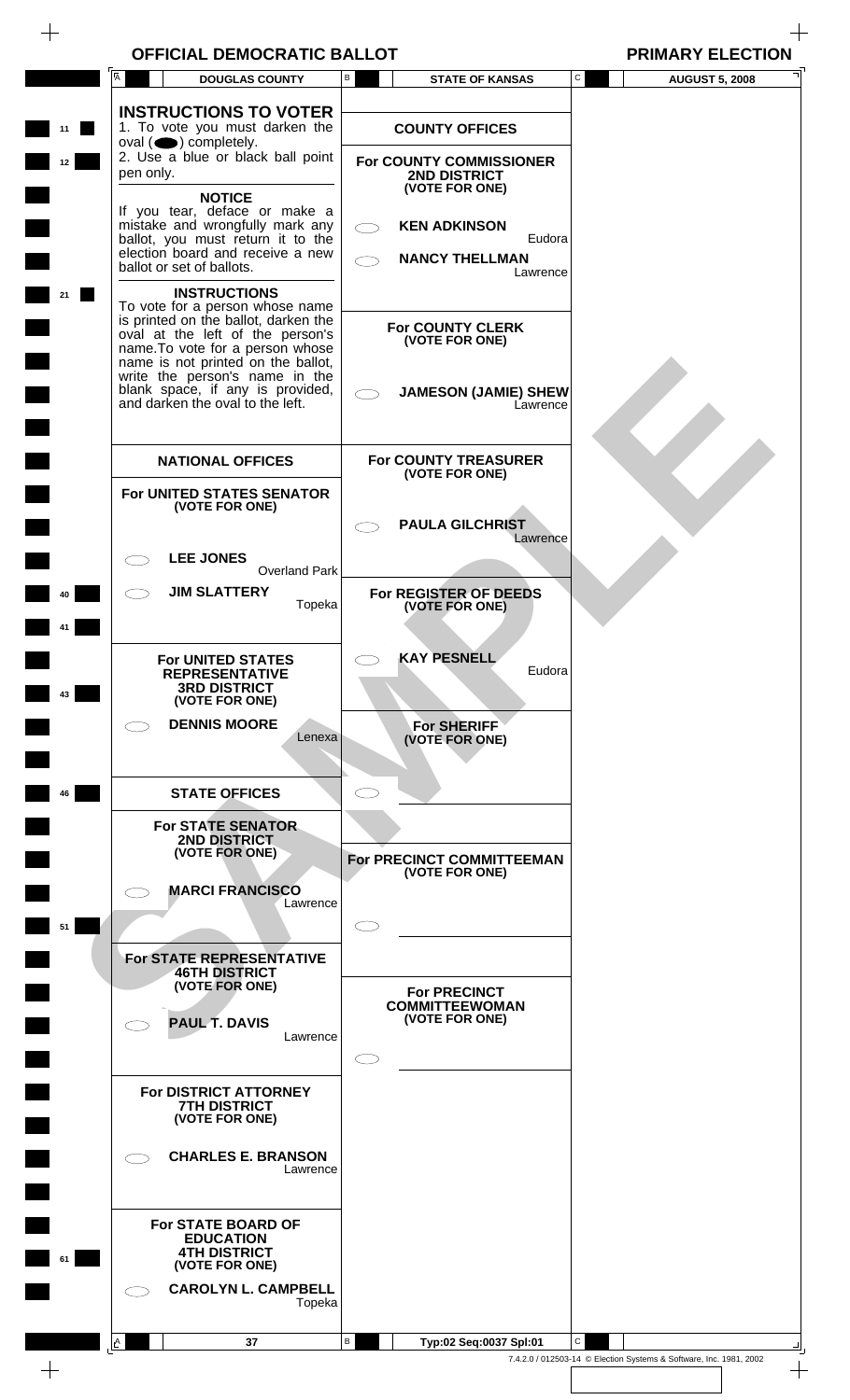$\frac{1}{\sqrt{2}}$ 

 $\begin{array}{c} \begin{array}{c} \begin{array}{c} \begin{array}{c} \end{array} \end{array} \end{array} \end{array} \end{array}$ 

| $\overline{A}$ |           | <b>DOUGLAS COUNTY</b>                                                | $\mathsf{B}$    |            | <b>STATE OF KANSAS</b>                       | C | <b>AUGUST 5, 2008</b> |
|----------------|-----------|----------------------------------------------------------------------|-----------------|------------|----------------------------------------------|---|-----------------------|
|                |           | <b>INSTRUCTIONS TO VOTER</b>                                         |                 |            |                                              |   |                       |
|                |           | 1. To vote you must darken the<br>$oval(\n\bullet)$ completely.      |                 |            | <b>COUNTY OFFICES</b>                        |   |                       |
|                |           | 2. Use a blue or black ball point                                    |                 |            | For COUNTY COMMISSIONER                      |   |                       |
|                | pen only. |                                                                      |                 |            | <b>2ND DISTRICT</b>                          |   |                       |
|                |           | <b>NOTICE</b>                                                        |                 |            | (VOTE FOR ONE)                               |   |                       |
|                |           | If you tear, deface or make a<br>mistake and wrongfully mark any     |                 |            | <b>KEN ADKINSON</b>                          |   |                       |
|                |           | ballot, you must return it to the                                    |                 | $\bigcirc$ | Eudora                                       |   |                       |
|                |           | election board and receive a new<br>ballot or set of ballots.        |                 |            | <b>NANCY THELLMAN</b>                        |   |                       |
|                |           |                                                                      |                 |            | Lawrence                                     |   |                       |
|                |           | <b>INSTRUCTIONS</b><br>To vote for a person whose name               |                 |            |                                              |   |                       |
|                |           | is printed on the ballot, darken the                                 |                 |            | <b>For COUNTY CLERK</b>                      |   |                       |
|                |           | oval at the left of the person's<br>name. To vote for a person whose |                 |            | (VOTE FOR ONE)                               |   |                       |
|                |           | name is not printed on the ballot,<br>write the person's name in the |                 |            |                                              |   |                       |
|                |           | blank space, if any is provided,                                     |                 |            | <b>JAMESON (JAMIE) SHEW</b>                  |   |                       |
|                |           | and darken the oval to the left.                                     |                 |            | Lawrence                                     |   |                       |
|                |           |                                                                      |                 |            |                                              |   |                       |
|                |           | <b>NATIONAL OFFICES</b>                                              |                 |            | <b>For COUNTY TREASURER</b>                  |   |                       |
|                |           |                                                                      |                 |            | (VOTE FOR ONE)                               |   |                       |
|                |           | For UNITED STATES SENATOR                                            |                 |            |                                              |   |                       |
|                |           | (VOTE FOR ONE)                                                       |                 |            | <b>PAULA GILCHRIST</b>                       |   |                       |
|                |           |                                                                      |                 |            | Lawrence                                     |   |                       |
|                |           | <b>LEE JONES</b>                                                     |                 |            |                                              |   |                       |
|                |           | <b>Overland Park</b><br><b>JIM SLATTERY</b>                          |                 |            |                                              |   |                       |
|                |           |                                                                      | Topeka          |            | For REGISTER OF DEEDS<br>(VOTE FOR ONE)      |   |                       |
|                |           |                                                                      |                 |            |                                              |   |                       |
|                |           |                                                                      |                 |            |                                              |   |                       |
|                |           | <b>For UNITED STATES</b><br><b>REPRESENTATIVE</b>                    |                 |            | <b>KAY PESNELL</b><br>Eudora                 |   |                       |
|                |           | <b>3RD DISTRICT</b>                                                  |                 |            |                                              |   |                       |
|                |           | (VOTE FOR ONE)                                                       |                 |            |                                              |   |                       |
|                |           | <b>DENNIS MOORE</b>                                                  | Lenexa          |            | <b>For SHERIFF</b><br>(VOTE FOR ONE)         |   |                       |
|                |           |                                                                      |                 |            |                                              |   |                       |
|                |           |                                                                      |                 |            |                                              |   |                       |
|                |           | <b>STATE OFFICES</b>                                                 |                 |            |                                              |   |                       |
|                |           | <b>For STATE SENATOR</b>                                             |                 |            |                                              |   |                       |
|                |           | <b>2ND DISTRICT</b><br>(VOTE FOR ONE)                                |                 |            |                                              |   |                       |
|                |           |                                                                      |                 |            | For PRECINCT COMMITTEEMAN<br>(VOTE FOR ONE)  |   |                       |
|                |           | <b>MARCI FRANCISCO</b>                                               |                 |            |                                              |   |                       |
|                |           |                                                                      | Lawrence        |            |                                              |   |                       |
|                |           |                                                                      |                 |            |                                              |   |                       |
|                |           | For STATE REPRESENTATIVE                                             |                 |            |                                              |   |                       |
|                |           | <b>46TH DISTRICT</b>                                                 |                 |            |                                              |   |                       |
|                |           | (VOTE FOR ONE)                                                       |                 |            | <b>For PRECINCT</b><br><b>COMMITTEEWOMAN</b> |   |                       |
|                |           | <b>PAUL T. DAVIS</b>                                                 |                 |            | (VOTE FOR ONE)                               |   |                       |
|                |           |                                                                      | Lawrence        |            |                                              |   |                       |
|                |           |                                                                      |                 |            |                                              |   |                       |
|                |           | For DISTRICT ATTORNEY                                                |                 |            |                                              |   |                       |
|                |           | <b>7TH DISTRICT</b>                                                  |                 |            |                                              |   |                       |
|                |           | (VOTE FOR ONE)                                                       |                 |            |                                              |   |                       |
|                |           | <b>CHARLES E. BRANSON</b>                                            |                 |            |                                              |   |                       |
|                |           |                                                                      | Lawrence        |            |                                              |   |                       |
|                |           |                                                                      |                 |            |                                              |   |                       |
|                |           | For STATE BOARD OF                                                   |                 |            |                                              |   |                       |
|                |           | <b>EDUCATION</b>                                                     |                 |            |                                              |   |                       |
|                |           | <b>4TH DISTRICT</b><br>(VOTE FOR ONE)                                |                 |            |                                              |   |                       |
|                |           | <b>CAROLYN L. CAMPBELL</b>                                           |                 |            |                                              |   |                       |
|                |           |                                                                      | Topeka          |            |                                              |   |                       |
|                |           |                                                                      |                 |            |                                              |   |                       |
| A              |           | 37                                                                   | $\, {\bf B} \,$ |            | Typ:02 Seq:0037 Spl:01                       | C |                       |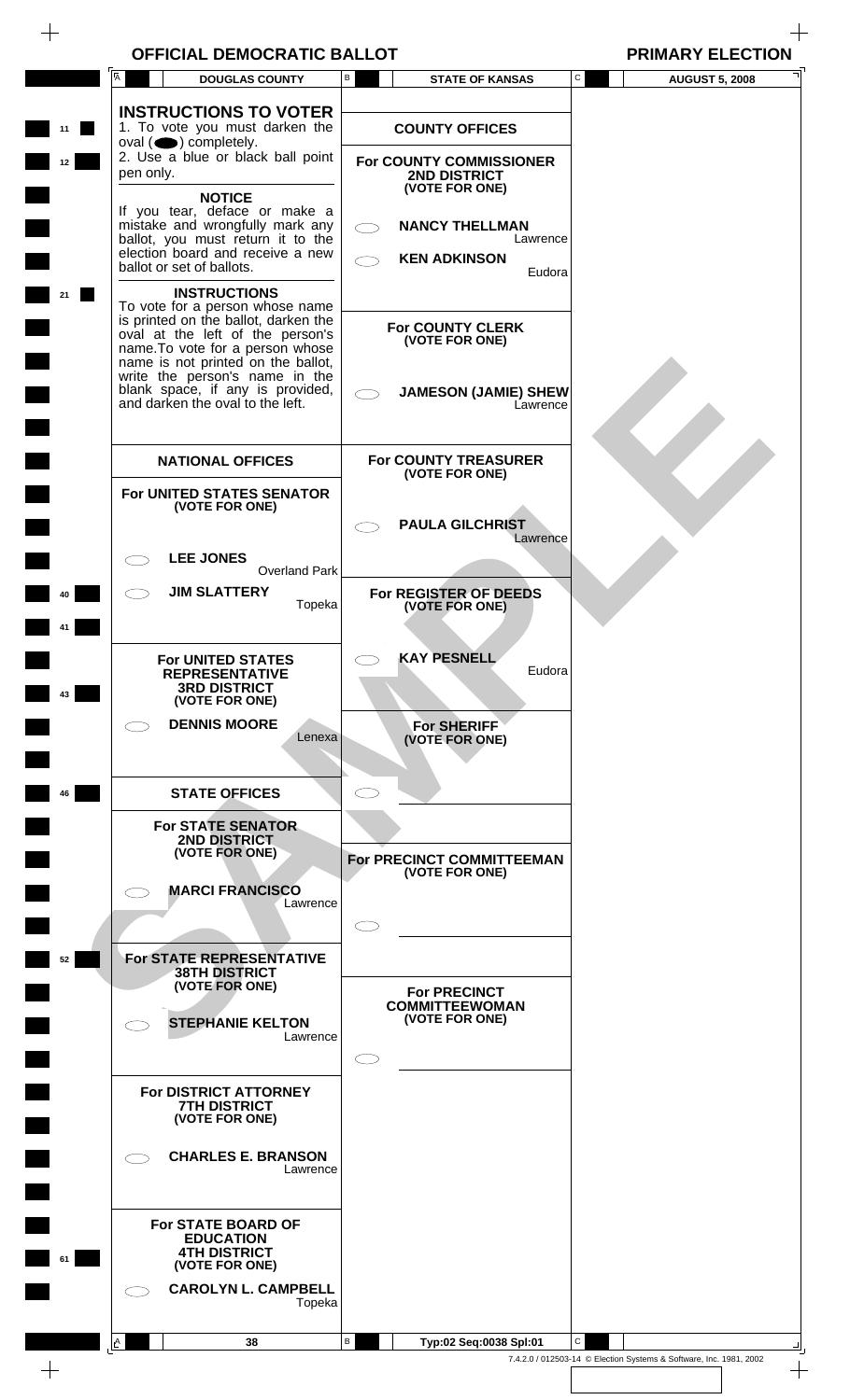$\qquad \qquad +$ 

|     | Ā         | <b>DOUGLAS COUNTY</b>                                                                                                                                                                                                   | В | <b>STATE OF KANSAS</b>                                         | С            | <b>AUGUST 5, 2008</b>                                              |
|-----|-----------|-------------------------------------------------------------------------------------------------------------------------------------------------------------------------------------------------------------------------|---|----------------------------------------------------------------|--------------|--------------------------------------------------------------------|
|     |           | <b>INSTRUCTIONS TO VOTER</b>                                                                                                                                                                                            |   |                                                                |              |                                                                    |
| 11  |           | 1. To vote you must darken the<br>$oval(\n\bullet)$ completely.                                                                                                                                                         |   | <b>COUNTY OFFICES</b>                                          |              |                                                                    |
| 12  | pen only. | 2. Use a blue or black ball point                                                                                                                                                                                       |   | For COUNTY COMMISSIONER<br>2ND DISTRICT<br>(VOTE FOR ONE)      |              |                                                                    |
|     |           | <b>NOTICE</b><br>If you tear, deface or make a<br>mistake and wrongfully mark any                                                                                                                                       |   | <b>NANCY THELLMAN</b>                                          |              |                                                                    |
|     |           | ballot, you must return it to the<br>election board and receive a new                                                                                                                                                   |   | Lawrence<br><b>KEN ADKINSON</b>                                |              |                                                                    |
|     |           | ballot or set of ballots.<br><b>INSTRUCTIONS</b>                                                                                                                                                                        |   | Eudora                                                         |              |                                                                    |
| 21  |           | To vote for a person whose name<br>is printed on the ballot, darken the<br>oval at the left of the person's<br>name. To vote for a person whose<br>name is not printed on the ballot,<br>write the person's name in the |   | <b>For COUNTY CLERK</b><br>(VOTE FOR ONE)                      |              |                                                                    |
|     |           | blank space, if any is provided,<br>and darken the oval to the left.                                                                                                                                                    |   | <b>JAMESON (JAMIE) SHEW</b><br>Lawrence                        |              |                                                                    |
|     |           | <b>NATIONAL OFFICES</b>                                                                                                                                                                                                 |   | <b>For COUNTY TREASURER</b>                                    |              |                                                                    |
|     |           | For UNITED STATES SENATOR                                                                                                                                                                                               |   | (VOTE FOR ONE)                                                 |              |                                                                    |
|     |           | (VOTE FOR ONE)                                                                                                                                                                                                          |   | <b>PAULA GILCHRIST</b><br>Lawrence                             |              |                                                                    |
|     |           | <b>LEE JONES</b><br><b>Overland Park</b>                                                                                                                                                                                |   |                                                                |              |                                                                    |
| 40  |           | <b>JIM SLATTERY</b><br>Topeka                                                                                                                                                                                           |   | For REGISTER OF DEEDS<br>(VOTE FOR ONE)                        |              |                                                                    |
|     |           |                                                                                                                                                                                                                         |   |                                                                |              |                                                                    |
| 43  |           | <b>For UNITED STATES</b><br><b>REPRESENTATIVE</b><br><b>3RD DISTRICT</b><br>(VOTE FOR ONE)                                                                                                                              |   | <b>KAY PESNELL</b><br>Eudora                                   |              |                                                                    |
|     |           | <b>DENNIS MOORE</b><br>Lenexa                                                                                                                                                                                           |   | For SHERIFF<br>(VOTE FOR ONE)                                  |              |                                                                    |
| 46  |           | <b>STATE OFFICES</b>                                                                                                                                                                                                    |   |                                                                |              |                                                                    |
|     |           | <b>For STATE SENATOR</b><br><b>2ND DISTRICT</b><br>(VOTE FOR ONE)                                                                                                                                                       |   | For PRECINCT COMMITTEEMAN                                      |              |                                                                    |
|     |           | <b>MARCI FRANCISCO</b>                                                                                                                                                                                                  |   | (VOTE FOR ONE)                                                 |              |                                                                    |
|     |           | Lawrence                                                                                                                                                                                                                |   |                                                                |              |                                                                    |
| 52  |           | For STATE REPRESENTATIVE<br><b>38TH DISTRICT</b>                                                                                                                                                                        |   |                                                                |              |                                                                    |
|     |           | (VOTE FOR ONE)                                                                                                                                                                                                          |   | <b>For PRECINCT</b><br><b>COMMITTEEWOMAN</b><br>(VOTE FOR ONE) |              |                                                                    |
|     |           | <b>STEPHANIE KELTON</b><br>Lawrence                                                                                                                                                                                     |   |                                                                |              |                                                                    |
|     |           | For DISTRICT ATTORNEY<br><b>7TH DISTRICT</b><br>(VOTE FOR ONE)                                                                                                                                                          |   |                                                                |              |                                                                    |
|     |           | <b>CHARLES E. BRANSON</b><br>Lawrence                                                                                                                                                                                   |   |                                                                |              |                                                                    |
| 61  |           | For STATE BOARD OF<br><b>EDUCATION</b><br><b>4TH DISTRICT</b><br>(VOTE FOR ONE)                                                                                                                                         |   |                                                                |              |                                                                    |
|     |           | <b>CAROLYN L. CAMPBELL</b><br>Topeka                                                                                                                                                                                    |   |                                                                |              |                                                                    |
|     | A         | 38                                                                                                                                                                                                                      | B | Typ:02 Seq:0038 Spl:01                                         | $\mathsf{C}$ |                                                                    |
| $+$ |           |                                                                                                                                                                                                                         |   |                                                                |              | 7.4.2.0 / 012503-14 © Election Systems & Software, Inc. 1981, 2002 |
|     |           |                                                                                                                                                                                                                         |   |                                                                |              |                                                                    |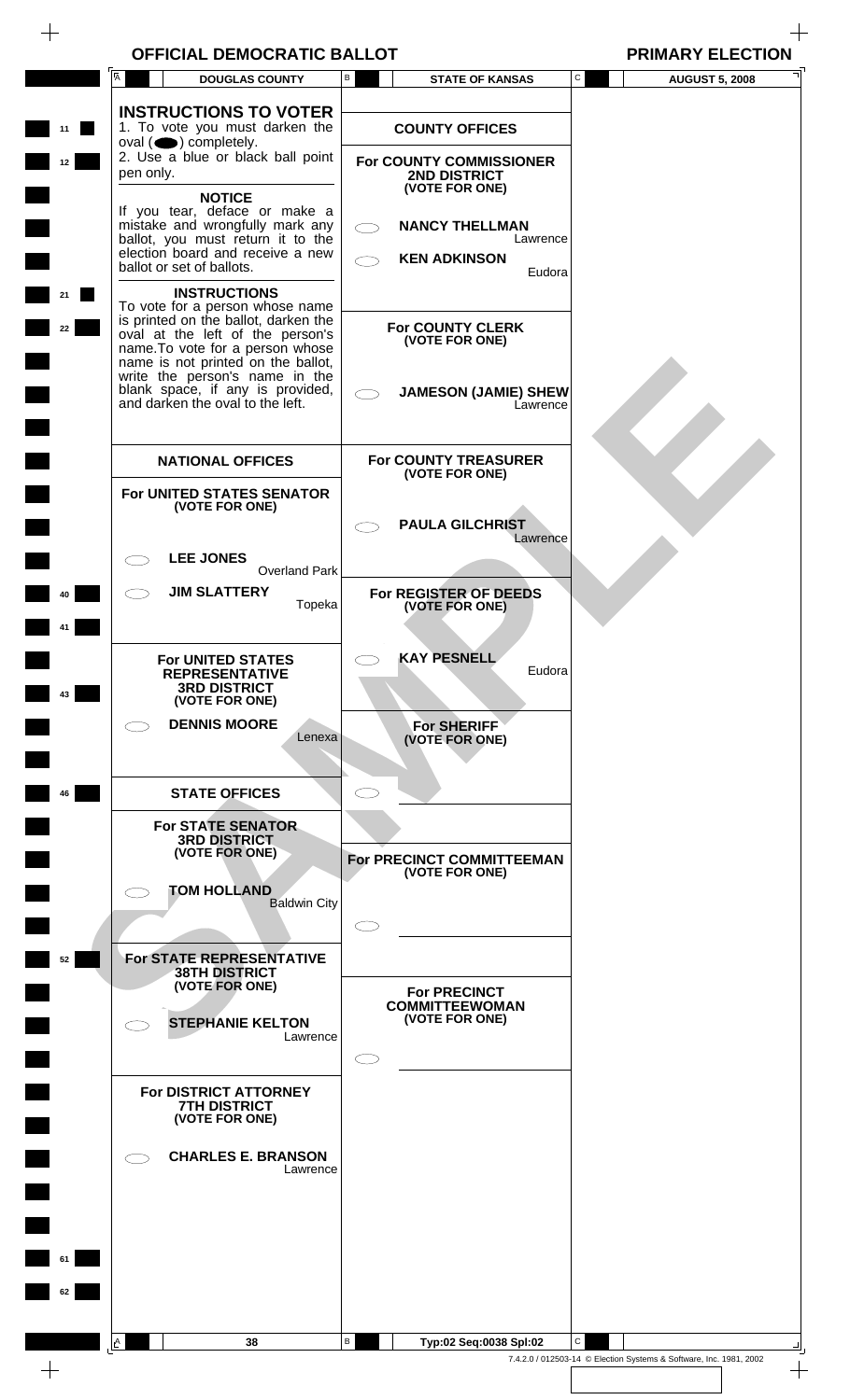$\begin{array}{c} \begin{array}{c} \begin{array}{c} \end{array} \end{array} \end{array}$ 

 $\begin{array}{c} \begin{array}{c} \begin{array}{c} \begin{array}{c} \end{array} \end{array} \end{array} \end{array} \end{array}$ 

|          | $\overline{A}$<br><b>DOUGLAS COUNTY</b>                                                                                                                                                 | B<br><b>STATE OF KANSAS</b>                                                    | $\mathtt{C}$ | <b>AUGUST 5, 2008</b> |
|----------|-----------------------------------------------------------------------------------------------------------------------------------------------------------------------------------------|--------------------------------------------------------------------------------|--------------|-----------------------|
| 11<br>12 | <b>INSTRUCTIONS TO VOTER</b><br>1. To vote you must darken the<br>$oval(\n\bullet)$ completely.<br>2. Use a blue or black ball point<br>pen only.                                       | <b>COUNTY OFFICES</b><br>For COUNTY COMMISSIONER                               |              |                       |
|          | <b>NOTICE</b><br>If you tear, deface or make a<br>mistake and wrongfully mark any<br>ballot, you must return it to the<br>election board and receive a new<br>ballot or set of ballots. | 2ND DISTRICT<br>(VOTE FOR ONE)<br><b>NANCY THELLMAN</b><br><b>KEN ADKINSON</b> | Lawrence     |                       |
| 21       | <b>INSTRUCTIONS</b><br>To vote for a person whose name<br>is printed on the ballot, darken the                                                                                          |                                                                                | Eudora       |                       |
| 22       | oval at the left of the person's<br>name. To vote for a person whose<br>name is not printed on the ballot,<br>write the person's name in the<br>blank space, if any is provided,        | <b>For COUNTY CLERK</b><br>(VOTE FOR ONE)<br><b>JAMESON (JAMIE) SHEW</b>       |              |                       |
|          | and darken the oval to the left.                                                                                                                                                        |                                                                                | Lawrence     |                       |
|          | <b>NATIONAL OFFICES</b>                                                                                                                                                                 | <b>For COUNTY TREASURER</b><br>(VOTE FOR ONE)                                  |              |                       |
|          | For UNITED STATES SENATOR<br>(VOTE FOR ONE)                                                                                                                                             | <b>PAULA GILCHRIST</b>                                                         | Lawrence     |                       |
| 40       | <b>LEE JONES</b><br><b>Overland Park</b><br><b>JIM SLATTERY</b>                                                                                                                         | For REGISTER OF DEEDS                                                          |              |                       |
|          | Topeka                                                                                                                                                                                  | (VOTE FOR ONE)                                                                 |              |                       |
| 43       | For UNITED STATES<br><b>REPRESENTATIVE</b><br><b>3RD DISTRICT</b><br>(VOTE FOR ONE)                                                                                                     | <b>KAY PESNELL</b>                                                             | Eudora       |                       |
|          | <b>DENNIS MOORE</b><br>Lenexa                                                                                                                                                           | <b>For SHERIFF</b><br>(VOTE FOR ONE)                                           |              |                       |
| 46       | <b>STATE OFFICES</b>                                                                                                                                                                    |                                                                                |              |                       |
|          | <b>For STATE SENATOR</b><br><b>3RD DISTRICT</b><br>(VOTE FOR ONE)                                                                                                                       | For PRECINCT COMMITTEEMAN<br>(VOTE FOR ONE)                                    |              |                       |
|          | <b>TOM HOLLAND</b><br><b>Baldwin City</b>                                                                                                                                               |                                                                                |              |                       |
| 52       | For STATE REPRESENTATIVE<br><b>38TH DISTRICT</b>                                                                                                                                        |                                                                                |              |                       |
|          | (VOTE FOR ONE)<br><b>STEPHANIE KELTON</b><br>Lawrence                                                                                                                                   | <b>For PRECINCT</b><br><b>COMMITTEEWOMAN</b><br>(VOTE FOR ONE)                 |              |                       |
|          | For DISTRICT ATTORNEY<br><b>7TH DISTRICT</b><br>(VOTE FOR ONE)                                                                                                                          |                                                                                |              |                       |
|          | <b>CHARLES E. BRANSON</b><br>Lawrence                                                                                                                                                   |                                                                                |              |                       |
|          |                                                                                                                                                                                         |                                                                                |              |                       |
| 61       |                                                                                                                                                                                         |                                                                                |              |                       |
| 62       |                                                                                                                                                                                         |                                                                                |              |                       |
|          | A<br>38                                                                                                                                                                                 | $\, {\bf B} \,$<br>Typ:02 Seq:0038 Spl:02                                      | C            |                       |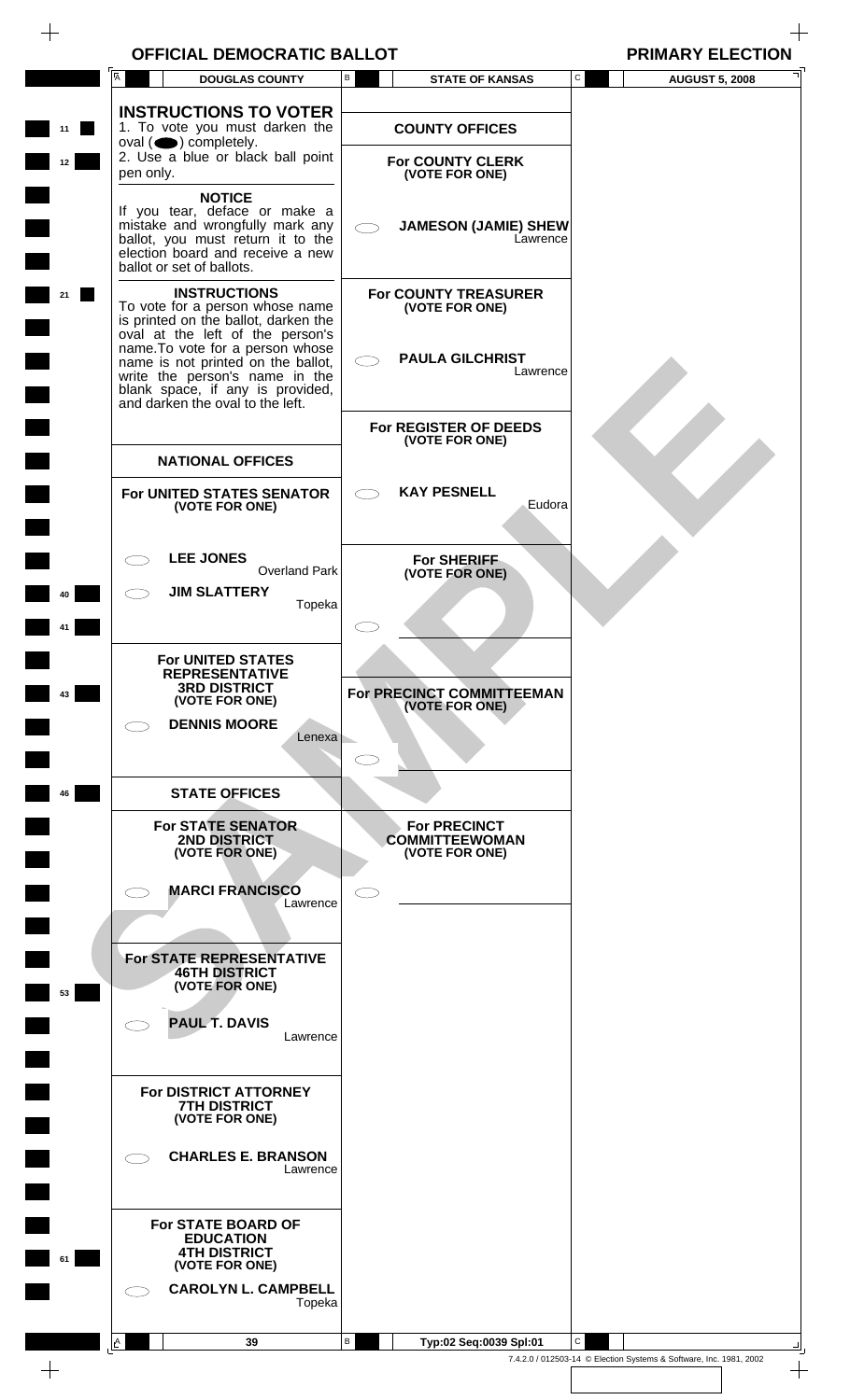$\begin{array}{c} + \end{array}$ 

|          | <b>DOUGLAS COUNTY</b>                                                                                                                                                                                                                                                                                                  | В<br><b>STATE OF KANSAS</b>                                                         | C<br><b>AUGUST 5, 2008</b>                                         |
|----------|------------------------------------------------------------------------------------------------------------------------------------------------------------------------------------------------------------------------------------------------------------------------------------------------------------------------|-------------------------------------------------------------------------------------|--------------------------------------------------------------------|
| 11<br>12 | <b>INSTRUCTIONS TO VOTER</b><br>1. To vote you must darken the<br>oval $($ $\bullet)$ completely.<br>2. Use a blue or black ball point<br>pen only.                                                                                                                                                                    | <b>COUNTY OFFICES</b><br><b>For COUNTY CLERK</b><br>(VOTE FOR ONE)                  |                                                                    |
|          | <b>NOTICE</b><br>If you tear, deface or make a<br>mistake and wrongfully mark any<br>ballot, you must return it to the<br>election board and receive a new<br>ballot or set of ballots.                                                                                                                                | <b>JAMESON (JAMIE) SHEW</b><br>Lawrence                                             |                                                                    |
|          | <b>INSTRUCTIONS</b><br>To vote for a person whose name<br>is printed on the ballot, darken the<br>oval at the left of the person's<br>name. To vote for a person whose<br>name is not printed on the ballot,<br>write the person's name in the<br>blank space, if any is provided,<br>and darken the oval to the left. | <b>For COUNTY TREASURER</b><br>(VOTE FOR ONE)<br><b>PAULA GILCHRIST</b><br>Lawrence |                                                                    |
|          | <b>NATIONAL OFFICES</b>                                                                                                                                                                                                                                                                                                | For REGISTER OF DEEDS<br>(VOTE FOR ONE)                                             |                                                                    |
|          | For UNITED STATES SENATOR<br>(VOTE FOR ONE)                                                                                                                                                                                                                                                                            | <b>KAY PESNELL</b><br>Eudora                                                        |                                                                    |
|          | <b>LEE JONES</b><br><b>Overland Park</b><br><b>JIM SLATTERY</b><br>Topeka                                                                                                                                                                                                                                              | <b>For SHERIFF</b><br>(VOTE FOR ONE)                                                |                                                                    |
| 43       | For UNITED STATES<br><b>REPRESENTATIVE</b><br><b>3RD DISTRICT</b><br>(VOTE FOR ONE)<br><b>DENNIS MOORE</b>                                                                                                                                                                                                             | For PRECINCT COMMITTEEMAN<br>(VOTE FOR ONE)                                         |                                                                    |
|          | Lenexa                                                                                                                                                                                                                                                                                                                 |                                                                                     |                                                                    |
| 46       | <b>STATE OFFICES</b><br><b>For STATE SENATOR</b><br><b>2ND DISTRICT</b><br>(VOTE FOR ONE)                                                                                                                                                                                                                              | <b>For PRECINCT</b><br><b>COMMITTEEWOMAN</b><br>(VOTE FOR ONE)                      |                                                                    |
|          | <b>MARCI FRANCISCO</b><br>Lawrence                                                                                                                                                                                                                                                                                     |                                                                                     |                                                                    |
| 53       | For STATE REPRESENTATIVE<br><b>46TH DISTRICT</b><br>(VOTE FOR ONE)                                                                                                                                                                                                                                                     |                                                                                     |                                                                    |
|          | <b>PAUL T. DAVIS</b><br>Lawrence                                                                                                                                                                                                                                                                                       |                                                                                     |                                                                    |
|          | For DISTRICT ATTORNEY<br><b>7TH DISTRICT</b><br>(VOTE FOR ONE)                                                                                                                                                                                                                                                         |                                                                                     |                                                                    |
|          | <b>CHARLES E. BRANSON</b><br>Lawrence                                                                                                                                                                                                                                                                                  |                                                                                     |                                                                    |
| 61       | <b>For STATE BOARD OF</b><br><b>EDUCATION</b><br><b>4TH DISTRICT</b><br>(VOTE FOR ONE)<br><b>CAROLYN L. CAMPBELL</b><br>Topeka                                                                                                                                                                                         |                                                                                     |                                                                    |
|          | 39<br><u>A</u>                                                                                                                                                                                                                                                                                                         | В<br>Typ:02 Seq:0039 Spl:01                                                         | C                                                                  |
|          |                                                                                                                                                                                                                                                                                                                        |                                                                                     | 7.4.2.0 / 012503-14 © Election Systems & Software, Inc. 1981, 2002 |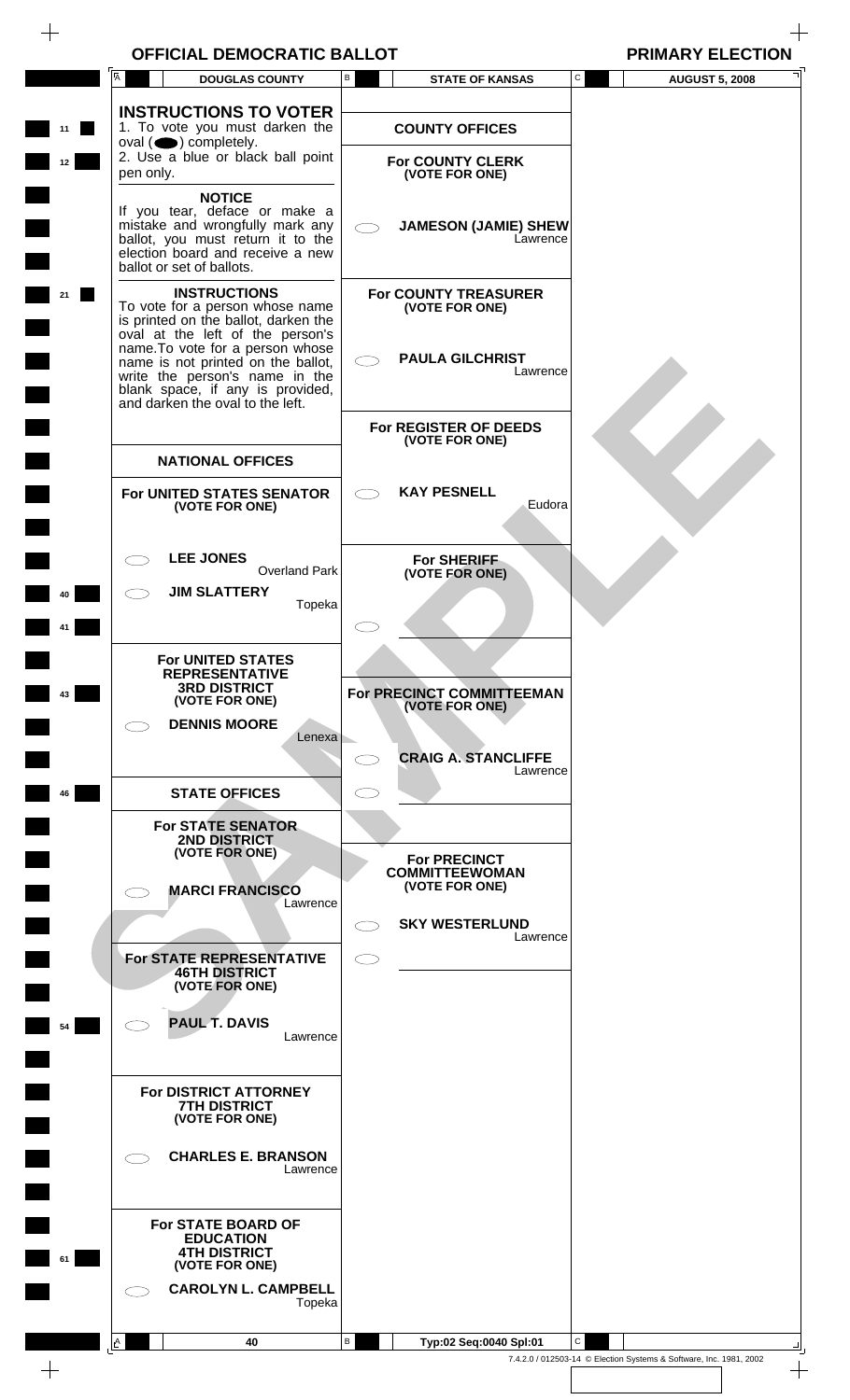$\begin{array}{c} + \end{array}$ 

|    | $\overline{A}$      | <b>DOUGLAS COUNTY</b>                                                                                                                                                                                                                                        | В  | <b>STATE OF KANSAS</b>                                                               | C | <b>AUGUST 5, 2008</b>                                              |
|----|---------------------|--------------------------------------------------------------------------------------------------------------------------------------------------------------------------------------------------------------------------------------------------------------|----|--------------------------------------------------------------------------------------|---|--------------------------------------------------------------------|
| 11 |                     | <b>INSTRUCTIONS TO VOTER</b><br>1. To vote you must darken the<br>oval $($ $\bullet)$ completely.<br>2. Use a blue or black ball point                                                                                                                       |    | <b>COUNTY OFFICES</b>                                                                |   |                                                                    |
| 12 | pen only.           | <b>NOTICE</b><br>If you tear, deface or make a<br>mistake and wrongfully mark any<br>ballot, you must return it to the                                                                                                                                       |    | <b>For COUNTY CLERK</b><br>(VOTE FOR ONE)<br><b>JAMESON (JAMIE) SHEW</b><br>Lawrence |   |                                                                    |
| 21 |                     | election board and receive a new<br>ballot or set of ballots.<br><b>INSTRUCTIONS</b><br>To vote for a person whose name                                                                                                                                      |    | <b>For COUNTY TREASURER</b><br>(VOTE FOR ONE)                                        |   |                                                                    |
|    |                     | is printed on the ballot, darken the<br>oval at the left of the person's<br>name. To vote for a person whose<br>name is not printed on the ballot,<br>write the person's name in the<br>blank space, if any is provided,<br>and darken the oval to the left. |    | <b>PAULA GILCHRIST</b><br>Lawrence                                                   |   |                                                                    |
|    |                     | <b>NATIONAL OFFICES</b>                                                                                                                                                                                                                                      |    | For REGISTER OF DEEDS<br>(VOTE FOR ONE)                                              |   |                                                                    |
|    |                     | For UNITED STATES SENATOR<br>(VOTE FOR ONE)                                                                                                                                                                                                                  |    | <b>KAY PESNELL</b><br>Eudora                                                         |   |                                                                    |
|    |                     | <b>LEE JONES</b><br><b>Overland Park</b><br><b>JIM SLATTERY</b>                                                                                                                                                                                              |    | <b>For SHERIFF</b><br>(VOTE FOR ONE)                                                 |   |                                                                    |
|    |                     | Topeka                                                                                                                                                                                                                                                       |    |                                                                                      |   |                                                                    |
| 43 |                     | For UNITED STATES<br><b>REPRESENTATIVE</b><br><b>3RD DISTRICT</b><br>(VOTE FOR ONE)                                                                                                                                                                          |    | For PRECINCT COMMITTEEMAN<br>(VOTE FOR ONE)                                          |   |                                                                    |
|    |                     | <b>DENNIS MOORE</b><br>Lenexa                                                                                                                                                                                                                                | C  | <b>CRAIG A. STANCLIFFE</b><br>Lawrence                                               |   |                                                                    |
| 46 |                     | <b>STATE OFFICES</b>                                                                                                                                                                                                                                         | ⊂  |                                                                                      |   |                                                                    |
|    |                     | <b>For STATE SENATOR</b><br><b>2ND DISTRICT</b><br>(VOTE FOR ONE)<br><b>MARCI FRANCISCO</b>                                                                                                                                                                  |    | <b>For PRECINCT</b><br><b>COMMITTEEWOMAN</b><br>(VOTE FOR ONE)                       |   |                                                                    |
|    |                     | Lawrence                                                                                                                                                                                                                                                     |    | <b>SKY WESTERLUND</b><br>Lawrence                                                    |   |                                                                    |
|    |                     | For STATE REPRESENTATIVE<br><b>46TH DISTRICT</b><br>(VOTE FOR ONE)                                                                                                                                                                                           | ⊂⊃ |                                                                                      |   |                                                                    |
| 54 |                     | <b>PAUL T. DAVIS</b><br>Lawrence                                                                                                                                                                                                                             |    |                                                                                      |   |                                                                    |
|    |                     | For DISTRICT ATTORNEY<br><b>7TH DISTRICT</b><br>(VOTE FOR ONE)                                                                                                                                                                                               |    |                                                                                      |   |                                                                    |
|    | $\subset$ $\supset$ | <b>CHARLES E. BRANSON</b><br>Lawrence                                                                                                                                                                                                                        |    |                                                                                      |   |                                                                    |
| 61 |                     | For STATE BOARD OF<br><b>EDUCATION</b><br><b>4TH DISTRICT</b><br>(VOTE FOR ONE)<br><b>CAROLYN L. CAMPBELL</b><br>Topeka                                                                                                                                      |    |                                                                                      |   |                                                                    |
|    | <u> 4</u>           | 40                                                                                                                                                                                                                                                           | В  | Typ:02 Seq:0040 Spl:01                                                               | С |                                                                    |
|    |                     |                                                                                                                                                                                                                                                              |    |                                                                                      |   | 7.4.2.0 / 012503-14 © Election Systems & Software, Inc. 1981, 2002 |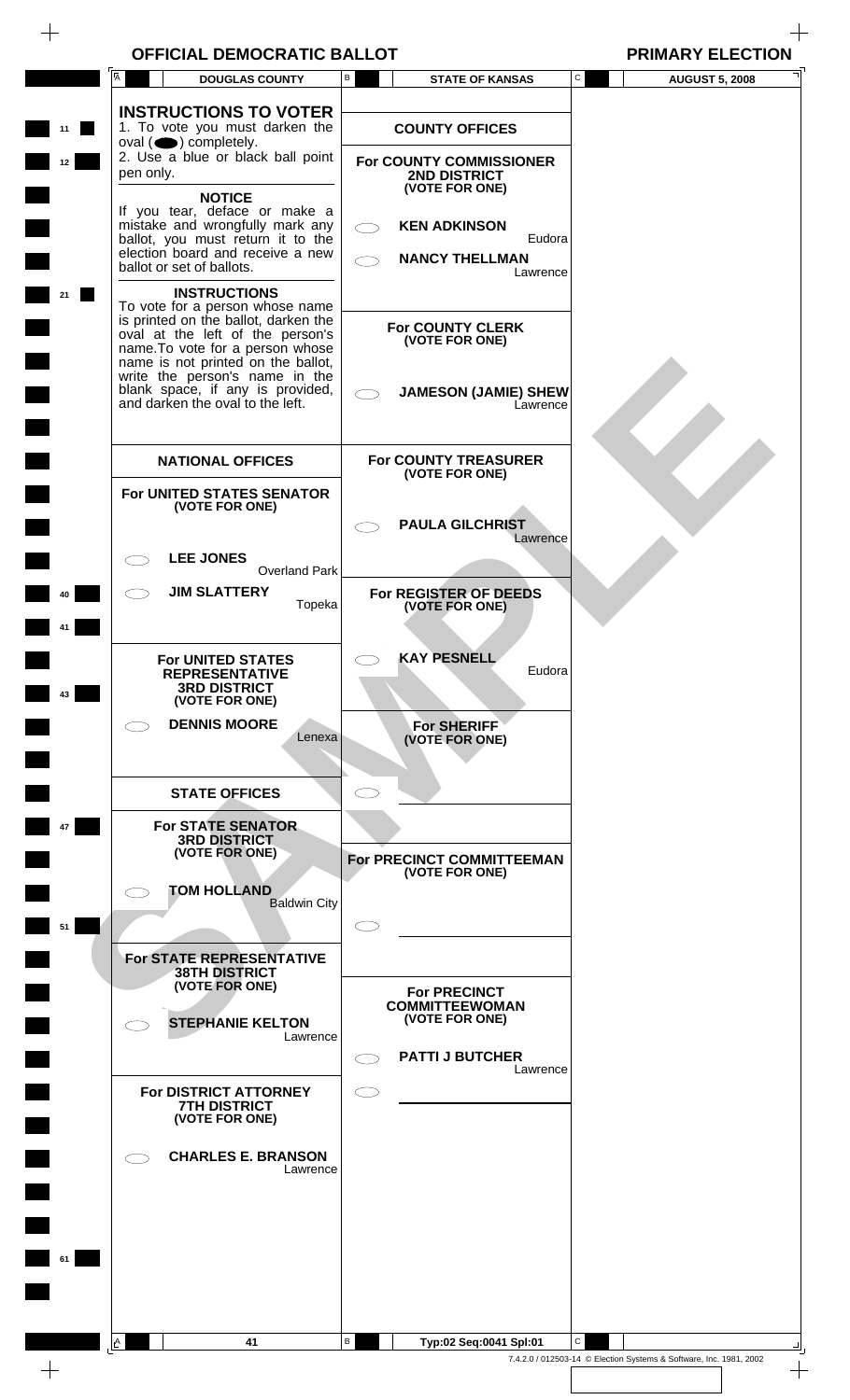$\begin{array}{c} + \end{array}$ 

 $\begin{array}{c} \begin{array}{c} \begin{array}{c} \begin{array}{c} \end{array} \end{array} \end{array} \end{array} \end{array}$ 

| $\overline{A}$<br><b>DOUGLAS COUNTY</b>                                  | $\mathsf{B}$    | <b>STATE OF KANSAS</b>                       | C<br><b>AUGUST 5, 2008</b> |
|--------------------------------------------------------------------------|-----------------|----------------------------------------------|----------------------------|
| <b>INSTRUCTIONS TO VOTER</b>                                             |                 |                                              |                            |
| 1. To vote you must darken the<br>oval $($ $\bullet)$ completely.        |                 | <b>COUNTY OFFICES</b>                        |                            |
| 2. Use a blue or black ball point                                        |                 | For COUNTY COMMISSIONER                      |                            |
| pen only.                                                                |                 | <b>2ND DISTRICT</b>                          |                            |
| <b>NOTICE</b>                                                            |                 | (VOTE FOR ONE)                               |                            |
| If you tear, deface or make a<br>mistake and wrongfully mark any         | $\bigcirc$      | <b>KEN ADKINSON</b>                          |                            |
| ballot, you must return it to the                                        |                 | Eudora                                       |                            |
| election board and receive a new<br>ballot or set of ballots.            |                 | <b>NANCY THELLMAN</b>                        |                            |
|                                                                          |                 | Lawrence                                     |                            |
| <b>INSTRUCTIONS</b><br>To vote for a person whose name                   |                 |                                              |                            |
| is printed on the ballot, darken the<br>oval at the left of the person's |                 | <b>For COUNTY CLERK</b>                      |                            |
| name.To vote for a person whose<br>name is not printed on the ballot,    |                 | (VOTE FOR ONE)                               |                            |
| write the person's name in the                                           |                 |                                              |                            |
| blank space, if any is provided,                                         |                 | <b>JAMESON (JAMIE) SHEW</b>                  |                            |
| and darken the oval to the left.                                         |                 | Lawrence                                     |                            |
|                                                                          |                 |                                              |                            |
| <b>NATIONAL OFFICES</b>                                                  |                 | <b>For COUNTY TREASURER</b>                  |                            |
|                                                                          |                 | (VOTE FOR ONE)                               |                            |
| For UNITED STATES SENATOR                                                |                 |                                              |                            |
| (VOTE FOR ONE)                                                           |                 | <b>PAULA GILCHRIST</b>                       |                            |
|                                                                          |                 | Lawrence                                     |                            |
| <b>LEE JONES</b><br><b>Overland Park</b>                                 |                 |                                              |                            |
| <b>JIM SLATTERY</b>                                                      |                 | For REGISTER OF DEEDS                        |                            |
| Topeka                                                                   |                 | (VOTE FOR ONE)                               |                            |
|                                                                          |                 |                                              |                            |
|                                                                          |                 |                                              |                            |
| <b>For UNITED STATES</b><br><b>REPRESENTATIVE</b>                        |                 | <b>KAY PESNELL</b><br>Eudora                 |                            |
| <b>3RD DISTRICT</b>                                                      |                 |                                              |                            |
| (VOTE FOR ONE)                                                           |                 |                                              |                            |
| <b>DENNIS MOORE</b><br>Lenexa                                            |                 | <b>For SHERIFF</b><br>(VOTE FOR ONE)         |                            |
|                                                                          |                 |                                              |                            |
|                                                                          |                 |                                              |                            |
| <b>STATE OFFICES</b>                                                     |                 |                                              |                            |
| <b>For STATE SENATOR</b>                                                 |                 |                                              |                            |
| <b>3RD DISTRICT</b><br>(VOTE FOR ONE)                                    |                 |                                              |                            |
|                                                                          |                 | For PRECINCT COMMITTEEMAN<br>(VOTE FOR ONE)  |                            |
| <b>TOM HOLLAND</b>                                                       |                 |                                              |                            |
| <b>Baldwin City</b>                                                      |                 |                                              |                            |
|                                                                          |                 |                                              |                            |
| For STATE REPRESENTATIVE                                                 |                 |                                              |                            |
| <b>38TH DISTRICT</b><br>(VOTE FOR ONE)                                   |                 |                                              |                            |
|                                                                          |                 | <b>For PRECINCT</b><br><b>COMMITTEEWOMAN</b> |                            |
| <b>STEPHANIE KELTON</b>                                                  |                 | (VOTE FOR ONE)                               |                            |
| Lawrence                                                                 |                 | <b>PATTI J BUTCHER</b>                       |                            |
|                                                                          |                 | Lawrence                                     |                            |
| For DISTRICT ATTORNEY                                                    | $\subset$       |                                              |                            |
| <b>7TH DISTRICT</b><br>(VOTE FOR ONE)                                    |                 |                                              |                            |
|                                                                          |                 |                                              |                            |
| <b>CHARLES E. BRANSON</b>                                                |                 |                                              |                            |
| Lawrence                                                                 |                 |                                              |                            |
|                                                                          |                 |                                              |                            |
|                                                                          |                 |                                              |                            |
|                                                                          |                 |                                              |                            |
|                                                                          |                 |                                              |                            |
|                                                                          |                 |                                              |                            |
|                                                                          |                 |                                              |                            |
|                                                                          |                 |                                              |                            |
| 41<br>$\mathbf{A}$                                                       | $\, {\sf B} \,$ | Typ:02 Seq:0041 Spl:01                       | C                          |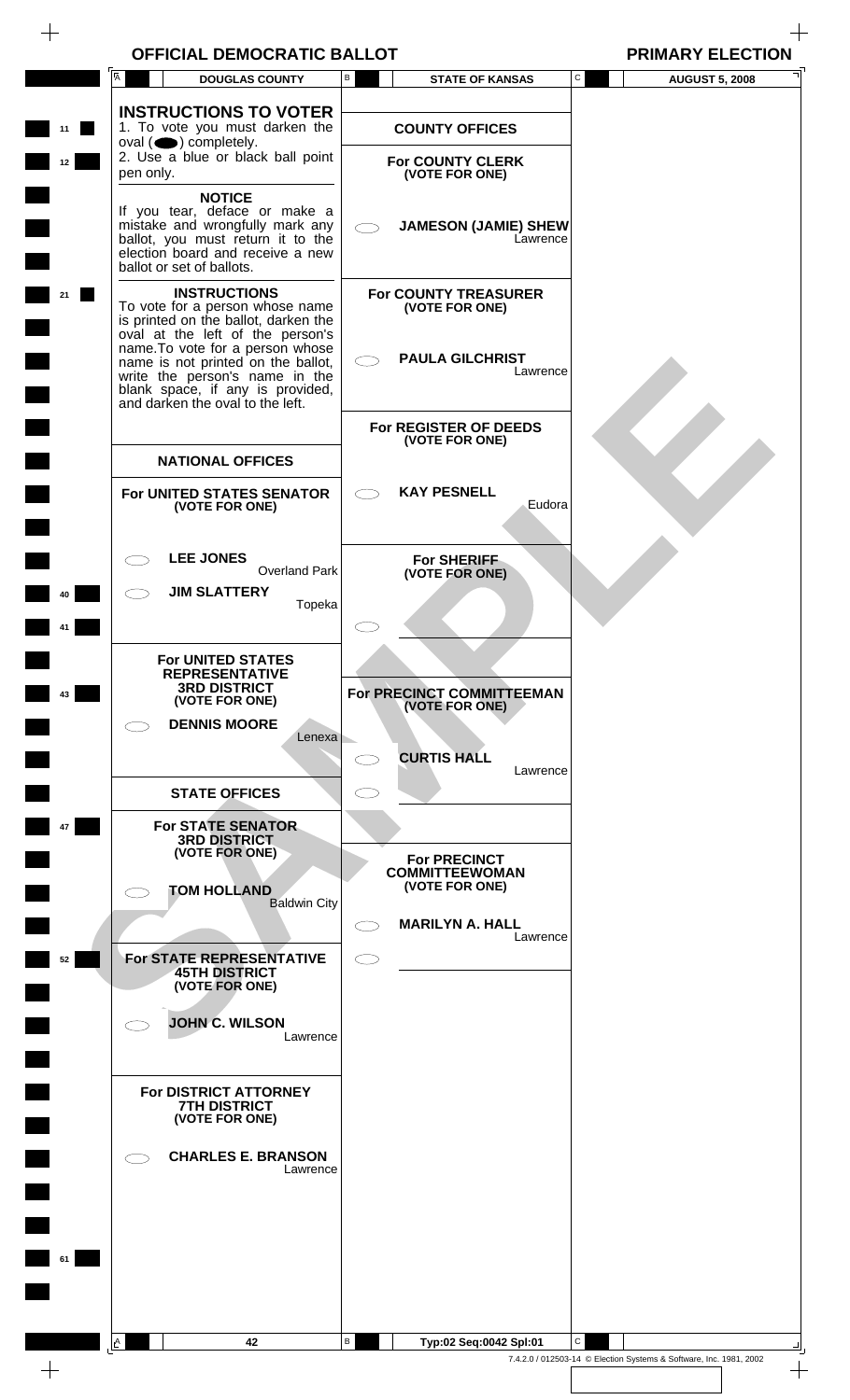$\begin{array}{c} + \end{array}$ 

|           | A<br><b>DOUGLAS COUNTY</b>                                                                                                                                                                                                                     | В | <b>STATE OF KANSAS</b>                                                              | С | <b>AUGUST 5, 2008</b>                                              |
|-----------|------------------------------------------------------------------------------------------------------------------------------------------------------------------------------------------------------------------------------------------------|---|-------------------------------------------------------------------------------------|---|--------------------------------------------------------------------|
| 11<br>12  | <b>INSTRUCTIONS TO VOTER</b><br>1. To vote you must darken the<br>oval $($ $\bullet)$ completely.<br>2. Use a blue or black ball point<br>pen only.                                                                                            |   | <b>COUNTY OFFICES</b><br><b>For COUNTY CLERK</b><br>(VOTE FOR ONE)                  |   |                                                                    |
|           | <b>NOTICE</b><br>If you tear, deface or make a<br>mistake and wrongfully mark any<br>ballot, you must return it to the<br>election board and receive a new<br>ballot or set of ballots.                                                        |   | <b>JAMESON (JAMIE) SHEW</b><br>Lawrence                                             |   |                                                                    |
| 21        | <b>INSTRUCTIONS</b><br>To vote for a person whose name<br>is printed on the ballot, darken the<br>oval at the left of the person's<br>name. To vote for a person whose<br>name is not printed on the ballot,<br>write the person's name in the |   | <b>For COUNTY TREASURER</b><br>(VOTE FOR ONE)<br><b>PAULA GILCHRIST</b><br>Lawrence |   |                                                                    |
|           | blank space, if any is provided,<br>and darken the oval to the left.<br><b>NATIONAL OFFICES</b>                                                                                                                                                |   | For REGISTER OF DEEDS<br>(VOTE FOR ONE)                                             |   |                                                                    |
|           | For UNITED STATES SENATOR<br>(VOTE FOR ONE)                                                                                                                                                                                                    |   | <b>KAY PESNELL</b><br>Eudora                                                        |   |                                                                    |
|           | <b>LEE JONES</b><br><b>Overland Park</b><br><b>JIM SLATTERY</b><br>Topeka                                                                                                                                                                      |   | <b>For SHERIFF</b><br>(VOTE FOR ONE)                                                |   |                                                                    |
| 43        | <b>For UNITED STATES</b><br><b>REPRESENTATIVE</b><br><b>3RD DISTRICT</b><br>(VOTE FOR ONE)<br><b>DENNIS MOORE</b><br>Lenexa                                                                                                                    |   | For PRECINCT COMMITTEEMAN<br>(VOTE FOR ONE)                                         |   |                                                                    |
|           | <b>STATE OFFICES</b>                                                                                                                                                                                                                           |   | <b>CURTIS HALL</b><br>Lawrence                                                      |   |                                                                    |
| 47        | <b>For STATE SENATOR</b><br><b>3RD DISTRICT</b><br>(VOTE FOR ONE)<br><b>TOM HOLLAND</b>                                                                                                                                                        |   | <b>For PRECINCT</b><br><b>COMMITTEEWOMAN</b><br>(VOTE FOR ONE)                      |   |                                                                    |
| 52        | <b>Baldwin City</b><br>For STATE REPRESENTATIVE<br><b>45TH DISTRICT</b><br>(VOTE FOR ONE)                                                                                                                                                      |   | <b>MARILYN A. HALL</b><br>Lawrence                                                  |   |                                                                    |
|           | <b>JOHN C. WILSON</b><br>Lawrence                                                                                                                                                                                                              |   |                                                                                     |   |                                                                    |
|           | For DISTRICT ATTORNEY<br><b>7TH DISTRICT</b><br>(VOTE FOR ONE)<br><b>CHARLES E. BRANSON</b>                                                                                                                                                    |   |                                                                                     |   |                                                                    |
|           | Lawrence                                                                                                                                                                                                                                       |   |                                                                                     |   |                                                                    |
| 61        |                                                                                                                                                                                                                                                |   |                                                                                     |   |                                                                    |
|           | A<br>42                                                                                                                                                                                                                                        | В | Typ:02 Seq:0042 Spl:01                                                              | C |                                                                    |
| $\! + \!$ |                                                                                                                                                                                                                                                |   |                                                                                     |   | 7.4.2.0 / 012503-14 © Election Systems & Software, Inc. 1981, 2002 |
|           |                                                                                                                                                                                                                                                |   |                                                                                     |   |                                                                    |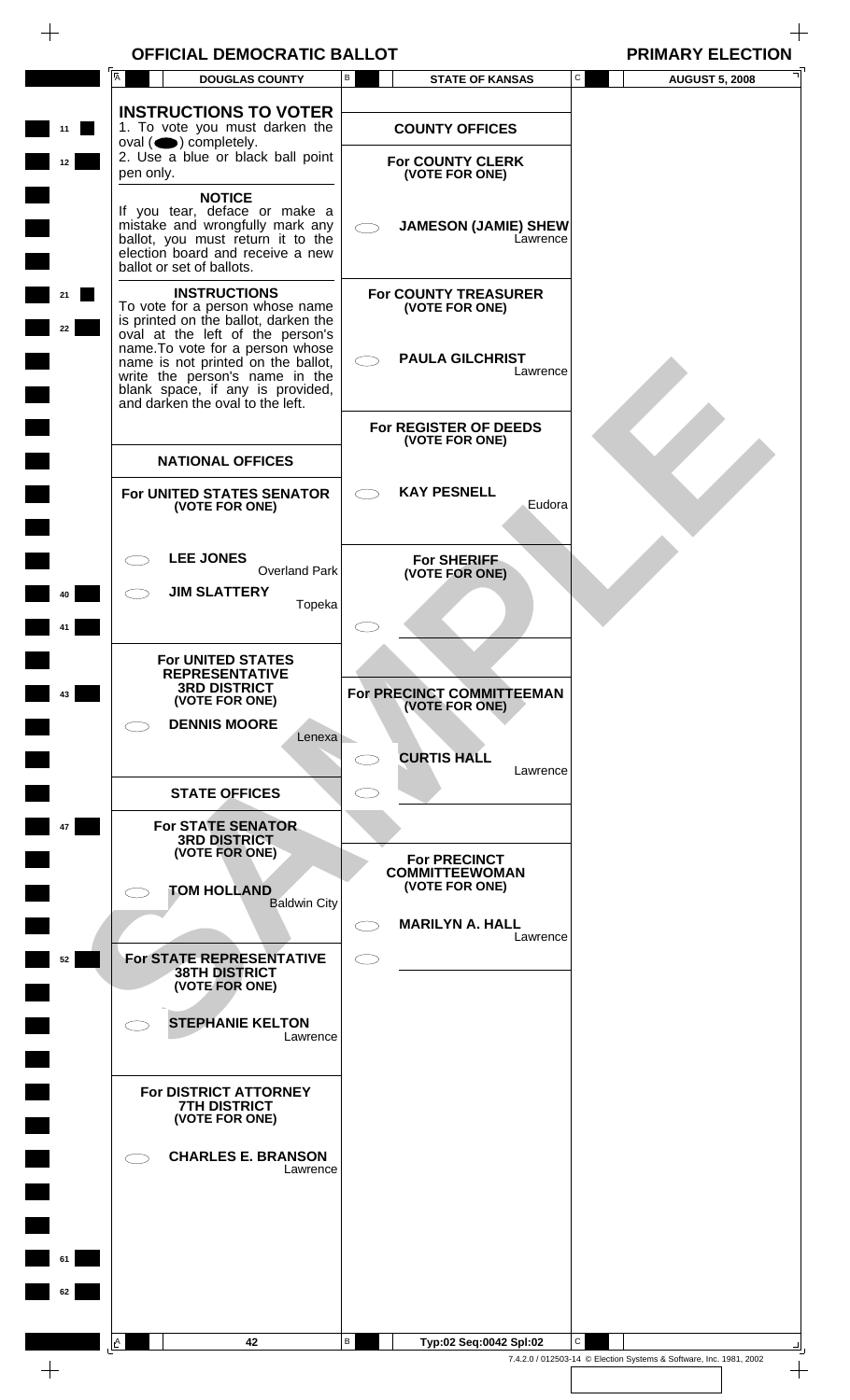$\begin{array}{c} + \end{array}$ 

|         | A         | <b>DOUGLAS COUNTY</b>                                                                                                                                                                   | В                                  | <b>STATE OF KANSAS</b>                             | C | <b>AUGUST 5, 2008</b>                                              |
|---------|-----------|-----------------------------------------------------------------------------------------------------------------------------------------------------------------------------------------|------------------------------------|----------------------------------------------------|---|--------------------------------------------------------------------|
|         |           | <b>INSTRUCTIONS TO VOTER</b>                                                                                                                                                            |                                    |                                                    |   |                                                                    |
| ×<br>11 |           | 1. To vote you must darken the                                                                                                                                                          |                                    | <b>COUNTY OFFICES</b>                              |   |                                                                    |
| 12      | pen only. | $oval(\n\bullet)$ completely.<br>2. Use a blue or black ball point                                                                                                                      |                                    | <b>For COUNTY CLERK</b><br>(VOTE FOR ONE)          |   |                                                                    |
|         |           | <b>NOTICE</b><br>If you tear, deface or make a<br>mistake and wrongfully mark any<br>ballot, you must return it to the<br>election board and receive a new<br>ballot or set of ballots. | $\subset$ $\supset$                | <b>JAMESON (JAMIE) SHEW</b><br>Lawrence            |   |                                                                    |
| 21      |           | <b>INSTRUCTIONS</b><br>To vote for a person whose name                                                                                                                                  |                                    | <b>For COUNTY TREASURER</b><br>(VOTE FOR ONE)      |   |                                                                    |
| 22      |           | is printed on the ballot, darken the<br>oval at the left of the person's<br>name. To vote for a person whose<br>name is not printed on the ballot,<br>write the person's name in the    | $\subset$ $\supset$                | <b>PAULA GILCHRIST</b><br>Lawrence                 |   |                                                                    |
|         |           | blank space, if any is provided,<br>and darken the oval to the left.                                                                                                                    |                                    |                                                    |   |                                                                    |
|         |           |                                                                                                                                                                                         |                                    | For REGISTER OF DEEDS<br>(VOTE FOR ONE)            |   |                                                                    |
|         |           | <b>NATIONAL OFFICES</b>                                                                                                                                                                 |                                    |                                                    |   |                                                                    |
|         |           | For UNITED STATES SENATOR<br>(VOTE FOR ONE)                                                                                                                                             |                                    | <b>KAY PESNELL</b><br>Eudora                       |   |                                                                    |
|         |           | <b>LEE JONES</b><br><b>Overland Park</b>                                                                                                                                                |                                    | <b>For SHERIFF</b><br>(VOTE FOR ONE)               |   |                                                                    |
|         |           | <b>JIM SLATTERY</b><br>Topeka                                                                                                                                                           |                                    |                                                    |   |                                                                    |
|         |           |                                                                                                                                                                                         |                                    |                                                    |   |                                                                    |
|         |           | For UNITED STATES<br><b>REPRESENTATIVE</b><br><b>3RD DISTRICT</b>                                                                                                                       |                                    |                                                    |   |                                                                    |
| 43      | CΞ        | (VOTE FOR ONE)<br><b>DENNIS MOORE</b>                                                                                                                                                   |                                    | <b>For PRECINCT COMMITTEEMAN</b><br>(VOTE FOR ONE) |   |                                                                    |
|         |           | Lenexa                                                                                                                                                                                  |                                    | <b>CURTIS HALL</b>                                 |   |                                                                    |
|         |           | <b>STATE OFFICES</b>                                                                                                                                                                    | СD                                 | Lawrence                                           |   |                                                                    |
| 47      |           | <b>For STATE SENATOR</b>                                                                                                                                                                |                                    |                                                    |   |                                                                    |
|         |           | <b>3RD DISTRICT</b><br>(VOTE FOR ONE)                                                                                                                                                   |                                    | <b>For PRECINCT</b>                                |   |                                                                    |
|         |           | <b>TOM HOLLAND</b><br><b>Baldwin City</b>                                                                                                                                               |                                    | <b>COMMITTEEWOMAN</b><br>(VOTE FOR ONE)            |   |                                                                    |
|         |           |                                                                                                                                                                                         | $\subset$ $\overline{\phantom{a}}$ | <b>MARILYN A. HALL</b><br>Lawrence                 |   |                                                                    |
| 52      |           | For STATE REPRESENTATIVE<br><b>38TH DISTRICT</b><br>(VOTE FOR ONE)                                                                                                                      | Œ                                  |                                                    |   |                                                                    |
|         |           | <b>STEPHANIE KELTON</b><br>Lawrence                                                                                                                                                     |                                    |                                                    |   |                                                                    |
|         |           | For DISTRICT ATTORNEY<br><b>7TH DISTRICT</b><br>(VOTE FOR ONE)                                                                                                                          |                                    |                                                    |   |                                                                    |
|         |           |                                                                                                                                                                                         |                                    |                                                    |   |                                                                    |
|         | C D       | <b>CHARLES E. BRANSON</b><br>Lawrence                                                                                                                                                   |                                    |                                                    |   |                                                                    |
|         |           |                                                                                                                                                                                         |                                    |                                                    |   |                                                                    |
| 61      |           |                                                                                                                                                                                         |                                    |                                                    |   |                                                                    |
|         |           |                                                                                                                                                                                         |                                    |                                                    |   |                                                                    |
| 62      |           |                                                                                                                                                                                         |                                    |                                                    |   |                                                                    |
|         | <u>A</u>  | 42                                                                                                                                                                                      | В                                  | Typ:02 Seq:0042 Spl:02                             | С |                                                                    |
|         |           |                                                                                                                                                                                         |                                    |                                                    |   | 7.4.2.0 / 012503-14 © Election Systems & Software, Inc. 1981, 2002 |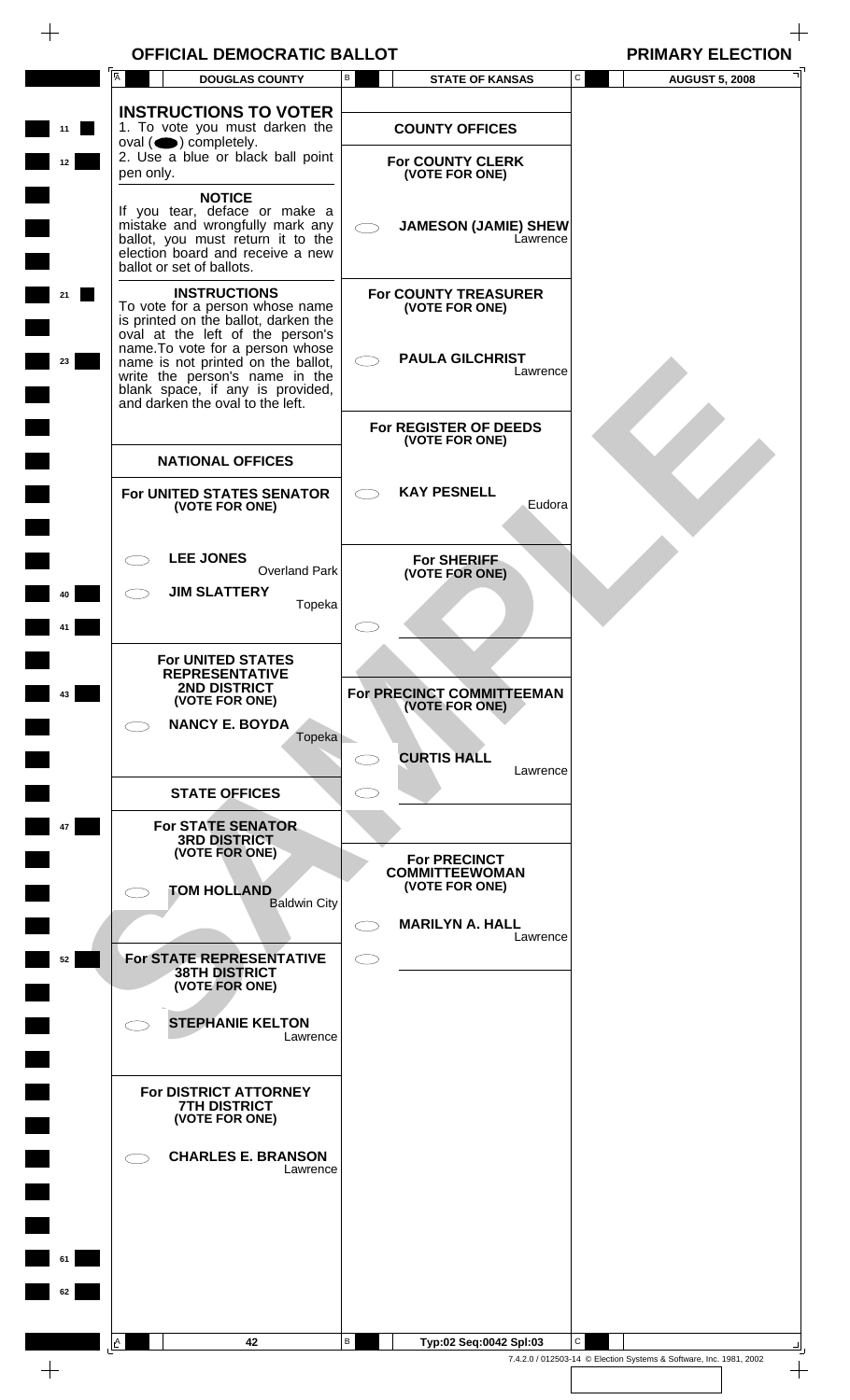$\begin{array}{c} + \end{array}$ 

|          | A<br><b>DOUGLAS COUNTY</b>                                                                                                                                                       | В      | <b>STATE OF KANSAS</b>                                         | $\mathtt{C}$ | <b>AUGUST 5, 2008</b>                                              |
|----------|----------------------------------------------------------------------------------------------------------------------------------------------------------------------------------|--------|----------------------------------------------------------------|--------------|--------------------------------------------------------------------|
| 11       | <b>INSTRUCTIONS TO VOTER</b><br>1. To vote you must darken the<br>$oval(\n\bullet)$ completely.<br>2. Use a blue or black ball point                                             |        | <b>COUNTY OFFICES</b>                                          |              |                                                                    |
| 12       | pen only.<br><b>NOTICE</b>                                                                                                                                                       |        | <b>For COUNTY CLERK</b><br>(VOTE FOR ONE)                      |              |                                                                    |
|          | If you tear, deface or make a<br>mistake and wrongfully mark any<br>ballot, you must return it to the<br>election board and receive a new<br>ballot or set of ballots.           |        | <b>JAMESON (JAMIE) SHEW</b><br>Lawrence                        |              |                                                                    |
| 21       | <b>INSTRUCTIONS</b><br>To vote for a person whose name<br>is printed on the ballot, darken the<br>oval at the left of the person's                                               |        | <b>For COUNTY TREASURER</b><br>(VOTE FOR ONE)                  |              |                                                                    |
| 23       | name. To vote for a person whose<br>name is not printed on the ballot,<br>write the person's name in the<br>blank space, if any is provided,<br>and darken the oval to the left. | CΞ     | <b>PAULA GILCHRIST</b><br>Lawrence                             |              |                                                                    |
|          | <b>NATIONAL OFFICES</b>                                                                                                                                                          |        | For REGISTER OF DEEDS<br>(VOTE FOR ONE)                        |              |                                                                    |
|          | For UNITED STATES SENATOR<br>(VOTE FOR ONE)                                                                                                                                      |        | <b>KAY PESNELL</b><br>Eudora                                   |              |                                                                    |
|          | <b>LEE JONES</b><br><b>Overland Park</b>                                                                                                                                         |        | <b>For SHERIFF</b><br>(VOTE FOR ONE)                           |              |                                                                    |
| 41       | <b>JIM SLATTERY</b>                                                                                                                                                              | Topeka |                                                                |              |                                                                    |
|          | For UNITED STATES<br><b>REPRESENTATIVE</b><br><b>2ND DISTRICT</b>                                                                                                                |        |                                                                |              |                                                                    |
| 43       | (VOTE FOR ONE)<br><b>NANCY E. BOYDA</b>                                                                                                                                          | Topeka | <b>For PRECINCT COMMITTEEMAN</b><br>(VOTE FOR ONE)             |              |                                                                    |
|          | <b>STATE OFFICES</b>                                                                                                                                                             | СD     | <b>CURTIS HALL</b><br>Lawrence                                 |              |                                                                    |
| 47       | <b>For STATE SENATOR</b><br><b>3RD DISTRICT</b>                                                                                                                                  |        |                                                                |              |                                                                    |
|          | (VOTE FOR ONE)<br><b>TOM HOLLAND</b><br><b>Baldwin City</b>                                                                                                                      |        | <b>For PRECINCT</b><br><b>COMMITTEEWOMAN</b><br>(VOTE FOR ONE) |              |                                                                    |
|          |                                                                                                                                                                                  |        | <b>MARILYN A. HALL</b><br>Lawrence                             |              |                                                                    |
| 52       | For STATE REPRESENTATIVE<br><b>38TH DISTRICT</b><br>(VOTE FOR ONE)                                                                                                               | C D    |                                                                |              |                                                                    |
|          | <b>STEPHANIE KELTON</b><br>Lawrence                                                                                                                                              |        |                                                                |              |                                                                    |
|          | For DISTRICT ATTORNEY<br><b>7TH DISTRICT</b><br>(VOTE FOR ONE)                                                                                                                   |        |                                                                |              |                                                                    |
|          | <b>CHARLES E. BRANSON</b><br>Lawrence                                                                                                                                            |        |                                                                |              |                                                                    |
|          |                                                                                                                                                                                  |        |                                                                |              |                                                                    |
| 61<br>62 |                                                                                                                                                                                  |        |                                                                |              |                                                                    |
|          | 42                                                                                                                                                                               | В      | Typ:02 Seq:0042 Spl:03                                         | С            |                                                                    |
|          |                                                                                                                                                                                  |        |                                                                |              | 7.4.2.0 / 012503-14 © Election Systems & Software, Inc. 1981, 2002 |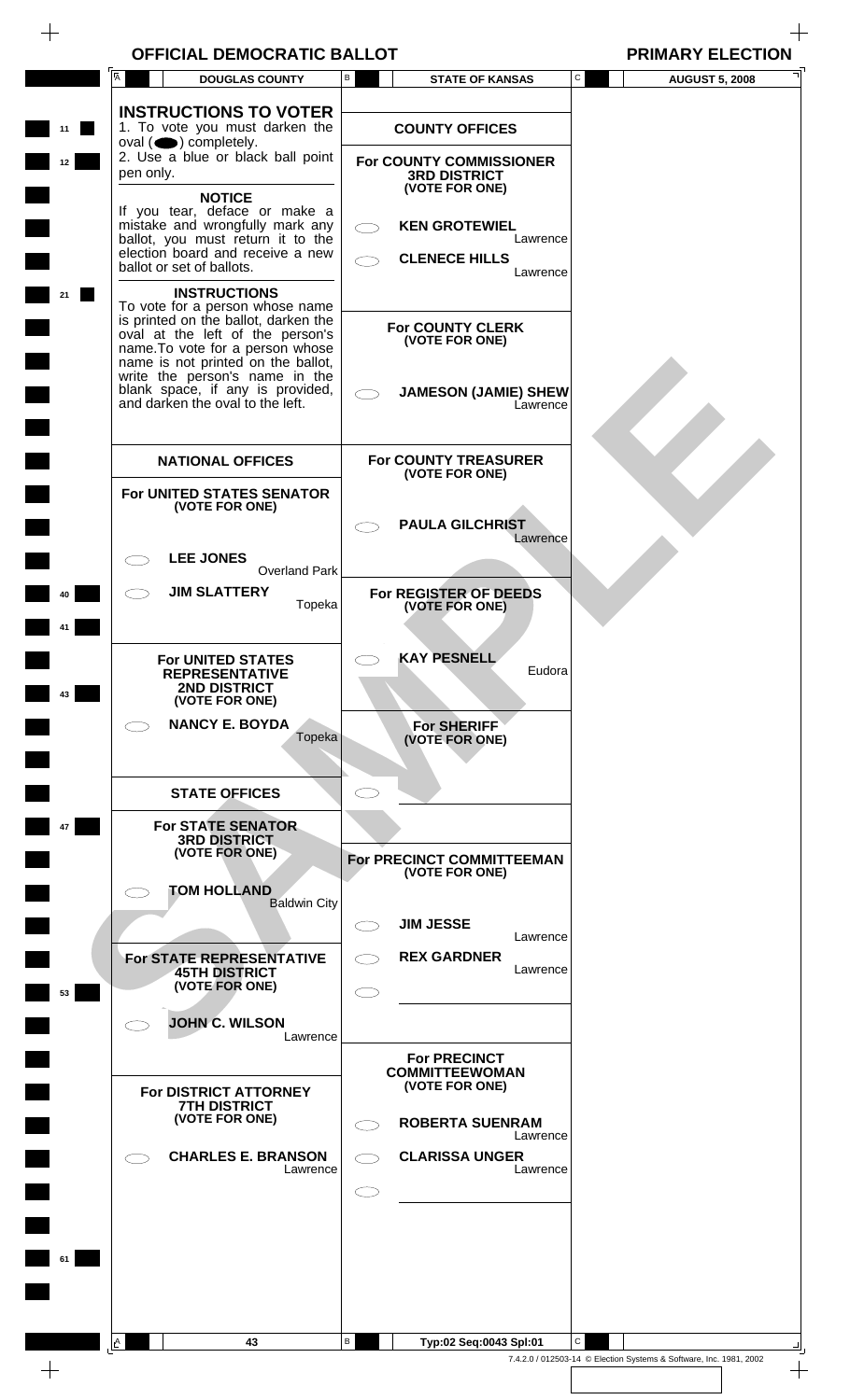$\begin{array}{c} + \end{array}$ 

 $\boldsymbol{+}$ 

|    | Ā         | <b>DOUGLAS COUNTY</b>                                                                                       | в         | <b>STATE OF KANSAS</b>                                         | С            | <b>AUGUST 5, 2008</b>                                              |
|----|-----------|-------------------------------------------------------------------------------------------------------------|-----------|----------------------------------------------------------------|--------------|--------------------------------------------------------------------|
|    |           | <b>INSTRUCTIONS TO VOTER</b>                                                                                |           |                                                                |              |                                                                    |
| 11 |           | 1. To vote you must darken the<br>$oval(\n\bullet)$ completely.                                             |           | <b>COUNTY OFFICES</b>                                          |              |                                                                    |
| 12 | pen only. | 2. Use a blue or black ball point                                                                           |           | For COUNTY COMMISSIONER<br><b>3RD DISTRICT</b>                 |              |                                                                    |
|    |           | <b>NOTICE</b><br>If you tear, deface or make a                                                              |           | (VOTE FOR ONE)                                                 |              |                                                                    |
|    |           | mistake and wrongfully mark any<br>ballot, you must return it to the                                        |           | <b>KEN GROTEWIEL</b><br>Lawrence                               |              |                                                                    |
|    |           | election board and receive a new<br>ballot or set of ballots.                                               |           | <b>CLENECE HILLS</b><br>Lawrence                               |              |                                                                    |
| 21 |           | <b>INSTRUCTIONS</b>                                                                                         |           |                                                                |              |                                                                    |
|    |           | To vote for a person whose name<br>is printed on the ballot, darken the<br>oval at the left of the person's |           | <b>For COUNTY CLERK</b>                                        |              |                                                                    |
|    |           | name. To vote for a person whose<br>name is not printed on the ballot,                                      |           | (VOTE FOR ONE)                                                 |              |                                                                    |
|    |           | write the person's name in the<br>blank space, if any is provided,                                          |           | <b>JAMESON (JAMIE) SHEW</b>                                    |              |                                                                    |
|    |           | and darken the oval to the left.                                                                            |           | Lawrence                                                       |              |                                                                    |
|    |           |                                                                                                             |           |                                                                |              |                                                                    |
|    |           | <b>NATIONAL OFFICES</b>                                                                                     |           | <b>For COUNTY TREASURER</b><br>(VOTE FOR ONE)                  |              |                                                                    |
|    |           | For UNITED STATES SENATOR<br>(VOTE FOR ONE)                                                                 |           |                                                                |              |                                                                    |
|    |           |                                                                                                             |           | <b>PAULA GILCHRIST</b><br>Lawrence                             |              |                                                                    |
|    |           | <b>LEE JONES</b><br><b>Overland Park</b>                                                                    |           |                                                                |              |                                                                    |
| 40 |           | <b>JIM SLATTERY</b><br>Topeka                                                                               |           | For REGISTER OF DEEDS<br>(VOTE FOR ONE)                        |              |                                                                    |
|    |           |                                                                                                             |           |                                                                |              |                                                                    |
|    |           | <b>For UNITED STATES</b><br><b>REPRESENTATIVE</b>                                                           |           | <b>KAY PESNELL</b><br>Eudora                                   |              |                                                                    |
| 43 |           | <b>2ND DISTRICT</b><br>(VOTE FOR ONE)                                                                       |           |                                                                |              |                                                                    |
|    |           | <b>NANCY E. BOYDA</b><br>Topeka                                                                             |           | For SHERIFF                                                    |              |                                                                    |
|    |           |                                                                                                             |           | (VOTE FOR ONE)                                                 |              |                                                                    |
|    |           | <b>STATE OFFICES</b>                                                                                        |           |                                                                |              |                                                                    |
| 47 |           | <b>For STATE SENATOR</b>                                                                                    |           |                                                                |              |                                                                    |
|    |           | <b>3RD DISTRICT</b><br>(VOTE FOR ONE)                                                                       |           | For PRECINCT COMMITTEEMAN                                      |              |                                                                    |
|    |           | <b>TOM HOLLAND</b>                                                                                          |           | (VOTE FOR ONE)                                                 |              |                                                                    |
|    |           | <b>Baldwin City</b>                                                                                         |           | <b>JIM JESSE</b>                                               |              |                                                                    |
|    |           | For STATE REPRESENTATIVE                                                                                    |           | Lawrence<br><b>REX GARDNER</b>                                 |              |                                                                    |
|    |           | <b>45TH DISTRICT</b><br>(VOTE FOR ONE)                                                                      | $\subset$ | Lawrence                                                       |              |                                                                    |
| 53 |           | <b>JOHN C. WILSON</b>                                                                                       |           |                                                                |              |                                                                    |
|    |           | Lawrence                                                                                                    |           |                                                                |              |                                                                    |
|    |           |                                                                                                             |           | <b>For PRECINCT</b><br><b>COMMITTEEWOMAN</b><br>(VOTE FOR ONE) |              |                                                                    |
|    |           | For DISTRICT ATTORNEY<br><b>7TH DISTRICT</b>                                                                |           |                                                                |              |                                                                    |
|    |           | (VOTE FOR ONE)                                                                                              |           | <b>ROBERTA SUENRAM</b><br>Lawrence                             |              |                                                                    |
|    |           | <b>CHARLES E. BRANSON</b><br>Lawrence                                                                       |           | <b>CLARISSA UNGER</b><br>Lawrence                              |              |                                                                    |
|    |           |                                                                                                             | $\subset$ |                                                                |              |                                                                    |
|    |           |                                                                                                             |           |                                                                |              |                                                                    |
| 61 |           |                                                                                                             |           |                                                                |              |                                                                    |
|    |           |                                                                                                             |           |                                                                |              |                                                                    |
|    |           |                                                                                                             |           |                                                                |              |                                                                    |
|    | A         | 43                                                                                                          | В         | Typ:02 Seq:0043 Spl:01                                         | $\mathsf{C}$ | 7.4.2.0 / 012503-14 © Election Systems & Software, Inc. 1981, 2002 |
|    |           |                                                                                                             |           |                                                                |              |                                                                    |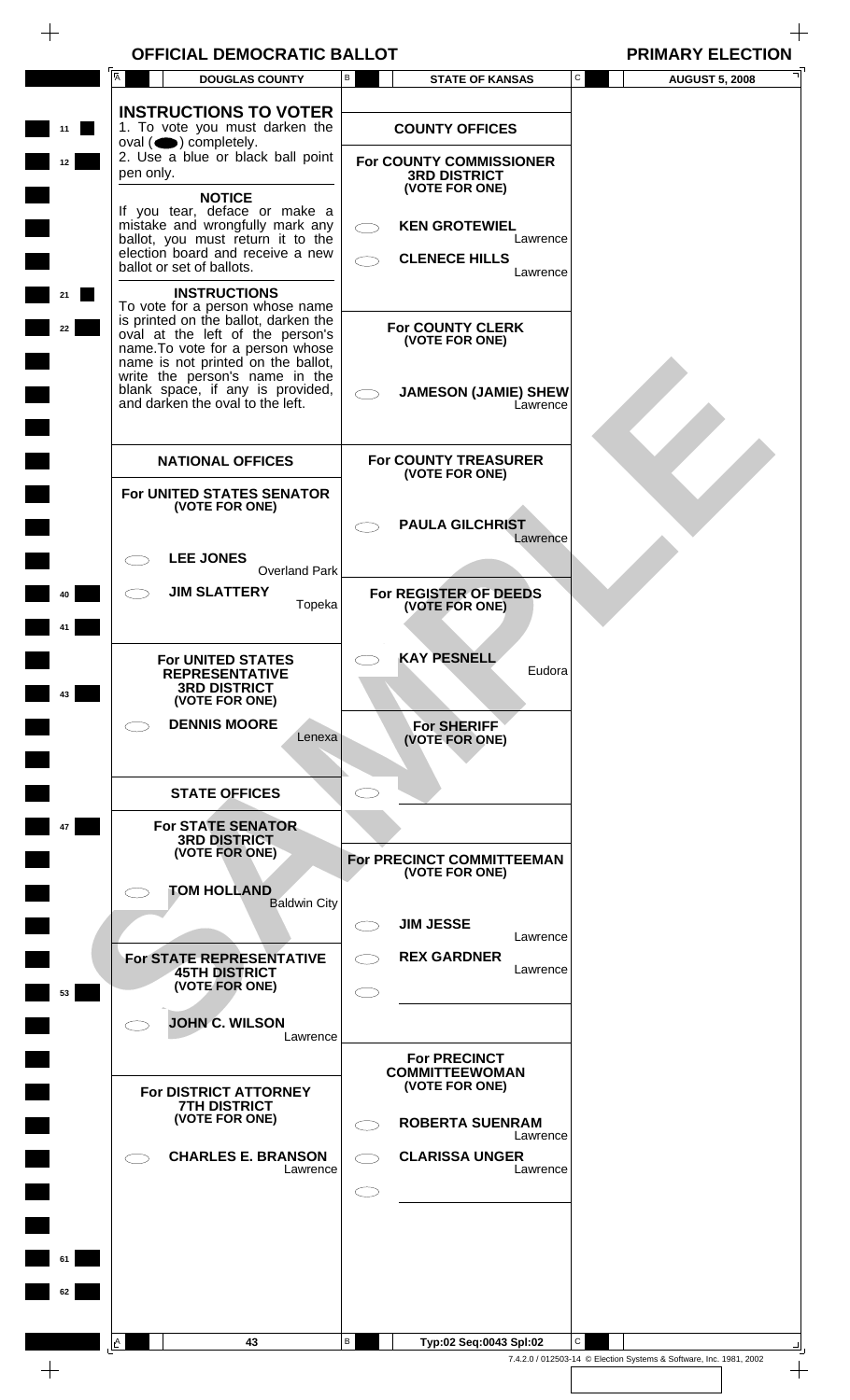$\begin{array}{c} + \end{array}$ 

 $\begin{array}{c} \begin{array}{c} \begin{array}{c} \begin{array}{c} \end{array} \end{array} \end{array} \end{array} \end{array}$ 

|                          | Ā         | <b>DOUGLAS COUNTY</b>                                                                                                                              | В            | <b>STATE OF KANSAS</b>                                                                   | C            | <b>AUGUST 5, 2008</b>                                              |
|--------------------------|-----------|----------------------------------------------------------------------------------------------------------------------------------------------------|--------------|------------------------------------------------------------------------------------------|--------------|--------------------------------------------------------------------|
| 11                       |           | <b>INSTRUCTIONS TO VOTER</b><br>1. To vote you must darken the                                                                                     |              | <b>COUNTY OFFICES</b>                                                                    |              |                                                                    |
| 12                       | pen only. | $oval(\n\bullet)$ completely.<br>2. Use a blue or black ball point                                                                                 |              | For COUNTY COMMISSIONER<br><b>3RD DISTRICT</b>                                           |              |                                                                    |
|                          |           | <b>NOTICE</b><br>If you tear, deface or make a<br>mistake and wrongfully mark any                                                                  |              | (VOTE FOR ONE)<br><b>KEN GROTEWIEL</b>                                                   |              |                                                                    |
|                          |           | ballot, you must return it to the<br>election board and receive a new<br>ballot or set of ballots.                                                 |              | Lawrence<br><b>CLENECE HILLS</b>                                                         |              |                                                                    |
| 21                       |           | <b>INSTRUCTIONS</b><br>To vote for a person whose name                                                                                             |              | Lawrence                                                                                 |              |                                                                    |
| 22                       |           | is printed on the ballot, darken the<br>oval at the left of the person's<br>name. To vote for a person whose<br>name is not printed on the ballot, |              | <b>For COUNTY CLERK</b><br>(VOTE FOR ONE)                                                |              |                                                                    |
|                          |           | write the person's name in the<br>blank space, if any is provided,<br>and darken the oval to the left.                                             |              | <b>JAMESON (JAMIE) SHEW</b><br>Lawrence                                                  |              |                                                                    |
|                          |           | <b>NATIONAL OFFICES</b>                                                                                                                            |              | <b>For COUNTY TREASURER</b><br>(VOTE FOR ONE)                                            |              |                                                                    |
|                          |           | For UNITED STATES SENATOR<br>(VOTE FOR ONE)                                                                                                        |              |                                                                                          |              |                                                                    |
|                          |           |                                                                                                                                                    |              | <b>PAULA GILCHRIST</b><br>Lawrence                                                       |              |                                                                    |
|                          |           | <b>LEE JONES</b><br><b>Overland Park</b><br><b>JIM SLATTERY</b>                                                                                    |              |                                                                                          |              |                                                                    |
| 40                       |           | Topeka                                                                                                                                             |              | For REGISTER OF DEEDS<br>(VOTE FOR ONE)                                                  |              |                                                                    |
| 43                       |           | <b>For UNITED STATES</b><br><b>REPRESENTATIVE</b><br><b>3RD DISTRICT</b>                                                                           |              | <b>KAY PESNELL</b><br>Eudora                                                             |              |                                                                    |
|                          |           | (VOTE FOR ONE)<br><b>DENNIS MOORE</b><br>Lenexa                                                                                                    |              | For SHERIFF<br>(VOTE FOR ONE)                                                            |              |                                                                    |
|                          |           |                                                                                                                                                    |              |                                                                                          |              |                                                                    |
|                          |           | <b>STATE OFFICES</b>                                                                                                                               |              |                                                                                          |              |                                                                    |
| 47                       |           | <b>For STATE SENATOR</b><br><b>3RD DISTRICT</b><br>(VOTE FOR ONE)                                                                                  |              | For PRECINCT COMMITTEEMAN                                                                |              |                                                                    |
|                          |           | <b>TOM HOLLAND</b><br><b>Baldwin City</b>                                                                                                          |              | (VOTE FOR ONE)                                                                           |              |                                                                    |
| $\overline{\phantom{a}}$ |           |                                                                                                                                                    |              | <b>JIM JESSE</b><br>Lawrence                                                             |              |                                                                    |
| 53                       |           | For STATE REPRESENTATIVE<br><b>45TH DISTRICT</b><br>(VOTE FOR ONE)                                                                                 |              | <b>REX GARDNER</b><br>Lawrence                                                           |              |                                                                    |
|                          |           | <b>JOHN C. WILSON</b><br>Lawrence                                                                                                                  |              |                                                                                          |              |                                                                    |
|                          |           | For DISTRICT ATTORNEY<br><b>7TH DISTRICT</b><br>(VOTE FOR ONE)                                                                                     |              | <b>For PRECINCT</b><br><b>COMMITTEEWOMAN</b><br>(VOTE FOR ONE)<br><b>ROBERTA SUENRAM</b> |              |                                                                    |
|                          |           | <b>CHARLES E. BRANSON</b>                                                                                                                          |              | Lawrence<br><b>CLARISSA UNGER</b>                                                        |              |                                                                    |
|                          |           | Lawrence                                                                                                                                           |              | Lawrence                                                                                 |              |                                                                    |
|                          |           |                                                                                                                                                    |              |                                                                                          |              |                                                                    |
| 61                       |           |                                                                                                                                                    |              |                                                                                          |              |                                                                    |
| 62                       |           |                                                                                                                                                    |              |                                                                                          |              |                                                                    |
|                          |           | 43                                                                                                                                                 | $\mathsf{B}$ | Typ:02 Seq:0043 Spl:02                                                                   | $\mathsf{C}$ |                                                                    |
|                          |           |                                                                                                                                                    |              |                                                                                          |              | 7.4.2.0 / 012503-14 © Election Systems & Software, Inc. 1981, 2002 |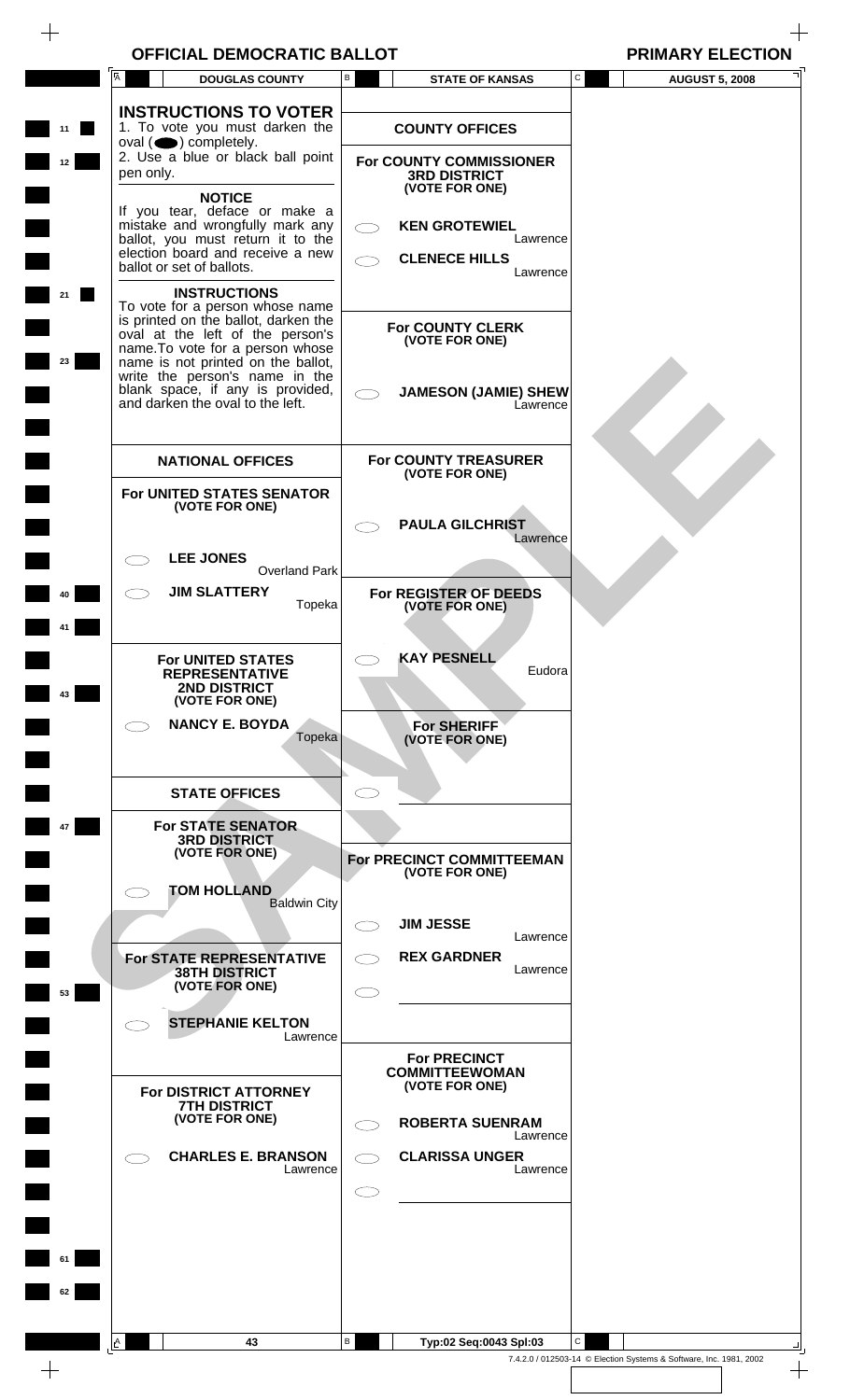$\begin{array}{c} + \end{array}$ 

 $\boldsymbol{+}$ 

|                | A<br><b>DOUGLAS COUNTY</b>                                                                                                                                                                                                                                                                                                                                                                                                                                                                                                                                     | <b>STATE OF KANSAS</b><br>В                                                                                                                                                                                           | С<br><b>AUGUST 5, 2008</b>                                         |
|----------------|----------------------------------------------------------------------------------------------------------------------------------------------------------------------------------------------------------------------------------------------------------------------------------------------------------------------------------------------------------------------------------------------------------------------------------------------------------------------------------------------------------------------------------------------------------------|-----------------------------------------------------------------------------------------------------------------------------------------------------------------------------------------------------------------------|--------------------------------------------------------------------|
| 11<br>12<br>23 | <b>INSTRUCTIONS TO VOTER</b><br>1. To vote you must darken the<br>oval $($ $\bullet)$ completely.<br>2. Use a blue or black ball point<br>pen only.<br><b>NOTICE</b><br>If you tear, deface or make a<br>mistake and wrongfully mark any<br>ballot, you must return it to the<br>election board and receive a new<br>ballot or set of ballots.<br><b>INSTRUCTIONS</b><br>To vote for a person whose name<br>is printed on the ballot, darken the<br>oval at the left of the person's<br>name. To vote for a person whose<br>name is not printed on the ballot, | <b>COUNTY OFFICES</b><br><b>For COUNTY COMMISSIONER</b><br><b>3RD DISTRICT</b><br>(VOTE FOR ONE)<br><b>KEN GROTEWIEL</b><br>Lawrence<br><b>CLENECE HILLS</b><br>Lawrence<br><b>For COUNTY CLERK</b><br>(VOTE FOR ONE) |                                                                    |
|                | write the person's name in the<br>blank space, if any is provided,<br>and darken the oval to the left.<br><b>NATIONAL OFFICES</b>                                                                                                                                                                                                                                                                                                                                                                                                                              | <b>JAMESON (JAMIE) SHEW</b><br>Lawrence<br><b>For COUNTY TREASURER</b>                                                                                                                                                |                                                                    |
|                | For UNITED STATES SENATOR<br>(VOTE FOR ONE)<br><b>LEE JONES</b>                                                                                                                                                                                                                                                                                                                                                                                                                                                                                                | (VOTE FOR ONE)<br><b>PAULA GILCHRIST</b><br>Lawrence                                                                                                                                                                  |                                                                    |
|                | <b>Overland Park</b><br><b>JIM SLATTERY</b><br>Topeka<br><b>For UNITED STATES</b>                                                                                                                                                                                                                                                                                                                                                                                                                                                                              | For REGISTER OF DEEDS<br>(VOTE FOR ONE)<br><b>KAY PESNELL</b>                                                                                                                                                         |                                                                    |
| 43             | <b>REPRESENTATIVE</b><br><b>2ND DISTRICT</b><br>(VOTE FOR ONE)<br><b>NANCY E. BOYDA</b><br>Topeka                                                                                                                                                                                                                                                                                                                                                                                                                                                              | Eudora<br>For SHERIFF<br>(VOTE FOR ONE)                                                                                                                                                                               |                                                                    |
| 47             | <b>STATE OFFICES</b><br><b>For STATE SENATOR</b><br><b>3RD DISTRICT</b><br>(VOTE FOR ONE)                                                                                                                                                                                                                                                                                                                                                                                                                                                                      | For PRECINCT COMMITTEEMAN<br>(VOTE FOR ONE)                                                                                                                                                                           |                                                                    |
| 53             | <b>TOM HOLLAND</b><br><b>Baldwin City</b><br><b>For STATE REPRESENTATIVE</b><br><b>38TH DISTRICT</b><br>(VOTE FOR ONE)                                                                                                                                                                                                                                                                                                                                                                                                                                         | <b>JIM JESSE</b><br>Lawrence<br><b>REX GARDNER</b><br>Lawrence                                                                                                                                                        |                                                                    |
|                | <b>STEPHANIE KELTON</b><br>Lawrence<br><b>For DISTRICT ATTORNEY</b><br><b>7TH DISTRICT</b><br>(VOTE FOR ONE)                                                                                                                                                                                                                                                                                                                                                                                                                                                   | <b>For PRECINCT</b><br><b>COMMITTEEWOMAN</b><br>(VOTE FOR ONE)<br><b>ROBERTA SUENRAM</b>                                                                                                                              |                                                                    |
|                | <b>CHARLES E. BRANSON</b><br>Lawrence                                                                                                                                                                                                                                                                                                                                                                                                                                                                                                                          | Lawrence<br><b>CLARISSA UNGER</b><br>Lawrence                                                                                                                                                                         |                                                                    |
| 61<br>62       | $\mathbf{A}$<br>43                                                                                                                                                                                                                                                                                                                                                                                                                                                                                                                                             | В<br>Typ:02 Seq:0043 Spl:03                                                                                                                                                                                           | C                                                                  |
|                |                                                                                                                                                                                                                                                                                                                                                                                                                                                                                                                                                                |                                                                                                                                                                                                                       | 7.4.2.0 / 012503-14 © Election Systems & Software, Inc. 1981, 2002 |
|                |                                                                                                                                                                                                                                                                                                                                                                                                                                                                                                                                                                |                                                                                                                                                                                                                       |                                                                    |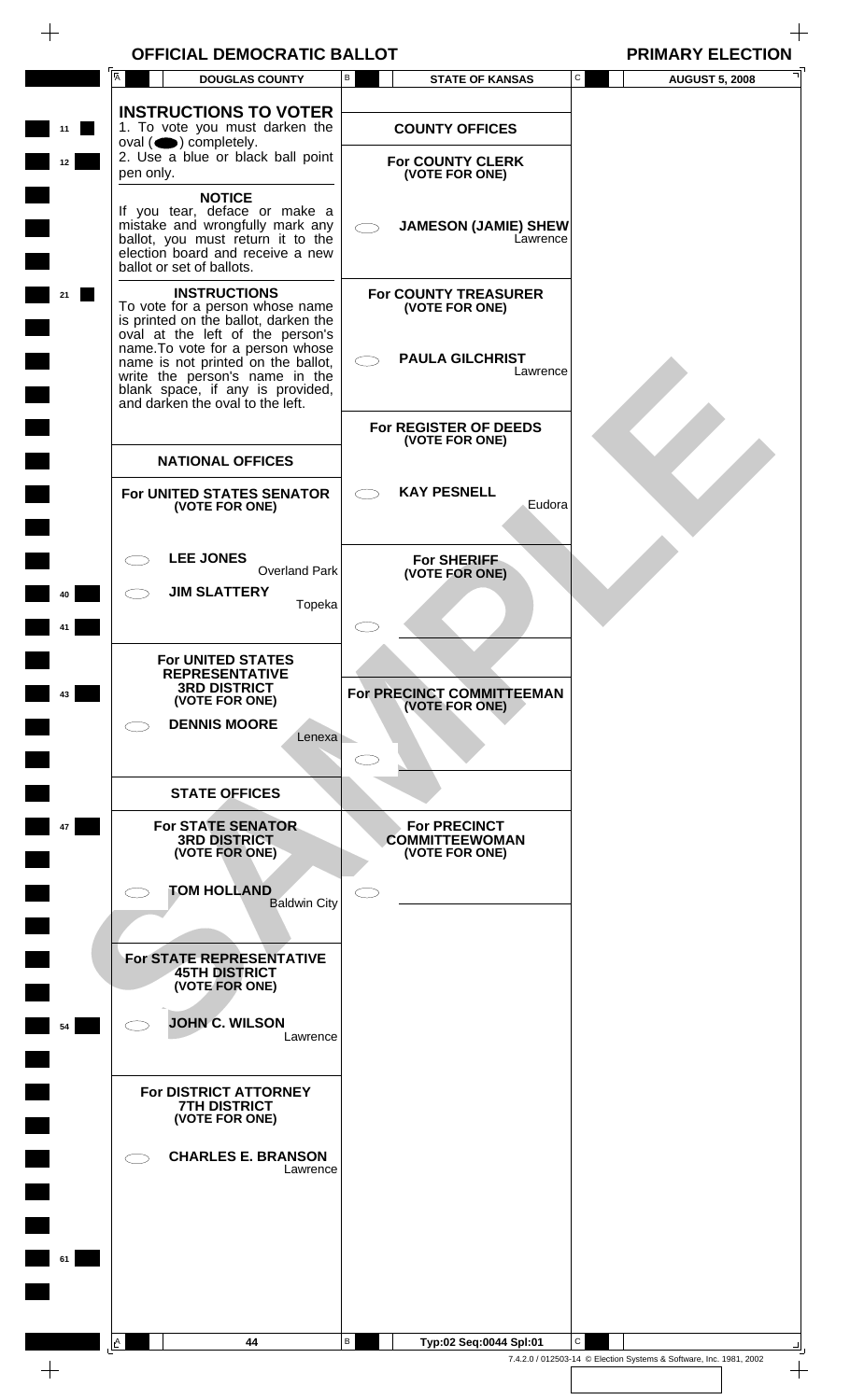$\begin{array}{c} + \end{array}$ 

|    | Ā                                       | <b>DOUGLAS COUNTY</b>                                                                                                                                                  | В | <b>STATE OF KANSAS</b>                                         | C | <b>AUGUST 5, 2008</b>                                              |
|----|-----------------------------------------|------------------------------------------------------------------------------------------------------------------------------------------------------------------------|---|----------------------------------------------------------------|---|--------------------------------------------------------------------|
| 11 | oval $($ $\bullet)$ completely.         | <b>INSTRUCTIONS TO VOTER</b><br>1. To vote you must darken the                                                                                                         |   | <b>COUNTY OFFICES</b>                                          |   |                                                                    |
| 12 | pen only.                               | 2. Use a blue or black ball point<br><b>NOTICE</b>                                                                                                                     |   | <b>For COUNTY CLERK</b><br>(VOTE FOR ONE)                      |   |                                                                    |
|    | ballot or set of ballots.               | If you tear, deface or make a<br>mistake and wrongfully mark any<br>ballot, you must return it to the<br>election board and receive a new                              |   | <b>JAMESON (JAMIE) SHEW</b><br>Lawrence                        |   |                                                                    |
|    |                                         | <b>INSTRUCTIONS</b><br>To vote for a person whose name<br>is printed on the ballot, darken the<br>oval at the left of the person's<br>name. To vote for a person whose |   | <b>For COUNTY TREASURER</b><br>(VOTE FOR ONE)                  |   |                                                                    |
|    |                                         | name is not printed on the ballot,<br>write the person's name in the<br>blank space, if any is provided,<br>and darken the oval to the left.                           |   | <b>PAULA GILCHRIST</b><br>Lawrence                             |   |                                                                    |
|    |                                         | <b>NATIONAL OFFICES</b>                                                                                                                                                |   | For REGISTER OF DEEDS<br>(VOTE FOR ONE)                        |   |                                                                    |
|    |                                         | For UNITED STATES SENATOR<br>(VOTE FOR ONE)                                                                                                                            |   | <b>KAY PESNELL</b><br>Eudora                                   |   |                                                                    |
|    | <b>LEE JONES</b><br><b>JIM SLATTERY</b> | <b>Overland Park</b>                                                                                                                                                   |   | <b>For SHERIFF</b><br>(VOTE FOR ONE)                           |   |                                                                    |
|    |                                         | Topeka                                                                                                                                                                 |   |                                                                |   |                                                                    |
| 43 |                                         | <b>For UNITED STATES</b><br><b>REPRESENTATIVE</b><br><b>3RD DISTRICT</b><br>(VOTE FOR ONE)                                                                             |   | For PRECINCT COMMITTEEMAN<br>(VOTE FOR ONE)                    |   |                                                                    |
|    |                                         | <b>DENNIS MOORE</b><br>Lenexa                                                                                                                                          |   |                                                                |   |                                                                    |
|    |                                         | <b>STATE OFFICES</b>                                                                                                                                                   |   |                                                                |   |                                                                    |
| 47 |                                         | <b>For STATE SENATOR</b><br><b>3RD DISTRICT</b><br>(VOTE FOR ONE)                                                                                                      |   | <b>For PRECINCT</b><br><b>COMMITTEEWOMAN</b><br>(VOTE FOR ONE) |   |                                                                    |
|    | <b>TOM HOLLAND</b>                      | <b>Baldwin City</b>                                                                                                                                                    |   |                                                                |   |                                                                    |
|    |                                         | For STATE REPRESENTATIVE<br><b>45TH DISTRICT</b><br>(VOTE FOR ONE)                                                                                                     |   |                                                                |   |                                                                    |
| 54 |                                         | <b>JOHN C. WILSON</b><br>Lawrence                                                                                                                                      |   |                                                                |   |                                                                    |
|    |                                         | For DISTRICT ATTORNEY<br><b>7TH DISTRICT</b><br>(VOTE FOR ONE)                                                                                                         |   |                                                                |   |                                                                    |
|    |                                         | <b>CHARLES E. BRANSON</b><br>Lawrence                                                                                                                                  |   |                                                                |   |                                                                    |
| 61 |                                         |                                                                                                                                                                        |   |                                                                |   |                                                                    |
|    |                                         |                                                                                                                                                                        |   |                                                                |   |                                                                    |
|    | A                                       | 44                                                                                                                                                                     | В | Typ:02 Seq:0044 Spl:01                                         | C |                                                                    |
|    |                                         |                                                                                                                                                                        |   |                                                                |   | 7.4.2.0 / 012503-14 © Election Systems & Software, Inc. 1981, 2002 |
|    |                                         |                                                                                                                                                                        |   |                                                                |   |                                                                    |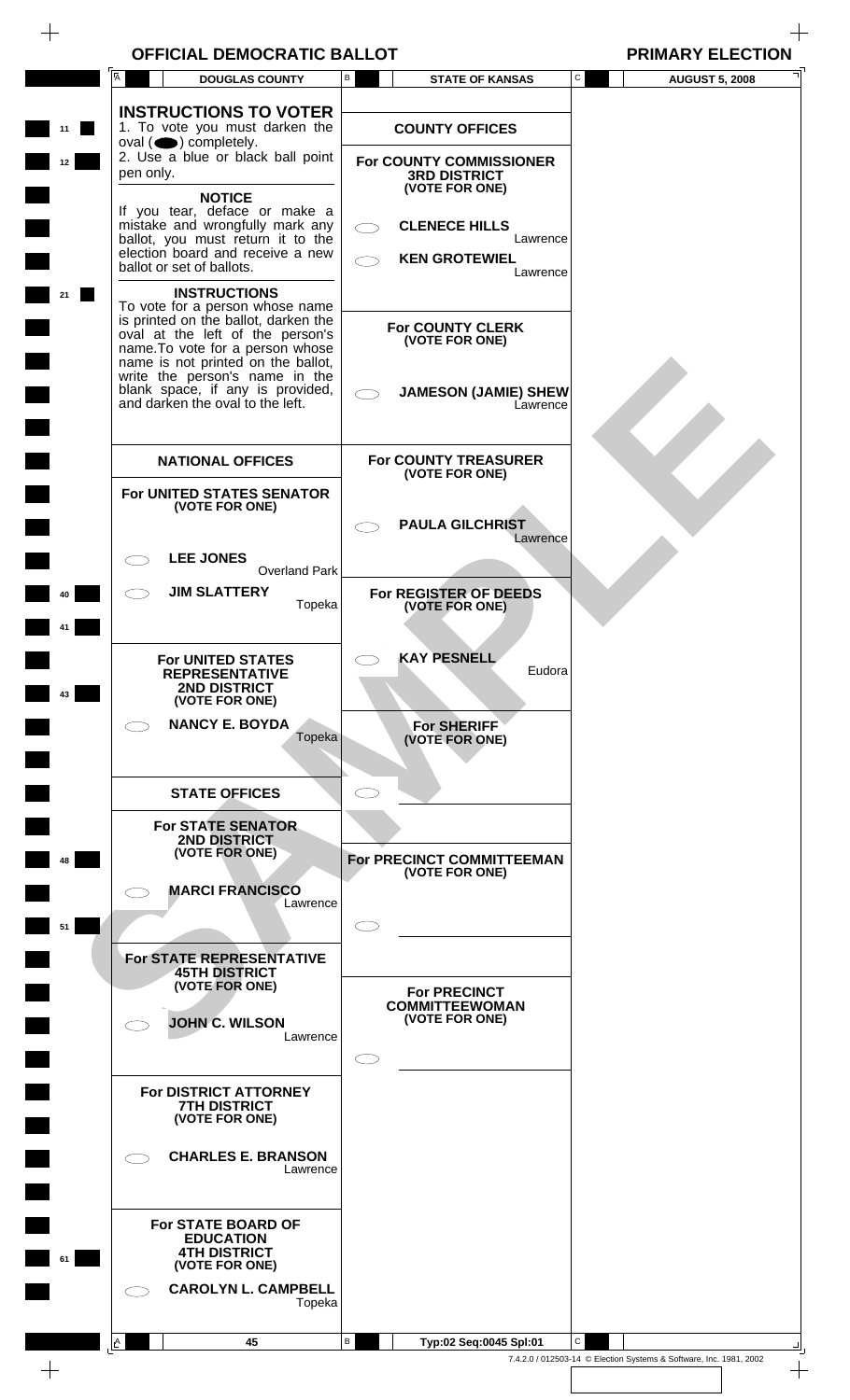$\frac{1}{\sqrt{2}}$ 

|    | $\overline{A}$<br><b>DOUGLAS COUNTY</b>                                                                                                                                                                                                                                                                                | В | <b>STATE OF KANSAS</b>                                                                 | C | <b>AUGUST 5, 2008</b>                                              |
|----|------------------------------------------------------------------------------------------------------------------------------------------------------------------------------------------------------------------------------------------------------------------------------------------------------------------------|---|----------------------------------------------------------------------------------------|---|--------------------------------------------------------------------|
|    |                                                                                                                                                                                                                                                                                                                        |   |                                                                                        |   |                                                                    |
| 11 | <b>INSTRUCTIONS TO VOTER</b><br>1. To vote you must darken the                                                                                                                                                                                                                                                         |   | <b>COUNTY OFFICES</b>                                                                  |   |                                                                    |
| 12 | oval $($ $\bullet)$ completely.<br>2. Use a blue or black ball point<br>pen only.                                                                                                                                                                                                                                      |   | For COUNTY COMMISSIONER<br><b>3RD DISTRICT</b>                                         |   |                                                                    |
|    | <b>NOTICE</b><br>If you tear, deface or make a<br>mistake and wrongfully mark any<br>ballot, you must return it to the<br>election board and receive a new<br>ballot or set of ballots.                                                                                                                                |   | (VOTE FOR ONE)<br><b>CLENECE HILLS</b><br>Lawrence<br><b>KEN GROTEWIEL</b><br>Lawrence |   |                                                                    |
| 21 | <b>INSTRUCTIONS</b><br>To vote for a person whose name<br>is printed on the ballot, darken the<br>oval at the left of the person's<br>name. To vote for a person whose<br>name is not printed on the ballot,<br>write the person's name in the<br>blank space, if any is provided,<br>and darken the oval to the left. |   | <b>For COUNTY CLERK</b><br>(VOTE FOR ONE)<br><b>JAMESON (JAMIE) SHEW</b><br>Lawrence   |   |                                                                    |
|    | <b>NATIONAL OFFICES</b>                                                                                                                                                                                                                                                                                                |   | <b>For COUNTY TREASURER</b><br>(VOTE FOR ONE)                                          |   |                                                                    |
|    | For UNITED STATES SENATOR<br>(VOTE FOR ONE)                                                                                                                                                                                                                                                                            |   | <b>PAULA GILCHRIST</b><br>Lawrence                                                     |   |                                                                    |
|    | <b>LEE JONES</b><br><b>Overland Park</b><br><b>JIM SLATTERY</b>                                                                                                                                                                                                                                                        |   |                                                                                        |   |                                                                    |
|    | Topeka                                                                                                                                                                                                                                                                                                                 |   | For REGISTER OF DEEDS<br>(VOTE FOR ONE)                                                |   |                                                                    |
| 43 | <b>For UNITED STATES</b><br><b>REPRESENTATIVE</b><br>2ND DISTRICT<br>(VOTE FOR ONE)                                                                                                                                                                                                                                    |   | <b>KAY PESNELL</b><br>Eudora                                                           |   |                                                                    |
|    | <b>NANCY E. BOYDA</b><br>Topeka                                                                                                                                                                                                                                                                                        |   | <b>For SHERIFF</b><br>(VOTE FOR ONE)                                                   |   |                                                                    |
|    | <b>STATE OFFICES</b>                                                                                                                                                                                                                                                                                                   |   |                                                                                        |   |                                                                    |
| 48 | <b>For STATE SENATOR</b><br><b>2ND DISTRICT</b><br>(VOTE FOR ONE)                                                                                                                                                                                                                                                      |   | For PRECINCT COMMITTEEMAN<br>(VOTE FOR ONE)                                            |   |                                                                    |
|    | <b>MARCI FRANCISCO</b><br>Lawrence                                                                                                                                                                                                                                                                                     |   |                                                                                        |   |                                                                    |
| 51 |                                                                                                                                                                                                                                                                                                                        |   |                                                                                        |   |                                                                    |
|    | For STATE REPRESENTATIVE<br><b>45TH DISTRICT</b><br>(VOTE FOR ONE)                                                                                                                                                                                                                                                     |   | <b>For PRECINCT</b>                                                                    |   |                                                                    |
|    | <b>JOHN C. WILSON</b><br>Lawrence                                                                                                                                                                                                                                                                                      |   | <b>COMMITTEEWOMAN</b><br>(VOTE FOR ONE)                                                |   |                                                                    |
|    | For DISTRICT ATTORNEY<br><b>7TH DISTRICT</b><br>(VOTE FOR ONE)                                                                                                                                                                                                                                                         |   |                                                                                        |   |                                                                    |
|    | <b>CHARLES E. BRANSON</b><br>Lawrence                                                                                                                                                                                                                                                                                  |   |                                                                                        |   |                                                                    |
| 61 | <b>For STATE BOARD OF</b><br><b>EDUCATION</b><br><b>4TH DISTRICT</b><br>(VOTE FOR ONE)                                                                                                                                                                                                                                 |   |                                                                                        |   |                                                                    |
|    | <b>CAROLYN L. CAMPBELL</b><br>Topeka                                                                                                                                                                                                                                                                                   |   |                                                                                        |   |                                                                    |
|    | $\mathbf{A}$<br>45                                                                                                                                                                                                                                                                                                     | В | Typ:02 Seq:0045 Spl:01                                                                 | C | 7.4.2.0 / 012503-14 © Election Systems & Software, Inc. 1981, 2002 |
|    |                                                                                                                                                                                                                                                                                                                        |   |                                                                                        |   |                                                                    |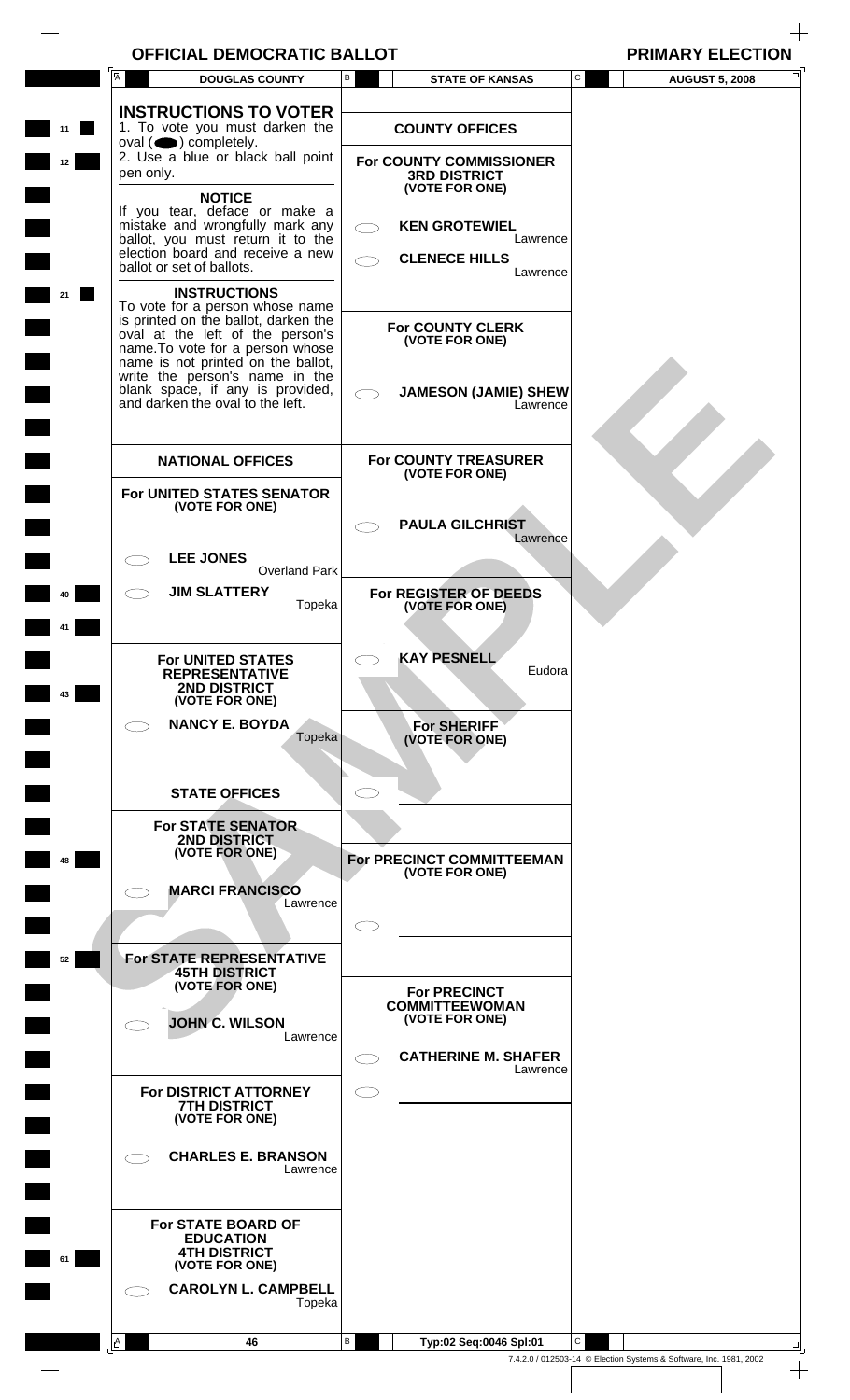$\begin{array}{c} + \end{array}$ 

 $\overline{\phantom{0}}$ 

|                  | Ā              | <b>DOUGLAS COUNTY</b>                                                                                      | B               | <b>STATE OF KANSAS</b>                                           | C            | <b>AUGUST 5, 2008</b>                                              |
|------------------|----------------|------------------------------------------------------------------------------------------------------------|-----------------|------------------------------------------------------------------|--------------|--------------------------------------------------------------------|
|                  |                | <b>INSTRUCTIONS TO VOTER</b><br>1. To vote you must darken the                                             |                 |                                                                  |              |                                                                    |
| 11               |                | $oval(\n\bullet)$ completely.<br>2. Use a blue or black ball point                                         |                 | <b>COUNTY OFFICES</b>                                            |              |                                                                    |
| 12 <sup>12</sup> | pen only.      |                                                                                                            |                 | For COUNTY COMMISSIONER<br><b>3RD DISTRICT</b><br>(VOTE FOR ONE) |              |                                                                    |
|                  |                | <b>NOTICE</b><br>If you tear, deface or make a<br>mistake and wrongfully mark any                          |                 | <b>KEN GROTEWIEL</b>                                             |              |                                                                    |
|                  |                | ballot, you must return it to the<br>election board and receive a new                                      |                 | Lawrence<br><b>CLENECE HILLS</b>                                 |              |                                                                    |
| 21               |                | ballot or set of ballots.<br><b>INSTRUCTIONS</b>                                                           |                 | Lawrence                                                         |              |                                                                    |
|                  |                | To vote for a person whose name<br>is printed on the ballot, darken the                                    |                 | <b>For COUNTY CLERK</b>                                          |              |                                                                    |
|                  |                | oval at the left of the person's<br>name. To vote for a person whose<br>name is not printed on the ballot, |                 | (VOTE FOR ONE)                                                   |              |                                                                    |
|                  |                | write the person's name in the<br>blank space, if any is provided,                                         |                 | <b>JAMESON (JAMIE) SHEW</b>                                      |              |                                                                    |
|                  |                | and darken the oval to the left.                                                                           |                 | Lawrence                                                         |              |                                                                    |
|                  |                | <b>NATIONAL OFFICES</b>                                                                                    |                 | <b>For COUNTY TREASURER</b>                                      |              |                                                                    |
|                  |                | For UNITED STATES SENATOR                                                                                  |                 | (VOTE FOR ONE)                                                   |              |                                                                    |
|                  |                | (VOTE FOR ONE)                                                                                             |                 | <b>PAULA GILCHRIST</b>                                           |              |                                                                    |
|                  |                | <b>LEE JONES</b>                                                                                           |                 | Lawrence                                                         |              |                                                                    |
| 40               |                | <b>Overland Park</b><br><b>JIM SLATTERY</b>                                                                |                 | For REGISTER OF DEEDS                                            |              |                                                                    |
|                  |                | Topeka                                                                                                     |                 | (VOTE FOR ONE)                                                   |              |                                                                    |
|                  |                | <b>For UNITED STATES</b>                                                                                   |                 | <b>KAY PESNELL</b>                                               |              |                                                                    |
| 43               |                | <b>REPRESENTATIVE</b><br><b>2ND DISTRICT</b><br>(VOTE FOR ONE)                                             |                 | Eudora                                                           |              |                                                                    |
|                  |                | <b>NANCY E. BOYDA</b>                                                                                      |                 | <b>For SHERIFF</b>                                               |              |                                                                    |
|                  |                | Topeka                                                                                                     |                 | (VOTE FOR ONE)                                                   |              |                                                                    |
|                  |                | <b>STATE OFFICES</b>                                                                                       |                 |                                                                  |              |                                                                    |
|                  |                | <b>For STATE SENATOR</b>                                                                                   |                 |                                                                  |              |                                                                    |
| 48               |                | <b>2ND DISTRICT</b><br>(VOTE FOR ONE)                                                                      |                 | For PRECINCT COMMITTEEMAN                                        |              |                                                                    |
|                  |                | <b>MARCI FRANCISCO</b><br>Lawrence                                                                         |                 | (VOTE FOR ONE)                                                   |              |                                                                    |
|                  |                |                                                                                                            |                 |                                                                  |              |                                                                    |
| 52               |                | For STATE REPRESENTATIVE<br><b>45TH DISTRICT</b>                                                           |                 |                                                                  |              |                                                                    |
|                  |                | (VOTE FOR ONE)                                                                                             |                 | <b>For PRECINCT</b><br><b>COMMITTEEWOMAN</b>                     |              |                                                                    |
|                  |                | <b>JOHN C. WILSON</b><br>Lawrence                                                                          |                 | (VOTE FOR ONE)                                                   |              |                                                                    |
|                  |                |                                                                                                            |                 | <b>CATHERINE M. SHAFER</b><br>Lawrence                           |              |                                                                    |
|                  |                | For DISTRICT ATTORNEY<br><b>7TH DISTRICT</b>                                                               |                 |                                                                  |              |                                                                    |
|                  |                | (VOTE FOR ONE)                                                                                             |                 |                                                                  |              |                                                                    |
|                  |                | <b>CHARLES E. BRANSON</b><br>Lawrence                                                                      |                 |                                                                  |              |                                                                    |
|                  |                |                                                                                                            |                 |                                                                  |              |                                                                    |
|                  |                | <b>For STATE BOARD OF</b><br><b>EDUCATION</b>                                                              |                 |                                                                  |              |                                                                    |
| 61               |                | <b>4TH DISTRICT</b><br>(VOTE FOR ONE)                                                                      |                 |                                                                  |              |                                                                    |
|                  |                | <b>CAROLYN L. CAMPBELL</b><br>Topeka                                                                       |                 |                                                                  |              |                                                                    |
|                  | <sub>L</sub> A | 46                                                                                                         | $\, {\sf B} \,$ | Typ:02 Seg:0046 Spl:01                                           | $\mathsf{C}$ |                                                                    |
| $+$              |                |                                                                                                            |                 |                                                                  |              | 7.4.2.0 / 012503-14 © Election Systems & Software, Inc. 1981, 2002 |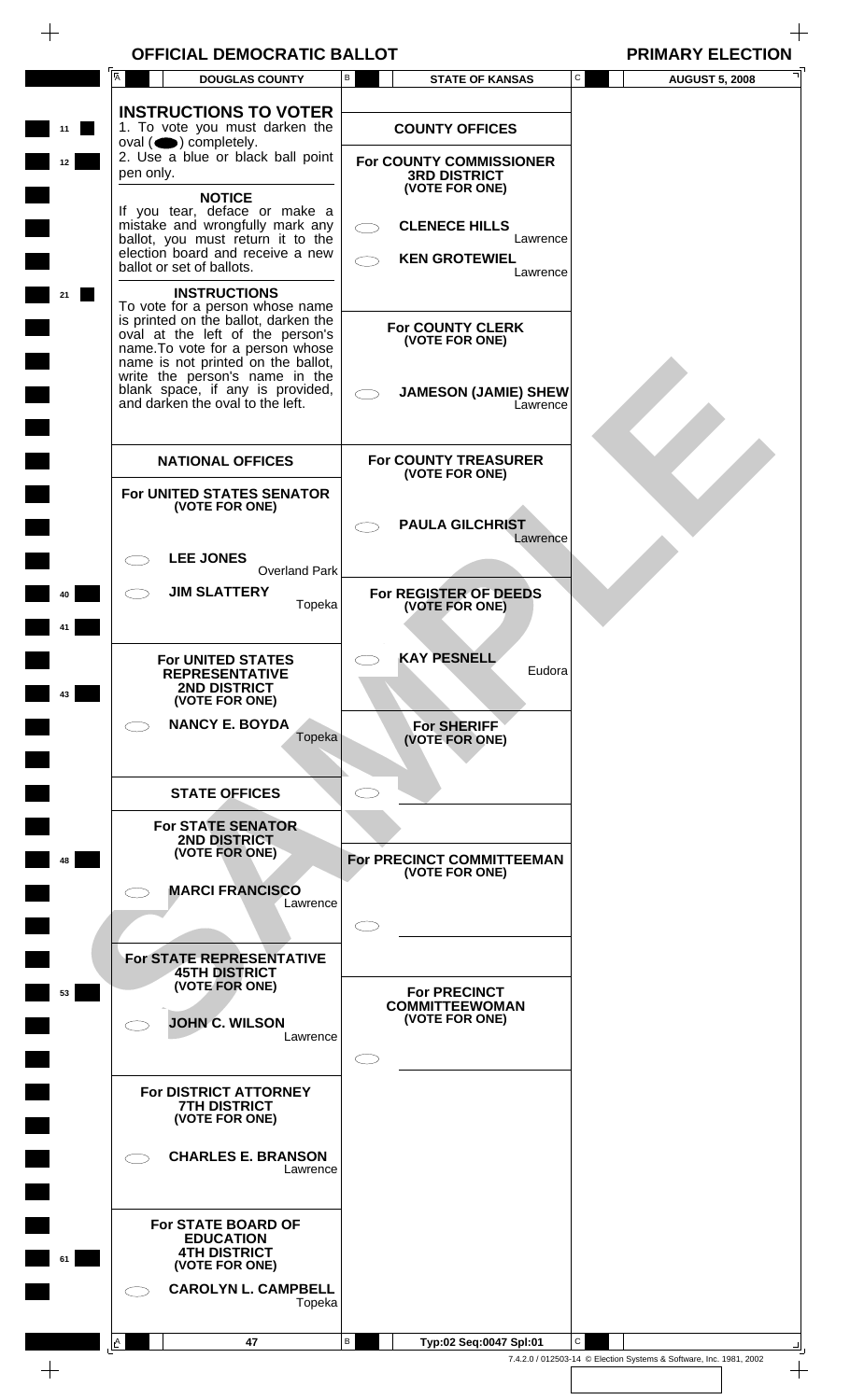# $\begin{array}{ccc} & + \ \text{OFFICIAL DEMOCRATIC BALLOT} \end{array}$

 $\begin{array}{c} + \end{array}$ 

|                | A<br><b>DOUGLAS COUNTY</b>                                                                                                                                                                                                                                                                                                                                                                               | В      | <b>STATE OF KANSAS</b>                                                                                                                                            | ${\bf C}$ | <b>AUGUST 5, 2008</b> |
|----------------|----------------------------------------------------------------------------------------------------------------------------------------------------------------------------------------------------------------------------------------------------------------------------------------------------------------------------------------------------------------------------------------------------------|--------|-------------------------------------------------------------------------------------------------------------------------------------------------------------------|-----------|-----------------------|
| 11<br>12<br>21 | <b>INSTRUCTIONS TO VOTER</b><br>1. To vote you must darken the<br>oval $($ $\bullet)$ completely.<br>2. Use a blue or black ball point<br>pen only.<br><b>NOTICE</b><br>If you tear, deface or make a<br>mistake and wrongfully mark any<br>ballot, you must return it to the<br>election board and receive a new<br>ballot or set of ballots.<br><b>INSTRUCTIONS</b><br>To vote for a person whose name |        | <b>COUNTY OFFICES</b><br>For COUNTY COMMISSIONER<br><b>3RD DISTRICT</b><br>(VOTE FOR ONE)<br><b>CLENECE HILLS</b><br>Lawrence<br><b>KEN GROTEWIEL</b><br>Lawrence |           |                       |
|                | is printed on the ballot, darken the<br>oval at the left of the person's<br>name. To vote for a person whose<br>name is not printed on the ballot,<br>write the person's name in the<br>blank space, if any is provided,<br>and darken the oval to the left.                                                                                                                                             |        | <b>For COUNTY CLERK</b><br>(VOTE FOR ONE)<br><b>JAMESON (JAMIE) SHEW</b><br>Lawrence                                                                              |           |                       |
|                | <b>NATIONAL OFFICES</b><br>For UNITED STATES SENATOR<br>(VOTE FOR ONE)                                                                                                                                                                                                                                                                                                                                   |        | <b>For COUNTY TREASURER</b><br>(VOTE FOR ONE)<br><b>PAULA GILCHRIST</b><br>Lawrence                                                                               |           |                       |
| 40             | <b>LEE JONES</b><br><b>Overland Park</b><br><b>JIM SLATTERY</b><br>For UNITED STATES                                                                                                                                                                                                                                                                                                                     | Topeka | For REGISTER OF DEEDS<br>(VOTE FOR ONE)<br><b>KAY PESNELL</b>                                                                                                     |           |                       |
| 43             | <b>REPRESENTATIVE</b><br><b>2ND DISTRICT</b><br>(VOTE FOR ONE)<br><b>NANCY E. BOYDA</b>                                                                                                                                                                                                                                                                                                                  | Topeka | Eudora<br><b>For SHERIFF</b><br>(VOTE FOR ONE)                                                                                                                    |           |                       |
| 48             | <b>STATE OFFICES</b><br><b>For STATE SENATOR</b><br><b>2ND DISTRICT</b><br>(VOTE FOR ONE)<br><b>MARCI FRANCISCO</b>                                                                                                                                                                                                                                                                                      |        | For PRECINCT COMMITTEEMAN<br>(VOTE FOR ONE)                                                                                                                       |           |                       |
| 53             | Lawrence<br>For STATE REPRESENTATIVE<br><b>45TH DISTRICT</b><br>(VOTE FOR ONE)                                                                                                                                                                                                                                                                                                                           |        | <b>For PRECINCT</b><br><b>COMMITTEEWOMAN</b>                                                                                                                      |           |                       |
|                | <b>JOHN C. WILSON</b><br>Lawrence<br>For DISTRICT ATTORNEY<br><b>7TH DISTRICT</b><br>(VOTE FOR ONE)                                                                                                                                                                                                                                                                                                      |        | (VOTE FOR ONE)                                                                                                                                                    |           |                       |
|                | <b>CHARLES E. BRANSON</b><br>Lawrence<br>For STATE BOARD OF                                                                                                                                                                                                                                                                                                                                              |        |                                                                                                                                                                   |           |                       |
| 61             | <b>EDUCATION</b><br><b>4TH DISTRICT</b><br>(VOTE FOR ONE)<br><b>CAROLYN L. CAMPBELL</b>                                                                                                                                                                                                                                                                                                                  | Topeka |                                                                                                                                                                   |           |                       |
|                | 47                                                                                                                                                                                                                                                                                                                                                                                                       | В      | Typ:02 Seg:0047 Spl:01                                                                                                                                            | C         |                       |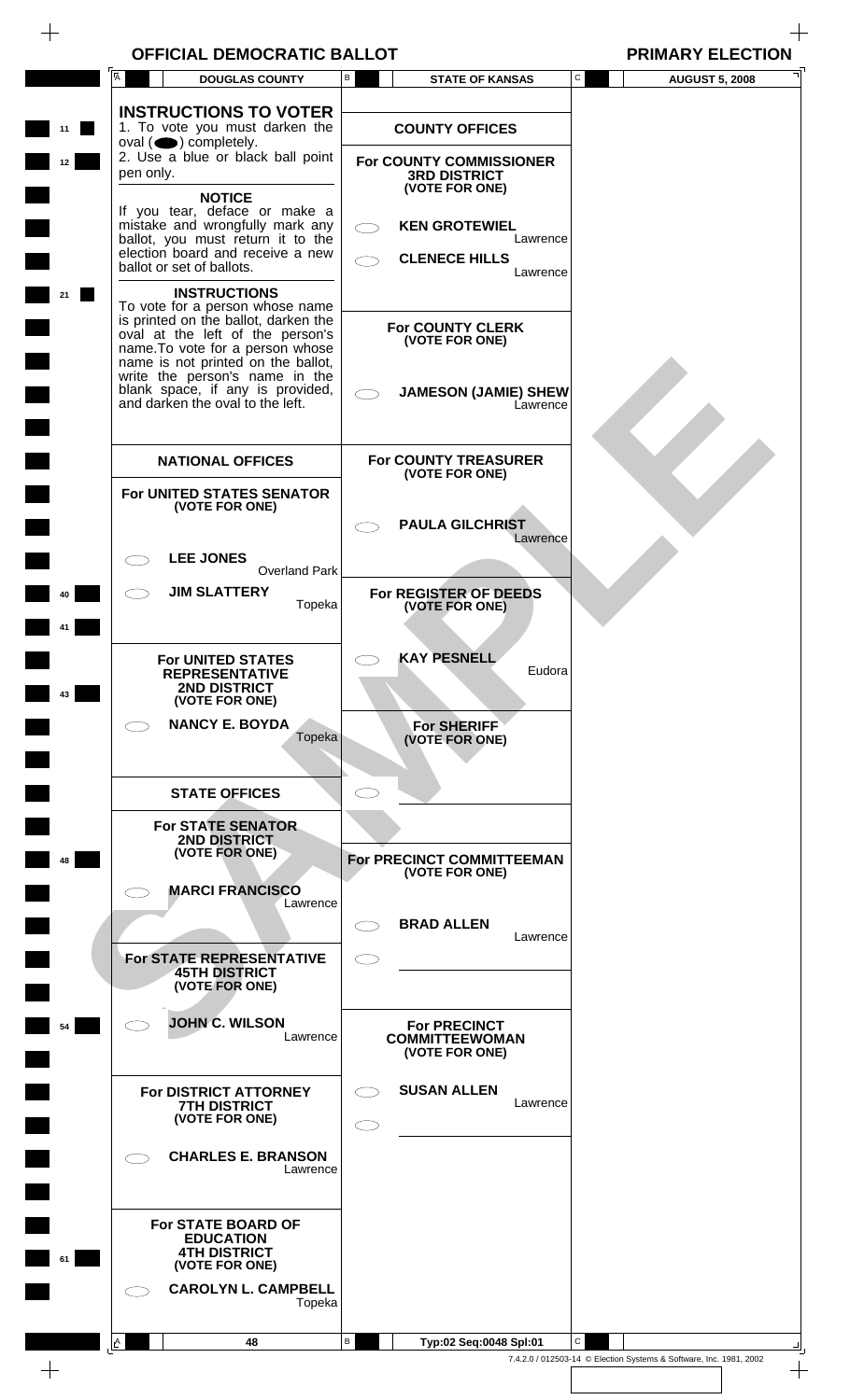$\begin{array}{c} + \end{array}$ 

 $\!+\!$ 

|          | Ā<br><b>DOUGLAS COUNTY</b>                                                                                                                                                                                                                                                                      | В | <b>STATE OF KANSAS</b>                                                                 | C<br><b>AUGUST 5, 2008</b>                                                         |
|----------|-------------------------------------------------------------------------------------------------------------------------------------------------------------------------------------------------------------------------------------------------------------------------------------------------|---|----------------------------------------------------------------------------------------|------------------------------------------------------------------------------------|
| 11<br>12 | <b>INSTRUCTIONS TO VOTER</b><br>1. To vote you must darken the<br>oval $($ $\bullet)$ completely.<br>2. Use a blue or black ball point<br>pen only.                                                                                                                                             |   | <b>COUNTY OFFICES</b><br>For COUNTY COMMISSIONER<br><b>3RD DISTRICT</b>                |                                                                                    |
| 21       | <b>NOTICE</b><br>If you tear, deface or make a<br>mistake and wrongfully mark any<br>ballot, you must return it to the<br>election board and receive a new<br>ballot or set of ballots.<br><b>INSTRUCTIONS</b>                                                                                  |   | (VOTE FOR ONE)<br><b>KEN GROTEWIEL</b><br>Lawrence<br><b>CLENECE HILLS</b><br>Lawrence |                                                                                    |
|          | To vote for a person whose name<br>is printed on the ballot, darken the<br>oval at the left of the person's<br>name. To vote for a person whose<br>name is not printed on the ballot,<br>write the person's name in the<br>blank space, if any is provided,<br>and darken the oval to the left. |   | <b>For COUNTY CLERK</b><br>(VOTE FOR ONE)<br><b>JAMESON (JAMIE) SHEW</b><br>Lawrence   |                                                                                    |
|          | <b>NATIONAL OFFICES</b>                                                                                                                                                                                                                                                                         |   | <b>For COUNTY TREASURER</b><br>(VOTE FOR ONE)                                          |                                                                                    |
|          | For UNITED STATES SENATOR<br>(VOTE FOR ONE)<br><b>LEE JONES</b>                                                                                                                                                                                                                                 |   | <b>PAULA GILCHRIST</b><br>Lawrence                                                     |                                                                                    |
| 40       | Overland Park<br><b>JIM SLATTERY</b><br>Topeka                                                                                                                                                                                                                                                  |   | For REGISTER OF DEEDS<br>(VOTE FOR ONE)                                                |                                                                                    |
| 43       | <b>For UNITED STATES</b><br><b>REPRESENTATIVE</b><br><b>2ND DISTRICT</b><br>(VOTE FOR ONE)                                                                                                                                                                                                      |   | <b>KAY PESNELL</b><br>Eudora                                                           |                                                                                    |
|          | <b>NANCY E. BOYDA</b><br>Topeka                                                                                                                                                                                                                                                                 |   | <b>For SHERIFF</b><br>(VOTE FOR ONE)                                                   |                                                                                    |
|          | <b>STATE OFFICES</b>                                                                                                                                                                                                                                                                            |   |                                                                                        |                                                                                    |
| 48       | <b>For STATE SENATOR</b><br><b>2ND DISTRICT</b><br>(VOTE FOR ONE)                                                                                                                                                                                                                               |   | For PRECINCT COMMITTEEMAN<br>(VOTE FOR ONE)                                            |                                                                                    |
|          | <b>MARCI FRANCISCO</b><br>Lawrence                                                                                                                                                                                                                                                              |   | <b>BRAD ALLEN</b><br>Lawrence                                                          |                                                                                    |
|          | For STATE REPRESENTATIVE<br><b>45TH DISTRICT</b><br>(VOTE FOR ONE)                                                                                                                                                                                                                              |   |                                                                                        |                                                                                    |
| 54       | <b>JOHN C. WILSON</b><br>Lawrence                                                                                                                                                                                                                                                               |   | <b>For PRECINCT</b><br><b>COMMITTEEWOMAN</b><br>(VOTE FOR ONE)                         |                                                                                    |
|          | For DISTRICT ATTORNEY<br><b>7TH DISTRICT</b><br>(VOTE FOR ONE)                                                                                                                                                                                                                                  |   | <b>SUSAN ALLEN</b><br>Lawrence                                                         |                                                                                    |
|          | <b>CHARLES E. BRANSON</b><br>Lawrence                                                                                                                                                                                                                                                           |   |                                                                                        |                                                                                    |
| 61       | For STATE BOARD OF<br><b>EDUCATION</b><br><b>4TH DISTRICT</b><br>(VOTE FOR ONE)<br><b>CAROLYN L. CAMPBELL</b><br>Topeka                                                                                                                                                                         |   |                                                                                        |                                                                                    |
|          |                                                                                                                                                                                                                                                                                                 |   |                                                                                        |                                                                                    |
|          | A<br>48                                                                                                                                                                                                                                                                                         | B | Typ:02 Seq:0048 Spl:01                                                                 | $\mathsf{C}$<br>7.4.2.0 / 012503-14 © Election Systems & Software, Inc. 1981, 2002 |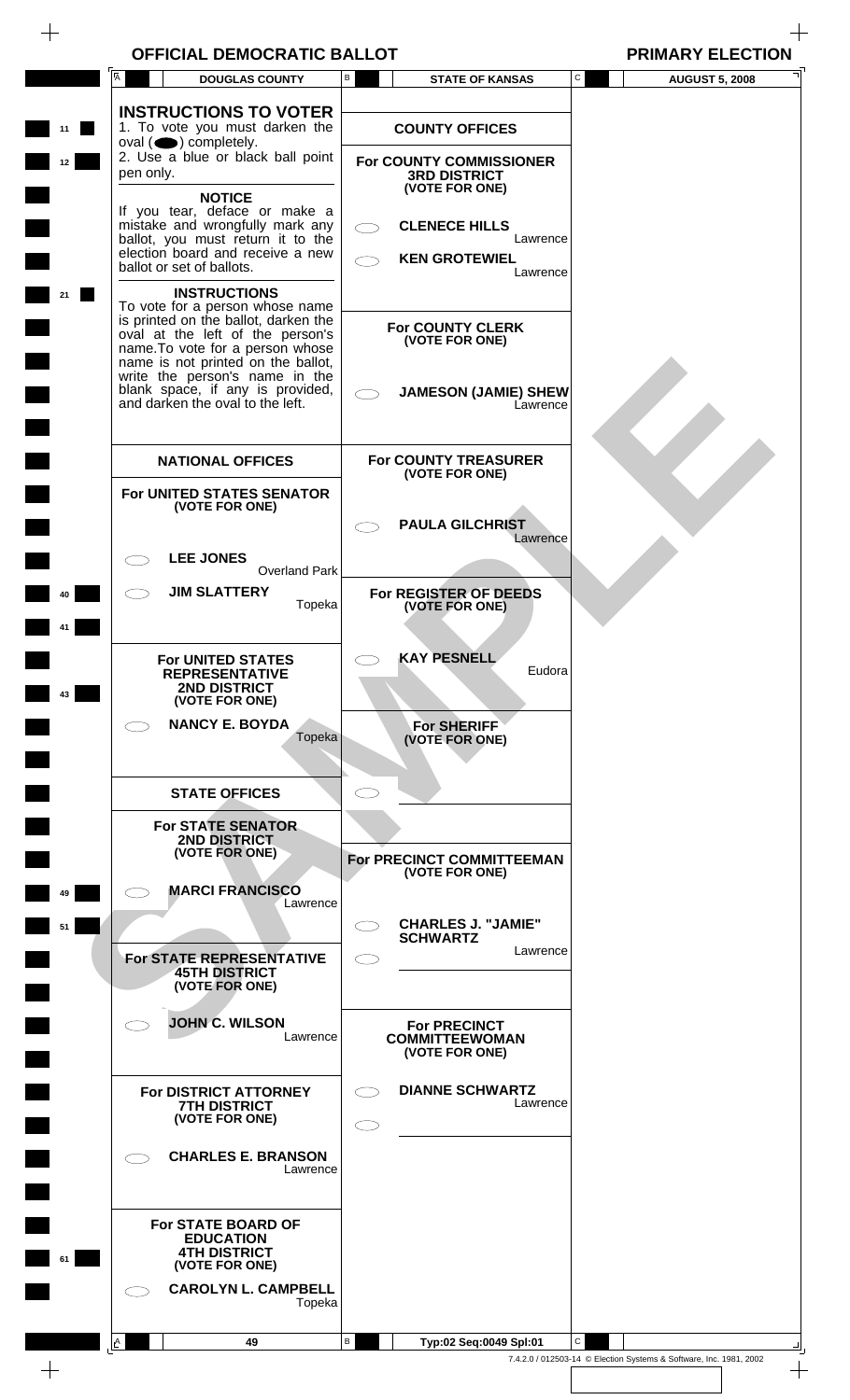# $\begin{array}{ccc} & + \ \text{OFFICIAL DEMOCRATIC BALLOT} \end{array}$

 $\begin{array}{c} \begin{array}{c} \begin{array}{c} \begin{array}{c} \end{array} \end{array} \end{array} \end{array} \end{array}$ 

| 11<br>12 | <b>INSTRUCTIONS TO VOTER</b><br>1. To vote you must darken the<br>oval $($ $\bullet)$ completely.<br>2. Use a blue or black ball point<br>pen only.                                                                                                                                                                | <b>COUNTY OFFICES</b><br><b>For COUNTY COMMISSIONER</b><br><b>3RD DISTRICT</b>         |   |
|----------|--------------------------------------------------------------------------------------------------------------------------------------------------------------------------------------------------------------------------------------------------------------------------------------------------------------------|----------------------------------------------------------------------------------------|---|
|          | <b>NOTICE</b><br>If you tear, deface or make a<br>mistake and wrongfully mark any<br>ballot, you must return it to the<br>election board and receive a new<br>ballot or set of ballots.                                                                                                                            | (VOTE FOR ONE)<br><b>CLENECE HILLS</b><br>Lawrence<br><b>KEN GROTEWIEL</b><br>Lawrence |   |
| 21       | <b>INSTRUCTIONS</b><br>To vote for a person whose name<br>is printed on the ballot, darken the<br>oval at the left of the person's<br>name.To vote for a person whose<br>name is not printed on the ballot,<br>write the person's name in the<br>blank space, if any is provided, and darken the oval to the left. | <b>For COUNTY CLERK</b><br>(VOTE FOR ONE)<br><b>JAMESON (JAMIE) SHEW</b><br>Lawrence   |   |
|          | <b>NATIONAL OFFICES</b><br>For UNITED STATES SENATOR<br>(VOTE FOR ONE)                                                                                                                                                                                                                                             | <b>For COUNTY TREASURER</b><br>(VOTE FOR ONE)                                          |   |
|          | <b>LEE JONES</b><br><b>Overland Park</b>                                                                                                                                                                                                                                                                           | <b>PAULA GILCHRIST</b><br>Lawrence                                                     |   |
| 40<br>41 | <b>JIM SLATTERY</b><br>Topeka                                                                                                                                                                                                                                                                                      | For REGISTER OF DEEDS<br>(VOTE FOR ONE)                                                |   |
| 43       | <b>For UNITED STATES</b><br><b>REPRESENTATIVE</b><br>2ND DISTRICT<br>(VOTE FOR ONE)                                                                                                                                                                                                                                | <b>KAY PESNELL</b><br>Eudora                                                           |   |
|          | <b>NANCY E. BOYDA</b><br>Topeka                                                                                                                                                                                                                                                                                    | For SHERIFF<br>(VOTE FOR ONE)                                                          |   |
|          | <b>STATE OFFICES</b>                                                                                                                                                                                                                                                                                               |                                                                                        |   |
|          | <b>For STATE SENATOR</b><br><b>2ND DISTRICT</b><br>(VOTE FOR ONE)                                                                                                                                                                                                                                                  | For PRECINCT COMMITTEEMAN<br>(VOTE FOR ONE)                                            |   |
| 49       | <b>MARCI FRANCISCO</b><br>Lawrence                                                                                                                                                                                                                                                                                 |                                                                                        |   |
| 51       | <b>For STATE REPRESENTATIVE</b><br><b>45TH DISTRICT</b><br>(VOTE FOR ONE)                                                                                                                                                                                                                                          | <b>CHARLES J. "JAMIE"</b><br><b>SCHWARTZ</b><br>Lawrence                               |   |
|          | <b>JOHN C. WILSON</b><br>Lawrence                                                                                                                                                                                                                                                                                  | <b>For PRECINCT</b><br><b>COMMITTEEWOMAN</b><br>(VOTE FOR ONE)                         |   |
|          | For DISTRICT ATTORNEY<br><b>7TH DISTRICT</b><br>(VOTE FOR ONE)                                                                                                                                                                                                                                                     | <b>DIANNE SCHWARTZ</b><br>Lawrence                                                     |   |
|          | <b>CHARLES E. BRANSON</b><br>Lawrence                                                                                                                                                                                                                                                                              |                                                                                        |   |
| 61       | <b>For STATE BOARD OF</b><br><b>EDUCATION</b><br><b>4TH DISTRICT</b><br>(VOTE FOR ONE)<br><b>CAROLYN L. CAMPBELL</b><br>Topeka                                                                                                                                                                                     |                                                                                        |   |
|          |                                                                                                                                                                                                                                                                                                                    |                                                                                        |   |
|          | 49                                                                                                                                                                                                                                                                                                                 | В<br>Typ:02 Seq:0049 Spl:01                                                            | C |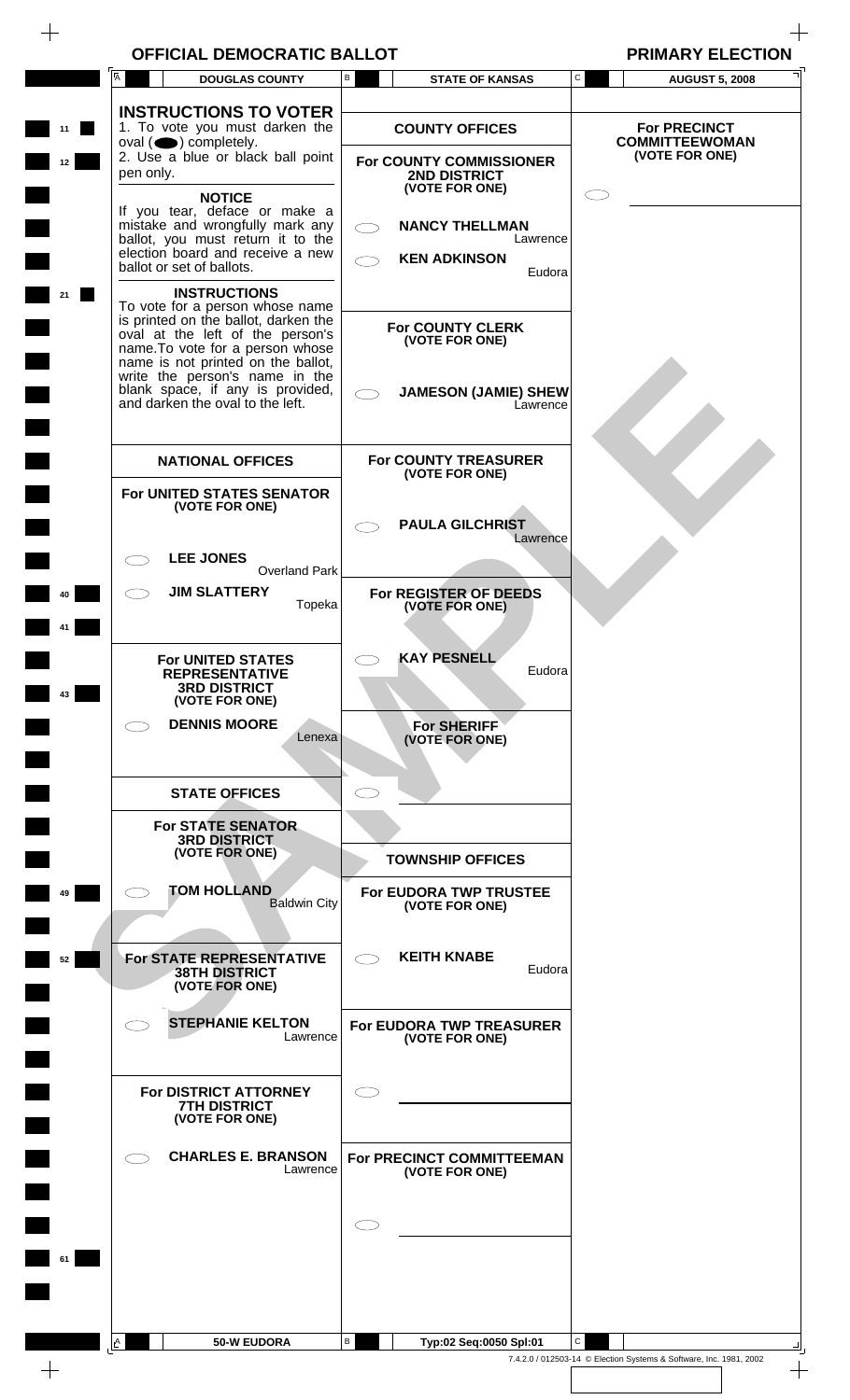$\frac{1}{\sqrt{2}}$ 

|    | A         | <b>DOUGLAS COUNTY</b>                                                                                                                              | B                   | <b>STATE OF KANSAS</b>                                    | C        | <b>AUGUST 5, 2008</b>                        |
|----|-----------|----------------------------------------------------------------------------------------------------------------------------------------------------|---------------------|-----------------------------------------------------------|----------|----------------------------------------------|
| 11 |           | <b>INSTRUCTIONS TO VOTER</b><br>1. To vote you must darken the<br>$oval(\n\bullet)$ completely.                                                    |                     | <b>COUNTY OFFICES</b>                                     |          | <b>For PRECINCT</b><br><b>COMMITTEEWOMAN</b> |
| 12 | pen only. | 2. Use a blue or black ball point<br><b>NOTICE</b>                                                                                                 |                     | For COUNTY COMMISSIONER<br>2ND DISTRICT<br>(VOTE FOR ONE) |          | (VOTE FOR ONE)                               |
|    |           | If you tear, deface or make a<br>mistake and wrongfully mark any<br>ballot, you must return it to the<br>election board and receive a new          | $\subset$ $\supset$ | <b>NANCY THELLMAN</b>                                     | Lawrence |                                              |
| 21 |           | ballot or set of ballots.<br><b>INSTRUCTIONS</b><br>To vote for a person whose name                                                                |                     | <b>KEN ADKINSON</b>                                       | Eudora   |                                              |
|    |           | is printed on the ballot, darken the<br>oval at the left of the person's<br>name. To vote for a person whose<br>name is not printed on the ballot, |                     | For COUNTY CLERK<br>(VOTE FOR ONE)                        |          |                                              |
|    |           | write the person's name in the<br>blank space, if any is provided,<br>and darken the oval to the left.                                             |                     | <b>JAMESON (JAMIE) SHEW</b>                               | Lawrence |                                              |
|    |           | <b>NATIONAL OFFICES</b><br>For UNITED STATES SENATOR                                                                                               |                     | <b>For COUNTY TREASURER</b><br>(VOTE FOR ONE)             |          |                                              |
|    |           | (VOTE FOR ONE)                                                                                                                                     |                     | <b>PAULA GILCHRIST</b>                                    | Lawrence |                                              |
|    |           | <b>LEE JONES</b><br><b>Overland Park</b><br><b>JIM SLATTERY</b><br>Topeka                                                                          |                     | For REGISTER OF DEEDS<br>(VOTE FOR ONE)                   |          |                                              |
|    |           | <b>For UNITED STATES</b>                                                                                                                           |                     | <b>KAY PESNELL</b>                                        |          |                                              |
|    |           | <b>REPRESENTATIVE</b><br><b>3RD DISTRICT</b><br>(VOTE FOR ONE)<br><b>DENNIS MOORE</b>                                                              |                     |                                                           | Eudora   |                                              |
|    |           | Lenexa                                                                                                                                             |                     | <b>For SHERIFF</b><br>(VOTE FOR ONE)                      |          |                                              |
|    |           | <b>STATE OFFICES</b>                                                                                                                               |                     |                                                           |          |                                              |
|    |           | <b>For STATE SENATOR</b><br><b>3RD DISTRICT</b><br>(VOTE FOR ONE)                                                                                  |                     | <b>TOWNSHIP OFFICES</b>                                   |          |                                              |
| 49 |           | <b>TOM HOLLAND</b><br><b>Baldwin City</b>                                                                                                          |                     | For EUDORA TWP TRUSTEE<br>(VOTE FOR ONE)                  |          |                                              |
| 52 |           | For STATE REPRESENTATIVE<br><b>38TH DISTRICT</b><br>(VOTE FOR ONE)                                                                                 |                     | <b>KEITH KNABE</b>                                        | Eudora   |                                              |
|    |           | <b>STEPHANIE KELTON</b><br>Lawrence                                                                                                                |                     | For EUDORA TWP TREASURER<br>(VOTE FOR ONE)                |          |                                              |
|    |           | <b>For DISTRICT ATTORNEY</b><br><b>7TH DISTRICT</b><br>(VOTE FOR ONE)                                                                              |                     |                                                           |          |                                              |
|    |           | <b>CHARLES E. BRANSON</b><br>Lawrence                                                                                                              |                     | For PRECINCT COMMITTEEMAN<br>(VOTE FOR ONE)               |          |                                              |
|    |           |                                                                                                                                                    |                     |                                                           |          |                                              |
|    |           |                                                                                                                                                    |                     |                                                           |          |                                              |
|    |           |                                                                                                                                                    |                     |                                                           |          |                                              |
|    |           | 50-W EUDORA                                                                                                                                        | В                   | Typ:02 Seq:0050 Spl:01                                    | C        |                                              |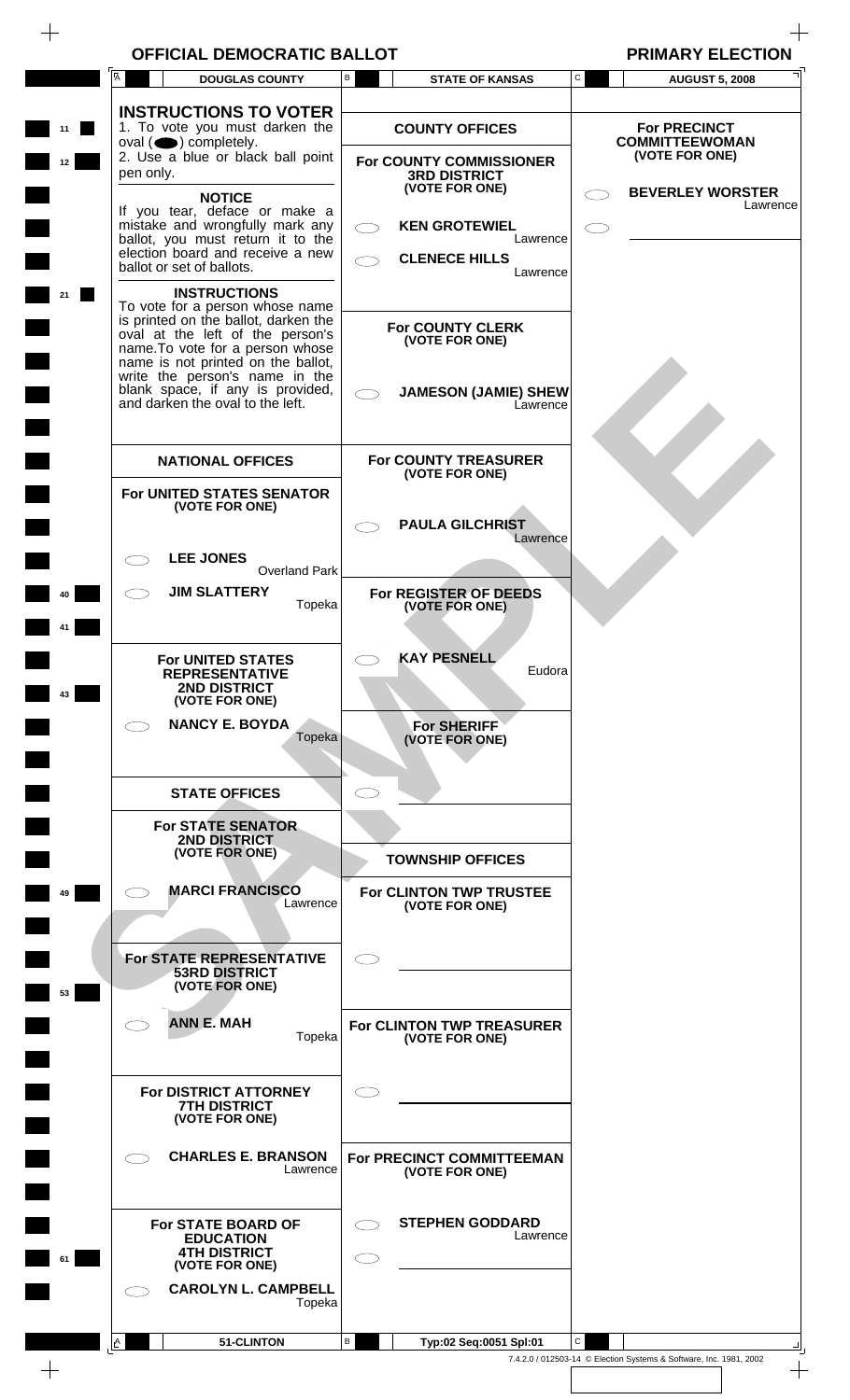$\qquad \qquad +$ 

|    | A         | <b>DOUGLAS COUNTY</b>                                                                                                                                                                                                                                                                                                  | В                   | <b>STATE OF KANSAS</b>                                                                 | C | <b>AUGUST 5, 2008</b>                                              |
|----|-----------|------------------------------------------------------------------------------------------------------------------------------------------------------------------------------------------------------------------------------------------------------------------------------------------------------------------------|---------------------|----------------------------------------------------------------------------------------|---|--------------------------------------------------------------------|
| 11 |           | <b>INSTRUCTIONS TO VOTER</b><br>1. To vote you must darken the                                                                                                                                                                                                                                                         |                     | <b>COUNTY OFFICES</b>                                                                  |   | <b>For PRECINCT</b>                                                |
| 12 | pen only. | $oval(\n\bullet)$ completely.<br>2. Use a blue or black ball point                                                                                                                                                                                                                                                     |                     | For COUNTY COMMISSIONER<br><b>3RD DISTRICT</b>                                         |   | <b>COMMITTEEWOMAN</b><br>(VOTE FOR ONE)                            |
|    |           | <b>NOTICE</b><br>If you tear, deface or make a<br>mistake and wrongfully mark any<br>ballot, you must return it to the<br>election board and receive a new<br>ballot or set of ballots.                                                                                                                                | $\subset$ $\supset$ | (VOTE FOR ONE)<br><b>KEN GROTEWIEL</b><br>Lawrence<br><b>CLENECE HILLS</b><br>Lawrence |   | <b>BEVERLEY WORSTER</b><br>Lawrence                                |
| 21 |           | <b>INSTRUCTIONS</b><br>To vote for a person whose name<br>is printed on the ballot, darken the<br>oval at the left of the person's<br>name. To vote for a person whose<br>name is not printed on the ballot,<br>write the person's name in the<br>blank space, if any is provided,<br>and darken the oval to the left. |                     | <b>For COUNTY CLERK</b><br>(VOTE FOR ONE)<br><b>JAMESON (JAMIE) SHEW</b><br>Lawrence   |   |                                                                    |
|    |           | <b>NATIONAL OFFICES</b><br>For UNITED STATES SENATOR<br>(VOTE FOR ONE)                                                                                                                                                                                                                                                 |                     | <b>For COUNTY TREASURER</b><br>(VOTE FOR ONE)                                          |   |                                                                    |
|    |           | <b>LEE JONES</b><br><b>Overland Park</b>                                                                                                                                                                                                                                                                               |                     | <b>PAULA GILCHRIST</b><br>Lawrence                                                     |   |                                                                    |
|    |           | <b>JIM SLATTERY</b><br>Topeka                                                                                                                                                                                                                                                                                          |                     | For REGISTER OF DEEDS<br>(VOTE FOR ONE)                                                |   |                                                                    |
| 43 |           | <b>For UNITED STATES</b><br><b>REPRESENTATIVE</b><br>2ND DISTRICT<br>(VOTE FOR ONE)                                                                                                                                                                                                                                    |                     | <b>KAY PESNELL</b><br>Eudora                                                           |   |                                                                    |
|    |           | <b>NANCY E. BOYDA</b><br>Topeka                                                                                                                                                                                                                                                                                        |                     | <b>For SHERIFF</b><br>(VOTE FOR ONE)                                                   |   |                                                                    |
|    |           | <b>STATE OFFICES</b><br><b>For STATE SENATOR</b><br><b>2ND DISTRICT</b><br>(VOTE FOR ONE)                                                                                                                                                                                                                              | C.                  | <b>TOWNSHIP OFFICES</b>                                                                |   |                                                                    |
| 49 |           | <b>MARCI FRANCISCO</b><br>Lawrence                                                                                                                                                                                                                                                                                     |                     | For CLINTON TWP TRUSTEE<br>(VOTE FOR ONE)                                              |   |                                                                    |
| 53 |           | For STATE REPRESENTATIVE<br><b>53RD DISTRICT</b><br>(VOTE FOR ONE)                                                                                                                                                                                                                                                     | C.                  |                                                                                        |   |                                                                    |
|    |           | <b>ANN E. MAH</b><br>Topeka                                                                                                                                                                                                                                                                                            |                     | <b>For CLINTON TWP TREASURER</b><br>(VOTE FOR ONE)                                     |   |                                                                    |
|    |           | For DISTRICT ATTORNEY<br><b>7TH DISTRICT</b><br>(VOTE FOR ONE)                                                                                                                                                                                                                                                         |                     |                                                                                        |   |                                                                    |
|    |           | <b>CHARLES E. BRANSON</b><br>Lawrence                                                                                                                                                                                                                                                                                  |                     | For PRECINCT COMMITTEEMAN<br>(VOTE FOR ONE)                                            |   |                                                                    |
| 61 |           | <b>For STATE BOARD OF</b><br><b>EDUCATION</b><br><b>4TH DISTRICT</b><br>(VOTE FOR ONE)                                                                                                                                                                                                                                 | C D<br>CD           | <b>STEPHEN GODDARD</b><br>Lawrence                                                     |   |                                                                    |
|    |           | <b>CAROLYN L. CAMPBELL</b><br>Topeka                                                                                                                                                                                                                                                                                   |                     |                                                                                        |   |                                                                    |
|    | LA        | 51-CLINTON                                                                                                                                                                                                                                                                                                             | В                   | Typ:02 Seq:0051 Spl:01                                                                 | С | 7.4.2.0 / 012503-14 © Election Systems & Software, Inc. 1981, 2002 |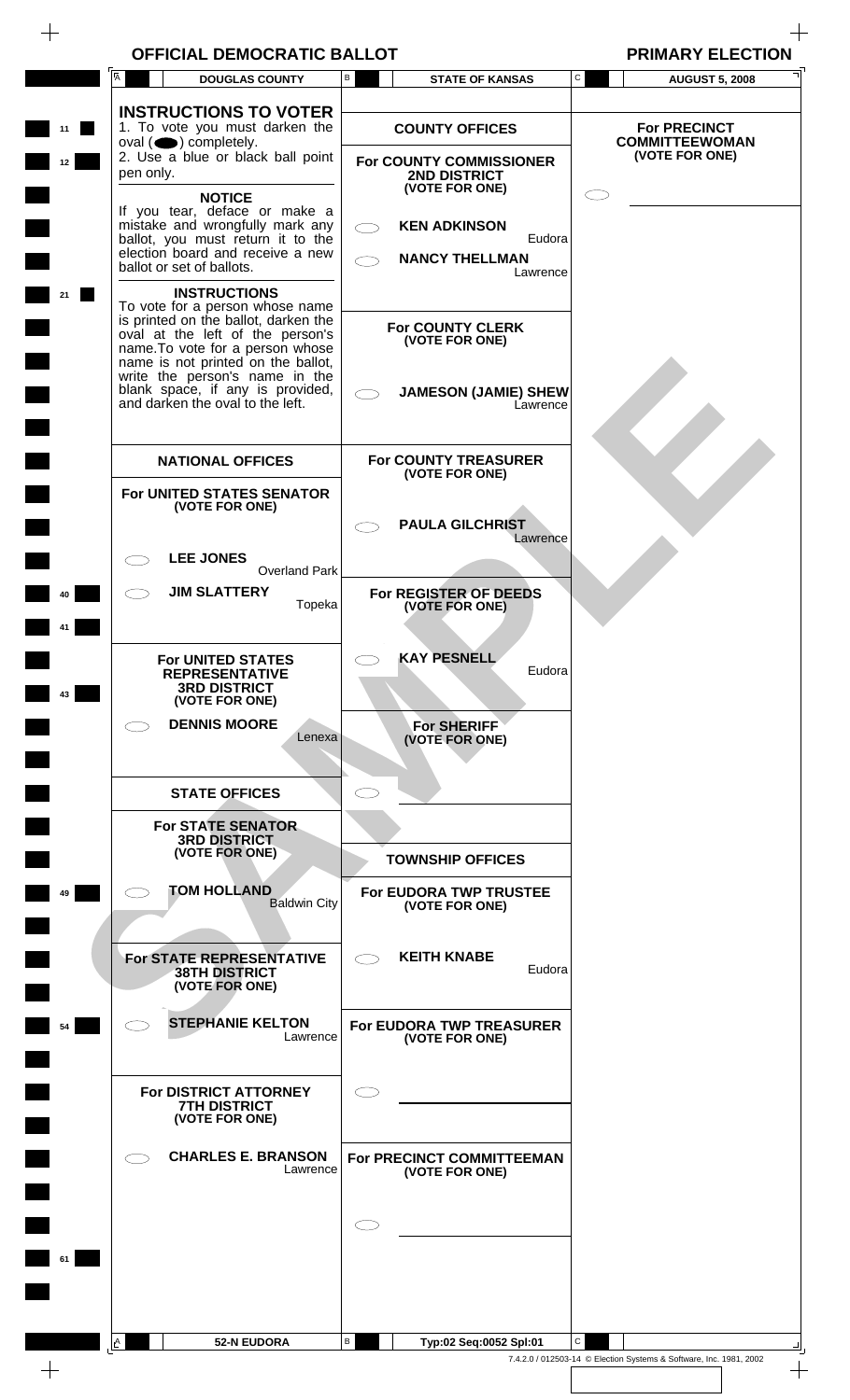$\frac{1}{\sqrt{2}}$ 

| <b>INSTRUCTIONS TO VOTER</b><br>1. To vote you must darken the<br><b>COUNTY OFFICES</b><br><b>For PRECINCT</b><br>11<br>oval $($ $\bullet)$ completely.<br><b>COMMITTEEWOMAN</b><br>(VOTE FOR ONE)<br>2. Use a blue or black ball point<br>For COUNTY COMMISSIONER<br>12<br>pen only.<br>2ND DISTRICT<br>(VOTE FOR ONE)<br><b>NOTICE</b><br>If you tear, deface or make a<br>mistake and wrongfully mark any<br><b>KEN ADKINSON</b><br>$\bigcirc$<br>ballot, you must return it to the<br>Eudora<br>election board and receive a new<br><b>NANCY THELLMAN</b><br>ballot or set of ballots.<br>Lawrence<br><b>INSTRUCTIONS</b><br>21<br>To vote for a person whose name<br>is printed on the ballot, darken the<br><b>For COUNTY CLERK</b><br>oval at the left of the person's<br>(VOTE FOR ONE)<br>name. To vote for a person whose<br>name is not printed on the ballot,<br>write the person's name in the<br>blank space, if any is provided,<br><b>JAMESON (JAMIE) SHEW</b><br>and darken the oval to the left.<br>Lawrence<br><b>For COUNTY TREASURER</b><br><b>NATIONAL OFFICES</b><br>(VOTE FOR ONE)<br>For UNITED STATES SENATOR<br>(VOTE FOR ONE)<br><b>PAULA GILCHRIST</b><br>Lawrence<br><b>LEE JONES</b><br><b>Overland Park</b><br><b>JIM SLATTERY</b><br>For REGISTER OF DEEDS<br>40<br>Topeka<br>(VOTE FOR ONE)<br>41<br><b>KAY PESNELL</b><br><b>For UNITED STATES</b><br>Eudora<br><b>REPRESENTATIVE</b><br><b>3RD DISTRICT</b><br>(VOTE FOR ONE)<br><b>DENNIS MOORE</b><br><b>For SHERIFF</b><br>Lenexa<br>(VOTE FOR ONE)<br><b>STATE OFFICES</b><br><b>For STATE SENATOR</b><br><b>3RD DISTRICT</b><br>(VOTE FOR ONE)<br><b>TOWNSHIP OFFICES</b><br><b>TOM HOLLAND</b><br>For EUDORA TWP TRUSTEE<br>49<br><b>Baldwin City</b><br>(VOTE FOR ONE)<br><b>KEITH KNABE</b><br><b>For STATE REPRESENTATIVE</b><br>Eudora<br><b>38TH DISTRICT</b><br>(VOTE FOR ONE)<br><b>STEPHANIE KELTON</b><br><b>For EUDORA TWP TREASURER</b><br>54<br>Lawrence<br>(VOTE FOR ONE)<br>For DISTRICT ATTORNEY<br><b>7TH DISTRICT</b><br>(VOTE FOR ONE)<br><b>CHARLES E. BRANSON</b><br>For PRECINCT COMMITTEEMAN<br>Lawrence<br>(VOTE FOR ONE)<br>61<br>В<br><b>52-N EUDORA</b><br>C<br>Typ:02 Seq:0052 Spl:01<br>7.4.2.0 / 012503-14 © Election Systems & Software, Inc. 1981, 2002 |  | A<br><b>DOUGLAS COUNTY</b> | $\mathsf{B}$<br>C<br><b>STATE OF KANSAS</b> | <b>AUGUST 5, 2008</b> |
|----------------------------------------------------------------------------------------------------------------------------------------------------------------------------------------------------------------------------------------------------------------------------------------------------------------------------------------------------------------------------------------------------------------------------------------------------------------------------------------------------------------------------------------------------------------------------------------------------------------------------------------------------------------------------------------------------------------------------------------------------------------------------------------------------------------------------------------------------------------------------------------------------------------------------------------------------------------------------------------------------------------------------------------------------------------------------------------------------------------------------------------------------------------------------------------------------------------------------------------------------------------------------------------------------------------------------------------------------------------------------------------------------------------------------------------------------------------------------------------------------------------------------------------------------------------------------------------------------------------------------------------------------------------------------------------------------------------------------------------------------------------------------------------------------------------------------------------------------------------------------------------------------------------------------------------------------------------------------------------------------------------------------------------------------------------------------------------------------------------------------------------------------------------------------------------------------------------------------------------------------------------------------------|--|----------------------------|---------------------------------------------|-----------------------|
|                                                                                                                                                                                                                                                                                                                                                                                                                                                                                                                                                                                                                                                                                                                                                                                                                                                                                                                                                                                                                                                                                                                                                                                                                                                                                                                                                                                                                                                                                                                                                                                                                                                                                                                                                                                                                                                                                                                                                                                                                                                                                                                                                                                                                                                                                  |  |                            |                                             |                       |
|                                                                                                                                                                                                                                                                                                                                                                                                                                                                                                                                                                                                                                                                                                                                                                                                                                                                                                                                                                                                                                                                                                                                                                                                                                                                                                                                                                                                                                                                                                                                                                                                                                                                                                                                                                                                                                                                                                                                                                                                                                                                                                                                                                                                                                                                                  |  |                            |                                             |                       |
|                                                                                                                                                                                                                                                                                                                                                                                                                                                                                                                                                                                                                                                                                                                                                                                                                                                                                                                                                                                                                                                                                                                                                                                                                                                                                                                                                                                                                                                                                                                                                                                                                                                                                                                                                                                                                                                                                                                                                                                                                                                                                                                                                                                                                                                                                  |  |                            |                                             |                       |
|                                                                                                                                                                                                                                                                                                                                                                                                                                                                                                                                                                                                                                                                                                                                                                                                                                                                                                                                                                                                                                                                                                                                                                                                                                                                                                                                                                                                                                                                                                                                                                                                                                                                                                                                                                                                                                                                                                                                                                                                                                                                                                                                                                                                                                                                                  |  |                            |                                             |                       |
|                                                                                                                                                                                                                                                                                                                                                                                                                                                                                                                                                                                                                                                                                                                                                                                                                                                                                                                                                                                                                                                                                                                                                                                                                                                                                                                                                                                                                                                                                                                                                                                                                                                                                                                                                                                                                                                                                                                                                                                                                                                                                                                                                                                                                                                                                  |  |                            |                                             |                       |
|                                                                                                                                                                                                                                                                                                                                                                                                                                                                                                                                                                                                                                                                                                                                                                                                                                                                                                                                                                                                                                                                                                                                                                                                                                                                                                                                                                                                                                                                                                                                                                                                                                                                                                                                                                                                                                                                                                                                                                                                                                                                                                                                                                                                                                                                                  |  |                            |                                             |                       |
|                                                                                                                                                                                                                                                                                                                                                                                                                                                                                                                                                                                                                                                                                                                                                                                                                                                                                                                                                                                                                                                                                                                                                                                                                                                                                                                                                                                                                                                                                                                                                                                                                                                                                                                                                                                                                                                                                                                                                                                                                                                                                                                                                                                                                                                                                  |  |                            |                                             |                       |
|                                                                                                                                                                                                                                                                                                                                                                                                                                                                                                                                                                                                                                                                                                                                                                                                                                                                                                                                                                                                                                                                                                                                                                                                                                                                                                                                                                                                                                                                                                                                                                                                                                                                                                                                                                                                                                                                                                                                                                                                                                                                                                                                                                                                                                                                                  |  |                            |                                             |                       |
|                                                                                                                                                                                                                                                                                                                                                                                                                                                                                                                                                                                                                                                                                                                                                                                                                                                                                                                                                                                                                                                                                                                                                                                                                                                                                                                                                                                                                                                                                                                                                                                                                                                                                                                                                                                                                                                                                                                                                                                                                                                                                                                                                                                                                                                                                  |  |                            |                                             |                       |
|                                                                                                                                                                                                                                                                                                                                                                                                                                                                                                                                                                                                                                                                                                                                                                                                                                                                                                                                                                                                                                                                                                                                                                                                                                                                                                                                                                                                                                                                                                                                                                                                                                                                                                                                                                                                                                                                                                                                                                                                                                                                                                                                                                                                                                                                                  |  |                            |                                             |                       |
|                                                                                                                                                                                                                                                                                                                                                                                                                                                                                                                                                                                                                                                                                                                                                                                                                                                                                                                                                                                                                                                                                                                                                                                                                                                                                                                                                                                                                                                                                                                                                                                                                                                                                                                                                                                                                                                                                                                                                                                                                                                                                                                                                                                                                                                                                  |  |                            |                                             |                       |
|                                                                                                                                                                                                                                                                                                                                                                                                                                                                                                                                                                                                                                                                                                                                                                                                                                                                                                                                                                                                                                                                                                                                                                                                                                                                                                                                                                                                                                                                                                                                                                                                                                                                                                                                                                                                                                                                                                                                                                                                                                                                                                                                                                                                                                                                                  |  |                            |                                             |                       |
|                                                                                                                                                                                                                                                                                                                                                                                                                                                                                                                                                                                                                                                                                                                                                                                                                                                                                                                                                                                                                                                                                                                                                                                                                                                                                                                                                                                                                                                                                                                                                                                                                                                                                                                                                                                                                                                                                                                                                                                                                                                                                                                                                                                                                                                                                  |  |                            |                                             |                       |
|                                                                                                                                                                                                                                                                                                                                                                                                                                                                                                                                                                                                                                                                                                                                                                                                                                                                                                                                                                                                                                                                                                                                                                                                                                                                                                                                                                                                                                                                                                                                                                                                                                                                                                                                                                                                                                                                                                                                                                                                                                                                                                                                                                                                                                                                                  |  |                            |                                             |                       |
|                                                                                                                                                                                                                                                                                                                                                                                                                                                                                                                                                                                                                                                                                                                                                                                                                                                                                                                                                                                                                                                                                                                                                                                                                                                                                                                                                                                                                                                                                                                                                                                                                                                                                                                                                                                                                                                                                                                                                                                                                                                                                                                                                                                                                                                                                  |  |                            |                                             |                       |
|                                                                                                                                                                                                                                                                                                                                                                                                                                                                                                                                                                                                                                                                                                                                                                                                                                                                                                                                                                                                                                                                                                                                                                                                                                                                                                                                                                                                                                                                                                                                                                                                                                                                                                                                                                                                                                                                                                                                                                                                                                                                                                                                                                                                                                                                                  |  |                            |                                             |                       |
|                                                                                                                                                                                                                                                                                                                                                                                                                                                                                                                                                                                                                                                                                                                                                                                                                                                                                                                                                                                                                                                                                                                                                                                                                                                                                                                                                                                                                                                                                                                                                                                                                                                                                                                                                                                                                                                                                                                                                                                                                                                                                                                                                                                                                                                                                  |  |                            |                                             |                       |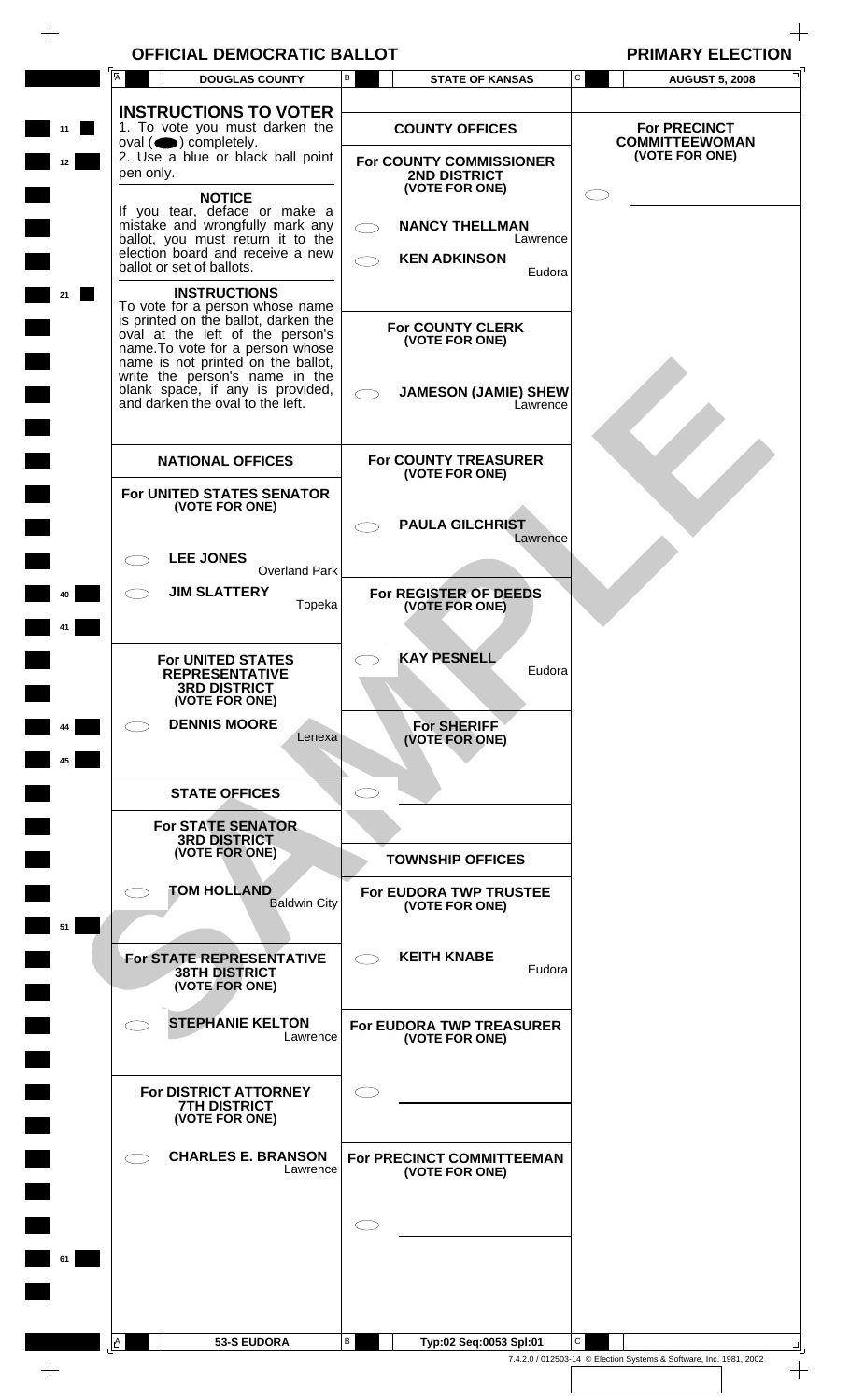$\frac{1}{\sqrt{2}}$ 

|          | A<br><b>DOUGLAS COUNTY</b>                                                                                                                                                                                                                                                                                                                   | В<br><b>STATE OF KANSAS</b>                                                                                                                          | C<br><b>AUGUST 5, 2008</b>                                              |
|----------|----------------------------------------------------------------------------------------------------------------------------------------------------------------------------------------------------------------------------------------------------------------------------------------------------------------------------------------------|------------------------------------------------------------------------------------------------------------------------------------------------------|-------------------------------------------------------------------------|
| 11<br>12 | <b>INSTRUCTIONS TO VOTER</b><br>1. To vote you must darken the<br>$oval(\n\bullet)$ completely.<br>2. Use a blue or black ball point<br>pen only.<br><b>NOTICE</b><br>If you tear, deface or make a<br>mistake and wrongfully mark any<br>ballot, you must return it to the<br>election board and receive a new<br>ballot or set of ballots. | <b>COUNTY OFFICES</b><br>For COUNTY COMMISSIONER<br>2ND DISTRICT<br>(VOTE FOR ONE)<br><b>NANCY THELLMAN</b><br>くつ<br>Lawrence<br><b>KEN ADKINSON</b> | <b>For PRECINCT</b><br><b>COMMITTEEWOMAN</b><br>(VOTE FOR ONE)          |
| 21       | <b>INSTRUCTIONS</b><br>To vote for a person whose name<br>is printed on the ballot, darken the<br>oval at the left of the person's<br>name.To vote for a person whose<br>name is not printed on the ballot,<br>write the person's name in the<br>blank space, if any is provided,<br>and darken the oval to the left.                        | Eudora<br><b>For COUNTY CLERK</b><br>(VOTE FOR ONE)<br><b>JAMESON (JAMIE) SHEW</b><br>Lawrence                                                       |                                                                         |
|          | <b>NATIONAL OFFICES</b><br>For UNITED STATES SENATOR<br>(VOTE FOR ONE)                                                                                                                                                                                                                                                                       | <b>For COUNTY TREASURER</b><br>(VOTE FOR ONE)<br><b>PAULA GILCHRIST</b><br>Lawrence                                                                  |                                                                         |
|          | <b>LEE JONES</b><br><b>Overland Park</b><br><b>JIM SLATTERY</b><br>Topeka                                                                                                                                                                                                                                                                    | For REGISTER OF DEEDS<br>(VOTE FOR ONE)                                                                                                              |                                                                         |
|          | <b>For UNITED STATES</b><br><b>REPRESENTATIVE</b><br><b>3RD DISTRICT</b><br>(VOTE FOR ONE)<br><b>DENNIS MOORE</b><br>Lenexa                                                                                                                                                                                                                  | <b>KAY PESNELL</b><br>Eudora<br><b>For SHERIFF</b><br>(VOTE FOR ONE)                                                                                 |                                                                         |
| 45       | <b>STATE OFFICES</b><br><b>For STATE SENATOR</b><br><b>3RD DISTRICT</b><br>(VOTE FOR ONE)                                                                                                                                                                                                                                                    | <b>TOWNSHIP OFFICES</b>                                                                                                                              |                                                                         |
| 51       | <b>TOM HOLLAND</b><br><b>Baldwin City</b><br><b>For STATE REPRESENTATIVE</b><br><b>38TH DISTRICT</b>                                                                                                                                                                                                                                         | <b>For EUDORA TWP TRUSTEE</b><br>(VOTE FOR ONE)<br><b>KEITH KNABE</b><br>Eudora                                                                      |                                                                         |
|          | (VOTE FOR ONE)<br><b>STEPHANIE KELTON</b><br>Lawrence                                                                                                                                                                                                                                                                                        | For EUDORA TWP TREASURER<br>(VOTE FOR ONE)                                                                                                           |                                                                         |
|          | <b>For DISTRICT ATTORNEY</b><br><b>7TH DISTRICT</b><br>(VOTE FOR ONE)<br><b>CHARLES E. BRANSON</b><br>Lawrence                                                                                                                                                                                                                               | For PRECINCT COMMITTEEMAN<br>(VOTE FOR ONE)                                                                                                          |                                                                         |
|          |                                                                                                                                                                                                                                                                                                                                              |                                                                                                                                                      |                                                                         |
|          | <b>53-S EUDORA</b><br>$L^A$                                                                                                                                                                                                                                                                                                                  | В<br>Typ:02 Seq:0053 Spl:01                                                                                                                          | C<br>7.4.2.0 / 012503-14 © Election Systems & Software, Inc. 1981, 2002 |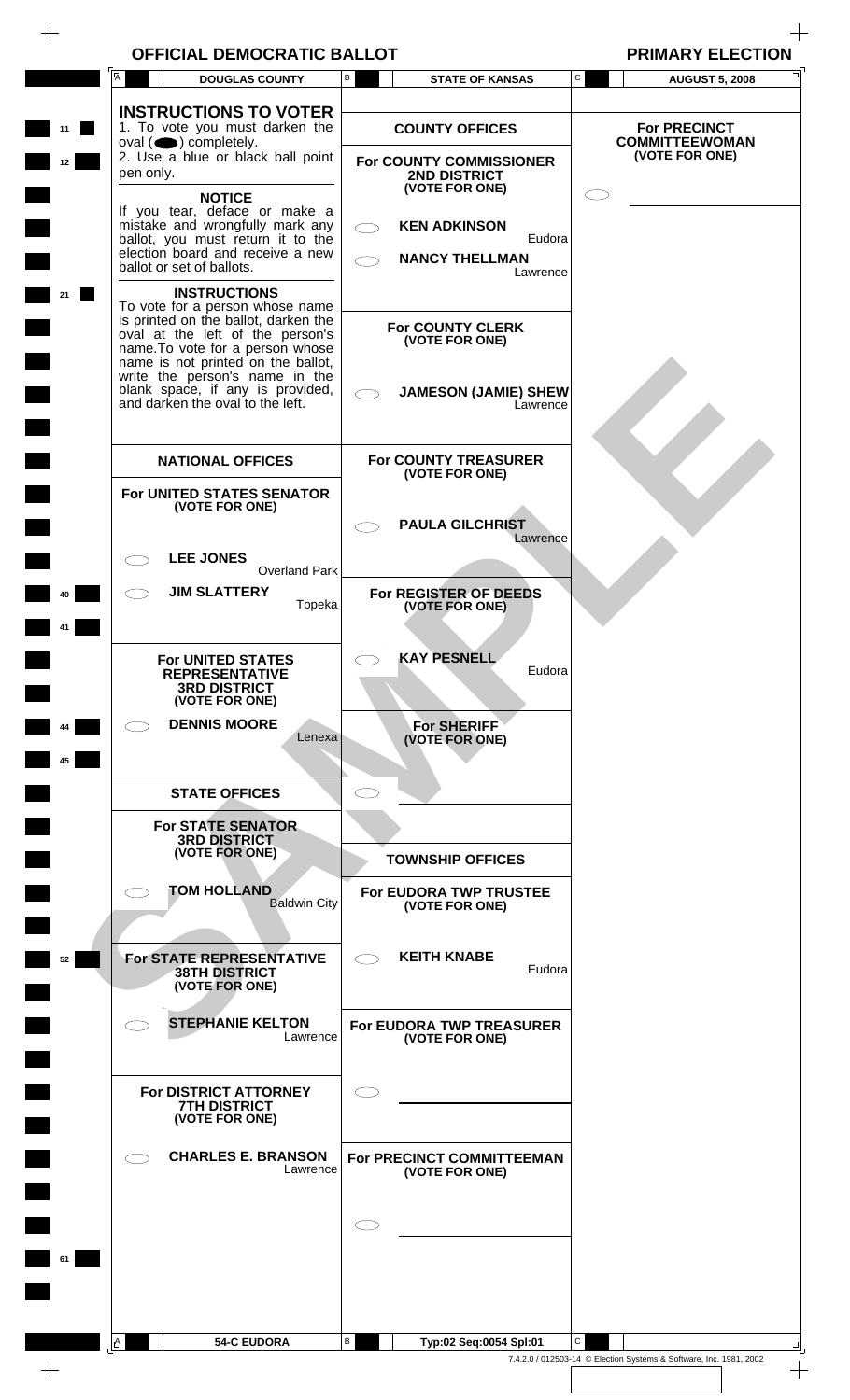$\frac{1}{\sqrt{2}}$ 

|    | A         | <b>DOUGLAS COUNTY</b>                                                                                                                                                                 | В                   | <b>STATE OF KANSAS</b>                                    | C | <b>AUGUST 5, 2008</b>                        |
|----|-----------|---------------------------------------------------------------------------------------------------------------------------------------------------------------------------------------|---------------------|-----------------------------------------------------------|---|----------------------------------------------|
| 11 |           | <b>INSTRUCTIONS TO VOTER</b><br>1. To vote you must darken the<br>$oval(\n\bullet)$ completely.                                                                                       |                     | <b>COUNTY OFFICES</b>                                     |   | <b>For PRECINCT</b><br><b>COMMITTEEWOMAN</b> |
| 12 | pen only. | 2. Use a blue or black ball point                                                                                                                                                     |                     | For COUNTY COMMISSIONER<br>2ND DISTRICT<br>(VOTE FOR ONE) |   | (VOTE FOR ONE)                               |
|    |           | <b>NOTICE</b><br>If you tear, deface or make a<br>mistake and wrongfully mark any<br>ballot, you must return it to the                                                                | $\subset$ $\supset$ | <b>KEN ADKINSON</b><br>Eudora                             |   |                                              |
| 21 |           | election board and receive a new<br>ballot or set of ballots.<br><b>INSTRUCTIONS</b>                                                                                                  | $\subset$           | <b>NANCY THELLMAN</b><br>Lawrence                         |   |                                              |
|    |           | To vote for a person whose name<br>is printed on the ballot, darken the<br>oval at the left of the person's<br>name. To vote for a person whose<br>name is not printed on the ballot, |                     | <b>For COUNTY CLERK</b><br>(VOTE FOR ONE)                 |   |                                              |
|    |           | write the person's name in the<br>blank space, if any is provided,<br>and darken the oval to the left.                                                                                |                     | <b>JAMESON (JAMIE) SHEW</b><br>Lawrence                   |   |                                              |
|    |           | <b>NATIONAL OFFICES</b>                                                                                                                                                               |                     | <b>For COUNTY TREASURER</b><br>(VOTE FOR ONE)             |   |                                              |
|    |           | For UNITED STATES SENATOR<br>(VOTE FOR ONE)                                                                                                                                           |                     | <b>PAULA GILCHRIST</b><br>Lawrence                        |   |                                              |
|    |           | <b>LEE JONES</b><br><b>Overland Park</b>                                                                                                                                              |                     |                                                           |   |                                              |
| 40 |           | <b>JIM SLATTERY</b><br>Topeka                                                                                                                                                         |                     | For REGISTER OF DEEDS<br>(VOTE FOR ONE)                   |   |                                              |
|    |           | <b>For UNITED STATES</b><br><b>REPRESENTATIVE</b><br><b>3RD DISTRICT</b><br>(VOTE FOR ONE)                                                                                            |                     | <b>KAY PESNELL</b><br>Eudora                              |   |                                              |
| 45 |           | <b>DENNIS MOORE</b><br>Lenexa                                                                                                                                                         |                     | <b>For SHERIFF</b><br>(VOTE FOR ONE)                      |   |                                              |
|    |           | <b>STATE OFFICES</b>                                                                                                                                                                  |                     |                                                           |   |                                              |
|    |           | <b>For STATE SENATOR</b><br><b>3RD DISTRICT</b><br>(VOTE FOR ONE)                                                                                                                     |                     | <b>TOWNSHIP OFFICES</b>                                   |   |                                              |
|    |           | <b>TOM HOLLAND</b><br><b>Baldwin City</b>                                                                                                                                             |                     | For EUDORA TWP TRUSTEE<br>(VOTE FOR ONE)                  |   |                                              |
| 52 |           | <b>For STATE REPRESENTATIVE</b><br><b>38TH DISTRICT</b><br>(VOTE FOR ONE)                                                                                                             |                     | <b>KEITH KNABE</b><br>Eudora                              |   |                                              |
|    |           | <b>STEPHANIE KELTON</b><br>Lawrence                                                                                                                                                   |                     | <b>For EUDORA TWP TREASURER</b><br>(VOTE FOR ONE)         |   |                                              |
|    |           | For DISTRICT ATTORNEY<br><b>7TH DISTRICT</b><br>(VOTE FOR ONE)                                                                                                                        |                     |                                                           |   |                                              |
|    |           | <b>CHARLES E. BRANSON</b><br>Lawrence                                                                                                                                                 |                     | For PRECINCT COMMITTEEMAN<br>(VOTE FOR ONE)               |   |                                              |
|    |           |                                                                                                                                                                                       |                     |                                                           |   |                                              |
|    |           |                                                                                                                                                                                       |                     |                                                           |   |                                              |
|    |           | <b>54-C EUDORA</b>                                                                                                                                                                    | В                   | Typ:02 Seq:0054 Spl:01                                    | C |                                              |
|    |           |                                                                                                                                                                                       |                     |                                                           |   |                                              |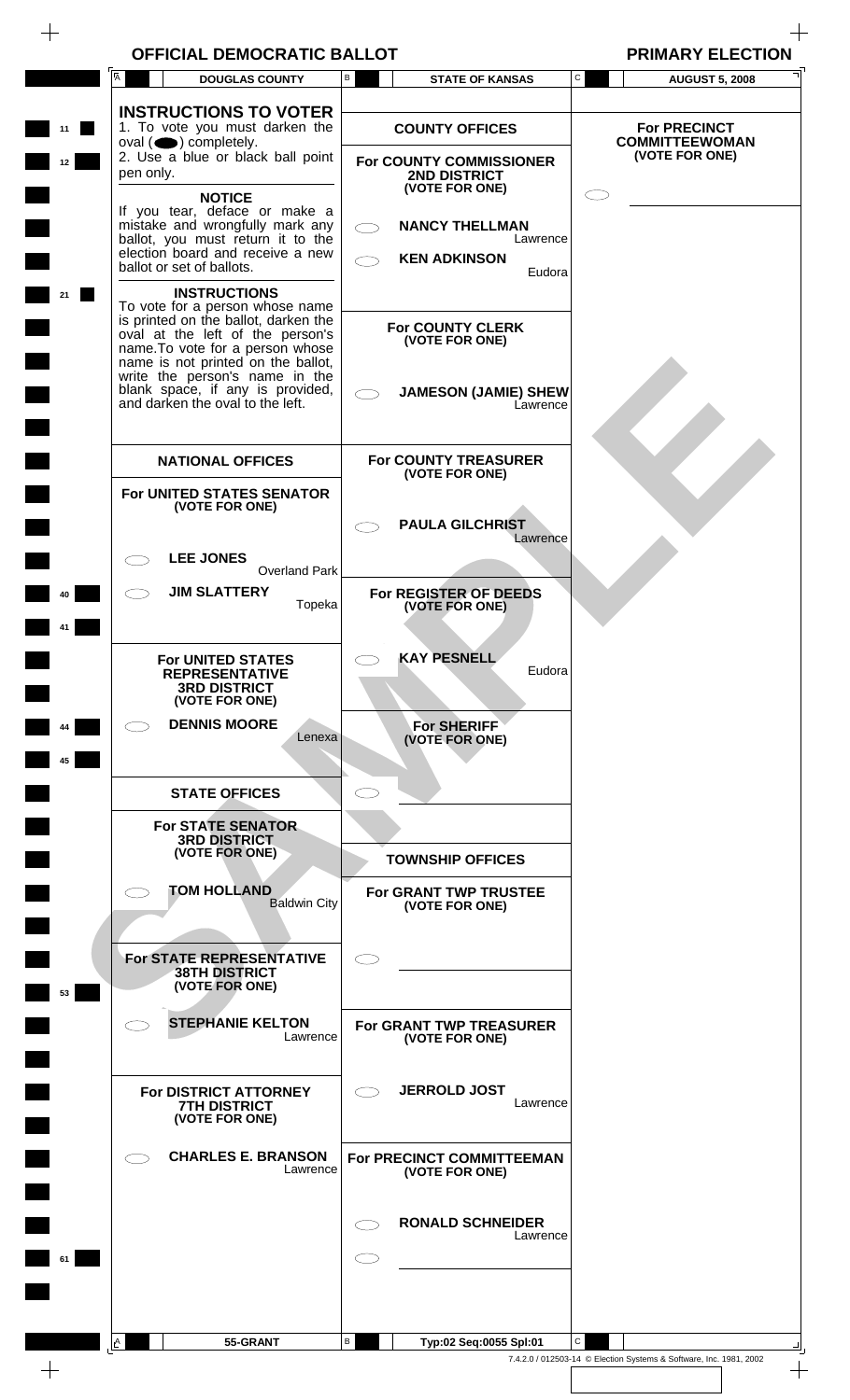$\frac{1}{\sqrt{2}}$ 

|                 | <b>DOUGLAS COUNTY</b><br>Ά                                                                                                                                                                                                                     | В<br><b>STATE OF KANSAS</b>                               | C<br><b>AUGUST 5, 2008</b>                   |
|-----------------|------------------------------------------------------------------------------------------------------------------------------------------------------------------------------------------------------------------------------------------------|-----------------------------------------------------------|----------------------------------------------|
| 11              | <b>INSTRUCTIONS TO VOTER</b><br>1. To vote you must darken the<br>$oval(\bigodot)$ completely.                                                                                                                                                 | <b>COUNTY OFFICES</b>                                     | <b>For PRECINCT</b><br><b>COMMITTEEWOMAN</b> |
| 12 <sub>2</sub> | 2. Use a blue or black ball point<br>pen only.                                                                                                                                                                                                 | For COUNTY COMMISSIONER<br>2ND DISTRICT<br>(VOTE FOR ONE) | (VOTE FOR ONE)                               |
|                 | <b>NOTICE</b><br>If you tear, deface or make a<br>mistake and wrongfully mark any<br>ballot, you must return it to the                                                                                                                         | <b>NANCY THELLMAN</b><br>$\bigcirc$<br>Lawrence           |                                              |
|                 | election board and receive a new<br>ballot or set of ballots.                                                                                                                                                                                  | <b>KEN ADKINSON</b><br>Eudora                             |                                              |
| 21              | <b>INSTRUCTIONS</b><br>To vote for a person whose name<br>is printed on the ballot, darken the<br>oval at the left of the person's<br>name. To vote for a person whose<br>name is not printed on the ballot,<br>write the person's name in the | <b>For COUNTY CLERK</b><br>(VOTE FOR ONE)                 |                                              |
|                 | blank space, if any is provided,<br>and darken the oval to the left.                                                                                                                                                                           | <b>JAMESON (JAMIE) SHEW</b><br>Lawrence                   |                                              |
|                 | <b>NATIONAL OFFICES</b>                                                                                                                                                                                                                        | <b>For COUNTY TREASURER</b><br>(VOTE FOR ONE)             |                                              |
|                 | For UNITED STATES SENATOR<br>(VOTE FOR ONE)                                                                                                                                                                                                    | <b>PAULA GILCHRIST</b><br>Lawrence                        |                                              |
|                 | <b>LEE JONES</b><br><b>Overland Park</b>                                                                                                                                                                                                       |                                                           |                                              |
| 10              | <b>JIM SLATTERY</b><br>Topeka                                                                                                                                                                                                                  | For REGISTER OF DEEDS<br>(VOTE FOR ONE)                   |                                              |
|                 | <b>For UNITED STATES</b><br><b>REPRESENTATIVE</b><br><b>3RD DISTRICT</b><br>(VOTE FOR ONE)                                                                                                                                                     | <b>KAY PESNELL</b><br>Eudora                              |                                              |
| 45              | <b>DENNIS MOORE</b><br>Lenexa                                                                                                                                                                                                                  | <b>For SHERIFF</b><br>(VOTE FOR ONE)                      |                                              |
|                 | <b>STATE OFFICES</b>                                                                                                                                                                                                                           |                                                           |                                              |
|                 | <b>For STATE SENATOR</b><br><b>3RD DISTRICT</b><br>(VOTE FOR ONE)                                                                                                                                                                              | <b>TOWNSHIP OFFICES</b>                                   |                                              |
|                 | <b>TOM HOLLAND</b><br><b>Baldwin City</b>                                                                                                                                                                                                      | For GRANT TWP TRUSTEE<br>(VOTE FOR ONE)                   |                                              |
| 53              | For STATE REPRESENTATIVE<br><b>38TH DISTRICT</b><br>(VOTE FOR ONE)                                                                                                                                                                             | $\subset$ $\overline{\phantom{a}}$                        |                                              |
|                 | <b>STEPHANIE KELTON</b><br>Lawrence                                                                                                                                                                                                            | For GRANT TWP TREASURER<br>(VOTE FOR ONE)                 |                                              |
|                 | For DISTRICT ATTORNEY<br><b>7TH DISTRICT</b><br>(VOTE FOR ONE)                                                                                                                                                                                 | <b>JERROLD JOST</b><br>$\subset$ $\supset$<br>Lawrence    |                                              |
|                 | <b>CHARLES E. BRANSON</b><br>Lawrence                                                                                                                                                                                                          | For PRECINCT COMMITTEEMAN<br>(VOTE FOR ONE)               |                                              |
|                 |                                                                                                                                                                                                                                                | <b>RONALD SCHNEIDER</b><br>Lawrence<br>$\subset$          |                                              |
| 61              |                                                                                                                                                                                                                                                |                                                           |                                              |
|                 | 55-GRANT                                                                                                                                                                                                                                       | В<br>Typ:02 Seq:0055 Spl:01                               | С                                            |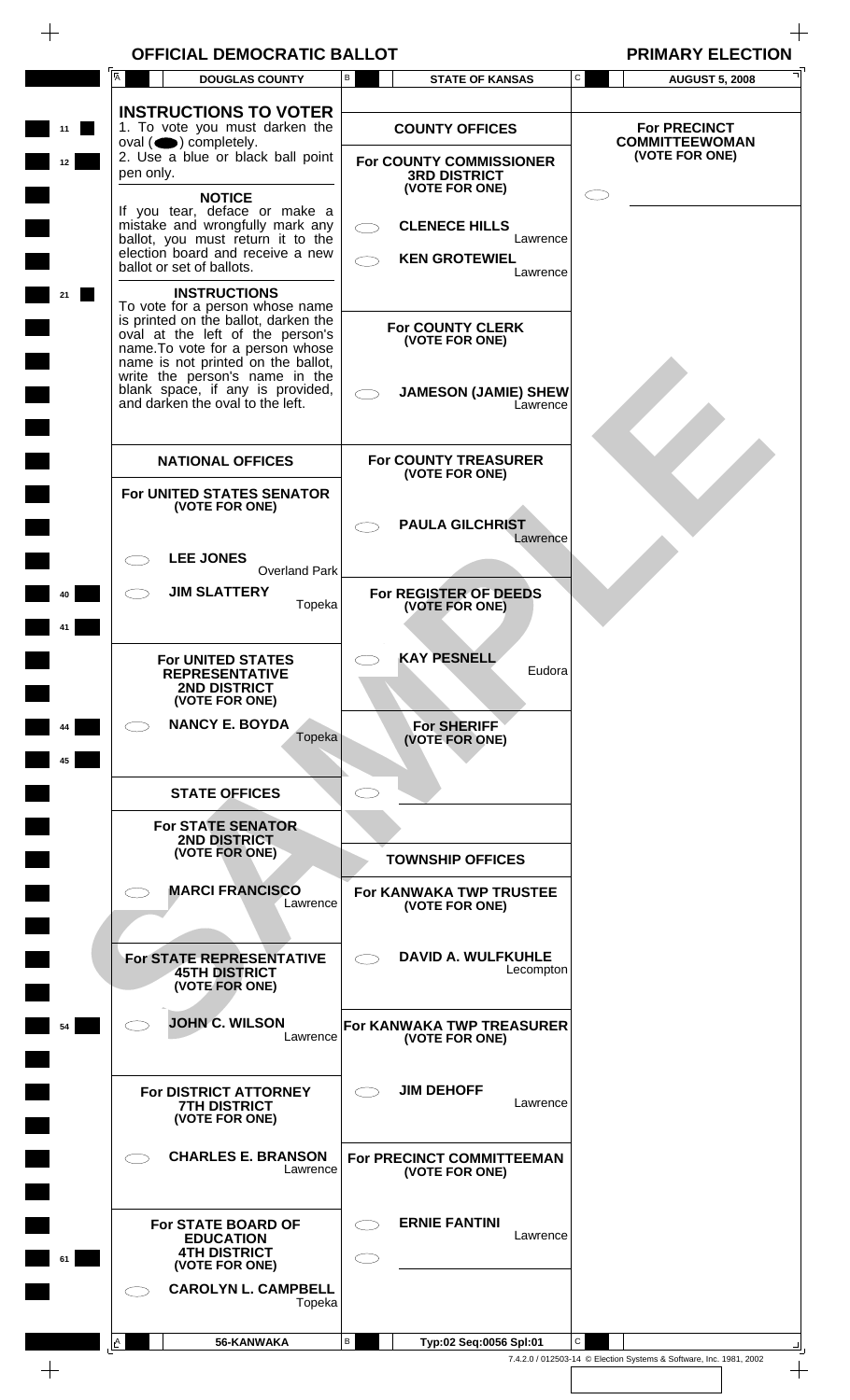$\frac{1}{\sqrt{2}}$ 

|                       | Α         | <b>DOUGLAS COUNTY</b>                                                                                                                                                                                                                                                                                                  | В      | <b>STATE OF KANSAS</b>                                                                    | C                           | <b>AUGUST 5, 2008</b>                                          |
|-----------------------|-----------|------------------------------------------------------------------------------------------------------------------------------------------------------------------------------------------------------------------------------------------------------------------------------------------------------------------------|--------|-------------------------------------------------------------------------------------------|-----------------------------|----------------------------------------------------------------|
| 11<br>12 <sub>2</sub> | pen only. | <b>INSTRUCTIONS TO VOTER</b><br>1. To vote you must darken the<br>$oval(\n\bullet)$ completely.<br>2. Use a blue or black ball point<br><b>NOTICE</b>                                                                                                                                                                  |        | <b>COUNTY OFFICES</b><br>For COUNTY COMMISSIONER<br><b>3RD DISTRICT</b><br>(VOTE FOR ONE) |                             | <b>For PRECINCT</b><br><b>COMMITTEEWOMAN</b><br>(VOTE FOR ONE) |
|                       |           | If you tear, deface or make a<br>mistake and wrongfully mark any<br>ballot, you must return it to the<br>election board and receive a new<br>ballot or set of ballots.                                                                                                                                                 |        | <b>CLENECE HILLS</b><br><b>KEN GROTEWIEL</b>                                              | Lawrence<br>Lawrence        |                                                                |
| 21                    |           | <b>INSTRUCTIONS</b><br>To vote for a person whose name<br>is printed on the ballot, darken the<br>oval at the left of the person's<br>name. To vote for a person whose<br>name is not printed on the ballot,<br>write the person's name in the<br>blank space, if any is provided,<br>and darken the oval to the left. |        | <b>For COUNTY CLERK</b><br>(VOTE FOR ONE)<br><b>JAMESON (JAMIE) SHEW</b>                  | Lawrence                    |                                                                |
|                       |           | <b>NATIONAL OFFICES</b>                                                                                                                                                                                                                                                                                                |        | <b>For COUNTY TREASURER</b><br>(VOTE FOR ONE)                                             |                             |                                                                |
|                       |           | For UNITED STATES SENATOR<br>(VOTE FOR ONE)                                                                                                                                                                                                                                                                            |        | <b>PAULA GILCHRIST</b>                                                                    | Lawrence                    |                                                                |
|                       |           | <b>LEE JONES</b><br><b>Overland Park</b>                                                                                                                                                                                                                                                                               |        |                                                                                           |                             |                                                                |
| 40                    |           | <b>JIM SLATTERY</b>                                                                                                                                                                                                                                                                                                    | Topeka | For REGISTER OF DEEDS<br>(VOTE FOR ONE)                                                   |                             |                                                                |
|                       |           | <b>For UNITED STATES</b><br><b>REPRESENTATIVE</b><br>2ND DISTRICT<br>(VOTE FOR ONE)                                                                                                                                                                                                                                    |        | <b>KAY PESNELL</b>                                                                        | Eudora                      |                                                                |
| 45                    |           | <b>NANCY E. BOYDA</b>                                                                                                                                                                                                                                                                                                  | Topeka | <b>For SHERIFF</b><br>(VOTE FOR ONE)                                                      |                             |                                                                |
|                       |           | <b>STATE OFFICES</b>                                                                                                                                                                                                                                                                                                   |        |                                                                                           |                             |                                                                |
|                       |           | <b>For STATE SENATOR</b><br><b>2ND DISTRICT</b><br>(VOTE FOR ONE)                                                                                                                                                                                                                                                      |        | <b>TOWNSHIP OFFICES</b>                                                                   |                             |                                                                |
|                       |           | <b>MARCI FRANCISCO</b><br>Lawrence                                                                                                                                                                                                                                                                                     |        | <b>For KANWAKA TWP TRUSTEE</b><br>(VOTE FOR ONE)                                          |                             |                                                                |
| $\Box$                |           | For STATE REPRESENTATIVE<br><b>45TH DISTRICT</b><br>(VOTE FOR ONE)                                                                                                                                                                                                                                                     |        | <b>DAVID A. WULFKUHLE</b>                                                                 | Lecompton                   |                                                                |
| 54                    |           | <b>JOHN C. WILSON</b><br>Lawrence                                                                                                                                                                                                                                                                                      |        | For KANWAKA TWP TREASURER<br>(VOTE FOR ONE)                                               |                             |                                                                |
|                       |           | For DISTRICT ATTORNEY<br><b>7TH DISTRICT</b><br>(VOTE FOR ONE)                                                                                                                                                                                                                                                         |        | <b>JIM DEHOFF</b>                                                                         | Lawrence                    |                                                                |
|                       |           | <b>CHARLES E. BRANSON</b><br>Lawrence                                                                                                                                                                                                                                                                                  |        | For PRECINCT COMMITTEEMAN<br>(VOTE FOR ONE)                                               |                             |                                                                |
|                       |           | For STATE BOARD OF<br><b>EDUCATION</b><br><b>4TH DISTRICT</b><br>(VOTE FOR ONE)                                                                                                                                                                                                                                        |        | <b>ERNIE FANTINI</b>                                                                      | Lawrence                    |                                                                |
|                       |           | <b>CAROLYN L. CAMPBELL</b>                                                                                                                                                                                                                                                                                             | Topeka |                                                                                           |                             |                                                                |
|                       |           | 56-KANWAKA                                                                                                                                                                                                                                                                                                             | В      |                                                                                           | C<br>Typ:02 Seq:0056 Spl:01 |                                                                |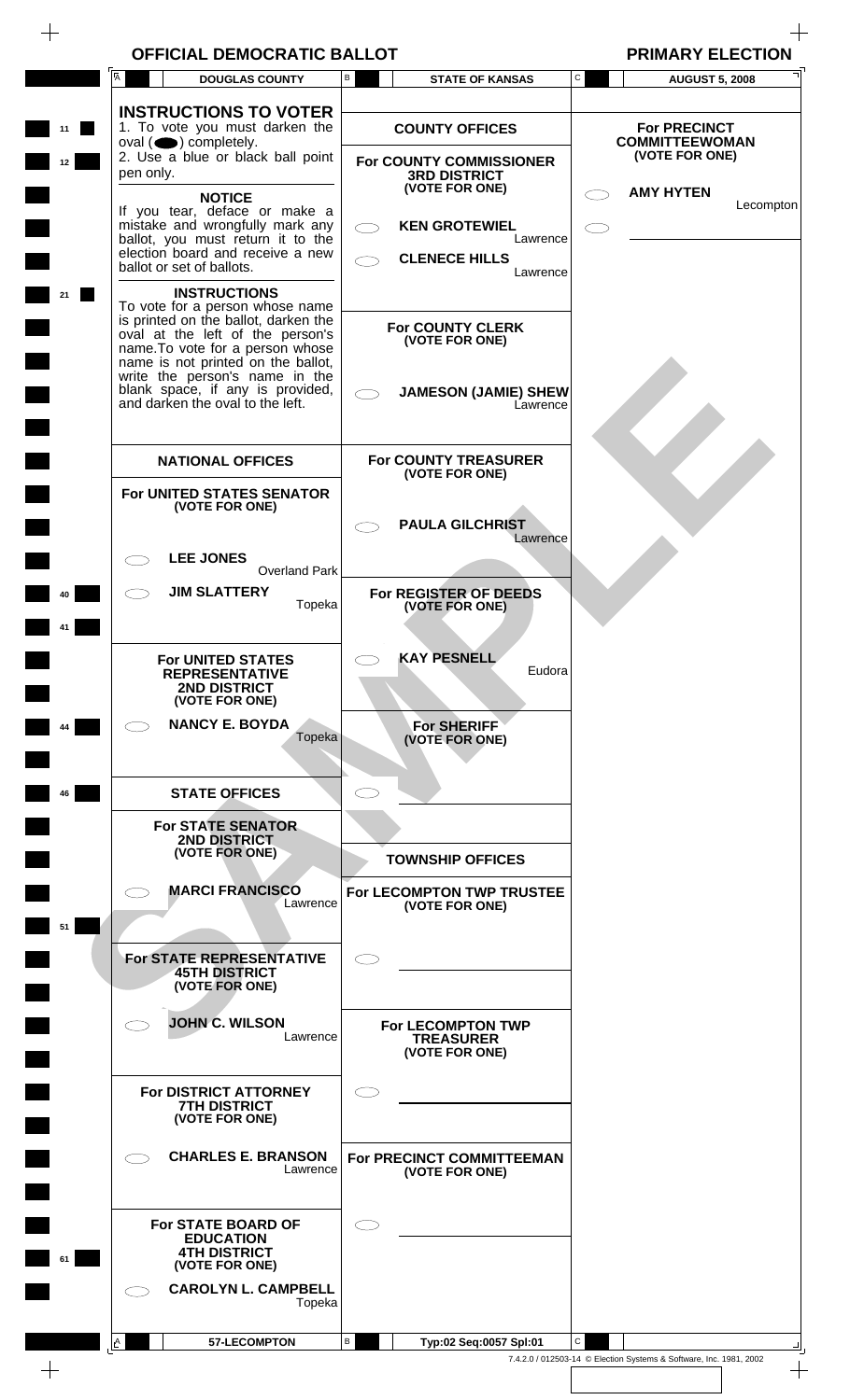# $\begin{array}{ccc} & + \ \text{OFFICIAL DEMOCRATIC BALLOT} \end{array}$

 $\begin{array}{c} + \end{array}$ 

| <b>PRIMARY ELECTION</b> |  |  |
|-------------------------|--|--|
|                         |  |  |

|    | A<br><b>DOUGLAS COUNTY</b>                                                                                                                                                                                                                     | В          | <b>STATE OF KANSAS</b>                                           | C  | <b>AUGUST 5, 2008</b>                        |
|----|------------------------------------------------------------------------------------------------------------------------------------------------------------------------------------------------------------------------------------------------|------------|------------------------------------------------------------------|----|----------------------------------------------|
| 11 | <b>INSTRUCTIONS TO VOTER</b><br>1. To vote you must darken the<br>$oval(\n\bullet)$ completely.                                                                                                                                                |            | <b>COUNTY OFFICES</b>                                            |    | <b>For PRECINCT</b><br><b>COMMITTEEWOMAN</b> |
| 12 | 2. Use a blue or black ball point<br>pen only.                                                                                                                                                                                                 |            | For COUNTY COMMISSIONER<br><b>3RD DISTRICT</b><br>(VOTE FOR ONE) |    | (VOTE FOR ONE)<br><b>AMY HYTEN</b>           |
|    | <b>NOTICE</b><br>If you tear, deface or make a<br>mistake and wrongfully mark any<br>ballot, you must return it to the                                                                                                                         | $\bigcirc$ | <b>KEN GROTEWIEL</b><br>Lawrence                                 | 17 | Lecompton                                    |
|    | election board and receive a new<br>ballot or set of ballots.                                                                                                                                                                                  |            | <b>CLENECE HILLS</b><br>Lawrence                                 |    |                                              |
| 21 | <b>INSTRUCTIONS</b><br>To vote for a person whose name<br>is printed on the ballot, darken the<br>oval at the left of the person's<br>name. To vote for a person whose<br>name is not printed on the ballot,<br>write the person's name in the |            | <b>For COUNTY CLERK</b><br>(VOTE FOR ONE)                        |    |                                              |
|    | blank space, if any is provided,<br>and darken the oval to the left.                                                                                                                                                                           |            | <b>JAMESON (JAMIE) SHEW</b><br>Lawrence                          |    |                                              |
|    | <b>NATIONAL OFFICES</b>                                                                                                                                                                                                                        |            | <b>For COUNTY TREASURER</b><br>(VOTE FOR ONE)                    |    |                                              |
|    | For UNITED STATES SENATOR<br>(VOTE FOR ONE)                                                                                                                                                                                                    |            | <b>PAULA GILCHRIST</b><br>Lawrence                               |    |                                              |
|    | <b>LEE JONES</b><br><b>Overland Park</b>                                                                                                                                                                                                       |            |                                                                  |    |                                              |
| 40 | <b>JIM SLATTERY</b><br>Topeka                                                                                                                                                                                                                  |            | For REGISTER OF DEEDS<br>(VOTE FOR ONE)                          |    |                                              |
|    | <b>For UNITED STATES</b><br><b>REPRESENTATIVE</b><br>2ND DISTRICT<br>(VOTE FOR ONE)                                                                                                                                                            |            | <b>KAY PESNELL</b><br>Eudora                                     |    |                                              |
| 44 | <b>NANCY E. BOYDA</b><br>Topeka                                                                                                                                                                                                                |            | <b>For SHERIFF</b><br>(VOTE FOR ONE)                             |    |                                              |
| 46 | <b>STATE OFFICES</b>                                                                                                                                                                                                                           |            |                                                                  |    |                                              |
|    | <b>For STATE SENATOR</b><br><b>2ND DISTRICT</b><br>(VOTE FOR ONE)                                                                                                                                                                              |            | <b>TOWNSHIP OFFICES</b>                                          |    |                                              |
|    | <b>MARCI FRANCISCO</b><br>Lawrence                                                                                                                                                                                                             |            | For LECOMPTON TWP TRUSTEE<br>(VOTE FOR ONE)                      |    |                                              |
| 51 | <b>For STATE REPRESENTATIVE</b><br><b>45TH DISTRICT</b><br>(VOTE FOR ONE)                                                                                                                                                                      |            |                                                                  |    |                                              |
|    | <b>JOHN C. WILSON</b><br>Lawrence                                                                                                                                                                                                              |            | For LECOMPTON TWP<br><b>TREASURER</b><br>(VOTE FOR ONE)          |    |                                              |
|    | <b>For DISTRICT ATTORNEY</b><br><b>7TH DISTRICT</b><br>(VOTE FOR ONE)                                                                                                                                                                          |            |                                                                  |    |                                              |
|    | <b>CHARLES E. BRANSON</b><br>Lawrence                                                                                                                                                                                                          |            | For PRECINCT COMMITTEEMAN<br>(VOTE FOR ONE)                      |    |                                              |
| 61 | <b>For STATE BOARD OF</b><br><b>EDUCATION</b><br><b>4TH DISTRICT</b><br>(VOTE FOR ONE)                                                                                                                                                         |            |                                                                  |    |                                              |
|    | <b>CAROLYN L. CAMPBELL</b><br>Topeka                                                                                                                                                                                                           |            |                                                                  |    |                                              |
|    | 57-LECOMPTON                                                                                                                                                                                                                                   | В          | Typ:02 Seq:0057 Spl:01                                           | C  |                                              |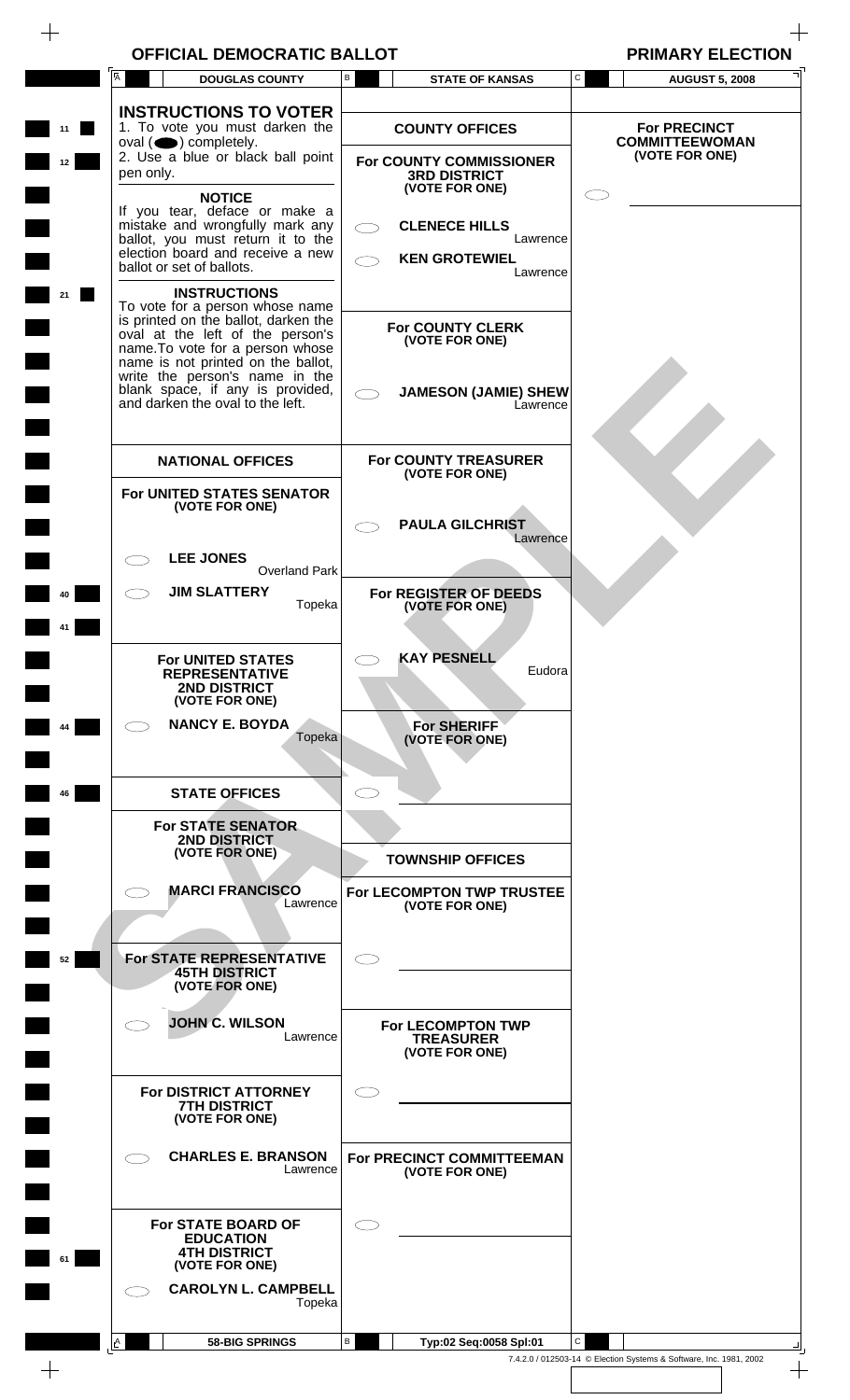$\begin{array}{c} + \end{array}$ 

|    | A<br><b>DOUGLAS COUNTY</b>                                             | $\, {\bf B}$<br>C<br><b>STATE OF KANSAS</b><br><b>AUGUST 5, 2008</b> |
|----|------------------------------------------------------------------------|----------------------------------------------------------------------|
|    |                                                                        |                                                                      |
|    | <b>INSTRUCTIONS TO VOTER</b><br>1. To vote you must darken the         | <b>COUNTY OFFICES</b><br><b>For PRECINCT</b>                         |
| 11 | oval $($ $\bullet)$ completely.                                        | <b>COMMITTEEWOMAN</b>                                                |
| 12 | 2. Use a blue or black ball point<br>pen only.                         | (VOTE FOR ONE)<br>For COUNTY COMMISSIONER<br><b>3RD DISTRICT</b>     |
|    | <b>NOTICE</b>                                                          | (VOTE FOR ONE)                                                       |
|    | If you tear, deface or make a                                          |                                                                      |
|    | mistake and wrongfully mark any                                        | <b>CLENECE HILLS</b><br>$\subset$ $\supset$                          |
|    | ballot, you must return it to the<br>election board and receive a new  | Lawrence                                                             |
|    | ballot or set of ballots.                                              | <b>KEN GROTEWIEL</b><br>Lawrence                                     |
|    |                                                                        |                                                                      |
| 21 | <b>INSTRUCTIONS</b><br>To vote for a person whose name                 |                                                                      |
|    | is printed on the ballot, darken the                                   | <b>For COUNTY CLERK</b>                                              |
|    | oval at the left of the person's                                       | (VOTE FOR ONE)                                                       |
|    | name. To vote for a person whose<br>name is not printed on the ballot, |                                                                      |
|    | write the person's name in the                                         |                                                                      |
|    | blank space, if any is provided,<br>and darken the oval to the left.   | <b>JAMESON (JAMIE) SHEW</b>                                          |
|    |                                                                        | Lawrence                                                             |
|    |                                                                        |                                                                      |
|    |                                                                        |                                                                      |
|    | <b>NATIONAL OFFICES</b>                                                | <b>For COUNTY TREASURER</b><br>(VOTE FOR ONE)                        |
|    | For UNITED STATES SENATOR                                              |                                                                      |
|    | (VOTE FOR ONE)                                                         |                                                                      |
|    |                                                                        | <b>PAULA GILCHRIST</b>                                               |
|    |                                                                        | Lawrence                                                             |
|    | <b>LEE JONES</b>                                                       |                                                                      |
|    | <b>Overland Park</b>                                                   |                                                                      |
|    | <b>JIM SLATTERY</b><br>Topeka                                          | For REGISTER OF DEEDS<br>(VOTE FOR ONE)                              |
|    |                                                                        |                                                                      |
|    |                                                                        |                                                                      |
|    | <b>For UNITED STATES</b>                                               | <b>KAY PESNELL</b>                                                   |
|    | <b>REPRESENTATIVE</b>                                                  | Eudora                                                               |
|    | 2ND DISTRICT<br>(VOTE FOR ONE)                                         |                                                                      |
|    |                                                                        |                                                                      |
|    | <b>NANCY E. BOYDA</b>                                                  | <b>For SHERIFF</b>                                                   |
|    | Topeka                                                                 | (VOTE FOR ONE)                                                       |
|    |                                                                        |                                                                      |
| 46 | <b>STATE OFFICES</b>                                                   |                                                                      |
|    |                                                                        |                                                                      |
|    | <b>For STATE SENATOR</b>                                               |                                                                      |
|    | <b>2ND DISTRICT</b>                                                    |                                                                      |
|    | (VOTE FOR ONE)                                                         | <b>TOWNSHIP OFFICES</b>                                              |
|    |                                                                        |                                                                      |
|    | <b>MARCI FRANCISCO</b><br>Lawrence                                     | For LECOMPTON TWP TRUSTEE<br>(VOTE FOR ONE)                          |
|    |                                                                        |                                                                      |
|    |                                                                        |                                                                      |
| 52 | For STATE REPRESENTATIVE                                               |                                                                      |
|    | <b>45TH DISTRICT</b>                                                   |                                                                      |
|    | (VOTE FOR ONE)                                                         |                                                                      |
|    |                                                                        |                                                                      |
|    | <b>JOHN C. WILSON</b><br>Lawrence                                      | For LECOMPTON TWP<br><b>TREASURER</b>                                |
|    |                                                                        | (VOTE FOR ONE)                                                       |
|    |                                                                        |                                                                      |
|    | For DISTRICT ATTORNEY                                                  |                                                                      |
|    | <b>7TH DISTRICT</b><br>(VOTE FOR ONE)                                  |                                                                      |
|    |                                                                        |                                                                      |
|    |                                                                        |                                                                      |
|    |                                                                        |                                                                      |
|    | <b>CHARLES E. BRANSON</b><br>Lawrence                                  | For PRECINCT COMMITTEEMAN<br>(VOTE FOR ONE)                          |
|    |                                                                        |                                                                      |
|    |                                                                        |                                                                      |
|    | <b>For STATE BOARD OF</b>                                              |                                                                      |
|    | <b>EDUCATION</b>                                                       |                                                                      |
| 61 | <b>4TH DISTRICT</b><br>(VOTE FOR ONE)                                  |                                                                      |
|    |                                                                        |                                                                      |
|    | <b>CAROLYN L. CAMPBELL</b><br>Topeka                                   |                                                                      |
|    |                                                                        |                                                                      |
|    | 58-BIG SPRINGS<br>∟≙                                                   | в<br>Typ:02 Seq:0058 Spl:01<br>C                                     |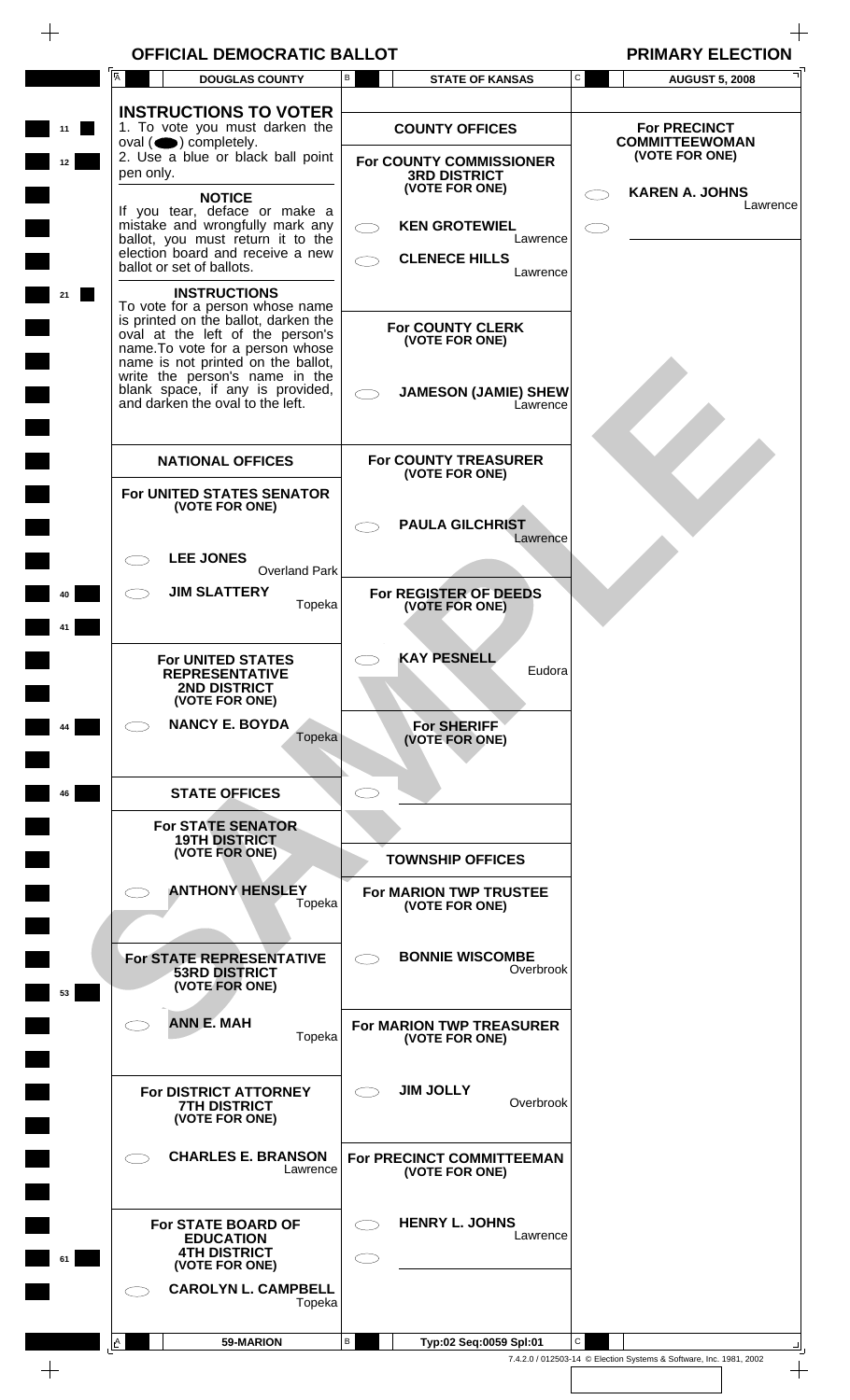$\begin{array}{c} + \end{array}$ 

|                       | A         | <b>DOUGLAS COUNTY</b>                                                                                                                                                                                                    | В                   | <b>STATE OF KANSAS</b>                                                   | C      | <b>AUGUST 5, 2008</b>                        |
|-----------------------|-----------|--------------------------------------------------------------------------------------------------------------------------------------------------------------------------------------------------------------------------|---------------------|--------------------------------------------------------------------------|--------|----------------------------------------------|
| 11                    |           | <b>INSTRUCTIONS TO VOTER</b><br>1. To vote you must darken the<br>oval $($ $\bullet)$ completely.                                                                                                                        |                     | <b>COUNTY OFFICES</b>                                                    |        | <b>For PRECINCT</b><br><b>COMMITTEEWOMAN</b> |
| 12                    | pen only. | 2. Use a blue or black ball point<br><b>NOTICE</b>                                                                                                                                                                       |                     | For COUNTY COMMISSIONER<br><b>3RD DISTRICT</b><br>(VOTE FOR ONE)         |        | (VOTE FOR ONE)<br><b>KAREN A. JOHNS</b>      |
| <b>Contract</b>       |           | If you tear, deface or make a<br>mistake and wrongfully mark any<br>ballot, you must return it to the<br>election board and receive a new                                                                                | $\subset$ $\supset$ | <b>KEN GROTEWIEL</b><br>Lawrence<br><b>CLENECE HILLS</b>                 |        | Lawrence                                     |
|                       |           | ballot or set of ballots.<br><b>INSTRUCTIONS</b><br>To vote for a person whose name                                                                                                                                      |                     | Lawrence                                                                 |        |                                              |
| <b>Contract</b>       |           | is printed on the ballot, darken the<br>oval at the left of the person's<br>name. To vote for a person whose<br>name is not printed on the ballot,<br>write the person's name in the<br>blank space, if any is provided, |                     | <b>For COUNTY CLERK</b><br>(VOTE FOR ONE)<br><b>JAMESON (JAMIE) SHEW</b> |        |                                              |
| <b>Contract</b>       |           | and darken the oval to the left.                                                                                                                                                                                         |                     | Lawrence                                                                 |        |                                              |
|                       |           | <b>NATIONAL OFFICES</b>                                                                                                                                                                                                  |                     | <b>For COUNTY TREASURER</b><br>(VOTE FOR ONE)                            |        |                                              |
| <b>Contract</b>       |           | For UNITED STATES SENATOR<br>(VOTE FOR ONE)                                                                                                                                                                              |                     | <b>PAULA GILCHRIST</b><br>Lawrence                                       |        |                                              |
|                       |           | <b>LEE JONES</b><br><b>Overland Park</b>                                                                                                                                                                                 |                     |                                                                          |        |                                              |
|                       |           | <b>JIM SLATTERY</b><br>Topeka                                                                                                                                                                                            |                     | For REGISTER OF DEEDS<br>(VOTE FOR ONE)                                  |        |                                              |
|                       |           | <b>For UNITED STATES</b><br><b>REPRESENTATIVE</b><br><b>2ND DISTRICT</b><br>(VOTE FOR ONE)                                                                                                                               |                     | <b>KAY PESNELL</b>                                                       | Eudora |                                              |
|                       |           | <b>NANCY E. BOYDA</b><br>Topeka                                                                                                                                                                                          |                     | <b>For SHERIFF</b><br>(VOTE FOR ONE)                                     |        |                                              |
| 46                    |           | <b>STATE OFFICES</b>                                                                                                                                                                                                     | $\subset$ $\supset$ |                                                                          |        |                                              |
|                       |           | <b>For STATE SENATOR</b><br><b>19TH DISTRICT</b><br>(VOTE FOR ONE)                                                                                                                                                       |                     | <b>TOWNSHIP OFFICES</b>                                                  |        |                                              |
|                       |           | <b>ANTHONY HENSLEY</b><br>Topeka                                                                                                                                                                                         |                     | For MARION TWP TRUSTEE<br>(VOTE FOR ONE)                                 |        |                                              |
| <b>Contract</b><br>53 |           | For STATE REPRESENTATIVE<br><b>53RD DISTRICT</b><br>(VOTE FOR ONE)                                                                                                                                                       | CΞ                  | <b>BONNIE WISCOMBE</b><br>Overbrook                                      |        |                                              |
|                       |           | <b>ANN E. MAH</b><br>Topeka                                                                                                                                                                                              |                     | For MARION TWP TREASURER<br>(VOTE FOR ONE)                               |        |                                              |
|                       |           | For DISTRICT ATTORNEY<br><b>7TH DISTRICT</b><br>(VOTE FOR ONE)                                                                                                                                                           | CΞ                  | <b>JIM JOLLY</b><br>Overbrook                                            |        |                                              |
|                       |           | <b>CHARLES E. BRANSON</b><br>Lawrence                                                                                                                                                                                    |                     | <b>For PRECINCT COMMITTEEMAN</b><br>(VOTE FOR ONE)                       |        |                                              |
|                       |           | For STATE BOARD OF<br><b>EDUCATION</b><br><b>4TH DISTRICT</b>                                                                                                                                                            | C C<br>СĴ           | <b>HENRY L. JOHNS</b><br>Lawrence                                        |        |                                              |
| 61                    |           | (VOTE FOR ONE)                                                                                                                                                                                                           |                     |                                                                          |        |                                              |
|                       |           | <b>CAROLYN L. CAMPBELL</b><br>Topeka                                                                                                                                                                                     |                     |                                                                          |        |                                              |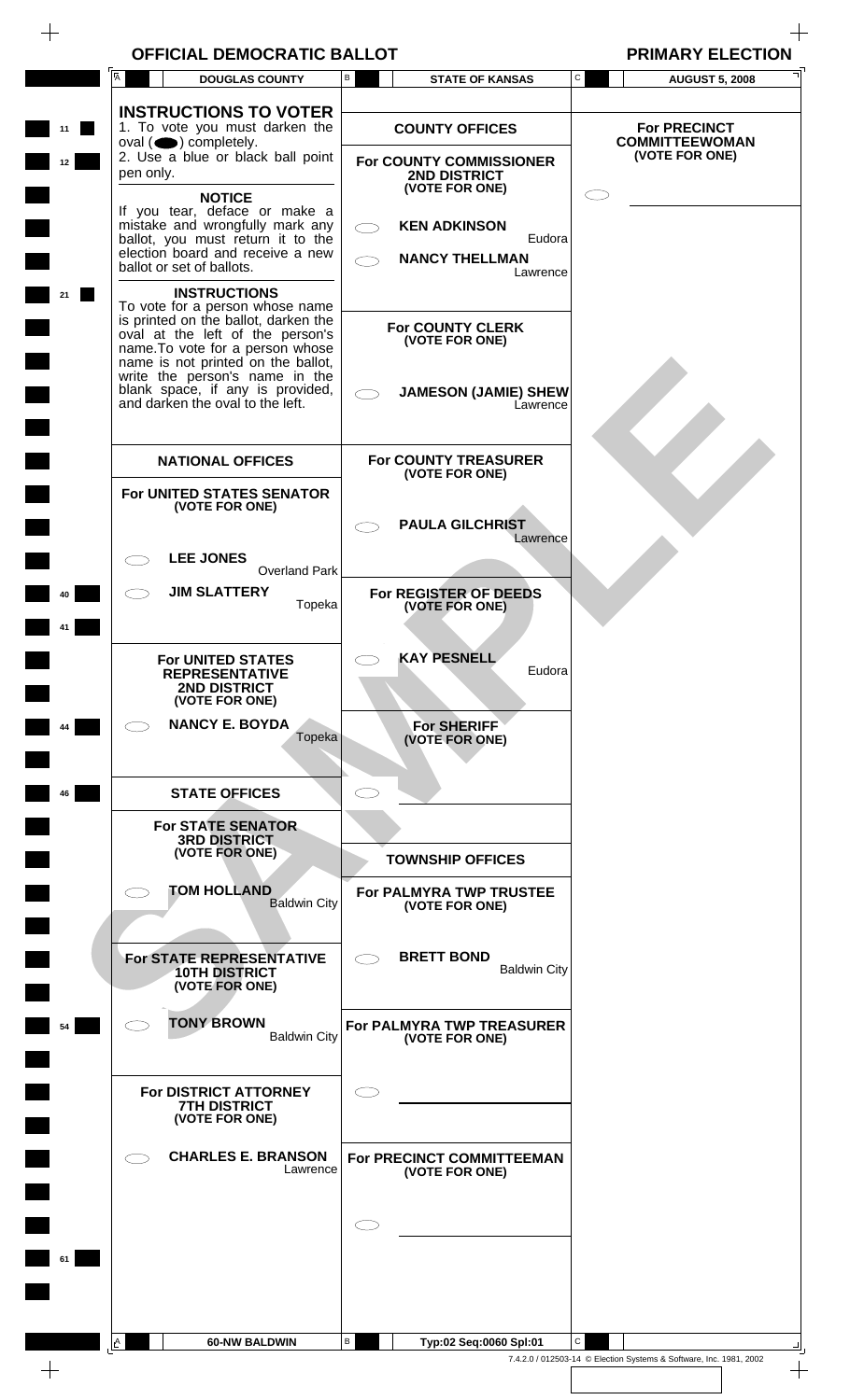$\frac{1}{\sqrt{2}}$ 

|          | A            | <b>DOUGLAS COUNTY</b>                                                                                                                                                                | В  | <b>STATE OF KANSAS</b>                                    | C | <b>AUGUST 5, 2008</b>                        |
|----------|--------------|--------------------------------------------------------------------------------------------------------------------------------------------------------------------------------------|----|-----------------------------------------------------------|---|----------------------------------------------|
| 11       |              | <b>INSTRUCTIONS TO VOTER</b><br>1. To vote you must darken the<br>$oval(\n\bullet)$ completely.                                                                                      |    | <b>COUNTY OFFICES</b>                                     |   | <b>For PRECINCT</b><br><b>COMMITTEEWOMAN</b> |
| 12       | pen only.    | 2. Use a blue or black ball point<br><b>NOTICE</b>                                                                                                                                   |    | For COUNTY COMMISSIONER<br>2ND DISTRICT<br>(VOTE FOR ONE) |   | (VOTE FOR ONE)                               |
|          |              | If you tear, deface or make a<br>mistake and wrongfully mark any<br>ballot, you must return it to the<br>election board and receive a new                                            | C) | <b>KEN ADKINSON</b><br>Eudora<br><b>NANCY THELLMAN</b>    |   |                                              |
| 21       |              | ballot or set of ballots.<br><b>INSTRUCTIONS</b><br>To vote for a person whose name                                                                                                  |    | Lawrence                                                  |   |                                              |
|          |              | is printed on the ballot, darken the<br>oval at the left of the person's<br>name. To vote for a person whose<br>name is not printed on the ballot,<br>write the person's name in the |    | <b>For COUNTY CLERK</b><br>(VOTE FOR ONE)                 |   |                                              |
|          |              | blank space, if any is provided,<br>and darken the oval to the left.                                                                                                                 |    | <b>JAMESON (JAMIE) SHEW</b><br>Lawrence                   |   |                                              |
|          |              | <b>NATIONAL OFFICES</b><br>For UNITED STATES SENATOR                                                                                                                                 |    | <b>For COUNTY TREASURER</b><br>(VOTE FOR ONE)             |   |                                              |
|          |              | (VOTE FOR ONE)                                                                                                                                                                       |    | <b>PAULA GILCHRIST</b><br>Lawrence                        |   |                                              |
|          |              | <b>LEE JONES</b><br><b>Overland Park</b>                                                                                                                                             |    |                                                           |   |                                              |
| 40<br>41 |              | <b>JIM SLATTERY</b><br>Topeka                                                                                                                                                        |    | For REGISTER OF DEEDS<br>(VOTE FOR ONE)                   |   |                                              |
|          |              | <b>For UNITED STATES</b><br><b>REPRESENTATIVE</b><br>2ND DISTRICT<br>(VOTE FOR ONE)                                                                                                  |    | <b>KAY PESNELL</b><br>Eudora                              |   |                                              |
| 44       |              | <b>NANCY E. BOYDA</b><br>Topeka                                                                                                                                                      |    | For SHERIFF<br>(VOTE FOR ONE)                             |   |                                              |
| 46       |              | <b>STATE OFFICES</b>                                                                                                                                                                 |    |                                                           |   |                                              |
|          |              | <b>For STATE SENATOR</b><br><b>3RD DISTRICT</b><br>(VOTE FOR ONE)                                                                                                                    |    | <b>TOWNSHIP OFFICES</b>                                   |   |                                              |
|          |              | <b>TOM HOLLAND</b><br><b>Baldwin City</b>                                                                                                                                            |    | For PALMYRA TWP TRUSTEE<br>(VOTE FOR ONE)                 |   |                                              |
|          |              | For STATE REPRESENTATIVE<br><b>10TH DISTRICT</b><br>(VOTE FOR ONE)                                                                                                                   |    | <b>BRETT BOND</b><br><b>Baldwin City</b>                  |   |                                              |
| 54       |              | <b>TONY BROWN</b><br><b>Baldwin City</b>                                                                                                                                             |    | For PALMYRA TWP TREASURER<br>(VOTE FOR ONE)               |   |                                              |
|          |              | For DISTRICT ATTORNEY<br><b>7TH DISTRICT</b><br>(VOTE FOR ONE)                                                                                                                       |    |                                                           |   |                                              |
|          |              | <b>CHARLES E. BRANSON</b><br>Lawrence                                                                                                                                                |    | For PRECINCT COMMITTEEMAN<br>(VOTE FOR ONE)               |   |                                              |
|          |              |                                                                                                                                                                                      |    |                                                           |   |                                              |
| 61       |              |                                                                                                                                                                                      |    |                                                           |   |                                              |
|          |              |                                                                                                                                                                                      |    |                                                           |   |                                              |
|          | $\mathbf{A}$ | <b>60-NW BALDWIN</b>                                                                                                                                                                 | В  | Typ:02 Seq:0060 Spl:01                                    | C |                                              |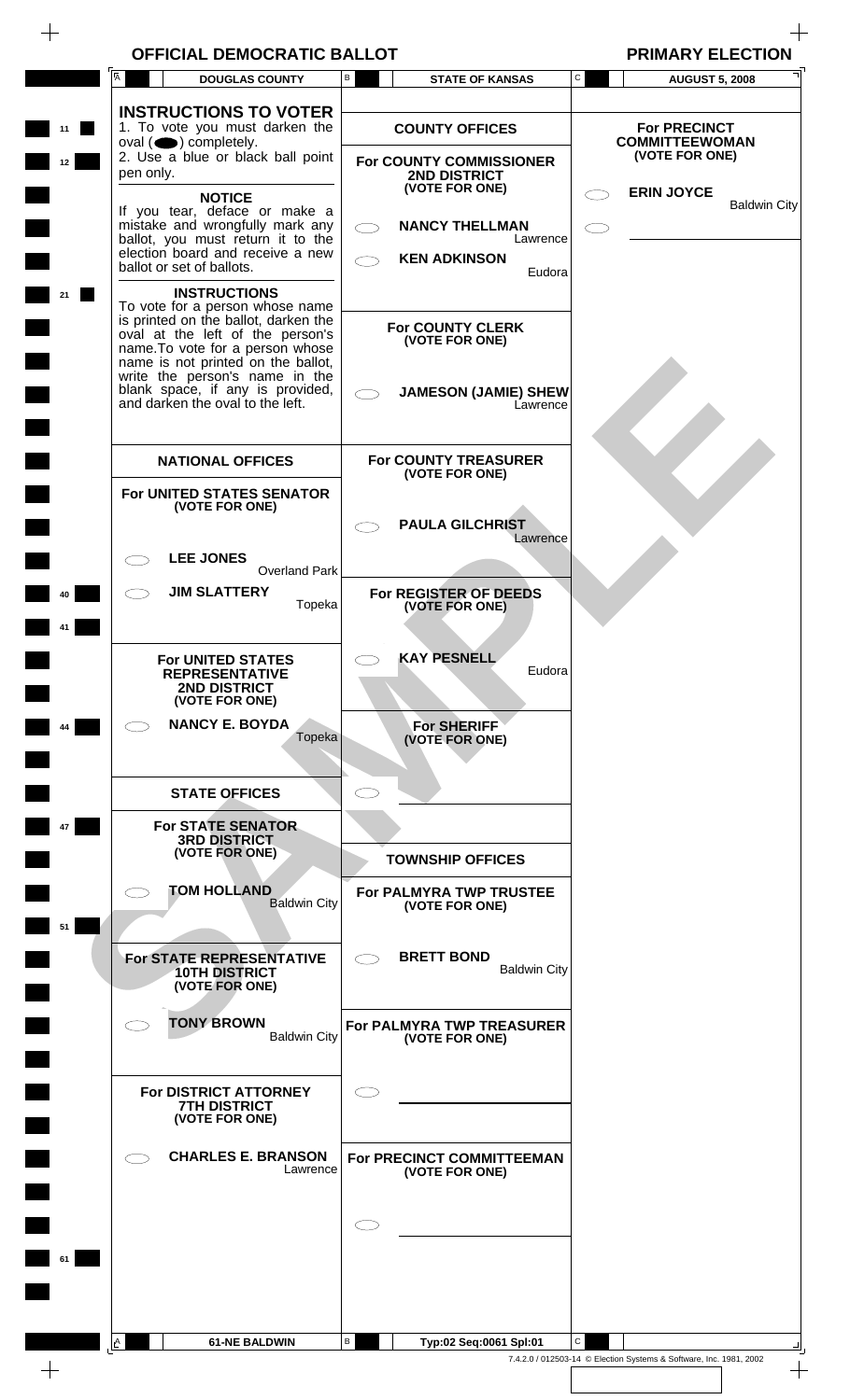|                                         | A<br><b>DOUGLAS COUNTY</b>                                                                                                                                                                                                                                                                                                                                                                                                                                                                                                                                   | В<br><b>STATE OF KANSAS</b>                                                                                                                                                                                 | C                                                                                                                                   |
|-----------------------------------------|--------------------------------------------------------------------------------------------------------------------------------------------------------------------------------------------------------------------------------------------------------------------------------------------------------------------------------------------------------------------------------------------------------------------------------------------------------------------------------------------------------------------------------------------------------------|-------------------------------------------------------------------------------------------------------------------------------------------------------------------------------------------------------------|-------------------------------------------------------------------------------------------------------------------------------------|
| 11<br>12<br>21                          | <b>INSTRUCTIONS TO VOTER</b><br>1. To vote you must darken the<br>$oval(\n\bullet)$ completely.<br>2. Use a blue or black ball point<br>pen only.<br><b>NOTICE</b><br>If you tear, deface or make a<br>mistake and wrongfully mark any<br>ballot, you must return it to the<br>election board and receive a new<br>ballot or set of ballots.<br><b>INSTRUCTIONS</b><br>To vote for a person whose name<br>is printed on the ballot, darken the<br>oval at the left of the person's<br>name. To vote for a person whose<br>name is not printed on the ballot, | <b>COUNTY OFFICES</b><br>For COUNTY COMMISSIONER<br>2ND DISTRICT<br>(VOTE FOR ONE)<br><b>NANCY THELLMAN</b><br>くつ<br>Lawrence<br><b>KEN ADKINSON</b><br>Eudora<br><b>For COUNTY CLERK</b><br>(VOTE FOR ONE) | <b>AUGUST 5, 2008</b><br><b>For PRECINCT</b><br><b>COMMITTEEWOMAN</b><br>(VOTE FOR ONE)<br><b>ERIN JOYCE</b><br><b>Baldwin City</b> |
|                                         | write the person's name in the<br>blank space, if any is provided,<br>and darken the oval to the left.                                                                                                                                                                                                                                                                                                                                                                                                                                                       | <b>JAMESON (JAMIE) SHEW</b><br>Lawrence                                                                                                                                                                     |                                                                                                                                     |
|                                         | <b>NATIONAL OFFICES</b><br>For UNITED STATES SENATOR<br>(VOTE FOR ONE)                                                                                                                                                                                                                                                                                                                                                                                                                                                                                       | <b>For COUNTY TREASURER</b><br>(VOTE FOR ONE)                                                                                                                                                               |                                                                                                                                     |
|                                         | <b>LEE JONES</b><br><b>Overland Park</b>                                                                                                                                                                                                                                                                                                                                                                                                                                                                                                                     | <b>PAULA GILCHRIST</b><br>Lawrence                                                                                                                                                                          |                                                                                                                                     |
|                                         | <b>JIM SLATTERY</b><br>Topeka                                                                                                                                                                                                                                                                                                                                                                                                                                                                                                                                | For REGISTER OF DEEDS<br>(VOTE FOR ONE)                                                                                                                                                                     |                                                                                                                                     |
|                                         | <b>For UNITED STATES</b><br><b>REPRESENTATIVE</b><br><b>2ND DISTRICT</b><br>(VOTE FOR ONE)                                                                                                                                                                                                                                                                                                                                                                                                                                                                   | <b>KAY PESNELL</b><br>Eudora                                                                                                                                                                                |                                                                                                                                     |
|                                         | <b>NANCY E. BOYDA</b><br>Topeka                                                                                                                                                                                                                                                                                                                                                                                                                                                                                                                              | <b>For SHERIFF</b><br>(VOTE FOR ONE)                                                                                                                                                                        |                                                                                                                                     |
| 47                                      | <b>STATE OFFICES</b><br><b>For STATE SENATOR</b>                                                                                                                                                                                                                                                                                                                                                                                                                                                                                                             |                                                                                                                                                                                                             |                                                                                                                                     |
|                                         | <b>3RD DISTRICT</b><br>(VOTE FOR ONE)                                                                                                                                                                                                                                                                                                                                                                                                                                                                                                                        | <b>TOWNSHIP OFFICES</b>                                                                                                                                                                                     |                                                                                                                                     |
| 51                                      | <b>TOM HOLLAND</b><br><b>Baldwin City</b>                                                                                                                                                                                                                                                                                                                                                                                                                                                                                                                    | For PALMYRA TWP TRUSTEE<br>(VOTE FOR ONE)                                                                                                                                                                   |                                                                                                                                     |
|                                         | <b>For STATE REPRESENTATIVE</b><br><b>10TH DISTRICT</b><br>(VOTE FOR ONE)                                                                                                                                                                                                                                                                                                                                                                                                                                                                                    | <b>BRETT BOND</b><br><b>Baldwin City</b>                                                                                                                                                                    |                                                                                                                                     |
| $\overline{\phantom{a}}$                | <b>TONY BROWN</b><br><b>Baldwin City</b>                                                                                                                                                                                                                                                                                                                                                                                                                                                                                                                     | For PALMYRA TWP TREASURER<br>(VOTE FOR ONE)                                                                                                                                                                 |                                                                                                                                     |
| $\overline{\phantom{a}}$<br><u>a ma</u> | For DISTRICT ATTORNEY<br><b>7TH DISTRICT</b><br>(VOTE FOR ONE)                                                                                                                                                                                                                                                                                                                                                                                                                                                                                               |                                                                                                                                                                                                             |                                                                                                                                     |
|                                         | <b>CHARLES E. BRANSON</b><br>Lawrence                                                                                                                                                                                                                                                                                                                                                                                                                                                                                                                        | For PRECINCT COMMITTEEMAN<br>(VOTE FOR ONE)                                                                                                                                                                 |                                                                                                                                     |
|                                         |                                                                                                                                                                                                                                                                                                                                                                                                                                                                                                                                                              |                                                                                                                                                                                                             |                                                                                                                                     |
|                                         |                                                                                                                                                                                                                                                                                                                                                                                                                                                                                                                                                              |                                                                                                                                                                                                             |                                                                                                                                     |
|                                         | <b>61-NE BALDWIN</b><br>$\mathbf{A}$                                                                                                                                                                                                                                                                                                                                                                                                                                                                                                                         | В<br>Typ:02 Seq:0061 Spl:01                                                                                                                                                                                 | С                                                                                                                                   |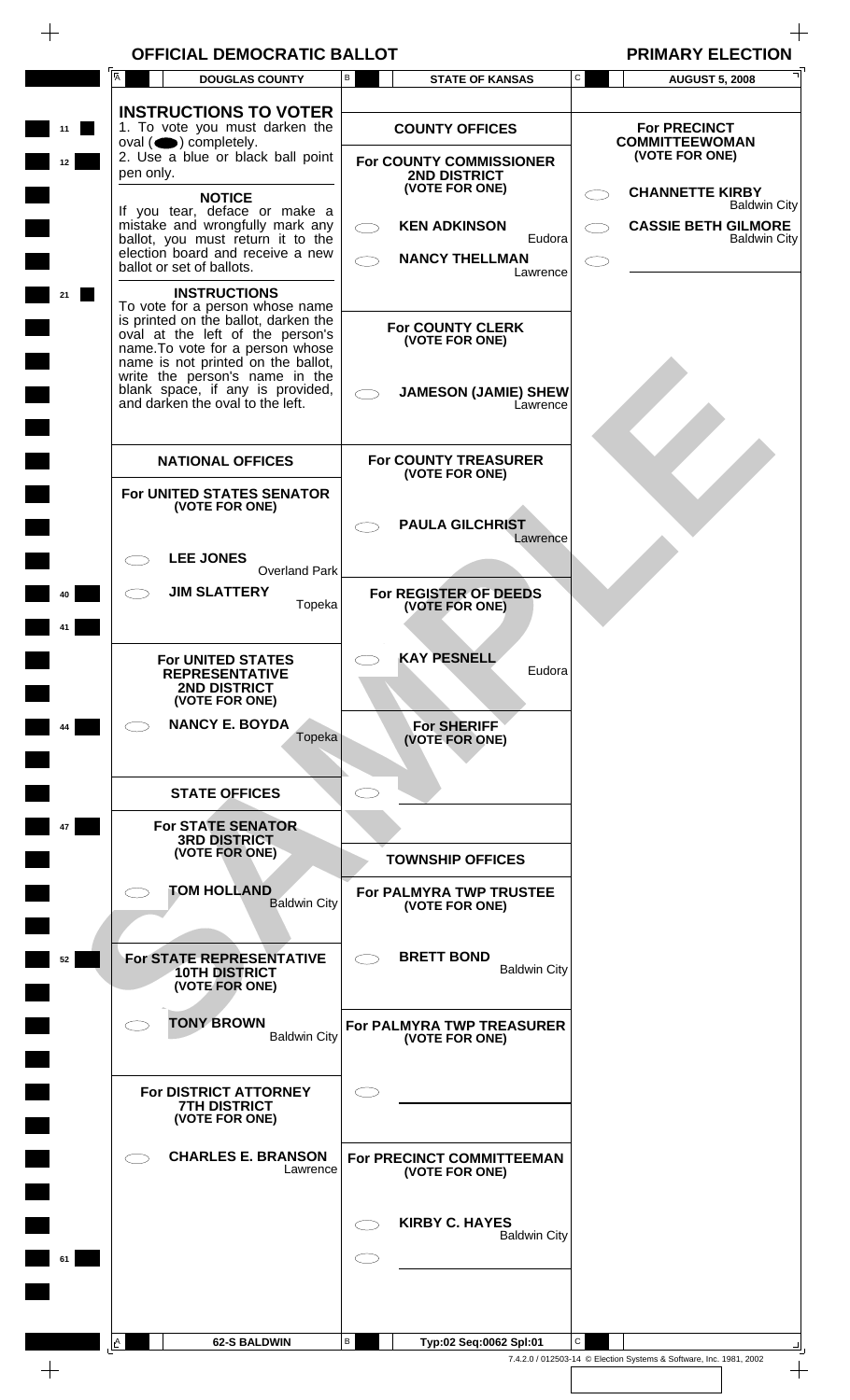$\begin{array}{c} + \end{array}$ 

|          | A         | <b>DOUGLAS COUNTY</b>                                                                                                                                                            | В                                  | <b>STATE OF KANSAS</b>                           | С | <b>AUGUST 5, 2008</b>                                                    |
|----------|-----------|----------------------------------------------------------------------------------------------------------------------------------------------------------------------------------|------------------------------------|--------------------------------------------------|---|--------------------------------------------------------------------------|
|          |           | <b>INSTRUCTIONS TO VOTER</b>                                                                                                                                                     |                                    |                                                  |   |                                                                          |
| 11<br>12 |           | 1. To vote you must darken the<br>$oval(\n\bullet)$ completely.<br>2. Use a blue or black ball point                                                                             |                                    | <b>COUNTY OFFICES</b><br>For COUNTY COMMISSIONER |   | <b>For PRECINCT</b><br><b>COMMITTEEWOMAN</b><br>(VOTE FOR ONE)           |
|          | pen only. | <b>NOTICE</b>                                                                                                                                                                    |                                    | 2ND DISTRICT<br>(VOTE FOR ONE)                   |   | <b>CHANNETTE KIRBY</b>                                                   |
|          |           | If you tear, deface or make a<br>mistake and wrongfully mark any<br>ballot, you must return it to the                                                                            |                                    | <b>KEN ADKINSON</b><br>Eudora                    |   | <b>Baldwin City</b><br><b>CASSIE BETH GILMORE</b><br><b>Baldwin City</b> |
|          |           | election board and receive a new<br>ballot or set of ballots.                                                                                                                    |                                    | <b>NANCY THELLMAN</b><br>Lawrence                |   |                                                                          |
|          |           | <b>INSTRUCTIONS</b><br>To vote for a person whose name<br>is printed on the ballot, darken the<br>oval at the left of the person's                                               |                                    | <b>For COUNTY CLERK</b><br>(VOTE FOR ONE)        |   |                                                                          |
|          |           | name. To vote for a person whose<br>name is not printed on the ballot,<br>write the person's name in the<br>blank space, if any is provided,<br>and darken the oval to the left. |                                    | <b>JAMESON (JAMIE) SHEW</b>                      |   |                                                                          |
|          |           |                                                                                                                                                                                  |                                    | Lawrence                                         |   |                                                                          |
|          |           | <b>NATIONAL OFFICES</b>                                                                                                                                                          |                                    | <b>For COUNTY TREASURER</b><br>(VOTE FOR ONE)    |   |                                                                          |
|          |           | For UNITED STATES SENATOR<br>(VOTE FOR ONE)                                                                                                                                      |                                    |                                                  |   |                                                                          |
|          |           | <b>LEE JONES</b>                                                                                                                                                                 |                                    | <b>PAULA GILCHRIST</b><br>Lawrence               |   |                                                                          |
|          |           | <b>Overland Park</b><br><b>JIM SLATTERY</b><br>Topeka                                                                                                                            |                                    | For REGISTER OF DEEDS<br>(VOTE FOR ONE)          |   |                                                                          |
|          |           | <b>For UNITED STATES</b><br><b>REPRESENTATIVE</b>                                                                                                                                |                                    | <b>KAY PESNELL</b><br>Eudora                     |   |                                                                          |
|          |           | <b>2ND DISTRICT</b><br>(VOTE FOR ONE)                                                                                                                                            |                                    |                                                  |   |                                                                          |
|          |           | <b>NANCY E. BOYDA</b><br>Topeka                                                                                                                                                  |                                    | <b>For SHERIFF</b><br>(VOTE FOR ONE)             |   |                                                                          |
|          |           | <b>STATE OFFICES</b>                                                                                                                                                             | $\subset$ $\overline{\phantom{a}}$ |                                                  |   |                                                                          |
| 47       |           | <b>For STATE SENATOR</b><br><b>3RD DISTRICT</b>                                                                                                                                  |                                    |                                                  |   |                                                                          |
|          |           | (VOTE FOR ONE)                                                                                                                                                                   |                                    | <b>TOWNSHIP OFFICES</b>                          |   |                                                                          |
|          |           | <b>TOM HOLLAND</b><br><b>Baldwin City</b>                                                                                                                                        |                                    | For PALMYRA TWP TRUSTEE<br>(VOTE FOR ONE)        |   |                                                                          |
| 52       |           | <b>For STATE REPRESENTATIVE</b><br><b>10TH DISTRICT</b><br>(VOTE FOR ONE)                                                                                                        |                                    | <b>BRETT BOND</b><br><b>Baldwin City</b>         |   |                                                                          |
|          |           | <b>TONY BROWN</b><br><b>Baldwin City</b>                                                                                                                                         |                                    | For PALMYRA TWP TREASURER<br>(VOTE FOR ONE)      |   |                                                                          |
|          |           | <b>For DISTRICT ATTORNEY</b><br><b>7TH DISTRICT</b><br>(VOTE FOR ONE)                                                                                                            |                                    |                                                  |   |                                                                          |
|          |           | <b>CHARLES E. BRANSON</b><br>Lawrence                                                                                                                                            |                                    | For PRECINCT COMMITTEEMAN<br>(VOTE FOR ONE)      |   |                                                                          |
|          |           |                                                                                                                                                                                  |                                    | <b>KIRBY C. HAYES</b><br><b>Baldwin City</b>     |   |                                                                          |
|          |           |                                                                                                                                                                                  |                                    |                                                  |   |                                                                          |
|          |           |                                                                                                                                                                                  |                                    |                                                  |   |                                                                          |
|          | A         | <b>62-S BALDWIN</b>                                                                                                                                                              | В                                  | Typ:02 Seq:0062 Spl:01                           | С |                                                                          |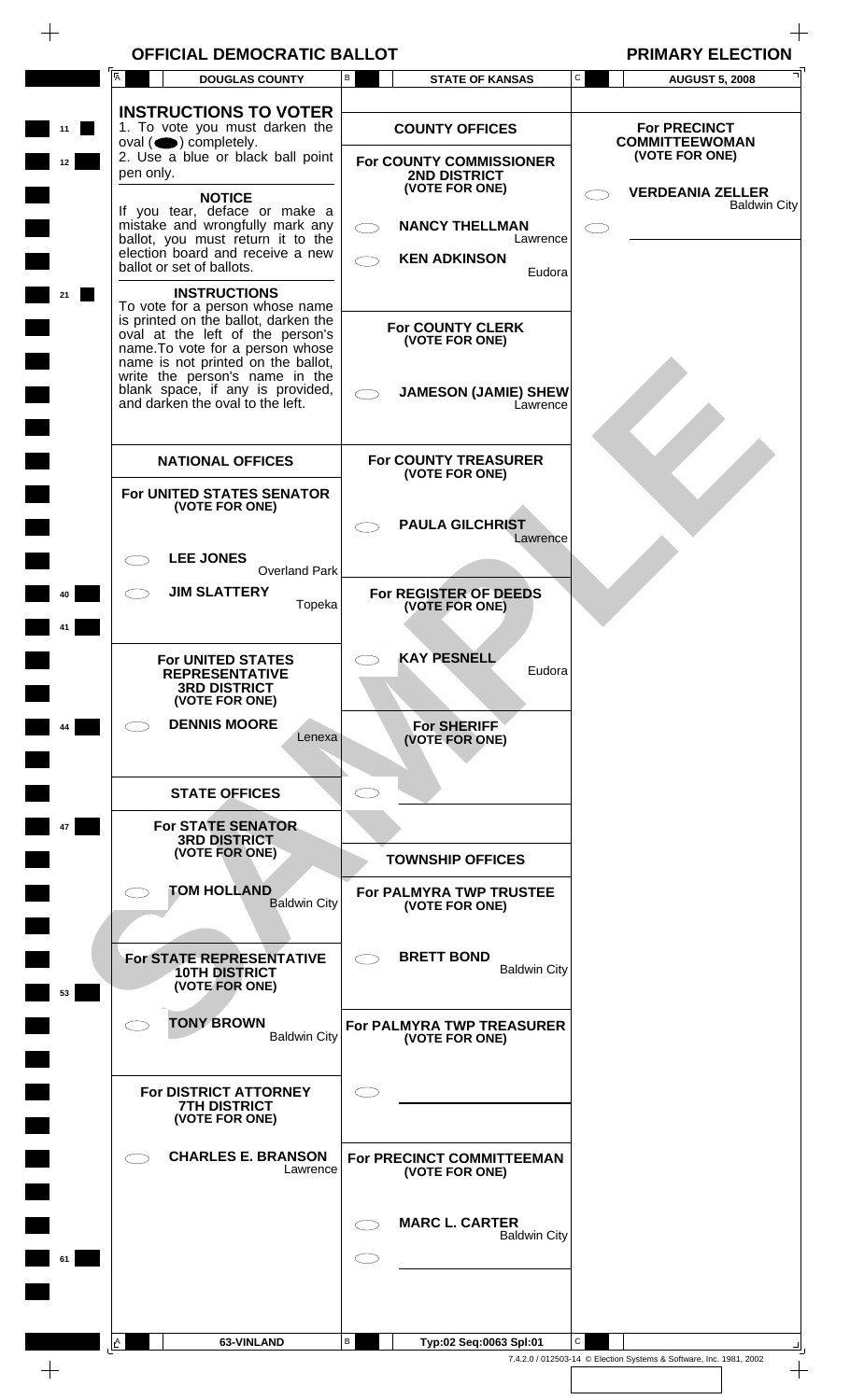$\begin{array}{c} + \end{array}$ 

|                 | A.<br><b>DOUGLAS COUNTY</b>                                              | В                                  | <b>STATE OF KANSAS</b>                           | $\mathtt{C}$ | <b>AUGUST 5, 2008</b>                          |
|-----------------|--------------------------------------------------------------------------|------------------------------------|--------------------------------------------------|--------------|------------------------------------------------|
|                 | <b>INSTRUCTIONS TO VOTER</b>                                             |                                    |                                                  |              |                                                |
| 11              | 1. To vote you must darken the<br>oval $($ $\bullet)$ completely.        |                                    | <b>COUNTY OFFICES</b>                            |              | <b>For PRECINCT</b><br><b>COMMITTEEWOMAN</b>   |
| 12 <sub>2</sub> | 2. Use a blue or black ball point                                        |                                    | For COUNTY COMMISSIONER                          |              | (VOTE FOR ONE)                                 |
|                 | pen only.                                                                |                                    | 2ND DISTRICT<br>(VOTE FOR ONE)                   |              |                                                |
|                 | <b>NOTICE</b><br>If you tear, deface or make a                           |                                    |                                                  |              | <b>VERDEANIA ZELLER</b><br><b>Baldwin City</b> |
|                 | mistake and wrongfully mark any                                          | $\bigcirc$                         | <b>NANCY THELLMAN</b>                            | 77           |                                                |
|                 | ballot, you must return it to the<br>election board and receive a new    | $\bigcirc$                         | Lawrence<br><b>KEN ADKINSON</b>                  |              |                                                |
|                 | ballot or set of ballots.                                                |                                    | Eudora                                           |              |                                                |
| 21              | <b>INSTRUCTIONS</b><br>To vote for a person whose name                   |                                    |                                                  |              |                                                |
|                 | is printed on the ballot, darken the<br>oval at the left of the person's |                                    | <b>For COUNTY CLERK</b>                          |              |                                                |
|                 | name. To vote for a person whose                                         |                                    | (VOTE FOR ONE)                                   |              |                                                |
|                 | name is not printed on the ballot,<br>write the person's name in the     |                                    |                                                  |              |                                                |
|                 | blank space, if any is provided,<br>and darken the oval to the left.     |                                    | <b>JAMESON (JAMIE) SHEW</b><br>Lawrence          |              |                                                |
|                 |                                                                          |                                    |                                                  |              |                                                |
|                 | <b>NATIONAL OFFICES</b>                                                  |                                    | <b>For COUNTY TREASURER</b>                      |              |                                                |
|                 | For UNITED STATES SENATOR                                                |                                    | (VOTE FOR ONE)                                   |              |                                                |
|                 | (VOTE FOR ONE)                                                           |                                    |                                                  |              |                                                |
|                 |                                                                          |                                    | <b>PAULA GILCHRIST</b><br>Lawrence               |              |                                                |
|                 | <b>LEE JONES</b><br><b>Overland Park</b>                                 |                                    |                                                  |              |                                                |
|                 | <b>JIM SLATTERY</b>                                                      |                                    | For REGISTER OF DEEDS                            |              |                                                |
|                 | Topeka                                                                   |                                    | (VOTE FOR ONE)                                   |              |                                                |
|                 |                                                                          |                                    |                                                  |              |                                                |
|                 | <b>For UNITED STATES</b><br><b>REPRESENTATIVE</b>                        |                                    | <b>KAY PESNELL</b><br>Eudora                     |              |                                                |
|                 | <b>3RD DISTRICT</b><br>(VOTE FOR ONE)                                    |                                    |                                                  |              |                                                |
|                 | <b>DENNIS MOORE</b>                                                      |                                    | <b>For SHERIFF</b>                               |              |                                                |
|                 | Lenexa                                                                   |                                    | (VOTE FOR ONE)                                   |              |                                                |
|                 |                                                                          |                                    |                                                  |              |                                                |
|                 | <b>STATE OFFICES</b>                                                     | $\subset$ $\overline{\phantom{a}}$ |                                                  |              |                                                |
|                 | <b>For STATE SENATOR</b>                                                 |                                    |                                                  |              |                                                |
|                 | <b>3RD DISTRICT</b><br>(VOTE FOR ONE)                                    |                                    | <b>TOWNSHIP OFFICES</b>                          |              |                                                |
|                 |                                                                          |                                    |                                                  |              |                                                |
|                 | <b>TOM HOLLAND</b><br><b>Baldwin City</b>                                |                                    | <b>For PALMYRA TWP TRUSTEE</b><br>(VOTE FOR ONE) |              |                                                |
|                 |                                                                          |                                    |                                                  |              |                                                |
|                 | For STATE REPRESENTATIVE                                                 |                                    | <b>BRETT BOND</b>                                |              |                                                |
| 53              | <b>10TH DISTRICT</b><br>(VOTE FOR ONE)                                   |                                    | <b>Baldwin City</b>                              |              |                                                |
|                 |                                                                          |                                    |                                                  |              |                                                |
|                 | <b>TONY BROWN</b><br><b>Baldwin City</b>                                 |                                    | For PALMYRA TWP TREASURER<br>(VOTE FOR ONE)      |              |                                                |
|                 |                                                                          |                                    |                                                  |              |                                                |
|                 | For DISTRICT ATTORNEY                                                    |                                    |                                                  |              |                                                |
|                 | <b>7TH DISTRICT</b><br>(VOTE FOR ONE)                                    |                                    |                                                  |              |                                                |
|                 |                                                                          |                                    |                                                  |              |                                                |
|                 | <b>CHARLES E. BRANSON</b><br>Lawrence                                    |                                    | For PRECINCT COMMITTEEMAN<br>(VOTE FOR ONE)      |              |                                                |
|                 |                                                                          |                                    |                                                  |              |                                                |
|                 |                                                                          |                                    | <b>MARC L. CARTER</b>                            |              |                                                |
|                 |                                                                          |                                    | <b>Baldwin City</b>                              |              |                                                |
| 61              |                                                                          |                                    |                                                  |              |                                                |
|                 |                                                                          |                                    |                                                  |              |                                                |
|                 |                                                                          |                                    |                                                  |              |                                                |
|                 |                                                                          |                                    |                                                  | С            |                                                |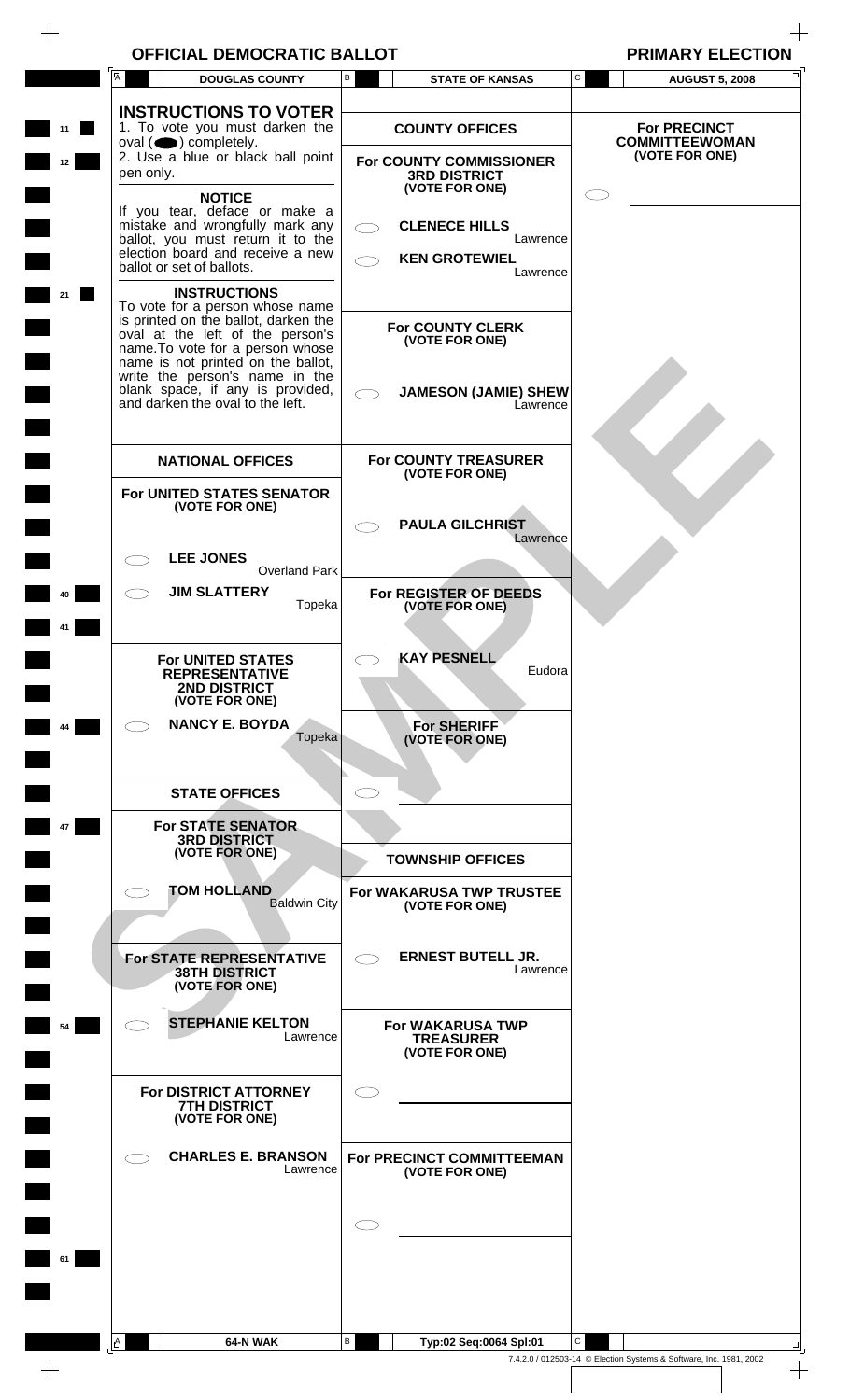$\frac{1}{\sqrt{2}}$ 

|          | A<br><b>DOUGLAS COUNTY</b>                                                                                                                                                                                              | B<br><b>STATE OF KANSAS</b>                                      | C | <b>AUGUST 5, 2008</b>                        |
|----------|-------------------------------------------------------------------------------------------------------------------------------------------------------------------------------------------------------------------------|------------------------------------------------------------------|---|----------------------------------------------|
| 11       | <b>INSTRUCTIONS TO VOTER</b><br>1. To vote you must darken the<br>$oval(\bigodot)$ completely.                                                                                                                          | <b>COUNTY OFFICES</b>                                            |   | <b>For PRECINCT</b><br><b>COMMITTEEWOMAN</b> |
| 12       | 2. Use a blue or black ball point<br>pen only.<br><b>NOTICE</b>                                                                                                                                                         | For COUNTY COMMISSIONER<br><b>3RD DISTRICT</b><br>(VOTE FOR ONE) |   | (VOTE FOR ONE)                               |
|          | If you tear, deface or make a<br>mistake and wrongfully mark any<br>ballot, you must return it to the<br>election board and receive a new                                                                               | <b>CLENECE HILLS</b><br>$\bigcirc$<br>Lawrence                   |   |                                              |
| 21       | ballot or set of ballots.<br><b>INSTRUCTIONS</b>                                                                                                                                                                        | <b>KEN GROTEWIEL</b><br>Lawrence                                 |   |                                              |
|          | To vote for a person whose name<br>is printed on the ballot, darken the<br>oval at the left of the person's<br>name. To vote for a person whose<br>name is not printed on the ballot,<br>write the person's name in the | <b>For COUNTY CLERK</b><br>(VOTE FOR ONE)                        |   |                                              |
|          | blank space, if any is provided,<br>and darken the oval to the left.                                                                                                                                                    | <b>JAMESON (JAMIE) SHEW</b><br>Lawrence                          |   |                                              |
|          | <b>NATIONAL OFFICES</b>                                                                                                                                                                                                 | <b>For COUNTY TREASURER</b><br>(VOTE FOR ONE)                    |   |                                              |
|          | For UNITED STATES SENATOR<br>(VOTE FOR ONE)                                                                                                                                                                             | <b>PAULA GILCHRIST</b><br>Lawrence                               |   |                                              |
|          | <b>LEE JONES</b><br><b>Overland Park</b><br><b>JIM SLATTERY</b>                                                                                                                                                         | For REGISTER OF DEEDS                                            |   |                                              |
| 40<br>41 | Topeka                                                                                                                                                                                                                  | (VOTE FOR ONE)                                                   |   |                                              |
|          | <b>For UNITED STATES</b><br><b>REPRESENTATIVE</b><br><b>2ND DISTRICT</b><br>(VOTE FOR ONE)                                                                                                                              | <b>KAY PESNELL</b><br>Eudora                                     |   |                                              |
| 44       | <b>NANCY E. BOYDA</b><br>Topeka                                                                                                                                                                                         | <b>For SHERIFF</b><br>(VOTE FOR ONE)                             |   |                                              |
|          | <b>STATE OFFICES</b>                                                                                                                                                                                                    |                                                                  |   |                                              |
| 47       | <b>For STATE SENATOR</b><br><b>3RD DISTRICT</b><br>(VOTE FOR ONE)                                                                                                                                                       | <b>TOWNSHIP OFFICES</b>                                          |   |                                              |
|          | <b>TOM HOLLAND</b><br><b>Baldwin City</b>                                                                                                                                                                               | For WAKARUSA TWP TRUSTEE<br>(VOTE FOR ONE)                       |   |                                              |
|          | <b>For STATE REPRESENTATIVE</b><br><b>38TH DISTRICT</b><br>(VOTE FOR ONE)                                                                                                                                               | <b>ERNEST BUTELL JR.</b><br>Lawrence                             |   |                                              |
| 54       | <b>STEPHANIE KELTON</b><br>Lawrence                                                                                                                                                                                     | For WAKARUSA TWP<br><b>TREASURER</b><br>(VOTE FOR ONE)           |   |                                              |
|          |                                                                                                                                                                                                                         |                                                                  |   |                                              |
|          | For DISTRICT ATTORNEY<br><b>7TH DISTRICT</b><br>(VOTE FOR ONE)                                                                                                                                                          |                                                                  |   |                                              |
|          | <b>CHARLES E. BRANSON</b><br>Lawrence                                                                                                                                                                                   | For PRECINCT COMMITTEEMAN<br>(VOTE FOR ONE)                      |   |                                              |
|          |                                                                                                                                                                                                                         |                                                                  |   |                                              |
| 61       |                                                                                                                                                                                                                         |                                                                  |   |                                              |
|          | 64-N WAK                                                                                                                                                                                                                | В<br>Typ:02 Seq:0064 Spl:01                                      | C |                                              |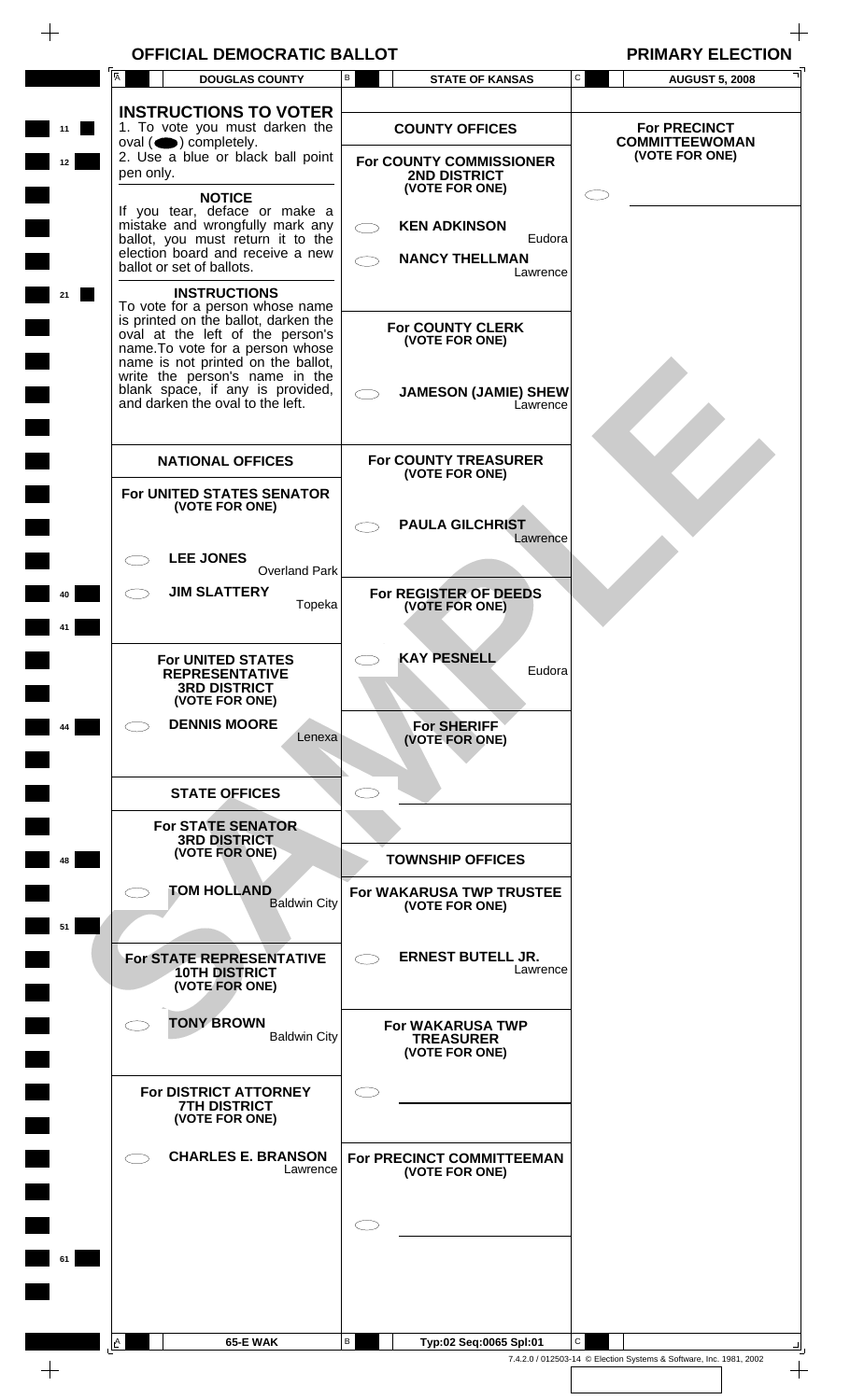$\begin{array}{c} + \end{array}$ 

 $\overline{\phantom{a}}$ 

|    | A<br><b>DOUGLAS COUNTY</b>                                                                                                         | В<br><b>STATE OF KANSAS</b>                                   | $\mathtt{C}$<br><b>AUGUST 5, 2008</b>        |
|----|------------------------------------------------------------------------------------------------------------------------------------|---------------------------------------------------------------|----------------------------------------------|
| 11 | <b>INSTRUCTIONS TO VOTER</b><br>1. To vote you must darken the<br>oval $($ $\bullet)$ completely.                                  | <b>COUNTY OFFICES</b>                                         | <b>For PRECINCT</b><br><b>COMMITTEEWOMAN</b> |
| 12 | 2. Use a blue or black ball point<br>pen only.                                                                                     | For COUNTY COMMISSIONER<br>2ND DISTRICT<br>(VOTE FOR ONE)     | (VOTE FOR ONE)                               |
|    | <b>NOTICE</b><br>If you tear, deface or make a<br>mistake and wrongfully mark any<br>ballot, you must return it to the             | <b>KEN ADKINSON</b><br>$\bigcirc$<br>Eudora                   |                                              |
|    | election board and receive a new<br>ballot or set of ballots.                                                                      | <b>NANCY THELLMAN</b><br>$\overline{\phantom{0}}$<br>Lawrence |                                              |
| 21 | <b>INSTRUCTIONS</b><br>To vote for a person whose name<br>is printed on the ballot, darken the<br>oval at the left of the person's | <b>For COUNTY CLERK</b>                                       |                                              |
|    | name. To vote for a person whose<br>name is not printed on the ballot,<br>write the person's name in the                           | (VOTE FOR ONE)                                                |                                              |
|    | blank space, if any is provided,<br>and darken the oval to the left.                                                               | <b>JAMESON (JAMIE) SHEW</b><br>Lawrence                       |                                              |
|    | <b>NATIONAL OFFICES</b>                                                                                                            | <b>For COUNTY TREASURER</b><br>(VOTE FOR ONE)                 |                                              |
|    | For UNITED STATES SENATOR<br>(VOTE FOR ONE)                                                                                        | <b>PAULA GILCHRIST</b>                                        |                                              |
|    | <b>LEE JONES</b><br><b>Overland Park</b>                                                                                           | Lawrence                                                      |                                              |
|    | <b>JIM SLATTERY</b><br>Topeka                                                                                                      | For REGISTER OF DEEDS<br>(VOTE FOR ONE)                       |                                              |
|    | <b>For UNITED STATES</b><br><b>REPRESENTATIVE</b>                                                                                  | <b>KAY PESNELL</b><br>Eudora                                  |                                              |
| 44 | <b>3RD DISTRICT</b><br>(VOTE FOR ONE)<br><b>DENNIS MOORE</b>                                                                       | <b>For SHERIFF</b>                                            |                                              |
|    | Lenexa                                                                                                                             | (VOTE FOR ONE)                                                |                                              |
|    | <b>STATE OFFICES</b>                                                                                                               | 71                                                            |                                              |
|    | <b>For STATE SENATOR</b><br><b>3RD DISTRICT</b><br>(VOTE FOR ONE)                                                                  |                                                               |                                              |
| 48 | <b>TOM HOLLAND</b>                                                                                                                 | <b>TOWNSHIP OFFICES</b><br>For WAKARUSA TWP TRUSTEE           |                                              |
| 51 | <b>Baldwin City</b>                                                                                                                | (VOTE FOR ONE)                                                |                                              |
|    | For STATE REPRESENTATIVE<br><b>10TH DISTRICT</b><br>(VOTE FOR ONE)                                                                 | <b>ERNEST BUTELL JR.</b><br>$\subset$ $\supset$<br>Lawrence   |                                              |
|    | <b>TONY BROWN</b><br><b>Baldwin City</b>                                                                                           | For WAKARUSA TWP<br><b>TREASURER</b><br>(VOTE FOR ONE)        |                                              |
|    | <b>For DISTRICT ATTORNEY</b><br><b>7TH DISTRICT</b><br>(VOTE FOR ONE)                                                              |                                                               |                                              |
|    | <b>CHARLES E. BRANSON</b><br>Lawrence                                                                                              | For PRECINCT COMMITTEEMAN<br>(VOTE FOR ONE)                   |                                              |
|    |                                                                                                                                    |                                                               |                                              |
|    |                                                                                                                                    |                                                               |                                              |
|    |                                                                                                                                    |                                                               |                                              |
|    |                                                                                                                                    |                                                               |                                              |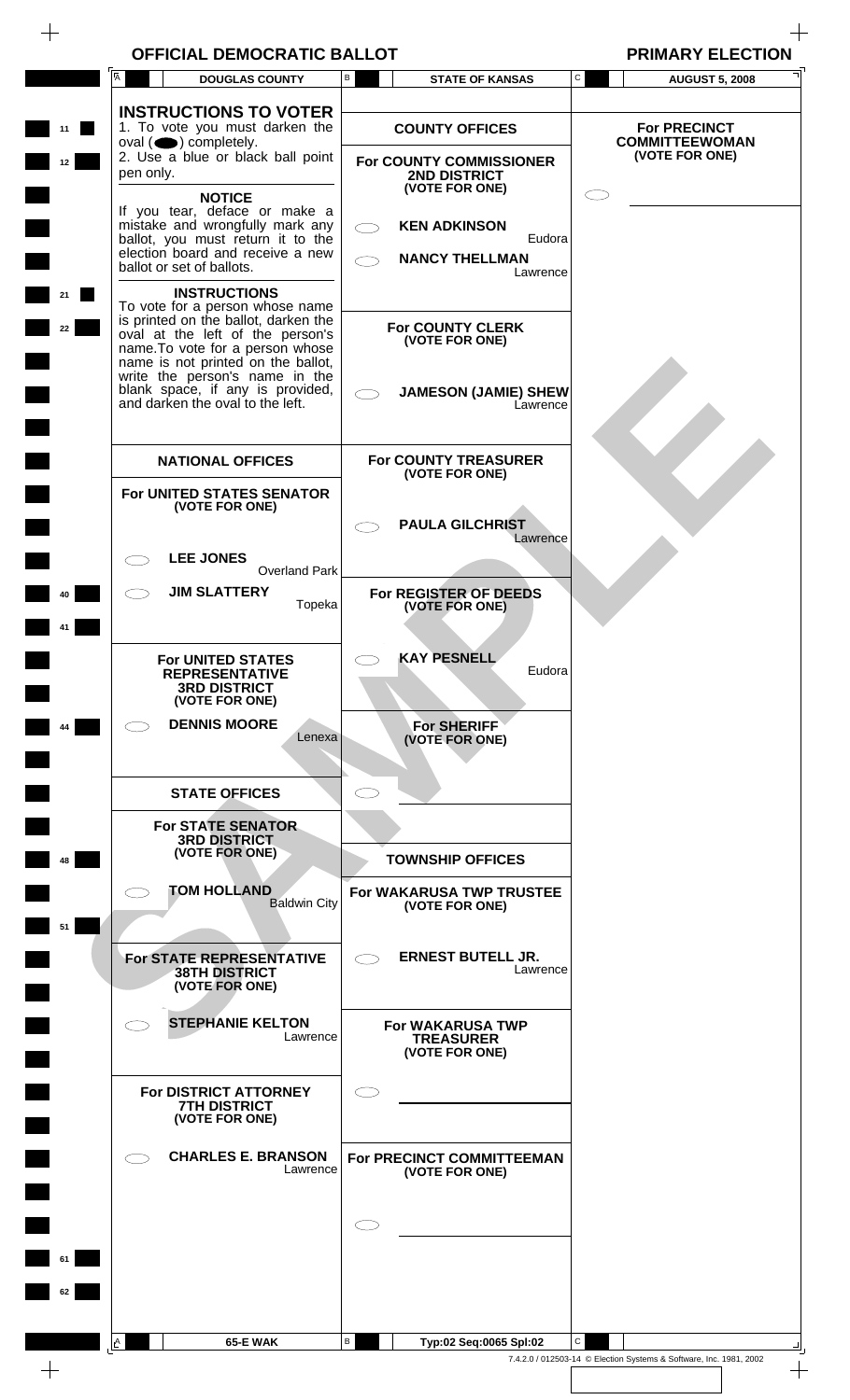$\frac{1}{\sqrt{2}}$ 

|    | A         | <b>DOUGLAS COUNTY</b>                                                                                                                        |                                | B | <b>STATE OF KANSAS</b>                                                | $\mathsf{C}$ | <b>AUGUST 5, 2008</b>                        |
|----|-----------|----------------------------------------------------------------------------------------------------------------------------------------------|--------------------------------|---|-----------------------------------------------------------------------|--------------|----------------------------------------------|
| 11 |           | <b>INSTRUCTIONS TO VOTER</b><br>1. To vote you must darken the<br>$oval(\n\bullet)$ completely.                                              |                                |   | <b>COUNTY OFFICES</b>                                                 |              | <b>For PRECINCT</b><br><b>COMMITTEEWOMAN</b> |
| 12 | pen only. | 2. Use a blue or black ball point<br><b>NOTICE</b>                                                                                           |                                |   | For COUNTY COMMISSIONER<br>2ND DISTRICT<br>(VOTE FOR ONE)             |              | (VOTE FOR ONE)                               |
|    |           | If you tear, deface or make a<br>mistake and wrongfully mark any<br>ballot, you must return it to the<br>election board and receive a new    |                                | Ο | <b>KEN ADKINSON</b><br>Eudora<br><b>NANCY THELLMAN</b>                |              |                                              |
| 21 |           | ballot or set of ballots.<br><b>INSTRUCTIONS</b><br>To vote for a person whose name<br>is printed on the ballot, darken the                  |                                |   | Lawrence                                                              |              |                                              |
| 22 |           | oval at the left of the person's<br>name. To vote for a person whose<br>name is not printed on the ballot,<br>write the person's name in the |                                |   | <b>For COUNTY CLERK</b><br>(VOTE FOR ONE)                             |              |                                              |
|    |           | blank space, if any is provided,<br>and darken the oval to the left.                                                                         |                                |   | <b>JAMESON (JAMIE) SHEW</b><br>Lawrence                               |              |                                              |
|    |           | <b>NATIONAL OFFICES</b><br>For UNITED STATES SENATOR                                                                                         |                                |   | <b>For COUNTY TREASURER</b><br>(VOTE FOR ONE)                         |              |                                              |
|    |           | (VOTE FOR ONE)<br><b>LEE JONES</b>                                                                                                           |                                |   | <b>PAULA GILCHRIST</b><br>Lawrence                                    |              |                                              |
| 40 |           | <b>JIM SLATTERY</b>                                                                                                                          | <b>Overland Park</b><br>Topeka |   | For REGISTER OF DEEDS<br>(VOTE FOR ONE)                               |              |                                              |
| 41 |           | <b>For UNITED STATES</b><br><b>REPRESENTATIVE</b>                                                                                            |                                |   | <b>KAY PESNELL</b><br>Eudora                                          |              |                                              |
| 44 |           | <b>3RD DISTRICT</b><br>(VOTE FOR ONE)<br><b>DENNIS MOORE</b>                                                                                 |                                |   | <b>For SHERIFF</b>                                                    |              |                                              |
|    |           | <b>STATE OFFICES</b>                                                                                                                         | Lenexa                         |   | (VOTE FOR ONE)                                                        |              |                                              |
|    |           | <b>For STATE SENATOR</b><br><b>3RD DISTRICT</b><br>(VOTE FOR ONE)                                                                            |                                |   |                                                                       |              |                                              |
| 48 |           | <b>TOM HOLLAND</b>                                                                                                                           | <b>Baldwin City</b>            |   | <b>TOWNSHIP OFFICES</b><br>For WAKARUSA TWP TRUSTEE<br>(VOTE FOR ONE) |              |                                              |
| 51 |           | <b>For STATE REPRESENTATIVE</b><br><b>38TH DISTRICT</b><br>(VOTE FOR ONE)                                                                    |                                |   | <b>ERNEST BUTELL JR.</b><br>Lawrence                                  |              |                                              |
|    |           | <b>STEPHANIE KELTON</b>                                                                                                                      | Lawrence                       |   | For WAKARUSA TWP<br><b>TREASURER</b><br>(VOTE FOR ONE)                |              |                                              |
|    |           | For DISTRICT ATTORNEY<br><b>7TH DISTRICT</b><br>(VOTE FOR ONE)                                                                               |                                |   |                                                                       |              |                                              |
|    |           | <b>CHARLES E. BRANSON</b>                                                                                                                    | Lawrence                       |   | For PRECINCT COMMITTEEMAN<br>(VOTE FOR ONE)                           |              |                                              |
|    |           |                                                                                                                                              |                                |   |                                                                       |              |                                              |
|    |           |                                                                                                                                              |                                |   |                                                                       |              |                                              |
| 62 |           |                                                                                                                                              |                                |   |                                                                       |              |                                              |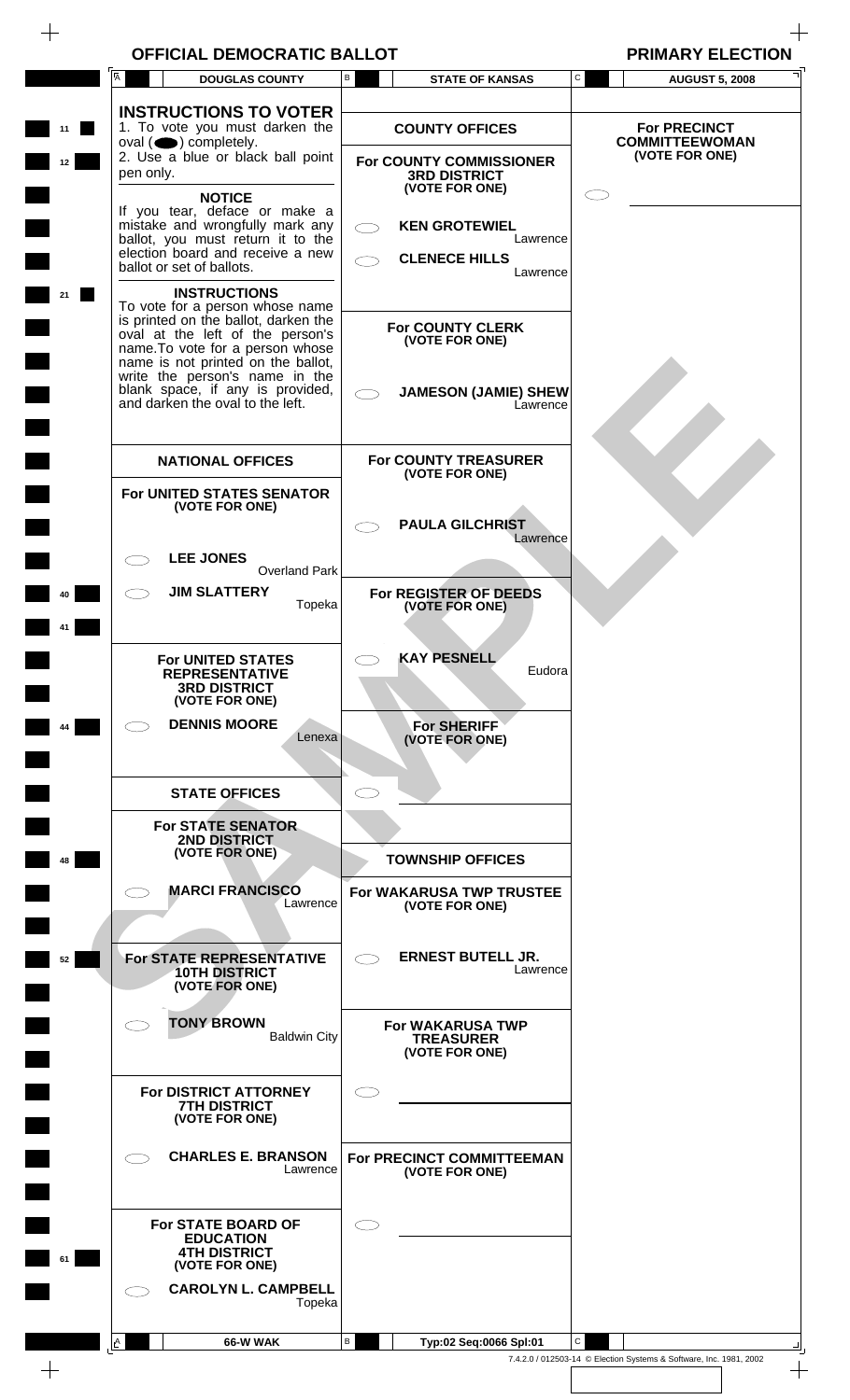$\begin{array}{c} + \end{array}$ 

 $\overline{\phantom{a}}$ 

|    | $\overline{A}$<br><b>DOUGLAS COUNTY</b>                                                                                                                                                                                                                                            | В<br><b>STATE OF KANSAS</b>                                              | C<br><b>AUGUST 5, 2008</b>                   |
|----|------------------------------------------------------------------------------------------------------------------------------------------------------------------------------------------------------------------------------------------------------------------------------------|--------------------------------------------------------------------------|----------------------------------------------|
|    | <b>INSTRUCTIONS TO VOTER</b>                                                                                                                                                                                                                                                       |                                                                          |                                              |
| 11 | 1. To vote you must darken the<br>$oval(\n\bullet)$ completely.                                                                                                                                                                                                                    | <b>COUNTY OFFICES</b>                                                    | <b>For PRECINCT</b><br><b>COMMITTEEWOMAN</b> |
| 12 | 2. Use a blue or black ball point<br>pen only.                                                                                                                                                                                                                                     | For COUNTY COMMISSIONER<br><b>3RD DISTRICT</b><br>(VOTE FOR ONE)         | (VOTE FOR ONE)                               |
|    | <b>NOTICE</b><br>If you tear, deface or make a<br>mistake and wrongfully mark any                                                                                                                                                                                                  | <b>KEN GROTEWIEL</b>                                                     |                                              |
|    | ballot, you must return it to the<br>election board and receive a new<br>ballot or set of ballots.                                                                                                                                                                                 | Lawrence<br><b>CLENECE HILLS</b><br>Lawrence                             |                                              |
| 21 | <b>INSTRUCTIONS</b><br>To vote for a person whose name<br>is printed on the ballot, darken the<br>oval at the left of the person's<br>name. To vote for a person whose<br>name is not printed on the ballot,<br>write the person's name in the<br>blank space, if any is provided, | <b>For COUNTY CLERK</b><br>(VOTE FOR ONE)<br><b>JAMESON (JAMIE) SHEW</b> |                                              |
|    | and darken the oval to the left.                                                                                                                                                                                                                                                   | Lawrence                                                                 |                                              |
|    | <b>NATIONAL OFFICES</b>                                                                                                                                                                                                                                                            | <b>For COUNTY TREASURER</b><br>(VOTE FOR ONE)                            |                                              |
|    | For UNITED STATES SENATOR<br>(VOTE FOR ONE)                                                                                                                                                                                                                                        | <b>PAULA GILCHRIST</b><br>Lawrence                                       |                                              |
|    | <b>LEE JONES</b><br><b>Overland Park</b>                                                                                                                                                                                                                                           |                                                                          |                                              |
| 40 | <b>JIM SLATTERY</b><br>Topeka                                                                                                                                                                                                                                                      | For REGISTER OF DEEDS<br>(VOTE FOR ONE)                                  |                                              |
|    | For UNITED STATES<br><b>REPRESENTATIVE</b><br><b>3RD DISTRICT</b><br>(VOTE FOR ONE)                                                                                                                                                                                                | <b>KAY PESNELL</b><br>Eudora                                             |                                              |
| 44 | <b>DENNIS MOORE</b><br>Lenexa                                                                                                                                                                                                                                                      | <b>For SHERIFF</b><br>(VOTE FOR ONE)                                     |                                              |
|    | <b>STATE OFFICES</b>                                                                                                                                                                                                                                                               |                                                                          |                                              |
| 48 | <b>For STATE SENATOR</b><br><b>2ND DISTRICT</b><br>(VOTE FOR ONE)                                                                                                                                                                                                                  | <b>TOWNSHIP OFFICES</b>                                                  |                                              |
|    | <b>MARCI FRANCISCO</b><br>Lawrence                                                                                                                                                                                                                                                 | For WAKARUSA TWP TRUSTEE<br>(VOTE FOR ONE)                               |                                              |
| 52 | For STATE REPRESENTATIVE<br><b>10TH DISTRICT</b><br>(VOTE FOR ONE)                                                                                                                                                                                                                 | <b>ERNEST BUTELL JR.</b><br>$\bigcirc$<br>Lawrence                       |                                              |
|    | <b>TONY BROWN</b><br><b>Baldwin City</b>                                                                                                                                                                                                                                           | For WAKARUSA TWP<br><b>TREASURER</b><br>(VOTE FOR ONE)                   |                                              |
|    | For DISTRICT ATTORNEY<br><b>7TH DISTRICT</b><br>(VOTE FOR ONE)                                                                                                                                                                                                                     |                                                                          |                                              |
|    | <b>CHARLES E. BRANSON</b><br>Lawrence                                                                                                                                                                                                                                              | For PRECINCT COMMITTEEMAN<br>(VOTE FOR ONE)                              |                                              |
| 61 | <b>For STATE BOARD OF</b><br><b>EDUCATION</b><br><b>4TH DISTRICT</b><br>(VOTE FOR ONE)<br><b>CAROLYN L. CAMPBELL</b>                                                                                                                                                               |                                                                          |                                              |
|    | Topeka                                                                                                                                                                                                                                                                             |                                                                          |                                              |
|    | 66-W WAK<br>$\mathbb{A}$                                                                                                                                                                                                                                                           | В<br>Typ:02 Seq:0066 Spl:01                                              | С                                            |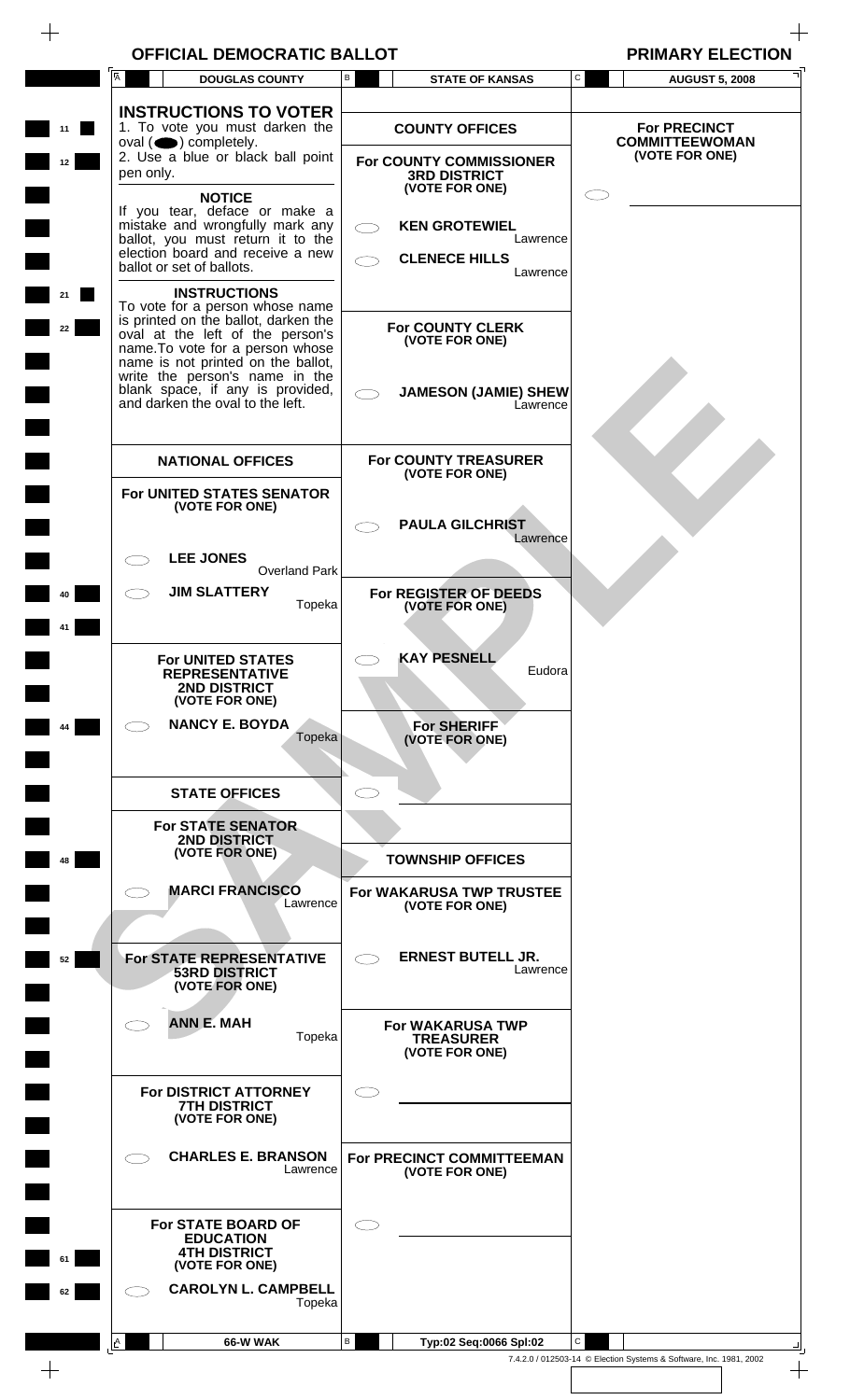# **OFFICIAL DEMOCRATIC BALLOT PRIMARY ELECTION**

 $\begin{array}{c} + \end{array}$ 

 $\frac{1}{\sqrt{2}}$ 

|    |           | <b>DOUGLAS COUNTY</b>                                                                                                                                                                |                                | B | <b>STATE OF KANSAS</b>                                           | C | <b>AUGUST 5, 2008</b>                        |
|----|-----------|--------------------------------------------------------------------------------------------------------------------------------------------------------------------------------------|--------------------------------|---|------------------------------------------------------------------|---|----------------------------------------------|
| 11 |           | <b>INSTRUCTIONS TO VOTER</b><br>1. To vote you must darken the<br>$oval(\n\bullet)$ completely.                                                                                      |                                |   | <b>COUNTY OFFICES</b>                                            |   | <b>For PRECINCT</b><br><b>COMMITTEEWOMAN</b> |
| 12 | pen only. | 2. Use a blue or black ball point<br><b>NOTICE</b>                                                                                                                                   |                                |   | For COUNTY COMMISSIONER<br><b>3RD DISTRICT</b><br>(VOTE FOR ONE) |   | (VOTE FOR ONE)                               |
|    |           | If you tear, deface or make a<br>mistake and wrongfully mark any<br>ballot, you must return it to the<br>election board and receive a new                                            |                                |   | <b>KEN GROTEWIEL</b><br>Lawrence<br><b>CLENECE HILLS</b>         |   |                                              |
| 21 |           | ballot or set of ballots.<br><b>INSTRUCTIONS</b><br>To vote for a person whose name                                                                                                  |                                |   | Lawrence                                                         |   |                                              |
| 22 |           | is printed on the ballot, darken the<br>oval at the left of the person's<br>name. To vote for a person whose<br>name is not printed on the ballot,<br>write the person's name in the |                                |   | <b>For COUNTY CLERK</b><br>(VOTE FOR ONE)                        |   |                                              |
|    |           | blank space, if any is provided,<br>and darken the oval to the left.                                                                                                                 |                                |   | <b>JAMESON (JAMIE) SHEW</b><br>Lawrence                          |   |                                              |
|    |           | <b>NATIONAL OFFICES</b><br>For UNITED STATES SENATOR                                                                                                                                 |                                |   | <b>For COUNTY TREASURER</b><br>(VOTE FOR ONE)                    |   |                                              |
|    |           | (VOTE FOR ONE)                                                                                                                                                                       |                                |   | <b>PAULA GILCHRIST</b><br>Lawrence                               |   |                                              |
| 40 |           | <b>LEE JONES</b><br><b>JIM SLATTERY</b>                                                                                                                                              | <b>Overland Park</b><br>Topeka |   | For REGISTER OF DEEDS<br>(VOTE FOR ONE)                          |   |                                              |
|    |           | <b>For UNITED STATES</b>                                                                                                                                                             |                                |   | <b>KAY PESNELL</b>                                               |   |                                              |
|    |           | <b>REPRESENTATIVE</b><br>2ND DISTRICT<br>(VOTE FOR ONE)                                                                                                                              |                                |   | Eudora                                                           |   |                                              |
| 44 |           | <b>NANCY E. BOYDA</b>                                                                                                                                                                | Topeka                         |   | <b>For SHERIFF</b><br>(VOTE FOR ONE)                             |   |                                              |
|    |           | <b>STATE OFFICES</b><br><b>For STATE SENATOR</b>                                                                                                                                     |                                |   |                                                                  |   |                                              |
| 48 |           | <b>2ND DISTRICT</b><br>(VOTE FOR ONE)<br><b>MARCI FRANCISCO</b>                                                                                                                      |                                |   | <b>TOWNSHIP OFFICES</b><br><b>For WAKARUSA TWP TRUSTEE</b>       |   |                                              |
|    |           |                                                                                                                                                                                      | Lawrence                       |   | (VOTE FOR ONE)                                                   |   |                                              |
| 52 |           | For STATE REPRESENTATIVE<br><b>53RD DISTRICT</b><br>(VOTE FOR ONE)                                                                                                                   |                                |   | <b>ERNEST BUTELL JR.</b><br>Lawrence                             |   |                                              |
|    |           | <b>ANN E. MAH</b>                                                                                                                                                                    | Topeka                         |   | For WAKARUSA TWP<br><b>TREASURER</b><br>(VOTE FOR ONE)           |   |                                              |
|    |           | For DISTRICT ATTORNEY<br><b>7TH DISTRICT</b><br>(VOTE FOR ONE)                                                                                                                       |                                |   |                                                                  |   |                                              |
|    |           | <b>CHARLES E. BRANSON</b>                                                                                                                                                            | Lawrence                       |   | For PRECINCT COMMITTEEMAN<br>(VOTE FOR ONE)                      |   |                                              |
| 61 |           | For STATE BOARD OF<br><b>EDUCATION</b><br><b>4TH DISTRICT</b><br>(VOTE FOR ONE)                                                                                                      |                                |   |                                                                  |   |                                              |
| 62 |           | <b>CAROLYN L. CAMPBELL</b>                                                                                                                                                           | Topeka                         |   |                                                                  |   |                                              |
|    |           |                                                                                                                                                                                      |                                |   |                                                                  |   |                                              |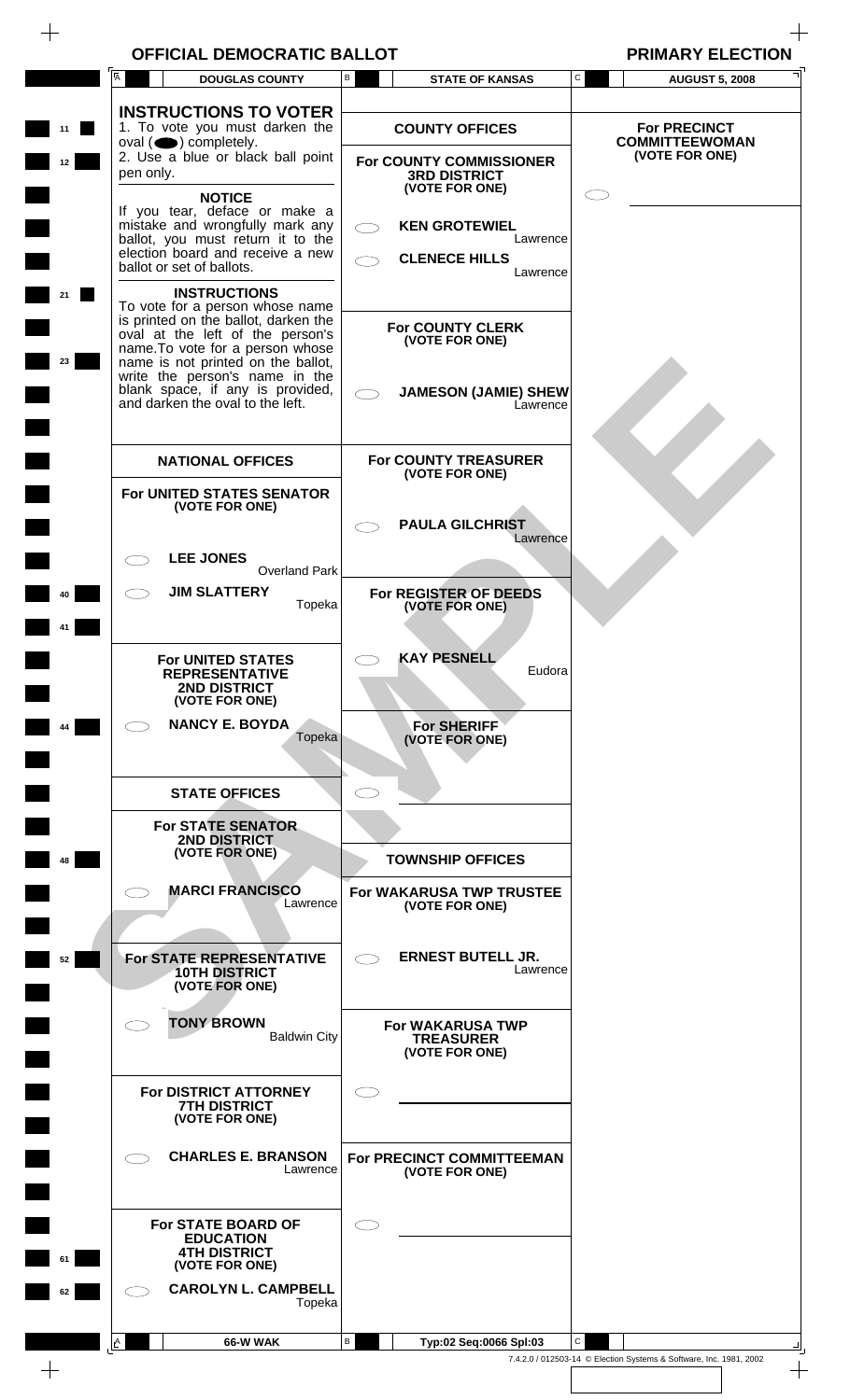# **OFFICIAL DEMOCRATIC BALLOT PRIMARY ELECTION**

 $\begin{array}{c} + \end{array}$ 

 $\frac{1}{\sqrt{2}}$ 

|    | Ā<br><b>DOUGLAS COUNTY</b>                                            | В | <b>STATE OF KANSAS</b>                            | C | <b>AUGUST 5, 2008</b>                   |
|----|-----------------------------------------------------------------------|---|---------------------------------------------------|---|-----------------------------------------|
|    | <b>INSTRUCTIONS TO VOTER</b>                                          |   |                                                   |   |                                         |
| 11 | 1. To vote you must darken the                                        |   | <b>COUNTY OFFICES</b>                             |   | <b>For PRECINCT</b>                     |
|    | $oval(\n\bullet)$ completely.                                         |   |                                                   |   | <b>COMMITTEEWOMAN</b><br>(VOTE FOR ONE) |
| 12 | 2. Use a blue or black ball point<br>pen only.                        |   | For COUNTY COMMISSIONER<br><b>3RD DISTRICT</b>    |   |                                         |
|    |                                                                       |   | (VOTE FOR ONE)                                    |   |                                         |
|    | <b>NOTICE</b><br>If you tear, deface or make a                        |   |                                                   |   |                                         |
|    | mistake and wrongfully mark any                                       |   | <b>KEN GROTEWIEL</b>                              |   |                                         |
|    | ballot, you must return it to the<br>election board and receive a new |   | Lawrence                                          |   |                                         |
|    | ballot or set of ballots.                                             |   | <b>CLENECE HILLS</b><br>Lawrence                  |   |                                         |
|    |                                                                       |   |                                                   |   |                                         |
| 21 | <b>INSTRUCTIONS</b><br>To vote for a person whose name                |   |                                                   |   |                                         |
|    | is printed on the ballot, darken the                                  |   | <b>For COUNTY CLERK</b>                           |   |                                         |
|    | oval at the left of the person's<br>name. To vote for a person whose  |   | (VOTE FOR ONE)                                    |   |                                         |
| 23 | name is not printed on the ballot,                                    |   |                                                   |   |                                         |
|    | write the person's name in the<br>blank space, if any is provided,    |   |                                                   |   |                                         |
|    | and darken the oval to the left.                                      |   | <b>JAMESON (JAMIE) SHEW</b><br>Lawrence           |   |                                         |
|    |                                                                       |   |                                                   |   |                                         |
|    |                                                                       |   |                                                   |   |                                         |
|    | <b>NATIONAL OFFICES</b>                                               |   | <b>For COUNTY TREASURER</b>                       |   |                                         |
|    |                                                                       |   | (VOTE FOR ONE)                                    |   |                                         |
|    | For UNITED STATES SENATOR<br>(VOTE FOR ONE)                           |   |                                                   |   |                                         |
|    |                                                                       |   | <b>PAULA GILCHRIST</b>                            |   |                                         |
|    |                                                                       |   | Lawrence                                          |   |                                         |
|    | <b>LEE JONES</b>                                                      |   |                                                   |   |                                         |
|    | <b>Overland Park</b>                                                  |   |                                                   |   |                                         |
| 40 | <b>JIM SLATTERY</b><br>Topeka                                         |   | For REGISTER OF DEEDS<br>(VOTE FOR ONE)           |   |                                         |
|    |                                                                       |   |                                                   |   |                                         |
| 41 |                                                                       |   |                                                   |   |                                         |
|    | <b>For UNITED STATES</b>                                              |   | <b>KAY PESNELL</b>                                |   |                                         |
|    | <b>REPRESENTATIVE</b>                                                 |   | Eudora                                            |   |                                         |
|    | 2ND DISTRICT<br>(VOTE FOR ONE)                                        |   |                                                   |   |                                         |
| 44 | <b>NANCY E. BOYDA</b>                                                 |   | <b>For SHERIFF</b>                                |   |                                         |
|    | Topeka                                                                |   | (VOTE FOR ONE)                                    |   |                                         |
|    |                                                                       |   |                                                   |   |                                         |
|    |                                                                       |   |                                                   |   |                                         |
|    | <b>STATE OFFICES</b>                                                  |   |                                                   |   |                                         |
|    | <b>For STATE SENATOR</b>                                              |   |                                                   |   |                                         |
|    | <b>2ND DISTRICT</b>                                                   |   |                                                   |   |                                         |
| 48 | (VOTE FOR ONE)                                                        |   | <b>TOWNSHIP OFFICES</b>                           |   |                                         |
|    |                                                                       |   |                                                   |   |                                         |
|    | <b>MARCI FRANCISCO</b><br>Lawrence                                    |   | <b>For WAKARUSA TWP TRUSTEE</b><br>(VOTE FOR ONE) |   |                                         |
|    |                                                                       |   |                                                   |   |                                         |
|    |                                                                       |   |                                                   |   |                                         |
| 52 | For STATE REPRESENTATIVE                                              |   | <b>ERNEST BUTELL JR.</b>                          |   |                                         |
|    | <b>10TH DISTRICT</b><br>(VOTE FOR ONE)                                |   | Lawrence                                          |   |                                         |
|    |                                                                       |   |                                                   |   |                                         |
|    | <b>TONY BROWN</b>                                                     |   | For WAKARUSA TWP                                  |   |                                         |
|    | <b>Baldwin City</b>                                                   |   | <b>TREASURER</b>                                  |   |                                         |
|    |                                                                       |   | (VOTE FOR ONE)                                    |   |                                         |
|    | For DISTRICT ATTORNEY                                                 |   |                                                   |   |                                         |
|    | <b>7TH DISTRICT</b>                                                   |   |                                                   |   |                                         |
|    | (VOTE FOR ONE)                                                        |   |                                                   |   |                                         |
|    |                                                                       |   |                                                   |   |                                         |
|    | <b>CHARLES E. BRANSON</b><br>Lawrence                                 |   | For PRECINCT COMMITTEEMAN<br>(VOTE FOR ONE)       |   |                                         |
|    |                                                                       |   |                                                   |   |                                         |
|    |                                                                       |   |                                                   |   |                                         |
|    | For STATE BOARD OF                                                    |   |                                                   |   |                                         |
|    | <b>EDUCATION</b><br><b>4TH DISTRICT</b>                               |   |                                                   |   |                                         |
|    | (VOTE FOR ONE)                                                        |   |                                                   |   |                                         |
| 61 |                                                                       |   |                                                   |   |                                         |
|    |                                                                       |   |                                                   |   |                                         |
| 62 | <b>CAROLYN L. CAMPBELL</b><br>Topeka                                  |   |                                                   |   |                                         |
|    |                                                                       |   |                                                   |   |                                         |
|    | 66-W WAK                                                              | В | Typ:02 Seq:0066 Spl:03                            | C |                                         |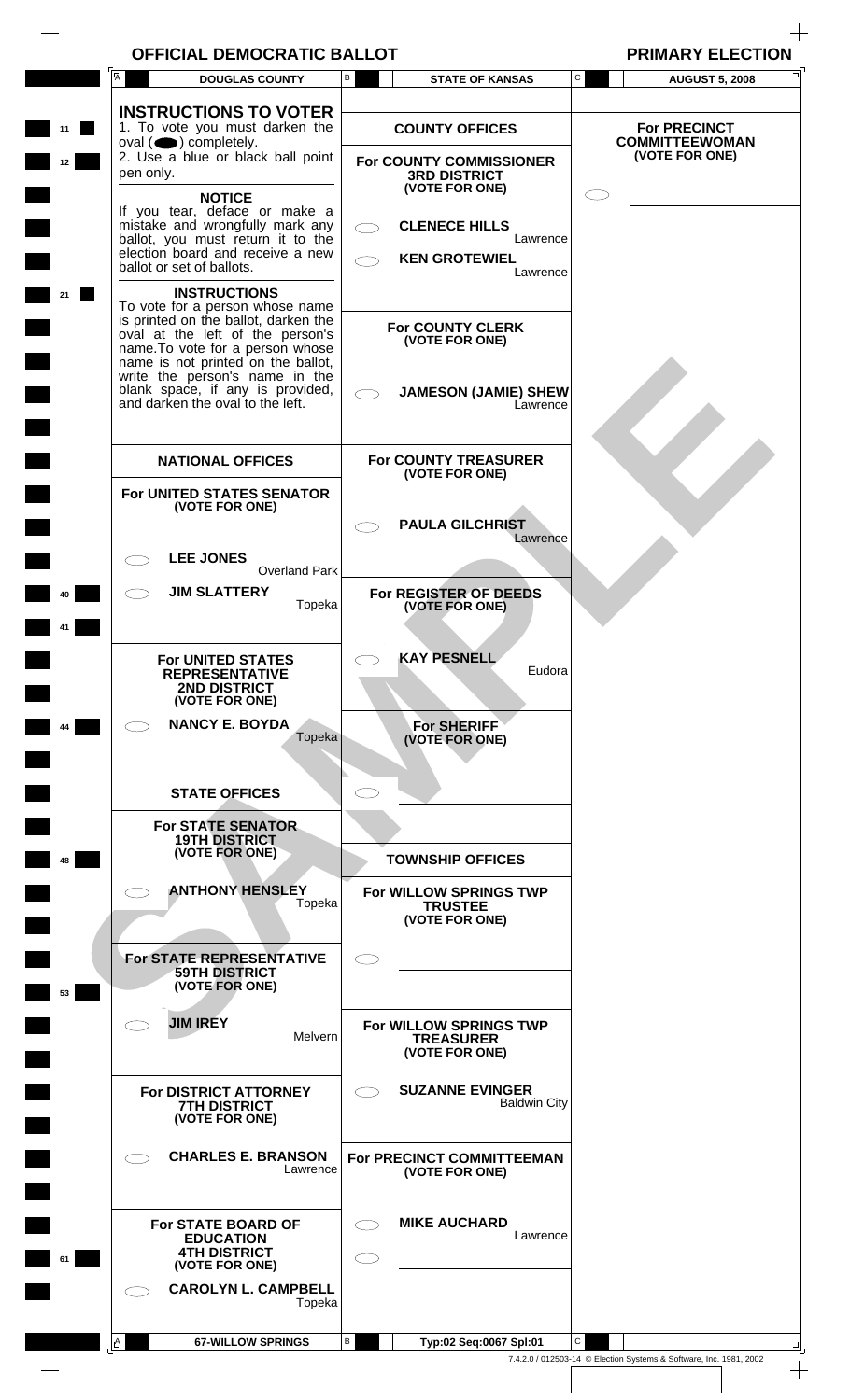# **OFFICIAL DEMOCRATIC BALLOT PRIMARY ELECTION**

 $\frac{1}{\sqrt{2}}$ 

|                             | <b>DOUGLAS COUNTY</b><br>Ά                                                                                                                                                                                                                                                                                                                                            | В<br><b>STATE OF KANSAS</b>                                                                                                                                       | $\mathsf{C}$<br><b>AUGUST 5, 2008</b>                              |
|-----------------------------|-----------------------------------------------------------------------------------------------------------------------------------------------------------------------------------------------------------------------------------------------------------------------------------------------------------------------------------------------------------------------|-------------------------------------------------------------------------------------------------------------------------------------------------------------------|--------------------------------------------------------------------|
| 11<br>12 <sub>2</sub><br>21 | <b>INSTRUCTIONS TO VOTER</b><br>1. To vote you must darken the<br>oval $($ $\bullet)$ completely.<br>2. Use a blue or black ball point<br>pen only.<br><b>NOTICE</b><br>If you tear, deface or make a<br>mistake and wrongfully mark any<br>ballot, you must return it to the<br>election board and receive a new<br>ballot or set of ballots.<br><b>INSTRUCTIONS</b> | <b>COUNTY OFFICES</b><br>For COUNTY COMMISSIONER<br><b>3RD DISTRICT</b><br>(VOTE FOR ONE)<br><b>CLENECE HILLS</b><br>Lawrence<br><b>KEN GROTEWIEL</b><br>Lawrence | <b>For PRECINCT</b><br><b>COMMITTEEWOMAN</b><br>(VOTE FOR ONE)     |
|                             | To vote for a person whose name<br>is printed on the ballot, darken the<br>oval at the left of the person's<br>name. To vote for a person whose<br>name is not printed on the ballot,<br>write the person's name in the<br>blank space, if any is provided,<br>and darken the oval to the left.                                                                       | <b>For COUNTY CLERK</b><br>(VOTE FOR ONE)<br><b>JAMESON (JAMIE) SHEW</b><br>Lawrence                                                                              |                                                                    |
|                             | <b>NATIONAL OFFICES</b>                                                                                                                                                                                                                                                                                                                                               | <b>For COUNTY TREASURER</b><br>(VOTE FOR ONE)                                                                                                                     |                                                                    |
|                             | For UNITED STATES SENATOR<br>(VOTE FOR ONE)                                                                                                                                                                                                                                                                                                                           | <b>PAULA GILCHRIST</b><br>Lawrence                                                                                                                                |                                                                    |
|                             | <b>LEE JONES</b><br><b>Overland Park</b>                                                                                                                                                                                                                                                                                                                              |                                                                                                                                                                   |                                                                    |
| 41                          | <b>JIM SLATTERY</b><br>Topeka                                                                                                                                                                                                                                                                                                                                         | For REGISTER OF DEEDS<br>(VOTE FOR ONE)                                                                                                                           |                                                                    |
|                             | <b>For UNITED STATES</b><br><b>REPRESENTATIVE</b><br>2ND DISTRICT<br>(VOTE FOR ONE)                                                                                                                                                                                                                                                                                   | <b>KAY PESNELL</b><br>Eudora                                                                                                                                      |                                                                    |
|                             | <b>NANCY E. BOYDA</b><br>Topeka                                                                                                                                                                                                                                                                                                                                       | <b>For SHERIFF</b><br>(VOTE FOR ONE)                                                                                                                              |                                                                    |
|                             | <b>STATE OFFICES</b>                                                                                                                                                                                                                                                                                                                                                  |                                                                                                                                                                   |                                                                    |
| 48                          | <b>For STATE SENATOR</b><br><b>19TH DISTRICT</b><br>(VOTE FOR ONE)                                                                                                                                                                                                                                                                                                    | <b>TOWNSHIP OFFICES</b>                                                                                                                                           |                                                                    |
|                             | <b>ANTHONY HENSLEY</b><br>Topeka                                                                                                                                                                                                                                                                                                                                      | For WILLOW SPRINGS TWP<br><b>TRUSTEE</b><br>(VOTE FOR ONE)                                                                                                        |                                                                    |
| 53                          | For STATE REPRESENTATIVE<br><b>59TH DISTRICT</b><br>(VOTE FOR ONE)                                                                                                                                                                                                                                                                                                    |                                                                                                                                                                   |                                                                    |
|                             | <b>JIM IREY</b><br>Melvern                                                                                                                                                                                                                                                                                                                                            | For WILLOW SPRINGS TWP<br><b>TREASURER</b><br>(VOTE FOR ONE)                                                                                                      |                                                                    |
|                             | For DISTRICT ATTORNEY<br><b>7TH DISTRICT</b><br>(VOTE FOR ONE)                                                                                                                                                                                                                                                                                                        | <b>SUZANNE EVINGER</b><br><b>Baldwin City</b>                                                                                                                     |                                                                    |
|                             | <b>CHARLES E. BRANSON</b><br>Lawrence                                                                                                                                                                                                                                                                                                                                 | For PRECINCT COMMITTEEMAN<br>(VOTE FOR ONE)                                                                                                                       |                                                                    |
| 61                          | For STATE BOARD OF<br><b>EDUCATION</b><br><b>4TH DISTRICT</b><br>(VOTE FOR ONE)                                                                                                                                                                                                                                                                                       | <b>MIKE AUCHARD</b><br>Lawrence                                                                                                                                   |                                                                    |
|                             | <b>CAROLYN L. CAMPBELL</b><br>Topeka                                                                                                                                                                                                                                                                                                                                  |                                                                                                                                                                   |                                                                    |
|                             | <b>67-WILLOW SPRINGS</b><br>$\mathbf{A}$                                                                                                                                                                                                                                                                                                                              | В<br>Typ:02 Seq:0067 Spl:01                                                                                                                                       | C                                                                  |
|                             |                                                                                                                                                                                                                                                                                                                                                                       |                                                                                                                                                                   | 7.4.2.0 / 012503-14 © Election Systems & Software, Inc. 1981, 2002 |

 $\frac{1}{\sqrt{2}}$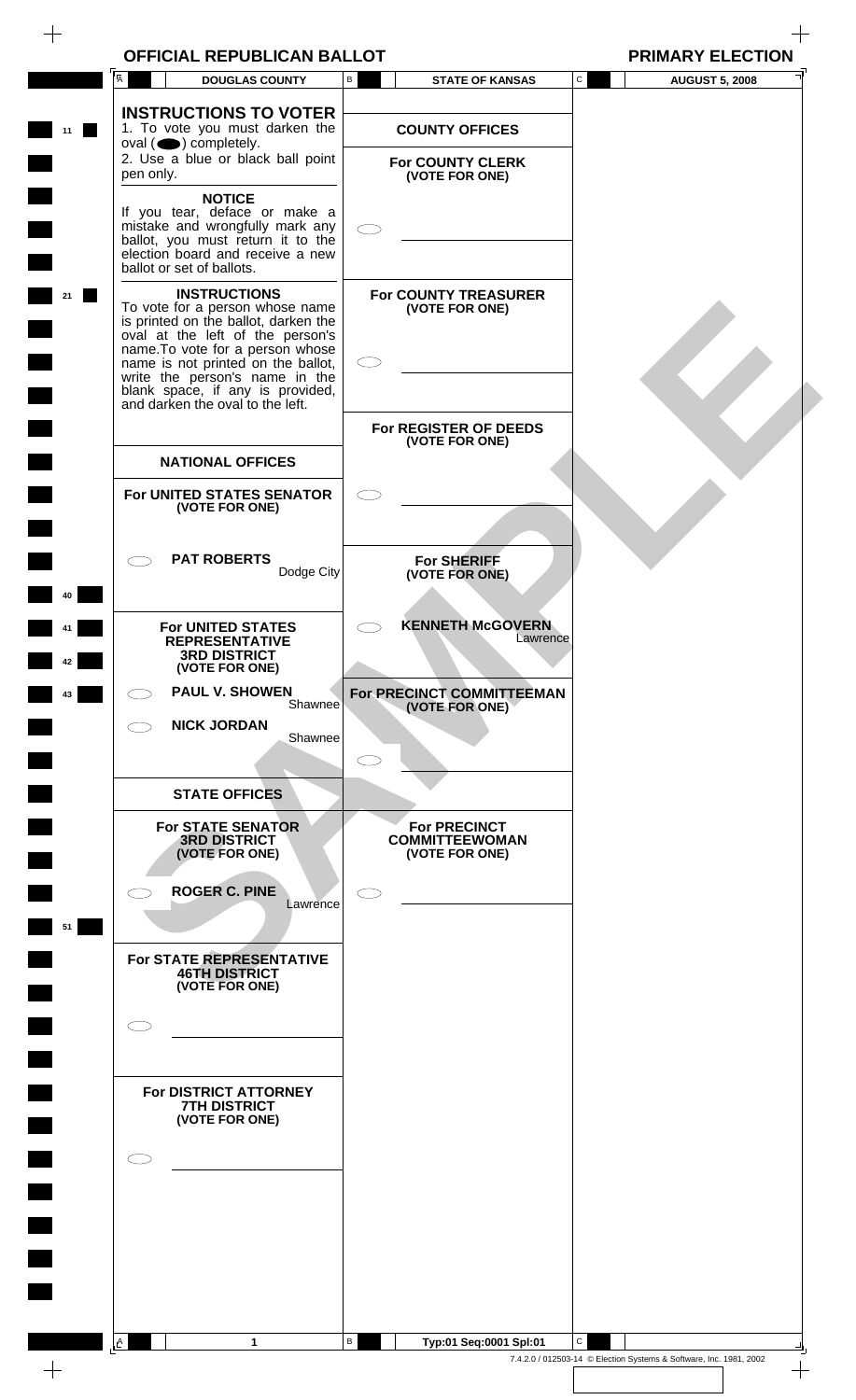**11** 

A

**21**

**Tari** 

Π

 $\blacksquare$ 

 $\blacksquare$ 

 $\blacksquare$ 

**40**

**41** 

**42**

 $\blacksquare$ 

 $\overline{\phantom{0}}$ 

 $\blacksquare$ 

٦

 $\blacksquare$ 

 $\qquad \qquad +$ 

**43**

**51**

A

 $\bigcirc$ 

| <b>OFFICIAL REPUBLICAN BALLOT</b>                                                                                                                                                                                                              |                                                                | <b>PRIMARY ELECTION</b>            |
|------------------------------------------------------------------------------------------------------------------------------------------------------------------------------------------------------------------------------------------------|----------------------------------------------------------------|------------------------------------|
| <b>DOUGLAS COUNTY</b>                                                                                                                                                                                                                          | В<br><b>STATE OF KANSAS</b>                                    | ${\bf C}$<br><b>AUGUST 5, 2008</b> |
| <b>INSTRUCTIONS TO VOTER</b><br>1. To vote you must darken the<br>oval $($ $\bullet)$ completely.                                                                                                                                              | <b>COUNTY OFFICES</b>                                          |                                    |
| 2. Use a blue or black ball point<br>pen only.                                                                                                                                                                                                 | <b>For COUNTY CLERK</b><br>(VOTE FOR ONE)                      |                                    |
| <b>NOTICE</b><br>If you tear, deface or make a<br>mistake and wrongfully mark any<br>ballot, you must return it to the<br>election board and receive a new<br>ballot or set of ballots.                                                        |                                                                |                                    |
| <b>INSTRUCTIONS</b><br>To vote for a person whose name<br>is printed on the ballot, darken the<br>oval at the left of the person's<br>name. To vote for a person whose<br>name is not printed on the ballot,<br>write the person's name in the | <b>For COUNTY TREASURER</b><br>(VOTE FOR ONE)                  |                                    |
| blank space, if any is provided,<br>and darken the oval to the left.                                                                                                                                                                           | For REGISTER OF DEEDS                                          |                                    |
| <b>NATIONAL OFFICES</b>                                                                                                                                                                                                                        | (VOTE FOR ONE)                                                 |                                    |
| For UNITED STATES SENATOR<br>(VOTE FOR ONE)                                                                                                                                                                                                    |                                                                |                                    |
| <b>PAT ROBERTS</b><br>Dodge City                                                                                                                                                                                                               | <b>For SHERIFF</b><br>(VOTE FOR ONE)                           |                                    |
| <b>For UNITED STATES</b><br><b>REPRESENTATIVE</b><br><b>3RD DISTRICT</b><br>(VOTE FOR ONE)                                                                                                                                                     | <b>KENNETH McGOVERN</b><br>Lawrence                            |                                    |
| <b>PAUL V. SHOWEN</b><br>Shawnee                                                                                                                                                                                                               | For PRECINCT COMMITTEEMAN<br>(VOTE FOR ONE)                    |                                    |
| <b>NICK JORDAN</b><br>Shawnee                                                                                                                                                                                                                  |                                                                |                                    |
| <b>STATE OFFICES</b>                                                                                                                                                                                                                           |                                                                |                                    |
| <b>For STATE SENATOR</b><br><b>3RD DISTRICT</b><br>(VOTE FOR ONE)                                                                                                                                                                              | <b>For PRECINCT</b><br><b>COMMITTEEWOMAN</b><br>(VOTE FOR ONE) |                                    |
| <b>ROGER C. PINE</b><br>Lawrence                                                                                                                                                                                                               |                                                                |                                    |
| For STATE REPRESENTATIVE<br><b>46TH DISTRICT</b><br>(VOTE FOR ONE)                                                                                                                                                                             |                                                                |                                    |

# **STATE OFFICES**

| <b>For STATE SENATOR</b> |
|--------------------------|
| <b>3RD DISTRICT</b>      |
| (VOTE FOR ONE)           |
|                          |

**For DISTRICT ATTORNEY 7TH DISTRICT (VOTE FOR ONE)**

# $\bigcirc$

B

**1 Typ:01 Seq:0001 Spl:01** C 7.4.2.0 / 012503-14 © Election Systems & Software, Inc. 1981, 2002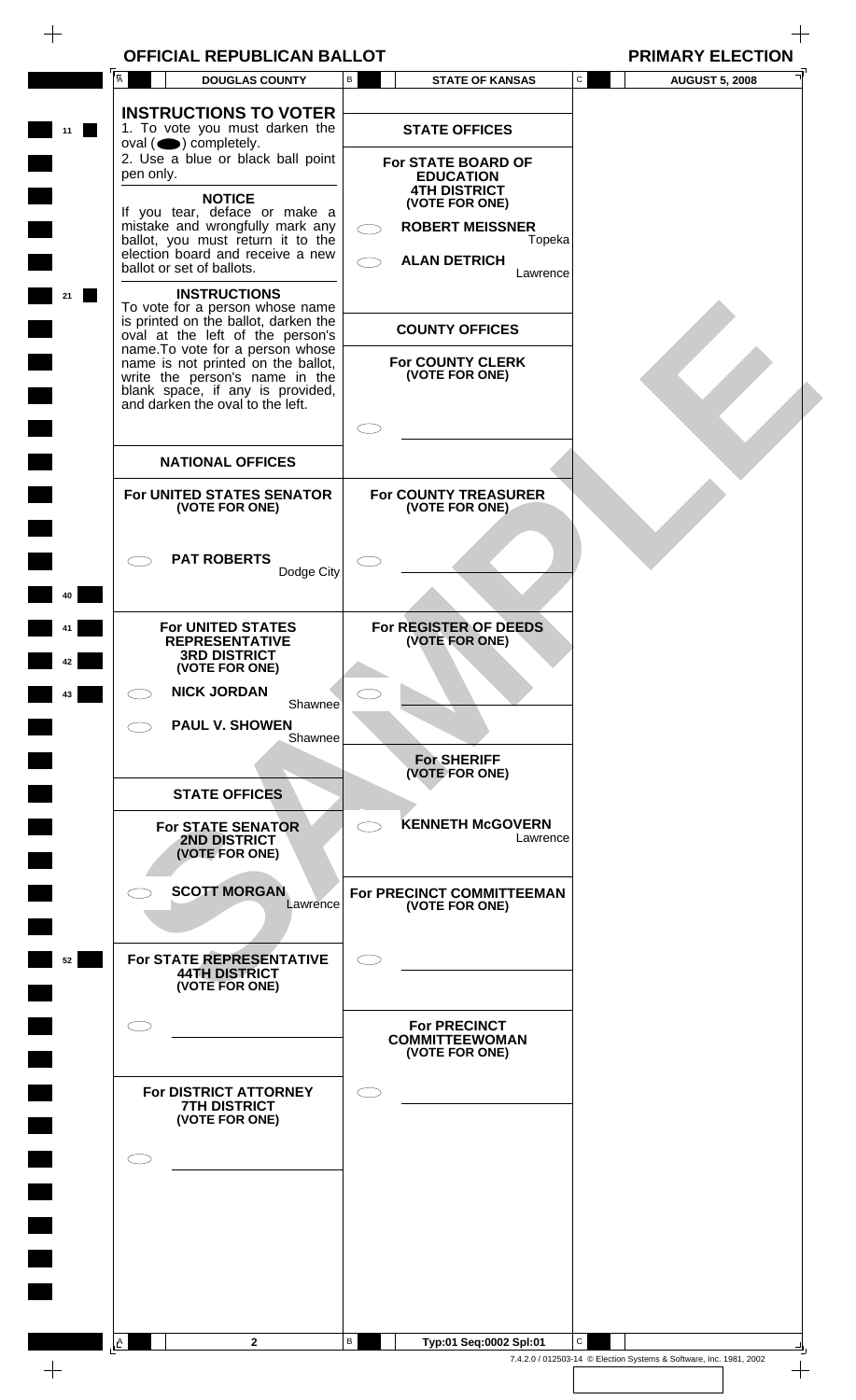|  | <b>OFFICIAL REPUBLICAN BALLOT</b> | <b>PRIMARY ELECTION</b> |
|--|-----------------------------------|-------------------------|
|--|-----------------------------------|-------------------------|

| <b>PRIMARY ELE</b> |
|--------------------|
|--------------------|

|    | Ā         | <b>DOUGLAS COUNTY</b>                                                                                                                                                            | В | <b>STATE OF KANSAS</b>                                         | C            | <b>AUGUST 5, 2008</b> |
|----|-----------|----------------------------------------------------------------------------------------------------------------------------------------------------------------------------------|---|----------------------------------------------------------------|--------------|-----------------------|
| 11 |           | <b>INSTRUCTIONS TO VOTER</b><br>1. To vote you must darken the<br>$oval \textcircled{\bullet}$ ) completely.                                                                     |   | <b>STATE OFFICES</b>                                           |              |                       |
|    | pen only. | 2. Use a blue or black ball point                                                                                                                                                |   | For STATE BOARD OF<br><b>EDUCATION</b><br><b>4TH DISTRICT</b>  |              |                       |
|    |           | <b>NOTICE</b><br>If you tear, deface or make a<br>mistake and wrongfully mark any<br>ballot, you must return it to the                                                           |   | (VOTE FOR ONE)<br><b>ROBERT MEISSNER</b><br>Topeka             |              |                       |
|    |           | election board and receive a new<br>ballot or set of ballots.                                                                                                                    |   | <b>ALAN DETRICH</b><br>Lawrence                                |              |                       |
| 21 |           | <b>INSTRUCTIONS</b><br>To vote for a person whose name<br>is printed on the ballot, darken the<br>oval at the left of the person's                                               |   | <b>COUNTY OFFICES</b>                                          |              |                       |
|    |           | name. To vote for a person whose<br>name is not printed on the ballot,<br>write the person's name in the<br>blank space, if any is provided,<br>and darken the oval to the left. |   | <b>For COUNTY CLERK</b><br>(VOTE FOR ONE)                      |              |                       |
|    |           |                                                                                                                                                                                  |   |                                                                |              |                       |
|    |           | <b>NATIONAL OFFICES</b>                                                                                                                                                          |   |                                                                |              |                       |
|    |           | For UNITED STATES SENATOR<br>(VOTE FOR ONE)                                                                                                                                      |   | For COUNTY TREASURER<br>(VOTE FOR ONE)                         |              |                       |
| 10 |           | <b>PAT ROBERTS</b><br>Dodge City                                                                                                                                                 |   |                                                                |              |                       |
|    |           | <b>For UNITED STATES</b>                                                                                                                                                         |   | For REGISTER OF DEEDS                                          |              |                       |
|    |           | <b>REPRESENTATIVE</b><br><b>3RD DISTRICT</b><br>(VOTE FOR ONE)                                                                                                                   |   | (VOTE FOR ONE)                                                 |              |                       |
| 43 |           | <b>NICK JORDAN</b><br>Shawnee                                                                                                                                                    |   |                                                                |              |                       |
|    |           | <b>PAUL V. SHOWEN</b><br>Shawnee                                                                                                                                                 |   |                                                                |              |                       |
|    |           |                                                                                                                                                                                  |   | <b>For SHERIFF</b><br>(VOTE FOR ONE)                           |              |                       |
|    |           | <b>STATE OFFICES</b><br><b>For STATE SENATOR</b>                                                                                                                                 |   | <b>KENNETH McGOVERN</b>                                        |              |                       |
|    |           | 2ND DISTRICT<br>(VOTE FOR ONE)                                                                                                                                                   |   | Lawrence                                                       |              |                       |
|    |           | <b>SCOTT MORGAN</b><br>Lawrence                                                                                                                                                  |   | For PRECINCT COMMITTEEMAN<br>(VOTE FOR ONE)                    |              |                       |
| 52 |           | For STATE REPRESENTATIVE<br><b>44TH DISTRICT</b><br>(VOTE FOR ONE)                                                                                                               |   |                                                                |              |                       |
|    |           |                                                                                                                                                                                  |   | <b>For PRECINCT</b><br><b>COMMITTEEWOMAN</b><br>(VOTE FOR ONE) |              |                       |
|    |           | For DISTRICT ATTORNEY<br><b>7TH DISTRICT</b><br>(VOTE FOR ONE)                                                                                                                   |   |                                                                |              |                       |
|    |           |                                                                                                                                                                                  |   |                                                                |              |                       |
|    |           |                                                                                                                                                                                  |   |                                                                |              |                       |
|    |           |                                                                                                                                                                                  |   |                                                                |              |                       |
|    |           |                                                                                                                                                                                  |   |                                                                |              |                       |
|    |           |                                                                                                                                                                                  |   |                                                                |              |                       |
|    | A         | $\mathbf{2}$                                                                                                                                                                     | В | Typ:01 Seq:0002 Spl:01                                         | $\mathsf{C}$ |                       |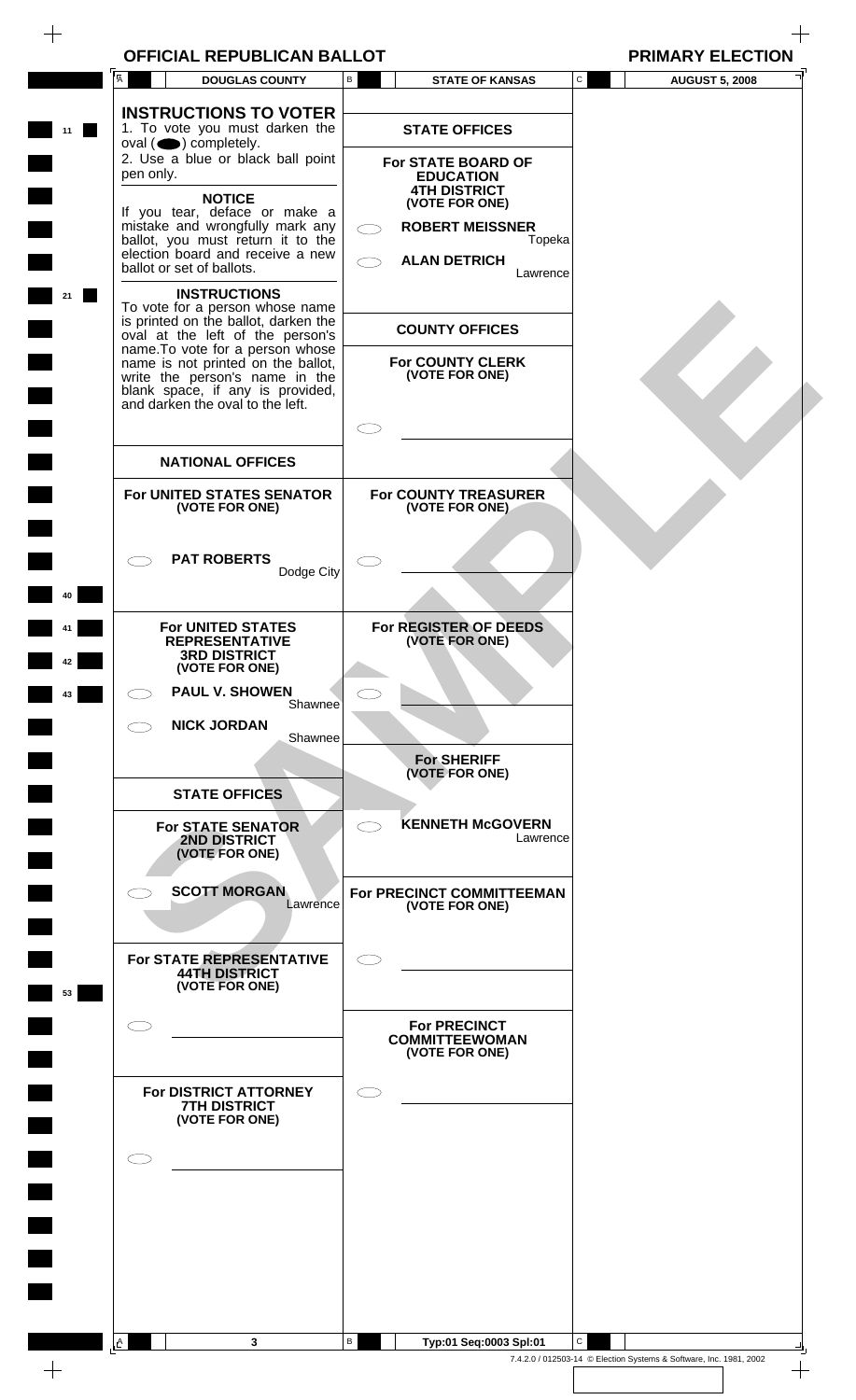| <b>OFFICIAL REPUBLICAN BALLOT</b> | <b>PRIMARY ELECTION</b> |
|-----------------------------------|-------------------------|
|                                   |                         |

 $\begin{array}{c} \begin{array}{c} \begin{array}{c} \end{array} \\ \begin{array}{c} \end{array} \end{array} \end{array}$ 

|  |  | <b>PRIMARY EL</b>      |  |
|--|--|------------------------|--|
|  |  | AIOCIICTE <sub>0</sub> |  |

|    | Ā<br><b>DOUGLAS COUNTY</b>                                                                                                                                                       | В  | <b>STATE OF KANSAS</b>                                         | ${\tt C}$    | <b>AUGUST 5, 2008</b> |  |
|----|----------------------------------------------------------------------------------------------------------------------------------------------------------------------------------|----|----------------------------------------------------------------|--------------|-----------------------|--|
| 11 | <b>INSTRUCTIONS TO VOTER</b><br>1. To vote you must darken the<br>$oval(\n\bullet)$ completely.                                                                                  |    | <b>STATE OFFICES</b>                                           |              |                       |  |
|    | 2. Use a blue or black ball point<br>pen only.                                                                                                                                   |    | For STATE BOARD OF<br><b>EDUCATION</b><br><b>4TH DISTRICT</b>  |              |                       |  |
|    | <b>NOTICE</b><br>If you tear, deface or make a<br>mistake and wrongfully mark any                                                                                                |    | (VOTE FOR ONE)<br><b>ROBERT MEISSNER</b>                       |              |                       |  |
|    | ballot, you must return it to the<br>election board and receive a new<br>ballot or set of ballots.                                                                               |    | Topeka<br><b>ALAN DETRICH</b><br>Lawrence                      |              |                       |  |
| 21 | <b>INSTRUCTIONS</b><br>To vote for a person whose name<br>is printed on the ballot, darken the<br>oval at the left of the person's                                               |    | <b>COUNTY OFFICES</b>                                          |              |                       |  |
|    | name. To vote for a person whose<br>name is not printed on the ballot,<br>write the person's name in the<br>blank space, if any is provided,<br>and darken the oval to the left. |    | <b>For COUNTY CLERK</b><br>(VOTE FOR ONE)                      |              |                       |  |
|    |                                                                                                                                                                                  |    |                                                                |              |                       |  |
|    | <b>NATIONAL OFFICES</b>                                                                                                                                                          |    |                                                                |              |                       |  |
|    | For UNITED STATES SENATOR<br>(VOTE FOR ONE)                                                                                                                                      |    | <b>For COUNTY TREASURER</b><br>(VOTE FOR ONE)                  |              |                       |  |
| 40 | <b>PAT ROBERTS</b><br>Dodge City                                                                                                                                                 |    |                                                                |              |                       |  |
|    | For UNITED STATES                                                                                                                                                                |    | For REGISTER OF DEEDS                                          |              |                       |  |
|    | <b>REPRESENTATIVE</b><br><b>3RD DISTRICT</b><br>(VOTE FOR ONE)                                                                                                                   |    | (VOTE FOR ONE)                                                 |              |                       |  |
| 43 | <b>PAUL V. SHOWEN</b><br>Shawnee                                                                                                                                                 |    |                                                                |              |                       |  |
|    | <b>NICK JORDAN</b><br>Shawnee                                                                                                                                                    |    |                                                                |              |                       |  |
|    |                                                                                                                                                                                  |    | <b>For SHERIFF</b><br>(VOTE FOR ONE)                           |              |                       |  |
|    | <b>STATE OFFICES</b>                                                                                                                                                             |    |                                                                |              |                       |  |
|    | <b>For STATE SENATOR</b><br>2ND DISTRICT<br>(VOTE FOR ONE)                                                                                                                       | CΞ | <b>KENNETH McGOVERN</b><br>Lawrence                            |              |                       |  |
|    | <b>SCOTT MORGAN</b><br>Lawrence                                                                                                                                                  |    | For PRECINCT COMMITTEEMAN<br>(VOTE FOR ONE)                    |              |                       |  |
| 53 | For STATE REPRESENTATIVE<br><b>44TH DISTRICT</b><br>(VOTE FOR ONE)                                                                                                               |    |                                                                |              |                       |  |
|    |                                                                                                                                                                                  |    | <b>For PRECINCT</b><br><b>COMMITTEEWOMAN</b><br>(VOTE FOR ONE) |              |                       |  |
|    | For DISTRICT ATTORNEY<br><b>7TH DISTRICT</b><br>(VOTE FOR ONE)                                                                                                                   |    |                                                                |              |                       |  |
|    |                                                                                                                                                                                  |    |                                                                |              |                       |  |
|    |                                                                                                                                                                                  |    |                                                                |              |                       |  |
|    |                                                                                                                                                                                  |    |                                                                |              |                       |  |
|    |                                                                                                                                                                                  |    |                                                                |              |                       |  |
|    |                                                                                                                                                                                  |    |                                                                |              |                       |  |
|    |                                                                                                                                                                                  |    |                                                                |              |                       |  |
|    | 3<br>$\mathsf{A}$                                                                                                                                                                | В  | Typ:01 Seq:0003 Spl:01                                         | $\mathsf{C}$ |                       |  |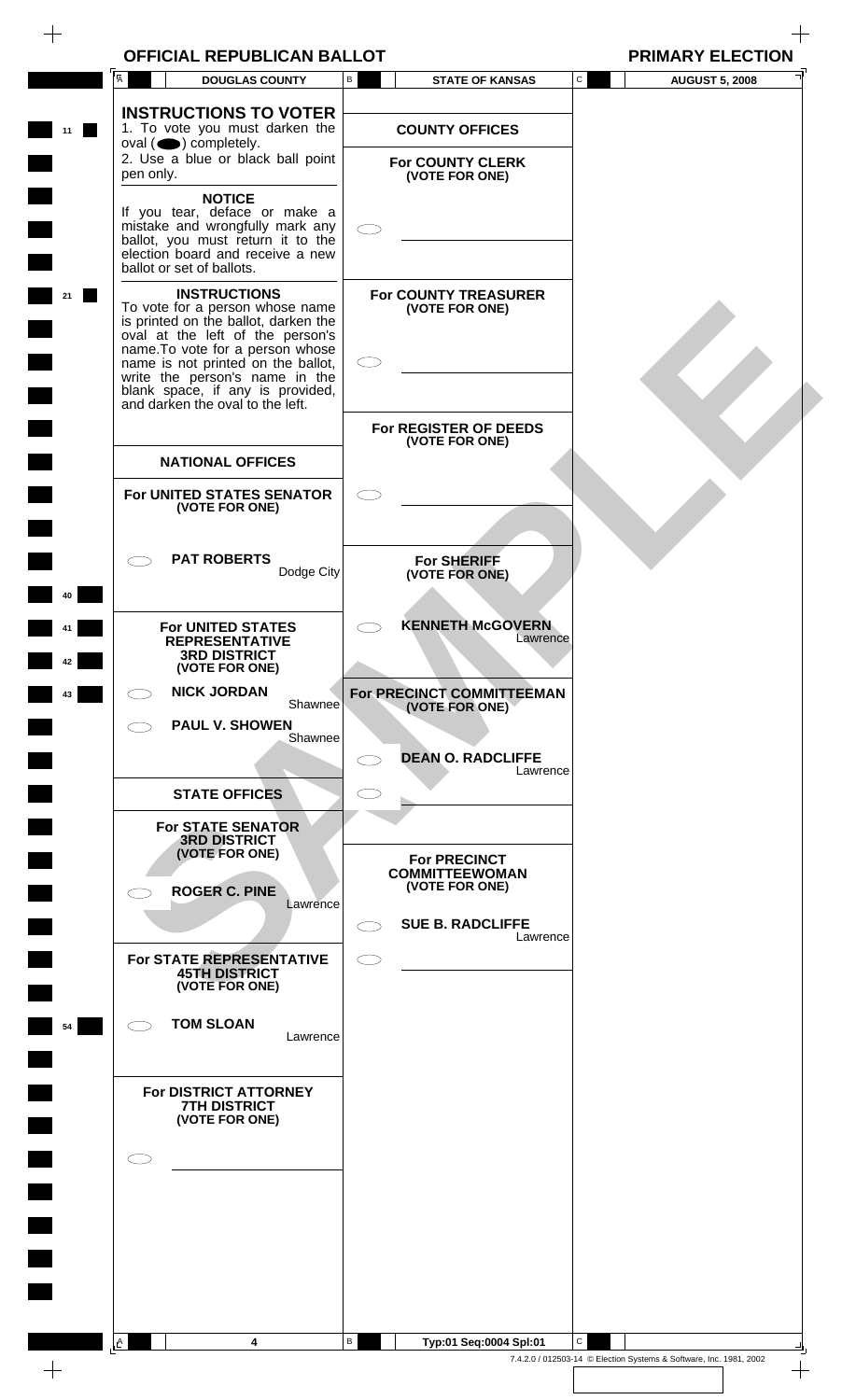# **OFFICIAL REPUBLICAN BALLOT PRIMARY ELECTION**

A

**11**

 $\! + \!\!$ 

**21** 

**40**

**41**

**42**

**43**

**54**

 $+$ 

 $\bigcirc$ 

 $\subset$ 

A

| וב וזכו טטבוטמוז טמבנ<br><b>DOUGLAS COUNTY</b>                                                                                                                                                                                                                                                                         | В<br><b>STATE OF KANSAS</b>                                        | INIMANI LLLVIIVI<br>$\mathsf{C}$<br><b>AUGUST 5, 2008</b> |
|------------------------------------------------------------------------------------------------------------------------------------------------------------------------------------------------------------------------------------------------------------------------------------------------------------------------|--------------------------------------------------------------------|-----------------------------------------------------------|
| <b>INSTRUCTIONS TO VOTER</b><br>1. To vote you must darken the<br>$oval(\n\bullet)$ completely.<br>2. Use a blue or black ball point<br>pen only.                                                                                                                                                                      | <b>COUNTY OFFICES</b><br><b>For COUNTY CLERK</b><br>(VOTE FOR ONE) |                                                           |
| <b>NOTICE</b><br>If you tear, deface or make a<br>mistake and wrongfully mark any<br>ballot, you must return it to the<br>election board and receive a new<br>ballot or set of ballots.                                                                                                                                |                                                                    |                                                           |
| <b>INSTRUCTIONS</b><br>To vote for a person whose name<br>is printed on the ballot, darken the<br>oval at the left of the person's<br>name. To vote for a person whose<br>name is not printed on the ballot,<br>write the person's name in the<br>blank space, if any is provided,<br>and darken the oval to the left. | <b>For COUNTY TREASURER</b><br>(VOTE FOR ONE)                      |                                                           |
|                                                                                                                                                                                                                                                                                                                        | For REGISTER OF DEEDS<br>(VOTE FOR ONE)                            |                                                           |
| <b>NATIONAL OFFICES</b>                                                                                                                                                                                                                                                                                                |                                                                    |                                                           |
| For UNITED STATES SENATOR<br>(VOTE FOR ONE)                                                                                                                                                                                                                                                                            |                                                                    |                                                           |
| <b>PAT ROBERTS</b><br>Dodge City                                                                                                                                                                                                                                                                                       | <b>For SHERIFF</b><br>(VOTE FOR ONE)                               |                                                           |
| <b>For UNITED STATES</b><br><b>REPRESENTATIVE</b><br><b>3RD DISTRICT</b><br>(VOTE FOR ONE)                                                                                                                                                                                                                             | <b>KENNETH McGOVERN</b><br>Lawrence                                |                                                           |
| <b>NICK JORDAN</b><br>Shawnee                                                                                                                                                                                                                                                                                          | For PRECINCT COMMITTEEMAN<br>(VOTE FOR ONE)                        |                                                           |
| <b>PAUL V. SHOWEN</b><br>Shawnee                                                                                                                                                                                                                                                                                       |                                                                    |                                                           |
|                                                                                                                                                                                                                                                                                                                        | <b>DEAN O. RADCLIFFE</b><br>Lawrence                               |                                                           |
| <b>STATE OFFICES</b>                                                                                                                                                                                                                                                                                                   |                                                                    |                                                           |
| <b>For STATE SENATOR</b><br><b>3RD DISTRICT</b><br>(VOTE FOR ONE)<br><b>ROGER C. PINE</b><br>Lawrence                                                                                                                                                                                                                  | <b>For PRECINCT</b><br><b>COMMITTEEWOMAN</b><br>(VOTE FOR ONE)     |                                                           |
|                                                                                                                                                                                                                                                                                                                        | <b>SUE B. RADCLIFFE</b><br>Lawrence                                |                                                           |
| For STATE REPRESENTATIVE<br><b>45TH DISTRICT</b><br>(VOTE FOR ONE)                                                                                                                                                                                                                                                     |                                                                    |                                                           |

### **For UNITED STATES REPRESENTATIVE 3RD DISTRICT (VOTE FOR ONE)**

# **STATE OFFICES**

> **TOM SLOAN** Lawrence

### **For DISTRICT ATTORNEY 7TH DISTRICT (VOTE FOR ONE)**

B

**4 Typ:01 Seq:0004 Spl:01** C  $\blacksquare$ 

7.4.2.0 / 012503-14 © Election Systems & Software, Inc. 1981, 2002

 $+$ 

 $\hspace{0.1mm} +$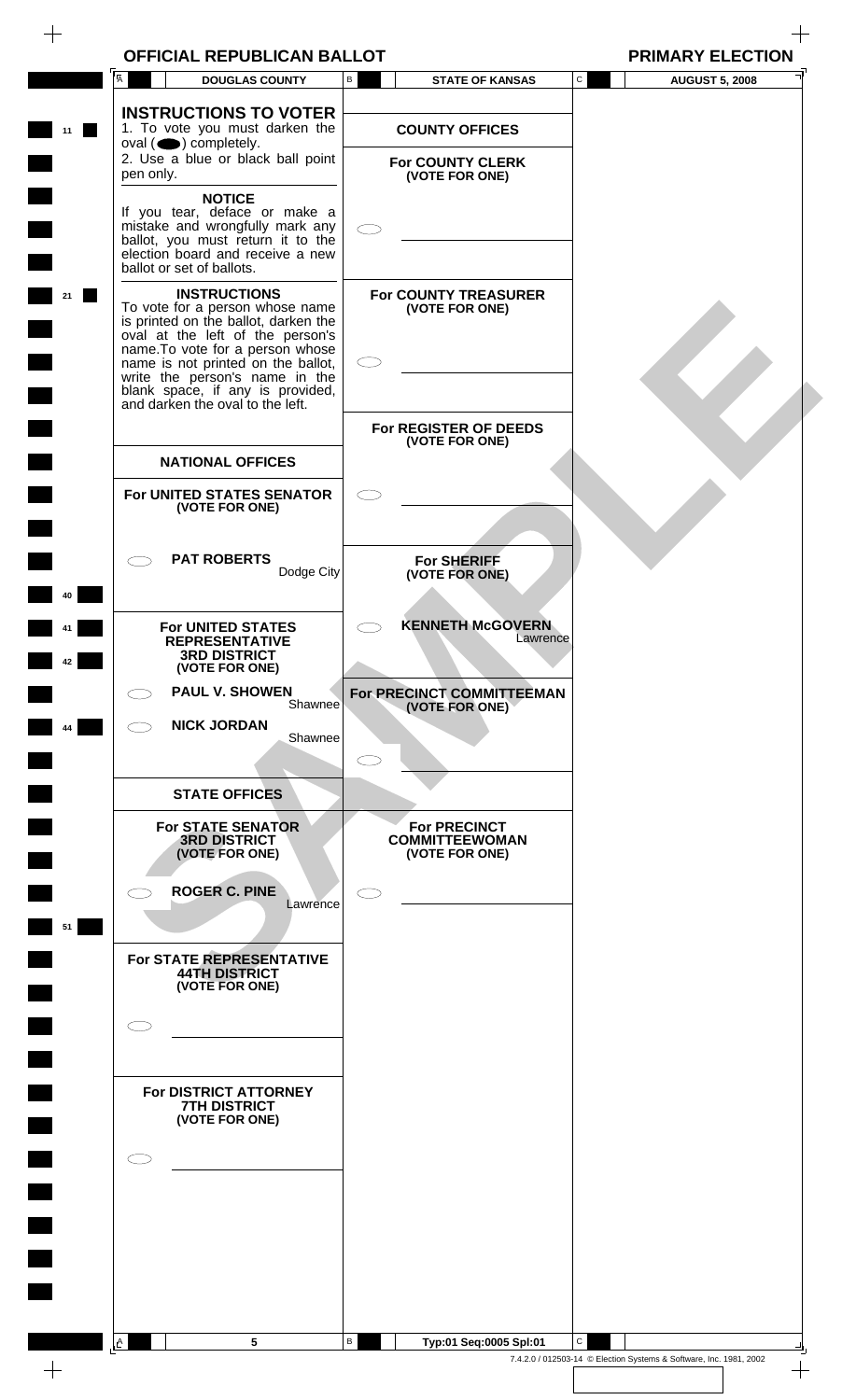**11** 

 $\hspace{0.1mm} +$ 

**21**

**Tari** 

٦

۳

 $\blacksquare$ 

 $\blacksquare$ 

 $\blacksquare$ 

**40**

**41**

**42**

**44**

 $\blacksquare$ 

<u>ra</u>

 $\blacksquare$ 

 $\blacksquare$ 

 $\blacksquare$ 

 $\qquad \qquad +$ 

**51**

 $A$ 

 $\bigcirc$ 

 $\bigcirc$ 

| <b>OFFICIAL REPUBLICAN BALLOT</b>                                                                                                                                                                                                              | <b>PRIMARY ELECTION</b>                                        |                                    |
|------------------------------------------------------------------------------------------------------------------------------------------------------------------------------------------------------------------------------------------------|----------------------------------------------------------------|------------------------------------|
| Ā<br><b>DOUGLAS COUNTY</b>                                                                                                                                                                                                                     | В<br><b>STATE OF KANSAS</b>                                    | ${\bf C}$<br><b>AUGUST 5, 2008</b> |
| <b>INSTRUCTIONS TO VOTER</b><br>1. To vote you must darken the                                                                                                                                                                                 | <b>COUNTY OFFICES</b>                                          |                                    |
| $oval \textcircled{\bullet}$ ) completely.<br>2. Use a blue or black ball point<br>pen only.                                                                                                                                                   | <b>For COUNTY CLERK</b><br>(VOTE FOR ONE)                      |                                    |
| <b>NOTICE</b><br>If you tear, deface or make a<br>mistake and wrongfully mark any<br>ballot, you must return it to the<br>election board and receive a new<br>ballot or set of ballots.                                                        |                                                                |                                    |
| <b>INSTRUCTIONS</b><br>To vote for a person whose name<br>is printed on the ballot, darken the<br>oval at the left of the person's<br>name. To vote for a person whose<br>name is not printed on the ballot,<br>write the person's name in the | <b>For COUNTY TREASURER</b><br>(VOTE FOR ONE)                  |                                    |
| blank space, if any is provided,<br>and darken the oval to the left.                                                                                                                                                                           | For REGISTER OF DEEDS                                          |                                    |
| <b>NATIONAL OFFICES</b>                                                                                                                                                                                                                        | (VOTE FOR ONE)                                                 |                                    |
| For UNITED STATES SENATOR<br>(VOTE FOR ONE)                                                                                                                                                                                                    |                                                                |                                    |
| <b>PAT ROBERTS</b><br>Dodge City                                                                                                                                                                                                               | <b>For SHERIFF</b><br>(VOTE FOR ONE)                           |                                    |
| <b>For UNITED STATES</b><br><b>REPRESENTATIVE</b><br><b>3RD DISTRICT</b><br>(VOTE FOR ONE)                                                                                                                                                     | <b>KENNETH McGOVERN</b><br>Lawrence                            |                                    |
| <b>PAUL V. SHOWEN</b><br>Shawnee<br><b>NICK JORDAN</b>                                                                                                                                                                                         | For PRECINCT COMMITTEEMAN<br>(VOTE FOR ONE)                    |                                    |
| Shawnee                                                                                                                                                                                                                                        |                                                                |                                    |
| <b>STATE OFFICES</b>                                                                                                                                                                                                                           |                                                                |                                    |
| <b>For STATE SENATOR</b><br><b>3RD DISTRICT</b><br>(VOTE FOR ONE)                                                                                                                                                                              | <b>For PRECINCT</b><br><b>COMMITTEEWOMAN</b><br>(VOTE FOR ONE) |                                    |
| <b>ROGER C. PINE</b><br>Lawrence                                                                                                                                                                                                               |                                                                |                                    |
| For STATE REPRESENTATIVE<br><b>44TH DISTRICT</b><br>(VOTE FOR ONE)                                                                                                                                                                             |                                                                |                                    |

**For DISTRICT ATTORNEY 7TH DISTRICT (VOTE FOR ONE)**

B

**5 Typ:01 Seq:0005 Spl:01** C 7.4.2.0 / 012503-14 © Election Systems & Software, Inc. 1981, 2002

ц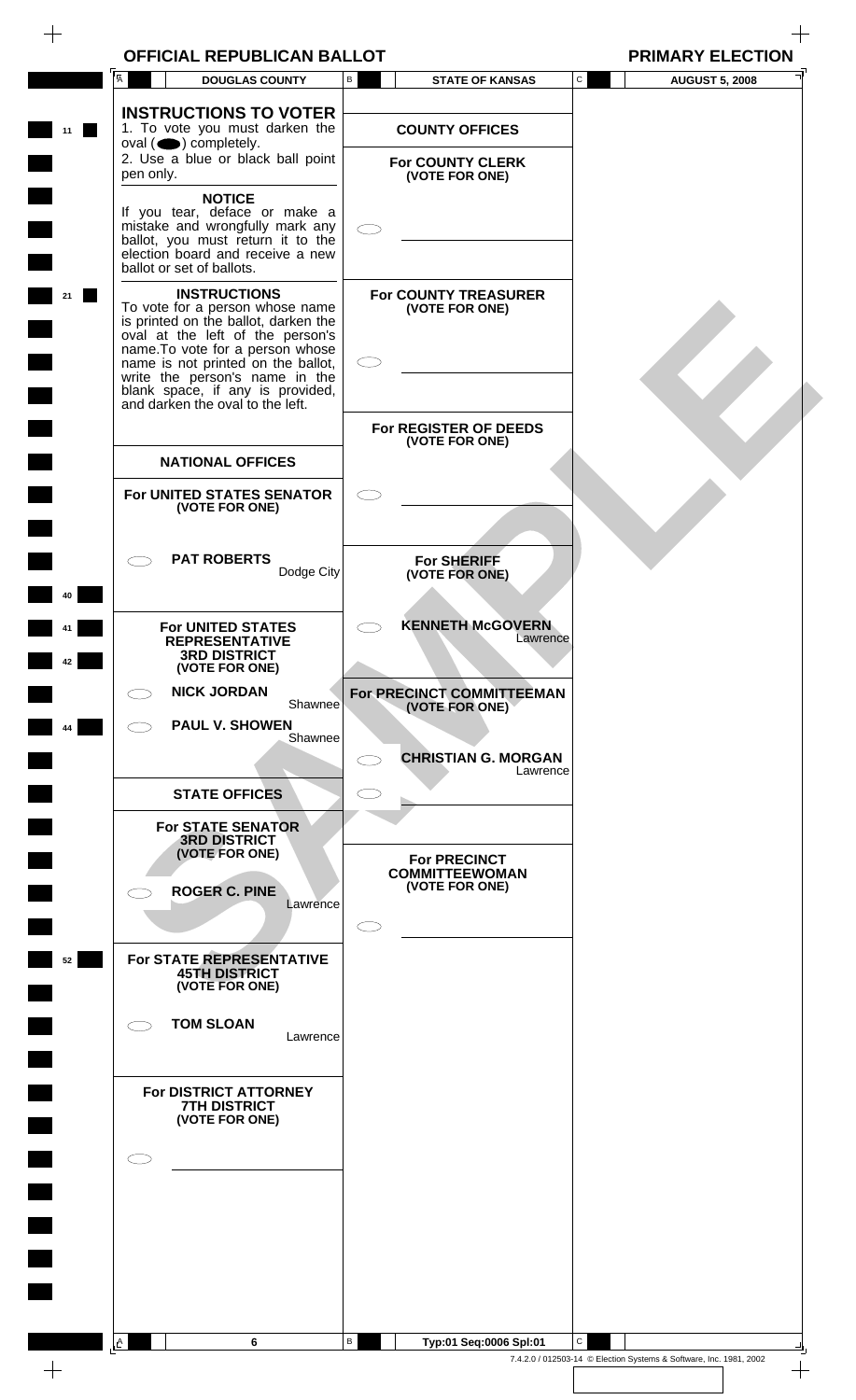# **OFFICIAL REPUBLICAN BALLOT PRIMARY ELECTION**

A

**11**

 $+$ 

**21** 

**40**

**41**

**42**

**44**

**52**

 $\qquad \qquad +$ 

A

| <b>DOUGLAS COUNTY</b>                                                                                                                                                                                                                                                                                                  | <b>STATE OF KANSAS</b><br>В                                    | С<br><b>AUGUST 5, 2008</b> |
|------------------------------------------------------------------------------------------------------------------------------------------------------------------------------------------------------------------------------------------------------------------------------------------------------------------------|----------------------------------------------------------------|----------------------------|
| <b>INSTRUCTIONS TO VOTER</b><br>1. To vote you must darken the<br>oval $($ $\bullet)$ completely.                                                                                                                                                                                                                      | <b>COUNTY OFFICES</b>                                          |                            |
| 2. Use a blue or black ball point<br>pen only.                                                                                                                                                                                                                                                                         | <b>For COUNTY CLERK</b><br>(VOTE FOR ONE)                      |                            |
| <b>NOTICE</b><br>If you tear, deface or make a<br>mistake and wrongfully mark any<br>ballot, you must return it to the<br>election board and receive a new<br>ballot or set of ballots.                                                                                                                                |                                                                |                            |
| <b>INSTRUCTIONS</b><br>To vote for a person whose name<br>is printed on the ballot, darken the<br>oval at the left of the person's<br>name. To vote for a person whose<br>name is not printed on the ballot,<br>write the person's name in the<br>blank space, if any is provided,<br>and darken the oval to the left. | <b>For COUNTY TREASURER</b><br>(VOTE FOR ONE)                  |                            |
| <b>NATIONAL OFFICES</b>                                                                                                                                                                                                                                                                                                | For REGISTER OF DEEDS<br>(VOTE FOR ONE)                        |                            |
| <b>For UNITED STATES SENATOR</b><br>(VOTE FOR ONE)                                                                                                                                                                                                                                                                     |                                                                |                            |
| <b>PAT ROBERTS</b><br>Dodge City                                                                                                                                                                                                                                                                                       | <b>For SHERIFF</b><br>(VOTE FOR ONE)                           |                            |
| <b>For UNITED STATES</b><br><b>REPRESENTATIVE</b><br><b>3RD DISTRICT</b><br>(VOTE FOR ONE)                                                                                                                                                                                                                             | <b>KENNETH McGOVERN</b><br>Lawrence                            |                            |
| <b>NICK JORDAN</b><br>Shawnee                                                                                                                                                                                                                                                                                          | For PRECINCT COMMITTEEMAN<br>(VOTE FOR ONE)                    |                            |
| <b>PAUL V. SHOWEN</b><br>Shawnee                                                                                                                                                                                                                                                                                       | <b>CHRISTIAN G. MORGAN</b><br>Lawrence                         |                            |
| <b>STATE OFFICES</b>                                                                                                                                                                                                                                                                                                   |                                                                |                            |
| <b>For STATE SENATOR</b><br><b>3RD DISTRICT</b><br>(VOTE FOR ONE)<br><b>ROGER C. PINE</b><br>Lawrence                                                                                                                                                                                                                  | <b>For PRECINCT</b><br><b>COMMITTEEWOMAN</b><br>(VOTE FOR ONE) |                            |
| For STATE REPRESENTATIVE<br><b>45TH DISTRICT</b><br>(VOTE FOR ONE)                                                                                                                                                                                                                                                     |                                                                |                            |

### **For UNITED STATES SENATOR (VOTE FOR ONE) PAT ROBERTS** Dodge City **For UNITED STATES REPRESENTATIVE 3RD DISTRICT (VOTE FOR ONE) NICK JORDAN For SHERIFF (VOTE FOR ONE) KENNETH McGOVERN For PRECINCT COMMITTEEMAN**

# **STATE OFFICES**

**TOM SLOAN**  $\bigcirc$ 

### **For DISTRICT ATTORNEY 7TH DISTRICT (VOTE FOR ONE)**

Lawrence

**6 Typ:01 Seq:0006 Spl:01**

B

C

7.4.2.0 / 012503-14 © Election Systems & Software, Inc. 1981, 2002

 $+$ 

 $\blacksquare$ 

 $\pm$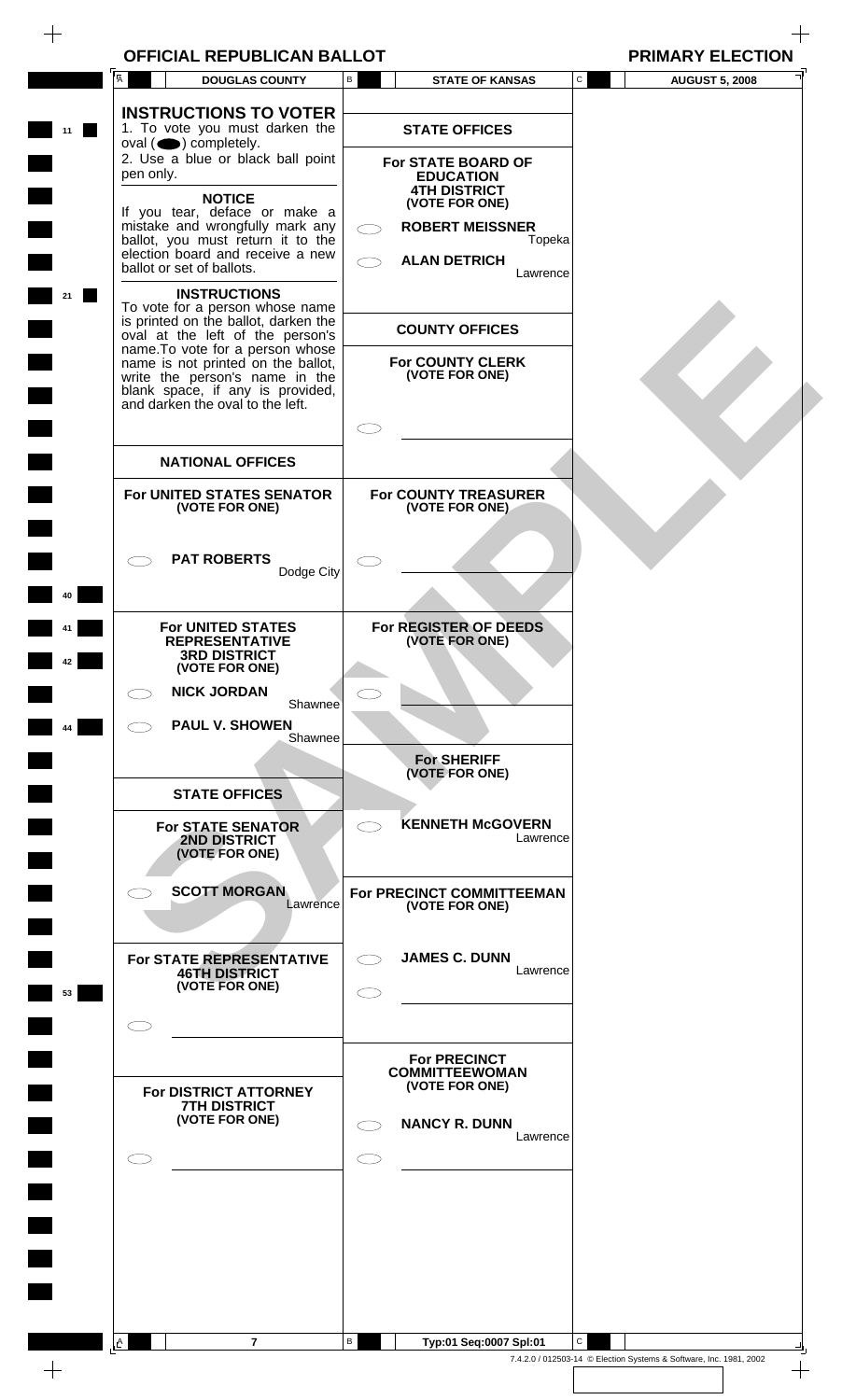|  | <b>OFFICIAL REPUBLICAN BALLOT</b> | <b>PRIMARY ELECTION</b> |
|--|-----------------------------------|-------------------------|
|--|-----------------------------------|-------------------------|

 $\begin{array}{c} \begin{array}{c} \begin{array}{c} \end{array} \\ \begin{array}{c} \end{array} \end{array} \end{array}$ 

|    | Ā<br><b>DOUGLAS COUNTY</b>                                                                                                                                                       | В | <b>STATE OF KANSAS</b>                                          | C            | <b>AUGUST 5, 2008</b>                                              |  |
|----|----------------------------------------------------------------------------------------------------------------------------------------------------------------------------------|---|-----------------------------------------------------------------|--------------|--------------------------------------------------------------------|--|
| 11 | <b>INSTRUCTIONS TO VOTER</b><br>1. To vote you must darken the                                                                                                                   |   | <b>STATE OFFICES</b>                                            |              |                                                                    |  |
|    | $oval(\n\bullet)$ completely.<br>2. Use a blue or black ball point<br>pen only.                                                                                                  |   | For STATE BOARD OF<br><b>EDUCATION</b>                          |              |                                                                    |  |
|    | <b>NOTICE</b><br>If you tear, deface or make a<br>mistake and wrongfully mark any                                                                                                |   | <b>4TH DISTRICT</b><br>(VOTE FOR ONE)<br><b>ROBERT MEISSNER</b> |              |                                                                    |  |
|    | ballot, you must return it to the<br>election board and receive a new<br>ballot or set of ballots.                                                                               |   | Topeka<br><b>ALAN DETRICH</b><br>Lawrence                       |              |                                                                    |  |
| 21 | <b>INSTRUCTIONS</b><br>To vote for a person whose name<br>is printed on the ballot, darken the<br>oval at the left of the person's                                               |   | <b>COUNTY OFFICES</b>                                           |              |                                                                    |  |
|    | name. To vote for a person whose<br>name is not printed on the ballot,<br>write the person's name in the<br>blank space, if any is provided,<br>and darken the oval to the left. |   | For COUNTY CLERK<br>(VOTE FOR ONE)                              |              |                                                                    |  |
|    |                                                                                                                                                                                  |   |                                                                 |              |                                                                    |  |
|    | <b>NATIONAL OFFICES</b>                                                                                                                                                          |   |                                                                 |              |                                                                    |  |
|    | For UNITED STATES SENATOR<br>(VOTE FOR ONE)                                                                                                                                      |   | <b>For COUNTY TREASURER</b><br>(VOTE FOR ONE)                   |              |                                                                    |  |
|    | <b>PAT ROBERTS</b><br>Dodge City                                                                                                                                                 |   |                                                                 |              |                                                                    |  |
| 10 | <b>For UNITED STATES</b>                                                                                                                                                         |   | For REGISTER OF DEEDS                                           |              |                                                                    |  |
|    | <b>REPRESENTATIVE</b><br><b>3RD DISTRICT</b><br>(VOTE FOR ONE)                                                                                                                   |   | (VOTE FOR ONE)                                                  |              |                                                                    |  |
|    | <b>NICK JORDAN</b><br>Shawnee                                                                                                                                                    |   |                                                                 |              |                                                                    |  |
| 44 | <b>PAUL V. SHOWEN</b><br>Shawnee                                                                                                                                                 |   |                                                                 |              |                                                                    |  |
|    |                                                                                                                                                                                  |   | <b>For SHERIFF</b><br>(VOTE FOR ONE)                            |              |                                                                    |  |
|    | <b>STATE OFFICES</b>                                                                                                                                                             |   | <b>KENNETH McGOVERN</b>                                         |              |                                                                    |  |
|    | <b>For STATE SENATOR</b><br>2ND DISTRICT<br>(VOTE FOR ONE)                                                                                                                       |   | Lawrence                                                        |              |                                                                    |  |
|    | <b>SCOTT MORGAN</b><br>Lawrence                                                                                                                                                  |   | For PRECINCT COMMITTEEMAN<br>(VOTE FOR ONE)                     |              |                                                                    |  |
|    | For STATE REPRESENTATIVE<br><b>46TH DISTRICT</b><br>(VOTE FOR ONE)                                                                                                               |   | <b>JAMES C. DUNN</b><br>Lawrence                                |              |                                                                    |  |
| 53 |                                                                                                                                                                                  |   |                                                                 |              |                                                                    |  |
|    | For DISTRICT ATTORNEY                                                                                                                                                            |   | <b>For PRECINCT</b><br><b>COMMITTEEWOMAN</b><br>(VOTE FOR ONE)  |              |                                                                    |  |
|    | <b>7TH DISTRICT</b><br>(VOTE FOR ONE)                                                                                                                                            |   | <b>NANCY R. DUNN</b><br>Lawrence                                |              |                                                                    |  |
|    |                                                                                                                                                                                  |   |                                                                 |              |                                                                    |  |
|    |                                                                                                                                                                                  |   |                                                                 |              |                                                                    |  |
|    |                                                                                                                                                                                  |   |                                                                 |              |                                                                    |  |
|    |                                                                                                                                                                                  |   |                                                                 |              |                                                                    |  |
|    | A<br>$\overline{7}$                                                                                                                                                              | В | Typ:01 Seq:0007 Spl:01                                          | $\mathsf{C}$ | 7.4.2.0 / 012503-14 © Election Systems & Software, Inc. 1981, 2002 |  |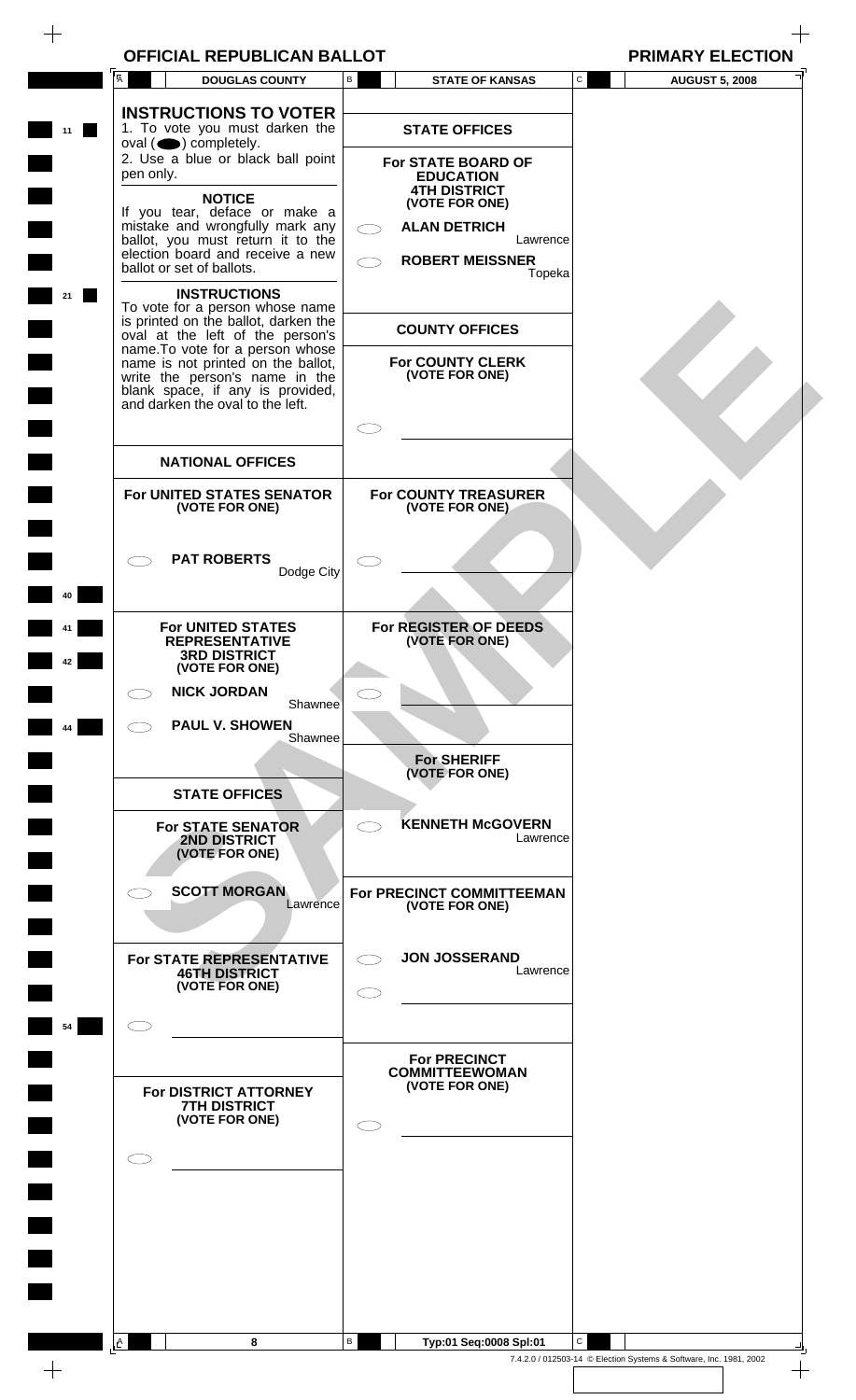| <b>OFFICIAL REPUBLICAN BALLOT</b> |  |  |  |
|-----------------------------------|--|--|--|
|-----------------------------------|--|--|--|

| <b>DOUGLAS COUNTY</b><br><b>INSTRUCTIONS TO VOTER</b><br>1. To vote you must darken the<br><b>STATE OFFICES</b><br>$oval(\n\bullet)$ completely.<br>2. Use a blue or black ball point<br>For STATE BOARD OF<br>pen only.<br><b>EDUCATION</b><br><b>4TH DISTRICT</b><br><b>NOTICE</b><br>(VOTE FOR ONE)<br>If you tear, deface or make a<br>mistake and wrongfully mark any<br><b>ALAN DETRICH</b><br>ballot, you must return it to the<br>Lawrence<br>election board and receive a new<br><b>ROBERT MEISSNER</b><br>ballot or set of ballots.<br>Topeka<br><b>INSTRUCTIONS</b><br>To vote for a person whose name<br>is printed on the ballot, darken the<br><b>COUNTY OFFICES</b><br>oval at the left of the person's<br>name. To vote for a person whose<br>name is not printed on the ballot,<br>For COUNTY CLERK<br>write the person's name in the<br>(VOTE FOR ONE)<br>blank space, if any is provided,<br>and darken the oval to the left.<br><b>NATIONAL OFFICES</b><br>For UNITED STATES SENATOR<br><b>For COUNTY TREASURER</b><br>(VOTE FOR ONE)<br>(VOTE FOR ONE)<br><b>PAT ROBERTS</b><br>Dodge City<br>For REGISTER OF DEEDS<br><b>For UNITED STATES</b><br>(VOTE FOR ONE)<br><b>REPRESENTATIVE</b><br><b>3RD DISTRICT</b><br>(VOTE FOR ONE)<br><b>NICK JORDAN</b><br>CD.<br>Shawnee<br><b>PAUL V. SHOWEN</b><br>- 7<br>Shawnee<br><b>For SHERIFF</b><br>(VOTE FOR ONE)<br><b>STATE OFFICES</b><br><b>KENNETH McGOVERN</b><br><b>For STATE SENATOR</b><br>$\bigcirc$<br>Lawrence<br>2ND DISTRICT<br>(VOTE FOR ONE)<br><b>SCOTT MORGAN</b><br>For PRECINCT COMMITTEEMAN<br>Lawrence<br>(VOTE FOR ONE)<br><b>JON JOSSERAND</b><br>For STATE REPRESENTATIVE<br>Lawrence<br><b>46TH DISTRICT</b><br>(VOTE FOR ONE)<br><b>For PRECINCT</b><br><b>COMMITTEEWOMAN</b><br>(VOTE FOR ONE)<br><b>For DISTRICT ATTORNEY</b><br><b>7TH DISTRICT</b><br>(VOTE FOR ONE) | <b>OFFICIAL REPUBLICAN BALLOT</b><br><b>PRIMARY ELECTION</b><br>$\mathtt{C}$<br>B<br><b>STATE OF KANSAS</b><br><b>AUGUST 5, 2008</b> |  |
|-----------------------------------------------------------------------------------------------------------------------------------------------------------------------------------------------------------------------------------------------------------------------------------------------------------------------------------------------------------------------------------------------------------------------------------------------------------------------------------------------------------------------------------------------------------------------------------------------------------------------------------------------------------------------------------------------------------------------------------------------------------------------------------------------------------------------------------------------------------------------------------------------------------------------------------------------------------------------------------------------------------------------------------------------------------------------------------------------------------------------------------------------------------------------------------------------------------------------------------------------------------------------------------------------------------------------------------------------------------------------------------------------------------------------------------------------------------------------------------------------------------------------------------------------------------------------------------------------------------------------------------------------------------------------------------------------------------------------------------------------------------------------------------------------------------------------------------------------------------------------|--------------------------------------------------------------------------------------------------------------------------------------|--|
|                                                                                                                                                                                                                                                                                                                                                                                                                                                                                                                                                                                                                                                                                                                                                                                                                                                                                                                                                                                                                                                                                                                                                                                                                                                                                                                                                                                                                                                                                                                                                                                                                                                                                                                                                                                                                                                                       |                                                                                                                                      |  |
|                                                                                                                                                                                                                                                                                                                                                                                                                                                                                                                                                                                                                                                                                                                                                                                                                                                                                                                                                                                                                                                                                                                                                                                                                                                                                                                                                                                                                                                                                                                                                                                                                                                                                                                                                                                                                                                                       |                                                                                                                                      |  |
|                                                                                                                                                                                                                                                                                                                                                                                                                                                                                                                                                                                                                                                                                                                                                                                                                                                                                                                                                                                                                                                                                                                                                                                                                                                                                                                                                                                                                                                                                                                                                                                                                                                                                                                                                                                                                                                                       |                                                                                                                                      |  |
|                                                                                                                                                                                                                                                                                                                                                                                                                                                                                                                                                                                                                                                                                                                                                                                                                                                                                                                                                                                                                                                                                                                                                                                                                                                                                                                                                                                                                                                                                                                                                                                                                                                                                                                                                                                                                                                                       |                                                                                                                                      |  |
|                                                                                                                                                                                                                                                                                                                                                                                                                                                                                                                                                                                                                                                                                                                                                                                                                                                                                                                                                                                                                                                                                                                                                                                                                                                                                                                                                                                                                                                                                                                                                                                                                                                                                                                                                                                                                                                                       |                                                                                                                                      |  |
|                                                                                                                                                                                                                                                                                                                                                                                                                                                                                                                                                                                                                                                                                                                                                                                                                                                                                                                                                                                                                                                                                                                                                                                                                                                                                                                                                                                                                                                                                                                                                                                                                                                                                                                                                                                                                                                                       |                                                                                                                                      |  |
|                                                                                                                                                                                                                                                                                                                                                                                                                                                                                                                                                                                                                                                                                                                                                                                                                                                                                                                                                                                                                                                                                                                                                                                                                                                                                                                                                                                                                                                                                                                                                                                                                                                                                                                                                                                                                                                                       |                                                                                                                                      |  |
|                                                                                                                                                                                                                                                                                                                                                                                                                                                                                                                                                                                                                                                                                                                                                                                                                                                                                                                                                                                                                                                                                                                                                                                                                                                                                                                                                                                                                                                                                                                                                                                                                                                                                                                                                                                                                                                                       |                                                                                                                                      |  |
|                                                                                                                                                                                                                                                                                                                                                                                                                                                                                                                                                                                                                                                                                                                                                                                                                                                                                                                                                                                                                                                                                                                                                                                                                                                                                                                                                                                                                                                                                                                                                                                                                                                                                                                                                                                                                                                                       |                                                                                                                                      |  |
|                                                                                                                                                                                                                                                                                                                                                                                                                                                                                                                                                                                                                                                                                                                                                                                                                                                                                                                                                                                                                                                                                                                                                                                                                                                                                                                                                                                                                                                                                                                                                                                                                                                                                                                                                                                                                                                                       |                                                                                                                                      |  |
|                                                                                                                                                                                                                                                                                                                                                                                                                                                                                                                                                                                                                                                                                                                                                                                                                                                                                                                                                                                                                                                                                                                                                                                                                                                                                                                                                                                                                                                                                                                                                                                                                                                                                                                                                                                                                                                                       |                                                                                                                                      |  |
|                                                                                                                                                                                                                                                                                                                                                                                                                                                                                                                                                                                                                                                                                                                                                                                                                                                                                                                                                                                                                                                                                                                                                                                                                                                                                                                                                                                                                                                                                                                                                                                                                                                                                                                                                                                                                                                                       |                                                                                                                                      |  |
|                                                                                                                                                                                                                                                                                                                                                                                                                                                                                                                                                                                                                                                                                                                                                                                                                                                                                                                                                                                                                                                                                                                                                                                                                                                                                                                                                                                                                                                                                                                                                                                                                                                                                                                                                                                                                                                                       |                                                                                                                                      |  |
|                                                                                                                                                                                                                                                                                                                                                                                                                                                                                                                                                                                                                                                                                                                                                                                                                                                                                                                                                                                                                                                                                                                                                                                                                                                                                                                                                                                                                                                                                                                                                                                                                                                                                                                                                                                                                                                                       |                                                                                                                                      |  |
|                                                                                                                                                                                                                                                                                                                                                                                                                                                                                                                                                                                                                                                                                                                                                                                                                                                                                                                                                                                                                                                                                                                                                                                                                                                                                                                                                                                                                                                                                                                                                                                                                                                                                                                                                                                                                                                                       |                                                                                                                                      |  |
|                                                                                                                                                                                                                                                                                                                                                                                                                                                                                                                                                                                                                                                                                                                                                                                                                                                                                                                                                                                                                                                                                                                                                                                                                                                                                                                                                                                                                                                                                                                                                                                                                                                                                                                                                                                                                                                                       |                                                                                                                                      |  |
|                                                                                                                                                                                                                                                                                                                                                                                                                                                                                                                                                                                                                                                                                                                                                                                                                                                                                                                                                                                                                                                                                                                                                                                                                                                                                                                                                                                                                                                                                                                                                                                                                                                                                                                                                                                                                                                                       |                                                                                                                                      |  |
|                                                                                                                                                                                                                                                                                                                                                                                                                                                                                                                                                                                                                                                                                                                                                                                                                                                                                                                                                                                                                                                                                                                                                                                                                                                                                                                                                                                                                                                                                                                                                                                                                                                                                                                                                                                                                                                                       |                                                                                                                                      |  |
|                                                                                                                                                                                                                                                                                                                                                                                                                                                                                                                                                                                                                                                                                                                                                                                                                                                                                                                                                                                                                                                                                                                                                                                                                                                                                                                                                                                                                                                                                                                                                                                                                                                                                                                                                                                                                                                                       |                                                                                                                                      |  |
| В<br>$\mathbf{C}$<br>Typ:01 Seq:0008 Spl:01                                                                                                                                                                                                                                                                                                                                                                                                                                                                                                                                                                                                                                                                                                                                                                                                                                                                                                                                                                                                                                                                                                                                                                                                                                                                                                                                                                                                                                                                                                                                                                                                                                                                                                                                                                                                                           |                                                                                                                                      |  |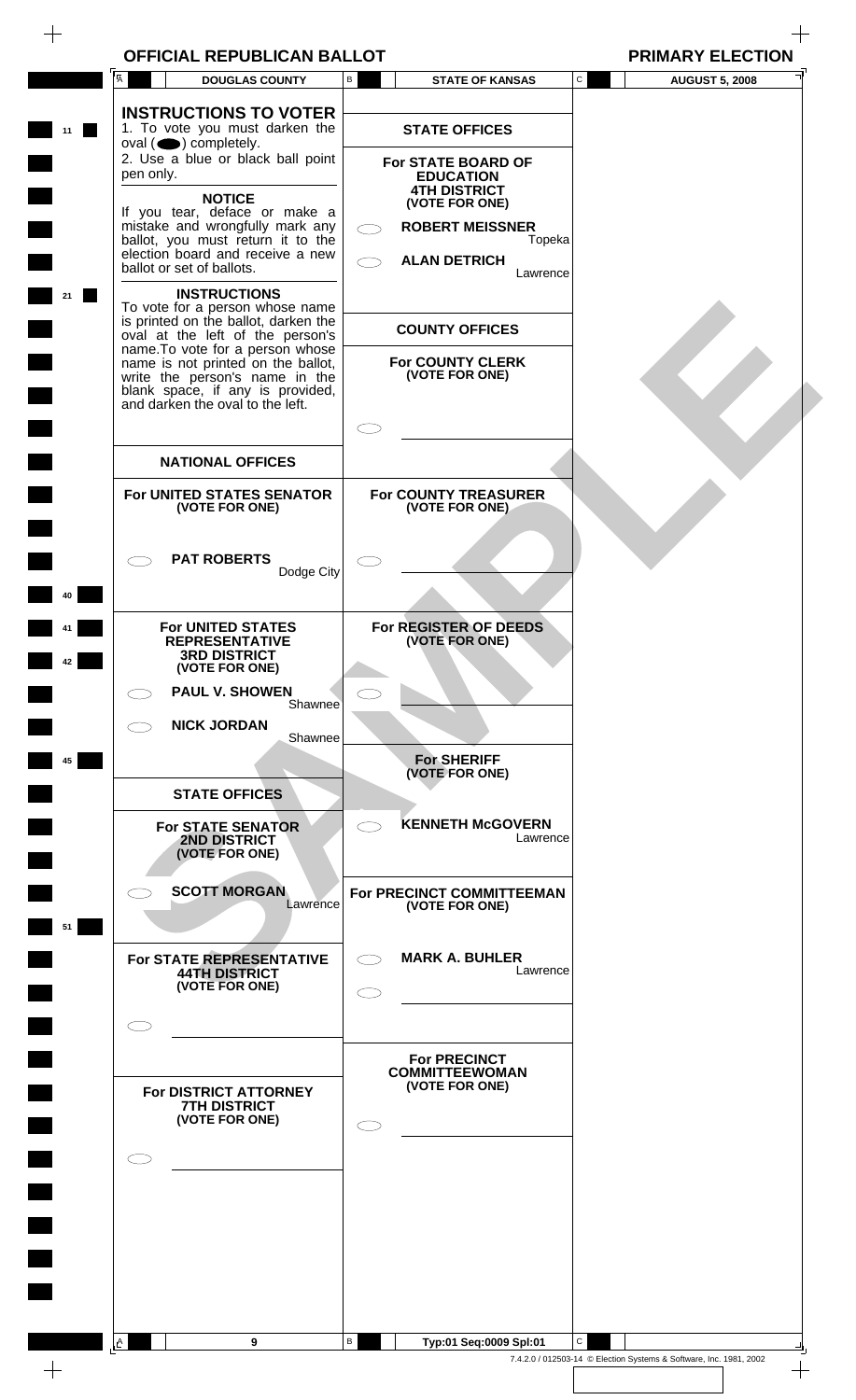| <b>OFFICIAL REPUBLICAN BALLOT</b> |  |
|-----------------------------------|--|
|-----------------------------------|--|

| PRIMARY EL |  |
|------------|--|
|            |  |

|    | <b>OFFICIAL REPUBLICAN BALLOT</b>                                                                                                                 |             |                                                                |              | <b>PRIMARY ELECTION</b> |  |
|----|---------------------------------------------------------------------------------------------------------------------------------------------------|-------------|----------------------------------------------------------------|--------------|-------------------------|--|
|    | $\overline{A}$<br><b>DOUGLAS COUNTY</b>                                                                                                           | $\mathsf B$ | <b>STATE OF KANSAS</b>                                         | $\mathtt{C}$ | <b>AUGUST 5, 2008</b>   |  |
|    | <b>INSTRUCTIONS TO VOTER</b><br>1. To vote you must darken the<br>$oval(\n\bullet)$ completely.<br>2. Use a blue or black ball point<br>pen only. |             | <b>STATE OFFICES</b><br>For STATE BOARD OF<br><b>EDUCATION</b> |              |                         |  |
|    | <b>NOTICE</b>                                                                                                                                     |             | <b>4TH DISTRICT</b><br>(VOTE FOR ONE)                          |              |                         |  |
|    | If you tear, deface or make a<br>mistake and wrongfully mark any                                                                                  |             | <b>ROBERT MEISSNER</b>                                         |              |                         |  |
|    | ballot, you must return it to the<br>election board and receive a new<br>ballot or set of ballots.                                                |             | Topeka<br><b>ALAN DETRICH</b>                                  |              |                         |  |
|    | <b>INSTRUCTIONS</b>                                                                                                                               |             | Lawrence                                                       |              |                         |  |
|    | To vote for a person whose name<br>is printed on the ballot, darken the<br>oval at the left of the person's                                       |             | <b>COUNTY OFFICES</b>                                          |              |                         |  |
|    | name. To vote for a person whose<br>name is not printed on the ballot,                                                                            |             | <b>For COUNTY CLERK</b>                                        |              |                         |  |
|    | write the person's name in the<br>blank space, if any is provided,                                                                                |             | (VOTE FOR ONE)                                                 |              |                         |  |
|    | and darken the oval to the left.                                                                                                                  |             |                                                                |              |                         |  |
|    | <b>NATIONAL OFFICES</b>                                                                                                                           |             |                                                                |              |                         |  |
|    | For UNITED STATES SENATOR                                                                                                                         |             | For COUNTY TREASURER                                           |              |                         |  |
|    | (VOTE FOR ONE)                                                                                                                                    |             | (VOTE FOR ONE)                                                 |              |                         |  |
|    | <b>PAT ROBERTS</b>                                                                                                                                |             |                                                                |              |                         |  |
|    | Dodge City                                                                                                                                        |             |                                                                |              |                         |  |
|    | <b>For UNITED STATES</b>                                                                                                                          |             |                                                                |              |                         |  |
| 42 | <b>REPRESENTATIVE</b><br><b>3RD DISTRICT</b>                                                                                                      |             | For REGISTER OF DEEDS<br>(VOTE FOR ONE)                        |              |                         |  |
|    | (VOTE FOR ONE)<br><b>PAUL V. SHOWEN</b>                                                                                                           |             |                                                                |              |                         |  |
|    | Shawnee<br><b>NICK JORDAN</b>                                                                                                                     |             |                                                                |              |                         |  |
| 45 | Shawnee                                                                                                                                           |             | <b>For SHERIFF</b>                                             |              |                         |  |
|    | <b>STATE OFFICES</b>                                                                                                                              |             | (VOTE FOR ONE)                                                 |              |                         |  |
|    | <b>For STATE SENATOR</b>                                                                                                                          | $\bigcirc$  | <b>KENNETH McGOVERN</b>                                        |              |                         |  |
|    | 2ND DISTRICT<br>(VOTE FOR ONE)                                                                                                                    |             | Lawrence                                                       |              |                         |  |
|    | <b>SCOTT MORGAN</b><br>Lawrence                                                                                                                   |             | For PRECINCT COMMITTEEMAN<br>(VOTE FOR ONE)                    |              |                         |  |
| 51 |                                                                                                                                                   |             |                                                                |              |                         |  |
|    | For STATE REPRESENTATIVE<br><b>44TH DISTRICT</b>                                                                                                  |             | <b>MARK A. BUHLER</b><br>Lawrence                              |              |                         |  |
|    | (VOTE FOR ONE)                                                                                                                                    |             |                                                                |              |                         |  |
|    |                                                                                                                                                   |             |                                                                |              |                         |  |
|    |                                                                                                                                                   |             | <b>For PRECINCT</b><br><b>COMMITTEEWOMAN</b>                   |              |                         |  |
|    | For DISTRICT ATTORNEY<br><b>7TH DISTRICT</b>                                                                                                      |             | (VOTE FOR ONE)                                                 |              |                         |  |
|    | (VOTE FOR ONE)                                                                                                                                    |             |                                                                |              |                         |  |
|    |                                                                                                                                                   |             |                                                                |              |                         |  |
|    |                                                                                                                                                   |             |                                                                |              |                         |  |
|    |                                                                                                                                                   |             |                                                                |              |                         |  |
|    |                                                                                                                                                   |             |                                                                |              |                         |  |
|    |                                                                                                                                                   |             |                                                                |              |                         |  |
|    |                                                                                                                                                   |             |                                                                |              |                         |  |
|    | A<br>9                                                                                                                                            | В           | Typ:01 Seq:0009 Spl:01                                         | $\mathsf{C}$ |                         |  |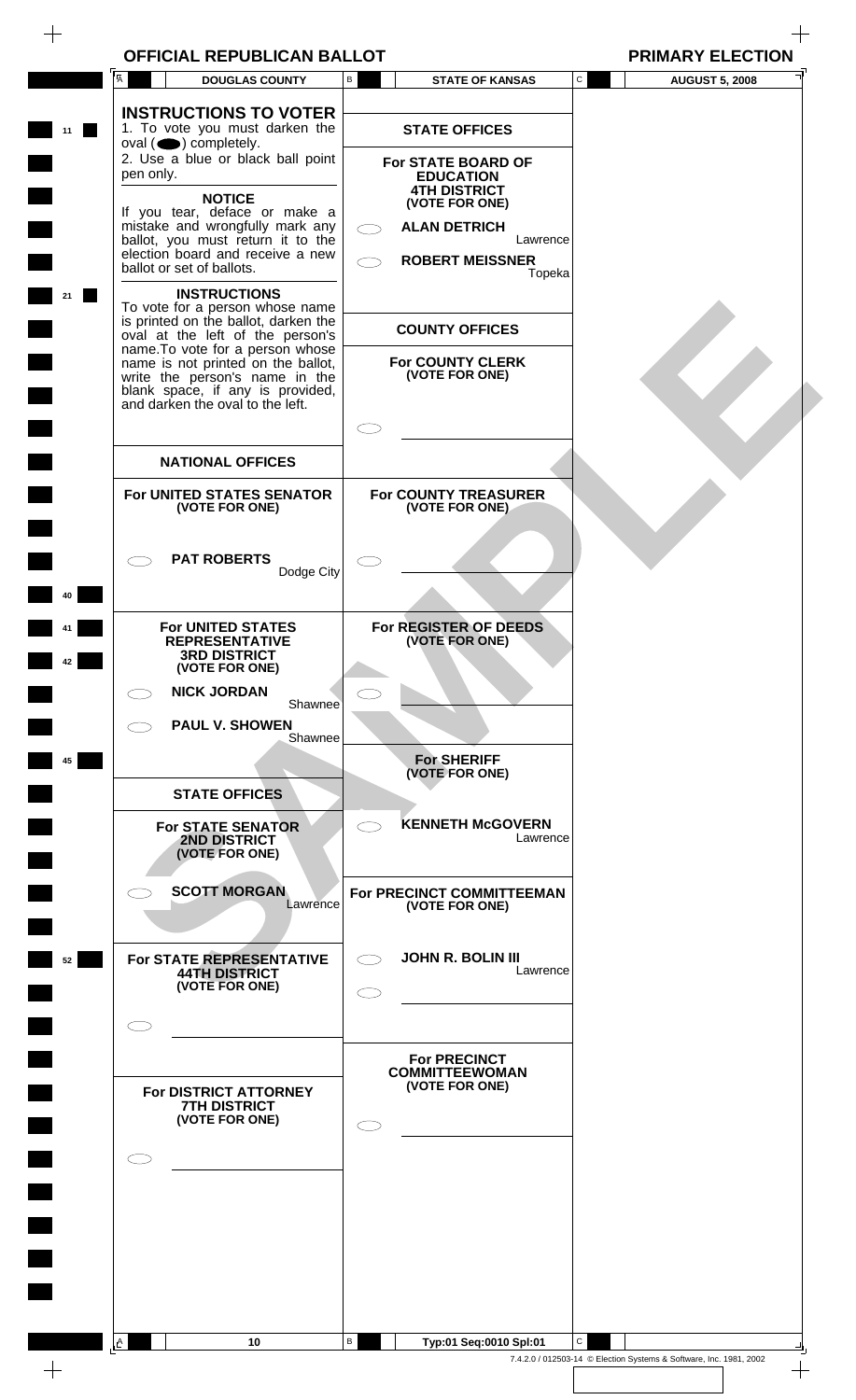| <b>OFFICIAL REPUBLICAN BALLOT</b> |  |  |  |
|-----------------------------------|--|--|--|
|-----------------------------------|--|--|--|

**OFFICIAL REPUBLICAN BANK PRIMARY ELECTION** 

 $\hspace{0.1mm} +$ 

| Ā                                                       | <b>DOUGLAS COUNTY</b>                                                                                                                           | В                | <b>STATE OF KANSAS</b>                                         |          | С            | <b>AUGUST 5, 2008</b>                                              |  |
|---------------------------------------------------------|-------------------------------------------------------------------------------------------------------------------------------------------------|------------------|----------------------------------------------------------------|----------|--------------|--------------------------------------------------------------------|--|
| 11                                                      | <b>INSTRUCTIONS TO VOTER</b><br>1. To vote you must darken the                                                                                  |                  | <b>STATE OFFICES</b>                                           |          |              |                                                                    |  |
| $oval \textcircled{\bullet}$ ) completely.<br>pen only. | 2. Use a blue or black ball point                                                                                                               |                  | For STATE BOARD OF<br><b>EDUCATION</b><br><b>4TH DISTRICT</b>  |          |              |                                                                    |  |
|                                                         | <b>NOTICE</b><br>If you tear, deface or make a<br>mistake and wrongfully mark any<br>ballot, you must return it to the                          |                  | (VOTE FOR ONE)<br><b>ALAN DETRICH</b>                          | Lawrence |              |                                                                    |  |
| ballot or set of ballots.                               | election board and receive a new<br><b>INSTRUCTIONS</b>                                                                                         |                  | <b>ROBERT MEISSNER</b>                                         | Topeka   |              |                                                                    |  |
|                                                         | To vote for a person whose name<br>is printed on the ballot, darken the<br>oval at the left of the person's<br>name. To vote for a person whose |                  | <b>COUNTY OFFICES</b>                                          |          |              |                                                                    |  |
|                                                         | name is not printed on the ballot,<br>write the person's name in the<br>blank space, if any is provided,<br>and darken the oval to the left.    |                  | <b>For COUNTY CLERK</b><br>(VOTE FOR ONE)                      |          |              |                                                                    |  |
|                                                         | <b>NATIONAL OFFICES</b>                                                                                                                         |                  |                                                                |          |              |                                                                    |  |
|                                                         | For UNITED STATES SENATOR<br>(VOTE FOR ONE)                                                                                                     |                  | For COUNTY TREASURER<br>(VOTE FOR ONE)                         |          |              |                                                                    |  |
|                                                         | <b>PAT ROBERTS</b><br>Dodge City                                                                                                                |                  |                                                                |          |              |                                                                    |  |
|                                                         | <b>For UNITED STATES</b><br><b>REPRESENTATIVE</b><br><b>3RD DISTRICT</b><br>(VOTE FOR ONE)                                                      |                  | For REGISTER OF DEEDS<br>(VOTE FOR ONE)                        |          |              |                                                                    |  |
| $\bigcap$                                               | <b>NICK JORDAN</b><br>Shawnee<br><b>PAUL V. SHOWEN</b>                                                                                          |                  |                                                                |          |              |                                                                    |  |
| 45                                                      | Shawnee                                                                                                                                         |                  | <b>For SHERIFF</b>                                             |          |              |                                                                    |  |
|                                                         | <b>STATE OFFICES</b>                                                                                                                            |                  | (VOTE FOR ONE)                                                 |          |              |                                                                    |  |
|                                                         | <b>For STATE SENATOR</b><br><b>2ND DISTRICT</b><br>(VOTE FOR ONE)                                                                               | $\subset$ $\Box$ | <b>KENNETH McGOVERN</b>                                        | Lawrence |              |                                                                    |  |
|                                                         | <b>SCOTT MORGAN</b><br>Lawrence                                                                                                                 |                  | For PRECINCT COMMITTEEMAN<br>(VOTE FOR ONE)                    |          |              |                                                                    |  |
| 52                                                      | For STATE REPRESENTATIVE<br><b>44TH DISTRICT</b><br>(VOTE FOR ONE)                                                                              |                  | <b>JOHN R. BOLIN III</b>                                       | Lawrence |              |                                                                    |  |
|                                                         |                                                                                                                                                 |                  |                                                                |          |              |                                                                    |  |
|                                                         | For DISTRICT ATTORNEY<br><b>7TH DISTRICT</b><br>(VOTE FOR ONE)                                                                                  |                  | <b>For PRECINCT</b><br><b>COMMITTEEWOMAN</b><br>(VOTE FOR ONE) |          |              |                                                                    |  |
|                                                         |                                                                                                                                                 |                  |                                                                |          |              |                                                                    |  |
|                                                         |                                                                                                                                                 |                  |                                                                |          |              |                                                                    |  |
|                                                         |                                                                                                                                                 |                  |                                                                |          |              |                                                                    |  |
| $\mathsf{L}^{\mathsf{A}}$                               | 10                                                                                                                                              | В                | Typ:01 Seq:0010 Spl:01                                         |          | $\mathbf{C}$ |                                                                    |  |
|                                                         |                                                                                                                                                 |                  |                                                                |          |              | 7.4.2.0 / 012503-14 © Election Systems & Software, Inc. 1981, 2002 |  |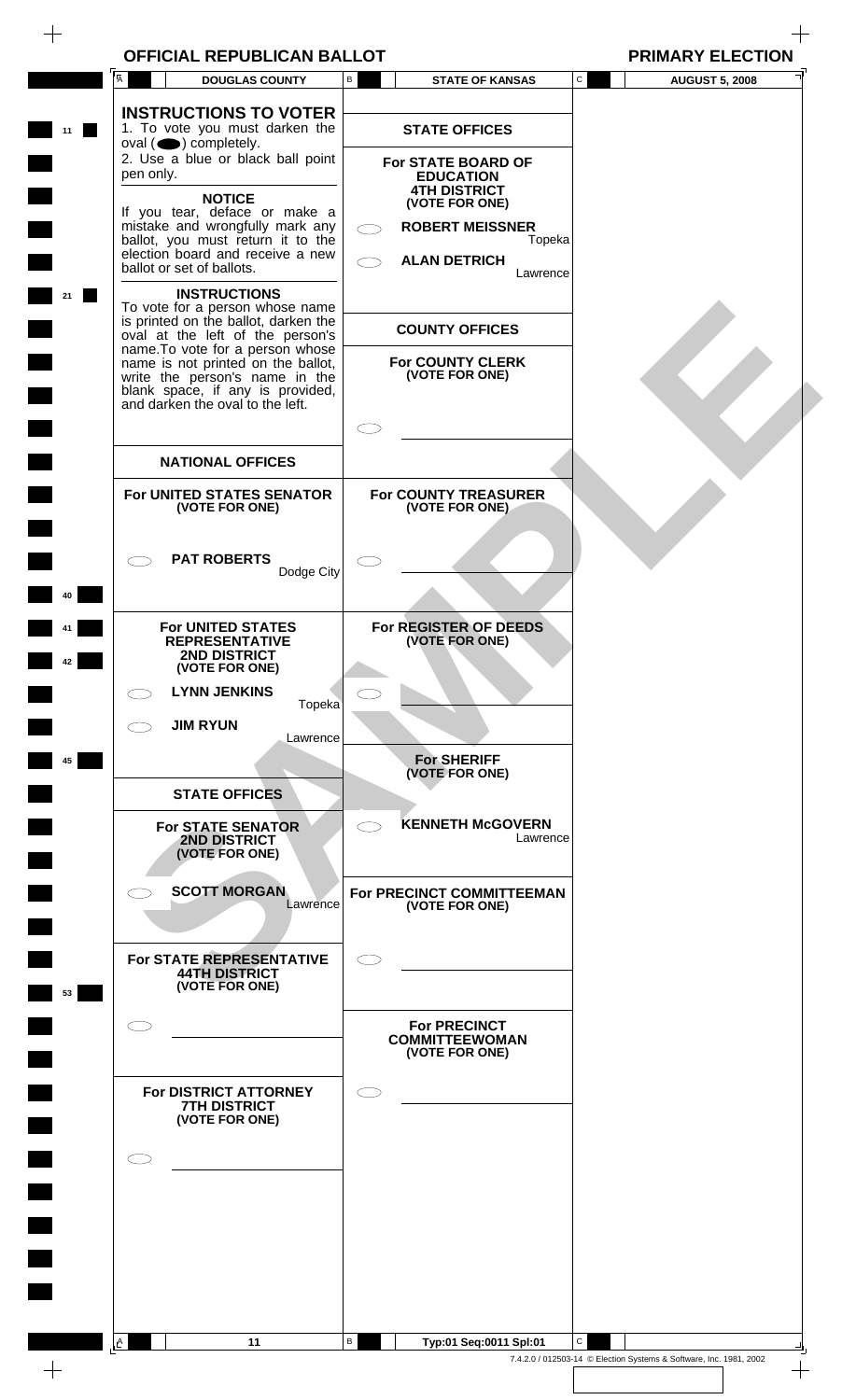| <b>OFFICIAL REPUBLICAN BALLOT</b> |  |
|-----------------------------------|--|
|-----------------------------------|--|

| ΟT |                        |  | <b>PRIMARY ELECTION</b> |
|----|------------------------|--|-------------------------|
|    | <b>STATE OF KANSAS</b> |  | <b>AUGUST 5, 2008</b>   |
|    |                        |  |                         |
|    |                        |  |                         |

 $\!+\!$ 

| A   | <b>DOUGLAS COUNTY</b>                                                                                                                                                            | В            | <b>STATE OF KANSAS</b>                                         | C            | <b>AUGUST 5, 2008</b>                                              |  |
|-----|----------------------------------------------------------------------------------------------------------------------------------------------------------------------------------|--------------|----------------------------------------------------------------|--------------|--------------------------------------------------------------------|--|
| 11  | <b>INSTRUCTIONS TO VOTER</b><br>1. To vote you must darken the                                                                                                                   |              | <b>STATE OFFICES</b>                                           |              |                                                                    |  |
|     | $oval(\n\bullet)$ completely.<br>2. Use a blue or black ball point<br>pen only.                                                                                                  |              | For STATE BOARD OF<br><b>EDUCATION</b><br><b>4TH DISTRICT</b>  |              |                                                                    |  |
|     | <b>NOTICE</b><br>If you tear, deface or make a<br>mistake and wrongfully mark any                                                                                                |              | (VOTE FOR ONE)<br><b>ROBERT MEISSNER</b>                       |              |                                                                    |  |
|     | ballot, you must return it to the<br>election board and receive a new<br>ballot or set of ballots.                                                                               |              | Topeka<br><b>ALAN DETRICH</b><br>Lawrence                      |              |                                                                    |  |
| 21  | <b>INSTRUCTIONS</b><br>To vote for a person whose name<br>is printed on the ballot, darken the<br>oval at the left of the person's                                               |              | <b>COUNTY OFFICES</b>                                          |              |                                                                    |  |
|     | name. To vote for a person whose<br>name is not printed on the ballot,<br>write the person's name in the<br>blank space, if any is provided,<br>and darken the oval to the left. |              | <b>For COUNTY CLERK</b><br>(VOTE FOR ONE)                      |              |                                                                    |  |
|     |                                                                                                                                                                                  |              |                                                                |              |                                                                    |  |
|     | <b>NATIONAL OFFICES</b>                                                                                                                                                          |              |                                                                |              |                                                                    |  |
|     | For UNITED STATES SENATOR<br>(VOTE FOR ONE)                                                                                                                                      |              | <b>For COUNTY TREASURER</b><br>(VOTE FOR ONE)                  |              |                                                                    |  |
| 40  | <b>PAT ROBERTS</b><br>Dodge City                                                                                                                                                 |              |                                                                |              |                                                                    |  |
|     | <b>For UNITED STATES</b><br><b>REPRESENTATIVE</b><br><b>2ND DISTRICT</b><br>(VOTE FOR ONE)                                                                                       |              | For REGISTER OF DEEDS<br>(VOTE FOR ONE)                        |              |                                                                    |  |
|     | <b>LYNN JENKINS</b><br>Topeka                                                                                                                                                    |              |                                                                |              |                                                                    |  |
|     | <b>JIM RYUN</b><br>Lawrence                                                                                                                                                      |              |                                                                |              |                                                                    |  |
| 45  |                                                                                                                                                                                  |              | <b>For SHERIFF</b><br>(VOTE FOR ONE)                           |              |                                                                    |  |
|     | <b>STATE OFFICES</b>                                                                                                                                                             |              |                                                                |              |                                                                    |  |
|     | <b>For STATE SENATOR</b><br>2ND DISTRICT<br>(VOTE FOR ONE)                                                                                                                       | $\subset$    | <b>KENNETH McGOVERN</b><br>Lawrence                            |              |                                                                    |  |
|     | <b>SCOTT MORGAN</b><br>Lawrence                                                                                                                                                  |              | For PRECINCT COMMITTEEMAN<br>(VOTE FOR ONE)                    |              |                                                                    |  |
| 53  | For STATE REPRESENTATIVE<br><b>44TH DISTRICT</b><br>(VOTE FOR ONE)                                                                                                               |              |                                                                |              |                                                                    |  |
|     |                                                                                                                                                                                  |              | <b>For PRECINCT</b><br><b>COMMITTEEWOMAN</b><br>(VOTE FOR ONE) |              |                                                                    |  |
|     | For DISTRICT ATTORNEY<br><b>7TH DISTRICT</b><br>(VOTE FOR ONE)                                                                                                                   |              |                                                                |              |                                                                    |  |
|     |                                                                                                                                                                                  |              |                                                                |              |                                                                    |  |
|     |                                                                                                                                                                                  |              |                                                                |              |                                                                    |  |
|     |                                                                                                                                                                                  |              |                                                                |              |                                                                    |  |
|     |                                                                                                                                                                                  |              |                                                                |              |                                                                    |  |
| A   | 11                                                                                                                                                                               | $\mathsf{B}$ | Typ:01 Seq:0011 Spl:01                                         | $\mathsf{C}$ |                                                                    |  |
| $+$ |                                                                                                                                                                                  |              |                                                                |              | 7.4.2.0 / 012503-14 © Election Systems & Software, Inc. 1981, 2002 |  |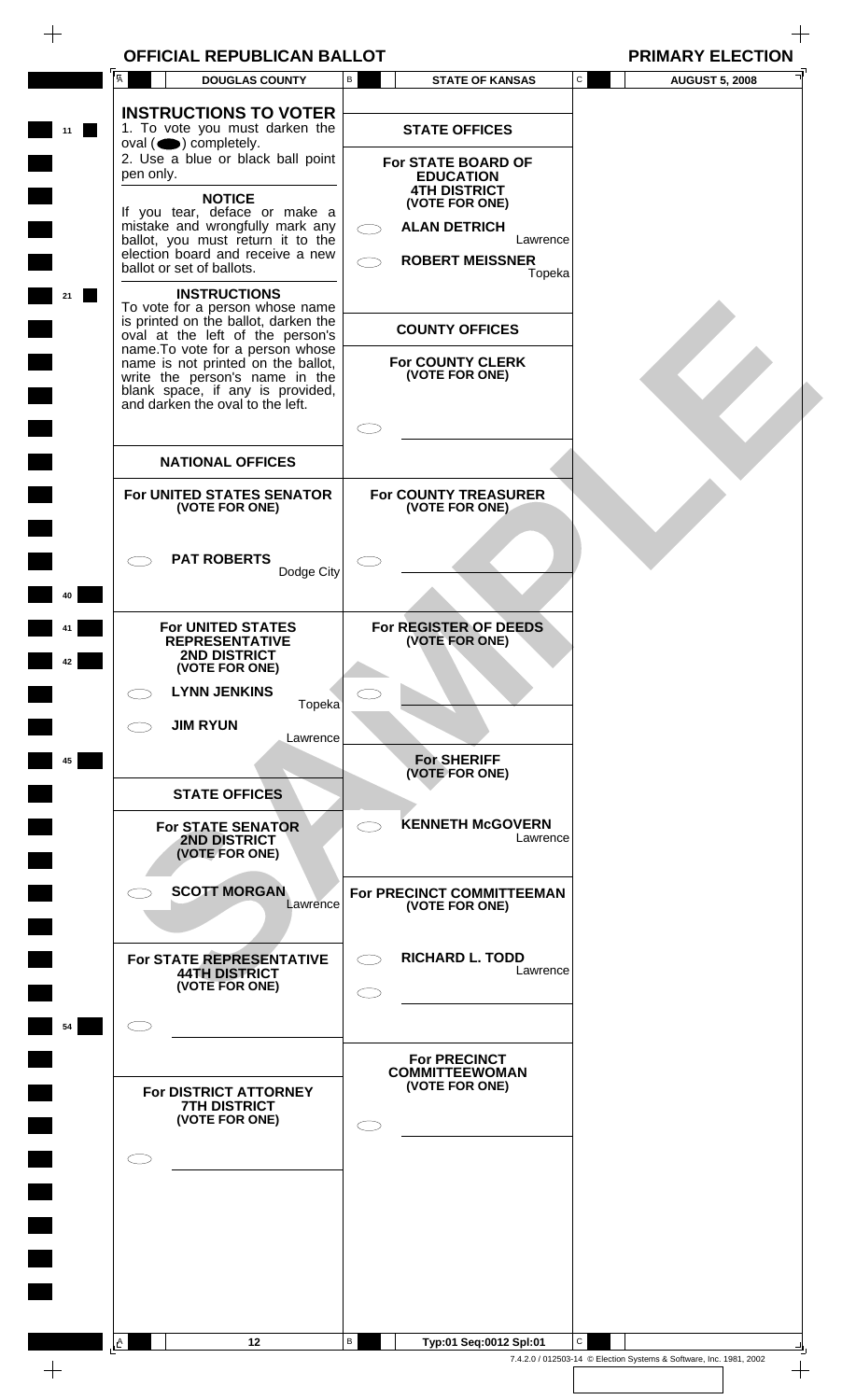| <b>OFFICIAL REPUBLICAN BALLOT</b> | <b>PRIMARY ELECTION</b> |
|-----------------------------------|-------------------------|
|                                   |                         |

|    | $\bar{\mathsf{A}}$<br><b>DOUGLAS COUNTY</b>                                                                                                                                      | B                   | <b>STATE OF KANSAS</b>                                        | ${\bf C}$    | <b>AUGUST 5, 2008</b> |
|----|----------------------------------------------------------------------------------------------------------------------------------------------------------------------------------|---------------------|---------------------------------------------------------------|--------------|-----------------------|
| 11 | <b>INSTRUCTIONS TO VOTER</b><br>1. To vote you must darken the<br>$oval \textcircled{\bullet}$ ) completely.                                                                     |                     | <b>STATE OFFICES</b>                                          |              |                       |
|    | 2. Use a blue or black ball point<br>pen only.                                                                                                                                   |                     | For STATE BOARD OF<br><b>EDUCATION</b><br><b>4TH DISTRICT</b> |              |                       |
|    | <b>NOTICE</b><br>If you tear, deface or make a<br>mistake and wrongfully mark any<br>ballot, you must return it to the                                                           |                     | (VOTE FOR ONE)<br><b>ALAN DETRICH</b><br>Lawrence             |              |                       |
|    | election board and receive a new<br>ballot or set of ballots.                                                                                                                    |                     | <b>ROBERT MEISSNER</b><br>Topeka                              |              |                       |
| 21 | <b>INSTRUCTIONS</b><br>To vote for a person whose name<br>is printed on the ballot, darken the<br>oval at the left of the person's                                               |                     | <b>COUNTY OFFICES</b>                                         |              |                       |
|    | name. To vote for a person whose<br>name is not printed on the ballot,<br>write the person's name in the<br>blank space, if any is provided,<br>and darken the oval to the left. |                     | <b>For COUNTY CLERK</b><br>(VOTE FOR ONE)                     |              |                       |
|    |                                                                                                                                                                                  | $\subset$ $\bar{ }$ |                                                               |              |                       |
|    | <b>NATIONAL OFFICES</b>                                                                                                                                                          |                     |                                                               |              |                       |
|    | For UNITED STATES SENATOR<br>(VOTE FOR ONE)                                                                                                                                      |                     | For COUNTY TREASURER<br>(VOTE FOR ONE)                        |              |                       |
|    | <b>PAT ROBERTS</b><br>Dodge City                                                                                                                                                 |                     |                                                               |              |                       |
|    |                                                                                                                                                                                  |                     |                                                               |              |                       |
|    | <b>For UNITED STATES</b><br><b>REPRESENTATIVE</b><br>2ND DISTRICT<br>(VOTE FOR ONE)                                                                                              |                     | For REGISTER OF DEEDS<br>(VOTE FOR ONE)                       |              |                       |
|    | <b>LYNN JENKINS</b>                                                                                                                                                              |                     |                                                               |              |                       |
|    | Topeka<br><b>JIM RYUN</b>                                                                                                                                                        |                     |                                                               |              |                       |
|    | Lawrence                                                                                                                                                                         |                     |                                                               |              |                       |
| 45 |                                                                                                                                                                                  |                     | <b>For SHERIFF</b><br>(VOTE FOR ONE)                          |              |                       |
|    | <b>STATE OFFICES</b>                                                                                                                                                             |                     |                                                               |              |                       |
|    | <b>For STATE SENATOR</b><br><b>2ND DISTRICT</b><br>(VOTE FOR ONE)                                                                                                                | $\subset$ .         | <b>KENNETH McGOVERN</b><br>Lawrence                           |              |                       |
|    | <b>SCOTT MORGAN</b><br>Lawrence                                                                                                                                                  |                     | For PRECINCT COMMITTEEMAN<br>(VOTE FOR ONE)                   |              |                       |
|    | For STATE REPRESENTATIVE<br><b>44TH DISTRICT</b><br>(VOTE FOR ONE)                                                                                                               |                     | <b>RICHARD L. TODD</b><br>Lawrence                            |              |                       |
|    |                                                                                                                                                                                  |                     |                                                               |              |                       |
| 54 |                                                                                                                                                                                  |                     |                                                               |              |                       |
|    |                                                                                                                                                                                  |                     | <b>For PRECINCT</b><br><b>COMMITTEEWOMAN</b>                  |              |                       |
|    | For DISTRICT ATTORNEY<br><b>7TH DISTRICT</b><br>(VOTE FOR ONE)                                                                                                                   |                     | (VOTE FOR ONE)                                                |              |                       |
|    |                                                                                                                                                                                  |                     |                                                               |              |                       |
|    |                                                                                                                                                                                  |                     |                                                               |              |                       |
|    |                                                                                                                                                                                  |                     |                                                               |              |                       |
|    |                                                                                                                                                                                  |                     |                                                               |              |                       |
|    |                                                                                                                                                                                  |                     |                                                               |              |                       |
|    |                                                                                                                                                                                  |                     |                                                               |              |                       |
|    |                                                                                                                                                                                  |                     |                                                               |              |                       |
|    |                                                                                                                                                                                  |                     |                                                               |              |                       |
|    | 12                                                                                                                                                                               | В                   | Typ:01 Seq:0012 Spl:01                                        | $\mathsf{C}$ |                       |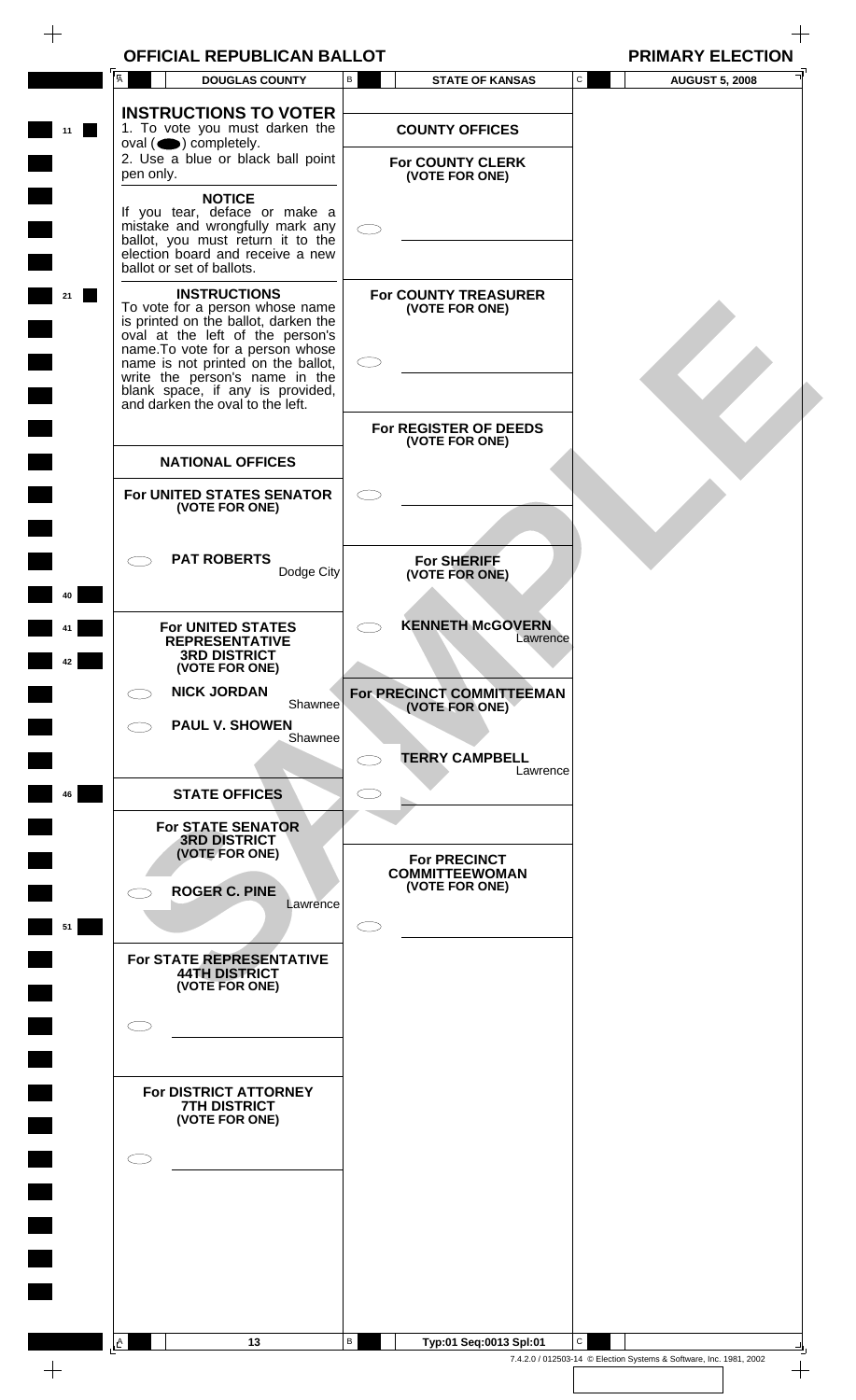A

**11**

 $\! + \!\!$ 

**21** 

**40**

**41**

**42**

**46**

**51**

 $\blacksquare$ 

 $\begin{array}{c} \begin{array}{c} \begin{array}{c} \begin{array}{c} \end{array} \end{array} \end{array} \end{array} \end{array}$ 

 $A$ 

 $\subset$ 

| OFFICIAL REPUBLICAN BALLOT                                                                                                                                                                                                                                                                                             |                                                                    | <b>PRIMARY ELECTION</b> |
|------------------------------------------------------------------------------------------------------------------------------------------------------------------------------------------------------------------------------------------------------------------------------------------------------------------------|--------------------------------------------------------------------|-------------------------|
| <b>DOUGLAS COUNTY</b>                                                                                                                                                                                                                                                                                                  | ${\bf C}$<br>В<br><b>STATE OF KANSAS</b>                           | <b>AUGUST 5, 2008</b>   |
| <b>INSTRUCTIONS TO VOTER</b><br>1. To vote you must darken the<br>oval $($ $\bullet)$ completely.<br>2. Use a blue or black ball point<br>pen only.                                                                                                                                                                    | <b>COUNTY OFFICES</b><br><b>For COUNTY CLERK</b><br>(VOTE FOR ONE) |                         |
| <b>NOTICE</b><br>If you tear, deface or make a<br>mistake and wrongfully mark any<br>ballot, you must return it to the<br>election board and receive a new<br>ballot or set of ballots.                                                                                                                                |                                                                    |                         |
| <b>INSTRUCTIONS</b><br>To vote for a person whose name<br>is printed on the ballot, darken the<br>oval at the left of the person's<br>name. To vote for a person whose<br>name is not printed on the ballot,<br>write the person's name in the<br>blank space, if any is provided,<br>and darken the oval to the left. | <b>For COUNTY TREASURER</b><br>(VOTE FOR ONE)<br>C.                |                         |
|                                                                                                                                                                                                                                                                                                                        | For REGISTER OF DEEDS<br>(VOTE FOR ONE)                            |                         |
| <b>NATIONAL OFFICES</b>                                                                                                                                                                                                                                                                                                |                                                                    |                         |
| For UNITED STATES SENATOR<br>(VOTE FOR ONE)                                                                                                                                                                                                                                                                            |                                                                    |                         |
| <b>PAT ROBERTS</b><br>Dodge City                                                                                                                                                                                                                                                                                       | <b>For SHERIFF</b><br>(VOTE FOR ONE)                               |                         |
| For UNITED STATES<br><b>REPRESENTATIVE</b><br><b>3RD DISTRICT</b><br>(VOTE FOR ONE)                                                                                                                                                                                                                                    | <b>KENNETH McGOVERN</b><br>Lawrence                                |                         |
| <b>NICK JORDAN</b><br>Shawnee                                                                                                                                                                                                                                                                                          | For PRECINCT COMMITTEEMAN<br>(VOTE FOR ONE)                        |                         |
| <b>PAUL V. SHOWEN</b><br>Shawnee                                                                                                                                                                                                                                                                                       |                                                                    |                         |
|                                                                                                                                                                                                                                                                                                                        | <b>TERRY CAMPBELL</b><br>Lawrence                                  |                         |
| <b>STATE OFFICES</b>                                                                                                                                                                                                                                                                                                   |                                                                    |                         |
| <b>For STATE SENATOR</b><br><b>3RD DISTRICT</b><br>(VOTE FOR ONE)<br><b>ROGER C. PINE</b><br>Lawrence                                                                                                                                                                                                                  | <b>For PRECINCT</b><br><b>COMMITTEEWOMAN</b><br>(VOTE FOR ONE)     |                         |
| For STATE REPRESENTATIVE<br><b>44TH DISTRICT</b><br>(VOTE FOR ONE)                                                                                                                                                                                                                                                     |                                                                    |                         |

 $\hspace{0.1mm} +$ 

B

 $\subset$ 

**For DISTRICT ATTORNEY 7TH DISTRICT (VOTE FOR ONE)**

> **13 Typ:01 Seq:0013 Spl:01** C  $\blacksquare$ 7.4.2.0 / 012503-14 © Election Systems & Software, Inc. 1981, 2002

 $\qquad \qquad +$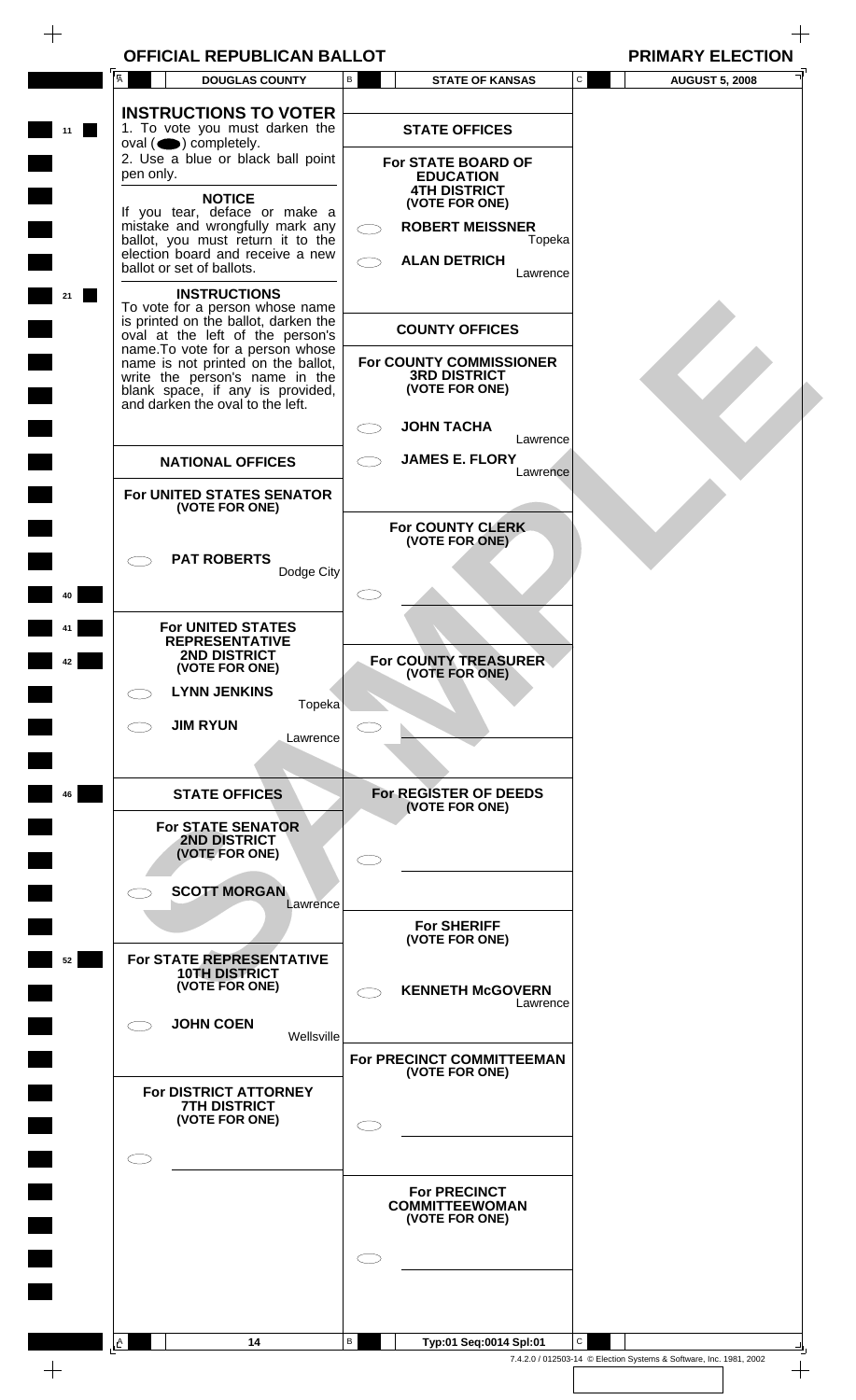|  | <b>PRIMARY ELECTI</b> |  |  |
|--|-----------------------|--|--|
|  |                       |  |  |

| OFFICIAL REPUBLICAN BALLOT                                                                                                                                                       |                                                                      | <b>PRIMARY ELECTION</b> |
|----------------------------------------------------------------------------------------------------------------------------------------------------------------------------------|----------------------------------------------------------------------|-------------------------|
| $\overline{A}$<br><b>DOUGLAS COUNTY</b>                                                                                                                                          | $\mathtt{C}$<br>B.<br><b>STATE OF KANSAS</b>                         | <b>AUGUST 5, 2008</b>   |
| <b>INSTRUCTIONS TO VOTER</b><br>1. To vote you must darken the<br>$oval(\n\bullet)$ completely.                                                                                  | <b>STATE OFFICES</b>                                                 |                         |
| 2. Use a blue or black ball point<br>pen only.                                                                                                                                   | <b>For STATE BOARD OF</b><br><b>EDUCATION</b><br><b>4TH DISTRICT</b> |                         |
| <b>NOTICE</b><br>If you tear, deface or make a<br>mistake and wrongfully mark any                                                                                                | (VOTE FOR ONE)<br><b>ROBERT MEISSNER</b>                             |                         |
| ballot, you must return it to the<br>election board and receive a new                                                                                                            | Topeka<br><b>ALAN DETRICH</b>                                        |                         |
| ballot or set of ballots.<br><b>INSTRUCTIONS</b>                                                                                                                                 | Lawrence                                                             |                         |
| To vote for a person whose name<br>is printed on the ballot, darken the<br>oval at the left of the person's                                                                      | <b>COUNTY OFFICES</b>                                                |                         |
| name. To vote for a person whose<br>name is not printed on the ballot,<br>write the person's name in the<br>blank space, if any is provided,<br>and darken the oval to the left. | For COUNTY COMMISSIONER<br><b>3RD DISTRICT</b><br>(VOTE FOR ONE)     |                         |
|                                                                                                                                                                                  | <b>JOHN TACHA</b><br>Lawrence                                        |                         |
| <b>NATIONAL OFFICES</b>                                                                                                                                                          | <b>JAMES E. FLORY</b><br>Lawrence                                    |                         |
| For UNITED STATES SENATOR                                                                                                                                                        |                                                                      |                         |
| (VOTE FOR ONE)                                                                                                                                                                   | For COUNTY CLERK<br>(VOTE FOR ONE)                                   |                         |
| <b>PAT ROBERTS</b><br>Dodge City                                                                                                                                                 |                                                                      |                         |
|                                                                                                                                                                                  |                                                                      |                         |
| <b>For UNITED STATES</b>                                                                                                                                                         |                                                                      |                         |
| <b>REPRESENTATIVE</b><br><b>2ND DISTRICT</b><br>(VOTE FOR ONE)                                                                                                                   | For COUNTY TREASURER<br>(VOTE FOR ONE)                               |                         |
| <b>LYNN JENKINS</b><br>Topeka                                                                                                                                                    |                                                                      |                         |
| <b>JIM RYUN</b><br>Lawrence                                                                                                                                                      |                                                                      |                         |
|                                                                                                                                                                                  |                                                                      |                         |
| <b>STATE OFFICES</b>                                                                                                                                                             | For REGISTER OF DEEDS<br>(VOTE FOR ONE)                              |                         |
| <b>For STATE SENATOR</b><br>2ND DISTRICT                                                                                                                                         |                                                                      |                         |
| (VOTE FOR ONE)                                                                                                                                                                   |                                                                      |                         |
| <b>SCOTT MORGAN</b><br>Lawrence                                                                                                                                                  |                                                                      |                         |
|                                                                                                                                                                                  | <b>For SHERIFF</b><br>(VOTE FOR ONE)                                 |                         |
| For STATE REPRESENTATIVE<br><b>10TH DISTRICT</b><br>(VOTE FOR ONE)                                                                                                               | <b>KENNETH McGOVERN</b><br>$\overline{\phantom{m}}$                  |                         |
| <b>JOHN COEN</b><br>$\overline{\phantom{a}}$                                                                                                                                     | Lawrence                                                             |                         |
| Wellsville                                                                                                                                                                       | For PRECINCT COMMITTEEMAN                                            |                         |
| For DISTRICT ATTORNEY                                                                                                                                                            | (VOTE FOR ONE)                                                       |                         |
| <b>7TH DISTRICT</b><br>(VOTE FOR ONE)                                                                                                                                            | C.                                                                   |                         |
|                                                                                                                                                                                  |                                                                      |                         |
|                                                                                                                                                                                  | <b>For PRECINCT</b>                                                  |                         |
|                                                                                                                                                                                  | <b>COMMITTEEWOMAN</b><br>(VOTE FOR ONE)                              |                         |
|                                                                                                                                                                                  |                                                                      |                         |
|                                                                                                                                                                                  |                                                                      |                         |
|                                                                                                                                                                                  |                                                                      |                         |
| $\mathsf{L}^\mathsf{A}$<br>14                                                                                                                                                    | В<br>$\mathsf{C}$<br>Typ:01 Seq:0014 Spl:01                          |                         |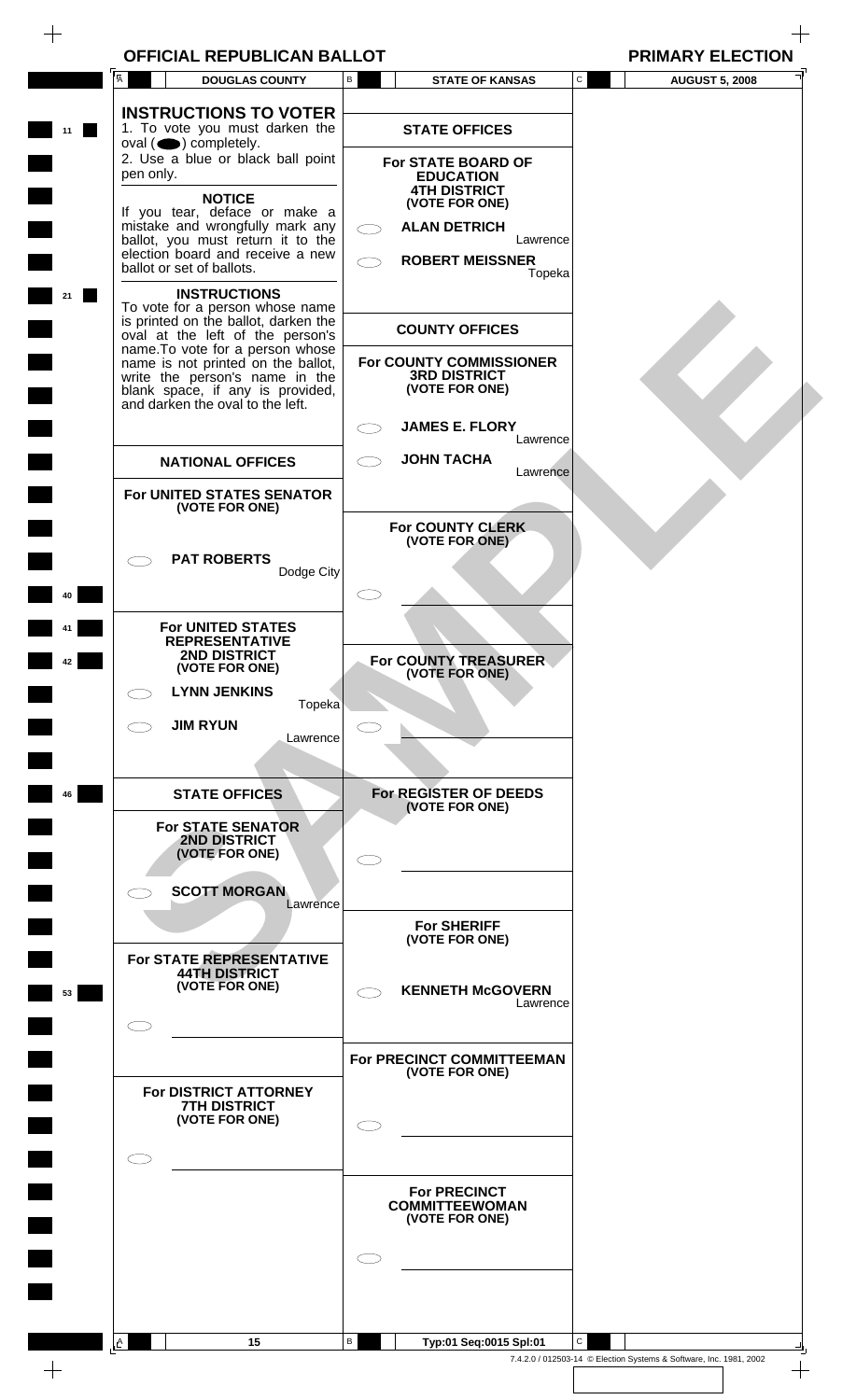**OFFICIAL REPUBLICAN BALLOT PRIMARY ELECTION**

|    | Ā            | <b>DOUGLAS COUNTY</b>                                                                                                                                                                                                        | B | <b>STATE OF KANSAS</b>                                                                                                           |                    | C | <b>AUGUST 5, 2008</b> |  |
|----|--------------|------------------------------------------------------------------------------------------------------------------------------------------------------------------------------------------------------------------------------|---|----------------------------------------------------------------------------------------------------------------------------------|--------------------|---|-----------------------|--|
| 11 |              | <b>INSTRUCTIONS TO VOTER</b><br>1. To vote you must darken the<br>$oval(\n\bullet)$ completely.                                                                                                                              |   | <b>STATE OFFICES</b>                                                                                                             |                    |   |                       |  |
|    | pen only.    | 2. Use a blue or black ball point<br><b>NOTICE</b><br>If you tear, deface or make a<br>mistake and wrongfully mark any<br>ballot, you must return it to the<br>election board and receive a new<br>ballot or set of ballots. |   | For STATE BOARD OF<br><b>EDUCATION</b><br><b>4TH DISTRICT</b><br>(VOTE FOR ONE)<br><b>ALAN DETRICH</b><br><b>ROBERT MEISSNER</b> | Lawrence<br>Topeka |   |                       |  |
|    |              | <b>INSTRUCTIONS</b><br>To vote for a person whose name<br>is printed on the ballot, darken the<br>oval at the left of the person's                                                                                           |   | <b>COUNTY OFFICES</b>                                                                                                            |                    |   |                       |  |
|    |              | name. To vote for a person whose<br>name is not printed on the ballot,<br>write the person's name in the<br>blank space, if any is provided, and darken the oval to the left.                                                |   | <b>For COUNTY COMMISSIONER</b><br><b>3RD DISTRICT</b><br>(VOTE FOR ONE)                                                          |                    |   |                       |  |
|    |              |                                                                                                                                                                                                                              |   | <b>JAMES E. FLORY</b>                                                                                                            | Lawrence           |   |                       |  |
|    |              | <b>NATIONAL OFFICES</b>                                                                                                                                                                                                      |   | <b>JOHN TACHA</b>                                                                                                                | Lawrence           |   |                       |  |
|    |              | For UNITED STATES SENATOR<br>(VOTE FOR ONE)                                                                                                                                                                                  |   |                                                                                                                                  |                    |   |                       |  |
|    |              | <b>PAT ROBERTS</b><br>Dodge City                                                                                                                                                                                             |   | For COUNTY CLERK<br>(VOTE FOR ONE)                                                                                               |                    |   |                       |  |
|    |              | For UNITED STATES                                                                                                                                                                                                            |   |                                                                                                                                  |                    |   |                       |  |
|    |              | <b>REPRESENTATIVE</b><br><b>2ND DISTRICT</b><br>(VOTE FOR ONE)                                                                                                                                                               |   | For COUNTY TREASURER<br>(VOTE FOR ONE)                                                                                           |                    |   |                       |  |
|    |              | <b>LYNN JENKINS</b><br>Topeka                                                                                                                                                                                                |   |                                                                                                                                  |                    |   |                       |  |
|    |              | <b>JIM RYUN</b><br>Lawrence                                                                                                                                                                                                  |   |                                                                                                                                  |                    |   |                       |  |
| 46 |              | <b>STATE OFFICES</b><br><b>For STATE SENATOR</b><br>2ND DISTRICT<br>(VOTE FOR ONE)                                                                                                                                           |   | For REGISTER OF DEEDS<br>(VOTE FOR ONE)                                                                                          |                    |   |                       |  |
|    |              | <b>SCOTT MORGAN</b><br>Lawrence                                                                                                                                                                                              |   | <b>For SHERIFF</b>                                                                                                               |                    |   |                       |  |
|    |              | For STATE REPRESENTATIVE<br><b>44TH DISTRICT</b>                                                                                                                                                                             |   | (VOTE FOR ONE)                                                                                                                   |                    |   |                       |  |
| 53 |              | (VOTE FOR ONE)                                                                                                                                                                                                               |   | <b>KENNETH McGOVERN</b>                                                                                                          | Lawrence           |   |                       |  |
|    |              |                                                                                                                                                                                                                              |   |                                                                                                                                  |                    |   |                       |  |
|    |              | For DISTRICT ATTORNEY                                                                                                                                                                                                        |   | For PRECINCT COMMITTEEMAN<br>(VOTE FOR ONE)                                                                                      |                    |   |                       |  |
|    |              | <b>7TH DISTRICT</b><br>(VOTE FOR ONE)                                                                                                                                                                                        |   |                                                                                                                                  |                    |   |                       |  |
|    |              |                                                                                                                                                                                                                              |   |                                                                                                                                  |                    |   |                       |  |
|    |              |                                                                                                                                                                                                                              |   | <b>For PRECINCT</b><br><b>COMMITTEEWOMAN</b><br>(VOTE FOR ONE)                                                                   |                    |   |                       |  |
|    |              |                                                                                                                                                                                                                              |   |                                                                                                                                  |                    |   |                       |  |
|    |              |                                                                                                                                                                                                                              |   |                                                                                                                                  |                    |   |                       |  |
|    | $\mathsf{A}$ | 15                                                                                                                                                                                                                           | В | Typ:01 Seq:0015 Spl:01                                                                                                           |                    | C |                       |  |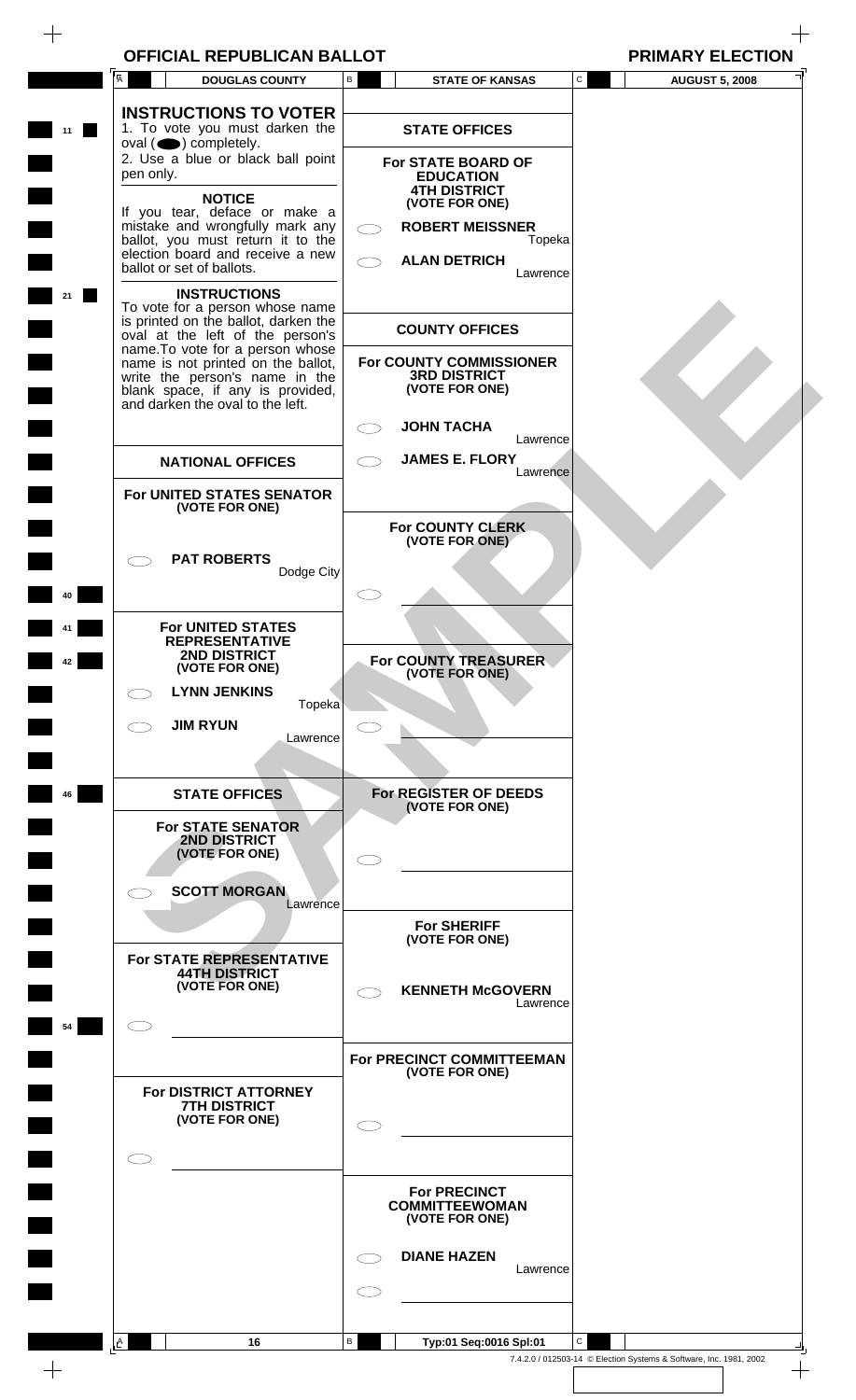| <b>OFFICIAL REPUBLICAN BALLOT</b><br><b>PRIMARY ELECTION</b> |  |
|--------------------------------------------------------------|--|
|--------------------------------------------------------------|--|



| Ā  | <b>DOUGLAS COUNTY</b>                                                                                                                                                            | В            | <b>STATE OF KANSAS</b>                                                  | С            | <b>AUGUST 5, 2008</b> |
|----|----------------------------------------------------------------------------------------------------------------------------------------------------------------------------------|--------------|-------------------------------------------------------------------------|--------------|-----------------------|
| 11 | <b>INSTRUCTIONS TO VOTER</b><br>1. To vote you must darken the<br>$oval \textcircled{\bullet}$ ) completely.                                                                     |              | <b>STATE OFFICES</b>                                                    |              |                       |
|    | 2. Use a blue or black ball point<br>pen only.                                                                                                                                   |              | For STATE BOARD OF<br><b>EDUCATION</b><br><b>4TH DISTRICT</b>           |              |                       |
|    | <b>NOTICE</b><br>If you tear, deface or make a<br>mistake and wrongfully mark any<br>ballot, you must return it to the                                                           |              | (VOTE FOR ONE)<br><b>ROBERT MEISSNER</b><br>Topeka                      |              |                       |
|    | election board and receive a new<br>ballot or set of ballots.<br><b>INSTRUCTIONS</b>                                                                                             |              | <b>ALAN DETRICH</b><br>Lawrence                                         |              |                       |
| 21 | To vote for a person whose name<br>is printed on the ballot, darken the<br>oval at the left of the person's                                                                      |              | <b>COUNTY OFFICES</b>                                                   |              |                       |
|    | name. To vote for a person whose<br>name is not printed on the ballot,<br>write the person's name in the<br>blank space, if any is provided,<br>and darken the oval to the left. |              | <b>For COUNTY COMMISSIONER</b><br><b>3RD DISTRICT</b><br>(VOTE FOR ONE) |              |                       |
|    |                                                                                                                                                                                  |              | <b>JOHN TACHA</b><br>Lawrence                                           |              |                       |
|    | <b>NATIONAL OFFICES</b>                                                                                                                                                          |              | <b>JAMES E. FLORY</b><br>Lawrence                                       |              |                       |
|    | For UNITED STATES SENATOR<br>(VOTE FOR ONE)                                                                                                                                      |              | For COUNTY CLERK<br>(VOTE FOR ONE)                                      |              |                       |
|    | <b>PAT ROBERTS</b><br>Dodge City                                                                                                                                                 |              |                                                                         |              |                       |
| 40 | <b>For UNITED STATES</b>                                                                                                                                                         |              |                                                                         |              |                       |
|    | <b>REPRESENTATIVE</b><br><b>2ND DISTRICT</b><br>(VOTE FOR ONE)                                                                                                                   |              | For COUNTY TREASURER<br>(VOTE FOR ONE)                                  |              |                       |
|    | <b>LYNN JENKINS</b><br>Topeka                                                                                                                                                    |              |                                                                         |              |                       |
|    | <b>JIM RYUN</b><br>Lawrence                                                                                                                                                      |              |                                                                         |              |                       |
| 46 | <b>STATE OFFICES</b>                                                                                                                                                             |              | For REGISTER OF DEEDS<br>(VOTE FOR ONE)                                 |              |                       |
|    | <b>For STATE SENATOR</b><br>2ND DISTRICT<br>(VOTE FOR ONE)                                                                                                                       |              |                                                                         |              |                       |
|    | <b>SCOTT MORGAN</b><br>Lawrence                                                                                                                                                  |              | <b>For SHERIFF</b>                                                      |              |                       |
|    | For STATE REPRESENTATIVE<br><b>44TH DISTRICT</b>                                                                                                                                 |              | (VOTE FOR ONE)                                                          |              |                       |
|    | (VOTE FOR ONE)                                                                                                                                                                   |              | <b>KENNETH McGOVERN</b><br>Lawrence                                     |              |                       |
| 54 |                                                                                                                                                                                  |              | For PRECINCT COMMITTEEMAN                                               |              |                       |
|    | For DISTRICT ATTORNEY                                                                                                                                                            |              | (VOTE FOR ONE)                                                          |              |                       |
|    | <b>7TH DISTRICT</b><br>(VOTE FOR ONE)                                                                                                                                            |              |                                                                         |              |                       |
|    |                                                                                                                                                                                  |              |                                                                         |              |                       |
|    |                                                                                                                                                                                  |              | <b>For PRECINCT</b><br><b>COMMITTEEWOMAN</b><br>(VOTE FOR ONE)          |              |                       |
|    |                                                                                                                                                                                  |              | <b>DIANE HAZEN</b><br>Lawrence                                          |              |                       |
|    |                                                                                                                                                                                  |              |                                                                         |              |                       |
| A  | 16                                                                                                                                                                               | $\mathsf{B}$ | Typ:01 Seq:0016 Spl:01                                                  | $\mathsf{C}$ |                       |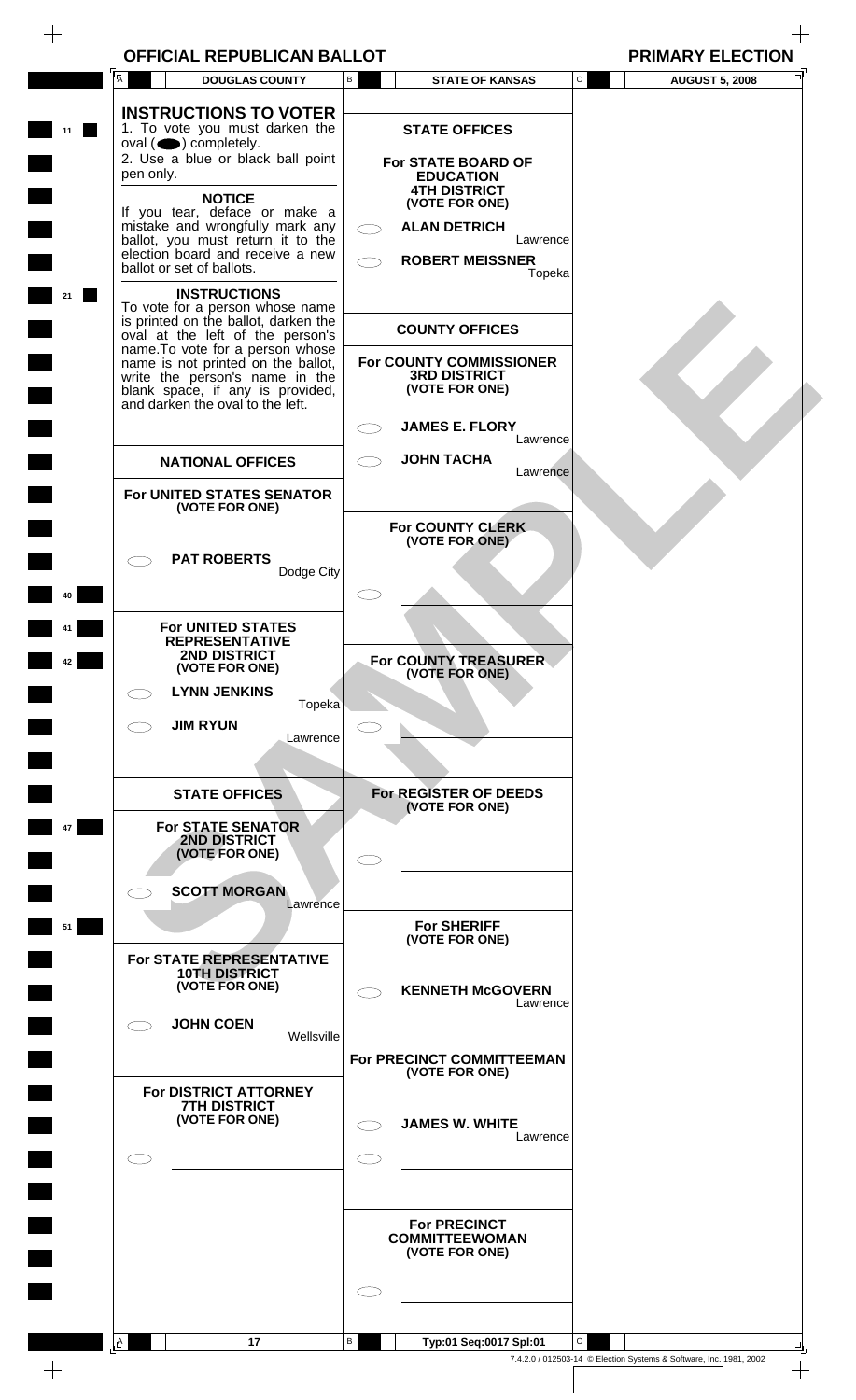| <b>OFFICIAL REPUBLICAN BALLOT</b> |  |  |  |
|-----------------------------------|--|--|--|
|-----------------------------------|--|--|--|

|    | <b>OFFICIAL REPUBLICAN BALLOT</b>                                                                                                               | <b>PRIMARY ELECTION</b>                                                            |
|----|-------------------------------------------------------------------------------------------------------------------------------------------------|------------------------------------------------------------------------------------|
|    | A<br><b>DOUGLAS COUNTY</b>                                                                                                                      | $\, {\bf B} \,$<br>$\mathtt{C}$<br><b>AUGUST 5, 2008</b><br><b>STATE OF KANSAS</b> |
| 11 | <b>INSTRUCTIONS TO VOTER</b><br>1. To vote you must darken the<br>$oval(\n\bullet)$ completely.<br>2. Use a blue or black ball point            | <b>STATE OFFICES</b><br>For STATE BOARD OF                                         |
|    | pen only.<br><b>NOTICE</b>                                                                                                                      | <b>EDUCATION</b><br><b>4TH DISTRICT</b><br>(VOTE FOR ONE)                          |
|    | If you tear, deface or make a<br>mistake and wrongfully mark any                                                                                | <b>ALAN DETRICH</b>                                                                |
|    | ballot, you must return it to the<br>election board and receive a new<br>ballot or set of ballots.                                              | Lawrence<br><b>ROBERT MEISSNER</b><br>Topeka                                       |
|    | <b>INSTRUCTIONS</b>                                                                                                                             |                                                                                    |
|    | To vote for a person whose name<br>is printed on the ballot, darken the<br>oval at the left of the person's<br>name. To vote for a person whose | <b>COUNTY OFFICES</b>                                                              |
|    | name is not printed on the ballot,<br>write the person's name in the<br>blank space, if any is provided,<br>and darken the oval to the left.    | For COUNTY COMMISSIONER<br><b>3RD DISTRICT</b><br>(VOTE FOR ONE)                   |
|    |                                                                                                                                                 | <b>JAMES E. FLORY</b><br>Lawrence                                                  |
|    | <b>NATIONAL OFFICES</b>                                                                                                                         | <b>JOHN TACHA</b><br>Lawrence                                                      |
|    | For UNITED STATES SENATOR<br>(VOTE FOR ONE)                                                                                                     |                                                                                    |
|    |                                                                                                                                                 | For COUNTY CLERK<br>(VOTE FOR ONE)                                                 |
|    | <b>PAT ROBERTS</b><br>Dodge City                                                                                                                |                                                                                    |
|    |                                                                                                                                                 |                                                                                    |
|    | <b>For UNITED STATES</b>                                                                                                                        |                                                                                    |
| 42 | <b>REPRESENTATIVE</b><br><b>2ND DISTRICT</b><br>(VOTE FOR ONE)                                                                                  | For COUNTY TREASURER                                                               |
|    | <b>LYNN JENKINS</b>                                                                                                                             | (VOTE FOR ONE)                                                                     |
|    | Topeka<br><b>JIM RYUN</b>                                                                                                                       |                                                                                    |
|    | Lawrence                                                                                                                                        |                                                                                    |
|    | <b>STATE OFFICES</b>                                                                                                                            | For REGISTER OF DEEDS<br>(VOTE FOR ONE)                                            |
| 47 | <b>For STATE SENATOR</b><br><b>2ND DISTRICT</b><br>(VOTE FOR ONE)                                                                               |                                                                                    |
|    | <b>SCOTT MORGAN</b>                                                                                                                             |                                                                                    |
| 51 | Lawrence                                                                                                                                        | <b>For SHERIFF</b><br>(VOTE FOR ONE)                                               |
|    | For STATE REPRESENTATIVE<br><b>10TH DISTRICT</b>                                                                                                |                                                                                    |
|    | (VOTE FOR ONE)                                                                                                                                  | <b>KENNETH McGOVERN</b><br>Lawrence                                                |
|    | <b>JOHN COEN</b><br>Wellsville                                                                                                                  |                                                                                    |
|    |                                                                                                                                                 | For PRECINCT COMMITTEEMAN<br>(VOTE FOR ONE)                                        |
|    | For DISTRICT ATTORNEY<br><b>7TH DISTRICT</b>                                                                                                    |                                                                                    |
|    | (VOTE FOR ONE)                                                                                                                                  | <b>JAMES W. WHITE</b><br>Lawrence                                                  |
|    |                                                                                                                                                 |                                                                                    |
|    |                                                                                                                                                 |                                                                                    |
|    |                                                                                                                                                 | <b>For PRECINCT</b><br><b>COMMITTEEWOMAN</b><br>(VOTE FOR ONE)                     |
|    |                                                                                                                                                 |                                                                                    |
|    |                                                                                                                                                 |                                                                                    |
|    | A<br>17                                                                                                                                         | $\mathsf{C}$<br>В<br>Typ:01 Seq:0017 Spl:01                                        |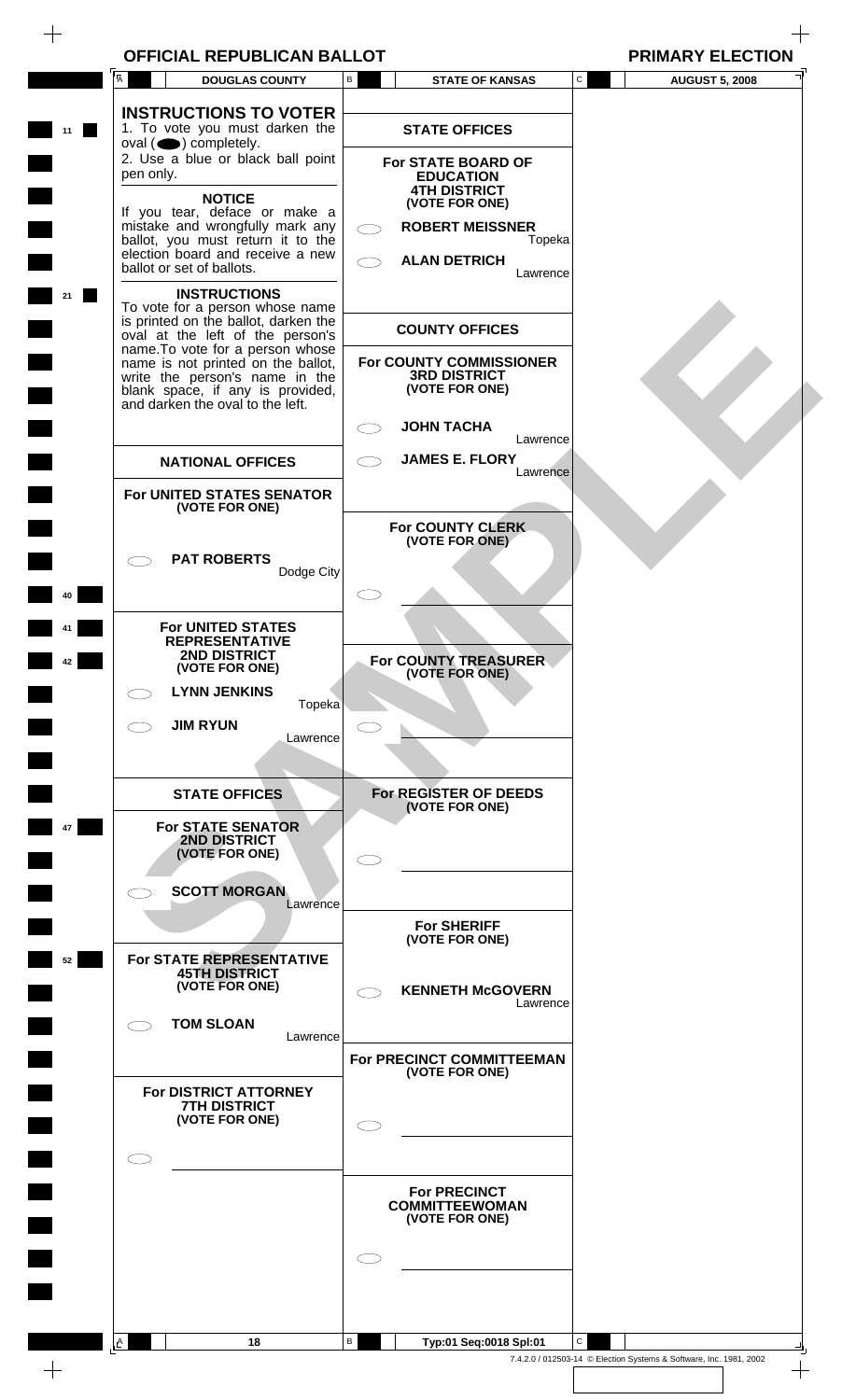|  | <b>PRIMARY ELECTI</b> |  |  |
|--|-----------------------|--|--|
|  |                       |  |  |

| OFFICIAL REPUBLICAN BALLOT                                                                                                                   |                                                                      |                       |
|----------------------------------------------------------------------------------------------------------------------------------------------|----------------------------------------------------------------------|-----------------------|
| $\overline{A}$<br><b>DOUGLAS COUNTY</b>                                                                                                      | $\mathtt{C}$<br>B.<br><b>STATE OF KANSAS</b>                         | <b>AUGUST 5, 2008</b> |
| <b>INSTRUCTIONS TO VOTER</b><br>1. To vote you must darken the<br>$oval(\n\bullet)$ completely.                                              | <b>STATE OFFICES</b>                                                 |                       |
| 2. Use a blue or black ball point<br>pen only.                                                                                               | <b>For STATE BOARD OF</b><br><b>EDUCATION</b><br><b>4TH DISTRICT</b> |                       |
| <b>NOTICE</b><br>If you tear, deface or make a<br>mistake and wrongfully mark any<br>ballot, you must return it to the                       | (VOTE FOR ONE)<br><b>ROBERT MEISSNER</b><br>Topeka                   |                       |
| election board and receive a new<br>ballot or set of ballots.                                                                                | <b>ALAN DETRICH</b><br>Lawrence                                      |                       |
| <b>INSTRUCTIONS</b><br>To vote for a person whose name<br>is printed on the ballot, darken the                                               | <b>COUNTY OFFICES</b>                                                |                       |
| oval at the left of the person's<br>name. To vote for a person whose<br>name is not printed on the ballot,<br>write the person's name in the | For COUNTY COMMISSIONER<br><b>3RD DISTRICT</b>                       |                       |
| blank space, if any is provided,<br>and darken the oval to the left.                                                                         | (VOTE FOR ONE)<br><b>JOHN TACHA</b>                                  |                       |
| <b>NATIONAL OFFICES</b>                                                                                                                      | Lawrence<br><b>JAMES E. FLORY</b><br>Lawrence                        |                       |
| For UNITED STATES SENATOR<br>(VOTE FOR ONE)                                                                                                  |                                                                      |                       |
| <b>PAT ROBERTS</b>                                                                                                                           | For COUNTY CLERK<br>(VOTE FOR ONE)                                   |                       |
| Dodge City                                                                                                                                   |                                                                      |                       |
| <b>For UNITED STATES</b><br><b>REPRESENTATIVE</b><br><b>2ND DISTRICT</b>                                                                     |                                                                      |                       |
| (VOTE FOR ONE)<br><b>LYNN JENKINS</b>                                                                                                        | For COUNTY TREASURER<br>(VOTE FOR ONE)                               |                       |
| Topeka<br><b>JIM RYUN</b><br>Lawrence                                                                                                        |                                                                      |                       |
| <b>STATE OFFICES</b>                                                                                                                         | For REGISTER OF DEEDS                                                |                       |
| <b>For STATE SENATOR</b><br>2ND DISTRICT                                                                                                     | (VOTE FOR ONE)                                                       |                       |
| (VOTE FOR ONE)                                                                                                                               |                                                                      |                       |
| <b>SCOTT MORGAN</b><br>Lawrence                                                                                                              | <b>For SHERIFF</b>                                                   |                       |
| For STATE REPRESENTATIVE<br><b>45TH DISTRICT</b><br>(VOTE FOR ONE)                                                                           | (VOTE FOR ONE)<br><b>KENNETH McGOVERN</b>                            |                       |
| <b>TOM SLOAN</b><br>─ ─                                                                                                                      | $\overline{\phantom{a}}$<br>Lawrence                                 |                       |
| Lawrence                                                                                                                                     | For PRECINCT COMMITTEEMAN<br>(VOTE FOR ONE)                          |                       |
| For DISTRICT ATTORNEY<br><b>7TH DISTRICT</b><br>(VOTE FOR ONE)                                                                               | C.                                                                   |                       |
|                                                                                                                                              |                                                                      |                       |
|                                                                                                                                              | <b>For PRECINCT</b><br><b>COMMITTEEWOMAN</b><br>(VOTE FOR ONE)       |                       |
|                                                                                                                                              |                                                                      |                       |
|                                                                                                                                              |                                                                      |                       |
| A<br>18                                                                                                                                      | В<br>$\mathsf{C}$<br>Typ:01 Seq:0018 Spl:01                          |                       |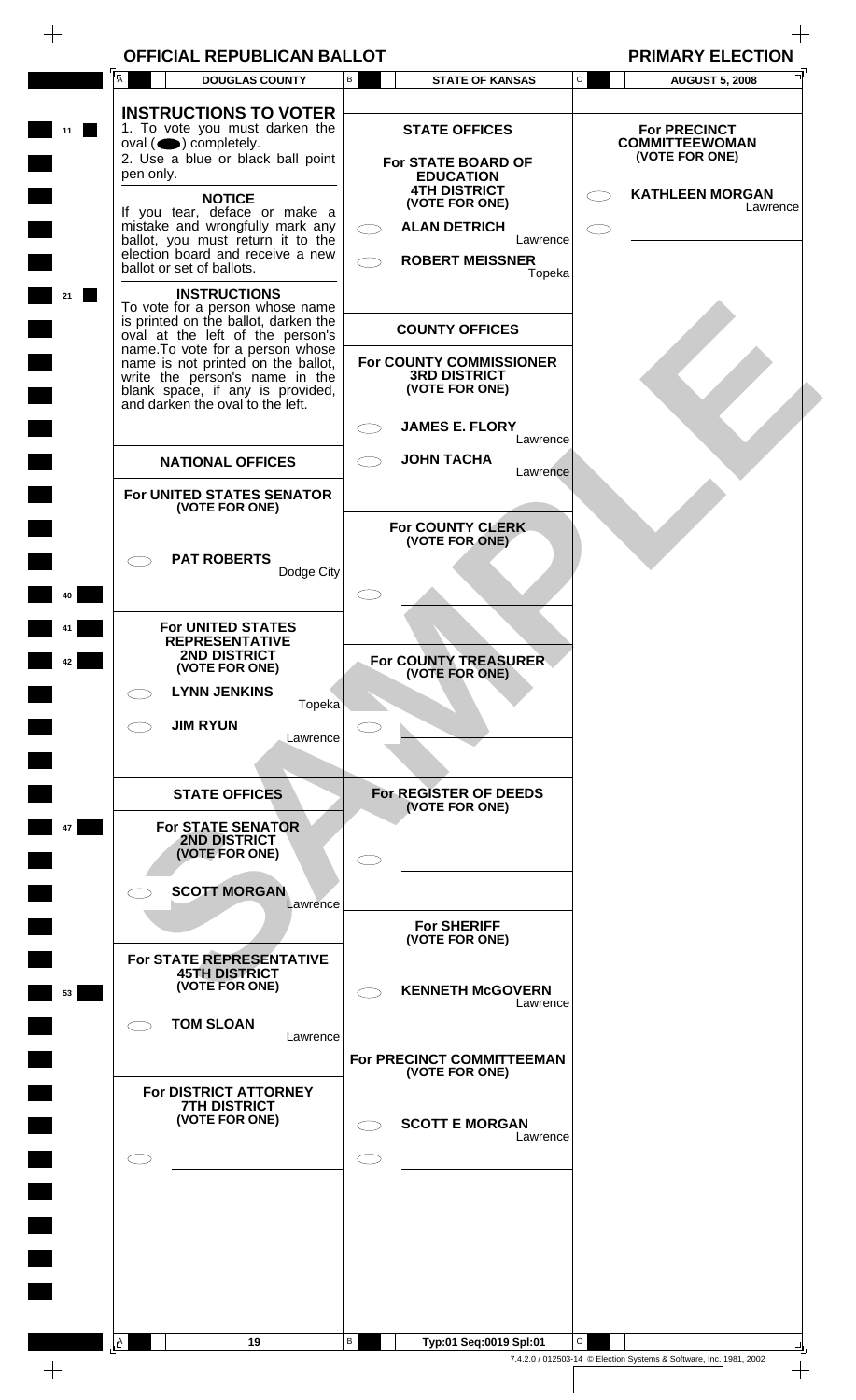| $\overline{A}$<br><b>DOUGLAS COUNTY</b>                                 | В | <b>STATE OF KANSAS</b>                         | $\mathbf{C}$ | <b>AUGUST 5, 2008</b>                        |
|-------------------------------------------------------------------------|---|------------------------------------------------|--------------|----------------------------------------------|
| <b>INSTRUCTIONS TO VOTER</b>                                            |   |                                                |              |                                              |
| 1. To vote you must darken the<br>$oval(\n\bullet)$ completely.         |   | <b>STATE OFFICES</b>                           |              | <b>For PRECINCT</b><br><b>COMMITTEEWOMAN</b> |
| 2. Use a blue or black ball point                                       |   | For STATE BOARD OF                             |              | (VOTE FOR ONE)                               |
| pen only.                                                               |   | <b>EDUCATION</b>                               |              |                                              |
| <b>NOTICE</b>                                                           |   | <b>4TH DISTRICT</b><br>(VOTE FOR ONE)          |              | <b>KATHLEEN MORGAN</b><br>Lawrence           |
| If you tear, deface or make a<br>mistake and wrongfully mark any        |   | <b>ALAN DETRICH</b>                            |              |                                              |
| ballot, you must return it to the<br>election board and receive a new   |   | Lawrence                                       |              |                                              |
| ballot or set of ballots.                                               |   | <b>ROBERT MEISSNER</b><br>Topeka               |              |                                              |
| <b>INSTRUCTIONS</b>                                                     |   |                                                |              |                                              |
| To vote for a person whose name<br>is printed on the ballot, darken the |   |                                                |              |                                              |
| oval at the left of the person's<br>name. To vote for a person whose    |   | <b>COUNTY OFFICES</b>                          |              |                                              |
| name is not printed on the ballot,                                      |   | For COUNTY COMMISSIONER<br><b>3RD DISTRICT</b> |              |                                              |
| write the person's name in the<br>blank space, if any is provided,      |   | (VOTE FOR ONE)                                 |              |                                              |
| and darken the oval to the left.                                        |   |                                                |              |                                              |
|                                                                         |   | <b>JAMES E. FLORY</b><br>Lawrence              |              |                                              |
| <b>NATIONAL OFFICES</b>                                                 |   | <b>JOHN TACHA</b>                              |              |                                              |
| For UNITED STATES SENATOR                                               |   | Lawrence                                       |              |                                              |
| (VOTE FOR ONE)                                                          |   |                                                |              |                                              |
|                                                                         |   | For COUNTY CLERK<br>(VOTE FOR ONE)             |              |                                              |
| <b>PAT ROBERTS</b>                                                      |   |                                                |              |                                              |
| Dodge City                                                              |   |                                                |              |                                              |
|                                                                         |   |                                                |              |                                              |
| <b>For UNITED STATES</b>                                                |   |                                                |              |                                              |
| <b>REPRESENTATIVE</b><br><b>2ND DISTRICT</b>                            |   | For COUNTY TREASURER                           |              |                                              |
| (VOTE FOR ONE)                                                          |   | (VOTE FOR ONE)                                 |              |                                              |
| <b>LYNN JENKINS</b><br>Topeka                                           |   |                                                |              |                                              |
| <b>JIM RYUN</b>                                                         |   |                                                |              |                                              |
| Lawrence                                                                |   |                                                |              |                                              |
|                                                                         |   |                                                |              |                                              |
| <b>STATE OFFICES</b>                                                    |   | For REGISTER OF DEEDS                          |              |                                              |
| <b>For STATE SENATOR</b>                                                |   | (VOTE FOR ONE)                                 |              |                                              |
| 2ND DISTRICT<br>(VOTE FOR ONE)                                          |   |                                                |              |                                              |
|                                                                         |   |                                                |              |                                              |
| <b>SCOTT MORGAN</b>                                                     |   |                                                |              |                                              |
| Lawrence                                                                |   | <b>For SHERIFF</b>                             |              |                                              |
|                                                                         |   | (VOTE FOR ONE)                                 |              |                                              |
| For STATE REPRESENTATIVE<br><b>45TH DISTRICT</b>                        |   |                                                |              |                                              |
| (VOTE FOR ONE)                                                          |   | <b>KENNETH McGOVERN</b>                        |              |                                              |
| <b>TOM SLOAN</b>                                                        |   | Lawrence                                       |              |                                              |
| Lawrence                                                                |   |                                                |              |                                              |
|                                                                         |   | For PRECINCT COMMITTEEMAN<br>(VOTE FOR ONE)    |              |                                              |
| For DISTRICT ATTORNEY                                                   |   |                                                |              |                                              |
| <b>7TH DISTRICT</b><br>(VOTE FOR ONE)                                   |   |                                                |              |                                              |
|                                                                         |   | <b>SCOTT E MORGAN</b><br>Lawrence              |              |                                              |
|                                                                         |   |                                                |              |                                              |
|                                                                         |   |                                                |              |                                              |
|                                                                         |   |                                                |              |                                              |
|                                                                         |   |                                                |              |                                              |
|                                                                         |   |                                                |              |                                              |
|                                                                         |   |                                                |              |                                              |
|                                                                         |   |                                                |              |                                              |
|                                                                         |   |                                                |              |                                              |
|                                                                         | В | Typ:01 Seq:0019 Spl:01                         | $\mathbf{C}$ |                                              |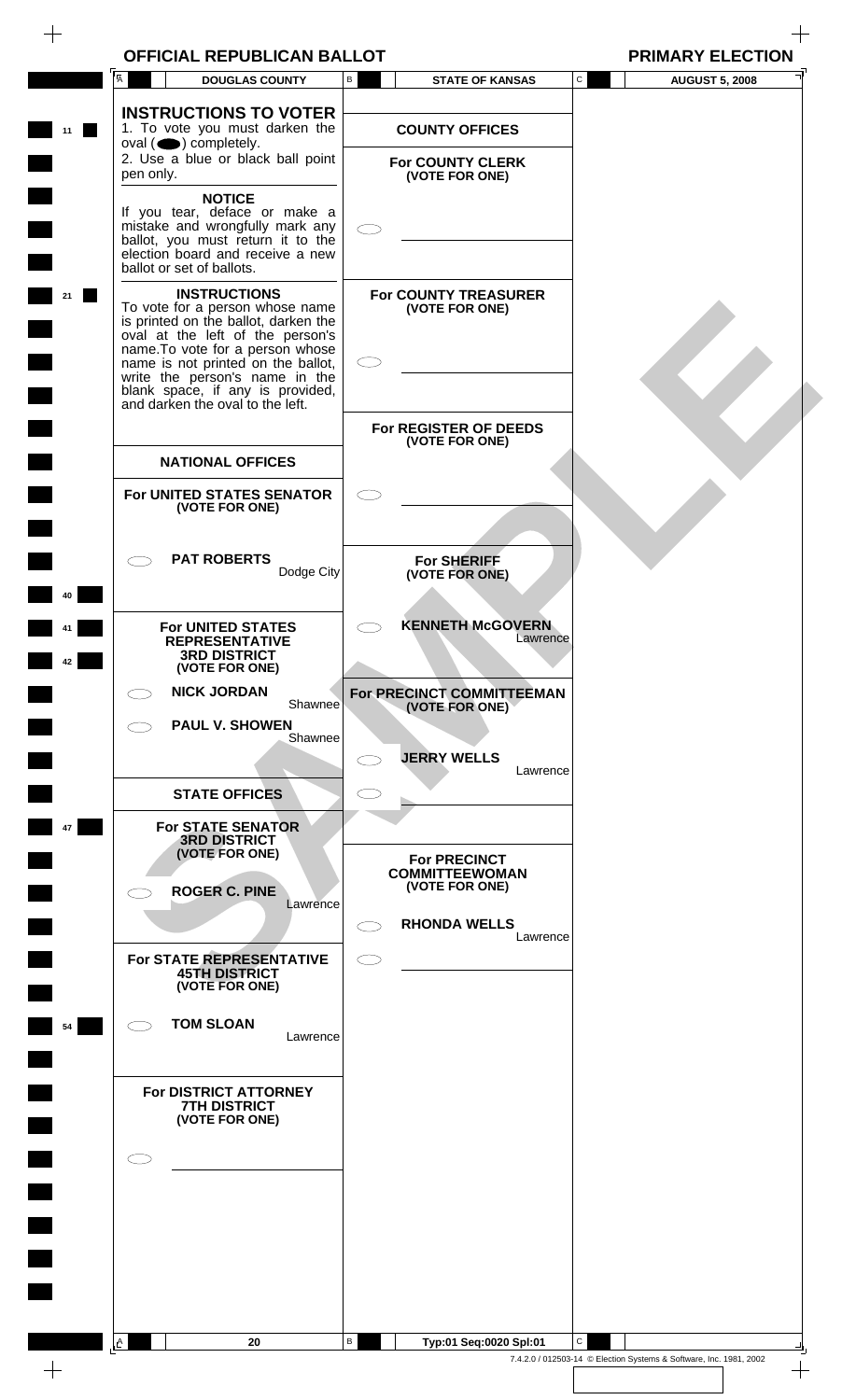A

**11** 

**21**

**40**

 $\blacksquare$ 

 $\blacksquare$ 

**41**

**42**

**47**

**54**

 $+$ 

 $\bigcirc$ 

 $\bigcirc$ 

 $A$ 

| <b>OFFICIAL REPUBLICAN BALLOT</b>                                                                                                                                                                                                                                                                                      |                                                                    | <b>PRIMARY ELECTION</b>               |
|------------------------------------------------------------------------------------------------------------------------------------------------------------------------------------------------------------------------------------------------------------------------------------------------------------------------|--------------------------------------------------------------------|---------------------------------------|
| <b>DOUGLAS COUNTY</b>                                                                                                                                                                                                                                                                                                  | В<br><b>STATE OF KANSAS</b>                                        | $\mathsf{C}$<br><b>AUGUST 5, 2008</b> |
| <b>INSTRUCTIONS TO VOTER</b><br>1. To vote you must darken the<br>$oval(\n\bullet)$ completely.<br>2. Use a blue or black ball point<br>pen only.                                                                                                                                                                      | <b>COUNTY OFFICES</b><br><b>For COUNTY CLERK</b><br>(VOTE FOR ONE) |                                       |
| <b>NOTICE</b><br>If you tear, deface or make a<br>mistake and wrongfully mark any<br>ballot, you must return it to the<br>election board and receive a new<br>ballot or set of ballots.                                                                                                                                |                                                                    |                                       |
| <b>INSTRUCTIONS</b><br>To vote for a person whose name<br>is printed on the ballot, darken the<br>oval at the left of the person's<br>name. To vote for a person whose<br>name is not printed on the ballot,<br>write the person's name in the<br>blank space, if any is provided,<br>and darken the oval to the left. | <b>For COUNTY TREASURER</b><br>(VOTE FOR ONE)                      |                                       |
|                                                                                                                                                                                                                                                                                                                        | For REGISTER OF DEEDS<br>(VOTE FOR ONE)                            |                                       |
| <b>NATIONAL OFFICES</b>                                                                                                                                                                                                                                                                                                |                                                                    |                                       |
| <b>For UNITED STATES SENATOR</b><br>(VOTE FOR ONE)                                                                                                                                                                                                                                                                     |                                                                    |                                       |
| <b>PAT ROBERTS</b><br>Dodge City                                                                                                                                                                                                                                                                                       | <b>For SHERIFF</b><br>(VOTE FOR ONE)                               |                                       |
| <b>For UNITED STATES</b><br><b>REPRESENTATIVE</b><br><b>3RD DISTRICT</b><br>(VOTE FOR ONE)                                                                                                                                                                                                                             | <b>KENNETH McGOVERN</b><br>Lawrence                                |                                       |
| <b>NICK JORDAN</b><br>Shawnee                                                                                                                                                                                                                                                                                          | For PRECINCT COMMITTEEMAN<br>(VOTE FOR ONE)                        |                                       |
| <b>PAUL V. SHOWEN</b><br>Shawnee                                                                                                                                                                                                                                                                                       | <b>JERRY WELLS</b><br>Lawrence                                     |                                       |
| <b>STATE OFFICES</b>                                                                                                                                                                                                                                                                                                   |                                                                    |                                       |
| <b>For STATE SENATOR</b><br><b>3RD DISTRICT</b><br>(VOTE FOR ONE)<br><b>ROGER C. PINE</b><br>Lawrence                                                                                                                                                                                                                  | <b>For PRECINCT</b><br><b>COMMITTEEWOMAN</b><br>(VOTE FOR ONE)     |                                       |
|                                                                                                                                                                                                                                                                                                                        | <b>RHONDA WELLS</b><br>Lawrence                                    |                                       |
| For STATE REPRESENTATIVE<br><b>45TH DISTRICT</b><br>(VOTE FOR ONE)                                                                                                                                                                                                                                                     |                                                                    |                                       |

 $\overline{\phantom{a}}$ 

**ROGER C. PINE** Lawrence **For STATE REPRESENTATIVE 45TH DISTRICT (VOTE FOR ONE)** Lawrence **RHONDA WELLS** Lawrence

B

## **For DISTRICT ATTORNEY 7TH DISTRICT (VOTE FOR ONE)**

**TOM SLOAN**

**20 Typ:01 Seq:0020 Spl:01** C  $\blacksquare$ 7.4.2.0 / 012503-14 © Election Systems & Software, Inc. 1981, 2002

 $\qquad \qquad +$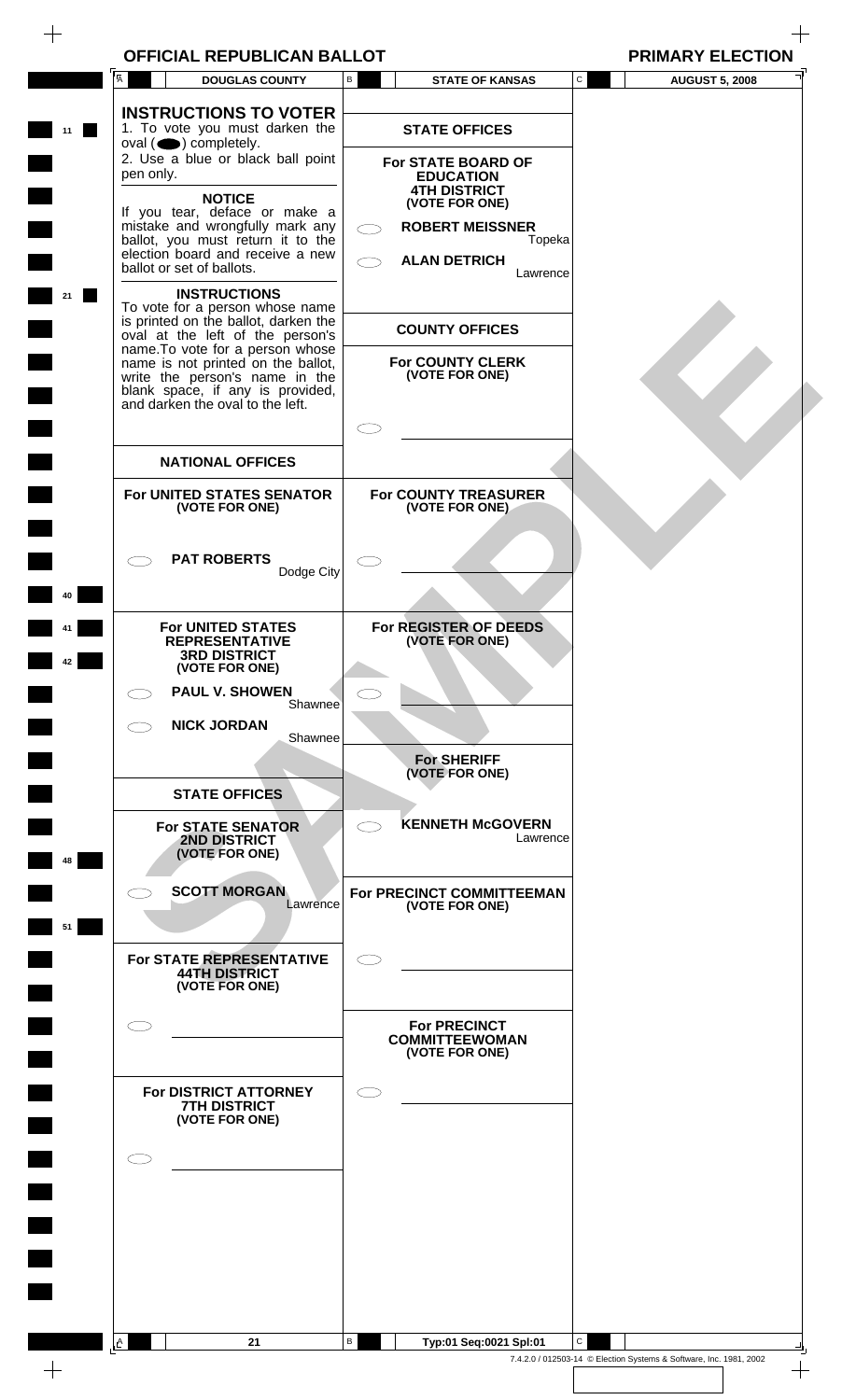| <b>OFFICIAL REPUBLICAN BALLOT</b> | <b>PRIMARY ELECTION</b> |
|-----------------------------------|-------------------------|
|                                   |                         |

|  | וסו<br>IMARY I | - |
|--|----------------|---|
|  |                |   |

|          | Ā<br><b>DOUGLAS COUNTY</b>                                                                                                                                                                                                                                                                                                                                                                                                                                                                                                                                                                                                                                             | В          | <b>STATE OF KANSAS</b>                                                                                                                                                                                                                               | C            | <b>AUGUST 5, 2008</b> |  |
|----------|------------------------------------------------------------------------------------------------------------------------------------------------------------------------------------------------------------------------------------------------------------------------------------------------------------------------------------------------------------------------------------------------------------------------------------------------------------------------------------------------------------------------------------------------------------------------------------------------------------------------------------------------------------------------|------------|------------------------------------------------------------------------------------------------------------------------------------------------------------------------------------------------------------------------------------------------------|--------------|-----------------------|--|
| 11<br>21 | <b>INSTRUCTIONS TO VOTER</b><br>1. To vote you must darken the<br>$oval(\n\bullet)$ completely.<br>2. Use a blue or black ball point<br>pen only.<br><b>NOTICE</b><br>If you tear, deface or make a<br>mistake and wrongfully mark any<br>ballot, you must return it to the<br>election board and receive a new<br>ballot or set of ballots.<br><b>INSTRUCTIONS</b><br>To vote for a person whose name<br>is printed on the ballot, darken the<br>oval at the left of the person's<br>name. To vote for a person whose<br>name is not printed on the ballot,<br>write the person's name in the<br>blank space, if any is provided,<br>and darken the oval to the left. |            | <b>STATE OFFICES</b><br>For STATE BOARD OF<br><b>EDUCATION</b><br><b>4TH DISTRICT</b><br>(VOTE FOR ONE)<br><b>ROBERT MEISSNER</b><br>Topeka<br><b>ALAN DETRICH</b><br>Lawrence<br><b>COUNTY OFFICES</b><br><b>For COUNTY CLERK</b><br>(VOTE FOR ONE) |              |                       |  |
|          |                                                                                                                                                                                                                                                                                                                                                                                                                                                                                                                                                                                                                                                                        |            |                                                                                                                                                                                                                                                      |              |                       |  |
|          | <b>NATIONAL OFFICES</b>                                                                                                                                                                                                                                                                                                                                                                                                                                                                                                                                                                                                                                                |            |                                                                                                                                                                                                                                                      |              |                       |  |
|          | For UNITED STATES SENATOR<br>(VOTE FOR ONE)                                                                                                                                                                                                                                                                                                                                                                                                                                                                                                                                                                                                                            |            | For COUNTY TREASURER<br>(VOTE FOR ONE)                                                                                                                                                                                                               |              |                       |  |
| 10       | <b>PAT ROBERTS</b><br>Dodge City                                                                                                                                                                                                                                                                                                                                                                                                                                                                                                                                                                                                                                       |            |                                                                                                                                                                                                                                                      |              |                       |  |
|          | <b>For UNITED STATES</b><br><b>REPRESENTATIVE</b><br><b>3RD DISTRICT</b><br>(VOTE FOR ONE)                                                                                                                                                                                                                                                                                                                                                                                                                                                                                                                                                                             |            | For REGISTER OF DEEDS<br>(VOTE FOR ONE)                                                                                                                                                                                                              |              |                       |  |
|          | <b>PAUL V. SHOWEN</b><br>Shawnee                                                                                                                                                                                                                                                                                                                                                                                                                                                                                                                                                                                                                                       |            |                                                                                                                                                                                                                                                      |              |                       |  |
|          | <b>NICK JORDAN</b><br>Shawnee                                                                                                                                                                                                                                                                                                                                                                                                                                                                                                                                                                                                                                          |            |                                                                                                                                                                                                                                                      |              |                       |  |
|          | <b>STATE OFFICES</b>                                                                                                                                                                                                                                                                                                                                                                                                                                                                                                                                                                                                                                                   |            | <b>For SHERIFF</b><br>(VOTE FOR ONE)                                                                                                                                                                                                                 |              |                       |  |
| 48       | <b>For STATE SENATOR</b><br>2ND DISTRICT<br>(VOTE FOR ONE)                                                                                                                                                                                                                                                                                                                                                                                                                                                                                                                                                                                                             | $\bigcirc$ | <b>KENNETH McGOVERN</b><br>Lawrence                                                                                                                                                                                                                  |              |                       |  |
| 51       | <b>SCOTT MORGAN</b><br>Lawrence                                                                                                                                                                                                                                                                                                                                                                                                                                                                                                                                                                                                                                        |            | For PRECINCT COMMITTEEMAN<br>(VOTE FOR ONE)                                                                                                                                                                                                          |              |                       |  |
|          | For STATE REPRESENTATIVE<br><b>44TH DISTRICT</b><br>(VOTE FOR ONE)                                                                                                                                                                                                                                                                                                                                                                                                                                                                                                                                                                                                     |            |                                                                                                                                                                                                                                                      |              |                       |  |
|          | 77                                                                                                                                                                                                                                                                                                                                                                                                                                                                                                                                                                                                                                                                     |            | <b>For PRECINCT</b><br><b>COMMITTEEWOMAN</b><br>(VOTE FOR ONE)                                                                                                                                                                                       |              |                       |  |
|          | For DISTRICT ATTORNEY<br><b>7TH DISTRICT</b><br>(VOTE FOR ONE)                                                                                                                                                                                                                                                                                                                                                                                                                                                                                                                                                                                                         |            |                                                                                                                                                                                                                                                      |              |                       |  |
|          | r n                                                                                                                                                                                                                                                                                                                                                                                                                                                                                                                                                                                                                                                                    |            |                                                                                                                                                                                                                                                      |              |                       |  |
|          |                                                                                                                                                                                                                                                                                                                                                                                                                                                                                                                                                                                                                                                                        |            |                                                                                                                                                                                                                                                      |              |                       |  |
|          |                                                                                                                                                                                                                                                                                                                                                                                                                                                                                                                                                                                                                                                                        |            |                                                                                                                                                                                                                                                      |              |                       |  |
|          |                                                                                                                                                                                                                                                                                                                                                                                                                                                                                                                                                                                                                                                                        |            |                                                                                                                                                                                                                                                      |              |                       |  |
|          | $\mathsf{A}$<br>21                                                                                                                                                                                                                                                                                                                                                                                                                                                                                                                                                                                                                                                     | В          | Typ:01 Seq:0021 Spl:01                                                                                                                                                                                                                               | $\mathsf{C}$ |                       |  |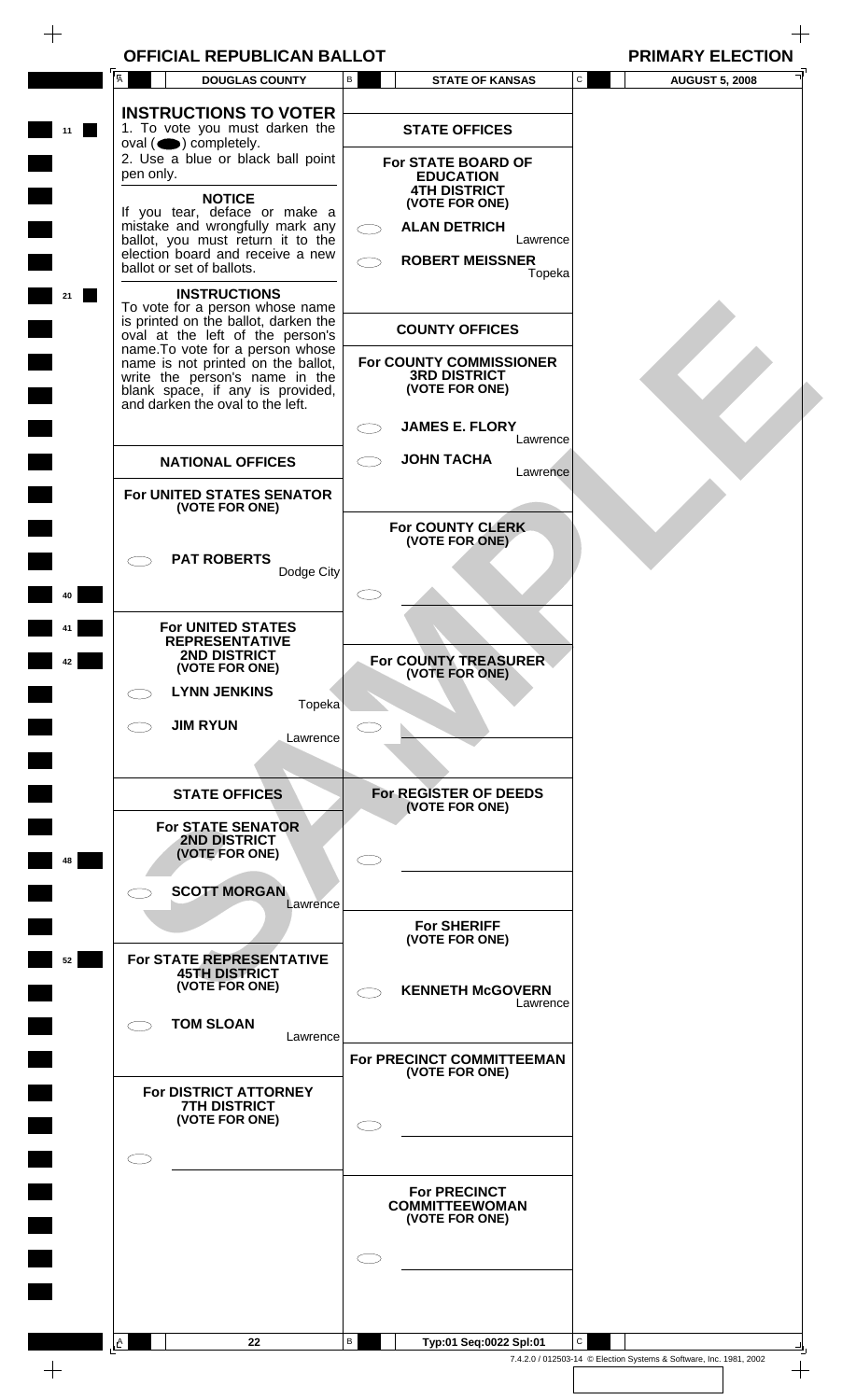|  |  | <b>OFFICIAL REPUBLICAN BALLOT</b> |
|--|--|-----------------------------------|
|--|--|-----------------------------------|

|    | <b>OFFICIAL REPUBLICAN BALLOT</b>                                                                                                            |   |                                                                  |              | <b>PRIMARY ELECTION</b>                                            |  |
|----|----------------------------------------------------------------------------------------------------------------------------------------------|---|------------------------------------------------------------------|--------------|--------------------------------------------------------------------|--|
|    | $\overline{A}$<br><b>DOUGLAS COUNTY</b>                                                                                                      | B | <b>STATE OF KANSAS</b>                                           | $\mathbf{C}$ | <b>AUGUST 5, 2008</b>                                              |  |
|    | <b>INSTRUCTIONS TO VOTER</b><br>1. To vote you must darken the<br>$oval(\n\bullet)$ completely.<br>2. Use a blue or black ball point         |   | <b>STATE OFFICES</b><br>For STATE BOARD OF                       |              |                                                                    |  |
|    | pen only.<br><b>NOTICE</b>                                                                                                                   |   | <b>EDUCATION</b><br><b>4TH DISTRICT</b><br>(VOTE FOR ONE)        |              |                                                                    |  |
|    | If you tear, deface or make a<br>mistake and wrongfully mark any                                                                             |   | <b>ALAN DETRICH</b>                                              |              |                                                                    |  |
|    | ballot, you must return it to the<br>election board and receive a new<br>ballot or set of ballots.                                           |   | Lawrence<br><b>ROBERT MEISSNER</b><br>Topeka                     |              |                                                                    |  |
|    | <b>INSTRUCTIONS</b><br>To vote for a person whose name                                                                                       |   |                                                                  |              |                                                                    |  |
|    | is printed on the ballot, darken the<br>oval at the left of the person's                                                                     |   | <b>COUNTY OFFICES</b>                                            |              |                                                                    |  |
|    | name. To vote for a person whose<br>name is not printed on the ballot,<br>write the person's name in the<br>blank space, if any is provided, |   | For COUNTY COMMISSIONER<br><b>3RD DISTRICT</b><br>(VOTE FOR ONE) |              |                                                                    |  |
|    | and darken the oval to the left.                                                                                                             |   | <b>JAMES E. FLORY</b>                                            |              |                                                                    |  |
|    | <b>NATIONAL OFFICES</b>                                                                                                                      |   | Lawrence<br><b>JOHN TACHA</b>                                    |              |                                                                    |  |
|    | For UNITED STATES SENATOR                                                                                                                    |   | Lawrence                                                         |              |                                                                    |  |
|    | (VOTE FOR ONE)                                                                                                                               |   | For COUNTY CLERK                                                 |              |                                                                    |  |
|    | <b>PAT ROBERTS</b><br>Dodge City                                                                                                             |   | (VOTE FOR ONE)                                                   |              |                                                                    |  |
|    |                                                                                                                                              |   |                                                                  |              |                                                                    |  |
|    | <b>For UNITED STATES</b><br><b>REPRESENTATIVE</b>                                                                                            |   |                                                                  |              |                                                                    |  |
| 42 | <b>2ND DISTRICT</b><br>(VOTE FOR ONE)                                                                                                        |   | For COUNTY TREASURER<br>(VOTE FOR ONE)                           |              |                                                                    |  |
|    | <b>LYNN JENKINS</b><br>Topeka                                                                                                                |   |                                                                  |              |                                                                    |  |
|    | <b>JIM RYUN</b><br>Lawrence                                                                                                                  |   |                                                                  |              |                                                                    |  |
|    |                                                                                                                                              |   |                                                                  |              |                                                                    |  |
|    | <b>STATE OFFICES</b>                                                                                                                         |   | For REGISTER OF DEEDS<br>(VOTE FOR ONE)                          |              |                                                                    |  |
| 48 | <b>For STATE SENATOR</b><br>2ND DISTRICT<br>(VOTE FOR ONE)                                                                                   |   |                                                                  |              |                                                                    |  |
|    | <b>SCOTT MORGAN</b><br>Lawrence                                                                                                              |   |                                                                  |              |                                                                    |  |
|    |                                                                                                                                              |   | <b>For SHERIFF</b><br>(VOTE FOR ONE)                             |              |                                                                    |  |
| 52 | For STATE REPRESENTATIVE<br><b>45TH DISTRICT</b>                                                                                             |   |                                                                  |              |                                                                    |  |
|    | (VOTE FOR ONE)                                                                                                                               |   | <b>KENNETH McGOVERN</b><br>Lawrence                              |              |                                                                    |  |
|    | <b>TOM SLOAN</b><br>Lawrence                                                                                                                 |   |                                                                  |              |                                                                    |  |
|    |                                                                                                                                              |   | For PRECINCT COMMITTEEMAN<br>(VOTE FOR ONE)                      |              |                                                                    |  |
|    | For DISTRICT ATTORNEY<br><b>7TH DISTRICT</b><br>(VOTE FOR ONE)                                                                               |   |                                                                  |              |                                                                    |  |
|    |                                                                                                                                              |   |                                                                  |              |                                                                    |  |
|    |                                                                                                                                              |   |                                                                  |              |                                                                    |  |
|    |                                                                                                                                              |   | <b>For PRECINCT</b><br><b>COMMITTEEWOMAN</b><br>(VOTE FOR ONE)   |              |                                                                    |  |
|    |                                                                                                                                              |   |                                                                  |              |                                                                    |  |
|    |                                                                                                                                              |   |                                                                  |              |                                                                    |  |
|    | A<br>22                                                                                                                                      | В | Typ:01 Seq:0022 Spl:01                                           | $\mathsf{C}$ |                                                                    |  |
|    |                                                                                                                                              |   |                                                                  |              | 7.4.2.0 / 012503-14 © Election Systems & Software, Inc. 1981, 2002 |  |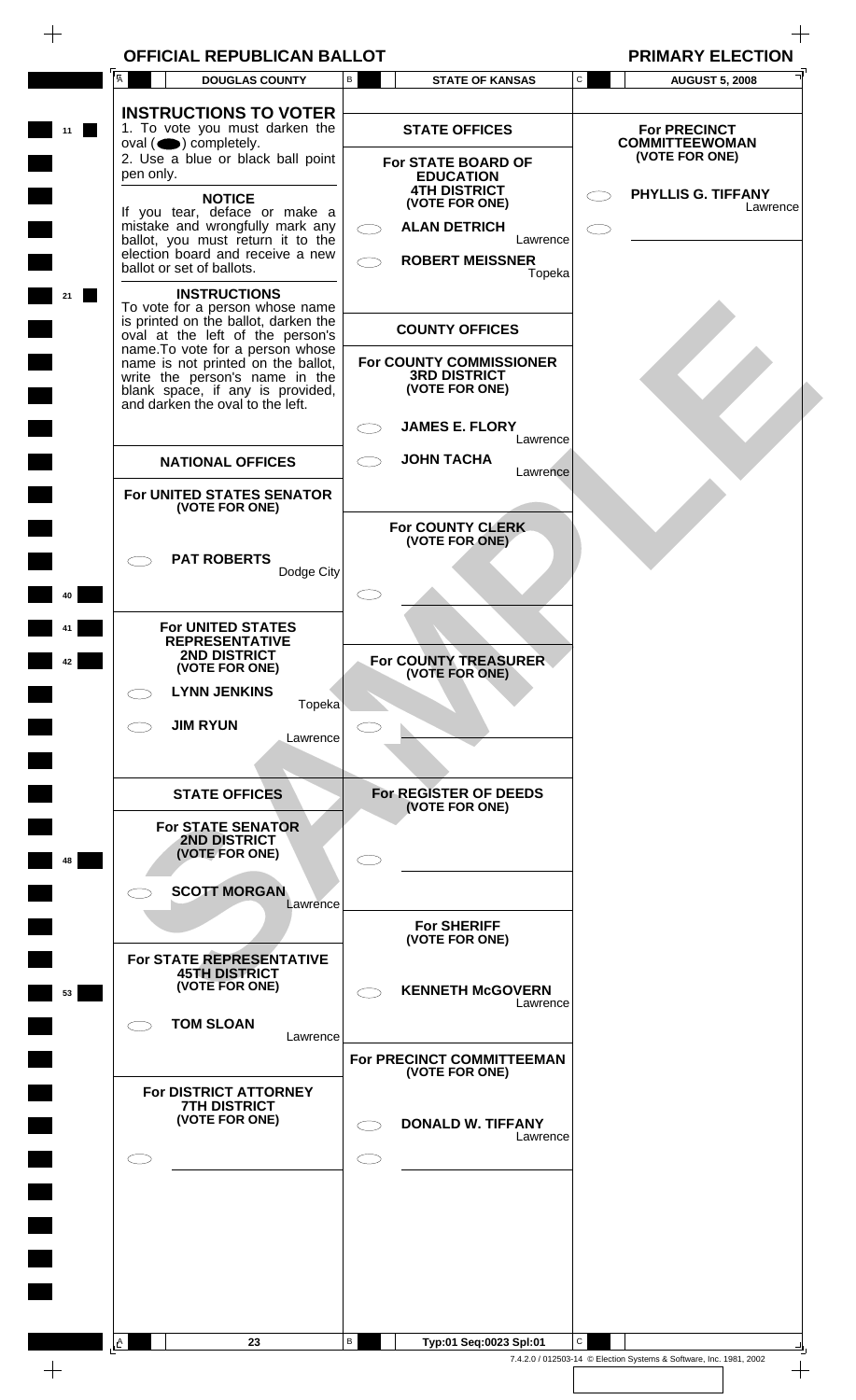|                | <b>OFFICIAL REPUBLICAN BALLOT</b>                                                                                                                                                       |   |                                                                                        |                    | <b>PRIMARY ELECTION</b>                 |          |
|----------------|-----------------------------------------------------------------------------------------------------------------------------------------------------------------------------------------|---|----------------------------------------------------------------------------------------|--------------------|-----------------------------------------|----------|
| $\overline{A}$ | <b>DOUGLAS COUNTY</b>                                                                                                                                                                   | В | <b>STATE OF KANSAS</b>                                                                 | $\mathbf{C}$       | <b>AUGUST 5, 2008</b>                   |          |
|                | <b>INSTRUCTIONS TO VOTER</b><br>1. To vote you must darken the                                                                                                                          |   | <b>STATE OFFICES</b>                                                                   |                    | <b>For PRECINCT</b>                     |          |
| pen only.      | $oval(\n\bullet)$ completely.<br>2. Use a blue or black ball point                                                                                                                      |   | <b>For STATE BOARD OF</b><br><b>EDUCATION</b>                                          |                    | <b>COMMITTEEWOMAN</b><br>(VOTE FOR ONE) |          |
|                | <b>NOTICE</b><br>If you tear, deface or make a<br>mistake and wrongfully mark any<br>ballot, you must return it to the<br>election board and receive a new<br>ballot or set of ballots. |   | <b>4TH DISTRICT</b><br>(VOTE FOR ONE)<br><b>ALAN DETRICH</b><br><b>ROBERT MEISSNER</b> | Lawrence<br>Topeka | PHYLLIS G. TIFFANY                      | Lawrence |
|                | <b>INSTRUCTIONS</b><br>To vote for a person whose name<br>is printed on the ballot, darken the<br>oval at the left of the person's                                                      |   | <b>COUNTY OFFICES</b>                                                                  |                    |                                         |          |
|                | name. To vote for a person whose<br>name is not printed on the ballot,<br>write the person's name in the<br>blank space, if any is provided,<br>and darken the oval to the left.        |   | For COUNTY COMMISSIONER<br><b>3RD DISTRICT</b><br>(VOTE FOR ONE)                       |                    |                                         |          |
|                |                                                                                                                                                                                         |   | <b>JAMES E. FLORY</b>                                                                  |                    |                                         |          |
|                | <b>NATIONAL OFFICES</b>                                                                                                                                                                 |   | <b>JOHN TACHA</b>                                                                      | Lawrence           |                                         |          |
|                | For UNITED STATES SENATOR                                                                                                                                                               |   |                                                                                        | Lawrence           |                                         |          |
|                | (VOTE FOR ONE)                                                                                                                                                                          |   | For COUNTY CLERK<br>(VOTE FOR ONE)                                                     |                    |                                         |          |
|                | <b>PAT ROBERTS</b><br>Dodge City                                                                                                                                                        |   |                                                                                        |                    |                                         |          |
|                |                                                                                                                                                                                         |   |                                                                                        |                    |                                         |          |
|                | <b>For UNITED STATES</b>                                                                                                                                                                |   |                                                                                        |                    |                                         |          |
| 42             | <b>REPRESENTATIVE</b><br><b>2ND DISTRICT</b>                                                                                                                                            |   | For COUNTY TREASURER                                                                   |                    |                                         |          |
|                | (VOTE FOR ONE)                                                                                                                                                                          |   | (VOTE FOR ONE)                                                                         |                    |                                         |          |
|                | <b>LYNN JENKINS</b><br>Topeka                                                                                                                                                           |   |                                                                                        |                    |                                         |          |
|                | <b>JIM RYUN</b><br>Lawrence                                                                                                                                                             |   |                                                                                        |                    |                                         |          |
|                |                                                                                                                                                                                         |   |                                                                                        |                    |                                         |          |
|                | <b>STATE OFFICES</b>                                                                                                                                                                    |   | For REGISTER OF DEEDS<br>(VOTE FOR ONE)                                                |                    |                                         |          |
| 48             | <b>For STATE SENATOR</b><br>2ND DISTRICT<br>(VOTE FOR ONE)                                                                                                                              |   |                                                                                        |                    |                                         |          |
|                | <b>SCOTT MORGAN</b>                                                                                                                                                                     |   |                                                                                        |                    |                                         |          |
|                | Lawrence                                                                                                                                                                                |   | <b>For SHERIFF</b><br>(VOTE FOR ONE)                                                   |                    |                                         |          |
| 53             | For STATE REPRESENTATIVE<br><b>45TH DISTRICT</b><br>(VOTE FOR ONE)                                                                                                                      |   | <b>KENNETH McGOVERN</b>                                                                |                    |                                         |          |
|                | <b>TOM SLOAN</b>                                                                                                                                                                        |   |                                                                                        | Lawrence           |                                         |          |
|                | Lawrence                                                                                                                                                                                |   |                                                                                        |                    |                                         |          |
|                |                                                                                                                                                                                         |   | For PRECINCT COMMITTEEMAN<br>(VOTE FOR ONE)                                            |                    |                                         |          |
|                | For DISTRICT ATTORNEY<br><b>7TH DISTRICT</b><br>(VOTE FOR ONE)                                                                                                                          |   | <b>DONALD W. TIFFANY</b>                                                               |                    |                                         |          |
|                |                                                                                                                                                                                         |   |                                                                                        | Lawrence           |                                         |          |
|                |                                                                                                                                                                                         |   |                                                                                        |                    |                                         |          |
|                |                                                                                                                                                                                         |   |                                                                                        |                    |                                         |          |
|                |                                                                                                                                                                                         |   |                                                                                        |                    |                                         |          |
|                |                                                                                                                                                                                         |   |                                                                                        |                    |                                         |          |
|                |                                                                                                                                                                                         |   |                                                                                        |                    |                                         |          |
|                |                                                                                                                                                                                         |   |                                                                                        | $\mathsf{C}$       |                                         |          |
| $A_{\perp}$    | 23                                                                                                                                                                                      | В | Typ:01 Seq:0023 Spl:01                                                                 |                    |                                         |          |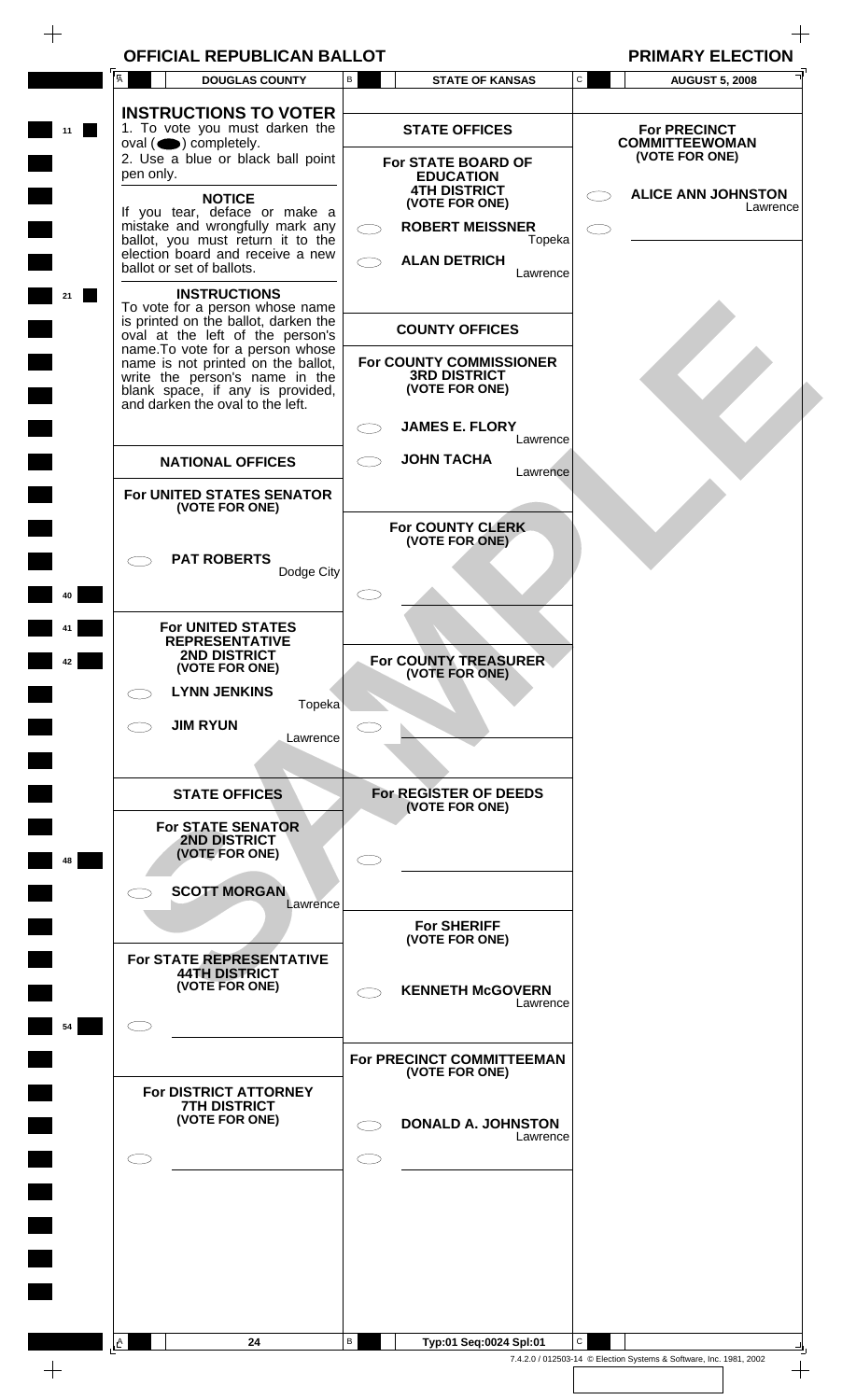| <b>OFFICIAL REPUBLICAN BALLOT</b>                                                                                                                                                                    |   |                                                                                                                                  | <b>PRIMARY ELECTION</b>                                        |
|------------------------------------------------------------------------------------------------------------------------------------------------------------------------------------------------------|---|----------------------------------------------------------------------------------------------------------------------------------|----------------------------------------------------------------|
| $\overline{A}$<br><b>DOUGLAS COUNTY</b>                                                                                                                                                              | B | <b>STATE OF KANSAS</b>                                                                                                           | $\mathtt{C}$<br><b>AUGUST 5, 2008</b>                          |
| <b>INSTRUCTIONS TO VOTER</b><br>1. To vote you must darken the<br>$oval(\n\bullet)$ completely.<br>2. Use a blue or black ball point                                                                 |   | <b>STATE OFFICES</b><br>For STATE BOARD OF                                                                                       | <b>For PRECINCT</b><br><b>COMMITTEEWOMAN</b><br>(VOTE FOR ONE) |
| pen only.<br><b>NOTICE</b><br>If you tear, deface or make a<br>mistake and wrongfully mark any<br>ballot, you must return it to the<br>election board and receive a new<br>ballot or set of ballots. |   | <b>EDUCATION</b><br><b>4TH DISTRICT</b><br>(VOTE FOR ONE)<br><b>ROBERT MEISSNER</b><br>Topeka<br><b>ALAN DETRICH</b><br>Lawrence | <b>ALICE ANN JOHNSTON</b><br>Lawrence                          |
| <b>INSTRUCTIONS</b><br>To vote for a person whose name<br>is printed on the ballot, darken the<br>oval at the left of the person's<br>name. To vote for a person whose                               |   | <b>COUNTY OFFICES</b>                                                                                                            |                                                                |
| name is not printed on the ballot,<br>write the person's name in the<br>blank space, if any is provided,<br>and darken the oval to the left.                                                         |   | For COUNTY COMMISSIONER<br><b>3RD DISTRICT</b><br>(VOTE FOR ONE)                                                                 |                                                                |
|                                                                                                                                                                                                      |   | <b>JAMES E. FLORY</b><br>Lawrence                                                                                                |                                                                |
| <b>NATIONAL OFFICES</b>                                                                                                                                                                              |   | <b>JOHN TACHA</b>                                                                                                                |                                                                |
| For UNITED STATES SENATOR                                                                                                                                                                            |   | Lawrence                                                                                                                         |                                                                |
| (VOTE FOR ONE)                                                                                                                                                                                       |   |                                                                                                                                  |                                                                |
|                                                                                                                                                                                                      |   | For COUNTY CLERK<br>(VOTE FOR ONE)                                                                                               |                                                                |
| <b>PAT ROBERTS</b><br>Dodge City                                                                                                                                                                     |   |                                                                                                                                  |                                                                |
|                                                                                                                                                                                                      |   |                                                                                                                                  |                                                                |
| <b>For UNITED STATES</b>                                                                                                                                                                             |   |                                                                                                                                  |                                                                |
| <b>REPRESENTATIVE</b><br><b>2ND DISTRICT</b>                                                                                                                                                         |   |                                                                                                                                  |                                                                |
| (VOTE FOR ONE)                                                                                                                                                                                       |   | For COUNTY TREASURER<br>(VOTE FOR ONE)                                                                                           |                                                                |
| <b>LYNN JENKINS</b><br>$\subset$ $\supset$<br>Topeka                                                                                                                                                 |   |                                                                                                                                  |                                                                |
| <b>JIM RYUN</b><br>Lawrence                                                                                                                                                                          |   |                                                                                                                                  |                                                                |
|                                                                                                                                                                                                      |   |                                                                                                                                  |                                                                |
| <b>STATE OFFICES</b>                                                                                                                                                                                 |   | For REGISTER OF DEEDS<br>(VOTE FOR ONE)                                                                                          |                                                                |
| <b>For STATE SENATOR</b><br><b>2ND DISTRICT</b><br>(VOTE FOR ONE)                                                                                                                                    |   |                                                                                                                                  |                                                                |
| <b>SCOTT MORGAN</b><br>Lawrence                                                                                                                                                                      |   | <b>For SHERIFF</b>                                                                                                               |                                                                |
| For STATE REPRESENTATIVE                                                                                                                                                                             |   | (VOTE FOR ONE)                                                                                                                   |                                                                |
| <b>44TH DISTRICT</b><br>(VOTE FOR ONE)                                                                                                                                                               |   | <b>KENNETH McGOVERN</b><br>Lawrence                                                                                              |                                                                |
|                                                                                                                                                                                                      |   |                                                                                                                                  |                                                                |
|                                                                                                                                                                                                      |   | For PRECINCT COMMITTEEMAN<br>(VOTE FOR ONE)                                                                                      |                                                                |
| For DISTRICT ATTORNEY<br><b>7TH DISTRICT</b><br>(VOTE FOR ONE)                                                                                                                                       |   | <b>DONALD A. JOHNSTON</b><br>Lawrence                                                                                            |                                                                |
|                                                                                                                                                                                                      |   |                                                                                                                                  |                                                                |
|                                                                                                                                                                                                      |   |                                                                                                                                  |                                                                |
|                                                                                                                                                                                                      |   |                                                                                                                                  |                                                                |
|                                                                                                                                                                                                      | В |                                                                                                                                  | $\mathbf{C}$                                                   |
| A<br>24                                                                                                                                                                                              |   | Typ:01 Seq:0024 Spl:01                                                                                                           |                                                                |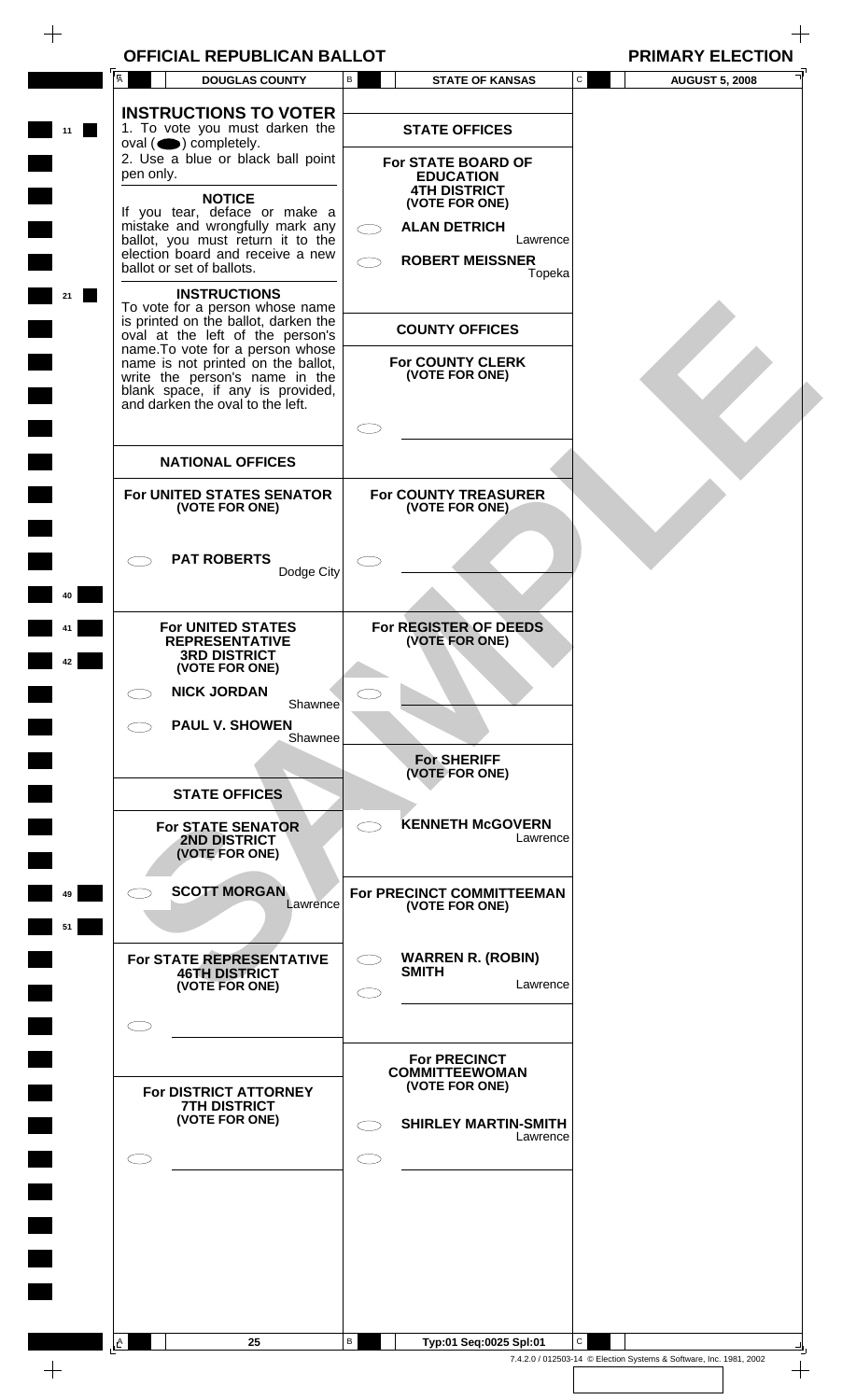| <b>OFFICIAL REPUBLICAN BALLOT</b> | <b>PRIMARY ELECTION</b> |
|-----------------------------------|-------------------------|
|-----------------------------------|-------------------------|

| 11<br>21<br>40 | <b>INSTRUCTIONS TO VOTER</b><br>1. To vote you must darken the<br>$oval(\n\bullet)$ completely.<br>2. Use a blue or black ball point<br>pen only.<br><b>NOTICE</b><br>If you tear, deface or make a<br>mistake and wrongfully mark any<br>ballot, you must return it to the<br>election board and receive a new<br>ballot or set of ballots.<br><b>INSTRUCTIONS</b><br>To vote for a person whose name<br>is printed on the ballot, darken the<br>oval at the left of the person's<br>name. To vote for a person whose<br>name is not printed on the ballot,<br>write the person's name in the<br>blank space, if any is provided,<br>and darken the oval to the left.<br><b>NATIONAL OFFICES</b><br>For UNITED STATES SENATOR<br>(VOTE FOR ONE)<br><b>PAT ROBERTS</b><br>Dodge City |   | <b>STATE OFFICES</b><br>For STATE BOARD OF<br><b>EDUCATION</b><br><b>4TH DISTRICT</b><br>(VOTE FOR ONE)<br><b>ALAN DETRICH</b><br>Lawrence<br><b>ROBERT MEISSNER</b><br>Topeka<br><b>COUNTY OFFICES</b><br><b>For COUNTY CLERK</b><br>(VOTE FOR ONE)<br>For COUNTY TREASURER<br>(VOTE FOR ONE) |                                                                    |  |
|----------------|--------------------------------------------------------------------------------------------------------------------------------------------------------------------------------------------------------------------------------------------------------------------------------------------------------------------------------------------------------------------------------------------------------------------------------------------------------------------------------------------------------------------------------------------------------------------------------------------------------------------------------------------------------------------------------------------------------------------------------------------------------------------------------------|---|------------------------------------------------------------------------------------------------------------------------------------------------------------------------------------------------------------------------------------------------------------------------------------------------|--------------------------------------------------------------------|--|
|                |                                                                                                                                                                                                                                                                                                                                                                                                                                                                                                                                                                                                                                                                                                                                                                                      |   |                                                                                                                                                                                                                                                                                                |                                                                    |  |
|                |                                                                                                                                                                                                                                                                                                                                                                                                                                                                                                                                                                                                                                                                                                                                                                                      |   |                                                                                                                                                                                                                                                                                                |                                                                    |  |
|                |                                                                                                                                                                                                                                                                                                                                                                                                                                                                                                                                                                                                                                                                                                                                                                                      |   |                                                                                                                                                                                                                                                                                                |                                                                    |  |
|                |                                                                                                                                                                                                                                                                                                                                                                                                                                                                                                                                                                                                                                                                                                                                                                                      |   |                                                                                                                                                                                                                                                                                                |                                                                    |  |
|                |                                                                                                                                                                                                                                                                                                                                                                                                                                                                                                                                                                                                                                                                                                                                                                                      |   |                                                                                                                                                                                                                                                                                                |                                                                    |  |
|                |                                                                                                                                                                                                                                                                                                                                                                                                                                                                                                                                                                                                                                                                                                                                                                                      |   |                                                                                                                                                                                                                                                                                                |                                                                    |  |
|                |                                                                                                                                                                                                                                                                                                                                                                                                                                                                                                                                                                                                                                                                                                                                                                                      |   |                                                                                                                                                                                                                                                                                                |                                                                    |  |
|                |                                                                                                                                                                                                                                                                                                                                                                                                                                                                                                                                                                                                                                                                                                                                                                                      |   |                                                                                                                                                                                                                                                                                                |                                                                    |  |
|                |                                                                                                                                                                                                                                                                                                                                                                                                                                                                                                                                                                                                                                                                                                                                                                                      |   |                                                                                                                                                                                                                                                                                                |                                                                    |  |
|                |                                                                                                                                                                                                                                                                                                                                                                                                                                                                                                                                                                                                                                                                                                                                                                                      |   |                                                                                                                                                                                                                                                                                                |                                                                    |  |
|                |                                                                                                                                                                                                                                                                                                                                                                                                                                                                                                                                                                                                                                                                                                                                                                                      |   |                                                                                                                                                                                                                                                                                                |                                                                    |  |
|                | For UNITED STATES<br><b>REPRESENTATIVE</b><br><b>3RD DISTRICT</b><br>(VOTE FOR ONE)                                                                                                                                                                                                                                                                                                                                                                                                                                                                                                                                                                                                                                                                                                  |   | For REGISTER OF DEEDS<br>(VOTE FOR ONE)                                                                                                                                                                                                                                                        |                                                                    |  |
|                | <b>NICK JORDAN</b><br>Shawnee                                                                                                                                                                                                                                                                                                                                                                                                                                                                                                                                                                                                                                                                                                                                                        |   |                                                                                                                                                                                                                                                                                                |                                                                    |  |
|                | <b>PAUL V. SHOWEN</b><br>Shawnee                                                                                                                                                                                                                                                                                                                                                                                                                                                                                                                                                                                                                                                                                                                                                     |   |                                                                                                                                                                                                                                                                                                |                                                                    |  |
|                |                                                                                                                                                                                                                                                                                                                                                                                                                                                                                                                                                                                                                                                                                                                                                                                      |   | <b>For SHERIFF</b><br>(VOTE FOR ONE)                                                                                                                                                                                                                                                           |                                                                    |  |
|                | <b>STATE OFFICES</b>                                                                                                                                                                                                                                                                                                                                                                                                                                                                                                                                                                                                                                                                                                                                                                 |   |                                                                                                                                                                                                                                                                                                |                                                                    |  |
|                | <b>For STATE SENATOR</b><br>2ND DISTRICT<br>(VOTE FOR ONE)                                                                                                                                                                                                                                                                                                                                                                                                                                                                                                                                                                                                                                                                                                                           |   | <b>KENNETH McGOVERN</b><br>Lawrence                                                                                                                                                                                                                                                            |                                                                    |  |
| 49<br>51       | <b>SCOTT MORGAN</b><br>Lawrence                                                                                                                                                                                                                                                                                                                                                                                                                                                                                                                                                                                                                                                                                                                                                      |   | For PRECINCT COMMITTEEMAN<br>(VOTE FOR ONE)                                                                                                                                                                                                                                                    |                                                                    |  |
|                | For STATE REPRESENTATIVE<br><b>46TH DISTRICT</b><br>(VOTE FOR ONE)                                                                                                                                                                                                                                                                                                                                                                                                                                                                                                                                                                                                                                                                                                                   |   | <b>WARREN R. (ROBIN)</b><br><b>SMITH</b><br>Lawrence                                                                                                                                                                                                                                           |                                                                    |  |
|                |                                                                                                                                                                                                                                                                                                                                                                                                                                                                                                                                                                                                                                                                                                                                                                                      |   |                                                                                                                                                                                                                                                                                                |                                                                    |  |
|                |                                                                                                                                                                                                                                                                                                                                                                                                                                                                                                                                                                                                                                                                                                                                                                                      |   | <b>For PRECINCT</b><br><b>COMMITTEEWOMAN</b><br>(VOTE FOR ONE)                                                                                                                                                                                                                                 |                                                                    |  |
|                | For DISTRICT ATTORNEY<br><b>7TH DISTRICT</b><br>(VOTE FOR ONE)                                                                                                                                                                                                                                                                                                                                                                                                                                                                                                                                                                                                                                                                                                                       |   | <b>SHIRLEY MARTIN-SMITH</b><br>Lawrence                                                                                                                                                                                                                                                        |                                                                    |  |
|                |                                                                                                                                                                                                                                                                                                                                                                                                                                                                                                                                                                                                                                                                                                                                                                                      |   |                                                                                                                                                                                                                                                                                                |                                                                    |  |
|                |                                                                                                                                                                                                                                                                                                                                                                                                                                                                                                                                                                                                                                                                                                                                                                                      |   |                                                                                                                                                                                                                                                                                                |                                                                    |  |
|                |                                                                                                                                                                                                                                                                                                                                                                                                                                                                                                                                                                                                                                                                                                                                                                                      |   |                                                                                                                                                                                                                                                                                                |                                                                    |  |
| <b>A</b>       | 25                                                                                                                                                                                                                                                                                                                                                                                                                                                                                                                                                                                                                                                                                                                                                                                   | В | Typ:01 Seq:0025 Spl:01                                                                                                                                                                                                                                                                         | $\mathsf{C}$                                                       |  |
|                |                                                                                                                                                                                                                                                                                                                                                                                                                                                                                                                                                                                                                                                                                                                                                                                      |   |                                                                                                                                                                                                                                                                                                | 7.4.2.0 / 012503-14 © Election Systems & Software, Inc. 1981, 2002 |  |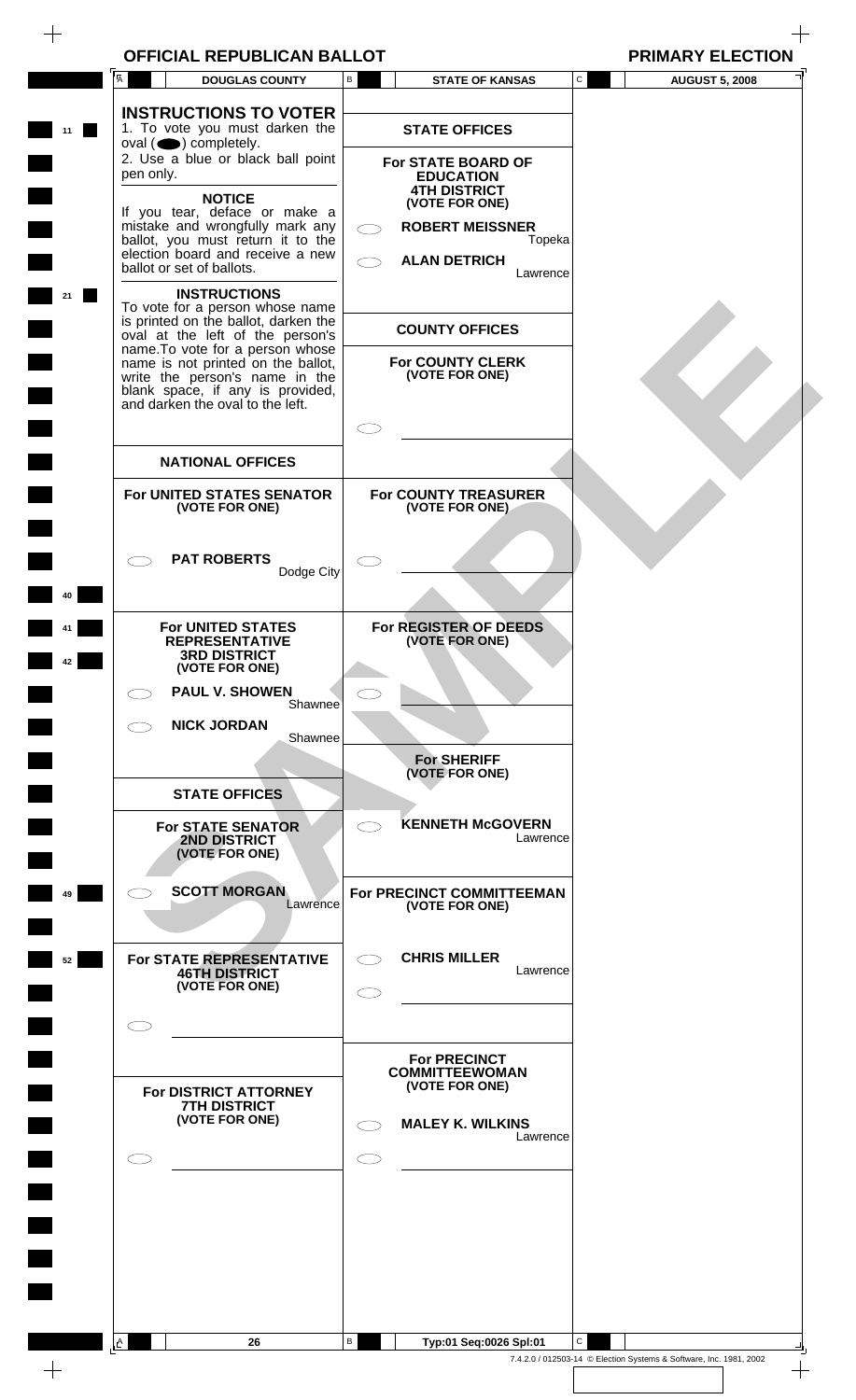| <b>OFFICIAL REPUBLICAN BALLOT</b> |  |  |  |
|-----------------------------------|--|--|--|
|-----------------------------------|--|--|--|

|  |  | IMARY EL |  |
|--|--|----------|--|
|  |  |          |  |

| $\overline{A}$<br><b>DOUGLAS COUNTY</b>                                                                                                            | B<br><b>STATE OF KANSAS</b>                                     | $\mathtt{C}$<br><b>AUGUST 5, 2008</b> |
|----------------------------------------------------------------------------------------------------------------------------------------------------|-----------------------------------------------------------------|---------------------------------------|
| <b>INSTRUCTIONS TO VOTER</b><br>1. To vote you must darken the                                                                                     | <b>STATE OFFICES</b>                                            |                                       |
| $oval(\n\bullet)$ completely.<br>2. Use a blue or black ball point<br>pen only.                                                                    | For STATE BOARD OF<br><b>EDUCATION</b>                          |                                       |
| <b>NOTICE</b><br>If you tear, deface or make a<br>mistake and wrongfully mark any                                                                  | <b>4TH DISTRICT</b><br>(VOTE FOR ONE)<br><b>ROBERT MEISSNER</b> |                                       |
| ballot, you must return it to the<br>election board and receive a new<br>ballot or set of ballots.                                                 | Topeka<br><b>ALAN DETRICH</b><br>Lawrence                       |                                       |
| <b>INSTRUCTIONS</b><br>To vote for a person whose name                                                                                             |                                                                 |                                       |
| is printed on the ballot, darken the<br>oval at the left of the person's<br>name. To vote for a person whose<br>name is not printed on the ballot, | <b>COUNTY OFFICES</b><br><b>For COUNTY CLERK</b>                |                                       |
| write the person's name in the<br>blank space, if any is provided,<br>and darken the oval to the left.                                             | (VOTE FOR ONE)                                                  |                                       |
| <b>NATIONAL OFFICES</b>                                                                                                                            |                                                                 |                                       |
| For UNITED STATES SENATOR<br>(VOTE FOR ONE)                                                                                                        | For COUNTY TREASURER<br>(VOTE FOR ONE)                          |                                       |
| <b>PAT ROBERTS</b><br>Dodge City                                                                                                                   |                                                                 |                                       |
| <b>For UNITED STATES</b>                                                                                                                           | For REGISTER OF DEEDS                                           |                                       |
| <b>REPRESENTATIVE</b><br><b>3RD DISTRICT</b><br>(VOTE FOR ONE)                                                                                     | (VOTE FOR ONE)                                                  |                                       |
| <b>PAUL V. SHOWEN</b><br>C D<br>Shawnee<br><b>NICK JORDAN</b><br>$\subset \supset$                                                                 | $\overline{\phantom{a}}$                                        |                                       |
| Shawnee                                                                                                                                            | <b>For SHERIFF</b><br>(VOTE FOR ONE)                            |                                       |
| <b>STATE OFFICES</b><br><b>For STATE SENATOR</b>                                                                                                   | <b>KENNETH McGOVERN</b><br>$\bigcirc$                           |                                       |
| <b>2ND DISTRICT</b><br>(VOTE FOR ONE)                                                                                                              | Lawrence                                                        |                                       |
| <b>SCOTT MORGAN</b><br>Lawrence                                                                                                                    | For PRECINCT COMMITTEEMAN<br>(VOTE FOR ONE)                     |                                       |
| For STATE REPRESENTATIVE<br><b>46TH DISTRICT</b><br>(VOTE FOR ONE)                                                                                 | <b>CHRIS MILLER</b><br>$\overline{\phantom{0}}$<br>Lawrence     |                                       |
|                                                                                                                                                    |                                                                 |                                       |
| For DISTRICT ATTORNEY                                                                                                                              | <b>For PRECINCT</b><br><b>COMMITTEEWOMAN</b><br>(VOTE FOR ONE)  |                                       |
| <b>7TH DISTRICT</b><br>(VOTE FOR ONE)                                                                                                              | <b>MALEY K. WILKINS</b><br>Lawrence                             |                                       |
|                                                                                                                                                    |                                                                 |                                       |
|                                                                                                                                                    |                                                                 |                                       |
|                                                                                                                                                    |                                                                 |                                       |
|                                                                                                                                                    |                                                                 |                                       |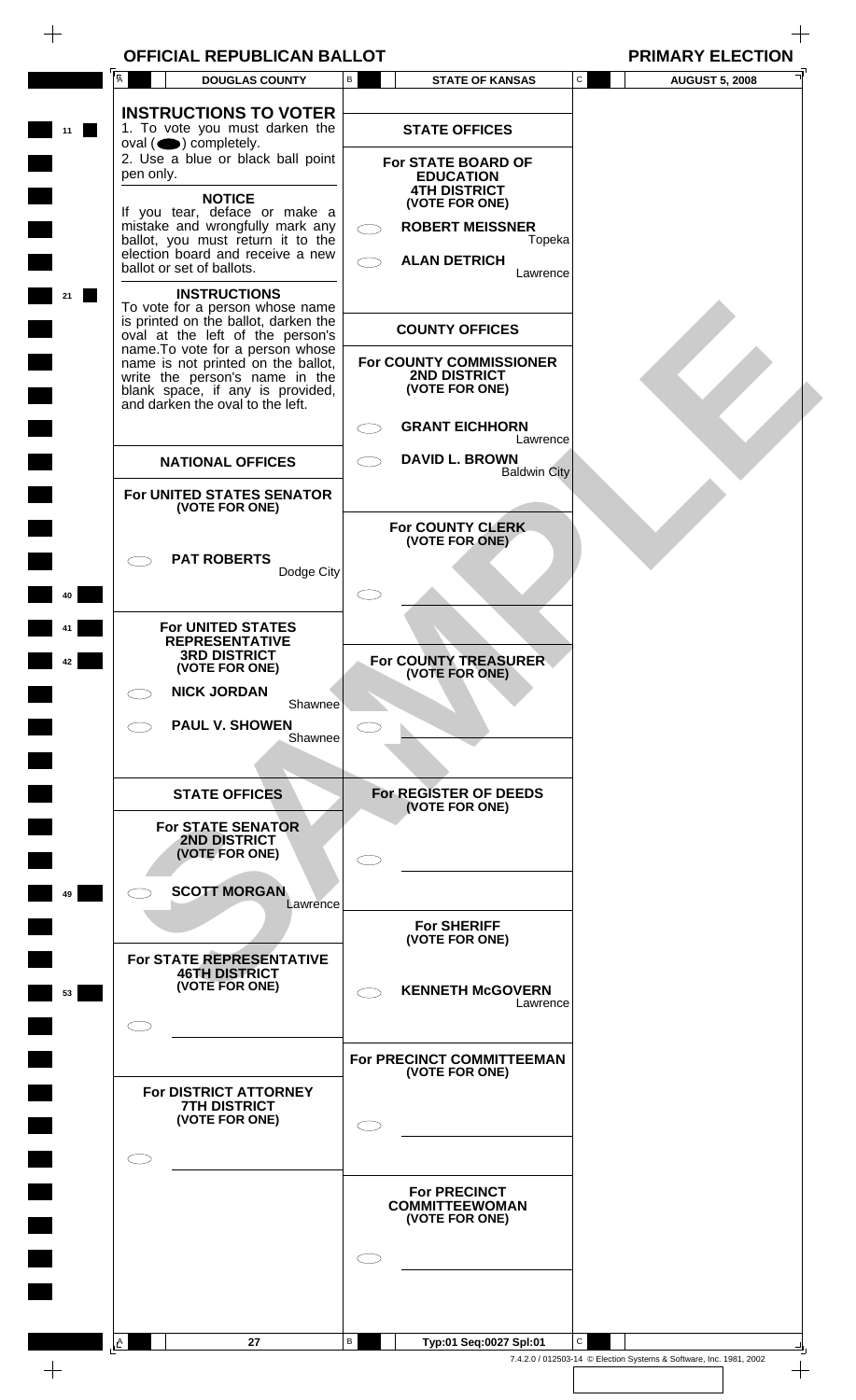| OFFICIAL REPUBLICAN BALLOT | <b>PRIMARY ELECTION</b> |
|----------------------------|-------------------------|
|----------------------------|-------------------------|

|    | A<br><b>DOUGLAS COUNTY</b>                                                                                                                                                                                   | В          | <b>STATE OF KANSAS</b>                                                       | ${\tt C}$    | <b>AUGUST 5, 2008</b> |
|----|--------------------------------------------------------------------------------------------------------------------------------------------------------------------------------------------------------------|------------|------------------------------------------------------------------------------|--------------|-----------------------|
| 11 | <b>INSTRUCTIONS TO VOTER</b><br>1. To vote you must darken the                                                                                                                                               |            | <b>STATE OFFICES</b>                                                         |              |                       |
|    | $oval(\n\bullet)$ completely.<br>2. Use a blue or black ball point<br>pen only.                                                                                                                              |            | For STATE BOARD OF<br><b>EDUCATION</b>                                       |              |                       |
|    | <b>NOTICE</b><br>If you tear, deface or make a<br>mistake and wrongfully mark any                                                                                                                            |            | <b>4TH DISTRICT</b><br>(VOTE FOR ONE)                                        |              |                       |
|    | ballot, you must return it to the<br>election board and receive a new<br>ballot or set of ballots.                                                                                                           |            | <b>ROBERT MEISSNER</b><br>Topeka<br><b>ALAN DETRICH</b>                      |              |                       |
| 21 | <b>INSTRUCTIONS</b><br>To vote for a person whose name<br>is printed on the ballot, darken the<br>oval at the left of the person's<br>name. To vote for a person whose<br>name is not printed on the ballot, |            | Lawrence<br><b>COUNTY OFFICES</b><br>For COUNTY COMMISSIONER<br>2ND DISTRICT |              |                       |
|    | write the person's name in the<br>blank space, if any is provided,<br>and darken the oval to the left.                                                                                                       |            | (VOTE FOR ONE)                                                               |              |                       |
|    |                                                                                                                                                                                                              |            | <b>GRANT EICHHORN</b><br>Lawrence                                            |              |                       |
|    | <b>NATIONAL OFFICES</b><br>For UNITED STATES SENATOR                                                                                                                                                         |            | <b>DAVID L. BROWN</b><br><b>Baldwin City</b>                                 |              |                       |
|    | (VOTE FOR ONE)<br><b>PAT ROBERTS</b>                                                                                                                                                                         |            | For COUNTY CLERK<br>(VOTE FOR ONE)                                           |              |                       |
| 40 |                                                                                                                                                                                                              | Dodge City |                                                                              |              |                       |
|    | For UNITED STATES<br><b>REPRESENTATIVE</b><br><b>3RD DISTRICT</b>                                                                                                                                            |            |                                                                              |              |                       |
|    | (VOTE FOR ONE)<br><b>NICK JORDAN</b>                                                                                                                                                                         |            | For COUNTY TREASURER<br>(VOTE FOR ONE)                                       |              |                       |
|    | <b>PAUL V. SHOWEN</b>                                                                                                                                                                                        | Shawnee    |                                                                              |              |                       |
|    |                                                                                                                                                                                                              | Shawnee    |                                                                              |              |                       |
|    | <b>STATE OFFICES</b>                                                                                                                                                                                         |            | For REGISTER OF DEEDS<br>(VOTE FOR ONE)                                      |              |                       |
|    | <b>For STATE SENATOR</b><br>2ND DISTRICT<br>(VOTE FOR ONE)                                                                                                                                                   |            |                                                                              |              |                       |
| 49 | <b>SCOTT MORGAN</b>                                                                                                                                                                                          | Lawrence   | <b>For SHERIFF</b>                                                           |              |                       |
|    | For STATE REPRESENTATIVE<br><b>46TH DISTRICT</b><br>(VOTE FOR ONE)                                                                                                                                           |            | (VOTE FOR ONE)<br><b>KENNETH McGOVERN</b>                                    |              |                       |
| 53 |                                                                                                                                                                                                              |            | Lawrence                                                                     |              |                       |
|    |                                                                                                                                                                                                              |            | For PRECINCT COMMITTEEMAN<br>(VOTE FOR ONE)                                  |              |                       |
|    | For DISTRICT ATTORNEY<br><b>7TH DISTRICT</b><br>(VOTE FOR ONE)                                                                                                                                               |            |                                                                              |              |                       |
|    |                                                                                                                                                                                                              |            |                                                                              |              |                       |
|    |                                                                                                                                                                                                              |            | <b>For PRECINCT</b><br><b>COMMITTEEWOMAN</b><br>(VOTE FOR ONE)               |              |                       |
|    |                                                                                                                                                                                                              |            |                                                                              |              |                       |
|    |                                                                                                                                                                                                              |            |                                                                              |              |                       |
|    | 27<br>$\mathsf{A}$                                                                                                                                                                                           | В          | Typ:01 Seq:0027 Spl:01                                                       | $\mathsf{C}$ |                       |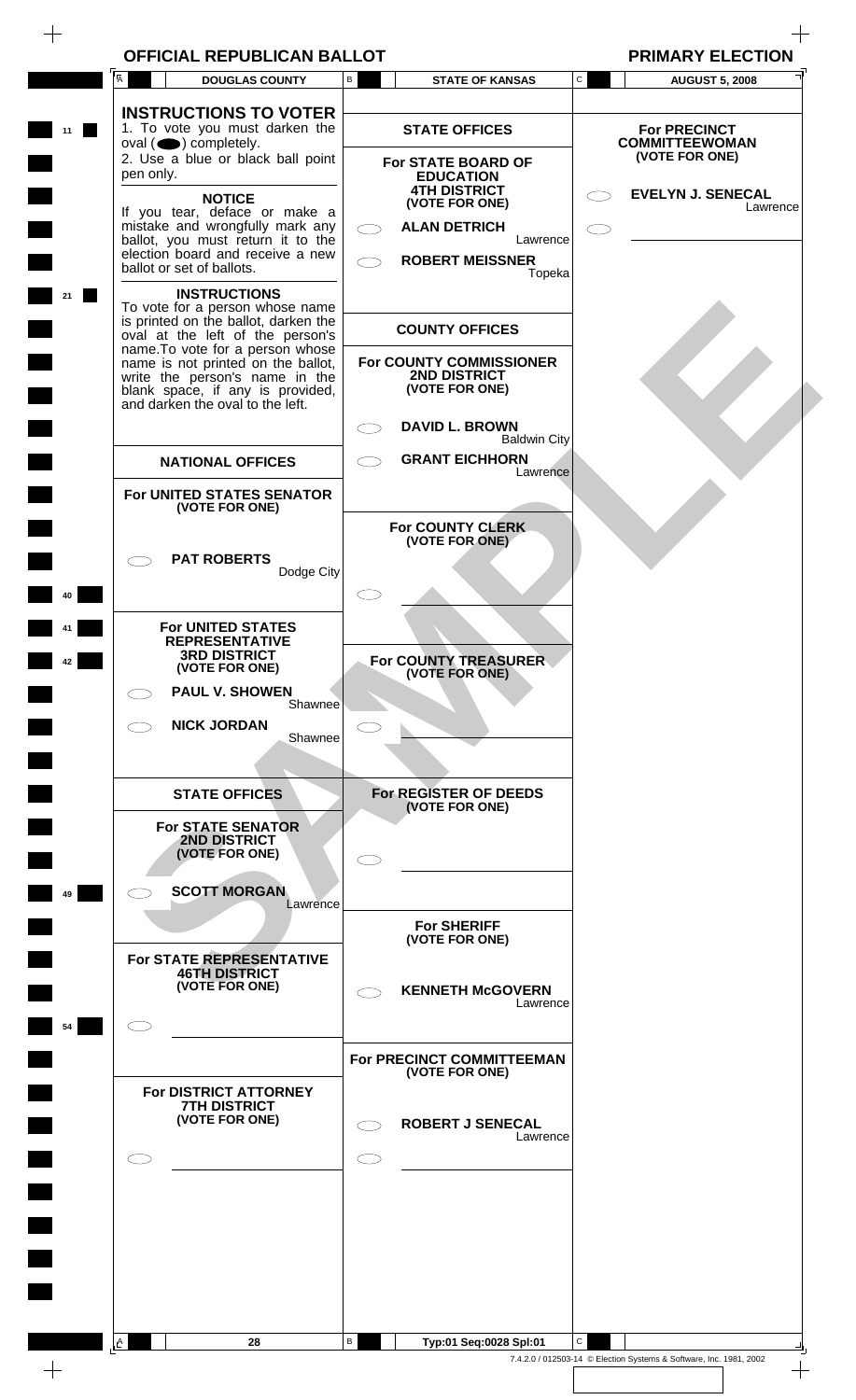|                |           | <b>OFFICIAL REPUBLICAN BALLOT</b>                                                                                                                                                |     |                                                               |                           |              | <b>PRIMARY ELECTION</b>                                            |
|----------------|-----------|----------------------------------------------------------------------------------------------------------------------------------------------------------------------------------|-----|---------------------------------------------------------------|---------------------------|--------------|--------------------------------------------------------------------|
| $\overline{A}$ |           | <b>DOUGLAS COUNTY</b>                                                                                                                                                            | В   |                                                               | <b>STATE OF KANSAS</b>    | C            | <b>AUGUST 5, 2008</b>                                              |
|                |           | <b>INSTRUCTIONS TO VOTER</b><br>1. To vote you must darken the<br>oval $($ $\bullet)$ completely.                                                                                |     | <b>STATE OFFICES</b>                                          |                           |              | <b>For PRECINCT</b><br><b>COMMITTEEWOMAN</b>                       |
|                | pen only. | 2. Use a blue or black ball point                                                                                                                                                |     | For STATE BOARD OF<br><b>EDUCATION</b><br><b>4TH DISTRICT</b> |                           |              | (VOTE FOR ONE)<br><b>EVELYN J. SENECAL</b>                         |
|                |           | <b>NOTICE</b><br>If you tear, deface or make a<br>mistake and wrongfully mark any                                                                                                |     | (VOTE FOR ONE)                                                |                           |              | Lawrence                                                           |
|                |           | ballot, you must return it to the<br>election board and receive a new                                                                                                            |     | <b>ALAN DETRICH</b>                                           | Lawrence                  |              |                                                                    |
|                |           | ballot or set of ballots.<br><b>INSTRUCTIONS</b>                                                                                                                                 |     | <b>ROBERT MEISSNER</b>                                        | Topeka                    |              |                                                                    |
|                |           | To vote for a person whose name<br>is printed on the ballot, darken the<br>oval at the left of the person's                                                                      |     | <b>COUNTY OFFICES</b>                                         |                           |              |                                                                    |
|                |           | name. To vote for a person whose<br>name is not printed on the ballot,<br>write the person's name in the<br>blank space, if any is provided,<br>and darken the oval to the left. |     | <b>2ND DISTRICT</b><br>(VOTE FOR ONE)                         | For COUNTY COMMISSIONER   |              |                                                                    |
|                |           |                                                                                                                                                                                  |     | <b>DAVID L. BROWN</b>                                         | <b>Baldwin City</b>       |              |                                                                    |
|                |           | <b>NATIONAL OFFICES</b>                                                                                                                                                          |     | <b>GRANT EICHHORN</b>                                         | Lawrence                  |              |                                                                    |
|                |           | For UNITED STATES SENATOR<br>(VOTE FOR ONE)                                                                                                                                      |     |                                                               |                           |              |                                                                    |
|                |           |                                                                                                                                                                                  |     | For COUNTY CLERK<br>(VOTE FOR ONE)                            |                           |              |                                                                    |
|                |           | <b>PAT ROBERTS</b>                                                                                                                                                               |     |                                                               |                           |              |                                                                    |
|                |           | Dodge City                                                                                                                                                                       |     |                                                               |                           |              |                                                                    |
|                |           | <b>For UNITED STATES</b>                                                                                                                                                         |     |                                                               |                           |              |                                                                    |
|                |           | <b>REPRESENTATIVE</b><br><b>3RD DISTRICT</b>                                                                                                                                     |     | For COUNTY TREASURER                                          |                           |              |                                                                    |
|                |           | (VOTE FOR ONE)<br><b>PAUL V. SHOWEN</b>                                                                                                                                          |     | (VOTE FOR ONE)                                                |                           |              |                                                                    |
|                |           | Shawnee                                                                                                                                                                          |     |                                                               |                           |              |                                                                    |
|                |           | <b>NICK JORDAN</b><br>Shawnee                                                                                                                                                    |     |                                                               |                           |              |                                                                    |
|                |           |                                                                                                                                                                                  |     |                                                               |                           |              |                                                                    |
|                |           | <b>STATE OFFICES</b>                                                                                                                                                             |     | For REGISTER OF DEEDS<br>(VOTE FOR ONE)                       |                           |              |                                                                    |
|                |           | <b>For STATE SENATOR</b><br><b>2ND DISTRICT</b>                                                                                                                                  |     |                                                               |                           |              |                                                                    |
|                |           | (VOTE FOR ONE)                                                                                                                                                                   |     |                                                               |                           |              |                                                                    |
|                |           | <b>SCOTT MORGAN</b><br>Lawrence                                                                                                                                                  |     |                                                               |                           |              |                                                                    |
|                |           |                                                                                                                                                                                  |     | <b>For SHERIFF</b><br>(VOTE FOR ONE)                          |                           |              |                                                                    |
|                |           | For STATE REPRESENTATIVE                                                                                                                                                         |     |                                                               |                           |              |                                                                    |
|                |           | <b>46TH DISTRICT</b><br>(VOTE FOR ONE)                                                                                                                                           | - 3 |                                                               | <b>KENNETH McGOVERN</b>   |              |                                                                    |
|                |           |                                                                                                                                                                                  |     |                                                               | Lawrence                  |              |                                                                    |
|                |           |                                                                                                                                                                                  |     |                                                               | For PRECINCT COMMITTEEMAN |              |                                                                    |
|                |           |                                                                                                                                                                                  |     | (VOTE FOR ONE)                                                |                           |              |                                                                    |
|                |           | <b>For DISTRICT ATTORNEY</b><br><b>7TH DISTRICT</b><br>(VOTE FOR ONE)                                                                                                            |     |                                                               |                           |              |                                                                    |
|                |           |                                                                                                                                                                                  |     | <b>ROBERT J SENECAL</b>                                       | Lawrence                  |              |                                                                    |
|                |           |                                                                                                                                                                                  |     |                                                               |                           |              |                                                                    |
|                |           |                                                                                                                                                                                  |     |                                                               |                           |              |                                                                    |
|                |           |                                                                                                                                                                                  |     |                                                               |                           |              |                                                                    |
|                |           |                                                                                                                                                                                  |     |                                                               |                           |              |                                                                    |
|                |           |                                                                                                                                                                                  |     |                                                               |                           |              |                                                                    |
|                |           | 28                                                                                                                                                                               | В   |                                                               | Typ:01 Seq:0028 Spl:01    | $\mathsf{C}$ |                                                                    |
| <u>A</u>       |           |                                                                                                                                                                                  |     |                                                               |                           |              | 7.4.2.0 / 012503-14 © Election Systems & Software, Inc. 1981, 2002 |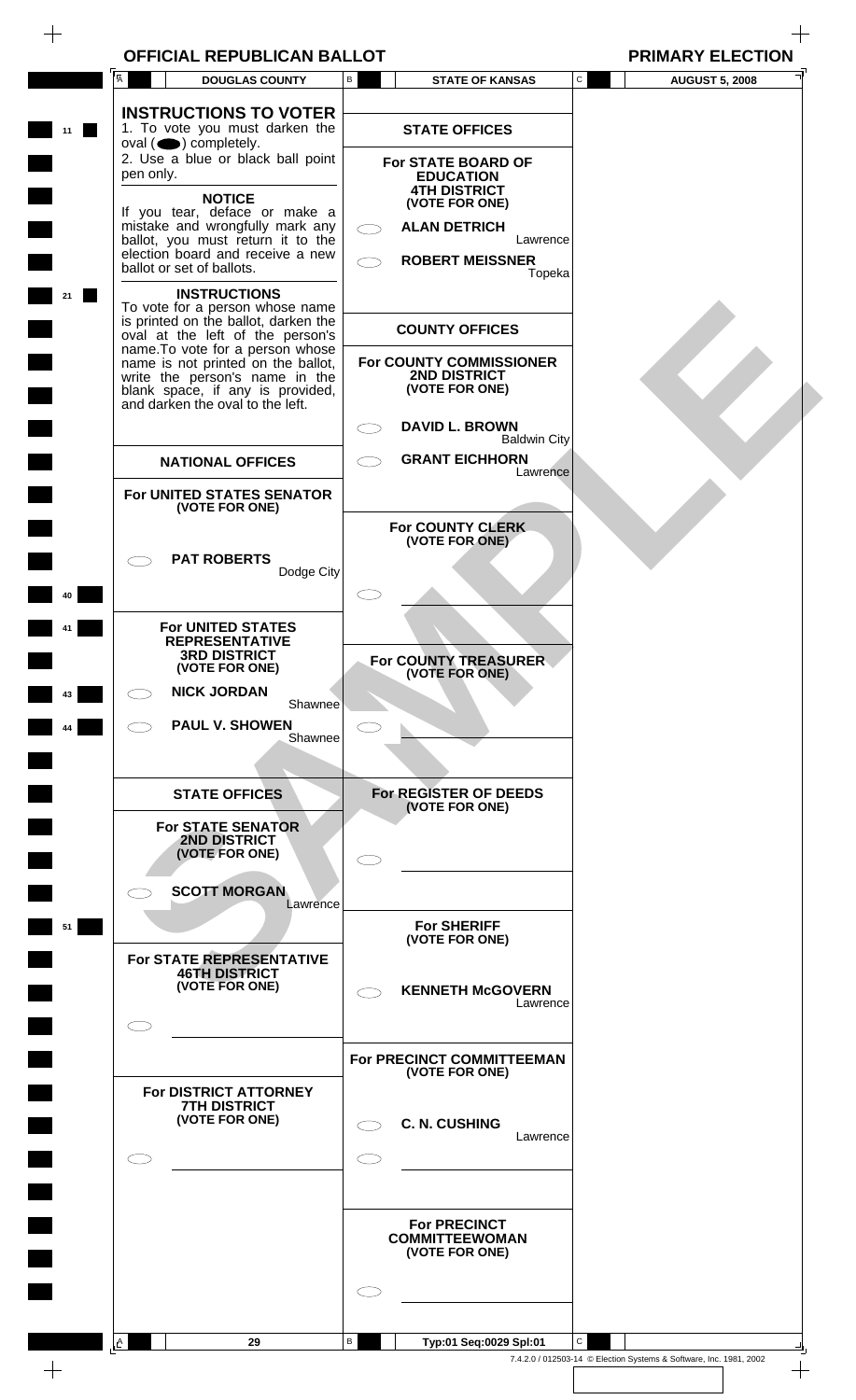# **OFFICIAL REPUBLICAN BALLOT PRIMARY ELECTION**

 $\overline{\phantom{a}}$ 

 $\hspace{0.1mm} +$ 

| $\overline{A}$ | <b>DOUGLAS COUNTY</b>                                                                                                                                                                                                | $\mathtt{C}$<br>$\mathsf{B}$<br><b>STATE OF KANSAS</b><br><b>AUGUST 5, 2008</b> |
|----------------|----------------------------------------------------------------------------------------------------------------------------------------------------------------------------------------------------------------------|---------------------------------------------------------------------------------|
| 11             | <b>INSTRUCTIONS TO VOTER</b><br>1. To vote you must darken the                                                                                                                                                       | <b>STATE OFFICES</b>                                                            |
|                | $oval(\n\bullet)$ completely.<br>2. Use a blue or black ball point<br>pen only.                                                                                                                                      | For STATE BOARD OF<br><b>EDUCATION</b><br><b>4TH DISTRICT</b>                   |
|                | <b>NOTICE</b><br>If you tear, deface or make a<br>mistake and wrongfully mark any                                                                                                                                    | (VOTE FOR ONE)<br><b>ALAN DETRICH</b>                                           |
|                | ballot, you must return it to the<br>election board and receive a new<br>ballot or set of ballots.                                                                                                                   | Lawrence<br><b>ROBERT MEISSNER</b><br>Topeka                                    |
| 21             | <b>INSTRUCTIONS</b><br>To vote for a person whose name<br>is printed on the ballot, darken the                                                                                                                       | <b>COUNTY OFFICES</b>                                                           |
|                | oval at the left of the person's<br>name. To vote for a person whose<br>name is not printed on the ballot,<br>write the person's name in the<br>blank space, if any is provided,<br>and darken the oval to the left. | For COUNTY COMMISSIONER<br>2ND DISTRICT<br>(VOTE FOR ONE)                       |
|                |                                                                                                                                                                                                                      | <b>DAVID L. BROWN</b><br>CΞ<br><b>Baldwin City</b>                              |
|                | <b>NATIONAL OFFICES</b>                                                                                                                                                                                              | <b>GRANT EICHHORN</b><br>Lawrence                                               |
|                | For UNITED STATES SENATOR<br>(VOTE FOR ONE)                                                                                                                                                                          | For COUNTY CLERK<br>(VOTE FOR ONE)                                              |
|                | <b>PAT ROBERTS</b><br>Dodge City                                                                                                                                                                                     |                                                                                 |
|                | For UNITED STATES<br><b>REPRESENTATIVE</b><br><b>3RD DISTRICT</b><br>(VOTE FOR ONE)                                                                                                                                  | For COUNTY TREASURER                                                            |
| 43             | <b>NICK JORDAN</b><br>Shawnee                                                                                                                                                                                        | (VOTE FOR ONE)                                                                  |
| 44             | <b>PAUL V. SHOWEN</b><br>Shawnee                                                                                                                                                                                     |                                                                                 |
|                | <b>STATE OFFICES</b>                                                                                                                                                                                                 | For REGISTER OF DEEDS<br>(VOTE FOR ONE)                                         |
|                | <b>For STATE SENATOR</b><br><b>2ND DISTRICT</b><br>(VOTE FOR ONE)                                                                                                                                                    |                                                                                 |
| 51             | <b>SCOTT MORGAN</b><br>Lawrence                                                                                                                                                                                      | <b>For SHERIFF</b>                                                              |
|                | For STATE REPRESENTATIVE<br><b>46TH DISTRICT</b>                                                                                                                                                                     | (VOTE FOR ONE)                                                                  |
|                | (VOTE FOR ONE)                                                                                                                                                                                                       | <b>KENNETH McGOVERN</b><br>Lawrence                                             |
|                |                                                                                                                                                                                                                      | For PRECINCT COMMITTEEMAN                                                       |
|                | For DISTRICT ATTORNEY<br><b>7TH DISTRICT</b>                                                                                                                                                                         | (VOTE FOR ONE)                                                                  |
|                | (VOTE FOR ONE)                                                                                                                                                                                                       | <b>C. N. CUSHING</b><br>Lawrence                                                |
|                |                                                                                                                                                                                                                      |                                                                                 |
|                |                                                                                                                                                                                                                      | <b>For PRECINCT</b><br><b>COMMITTEEWOMAN</b><br>(VOTE FOR ONE)                  |
|                |                                                                                                                                                                                                                      |                                                                                 |
|                |                                                                                                                                                                                                                      |                                                                                 |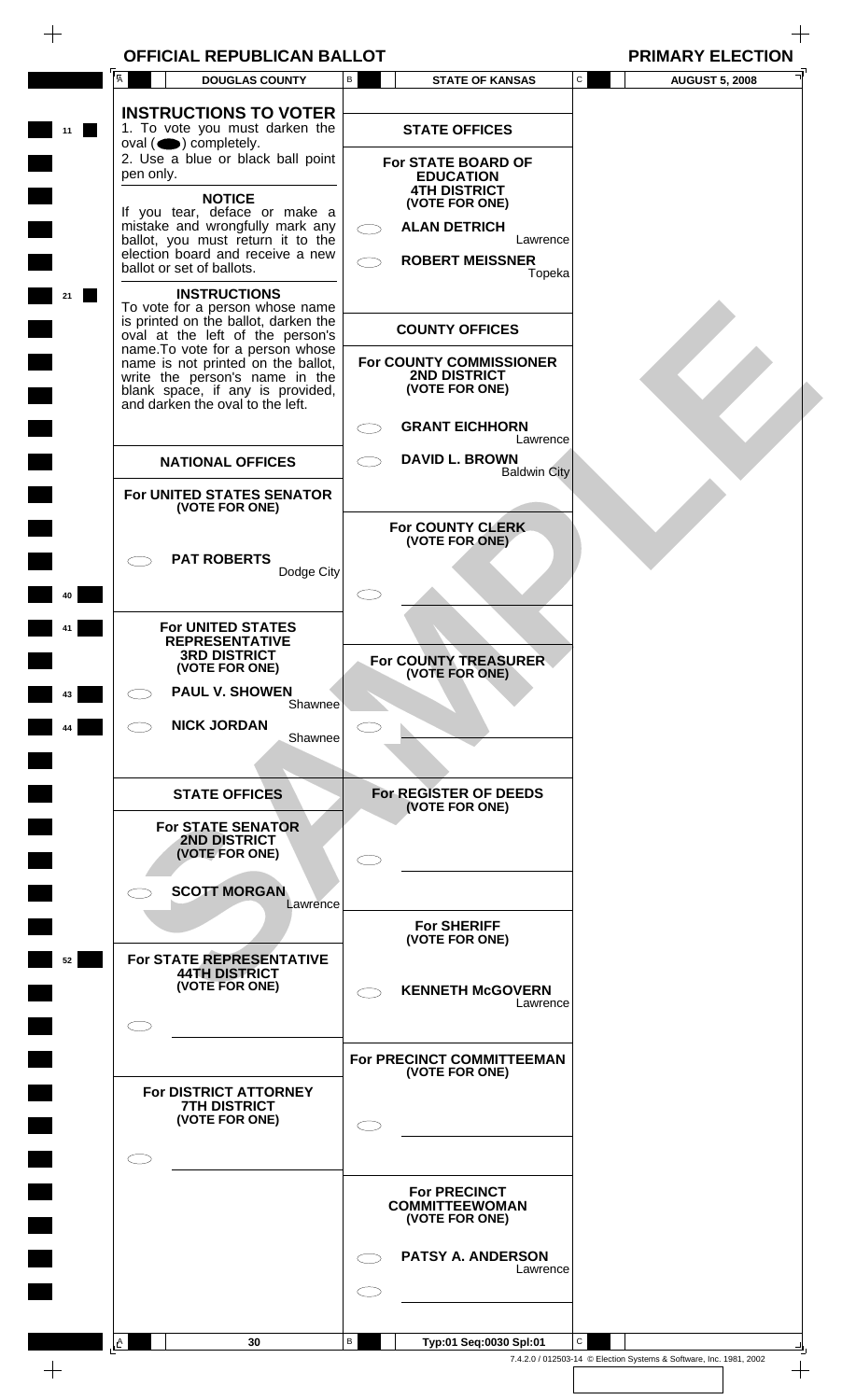| <b>OFFICIAL REPUBLICAN BALLOT</b> |  |  |
|-----------------------------------|--|--|
|-----------------------------------|--|--|

**OFFICIAL REPUBLICAN BANK**<br>**PRIMARY ELECTION** 

 $\hspace{0.1mm} +$ 

|    |           | <b>DOUGLAS COUNTY</b>                                                                                                                                                            | В | <b>STATE OF KANSAS</b>                                           | С            | <b>AUGUST 5, 2008</b> |
|----|-----------|----------------------------------------------------------------------------------------------------------------------------------------------------------------------------------|---|------------------------------------------------------------------|--------------|-----------------------|
|    |           | <b>INSTRUCTIONS TO VOTER</b>                                                                                                                                                     |   |                                                                  |              |                       |
| 11 | pen only. | 1. To vote you must darken the<br>$oval \textcircled{\bullet}$ ) completely.<br>2. Use a blue or black ball point                                                                |   | <b>STATE OFFICES</b><br>For STATE BOARD OF<br><b>EDUCATION</b>   |              |                       |
|    |           | <b>NOTICE</b><br>If you tear, deface or make a<br>mistake and wrongfully mark any                                                                                                |   | <b>4TH DISTRICT</b><br>(VOTE FOR ONE)<br><b>ALAN DETRICH</b>     |              |                       |
|    |           | ballot, you must return it to the<br>election board and receive a new                                                                                                            |   | Lawrence<br><b>ROBERT MEISSNER</b>                               |              |                       |
|    |           | ballot or set of ballots.<br><b>INSTRUCTIONS</b>                                                                                                                                 |   | Topeka                                                           |              |                       |
|    |           | To vote for a person whose name<br>is printed on the ballot, darken the<br>oval at the left of the person's                                                                      |   | <b>COUNTY OFFICES</b>                                            |              |                       |
|    |           | name. To vote for a person whose<br>name is not printed on the ballot,<br>write the person's name in the<br>blank space, if any is provided,<br>and darken the oval to the left. |   | <b>For COUNTY COMMISSIONER</b><br>2ND DISTRICT<br>(VOTE FOR ONE) |              |                       |
|    |           |                                                                                                                                                                                  |   | <b>GRANT EICHHORN</b><br>Lawrence                                |              |                       |
|    |           | <b>NATIONAL OFFICES</b>                                                                                                                                                          |   | <b>DAVID L. BROWN</b><br><b>Baldwin City</b>                     |              |                       |
|    |           | For UNITED STATES SENATOR<br>(VOTE FOR ONE)                                                                                                                                      |   |                                                                  |              |                       |
|    |           | <b>PAT ROBERTS</b>                                                                                                                                                               |   | For COUNTY CLERK<br>(VOTE FOR ONE)                               |              |                       |
|    |           | Dodge City                                                                                                                                                                       |   |                                                                  |              |                       |
|    |           | For UNITED STATES                                                                                                                                                                |   |                                                                  |              |                       |
|    |           | <b>REPRESENTATIVE</b><br><b>3RD DISTRICT</b><br>(VOTE FOR ONE)                                                                                                                   |   | For COUNTY TREASURER<br>(VOTE FOR ONE)                           |              |                       |
| 43 |           | <b>PAUL V. SHOWEN</b><br>Shawnee                                                                                                                                                 |   |                                                                  |              |                       |
|    |           | <b>NICK JORDAN</b><br>Shawnee                                                                                                                                                    |   |                                                                  |              |                       |
|    |           | <b>STATE OFFICES</b>                                                                                                                                                             |   | For REGISTER OF DEEDS                                            |              |                       |
|    |           | <b>For STATE SENATOR</b>                                                                                                                                                         |   | (VOTE FOR ONE)                                                   |              |                       |
|    |           | 2ND DISTRICT<br>(VOTE FOR ONE)                                                                                                                                                   |   |                                                                  |              |                       |
|    |           | <b>SCOTT MORGAN</b><br>Lawrence                                                                                                                                                  |   |                                                                  |              |                       |
| 52 |           | For STATE REPRESENTATIVE                                                                                                                                                         |   | <b>For SHERIFF</b><br>(VOTE FOR ONE)                             |              |                       |
|    |           | <b>44TH DISTRICT</b><br>(VOTE FOR ONE)                                                                                                                                           |   | <b>KENNETH McGOVERN</b>                                          |              |                       |
|    |           |                                                                                                                                                                                  |   | Lawrence                                                         |              |                       |
|    |           |                                                                                                                                                                                  |   | For PRECINCT COMMITTEEMAN<br>(VOTE FOR ONE)                      |              |                       |
|    |           | For DISTRICT ATTORNEY<br><b>7TH DISTRICT</b><br>(VOTE FOR ONE)                                                                                                                   |   |                                                                  |              |                       |
|    |           |                                                                                                                                                                                  |   |                                                                  |              |                       |
|    |           |                                                                                                                                                                                  |   | <b>For PRECINCT</b>                                              |              |                       |
|    |           |                                                                                                                                                                                  |   | <b>COMMITTEEWOMAN</b><br>(VOTE FOR ONE)                          |              |                       |
|    |           |                                                                                                                                                                                  |   | PATSY A. ANDERSON<br>Lawrence                                    |              |                       |
|    |           |                                                                                                                                                                                  |   |                                                                  |              |                       |
|    | . ا.      | 30                                                                                                                                                                               | В | Typ:01 Seq:0030 Spl:01                                           | $\mathbf{C}$ |                       |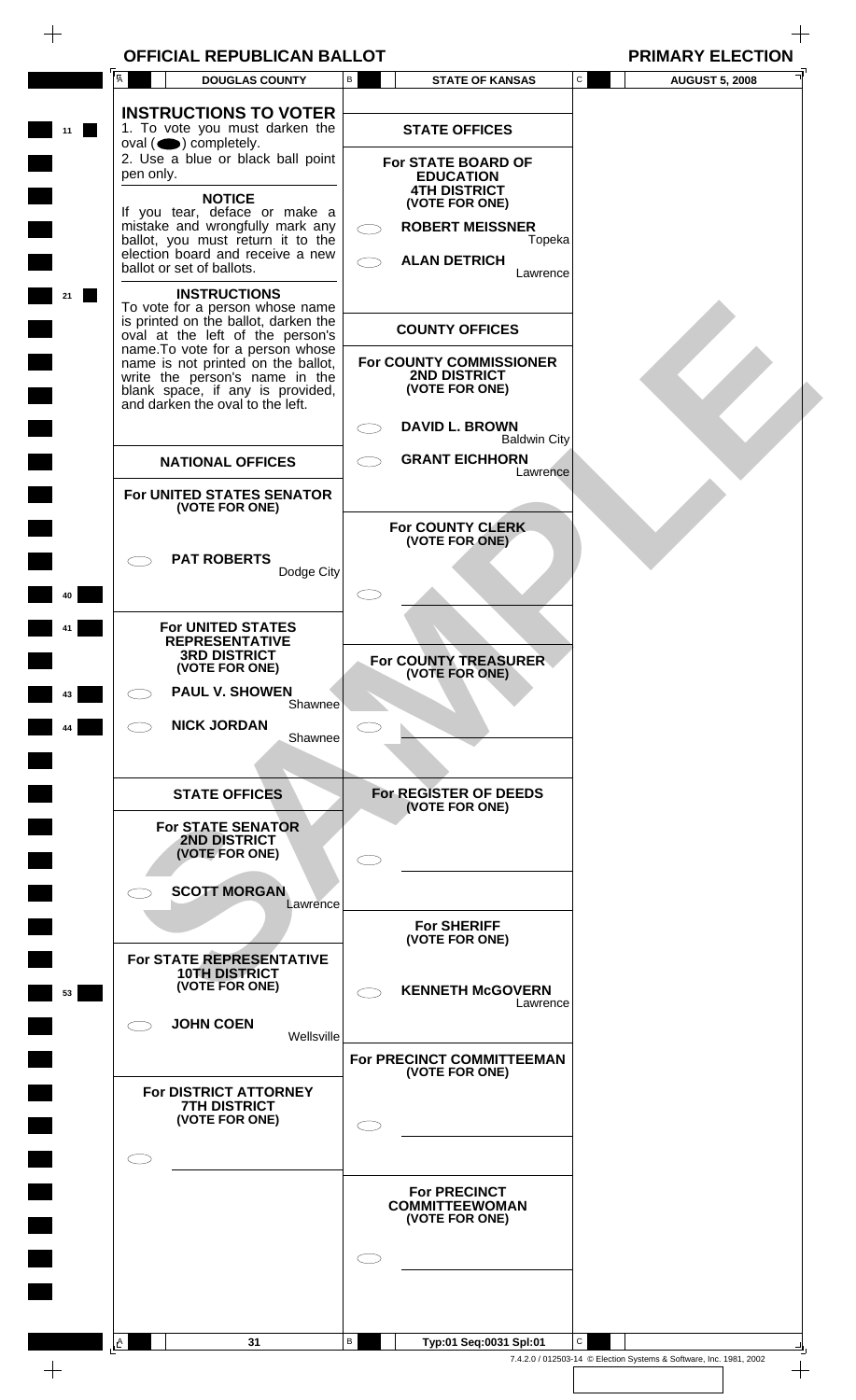| OFFICIAL REPUBLICAN BALLOT | <b>PRIMARY ELECTION</b> |
|----------------------------|-------------------------|
|----------------------------|-------------------------|

| Ā          | <b>DOUGLAS COUNTY</b>                                                                                                                                                                                                                                                                                                  | В | <b>STATE OF KANSAS</b>                                                             | C            | <b>AUGUST 5, 2008</b>                                              |
|------------|------------------------------------------------------------------------------------------------------------------------------------------------------------------------------------------------------------------------------------------------------------------------------------------------------------------------|---|------------------------------------------------------------------------------------|--------------|--------------------------------------------------------------------|
|            | <b>INSTRUCTIONS TO VOTER</b>                                                                                                                                                                                                                                                                                           |   |                                                                                    |              |                                                                    |
| 11         | 1. To vote you must darken the<br>$oval \textcircled{\bullet}$ ) completely.                                                                                                                                                                                                                                           |   | <b>STATE OFFICES</b>                                                               |              |                                                                    |
|            | 2. Use a blue or black ball point<br>pen only.                                                                                                                                                                                                                                                                         |   | For STATE BOARD OF<br><b>EDUCATION</b>                                             |              |                                                                    |
|            | <b>NOTICE</b><br>If you tear, deface or make a                                                                                                                                                                                                                                                                         |   | <b>4TH DISTRICT</b><br>(VOTE FOR ONE)                                              |              |                                                                    |
|            | mistake and wrongfully mark any<br>ballot, you must return it to the                                                                                                                                                                                                                                                   |   | <b>ROBERT MEISSNER</b><br>Topeka                                                   |              |                                                                    |
|            | election board and receive a new<br>ballot or set of ballots.                                                                                                                                                                                                                                                          |   | <b>ALAN DETRICH</b><br>Lawrence                                                    |              |                                                                    |
| 21         | <b>INSTRUCTIONS</b><br>To vote for a person whose name<br>is printed on the ballot, darken the<br>oval at the left of the person's<br>name. To vote for a person whose<br>name is not printed on the ballot,<br>write the person's name in the<br>blank space, if any is provided,<br>and darken the oval to the left. |   | <b>COUNTY OFFICES</b><br>For COUNTY COMMISSIONER<br>2ND DISTRICT<br>(VOTE FOR ONE) |              |                                                                    |
|            |                                                                                                                                                                                                                                                                                                                        |   | <b>DAVID L. BROWN</b><br><b>Baldwin City</b>                                       |              |                                                                    |
|            | <b>NATIONAL OFFICES</b>                                                                                                                                                                                                                                                                                                |   | <b>GRANT EICHHORN</b><br>Lawrence                                                  |              |                                                                    |
|            | For UNITED STATES SENATOR<br>(VOTE FOR ONE)                                                                                                                                                                                                                                                                            |   |                                                                                    |              |                                                                    |
|            |                                                                                                                                                                                                                                                                                                                        |   | For COUNTY CLERK                                                                   |              |                                                                    |
|            | <b>PAT ROBERTS</b><br>Dodge City                                                                                                                                                                                                                                                                                       |   | (VOTE FOR ONE)                                                                     |              |                                                                    |
| 40         |                                                                                                                                                                                                                                                                                                                        |   |                                                                                    |              |                                                                    |
|            | For UNITED STATES                                                                                                                                                                                                                                                                                                      |   |                                                                                    |              |                                                                    |
|            | <b>REPRESENTATIVE</b><br><b>3RD DISTRICT</b><br>(VOTE FOR ONE)                                                                                                                                                                                                                                                         |   | For COUNTY TREASURER                                                               |              |                                                                    |
| 43         | <b>PAUL V. SHOWEN</b><br>Shawnee                                                                                                                                                                                                                                                                                       |   | (VOTE FOR ONE)                                                                     |              |                                                                    |
| 44         | <b>NICK JORDAN</b><br>Shawnee                                                                                                                                                                                                                                                                                          |   |                                                                                    |              |                                                                    |
|            |                                                                                                                                                                                                                                                                                                                        |   |                                                                                    |              |                                                                    |
|            | <b>STATE OFFICES</b>                                                                                                                                                                                                                                                                                                   |   | For REGISTER OF DEEDS                                                              |              |                                                                    |
|            | <b>For STATE SENATOR</b><br>2ND DISTRICT<br>(VOTE FOR ONE)                                                                                                                                                                                                                                                             |   | (VOTE FOR ONE)                                                                     |              |                                                                    |
|            | <b>SCOTT MORGAN</b>                                                                                                                                                                                                                                                                                                    |   |                                                                                    |              |                                                                    |
|            | Lawrence                                                                                                                                                                                                                                                                                                               |   | <b>For SHERIFF</b>                                                                 |              |                                                                    |
|            | For STATE REPRESENTATIVE                                                                                                                                                                                                                                                                                               |   | (VOTE FOR ONE)                                                                     |              |                                                                    |
| 53         | <b>10TH DISTRICT</b><br>(VOTE FOR ONE)                                                                                                                                                                                                                                                                                 |   | <b>KENNETH McGOVERN</b>                                                            |              |                                                                    |
|            | <b>JOHN COEN</b>                                                                                                                                                                                                                                                                                                       |   | Lawrence                                                                           |              |                                                                    |
|            | Wellsville                                                                                                                                                                                                                                                                                                             |   | For PRECINCT COMMITTEEMAN                                                          |              |                                                                    |
|            | For DISTRICT ATTORNEY                                                                                                                                                                                                                                                                                                  |   | (VOTE FOR ONE)                                                                     |              |                                                                    |
|            | <b>7TH DISTRICT</b><br>(VOTE FOR ONE)                                                                                                                                                                                                                                                                                  |   |                                                                                    |              |                                                                    |
|            |                                                                                                                                                                                                                                                                                                                        |   |                                                                                    |              |                                                                    |
|            |                                                                                                                                                                                                                                                                                                                        |   |                                                                                    |              |                                                                    |
|            |                                                                                                                                                                                                                                                                                                                        |   | <b>For PRECINCT</b><br><b>COMMITTEEWOMAN</b><br>(VOTE FOR ONE)                     |              |                                                                    |
|            |                                                                                                                                                                                                                                                                                                                        |   |                                                                                    |              |                                                                    |
|            |                                                                                                                                                                                                                                                                                                                        |   |                                                                                    |              |                                                                    |
|            |                                                                                                                                                                                                                                                                                                                        | В |                                                                                    | $\mathsf{C}$ |                                                                    |
| <b>I</b> A | 31                                                                                                                                                                                                                                                                                                                     |   | Typ:01 Seq:0031 Spl:01                                                             |              | 7.4.2.0 / 012503-14 © Election Systems & Software, Inc. 1981, 2002 |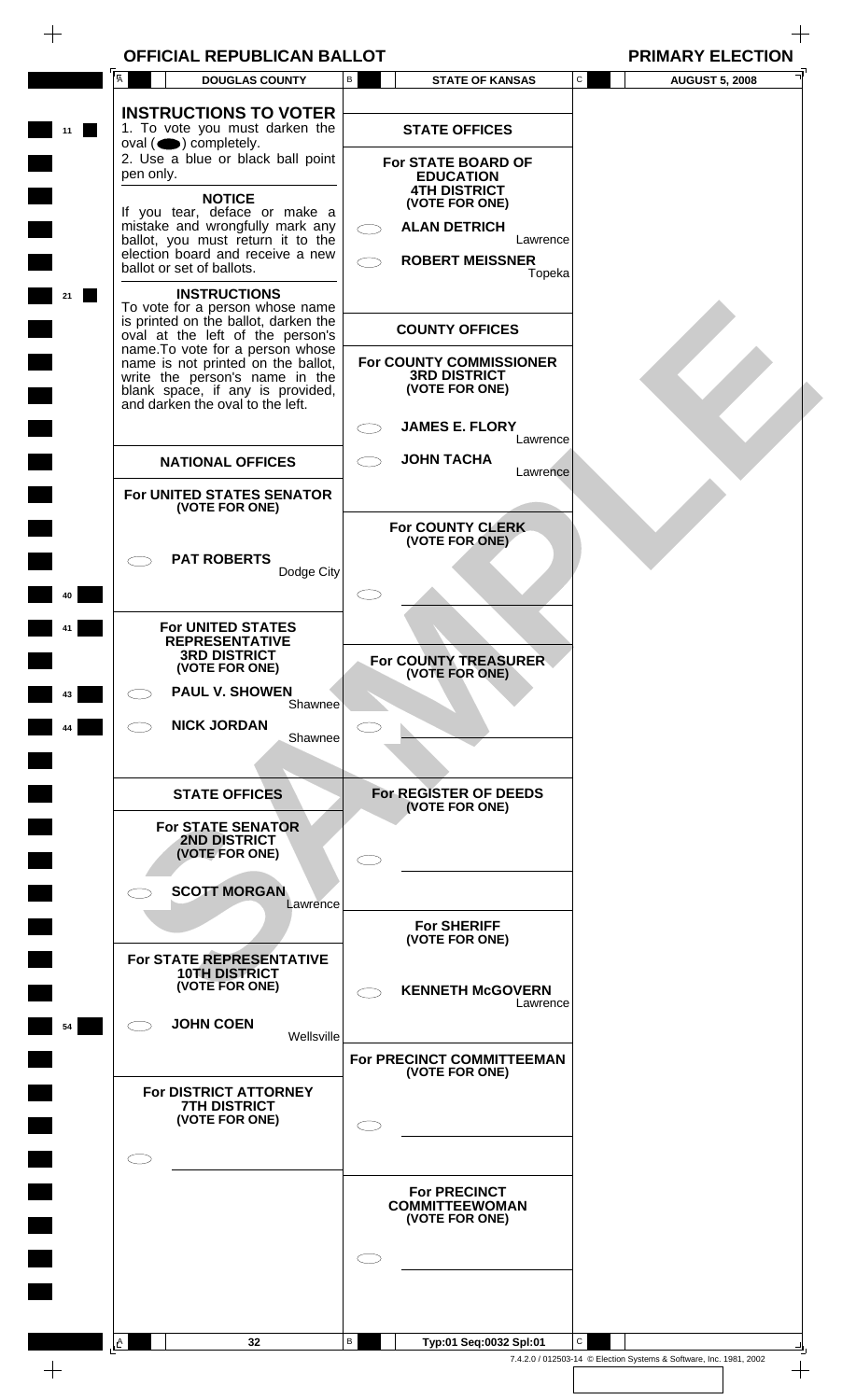|  |  | <b>OFFICIAL REPUBLICAN BALLOT</b> |
|--|--|-----------------------------------|
|--|--|-----------------------------------|

**OFFICIAL REPUBLICAN BANK**<br>**PRIMARY ELECTION** 

|    | Ā         | <b>DOUGLAS COUNTY</b>                                                                                                                              | В | <b>STATE OF KANSAS</b>                                        |          | C            | <b>AUGUST 5, 2008</b>                                              |  |
|----|-----------|----------------------------------------------------------------------------------------------------------------------------------------------------|---|---------------------------------------------------------------|----------|--------------|--------------------------------------------------------------------|--|
| 11 |           | <b>INSTRUCTIONS TO VOTER</b><br>1. To vote you must darken the<br>$oval(\n\bullet)$ completely.                                                    |   | <b>STATE OFFICES</b>                                          |          |              |                                                                    |  |
|    | pen only. | 2. Use a blue or black ball point<br><b>NOTICE</b>                                                                                                 |   | For STATE BOARD OF<br><b>EDUCATION</b><br><b>4TH DISTRICT</b> |          |              |                                                                    |  |
|    |           | If you tear, deface or make a<br>mistake and wrongfully mark any<br>ballot, you must return it to the<br>election board and receive a new          |   | (VOTE FOR ONE)<br><b>ALAN DETRICH</b>                         | Lawrence |              |                                                                    |  |
|    |           | ballot or set of ballots.<br><b>INSTRUCTIONS</b><br>To vote for a person whose name                                                                |   | <b>ROBERT MEISSNER</b>                                        | Topeka   |              |                                                                    |  |
|    |           | is printed on the ballot, darken the<br>oval at the left of the person's<br>name. To vote for a person whose<br>name is not printed on the ballot, |   | <b>COUNTY OFFICES</b><br>For COUNTY COMMISSIONER              |          |              |                                                                    |  |
|    |           | write the person's name in the<br>blank space, if any is provided,<br>and darken the oval to the left.                                             |   | <b>3RD DISTRICT</b><br>(VOTE FOR ONE)                         |          |              |                                                                    |  |
|    |           |                                                                                                                                                    |   | <b>JAMES E. FLORY</b>                                         | Lawrence |              |                                                                    |  |
|    |           | <b>NATIONAL OFFICES</b>                                                                                                                            |   | <b>JOHN TACHA</b>                                             | Lawrence |              |                                                                    |  |
|    |           | For UNITED STATES SENATOR<br>(VOTE FOR ONE)                                                                                                        |   |                                                               |          |              |                                                                    |  |
|    |           | <b>PAT ROBERTS</b>                                                                                                                                 |   | For COUNTY CLERK<br>(VOTE FOR ONE)                            |          |              |                                                                    |  |
|    |           | Dodge City                                                                                                                                         |   |                                                               |          |              |                                                                    |  |
|    |           | <b>For UNITED STATES</b>                                                                                                                           |   |                                                               |          |              |                                                                    |  |
|    |           | <b>REPRESENTATIVE</b><br><b>3RD DISTRICT</b><br>(VOTE FOR ONE)                                                                                     |   | For COUNTY TREASURER<br>(VOTE FOR ONE)                        |          |              |                                                                    |  |
| 43 |           | <b>PAUL V. SHOWEN</b><br>Shawnee <sup>®</sup>                                                                                                      |   |                                                               |          |              |                                                                    |  |
| 44 |           | <b>NICK JORDAN</b><br>Shawnee                                                                                                                      |   |                                                               |          |              |                                                                    |  |
|    |           |                                                                                                                                                    |   |                                                               |          |              |                                                                    |  |
|    |           | <b>STATE OFFICES</b><br><b>For STATE SENATOR</b>                                                                                                   |   | For REGISTER OF DEEDS<br>(VOTE FOR ONE)                       |          |              |                                                                    |  |
|    |           | <b>2ND DISTRICT</b><br>(VOTE FOR ONE)                                                                                                              |   |                                                               |          |              |                                                                    |  |
|    |           | <b>SCOTT MORGAN</b><br>Lawrence                                                                                                                    |   | <b>For SHERIFF</b>                                            |          |              |                                                                    |  |
|    |           | For STATE REPRESENTATIVE                                                                                                                           |   | (VOTE FOR ONE)                                                |          |              |                                                                    |  |
|    |           | <b>10TH DISTRICT</b><br>(VOTE FOR ONE)                                                                                                             |   | <b>KENNETH McGOVERN</b>                                       | Lawrence |              |                                                                    |  |
| 54 |           | <b>JOHN COEN</b><br>Wellsville                                                                                                                     |   |                                                               |          |              |                                                                    |  |
|    |           |                                                                                                                                                    |   | For PRECINCT COMMITTEEMAN<br>(VOTE FOR ONE)                   |          |              |                                                                    |  |
|    |           | For DISTRICT ATTORNEY<br><b>7TH DISTRICT</b><br>(VOTE FOR ONE)                                                                                     |   |                                                               |          |              |                                                                    |  |
|    |           |                                                                                                                                                    |   |                                                               |          |              |                                                                    |  |
|    |           |                                                                                                                                                    |   | <b>For PRECINCT</b><br><b>COMMITTEEWOMAN</b>                  |          |              |                                                                    |  |
|    |           |                                                                                                                                                    |   | (VOTE FOR ONE)                                                |          |              |                                                                    |  |
|    |           |                                                                                                                                                    |   |                                                               |          |              |                                                                    |  |
|    |           |                                                                                                                                                    |   |                                                               |          |              |                                                                    |  |
|    | A         | 32                                                                                                                                                 | В | Typ:01 Seq:0032 Spl:01                                        |          | $\mathsf{C}$ |                                                                    |  |
|    |           |                                                                                                                                                    |   |                                                               |          |              | 7.4.2.0 / 012503-14 © Election Systems & Software, Inc. 1981, 2002 |  |

 $\! +$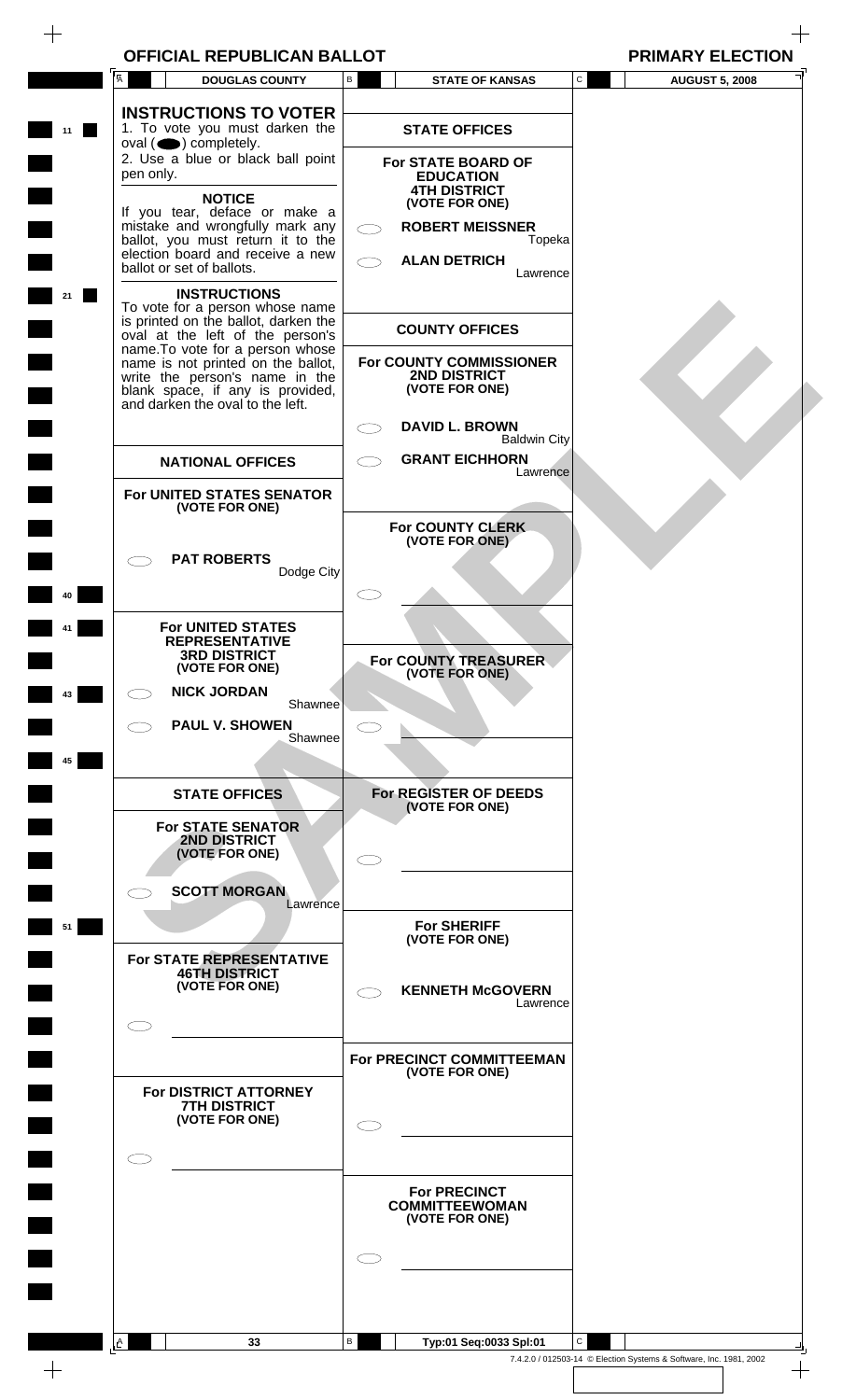| <b>OFFICIAL REPUBLICAN BALLOT</b> | <b>PRIMARY ELECTION</b> |
|-----------------------------------|-------------------------|
|-----------------------------------|-------------------------|

| A <sup>l</sup><br><b>DOUGLAS COUNTY</b>                                                                                                            | $\mathsf{B}$ | <b>STATE OF KANSAS</b>                                          | $\mathtt{C}$ | <b>AUGUST 5, 2008</b> |  |
|----------------------------------------------------------------------------------------------------------------------------------------------------|--------------|-----------------------------------------------------------------|--------------|-----------------------|--|
| <b>INSTRUCTIONS TO VOTER</b><br>1. To vote you must darken the                                                                                     |              | <b>STATE OFFICES</b>                                            |              |                       |  |
| $oval(\n\bullet)$ completely.<br>2. Use a blue or black ball point<br>pen only.                                                                    |              | For STATE BOARD OF<br><b>EDUCATION</b>                          |              |                       |  |
| <b>NOTICE</b><br>If you tear, deface or make a<br>mistake and wrongfully mark any                                                                  |              | <b>4TH DISTRICT</b><br>(VOTE FOR ONE)<br><b>ROBERT MEISSNER</b> |              |                       |  |
| ballot, you must return it to the<br>election board and receive a new<br>ballot or set of ballots.                                                 |              | Topeka<br><b>ALAN DETRICH</b><br>Lawrence                       |              |                       |  |
| <b>INSTRUCTIONS</b><br>To vote for a person whose name                                                                                             |              |                                                                 |              |                       |  |
| is printed on the ballot, darken the<br>oval at the left of the person's<br>name. To vote for a person whose<br>name is not printed on the ballot, |              | <b>COUNTY OFFICES</b><br>For COUNTY COMMISSIONER                |              |                       |  |
| write the person's name in the<br>blank space, if any is provided,<br>and darken the oval to the left.                                             |              | 2ND DISTRICT<br>(VOTE FOR ONE)                                  |              |                       |  |
|                                                                                                                                                    | CΞ           | <b>DAVID L. BROWN</b><br><b>Baldwin City</b>                    |              |                       |  |
| <b>NATIONAL OFFICES</b><br>For UNITED STATES SENATOR                                                                                               |              | <b>GRANT EICHHORN</b><br>Lawrence                               |              |                       |  |
| (VOTE FOR ONE)                                                                                                                                     |              | For COUNTY CLERK                                                |              |                       |  |
| <b>PAT ROBERTS</b><br>Dodge City                                                                                                                   |              | (VOTE FOR ONE)                                                  |              |                       |  |
|                                                                                                                                                    |              |                                                                 |              |                       |  |
| For UNITED STATES<br><b>REPRESENTATIVE</b><br><b>3RD DISTRICT</b><br>(VOTE FOR ONE)                                                                |              | For COUNTY TREASURER                                            |              |                       |  |
| <b>NICK JORDAN</b><br>Shawnee                                                                                                                      |              | (VOTE FOR ONE)                                                  |              |                       |  |
| <b>PAUL V. SHOWEN</b><br>Shawnee                                                                                                                   |              |                                                                 |              |                       |  |
|                                                                                                                                                    |              |                                                                 |              |                       |  |
| <b>STATE OFFICES</b><br><b>For STATE SENATOR</b>                                                                                                   |              | For REGISTER OF DEEDS<br>(VOTE FOR ONE)                         |              |                       |  |
| 2ND DISTRICT<br>(VOTE FOR ONE)                                                                                                                     |              |                                                                 |              |                       |  |
| <b>SCOTT MORGAN</b><br>Lawrence                                                                                                                    |              | <b>For SHERIFF</b>                                              |              |                       |  |
| For STATE REPRESENTATIVE                                                                                                                           |              | (VOTE FOR ONE)                                                  |              |                       |  |
| <b>46TH DISTRICT</b><br>(VOTE FOR ONE)                                                                                                             |              | <b>KENNETH McGOVERN</b><br>Lawrence                             |              |                       |  |
|                                                                                                                                                    |              |                                                                 |              |                       |  |
| For DISTRICT ATTORNEY                                                                                                                              |              | For PRECINCT COMMITTEEMAN<br>(VOTE FOR ONE)                     |              |                       |  |
| <b>7TH DISTRICT</b><br>(VOTE FOR ONE)                                                                                                              |              |                                                                 |              |                       |  |
|                                                                                                                                                    |              |                                                                 |              |                       |  |
|                                                                                                                                                    |              | <b>For PRECINCT</b><br><b>COMMITTEEWOMAN</b><br>(VOTE FOR ONE)  |              |                       |  |
|                                                                                                                                                    |              |                                                                 |              |                       |  |
|                                                                                                                                                    |              |                                                                 |              |                       |  |
| 33                                                                                                                                                 | В            | Typ:01 Seq:0033 Spl:01                                          | $\mathsf{C}$ |                       |  |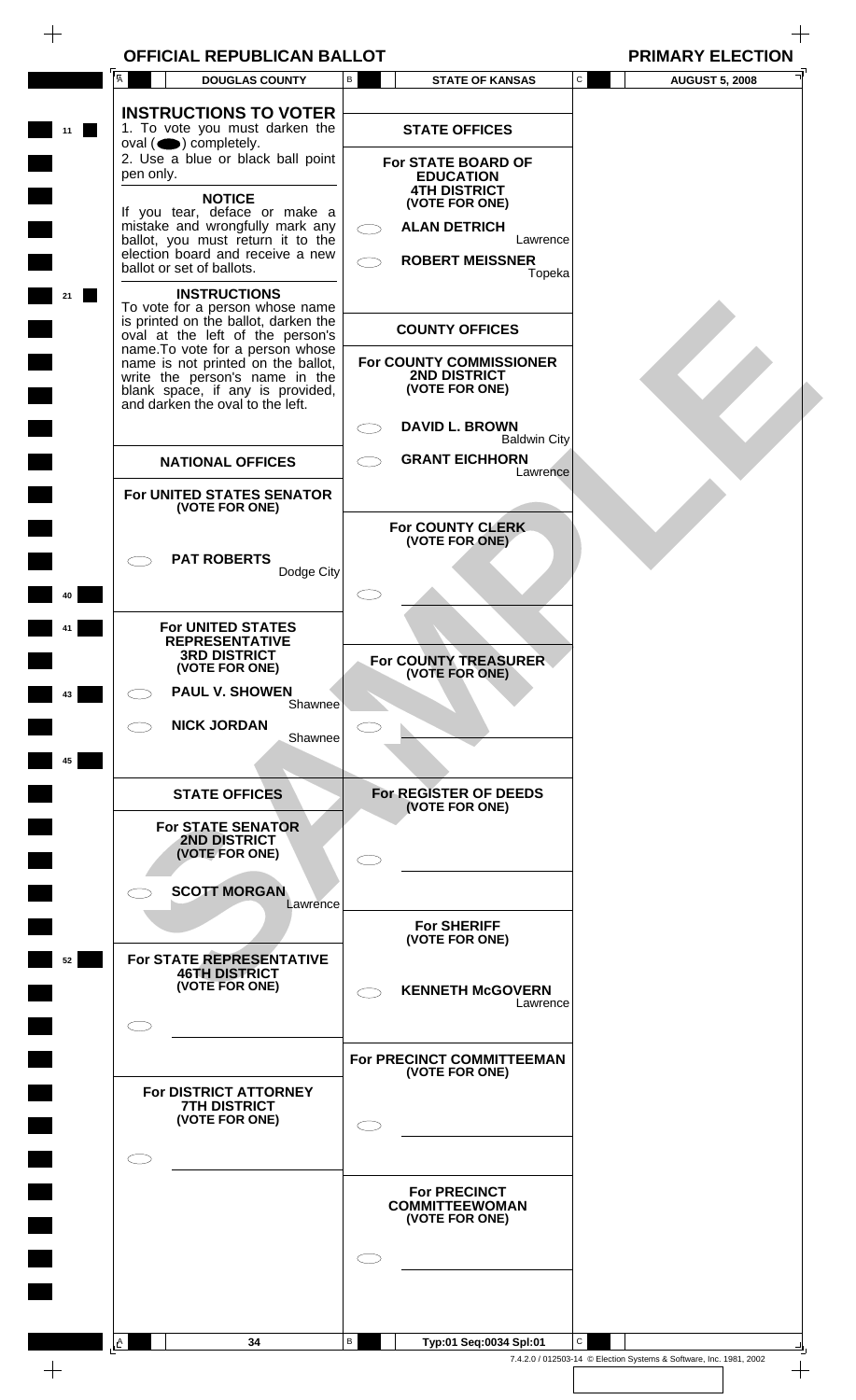**OFFICIAL REPUBLICAN BANK**<br>**PRIMARY ELECTION** 

 $\hspace{0.1mm} +$ 

| Ā | <b>DOUGLAS COUNTY</b>                                                                                                                        | В            | <b>STATE OF KANSAS</b>                                                  | С            | <b>AUGUST 5, 2008</b>                                              |
|---|----------------------------------------------------------------------------------------------------------------------------------------------|--------------|-------------------------------------------------------------------------|--------------|--------------------------------------------------------------------|
|   | <b>INSTRUCTIONS TO VOTER</b><br>1. To vote you must darken the                                                                               |              | <b>STATE OFFICES</b>                                                    |              |                                                                    |
|   | $oval \textcircled{\bullet}$ ) completely.<br>2. Use a blue or black ball point<br>pen only.                                                 |              | <b>For STATE BOARD OF</b><br><b>EDUCATION</b>                           |              |                                                                    |
|   | <b>NOTICE</b><br>If you tear, deface or make a<br>mistake and wrongfully mark any                                                            |              | <b>4TH DISTRICT</b><br>(VOTE FOR ONE)<br><b>ALAN DETRICH</b>            |              |                                                                    |
|   | ballot, you must return it to the<br>election board and receive a new<br>ballot or set of ballots.                                           |              | Lawrence<br><b>ROBERT MEISSNER</b><br>Topeka                            |              |                                                                    |
|   | <b>INSTRUCTIONS</b><br>To vote for a person whose name<br>is printed on the ballot, darken the<br>oval at the left of the person's           |              | <b>COUNTY OFFICES</b>                                                   |              |                                                                    |
|   | name. To vote for a person whose<br>name is not printed on the ballot,<br>write the person's name in the<br>blank space, if any is provided, |              | <b>For COUNTY COMMISSIONER</b><br><b>2ND DISTRICT</b><br>(VOTE FOR ONE) |              |                                                                    |
|   | and darken the oval to the left.                                                                                                             |              | <b>DAVID L. BROWN</b><br><b>Baldwin City</b>                            |              |                                                                    |
|   | <b>NATIONAL OFFICES</b>                                                                                                                      |              | <b>GRANT EICHHORN</b><br>Lawrence                                       |              |                                                                    |
|   | For UNITED STATES SENATOR<br>(VOTE FOR ONE)                                                                                                  |              |                                                                         |              |                                                                    |
|   | <b>PAT ROBERTS</b>                                                                                                                           |              | For COUNTY CLERK<br>(VOTE FOR ONE)                                      |              |                                                                    |
|   | Dodge City                                                                                                                                   |              |                                                                         |              |                                                                    |
|   | <b>For UNITED STATES</b><br><b>REPRESENTATIVE</b><br><b>3RD DISTRICT</b><br>(VOTE FOR ONE)                                                   |              | For COUNTY TREASURER                                                    |              |                                                                    |
|   | <b>PAUL V. SHOWEN</b><br>Shawnee                                                                                                             |              | (VOTE FOR ONE)                                                          |              |                                                                    |
|   | <b>NICK JORDAN</b><br>Shawnee                                                                                                                |              |                                                                         |              |                                                                    |
|   |                                                                                                                                              |              |                                                                         |              |                                                                    |
|   | <b>STATE OFFICES</b>                                                                                                                         |              | For REGISTER OF DEEDS<br>(VOTE FOR ONE)                                 |              |                                                                    |
|   | <b>For STATE SENATOR</b><br>2ND DISTRICT<br>(VOTE FOR ONE)                                                                                   |              |                                                                         |              |                                                                    |
|   | <b>SCOTT MORGAN</b><br>Lawrence                                                                                                              |              |                                                                         |              |                                                                    |
|   | For STATE REPRESENTATIVE                                                                                                                     |              | <b>For SHERIFF</b><br>(VOTE FOR ONE)                                    |              |                                                                    |
|   | <b>46TH DISTRICT</b><br>(VOTE FOR ONE)                                                                                                       |              | <b>KENNETH McGOVERN</b><br>Lawrence                                     |              |                                                                    |
|   |                                                                                                                                              |              | For PRECINCT COMMITTEEMAN                                               |              |                                                                    |
|   | For DISTRICT ATTORNEY                                                                                                                        |              | (VOTE FOR ONE)                                                          |              |                                                                    |
|   | <b>7TH DISTRICT</b><br>(VOTE FOR ONE)                                                                                                        |              |                                                                         |              |                                                                    |
|   |                                                                                                                                              |              |                                                                         |              |                                                                    |
|   |                                                                                                                                              |              | <b>For PRECINCT</b><br><b>COMMITTEEWOMAN</b><br>(VOTE FOR ONE)          |              |                                                                    |
|   |                                                                                                                                              |              |                                                                         |              |                                                                    |
|   |                                                                                                                                              |              |                                                                         |              |                                                                    |
| A | 34                                                                                                                                           | $\mathsf{B}$ | Typ:01 Seq:0034 Spl:01                                                  | $\mathsf{C}$ | 7.4.2.0 / 012503-14 © Election Systems & Software, Inc. 1981, 2002 |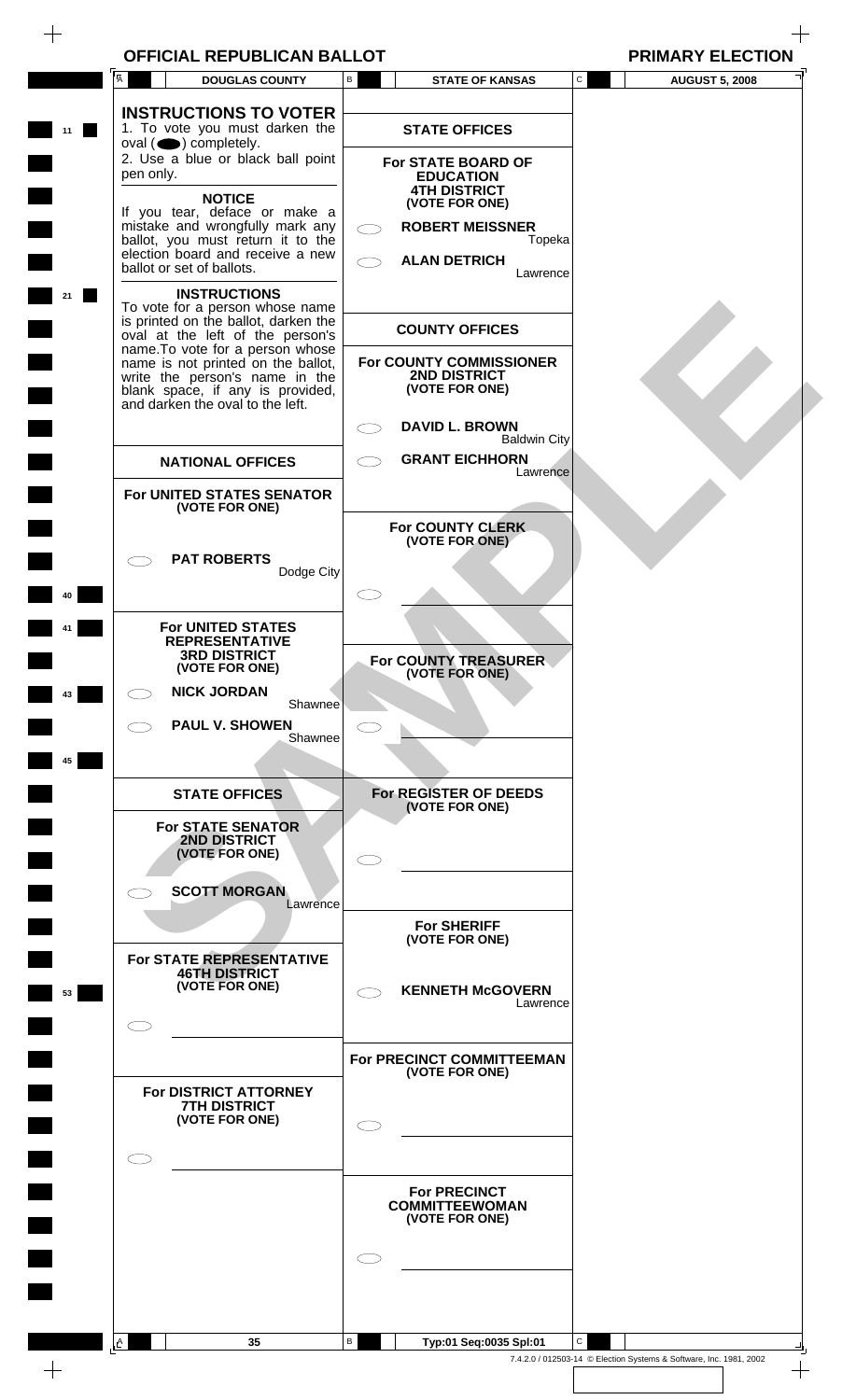| OFFICIAL REPUBLICAN BALLOT | <b>PRIMARY ELECTION</b> |
|----------------------------|-------------------------|
|----------------------------|-------------------------|

| A            |                                                                                                                                                                                                                                                                                                                        | <b>DOUGLAS COUNTY</b> | В | <b>STATE OF KANSAS</b>                                                                                      | ${\tt C}$    | <b>AUGUST 5, 2008</b>                                              |  |
|--------------|------------------------------------------------------------------------------------------------------------------------------------------------------------------------------------------------------------------------------------------------------------------------------------------------------------------------|-----------------------|---|-------------------------------------------------------------------------------------------------------------|--------------|--------------------------------------------------------------------|--|
|              | <b>INSTRUCTIONS TO VOTER</b><br>1. To vote you must darken the<br>$oval(\n\bullet)$ completely.                                                                                                                                                                                                                        |                       |   | <b>STATE OFFICES</b>                                                                                        |              |                                                                    |  |
|              | 2. Use a blue or black ball point<br>pen only.                                                                                                                                                                                                                                                                         |                       |   | For STATE BOARD OF<br><b>EDUCATION</b><br><b>4TH DISTRICT</b>                                               |              |                                                                    |  |
|              | <b>NOTICE</b><br>If you tear, deface or make a<br>mistake and wrongfully mark any                                                                                                                                                                                                                                      |                       |   | (VOTE FOR ONE)<br><b>ROBERT MEISSNER</b>                                                                    |              |                                                                    |  |
|              | ballot, you must return it to the<br>election board and receive a new<br>ballot or set of ballots.                                                                                                                                                                                                                     |                       |   | Topeka<br><b>ALAN DETRICH</b><br>Lawrence                                                                   |              |                                                                    |  |
|              | <b>INSTRUCTIONS</b><br>To vote for a person whose name<br>is printed on the ballot, darken the<br>oval at the left of the person's<br>name. To vote for a person whose<br>name is not printed on the ballot,<br>write the person's name in the<br>blank space, if any is provided,<br>and darken the oval to the left. |                       |   | <b>COUNTY OFFICES</b><br>For COUNTY COMMISSIONER<br>2ND DISTRICT<br>(VOTE FOR ONE)<br><b>DAVID L. BROWN</b> |              |                                                                    |  |
|              |                                                                                                                                                                                                                                                                                                                        |                       |   | <b>Baldwin City</b>                                                                                         |              |                                                                    |  |
|              | <b>NATIONAL OFFICES</b><br>For UNITED STATES SENATOR                                                                                                                                                                                                                                                                   |                       |   | <b>GRANT EICHHORN</b><br>Lawrence                                                                           |              |                                                                    |  |
|              | (VOTE FOR ONE)                                                                                                                                                                                                                                                                                                         |                       |   |                                                                                                             |              |                                                                    |  |
|              |                                                                                                                                                                                                                                                                                                                        |                       |   | For COUNTY CLERK<br>(VOTE FOR ONE)                                                                          |              |                                                                    |  |
|              | <b>PAT ROBERTS</b>                                                                                                                                                                                                                                                                                                     | Dodge City            |   |                                                                                                             |              |                                                                    |  |
|              |                                                                                                                                                                                                                                                                                                                        |                       |   |                                                                                                             |              |                                                                    |  |
|              | For UNITED STATES<br><b>REPRESENTATIVE</b><br><b>3RD DISTRICT</b>                                                                                                                                                                                                                                                      |                       |   | For COUNTY TREASURER                                                                                        |              |                                                                    |  |
| 43           | (VOTE FOR ONE)<br><b>NICK JORDAN</b>                                                                                                                                                                                                                                                                                   |                       |   | (VOTE FOR ONE)                                                                                              |              |                                                                    |  |
|              | <b>PAUL V. SHOWEN</b>                                                                                                                                                                                                                                                                                                  | Shawnee               |   |                                                                                                             |              |                                                                    |  |
| 45           |                                                                                                                                                                                                                                                                                                                        | Shawnee               |   |                                                                                                             |              |                                                                    |  |
|              | <b>STATE OFFICES</b>                                                                                                                                                                                                                                                                                                   |                       |   | For REGISTER OF DEEDS<br>(VOTE FOR ONE)                                                                     |              |                                                                    |  |
|              | <b>For STATE SENATOR</b><br>2ND DISTRICT<br>(VOTE FOR ONE)                                                                                                                                                                                                                                                             |                       |   |                                                                                                             |              |                                                                    |  |
|              | <b>SCOTT MORGAN</b>                                                                                                                                                                                                                                                                                                    | Lawrence              |   |                                                                                                             |              |                                                                    |  |
|              | For STATE REPRESENTATIVE                                                                                                                                                                                                                                                                                               |                       |   | <b>For SHERIFF</b><br>(VOTE FOR ONE)                                                                        |              |                                                                    |  |
| 53           | <b>46TH DISTRICT</b><br>(VOTE FOR ONE)                                                                                                                                                                                                                                                                                 |                       |   | <b>KENNETH McGOVERN</b><br>Lawrence                                                                         |              |                                                                    |  |
|              |                                                                                                                                                                                                                                                                                                                        |                       |   |                                                                                                             |              |                                                                    |  |
|              |                                                                                                                                                                                                                                                                                                                        |                       |   | For PRECINCT COMMITTEEMAN<br>(VOTE FOR ONE)                                                                 |              |                                                                    |  |
|              | For DISTRICT ATTORNEY<br><b>7TH DISTRICT</b><br>(VOTE FOR ONE)                                                                                                                                                                                                                                                         |                       |   |                                                                                                             |              |                                                                    |  |
|              |                                                                                                                                                                                                                                                                                                                        |                       |   |                                                                                                             |              |                                                                    |  |
|              |                                                                                                                                                                                                                                                                                                                        |                       |   | <b>For PRECINCT</b>                                                                                         |              |                                                                    |  |
|              |                                                                                                                                                                                                                                                                                                                        |                       |   | <b>COMMITTEEWOMAN</b><br>(VOTE FOR ONE)                                                                     |              |                                                                    |  |
|              |                                                                                                                                                                                                                                                                                                                        |                       |   |                                                                                                             |              |                                                                    |  |
|              |                                                                                                                                                                                                                                                                                                                        |                       |   |                                                                                                             |              |                                                                    |  |
| $\mathsf{A}$ |                                                                                                                                                                                                                                                                                                                        | 35                    | В | Typ:01 Seq:0035 Spl:01                                                                                      | $\mathsf{C}$ |                                                                    |  |
|              |                                                                                                                                                                                                                                                                                                                        |                       |   |                                                                                                             |              | 7.4.2.0 / 012503-14 © Election Systems & Software, Inc. 1981, 2002 |  |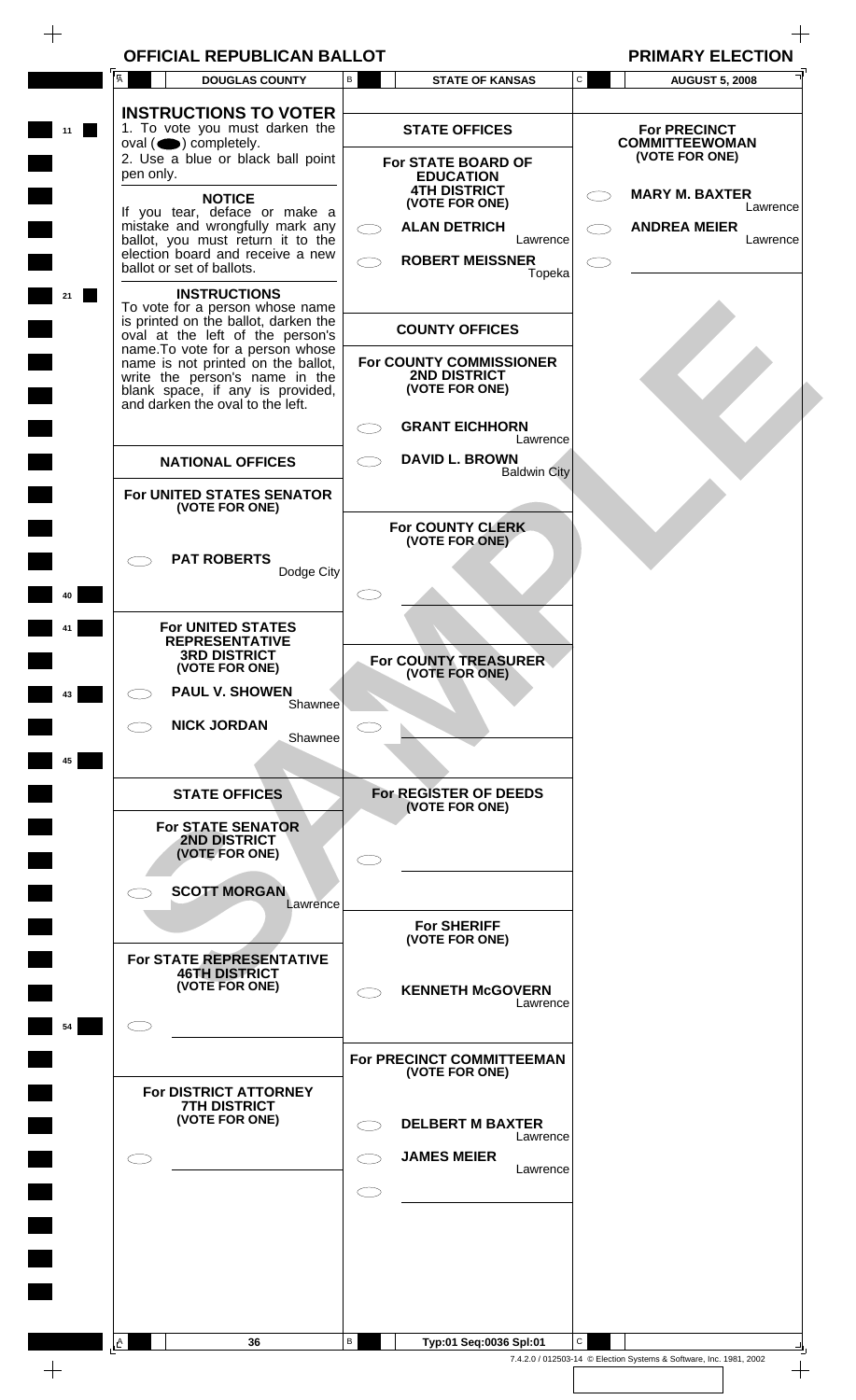| <b>PRIMARY ELECTION</b>                      |                     |                                                               | <b>OFFICIAL REPUBLICAN BALLOT</b>                                                                                                            |                |
|----------------------------------------------|---------------------|---------------------------------------------------------------|----------------------------------------------------------------------------------------------------------------------------------------------|----------------|
| <b>AUGUST 5, 2008</b>                        | $\mathbf{C}$        | <b>STATE OF KANSAS</b>                                        | <b>DOUGLAS COUNTY</b>                                                                                                                        | $\overline{A}$ |
| <b>For PRECINCT</b><br><b>COMMITTEEWOMAN</b> |                     | <b>STATE OFFICES</b>                                          | <b>INSTRUCTIONS TO VOTER</b><br>1. To vote you must darken the<br>$oval(\n\bullet)$ completely.                                              |                |
| (VOTE FOR ONE)<br><b>MARY M. BAXTER</b>      |                     | For STATE BOARD OF<br><b>EDUCATION</b><br><b>4TH DISTRICT</b> | 2. Use a blue or black ball point                                                                                                            | pen only.      |
| Lawrence<br><b>ANDREA MEIER</b><br>Lawrence  | Lawrence            | (VOTE FOR ONE)<br><b>ALAN DETRICH</b>                         | <b>NOTICE</b><br>If you tear, deface or make a<br>mistake and wrongfully mark any<br>ballot, you must return it to the                       |                |
|                                              | Topeka              | <b>ROBERT MEISSNER</b>                                        | election board and receive a new<br>ballot or set of ballots.                                                                                |                |
|                                              |                     | <b>COUNTY OFFICES</b>                                         | <b>INSTRUCTIONS</b><br>To vote for a person whose name<br>is printed on the ballot, darken the<br>oval at the left of the person's           |                |
|                                              |                     | For COUNTY COMMISSIONER<br>2ND DISTRICT<br>(VOTE FOR ONE)     | name. To vote for a person whose<br>name is not printed on the ballot,<br>write the person's name in the<br>blank space, if any is provided, |                |
|                                              | Lawrence            | <b>GRANT EICHHORN</b>                                         | and darken the oval to the left.                                                                                                             |                |
|                                              | <b>Baldwin City</b> | <b>DAVID L. BROWN</b>                                         | <b>NATIONAL OFFICES</b>                                                                                                                      |                |
|                                              |                     |                                                               | For UNITED STATES SENATOR<br>(VOTE FOR ONE)                                                                                                  |                |
|                                              |                     | For COUNTY CLERK<br>(VOTE FOR ONE)                            |                                                                                                                                              |                |
|                                              |                     |                                                               | <b>PAT ROBERTS</b><br>Dodge City                                                                                                             |                |
|                                              |                     |                                                               | <b>For UNITED STATES</b>                                                                                                                     |                |
|                                              |                     | For COUNTY TREASURER                                          | <b>REPRESENTATIVE</b><br><b>3RD DISTRICT</b><br>(VOTE FOR ONE)                                                                               |                |
|                                              |                     | (VOTE FOR ONE)                                                | <b>PAUL V. SHOWEN</b><br>Shawnee                                                                                                             |                |
|                                              |                     |                                                               | <b>NICK JORDAN</b><br>Shawnee                                                                                                                |                |
|                                              |                     |                                                               |                                                                                                                                              |                |
|                                              |                     | For REGISTER OF DEEDS<br>(VOTE FOR ONE)                       | <b>STATE OFFICES</b><br><b>For STATE SENATOR</b>                                                                                             |                |
|                                              |                     |                                                               | 2ND DISTRICT<br>(VOTE FOR ONE)                                                                                                               |                |
|                                              |                     |                                                               | <b>SCOTT MORGAN</b><br>Lawrence                                                                                                              |                |
|                                              |                     | <b>For SHERIFF</b><br>(VOTE FOR ONE)                          |                                                                                                                                              |                |
|                                              |                     | <b>KENNETH McGOVERN</b>                                       | For STATE REPRESENTATIVE<br><b>46TH DISTRICT</b><br>(VOTE FOR ONE)                                                                           |                |
|                                              | Lawrence            |                                                               |                                                                                                                                              |                |
|                                              |                     | For PRECINCT COMMITTEEMAN<br>(VOTE FOR ONE)                   |                                                                                                                                              |                |
|                                              |                     |                                                               | For DISTRICT ATTORNEY<br><b>7TH DISTRICT</b>                                                                                                 |                |
|                                              | Lawrence            | <b>DELBERT M BAXTER</b><br><b>JAMES MEIER</b>                 | (VOTE FOR ONE)                                                                                                                               |                |
|                                              | Lawrence            |                                                               |                                                                                                                                              |                |
|                                              |                     |                                                               |                                                                                                                                              |                |
|                                              |                     |                                                               |                                                                                                                                              |                |
|                                              |                     |                                                               |                                                                                                                                              |                |
|                                              | $\mathsf{C}$        | Typ:01 Seq:0036 Spl:01                                        | 36                                                                                                                                           | $A_{\perp}$    |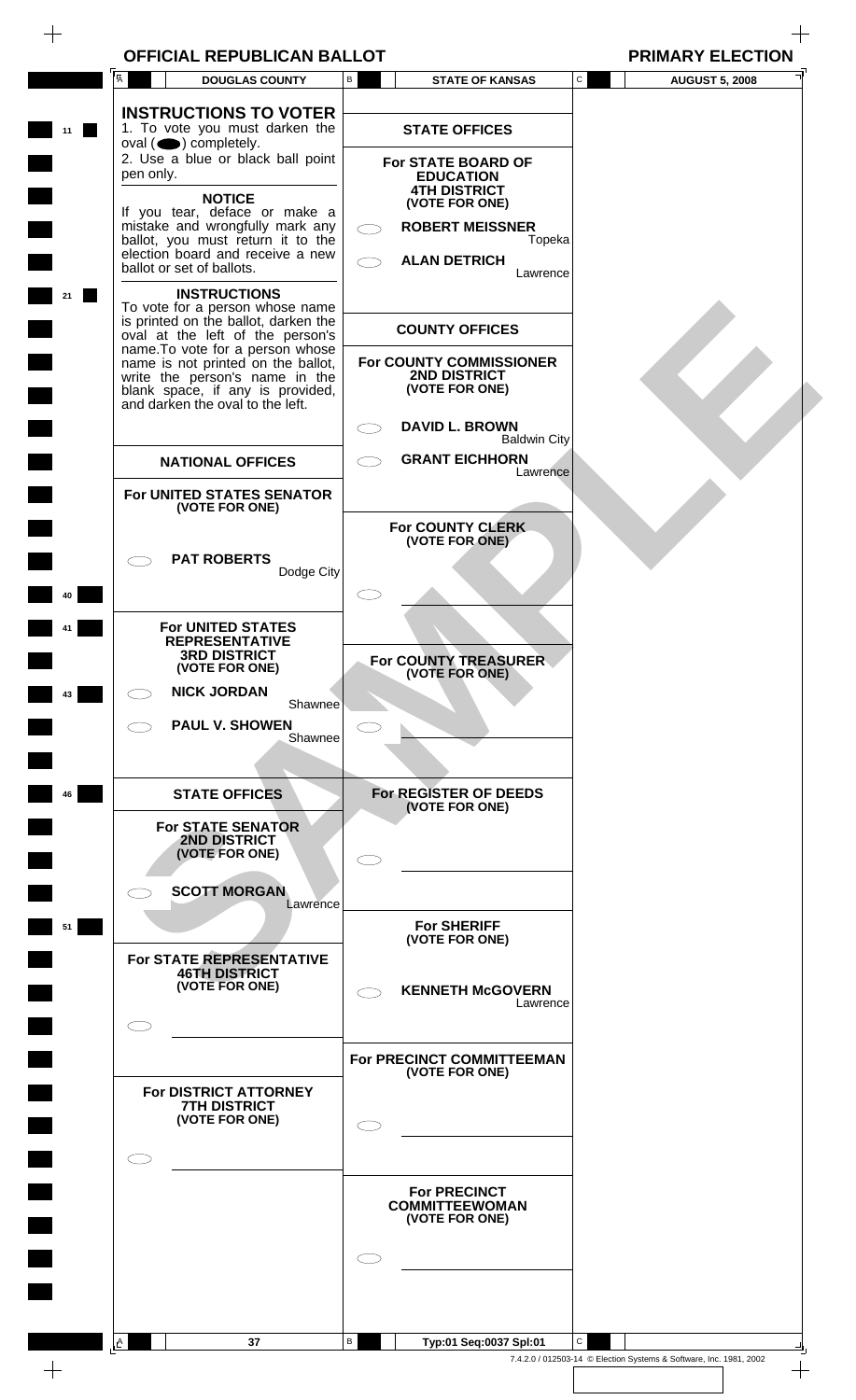| <b>OFFICIAL REPUBLICAN BALLOT</b> | <b>PRIMARY ELECTION</b> |
|-----------------------------------|-------------------------|
|-----------------------------------|-------------------------|

|    | A         | <b>DOUGLAS COUNTY</b>                                                                                                                                                                                                                                                              | В | <b>STATE OF KANSAS</b>                                                             | ${\tt C}$    | <b>AUGUST 5, 2008</b> |
|----|-----------|------------------------------------------------------------------------------------------------------------------------------------------------------------------------------------------------------------------------------------------------------------------------------------|---|------------------------------------------------------------------------------------|--------------|-----------------------|
|    |           | <b>INSTRUCTIONS TO VOTER</b><br>1. To vote you must darken the<br>$oval(\n\bullet)$ completely.                                                                                                                                                                                    |   | <b>STATE OFFICES</b>                                                               |              |                       |
|    | pen only. | 2. Use a blue or black ball point                                                                                                                                                                                                                                                  |   | For STATE BOARD OF<br><b>EDUCATION</b><br><b>4TH DISTRICT</b>                      |              |                       |
|    |           | <b>NOTICE</b><br>If you tear, deface or make a<br>mistake and wrongfully mark any                                                                                                                                                                                                  |   | (VOTE FOR ONE)<br><b>ROBERT MEISSNER</b>                                           |              |                       |
|    |           | ballot, you must return it to the<br>election board and receive a new<br>ballot or set of ballots.                                                                                                                                                                                 |   | Topeka<br><b>ALAN DETRICH</b><br>Lawrence                                          |              |                       |
| 21 |           | <b>INSTRUCTIONS</b><br>To vote for a person whose name<br>is printed on the ballot, darken the<br>oval at the left of the person's<br>name. To vote for a person whose<br>name is not printed on the ballot,<br>write the person's name in the<br>blank space, if any is provided, |   | <b>COUNTY OFFICES</b><br>For COUNTY COMMISSIONER<br>2ND DISTRICT<br>(VOTE FOR ONE) |              |                       |
|    |           | and darken the oval to the left.                                                                                                                                                                                                                                                   |   | <b>DAVID L. BROWN</b>                                                              |              |                       |
|    |           | <b>NATIONAL OFFICES</b>                                                                                                                                                                                                                                                            |   | <b>Baldwin City</b><br><b>GRANT EICHHORN</b><br>Lawrence                           |              |                       |
|    |           | For UNITED STATES SENATOR<br>(VOTE FOR ONE)                                                                                                                                                                                                                                        |   |                                                                                    |              |                       |
|    |           | <b>PAT ROBERTS</b>                                                                                                                                                                                                                                                                 |   | For COUNTY CLERK<br>(VOTE FOR ONE)                                                 |              |                       |
| 40 |           | Dodge City                                                                                                                                                                                                                                                                         |   |                                                                                    |              |                       |
|    |           | For UNITED STATES<br><b>REPRESENTATIVE</b><br><b>3RD DISTRICT</b>                                                                                                                                                                                                                  |   | For COUNTY TREASURER                                                               |              |                       |
| 43 |           | (VOTE FOR ONE)<br><b>NICK JORDAN</b>                                                                                                                                                                                                                                               |   | (VOTE FOR ONE)                                                                     |              |                       |
|    |           | Shawnee<br><b>PAUL V. SHOWEN</b>                                                                                                                                                                                                                                                   |   |                                                                                    |              |                       |
|    |           | Shawnee                                                                                                                                                                                                                                                                            |   |                                                                                    |              |                       |
| 46 |           | <b>STATE OFFICES</b>                                                                                                                                                                                                                                                               |   | For REGISTER OF DEEDS<br>(VOTE FOR ONE)                                            |              |                       |
|    |           | <b>For STATE SENATOR</b><br>2ND DISTRICT<br>(VOTE FOR ONE)                                                                                                                                                                                                                         |   |                                                                                    |              |                       |
|    |           | <b>SCOTT MORGAN</b><br>Lawrence                                                                                                                                                                                                                                                    |   |                                                                                    |              |                       |
| 51 |           | For STATE REPRESENTATIVE                                                                                                                                                                                                                                                           |   | <b>For SHERIFF</b><br>(VOTE FOR ONE)                                               |              |                       |
|    |           | <b>46TH DISTRICT</b><br>(VOTE FOR ONE)                                                                                                                                                                                                                                             |   | <b>KENNETH McGOVERN</b><br>Lawrence                                                |              |                       |
|    |           |                                                                                                                                                                                                                                                                                    |   |                                                                                    |              |                       |
|    |           |                                                                                                                                                                                                                                                                                    |   | For PRECINCT COMMITTEEMAN<br>(VOTE FOR ONE)                                        |              |                       |
|    |           | For DISTRICT ATTORNEY<br><b>7TH DISTRICT</b><br>(VOTE FOR ONE)                                                                                                                                                                                                                     |   |                                                                                    |              |                       |
|    |           |                                                                                                                                                                                                                                                                                    |   |                                                                                    |              |                       |
|    |           |                                                                                                                                                                                                                                                                                    |   | <b>For PRECINCT</b><br><b>COMMITTEEWOMAN</b><br>(VOTE FOR ONE)                     |              |                       |
|    |           |                                                                                                                                                                                                                                                                                    |   |                                                                                    |              |                       |
|    |           |                                                                                                                                                                                                                                                                                    |   |                                                                                    |              |                       |
|    | A         | 37                                                                                                                                                                                                                                                                                 | В | Typ:01 Seq:0037 Spl:01                                                             | $\mathsf{C}$ |                       |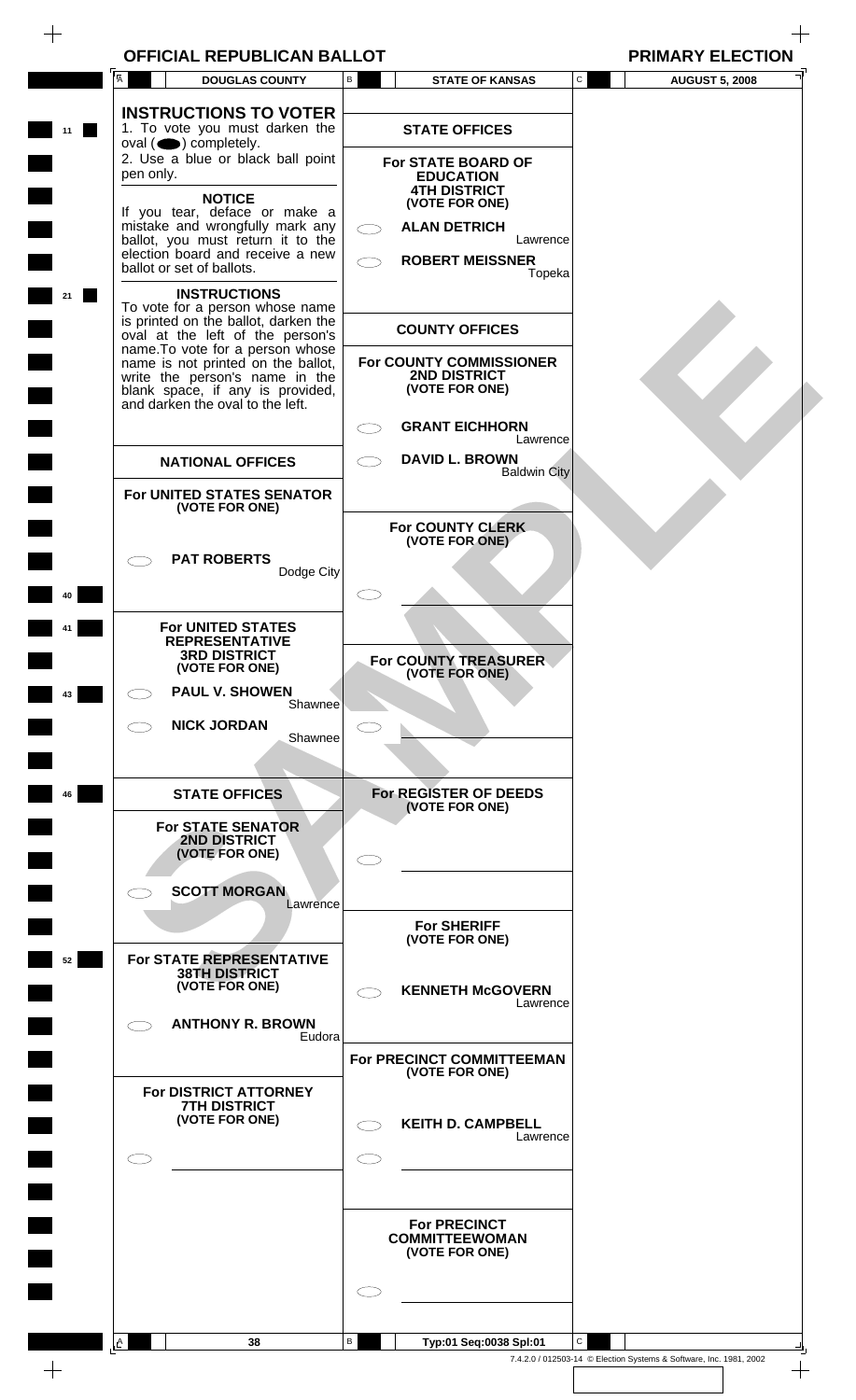| A         | <b>DOUGLAS COUNTY</b>                                                                                    | $\mathsf{B}$ | <b>STATE OF KANSAS</b>                       | $\mathbf C$<br><b>AUGUST 5, 2008</b> |
|-----------|----------------------------------------------------------------------------------------------------------|--------------|----------------------------------------------|--------------------------------------|
|           | <b>INSTRUCTIONS TO VOTER</b>                                                                             |              |                                              |                                      |
|           | 1. To vote you must darken the                                                                           |              | <b>STATE OFFICES</b>                         |                                      |
|           | $oval \textcircled{\bullet}$ ) completely.<br>2. Use a blue or black ball point                          |              | For STATE BOARD OF                           |                                      |
| pen only. |                                                                                                          |              | <b>EDUCATION</b>                             |                                      |
|           | <b>NOTICE</b><br>If you tear, deface or make a                                                           |              | <b>4TH DISTRICT</b><br>(VOTE FOR ONE)        |                                      |
|           | mistake and wrongfully mark any                                                                          |              | <b>ALAN DETRICH</b>                          |                                      |
|           | ballot, you must return it to the<br>election board and receive a new                                    |              | Lawrence<br><b>ROBERT MEISSNER</b>           |                                      |
|           | ballot or set of ballots.                                                                                |              | Topeka                                       |                                      |
|           | <b>INSTRUCTIONS</b><br>To vote for a person whose name                                                   |              |                                              |                                      |
|           | is printed on the ballot, darken the<br>oval at the left of the person's                                 |              | <b>COUNTY OFFICES</b>                        |                                      |
|           | name. To vote for a person whose<br>name is not printed on the ballot,<br>write the person's name in the |              | For COUNTY COMMISSIONER                      |                                      |
|           | blank space, if any is provided,                                                                         |              | 2ND DISTRICT<br>(VOTE FOR ONE)               |                                      |
|           | and darken the oval to the left.                                                                         |              |                                              |                                      |
|           |                                                                                                          |              | <b>GRANT EICHHORN</b><br>Lawrence            |                                      |
|           | <b>NATIONAL OFFICES</b>                                                                                  |              | <b>DAVID L. BROWN</b><br><b>Baldwin City</b> |                                      |
|           | For UNITED STATES SENATOR                                                                                |              |                                              |                                      |
|           | (VOTE FOR ONE)                                                                                           |              | For COUNTY CLERK                             |                                      |
|           | <b>PAT ROBERTS</b>                                                                                       |              | (VOTE FOR ONE)                               |                                      |
|           | Dodge City                                                                                               |              |                                              |                                      |
|           |                                                                                                          |              |                                              |                                      |
|           | <b>For UNITED STATES</b>                                                                                 |              |                                              |                                      |
|           | <b>REPRESENTATIVE</b><br><b>3RD DISTRICT</b>                                                             |              | For COUNTY TREASURER                         |                                      |
|           | (VOTE FOR ONE)<br><b>PAUL V. SHOWEN</b>                                                                  |              | (VOTE FOR ONE)                               |                                      |
|           | Shawnee                                                                                                  |              |                                              |                                      |
|           | <b>NICK JORDAN</b><br>Shawnee                                                                            |              |                                              |                                      |
|           |                                                                                                          |              |                                              |                                      |
|           | <b>STATE OFFICES</b>                                                                                     |              | For REGISTER OF DEEDS                        |                                      |
|           | <b>For STATE SENATOR</b>                                                                                 |              | (VOTE FOR ONE)                               |                                      |
|           | <b>2ND DISTRICT</b><br>(VOTE FOR ONE)                                                                    |              |                                              |                                      |
|           |                                                                                                          |              |                                              |                                      |
|           | <b>SCOTT MORGAN</b><br>Lawrence                                                                          |              |                                              |                                      |
|           |                                                                                                          |              | <b>For SHERIFF</b>                           |                                      |
|           | For STATE REPRESENTATIVE                                                                                 |              | (VOTE FOR ONE)                               |                                      |
|           | <b>38TH DISTRICT</b><br>(VOTE FOR ONE)                                                                   |              | <b>KENNETH McGOVERN</b>                      |                                      |
|           |                                                                                                          |              | Lawrence                                     |                                      |
|           | <b>ANTHONY R. BROWN</b><br>Eudora                                                                        |              |                                              |                                      |
|           |                                                                                                          |              | For PRECINCT COMMITTEEMAN<br>(VOTE FOR ONE)  |                                      |
|           | For DISTRICT ATTORNEY                                                                                    |              |                                              |                                      |
|           | <b>7TH DISTRICT</b><br>(VOTE FOR ONE)                                                                    |              | <b>KEITH D. CAMPBELL</b>                     |                                      |
|           |                                                                                                          |              | Lawrence                                     |                                      |
|           |                                                                                                          |              |                                              |                                      |
|           |                                                                                                          |              |                                              |                                      |
|           |                                                                                                          |              | <b>For PRECINCT</b>                          |                                      |
|           |                                                                                                          |              | <b>COMMITTEEWOMAN</b><br>(VOTE FOR ONE)      |                                      |
|           |                                                                                                          |              |                                              |                                      |
|           |                                                                                                          |              |                                              |                                      |
|           |                                                                                                          |              |                                              |                                      |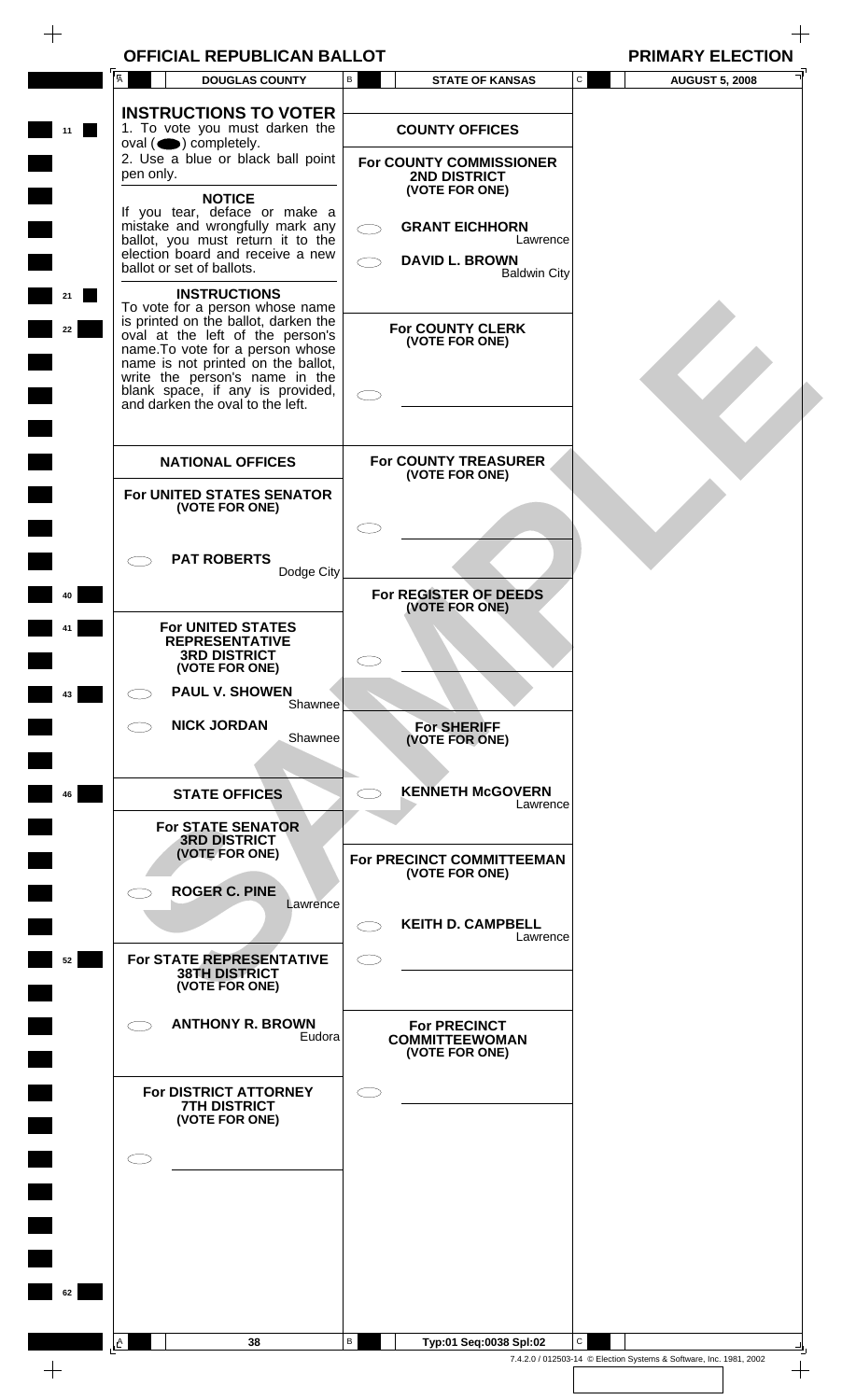| ГĀ<br><b>DOUGLAS COUNTY</b>                                                                                                                  | В                                | <b>STATE OF KANSAS</b>                                         | $\mathtt{C}$<br><b>AUGUST 5, 2008</b> |  |
|----------------------------------------------------------------------------------------------------------------------------------------------|----------------------------------|----------------------------------------------------------------|---------------------------------------|--|
| <b>INSTRUCTIONS TO VOTER</b><br>1. To vote you must darken the                                                                               |                                  | <b>COUNTY OFFICES</b>                                          |                                       |  |
| $oval(\n\bullet)$ completely.<br>2. Use a blue or black ball point<br>pen only.                                                              |                                  | For COUNTY COMMISSIONER<br>2ND DISTRICT<br>(VOTE FOR ONE)      |                                       |  |
| <b>NOTICE</b><br>If you tear, deface or make a<br>mistake and wrongfully mark any<br>ballot, you must return it to the                       | $\subset$ .                      | <b>GRANT EICHHORN</b>                                          |                                       |  |
| election board and receive a new<br>ballot or set of ballots.                                                                                |                                  | Lawrence<br><b>DAVID L. BROWN</b><br><b>Baldwin City</b>       |                                       |  |
| <b>INSTRUCTIONS</b><br>To vote for a person whose name<br>is printed on the ballot, darken the                                               |                                  | <b>For COUNTY CLERK</b>                                        |                                       |  |
| oval at the left of the person's<br>name. To vote for a person whose<br>name is not printed on the ballot,<br>write the person's name in the |                                  | (VOTE FOR ONE)                                                 |                                       |  |
| blank space, if any is provided,<br>and darken the oval to the left.                                                                         |                                  |                                                                |                                       |  |
| <b>NATIONAL OFFICES</b>                                                                                                                      |                                  | For COUNTY TREASURER<br>(VOTE FOR ONE)                         |                                       |  |
| For UNITED STATES SENATOR<br>(VOTE FOR ONE)                                                                                                  |                                  |                                                                |                                       |  |
| <b>PAT ROBERTS</b><br>Dodge City                                                                                                             |                                  |                                                                |                                       |  |
| <b>For UNITED STATES</b>                                                                                                                     |                                  | For REGISTER OF DEEDS<br>(VOTE FOR ONE)                        |                                       |  |
| <b>REPRESENTATIVE</b><br><b>3RD DISTRICT</b><br>(VOTE FOR ONE)                                                                               | ⌒                                |                                                                |                                       |  |
| <b>PAUL V. SHOWEN</b><br>$\subset$ $\supset$<br>Shawnee                                                                                      |                                  |                                                                |                                       |  |
| <b>NICK JORDAN</b><br>Shawnee                                                                                                                |                                  | <b>For SHERIFF</b><br>(VOTE FOR ONE)                           |                                       |  |
| <b>STATE OFFICES</b>                                                                                                                         |                                  | <b>KENNETH McGOVERN</b><br>Lawrence                            |                                       |  |
| <b>For STATE SENATOR</b><br><b>3RD DISTRICT</b><br>(VOTE FOR ONE)                                                                            |                                  | For PRECINCT COMMITTEEMAN                                      |                                       |  |
| <b>ROGER C. PINE</b><br>Lawrence                                                                                                             |                                  | (VOTE FOR ONE)                                                 |                                       |  |
| For STATE REPRESENTATIVE                                                                                                                     | $\subset$ $\supset$<br>$\subset$ | <b>KEITH D. CAMPBELL</b><br>Lawrence                           |                                       |  |
| <b>38TH DISTRICT</b><br>(VOTE FOR ONE)                                                                                                       |                                  |                                                                |                                       |  |
| <b>ANTHONY R. BROWN</b><br>Eudora                                                                                                            |                                  | <b>For PRECINCT</b><br><b>COMMITTEEWOMAN</b><br>(VOTE FOR ONE) |                                       |  |
| For DISTRICT ATTORNEY<br><b>7TH DISTRICT</b><br>(VOTE FOR ONE)                                                                               |                                  |                                                                |                                       |  |
|                                                                                                                                              |                                  |                                                                |                                       |  |
|                                                                                                                                              |                                  |                                                                |                                       |  |
|                                                                                                                                              |                                  |                                                                |                                       |  |
|                                                                                                                                              |                                  |                                                                |                                       |  |
| 38                                                                                                                                           | B                                | Typ:01 Seq:0038 Spl:02                                         | $\mathsf{C}$                          |  |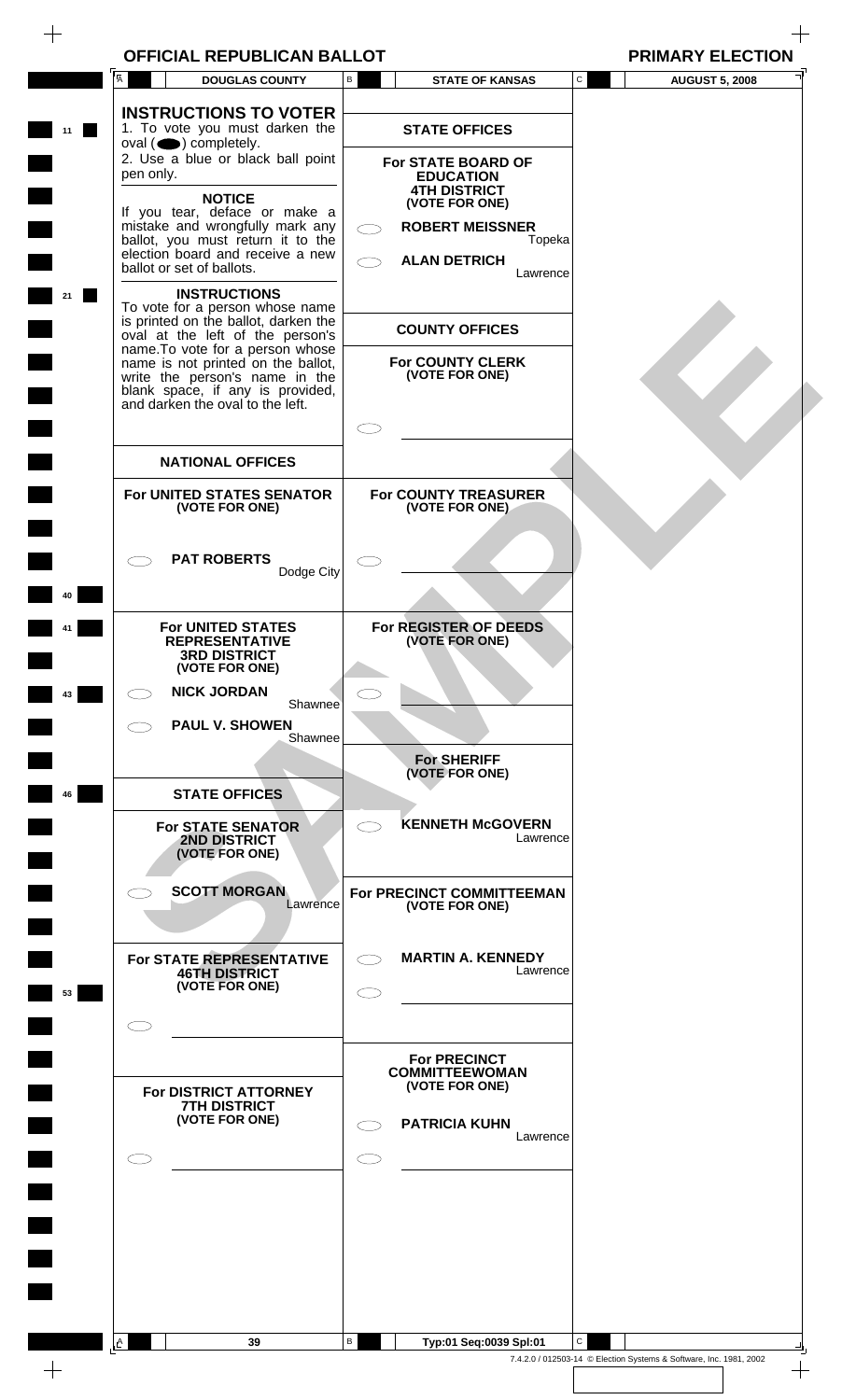| <b>OFFICIAL REPUBLICAN BALLOT</b> | <b>PRIMARY ELECTION</b> |
|-----------------------------------|-------------------------|
|-----------------------------------|-------------------------|

|    | Ā<br><b>DOUGLAS COUNTY</b>                                                                                                                   | В | <b>STATE OF KANSAS</b>                                          | C            | <b>AUGUST 5, 2008</b>                                              |  |
|----|----------------------------------------------------------------------------------------------------------------------------------------------|---|-----------------------------------------------------------------|--------------|--------------------------------------------------------------------|--|
| 11 | <b>INSTRUCTIONS TO VOTER</b><br>1. To vote you must darken the                                                                               |   | <b>STATE OFFICES</b>                                            |              |                                                                    |  |
|    | $oval(\n\bullet)$ completely.<br>2. Use a blue or black ball point<br>pen only.                                                              |   | For STATE BOARD OF<br><b>EDUCATION</b>                          |              |                                                                    |  |
|    | <b>NOTICE</b><br>If you tear, deface or make a<br>mistake and wrongfully mark any                                                            |   | <b>4TH DISTRICT</b><br>(VOTE FOR ONE)<br><b>ROBERT MEISSNER</b> |              |                                                                    |  |
|    | ballot, you must return it to the<br>election board and receive a new<br>ballot or set of ballots.                                           |   | Topeka<br><b>ALAN DETRICH</b><br>Lawrence                       |              |                                                                    |  |
| 21 | <b>INSTRUCTIONS</b><br>To vote for a person whose name<br>is printed on the ballot, darken the<br>oval at the left of the person's           |   | <b>COUNTY OFFICES</b>                                           |              |                                                                    |  |
|    | name. To vote for a person whose<br>name is not printed on the ballot,<br>write the person's name in the<br>blank space, if any is provided, |   | For COUNTY CLERK<br>(VOTE FOR ONE)                              |              |                                                                    |  |
|    | and darken the oval to the left.                                                                                                             |   |                                                                 |              |                                                                    |  |
|    | <b>NATIONAL OFFICES</b>                                                                                                                      |   |                                                                 |              |                                                                    |  |
|    | For UNITED STATES SENATOR<br>(VOTE FOR ONE)                                                                                                  |   | For COUNTY TREASURER<br>(VOTE FOR ONE)                          |              |                                                                    |  |
|    | <b>PAT ROBERTS</b><br>Dodge City                                                                                                             |   |                                                                 |              |                                                                    |  |
| 10 |                                                                                                                                              |   |                                                                 |              |                                                                    |  |
|    | <b>For UNITED STATES</b><br><b>REPRESENTATIVE</b><br><b>3RD DISTRICT</b><br>(VOTE FOR ONE)                                                   |   | For REGISTER OF DEEDS<br>(VOTE FOR ONE)                         |              |                                                                    |  |
| 43 | <b>NICK JORDAN</b><br>Shawnee                                                                                                                |   |                                                                 |              |                                                                    |  |
|    | <b>PAUL V. SHOWEN</b><br>Shawnee                                                                                                             |   |                                                                 |              |                                                                    |  |
|    |                                                                                                                                              |   | <b>For SHERIFF</b><br>(VOTE FOR ONE)                            |              |                                                                    |  |
| 46 | <b>STATE OFFICES</b>                                                                                                                         |   |                                                                 |              |                                                                    |  |
|    | <b>For STATE SENATOR</b><br>2ND DISTRICT<br>(VOTE FOR ONE)                                                                                   |   | <b>KENNETH McGOVERN</b><br>Lawrence                             |              |                                                                    |  |
|    | <b>SCOTT MORGAN</b><br>Lawrence                                                                                                              |   | For PRECINCT COMMITTEEMAN<br>(VOTE FOR ONE)                     |              |                                                                    |  |
| 53 | For STATE REPRESENTATIVE<br><b>46TH DISTRICT</b><br>(VOTE FOR ONE)                                                                           |   | <b>MARTIN A. KENNEDY</b><br>Lawrence                            |              |                                                                    |  |
|    |                                                                                                                                              |   |                                                                 |              |                                                                    |  |
|    | For DISTRICT ATTORNEY<br><b>7TH DISTRICT</b>                                                                                                 |   | <b>For PRECINCT</b><br><b>COMMITTEEWOMAN</b><br>(VOTE FOR ONE)  |              |                                                                    |  |
|    | (VOTE FOR ONE)                                                                                                                               |   | <b>PATRICIA KUHN</b><br>Lawrence                                |              |                                                                    |  |
|    |                                                                                                                                              |   |                                                                 |              |                                                                    |  |
|    |                                                                                                                                              |   |                                                                 |              |                                                                    |  |
|    |                                                                                                                                              |   |                                                                 |              |                                                                    |  |
|    |                                                                                                                                              | В |                                                                 | $\mathsf{C}$ |                                                                    |  |
|    | $\mathbf{A}$<br>39                                                                                                                           |   | Typ:01 Seq:0039 Spl:01                                          |              | 7.4.2.0 / 012503-14 © Election Systems & Software, Inc. 1981, 2002 |  |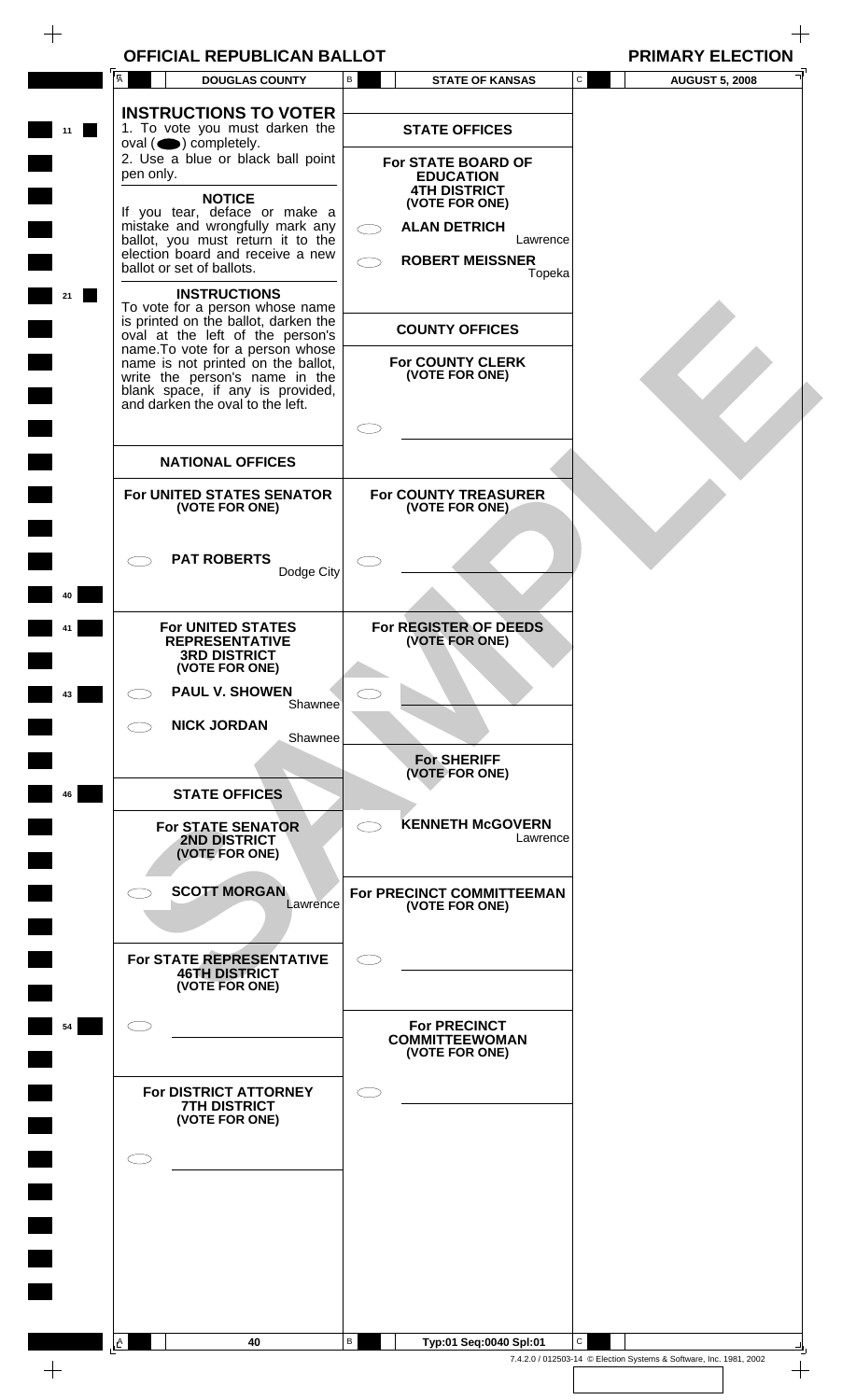| <b>OFFICIAL REPUBLICAN BALLOT</b> | <b>PRIMARY ELECTION</b> |
|-----------------------------------|-------------------------|
|                                   |                         |

 $\pm$ 

|          | Ā<br><b>DOUGLAS COUNTY</b>                                                                                                                      | В | <b>STATE OF KANSAS</b>                                        | C            | <b>AUGUST 5, 2008</b>                                              |  |
|----------|-------------------------------------------------------------------------------------------------------------------------------------------------|---|---------------------------------------------------------------|--------------|--------------------------------------------------------------------|--|
| 11       | <b>INSTRUCTIONS TO VOTER</b><br>1. To vote you must darken the                                                                                  |   | <b>STATE OFFICES</b>                                          |              |                                                                    |  |
|          | $oval \textcircled{\bullet}$ ) completely.<br>2. Use a blue or black ball point<br>pen only.                                                    |   | For STATE BOARD OF<br><b>EDUCATION</b><br><b>4TH DISTRICT</b> |              |                                                                    |  |
|          | <b>NOTICE</b><br>If you tear, deface or make a<br>mistake and wrongfully mark any<br>ballot, you must return it to the                          |   | (VOTE FOR ONE)<br><b>ALAN DETRICH</b><br>Lawrence             |              |                                                                    |  |
| 21       | election board and receive a new<br>ballot or set of ballots.<br><b>INSTRUCTIONS</b>                                                            |   | <b>ROBERT MEISSNER</b><br>Topeka                              |              |                                                                    |  |
|          | To vote for a person whose name<br>is printed on the ballot, darken the<br>oval at the left of the person's<br>name. To vote for a person whose |   | <b>COUNTY OFFICES</b>                                         |              |                                                                    |  |
|          | name is not printed on the ballot,<br>write the person's name in the<br>blank space, if any is provided,<br>and darken the oval to the left.    |   | <b>For COUNTY CLERK</b><br>(VOTE FOR ONE)                     |              |                                                                    |  |
|          |                                                                                                                                                 |   |                                                               |              |                                                                    |  |
|          | <b>NATIONAL OFFICES</b>                                                                                                                         |   |                                                               |              |                                                                    |  |
|          | For UNITED STATES SENATOR<br>(VOTE FOR ONE)                                                                                                     |   | For COUNTY TREASURER<br>(VOTE FOR ONE)                        |              |                                                                    |  |
|          | <b>PAT ROBERTS</b><br>Dodge City                                                                                                                |   |                                                               |              |                                                                    |  |
| 40       |                                                                                                                                                 |   |                                                               |              |                                                                    |  |
|          | For UNITED STATES<br><b>REPRESENTATIVE</b><br><b>3RD DISTRICT</b><br>(VOTE FOR ONE)                                                             |   | For REGISTER OF DEEDS<br>(VOTE FOR ONE)                       |              |                                                                    |  |
| 43       | <b>PAUL V. SHOWEN</b><br>Shawnee                                                                                                                |   |                                                               |              |                                                                    |  |
|          | <b>NICK JORDAN</b><br>Shawnee                                                                                                                   |   |                                                               |              |                                                                    |  |
|          |                                                                                                                                                 |   | <b>For SHERIFF</b>                                            |              |                                                                    |  |
| 46       | <b>STATE OFFICES</b>                                                                                                                            |   | (VOTE FOR ONE)                                                |              |                                                                    |  |
|          | <b>For STATE SENATOR</b><br>2ND DISTRICT<br>(VOTE FOR ONE)                                                                                      |   | <b>KENNETH McGOVERN</b><br>Lawrence                           |              |                                                                    |  |
|          | <b>SCOTT MORGAN</b><br>Lawrence                                                                                                                 |   | For PRECINCT COMMITTEEMAN<br>(VOTE FOR ONE)                   |              |                                                                    |  |
|          | For STATE REPRESENTATIVE<br><b>46TH DISTRICT</b><br>(VOTE FOR ONE)                                                                              |   |                                                               |              |                                                                    |  |
| 54       |                                                                                                                                                 |   | <b>For PRECINCT</b><br><b>COMMITTEEWOMAN</b>                  |              |                                                                    |  |
|          |                                                                                                                                                 |   | (VOTE FOR ONE)                                                |              |                                                                    |  |
|          | For DISTRICT ATTORNEY<br><b>7TH DISTRICT</b><br>(VOTE FOR ONE)                                                                                  |   |                                                               |              |                                                                    |  |
|          |                                                                                                                                                 |   |                                                               |              |                                                                    |  |
|          |                                                                                                                                                 |   |                                                               |              |                                                                    |  |
|          |                                                                                                                                                 |   |                                                               |              |                                                                    |  |
|          |                                                                                                                                                 |   |                                                               |              |                                                                    |  |
|          |                                                                                                                                                 |   |                                                               |              |                                                                    |  |
|          |                                                                                                                                                 |   |                                                               |              |                                                                    |  |
| <b>A</b> | 40                                                                                                                                              | В | Typ:01 Seq:0040 Spl:01                                        | $\mathsf{C}$ |                                                                    |  |
|          |                                                                                                                                                 |   |                                                               |              | 7.4.2.0 / 012503-14 © Election Systems & Software, Inc. 1981, 2002 |  |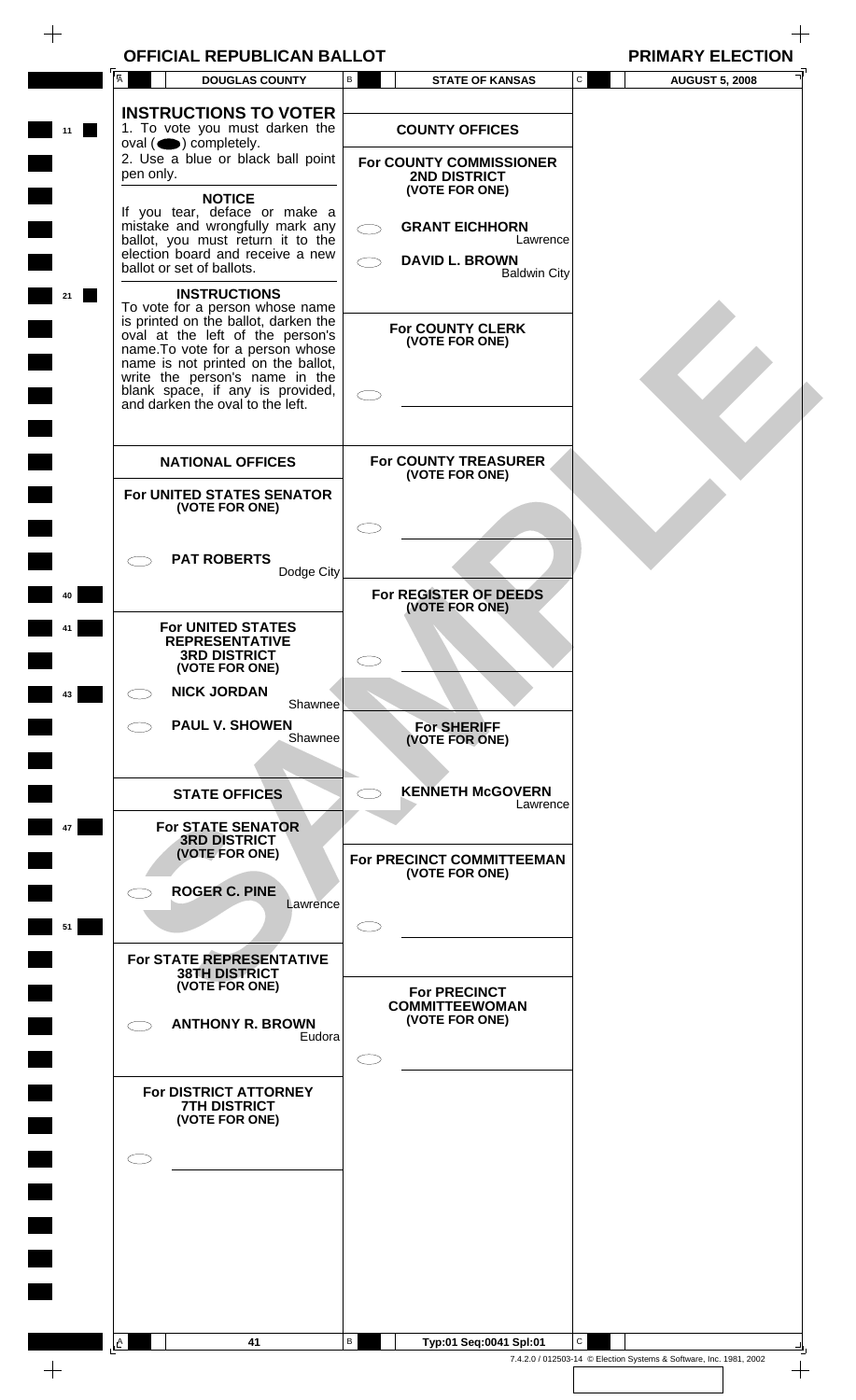| <b>PRIMARY EL</b> |  |
|-------------------|--|
|                   |  |

| $\overline{A}$<br><b>DOUGLAS COUNTY</b>                                                                                                      | $\mathsf B$         | <b>STATE OF KANSAS</b>                                    | $\mathtt{C}$ | <b>AUGUST 5, 2008</b> |
|----------------------------------------------------------------------------------------------------------------------------------------------|---------------------|-----------------------------------------------------------|--------------|-----------------------|
| <b>INSTRUCTIONS TO VOTER</b><br>1. To vote you must darken the                                                                               |                     | <b>COUNTY OFFICES</b>                                     |              |                       |
| $oval(\n\bullet)$ completely.<br>2. Use a blue or black ball point<br>pen only.                                                              |                     | For COUNTY COMMISSIONER<br>2ND DISTRICT<br>(VOTE FOR ONE) |              |                       |
| <b>NOTICE</b><br>If you tear, deface or make a<br>mistake and wrongfully mark any                                                            | $\subset$ $\supset$ | <b>GRANT EICHHORN</b>                                     |              |                       |
| ballot, you must return it to the<br>election board and receive a new<br>ballot or set of ballots.                                           |                     | Lawrence<br><b>DAVID L. BROWN</b><br><b>Baldwin City</b>  |              |                       |
| <b>INSTRUCTIONS</b><br>To vote for a person whose name<br>is printed on the ballot, darken the<br>oval at the left of the person's           |                     | <b>For COUNTY CLERK</b>                                   |              |                       |
| name. To vote for a person whose<br>name is not printed on the ballot,<br>write the person's name in the<br>blank space, if any is provided, |                     | (VOTE FOR ONE)                                            |              |                       |
| and darken the oval to the left.                                                                                                             |                     |                                                           |              |                       |
| <b>NATIONAL OFFICES</b><br>For UNITED STATES SENATOR                                                                                         |                     | For COUNTY TREASURER<br>(VOTE FOR ONE)                    |              |                       |
| (VOTE FOR ONE)                                                                                                                               |                     |                                                           |              |                       |
| <b>PAT ROBERTS</b><br>Dodge City                                                                                                             |                     | For REGISTER OF DEEDS                                     |              |                       |
| <b>For UNITED STATES</b><br><b>REPRESENTATIVE</b>                                                                                            |                     | (VOTE FOR ONE)                                            |              |                       |
| <b>3RD DISTRICT</b><br>(VOTE FOR ONE)<br><b>NICK JORDAN</b>                                                                                  | $\subset$           |                                                           |              |                       |
| C)<br>Shawnee<br><b>PAUL V. SHOWEN</b><br>Shawnee                                                                                            |                     | <b>For SHERIFF</b><br>(VOTE FOR ONE)                      |              |                       |
|                                                                                                                                              |                     |                                                           |              |                       |
| <b>STATE OFFICES</b><br><b>For STATE SENATOR</b>                                                                                             |                     | <b>KENNETH McGOVERN</b><br>Lawrence                       |              |                       |
| <b>3RD DISTRICT</b><br>(VOTE FOR ONE)                                                                                                        |                     | For PRECINCT COMMITTEEMAN<br>(VOTE FOR ONE)               |              |                       |
| <b>ROGER C. PINE</b><br>Lawrence                                                                                                             | СC                  |                                                           |              |                       |
| For STATE REPRESENTATIVE<br><b>38TH DISTRICT</b><br>(VOTE FOR ONE)                                                                           |                     | <b>For PRECINCT</b>                                       |              |                       |
| <b>ANTHONY R. BROWN</b><br>Eudora                                                                                                            |                     | <b>COMMITTEEWOMAN</b><br>(VOTE FOR ONE)                   |              |                       |
| For DISTRICT ATTORNEY                                                                                                                        |                     |                                                           |              |                       |
| <b>7TH DISTRICT</b><br>(VOTE FOR ONE)                                                                                                        |                     |                                                           |              |                       |
|                                                                                                                                              |                     |                                                           |              |                       |
|                                                                                                                                              |                     |                                                           |              |                       |
|                                                                                                                                              |                     |                                                           |              |                       |
|                                                                                                                                              |                     |                                                           |              |                       |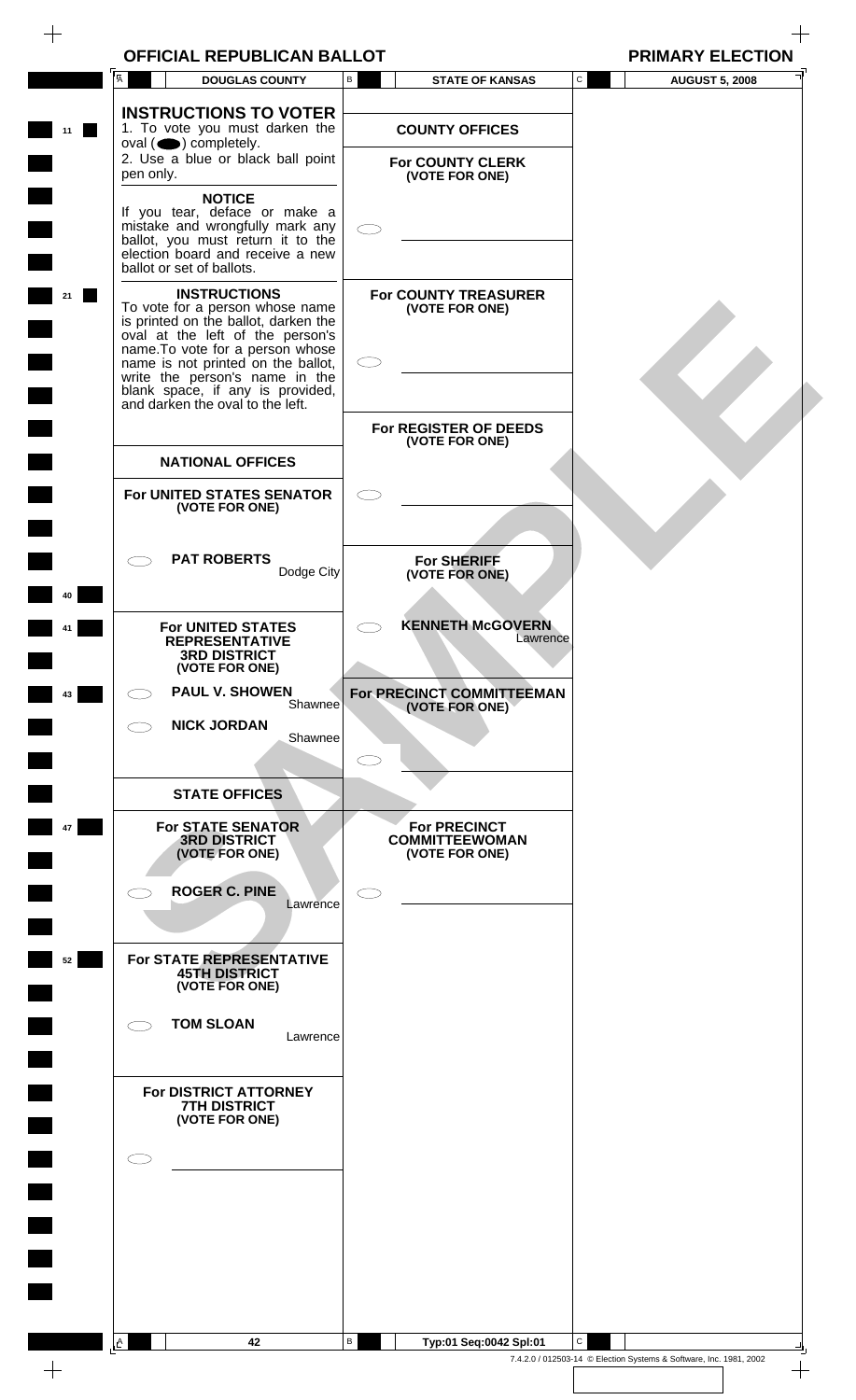| <b>OFFICIAL REPUBLICAN BALLOT</b>                                                                                                                                                                                                                                                                                      |                                                                    | <b>PRIMARY ELECTION</b>               |
|------------------------------------------------------------------------------------------------------------------------------------------------------------------------------------------------------------------------------------------------------------------------------------------------------------------------|--------------------------------------------------------------------|---------------------------------------|
| <b>DOUGLAS COUNTY</b>                                                                                                                                                                                                                                                                                                  | В<br><b>STATE OF KANSAS</b>                                        | $\mathtt{C}$<br><b>AUGUST 5, 2008</b> |
| <b>INSTRUCTIONS TO VOTER</b><br>1. To vote you must darken the<br>oval $($ $\bullet)$ completely.<br>2. Use a blue or black ball point<br>pen only.                                                                                                                                                                    | <b>COUNTY OFFICES</b><br><b>For COUNTY CLERK</b><br>(VOTE FOR ONE) |                                       |
| <b>NOTICE</b><br>If you tear, deface or make a<br>mistake and wrongfully mark any<br>ballot, you must return it to the<br>election board and receive a new<br>ballot or set of ballots.                                                                                                                                |                                                                    |                                       |
| <b>INSTRUCTIONS</b><br>To vote for a person whose name<br>is printed on the ballot, darken the<br>oval at the left of the person's<br>name. To vote for a person whose<br>name is not printed on the ballot,<br>write the person's name in the<br>blank space, if any is provided,<br>and darken the oval to the left. | <b>For COUNTY TREASURER</b><br>(VOTE FOR ONE)                      |                                       |
|                                                                                                                                                                                                                                                                                                                        | For REGISTER OF DEEDS<br>(VOTE FOR ONE)                            |                                       |
| <b>NATIONAL OFFICES</b>                                                                                                                                                                                                                                                                                                |                                                                    |                                       |
| For UNITED STATES SENATOR<br>(VOTE FOR ONE)                                                                                                                                                                                                                                                                            |                                                                    |                                       |
| <b>PAT ROBERTS</b><br>Dodge City                                                                                                                                                                                                                                                                                       | <b>For SHERIFF</b><br>(VOTE FOR ONE)                               |                                       |
| <b>For UNITED STATES</b><br><b>REPRESENTATIVE</b><br><b>3RD DISTRICT</b><br>(VOTE FOR ONE)                                                                                                                                                                                                                             | <b>KENNETH McGOVERN</b><br>Lawrence                                |                                       |
| <b>PAUL V. SHOWEN</b><br>Shawnee                                                                                                                                                                                                                                                                                       | For PRECINCT COMMITTEEMAN<br>(VOTE FOR ONE)                        |                                       |
| <b>NICK JORDAN</b><br>Shawnee                                                                                                                                                                                                                                                                                          |                                                                    |                                       |
| <b>STATE OFFICES</b>                                                                                                                                                                                                                                                                                                   |                                                                    |                                       |
| <b>For STATE SENATOR</b><br><b>3RD DISTRICT</b><br>(VOTE FOR ONE)                                                                                                                                                                                                                                                      | <b>For PRECINCT</b><br><b>COMMITTEEWOMAN</b><br>(VOTE FOR ONE)     |                                       |
| <b>ROGER C. PINE</b><br>Lawrence                                                                                                                                                                                                                                                                                       |                                                                    |                                       |
| For STATE REPRESENTATIVE<br><b>45TH DISTRICT</b><br>(VOTE FOR ONE)                                                                                                                                                                                                                                                     |                                                                    |                                       |

**For STATE REPRESENTATIVE 45TH DISTRICT (VOTE FOR ONE)**

**11 11** 

 $\blacksquare$ 

 $\blacksquare$ 

 $\blacksquare$ 

 $\blacksquare$ 

 $\!+\!$ 

**21** 

**40**

**41**

**43**

 $\blacksquare$ 

┓

 $\overline{\phantom{0}}$ 

 $\blacksquare$ 

 $\blacksquare$ 

 $\blacksquare$ 

 $\blacksquare$ 

 $\frac{1}{\sqrt{2}}$ 

**47**

**52**

 $\mathbf{A}$ 

 $\bigcirc$ 

**TOM SLOAN** Lawrence

### **For DISTRICT ATTORNEY 7TH DISTRICT (VOTE FOR ONE)**

B

**42 Typ:01 Seq:0042 Spl:01** C 7.4.2.0 / 012503-14 © Election Systems & Software, Inc. 1981, 2002

╝

 $\qquad \qquad +$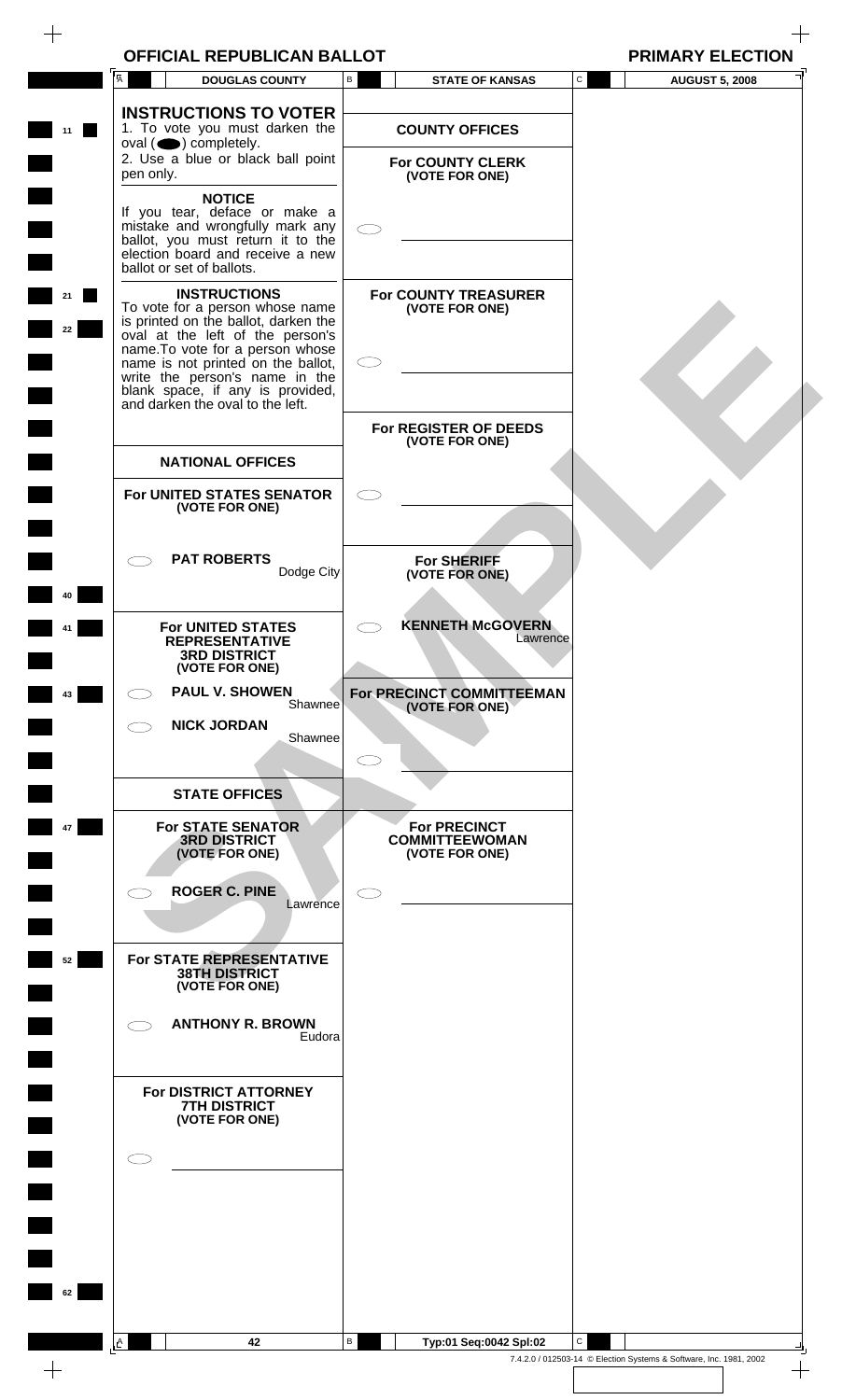A

**11**

 $\! + \!\!$ 

**21**

**22**

**40**

**41**

**43**

**47**

**52**

**62**

 $\qquad \qquad +$ 

A

 $\subset$ 

|           | VI I IVIAL I\LI UDLIVAN DALLU I                                                                                                                                                                              |   |                                                  |   | I INIWAN I LLLVIIV    |
|-----------|--------------------------------------------------------------------------------------------------------------------------------------------------------------------------------------------------------------|---|--------------------------------------------------|---|-----------------------|
|           | <b>DOUGLAS COUNTY</b>                                                                                                                                                                                        | В | <b>STATE OF KANSAS</b>                           | С | <b>AUGUST 5, 2008</b> |
| pen only. | <b>INSTRUCTIONS TO VOTER</b><br>1. To vote you must darken the<br>$oval(\n\bullet)$ completely.<br>2. Use a blue or black ball point                                                                         |   | <b>COUNTY OFFICES</b><br><b>For COUNTY CLERK</b> |   |                       |
|           |                                                                                                                                                                                                              |   | (VOTE FOR ONE)                                   |   |                       |
|           | <b>NOTICE</b><br>If you tear, deface or make a<br>mistake and wrongfully mark any<br>ballot, you must return it to the<br>election board and receive a new<br>ballot or set of ballots.                      |   |                                                  |   |                       |
|           | <b>INSTRUCTIONS</b><br>To vote for a person whose name<br>is printed on the ballot, darken the<br>oval at the left of the person's<br>name. To vote for a person whose<br>name is not printed on the ballot, |   | <b>For COUNTY TREASURER</b><br>(VOTE FOR ONE)    |   |                       |
|           | write the person's name in the<br>blank space, if any is provided,<br>and darken the oval to the left.                                                                                                       |   | For REGISTER OF DEEDS                            |   |                       |

**(VOTE FOR ONE)**

**For SHERIFF (VOTE FOR ONE)**

**(VOTE FOR ONE)**

**For PRECINCT COMMITTEEWOMAN (VOTE FOR ONE)**

Lawrence

To work of a new oriental control of the prince of a new oriental and the same is not prince of the same in the same of a new product of the same is not prince of the same in the same of the same is not prince of the same **NATIONAL OFFICES For UNITED STATES SENATOR (VOTE FOR ONE) PAT ROBERTS** Dodge City **For UNITED STATES REPRESENTATIVE 3RD DISTRICT (VOTE FOR ONE) PAUL V. SHOWEN** Shawnee **NICK JORDAN Shawnee KENNETH McGOVERN For PRECINCT COMMITTEEMAN**

### **STATE OFFICES**

| <b>For STATE SENATOR</b> |  |
|--------------------------|--|
| <b>3RD DISTRICT</b>      |  |
| (VOTE FOR ONE)           |  |
|                          |  |

**ROGER C. PINE** Lawrence

**For STATE REPRESENTATIVE 38TH DISTRICT (VOTE FOR ONE)**

**ANTHONY R. BROWN**  $\bigcirc$ 

### **For DISTRICT ATTORNEY 7TH DISTRICT (VOTE FOR ONE)**

**42 Typ:01 Seq:0042 Spl:02**

B

Eudora

 $\hspace{0.1mm} +\hspace{0.1mm}$ 

 $+$ 

7.4.2.0 / 012503-14 © Election Systems & Software, Inc. 1981, 2002

 $\blacksquare$ 

C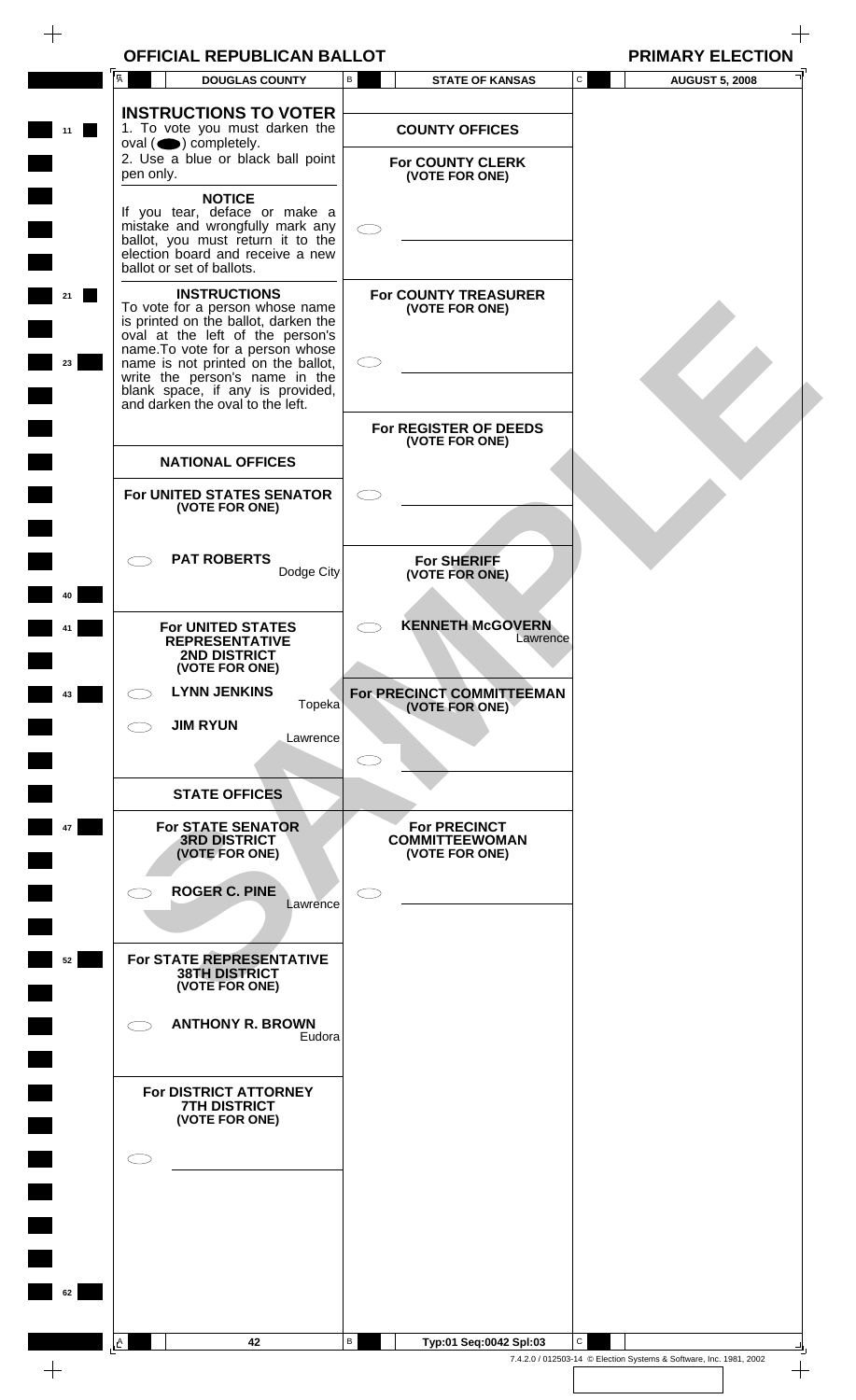$\begin{array}{c} + \end{array}$ 

 $\begin{tabular}{c} \top \end{tabular}$ 

|    | <b>OFFICIAL REPUBLICAN BALLOT</b>                                                                                                                                                       |                 |                                                                |              | <b>PRIMARY ELECTION</b> |  |
|----|-----------------------------------------------------------------------------------------------------------------------------------------------------------------------------------------|-----------------|----------------------------------------------------------------|--------------|-------------------------|--|
|    | ГA.<br><b>DOUGLAS COUNTY</b>                                                                                                                                                            | $\, {\bf B} \,$ | <b>STATE OF KANSAS</b>                                         | $\mathsf{C}$ | <b>AUGUST 5, 2008</b>   |  |
|    | <b>INSTRUCTIONS TO VOTER</b><br>1. To vote you must darken the<br>$oval(\n\bullet)$ completely.<br>2. Use a blue or black ball point<br>pen only.                                       |                 | <b>COUNTY OFFICES</b><br>For COUNTY CLERK<br>(VOTE FOR ONE)    |              |                         |  |
|    | <b>NOTICE</b><br>If you tear, deface or make a<br>mistake and wrongfully mark any<br>ballot, you must return it to the<br>election board and receive a new<br>ballot or set of ballots. |                 |                                                                |              |                         |  |
| 23 | <b>INSTRUCTIONS</b><br>To vote for a person whose name<br>is printed on the ballot, darken the<br>oval at the left of the person's<br>name. To vote for a person whose                  |                 | <b>For COUNTY TREASURER</b><br>(VOTE FOR ONE)                  |              |                         |  |
|    | name is not printed on the ballot,<br>write the person's name in the<br>blank space, if any is provided,<br>and darken the oval to the left.                                            |                 | For REGISTER OF DEEDS                                          |              |                         |  |
|    | <b>NATIONAL OFFICES</b>                                                                                                                                                                 |                 | (VOTE FOR ONE)                                                 |              |                         |  |
|    | For UNITED STATES SENATOR<br>(VOTE FOR ONE)                                                                                                                                             |                 |                                                                |              |                         |  |
|    | <b>PAT ROBERTS</b><br>Dodge City                                                                                                                                                        |                 | <b>For SHERIFF</b><br>(VOTE FOR ONE)                           |              |                         |  |
|    | For UNITED STATES<br><b>REPRESENTATIVE</b><br>2ND DISTRICT<br>(VOTE FOR ONE)                                                                                                            |                 | <b>KENNETH McGOVERN</b><br>Lawrence                            |              |                         |  |
| 43 | <b>LYNN JENKINS</b><br>Topeka                                                                                                                                                           |                 | For PRECINCT COMMITTEEMAN<br>(VOTE FOR ONE)                    |              |                         |  |
|    | <b>JIM RYUN</b><br>Lawrence                                                                                                                                                             |                 |                                                                |              |                         |  |
|    | <b>STATE OFFICES</b>                                                                                                                                                                    |                 |                                                                |              |                         |  |
| 47 | <b>For STATE SENATOR</b><br><b>3RD DISTRICT</b><br>(VOTE FOR ONE)                                                                                                                       |                 | <b>For PRECINCT</b><br><b>COMMITTEEWOMAN</b><br>(VOTE FOR ONE) |              |                         |  |
|    | <b>ROGER C. PINE</b><br>Lawrence                                                                                                                                                        |                 |                                                                |              |                         |  |
| 52 | For STATE REPRESENTATIVE<br><b>38TH DISTRICT</b><br>(VOTE FOR ONE)                                                                                                                      |                 |                                                                |              |                         |  |
|    | <b>ANTHONY R. BROWN</b><br>Eudora                                                                                                                                                       |                 |                                                                |              |                         |  |
|    | For DISTRICT ATTORNEY<br><b>7TH DISTRICT</b><br>(VOTE FOR ONE)                                                                                                                          |                 |                                                                |              |                         |  |
|    |                                                                                                                                                                                         |                 |                                                                |              |                         |  |
|    |                                                                                                                                                                                         |                 |                                                                |              |                         |  |
|    |                                                                                                                                                                                         |                 |                                                                |              |                         |  |
| 62 | $\mathbb{A}$<br>42                                                                                                                                                                      | B               | Typ:01 Seq:0042 Spl:03                                         | $\mathsf{C}$ |                         |  |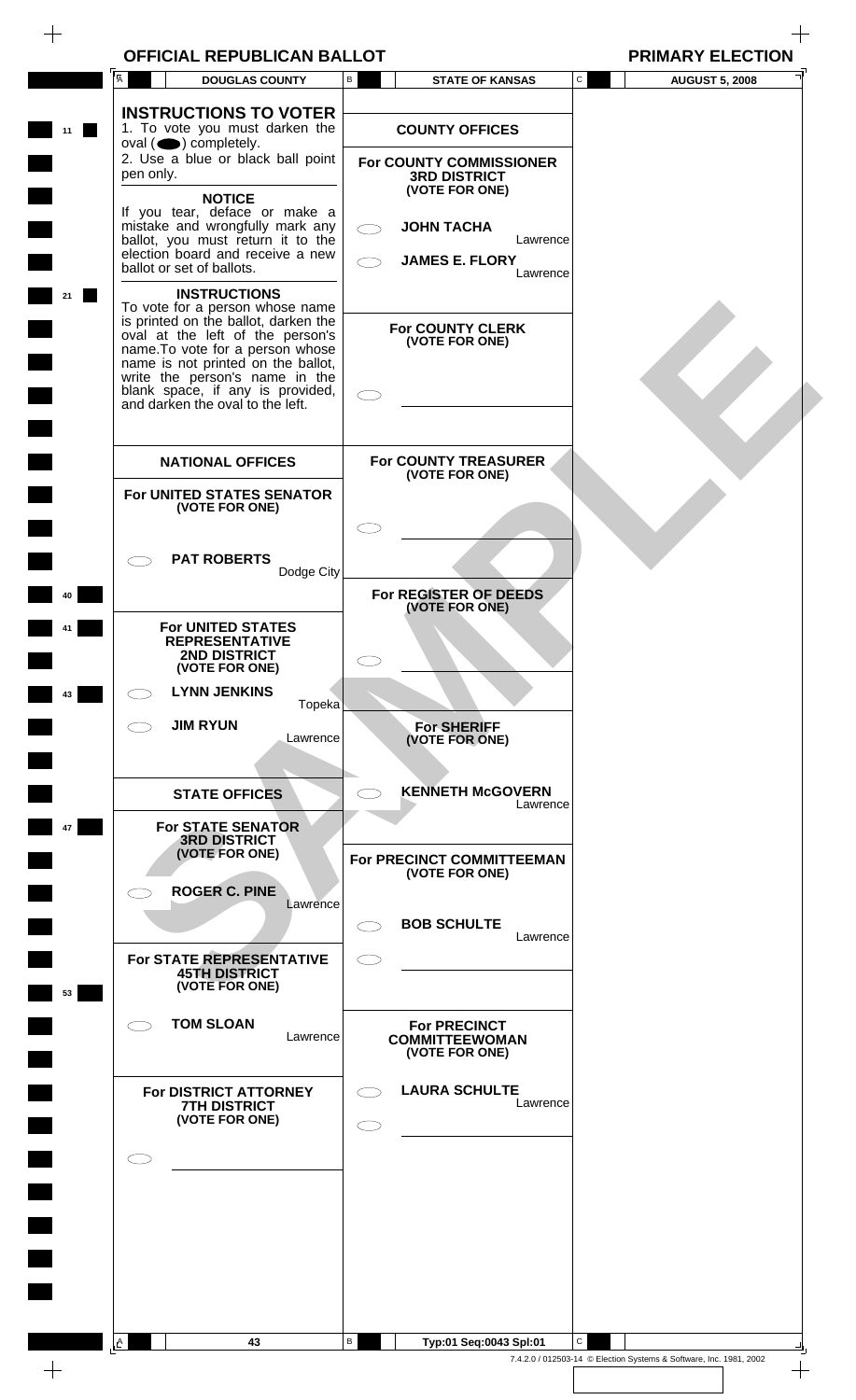| <b>PRIMARY ELEC</b> |
|---------------------|
|---------------------|

|     | <b>INSTRUCTIONS TO VOTER</b><br>1. To vote you must darken the<br>$oval \textcircled{\bullet}$ ) completely.<br>2. Use a blue or black ball point<br>pen only.<br><b>NOTICE</b><br>If you tear, deface or make a<br>mistake and wrongfully mark any<br>ballot, you must return it to the<br>election board and receive a new<br>ballot or set of ballots.<br><b>INSTRUCTIONS</b><br>To vote for a person whose name<br>is printed on the ballot, darken the<br>oval at the left of the person's<br>name. To vote for a person whose<br>name is not printed on the ballot,<br>write the person's name in the<br>blank space, if any is provided,<br>and darken the oval to the left.<br><b>NATIONAL OFFICES</b> |     | <b>COUNTY OFFICES</b><br>For COUNTY COMMISSIONER<br><b>3RD DISTRICT</b><br>(VOTE FOR ONE)<br><b>JOHN TACHA</b><br>Lawrence<br><b>JAMES E. FLORY</b><br>Lawrence<br><b>For COUNTY CLERK</b><br>(VOTE FOR ONE) |              |  |
|-----|----------------------------------------------------------------------------------------------------------------------------------------------------------------------------------------------------------------------------------------------------------------------------------------------------------------------------------------------------------------------------------------------------------------------------------------------------------------------------------------------------------------------------------------------------------------------------------------------------------------------------------------------------------------------------------------------------------------|-----|--------------------------------------------------------------------------------------------------------------------------------------------------------------------------------------------------------------|--------------|--|
|     |                                                                                                                                                                                                                                                                                                                                                                                                                                                                                                                                                                                                                                                                                                                |     |                                                                                                                                                                                                              |              |  |
|     |                                                                                                                                                                                                                                                                                                                                                                                                                                                                                                                                                                                                                                                                                                                |     |                                                                                                                                                                                                              |              |  |
|     |                                                                                                                                                                                                                                                                                                                                                                                                                                                                                                                                                                                                                                                                                                                |     |                                                                                                                                                                                                              |              |  |
|     |                                                                                                                                                                                                                                                                                                                                                                                                                                                                                                                                                                                                                                                                                                                |     |                                                                                                                                                                                                              |              |  |
|     |                                                                                                                                                                                                                                                                                                                                                                                                                                                                                                                                                                                                                                                                                                                |     |                                                                                                                                                                                                              |              |  |
|     |                                                                                                                                                                                                                                                                                                                                                                                                                                                                                                                                                                                                                                                                                                                |     |                                                                                                                                                                                                              |              |  |
|     |                                                                                                                                                                                                                                                                                                                                                                                                                                                                                                                                                                                                                                                                                                                |     |                                                                                                                                                                                                              |              |  |
|     |                                                                                                                                                                                                                                                                                                                                                                                                                                                                                                                                                                                                                                                                                                                |     |                                                                                                                                                                                                              |              |  |
|     |                                                                                                                                                                                                                                                                                                                                                                                                                                                                                                                                                                                                                                                                                                                |     | For COUNTY TREASURER<br>(VOTE FOR ONE)                                                                                                                                                                       |              |  |
|     | For UNITED STATES SENATOR<br>(VOTE FOR ONE)                                                                                                                                                                                                                                                                                                                                                                                                                                                                                                                                                                                                                                                                    |     |                                                                                                                                                                                                              |              |  |
|     | <b>PAT ROBERTS</b><br>Dodge City                                                                                                                                                                                                                                                                                                                                                                                                                                                                                                                                                                                                                                                                               |     |                                                                                                                                                                                                              |              |  |
|     | <b>For UNITED STATES</b>                                                                                                                                                                                                                                                                                                                                                                                                                                                                                                                                                                                                                                                                                       |     | For REGISTER OF DEEDS<br>(VOTE FOR ONE)                                                                                                                                                                      |              |  |
|     | <b>REPRESENTATIVE</b><br>2ND DISTRICT<br>(VOTE FOR ONE)                                                                                                                                                                                                                                                                                                                                                                                                                                                                                                                                                                                                                                                        | E.D |                                                                                                                                                                                                              |              |  |
| CD. | <b>LYNN JENKINS</b><br>Topeka                                                                                                                                                                                                                                                                                                                                                                                                                                                                                                                                                                                                                                                                                  |     |                                                                                                                                                                                                              |              |  |
|     | <b>JIM RYUN</b><br>Lawrence                                                                                                                                                                                                                                                                                                                                                                                                                                                                                                                                                                                                                                                                                    |     | <b>For SHERIFF</b><br>(VOTE FOR ONE)                                                                                                                                                                         |              |  |
|     | <b>STATE OFFICES</b>                                                                                                                                                                                                                                                                                                                                                                                                                                                                                                                                                                                                                                                                                           |     | <b>KENNETH McGOVERN</b><br>Lawrence                                                                                                                                                                          |              |  |
|     | <b>For STATE SENATOR</b><br><b>3RD DISTRICT</b><br>(VOTE FOR ONE)                                                                                                                                                                                                                                                                                                                                                                                                                                                                                                                                                                                                                                              |     | For PRECINCT COMMITTEEMAN                                                                                                                                                                                    |              |  |
|     | <b>ROGER C. PINE</b><br>Lawrence                                                                                                                                                                                                                                                                                                                                                                                                                                                                                                                                                                                                                                                                               |     | (VOTE FOR ONE)                                                                                                                                                                                               |              |  |
|     | For STATE REPRESENTATIVE                                                                                                                                                                                                                                                                                                                                                                                                                                                                                                                                                                                                                                                                                       | C i | <b>BOB SCHULTE</b><br>Lawrence                                                                                                                                                                               |              |  |
|     | <b>45TH DISTRICT</b><br>(VOTE FOR ONE)                                                                                                                                                                                                                                                                                                                                                                                                                                                                                                                                                                                                                                                                         |     |                                                                                                                                                                                                              |              |  |
|     | <b>TOM SLOAN</b><br>Lawrence                                                                                                                                                                                                                                                                                                                                                                                                                                                                                                                                                                                                                                                                                   |     | <b>For PRECINCT</b><br><b>COMMITTEEWOMAN</b><br>(VOTE FOR ONE)                                                                                                                                               |              |  |
|     | For DISTRICT ATTORNEY<br><b>7TH DISTRICT</b>                                                                                                                                                                                                                                                                                                                                                                                                                                                                                                                                                                                                                                                                   |     | <b>LAURA SCHULTE</b><br>Lawrence                                                                                                                                                                             |              |  |
|     | (VOTE FOR ONE)                                                                                                                                                                                                                                                                                                                                                                                                                                                                                                                                                                                                                                                                                                 |     |                                                                                                                                                                                                              |              |  |
|     |                                                                                                                                                                                                                                                                                                                                                                                                                                                                                                                                                                                                                                                                                                                |     |                                                                                                                                                                                                              |              |  |
|     |                                                                                                                                                                                                                                                                                                                                                                                                                                                                                                                                                                                                                                                                                                                |     |                                                                                                                                                                                                              |              |  |
|     |                                                                                                                                                                                                                                                                                                                                                                                                                                                                                                                                                                                                                                                                                                                |     |                                                                                                                                                                                                              |              |  |
| I۴  | 43                                                                                                                                                                                                                                                                                                                                                                                                                                                                                                                                                                                                                                                                                                             | В   | Typ:01 Seq:0043 Spl:01                                                                                                                                                                                       | $\mathbf{C}$ |  |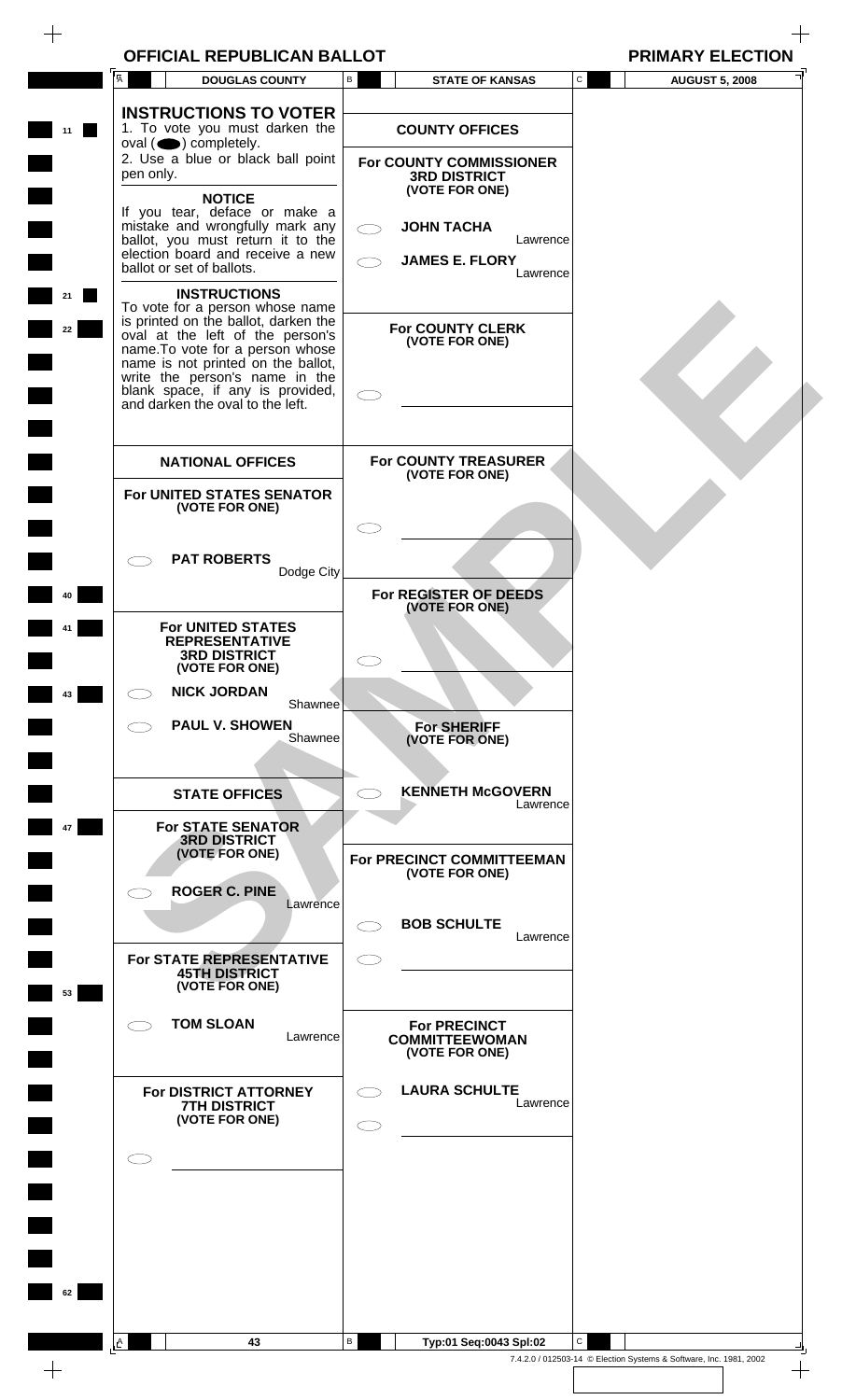| <b>PRIMARY ELECT</b> |
|----------------------|
|                      |

| Ā         | <b>DOUGLAS COUNTY</b>                                                                                                                       | В         | <b>STATE OF KANSAS</b>                                           | $\mathtt{C}$ | <b>AUGUST 5, 2008</b> |
|-----------|---------------------------------------------------------------------------------------------------------------------------------------------|-----------|------------------------------------------------------------------|--------------|-----------------------|
|           |                                                                                                                                             |           |                                                                  |              |                       |
|           | <b>INSTRUCTIONS TO VOTER</b><br>1. To vote you must darken the<br>$oval(\n\bullet)$ completely.                                             |           | <b>COUNTY OFFICES</b>                                            |              |                       |
| pen only. | 2. Use a blue or black ball point                                                                                                           |           | For COUNTY COMMISSIONER<br><b>3RD DISTRICT</b><br>(VOTE FOR ONE) |              |                       |
|           | <b>NOTICE</b><br>If you tear, deface or make a<br>mistake and wrongfully mark any                                                           |           | <b>JOHN TACHA</b>                                                |              |                       |
|           | ballot, you must return it to the<br>election board and receive a new<br>ballot or set of ballots.                                          |           | Lawrence<br><b>JAMES E. FLORY</b><br>Lawrence                    |              |                       |
|           | <b>INSTRUCTIONS</b><br>To vote for a person whose name<br>is printed on the ballot, darken the                                              |           | <b>For COUNTY CLERK</b>                                          |              |                       |
|           | oval at the left of the person's<br>name.To vote for a person whose<br>name is not printed on the ballot,<br>write the person's name in the |           | (VOTE FOR ONE)                                                   |              |                       |
|           | blank space, if any is provided,<br>and darken the oval to the left.                                                                        |           |                                                                  |              |                       |
|           | <b>NATIONAL OFFICES</b>                                                                                                                     |           | For COUNTY TREASURER                                             |              |                       |
|           | For UNITED STATES SENATOR<br>(VOTE FOR ONE)                                                                                                 |           | (VOTE FOR ONE)                                                   |              |                       |
|           | <b>PAT ROBERTS</b>                                                                                                                          |           |                                                                  |              |                       |
|           | Dodge City                                                                                                                                  |           | For REGISTER OF DEEDS<br>(VOTE FOR ONE)                          |              |                       |
|           | <b>For UNITED STATES</b><br><b>REPRESENTATIVE</b><br><b>3RD DISTRICT</b>                                                                    |           |                                                                  |              |                       |
|           | (VOTE FOR ONE)<br><b>NICK JORDAN</b><br>Shawnee                                                                                             |           |                                                                  |              |                       |
|           | <b>PAUL V. SHOWEN</b><br>Shawnee                                                                                                            |           | <b>For SHERIFF</b><br>(VOTE FOR ONE)                             |              |                       |
|           | <b>STATE OFFICES</b>                                                                                                                        |           | <b>KENNETH McGOVERN</b><br>Lawrence                              |              |                       |
|           | <b>For STATE SENATOR</b><br><b>3RD DISTRICT</b><br>(VOTE FOR ONE)                                                                           |           | For PRECINCT COMMITTEEMAN                                        |              |                       |
|           | <b>ROGER C. PINE</b><br>Lawrence                                                                                                            |           | (VOTE FOR ONE)                                                   |              |                       |
|           | For STATE REPRESENTATIVE                                                                                                                    | $\subset$ | <b>BOB SCHULTE</b><br>Lawrence                                   |              |                       |
|           | <b>45TH DISTRICT</b><br>(VOTE FOR ONE)                                                                                                      |           |                                                                  |              |                       |
|           | <b>TOM SLOAN</b><br>Lawrence                                                                                                                |           | <b>For PRECINCT</b><br><b>COMMITTEEWOMAN</b><br>(VOTE FOR ONE)   |              |                       |
|           | For DISTRICT ATTORNEY<br><b>7TH DISTRICT</b>                                                                                                | $\subset$ | <b>LAURA SCHULTE</b><br>Lawrence                                 |              |                       |
|           | (VOTE FOR ONE)                                                                                                                              |           |                                                                  |              |                       |
|           |                                                                                                                                             |           |                                                                  |              |                       |
|           |                                                                                                                                             |           |                                                                  |              |                       |
|           |                                                                                                                                             |           |                                                                  |              |                       |
|           |                                                                                                                                             |           |                                                                  |              |                       |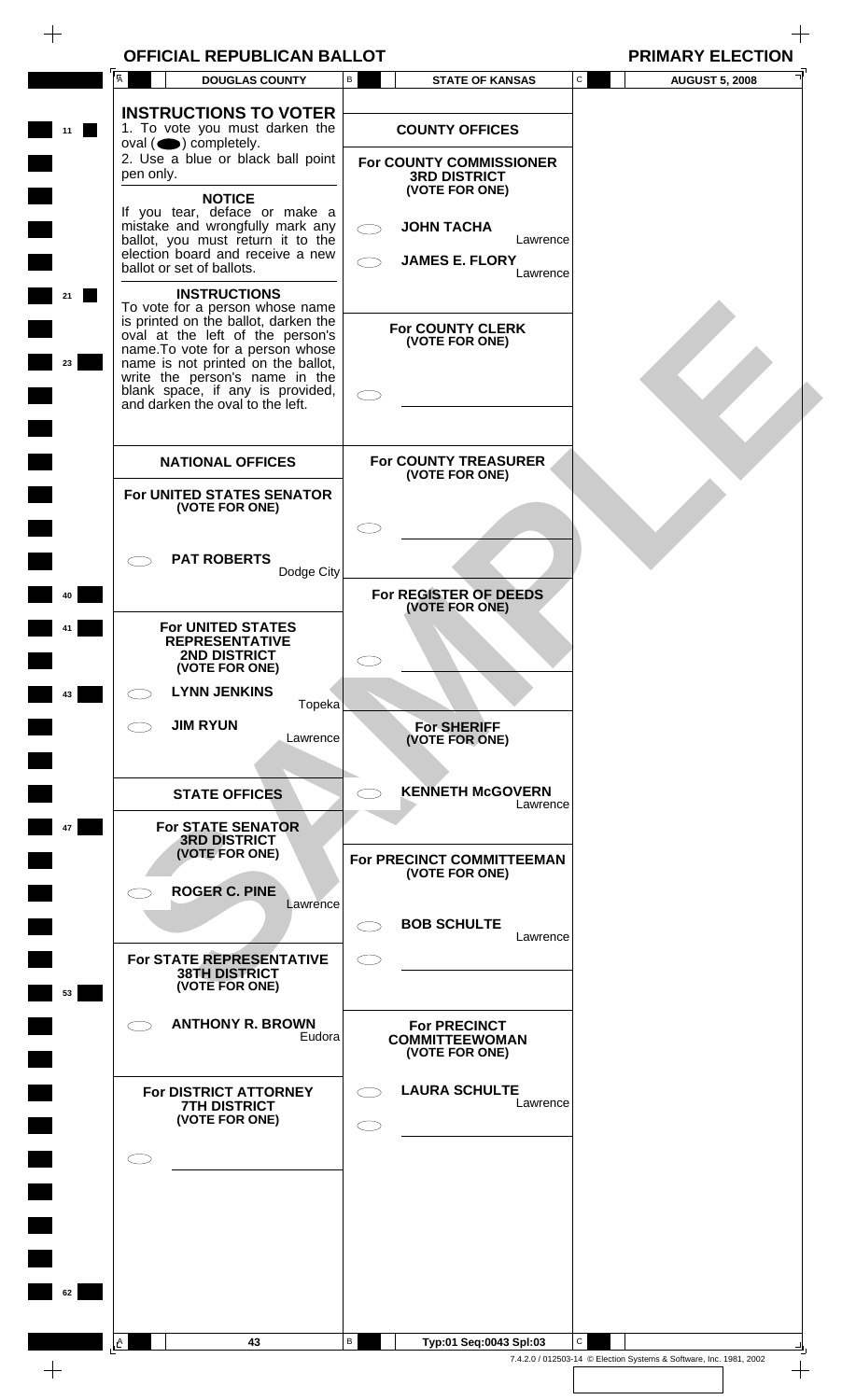$\,$  +

 $\! +$ 

| <b>INSTRUCTIONS TO VOTER</b><br>1. To vote you must darken the<br><b>COUNTY OFFICES</b><br>11<br>$oval(\n\bullet)$ completely.<br>2. Use a blue or black ball point<br>For COUNTY COMMISSIONER<br>pen only.<br><b>3RD DISTRICT</b><br>(VOTE FOR ONE)<br><b>NOTICE</b><br>If you tear, deface or make a<br>mistake and wrongfully mark any<br><b>JOHN TACHA</b><br>ballot, you must return it to the<br>Lawrence<br>election board and receive a new<br><b>JAMES E. FLORY</b><br>ballot or set of ballots.<br>Lawrence<br><b>INSTRUCTIONS</b><br>To vote for a person whose name<br>is printed on the ballot, darken the<br><b>For COUNTY CLERK</b><br>oval at the left of the person's<br>(VOTE FOR ONE)<br>name. To vote for a person whose<br>name is not printed on the ballot,<br>23<br>write the person's name in the<br>blank space, if any is provided,<br>and darken the oval to the left.<br>For COUNTY TREASURER<br><b>NATIONAL OFFICES</b><br>(VOTE FOR ONE)<br>For UNITED STATES SENATOR<br>(VOTE FOR ONE)<br><b>PAT ROBERTS</b><br>Dodge City<br>For REGISTER OF DEEDS<br>(VOTE FOR ONE)<br><b>For UNITED STATES</b><br><b>REPRESENTATIVE</b><br><b>2ND DISTRICT</b><br>(VOTE FOR ONE)<br><b>LYNN JENKINS</b><br>$\subset$<br>43<br>Topeka<br><b>JIM RYUN</b><br><b>For SHERIFF</b><br>$\subset$ $\supset$<br>Lawrence<br>(VOTE FOR ONE)<br><b>KENNETH McGOVERN</b><br><b>STATE OFFICES</b><br>Lawrence<br><b>For STATE SENATOR</b><br>47<br><b>3RD DISTRICT</b><br>(VOTE FOR ONE)<br>For PRECINCT COMMITTEEMAN<br>(VOTE FOR ONE)<br><b>ROGER C. PINE</b><br>Lawrence<br><b>BOB SCHULTE</b><br>Lawrence<br>For STATE REPRESENTATIVE<br>$\subset$<br><b>38TH DISTRICT</b><br>(VOTE FOR ONE)<br>53<br><b>ANTHONY R. BROWN</b><br><b>For PRECINCT</b><br>Eudora<br><b>COMMITTEEWOMAN</b><br>(VOTE FOR ONE)<br><b>LAURA SCHULTE</b><br>For DISTRICT ATTORNEY<br>Lawrence<br><b>7TH DISTRICT</b><br>(VOTE FOR ONE)<br>$\subset$ 1<br>62<br>В<br>$\mathbf{C}$<br>43<br>Typ:01 Seq:0043 Spl:03<br>A<br>7.4.2.0 / 012503-14 © Election Systems & Software, Inc. 1981, 2002 | A<br><b>DOUGLAS COUNTY</b> | В | <b>STATE OF KANSAS</b> | C | <b>AUGUST 5, 2008</b> |  |
|---------------------------------------------------------------------------------------------------------------------------------------------------------------------------------------------------------------------------------------------------------------------------------------------------------------------------------------------------------------------------------------------------------------------------------------------------------------------------------------------------------------------------------------------------------------------------------------------------------------------------------------------------------------------------------------------------------------------------------------------------------------------------------------------------------------------------------------------------------------------------------------------------------------------------------------------------------------------------------------------------------------------------------------------------------------------------------------------------------------------------------------------------------------------------------------------------------------------------------------------------------------------------------------------------------------------------------------------------------------------------------------------------------------------------------------------------------------------------------------------------------------------------------------------------------------------------------------------------------------------------------------------------------------------------------------------------------------------------------------------------------------------------------------------------------------------------------------------------------------------------------------------------------------------------------------------------------------------------------------------------------------------------------------------------------------------------------|----------------------------|---|------------------------|---|-----------------------|--|
|                                                                                                                                                                                                                                                                                                                                                                                                                                                                                                                                                                                                                                                                                                                                                                                                                                                                                                                                                                                                                                                                                                                                                                                                                                                                                                                                                                                                                                                                                                                                                                                                                                                                                                                                                                                                                                                                                                                                                                                                                                                                                 |                            |   |                        |   |                       |  |
|                                                                                                                                                                                                                                                                                                                                                                                                                                                                                                                                                                                                                                                                                                                                                                                                                                                                                                                                                                                                                                                                                                                                                                                                                                                                                                                                                                                                                                                                                                                                                                                                                                                                                                                                                                                                                                                                                                                                                                                                                                                                                 |                            |   |                        |   |                       |  |
|                                                                                                                                                                                                                                                                                                                                                                                                                                                                                                                                                                                                                                                                                                                                                                                                                                                                                                                                                                                                                                                                                                                                                                                                                                                                                                                                                                                                                                                                                                                                                                                                                                                                                                                                                                                                                                                                                                                                                                                                                                                                                 |                            |   |                        |   |                       |  |
|                                                                                                                                                                                                                                                                                                                                                                                                                                                                                                                                                                                                                                                                                                                                                                                                                                                                                                                                                                                                                                                                                                                                                                                                                                                                                                                                                                                                                                                                                                                                                                                                                                                                                                                                                                                                                                                                                                                                                                                                                                                                                 |                            |   |                        |   |                       |  |
|                                                                                                                                                                                                                                                                                                                                                                                                                                                                                                                                                                                                                                                                                                                                                                                                                                                                                                                                                                                                                                                                                                                                                                                                                                                                                                                                                                                                                                                                                                                                                                                                                                                                                                                                                                                                                                                                                                                                                                                                                                                                                 |                            |   |                        |   |                       |  |
|                                                                                                                                                                                                                                                                                                                                                                                                                                                                                                                                                                                                                                                                                                                                                                                                                                                                                                                                                                                                                                                                                                                                                                                                                                                                                                                                                                                                                                                                                                                                                                                                                                                                                                                                                                                                                                                                                                                                                                                                                                                                                 |                            |   |                        |   |                       |  |
|                                                                                                                                                                                                                                                                                                                                                                                                                                                                                                                                                                                                                                                                                                                                                                                                                                                                                                                                                                                                                                                                                                                                                                                                                                                                                                                                                                                                                                                                                                                                                                                                                                                                                                                                                                                                                                                                                                                                                                                                                                                                                 |                            |   |                        |   |                       |  |
|                                                                                                                                                                                                                                                                                                                                                                                                                                                                                                                                                                                                                                                                                                                                                                                                                                                                                                                                                                                                                                                                                                                                                                                                                                                                                                                                                                                                                                                                                                                                                                                                                                                                                                                                                                                                                                                                                                                                                                                                                                                                                 |                            |   |                        |   |                       |  |
|                                                                                                                                                                                                                                                                                                                                                                                                                                                                                                                                                                                                                                                                                                                                                                                                                                                                                                                                                                                                                                                                                                                                                                                                                                                                                                                                                                                                                                                                                                                                                                                                                                                                                                                                                                                                                                                                                                                                                                                                                                                                                 |                            |   |                        |   |                       |  |
|                                                                                                                                                                                                                                                                                                                                                                                                                                                                                                                                                                                                                                                                                                                                                                                                                                                                                                                                                                                                                                                                                                                                                                                                                                                                                                                                                                                                                                                                                                                                                                                                                                                                                                                                                                                                                                                                                                                                                                                                                                                                                 |                            |   |                        |   |                       |  |
|                                                                                                                                                                                                                                                                                                                                                                                                                                                                                                                                                                                                                                                                                                                                                                                                                                                                                                                                                                                                                                                                                                                                                                                                                                                                                                                                                                                                                                                                                                                                                                                                                                                                                                                                                                                                                                                                                                                                                                                                                                                                                 |                            |   |                        |   |                       |  |
|                                                                                                                                                                                                                                                                                                                                                                                                                                                                                                                                                                                                                                                                                                                                                                                                                                                                                                                                                                                                                                                                                                                                                                                                                                                                                                                                                                                                                                                                                                                                                                                                                                                                                                                                                                                                                                                                                                                                                                                                                                                                                 |                            |   |                        |   |                       |  |
|                                                                                                                                                                                                                                                                                                                                                                                                                                                                                                                                                                                                                                                                                                                                                                                                                                                                                                                                                                                                                                                                                                                                                                                                                                                                                                                                                                                                                                                                                                                                                                                                                                                                                                                                                                                                                                                                                                                                                                                                                                                                                 |                            |   |                        |   |                       |  |
|                                                                                                                                                                                                                                                                                                                                                                                                                                                                                                                                                                                                                                                                                                                                                                                                                                                                                                                                                                                                                                                                                                                                                                                                                                                                                                                                                                                                                                                                                                                                                                                                                                                                                                                                                                                                                                                                                                                                                                                                                                                                                 |                            |   |                        |   |                       |  |
|                                                                                                                                                                                                                                                                                                                                                                                                                                                                                                                                                                                                                                                                                                                                                                                                                                                                                                                                                                                                                                                                                                                                                                                                                                                                                                                                                                                                                                                                                                                                                                                                                                                                                                                                                                                                                                                                                                                                                                                                                                                                                 |                            |   |                        |   |                       |  |
|                                                                                                                                                                                                                                                                                                                                                                                                                                                                                                                                                                                                                                                                                                                                                                                                                                                                                                                                                                                                                                                                                                                                                                                                                                                                                                                                                                                                                                                                                                                                                                                                                                                                                                                                                                                                                                                                                                                                                                                                                                                                                 |                            |   |                        |   |                       |  |
|                                                                                                                                                                                                                                                                                                                                                                                                                                                                                                                                                                                                                                                                                                                                                                                                                                                                                                                                                                                                                                                                                                                                                                                                                                                                                                                                                                                                                                                                                                                                                                                                                                                                                                                                                                                                                                                                                                                                                                                                                                                                                 |                            |   |                        |   |                       |  |
|                                                                                                                                                                                                                                                                                                                                                                                                                                                                                                                                                                                                                                                                                                                                                                                                                                                                                                                                                                                                                                                                                                                                                                                                                                                                                                                                                                                                                                                                                                                                                                                                                                                                                                                                                                                                                                                                                                                                                                                                                                                                                 |                            |   |                        |   |                       |  |
|                                                                                                                                                                                                                                                                                                                                                                                                                                                                                                                                                                                                                                                                                                                                                                                                                                                                                                                                                                                                                                                                                                                                                                                                                                                                                                                                                                                                                                                                                                                                                                                                                                                                                                                                                                                                                                                                                                                                                                                                                                                                                 |                            |   |                        |   |                       |  |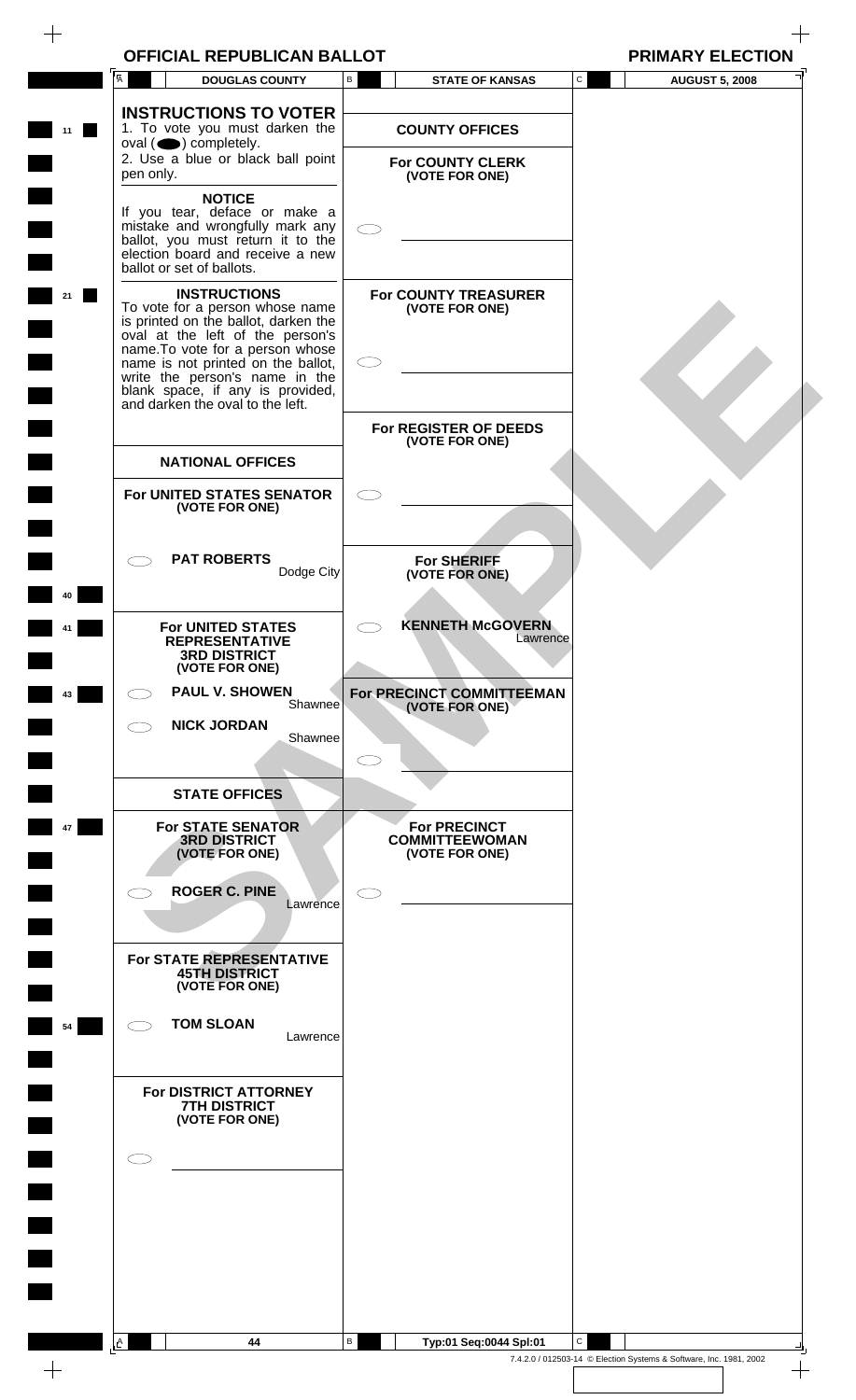| <b>OFFICIAL REPUBLICAN BALLOT</b>                                                                                                                                                                                                              |                                                                | <b>PRIMARY ELECTION</b>    |
|------------------------------------------------------------------------------------------------------------------------------------------------------------------------------------------------------------------------------------------------|----------------------------------------------------------------|----------------------------|
| A<br><b>DOUGLAS COUNTY</b>                                                                                                                                                                                                                     | В<br><b>STATE OF KANSAS</b>                                    | C<br><b>AUGUST 5, 2008</b> |
| <b>INSTRUCTIONS TO VOTER</b><br>1. To vote you must darken the<br>$oval(\n\bullet)$ completely.<br>2. Use a blue or black ball point                                                                                                           | <b>COUNTY OFFICES</b>                                          |                            |
| pen only.<br><b>NOTICE</b>                                                                                                                                                                                                                     | <b>For COUNTY CLERK</b><br>(VOTE FOR ONE)                      |                            |
| If you tear, deface or make a<br>mistake and wrongfully mark any<br>ballot, you must return it to the<br>election board and receive a new<br>ballot or set of ballots.                                                                         |                                                                |                            |
| <b>INSTRUCTIONS</b><br>To vote for a person whose name<br>is printed on the ballot, darken the<br>oval at the left of the person's<br>name. To vote for a person whose<br>name is not printed on the ballot,<br>write the person's name in the | <b>For COUNTY TREASURER</b><br>(VOTE FOR ONE)<br>$\subset$     |                            |
| blank space, if any is provided,<br>and darken the oval to the left.                                                                                                                                                                           | For REGISTER OF DEEDS                                          |                            |
| <b>NATIONAL OFFICES</b>                                                                                                                                                                                                                        | (VOTE FOR ONE)                                                 |                            |
| For UNITED STATES SENATOR<br>(VOTE FOR ONE)                                                                                                                                                                                                    |                                                                |                            |
| <b>PAT ROBERTS</b><br>Dodge City                                                                                                                                                                                                               | <b>For SHERIFF</b><br>(VOTE FOR ONE)                           |                            |
| <b>For UNITED STATES</b><br><b>REPRESENTATIVE</b><br><b>3RD DISTRICT</b><br>(VOTE FOR ONE)                                                                                                                                                     | <b>KENNETH McGOVERN</b><br>Lawrence                            |                            |
| <b>PAUL V. SHOWEN</b><br>Shawnee                                                                                                                                                                                                               | For PRECINCT COMMITTEEMAN<br>(VOTE FOR ONE)                    |                            |
| <b>NICK JORDAN</b><br>Shawnee                                                                                                                                                                                                                  | C.                                                             |                            |
| <b>STATE OFFICES</b>                                                                                                                                                                                                                           |                                                                |                            |
| <b>For STATE SENATOR</b><br><b>3RD DISTRICT</b><br>(VOTE FOR ONE)                                                                                                                                                                              | <b>For PRECINCT</b><br><b>COMMITTEEWOMAN</b><br>(VOTE FOR ONE) |                            |
| <b>ROGER C. PINE</b><br>Lawrence                                                                                                                                                                                                               |                                                                |                            |
| For STATE REPRESENTATIVE<br><b>45TH DISTRICT</b><br>(VOTE FOR ONE)                                                                                                                                                                             |                                                                |                            |

**TOM SLOAN**

 $\bigcirc$ 

 $\bigcirc$ 

**11 11** 

 $\blacksquare$ 

 $\overline{\phantom{0}}$ 

 $\blacksquare$ 

 $\blacksquare$ 

 $\hspace{0.1mm} +$ 

**21** 

**40**

**41**

**43**

 $\blacksquare$ 

 $\blacksquare$ 

 $\blacksquare$ 

 $\overline{\phantom{a}}$ 

 $\frac{1}{\sqrt{2}}$ 

**47**

**54**

 $\left\lfloor \frac{A}{2} \right\rfloor$ 

**For DISTRICT ATTORNEY 7TH DISTRICT (VOTE FOR ONE)**

Lawrence

B

╝

 $\qquad \qquad +$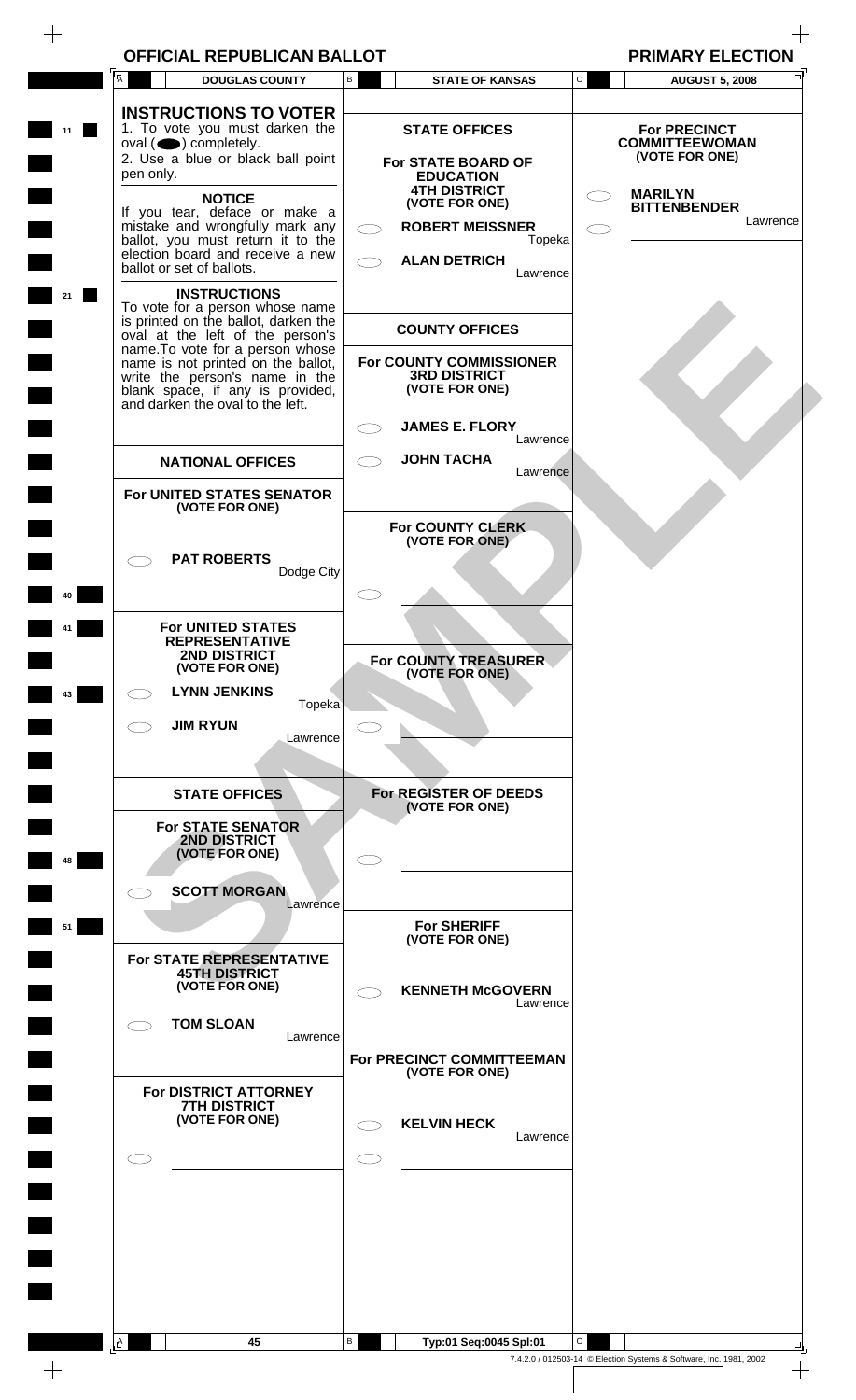|                | <b>OFFICIAL REPUBLICAN BALLOT</b>                                                                                                                                                                                                                            |   |                                                                                                                                  |                    | <b>PRIMARY ELECTION</b>                                             |
|----------------|--------------------------------------------------------------------------------------------------------------------------------------------------------------------------------------------------------------------------------------------------------------|---|----------------------------------------------------------------------------------------------------------------------------------|--------------------|---------------------------------------------------------------------|
| $\overline{A}$ | <b>DOUGLAS COUNTY</b>                                                                                                                                                                                                                                        | В | <b>STATE OF KANSAS</b>                                                                                                           | $\mathtt{C}$       | <b>AUGUST 5, 2008</b>                                               |
|                | <b>INSTRUCTIONS TO VOTER</b><br>1. To vote you must darken the<br>$oval(\n\bullet)$ completely.                                                                                                                                                              |   | <b>STATE OFFICES</b>                                                                                                             |                    | <b>For PRECINCT</b><br><b>COMMITTEEWOMAN</b>                        |
| pen only.      | 2. Use a blue or black ball point<br><b>NOTICE</b><br>If you tear, deface or make a<br>mistake and wrongfully mark any<br>ballot, you must return it to the<br>election board and receive a new<br>ballot or set of ballots.                                 |   | For STATE BOARD OF<br><b>EDUCATION</b><br><b>4TH DISTRICT</b><br>(VOTE FOR ONE)<br><b>ROBERT MEISSNER</b><br><b>ALAN DETRICH</b> | Topeka<br>Lawrence | (VOTE FOR ONE)<br><b>MARILYN</b><br><b>BITTENBENDER</b><br>Lawrence |
|                | <b>INSTRUCTIONS</b><br>To vote for a person whose name                                                                                                                                                                                                       |   |                                                                                                                                  |                    |                                                                     |
|                | is printed on the ballot, darken the<br>oval at the left of the person's<br>name. To vote for a person whose<br>name is not printed on the ballot,<br>write the person's name in the<br>blank space, if any is provided,<br>and darken the oval to the left. |   | <b>COUNTY OFFICES</b><br>For COUNTY COMMISSIONER<br><b>3RD DISTRICT</b><br>(VOTE FOR ONE)<br><b>JAMES E. FLORY</b>               |                    |                                                                     |
|                |                                                                                                                                                                                                                                                              |   |                                                                                                                                  | Lawrence           |                                                                     |
|                | <b>NATIONAL OFFICES</b>                                                                                                                                                                                                                                      |   | <b>JOHN TACHA</b>                                                                                                                | Lawrence           |                                                                     |
|                | For UNITED STATES SENATOR<br>(VOTE FOR ONE)                                                                                                                                                                                                                  |   |                                                                                                                                  |                    |                                                                     |
|                |                                                                                                                                                                                                                                                              |   | For COUNTY CLERK<br>(VOTE FOR ONE)                                                                                               |                    |                                                                     |
|                | <b>PAT ROBERTS</b><br>Dodge City                                                                                                                                                                                                                             |   |                                                                                                                                  |                    |                                                                     |
|                | <b>For UNITED STATES</b><br><b>REPRESENTATIVE</b>                                                                                                                                                                                                            |   |                                                                                                                                  |                    |                                                                     |
|                | <b>2ND DISTRICT</b><br>(VOTE FOR ONE)<br><b>LYNN JENKINS</b>                                                                                                                                                                                                 |   | For COUNTY TREASURER<br>(VOTE FOR ONE)                                                                                           |                    |                                                                     |
|                | Topeka<br><b>JIM RYUN</b>                                                                                                                                                                                                                                    |   |                                                                                                                                  |                    |                                                                     |
|                | Lawrence                                                                                                                                                                                                                                                     |   |                                                                                                                                  |                    |                                                                     |
|                | <b>STATE OFFICES</b>                                                                                                                                                                                                                                         |   | For REGISTER OF DEEDS<br>(VOTE FOR ONE)                                                                                          |                    |                                                                     |
|                | <b>For STATE SENATOR</b><br>2ND DISTRICT<br>(VOTE FOR ONE)                                                                                                                                                                                                   |   |                                                                                                                                  |                    |                                                                     |
|                | <b>SCOTT MORGAN</b><br>Lawrence                                                                                                                                                                                                                              |   | <b>For SHERIFF</b>                                                                                                               |                    |                                                                     |
|                | For STATE REPRESENTATIVE                                                                                                                                                                                                                                     |   | (VOTE FOR ONE)                                                                                                                   |                    |                                                                     |
|                | <b>45TH DISTRICT</b><br>(VOTE FOR ONE)                                                                                                                                                                                                                       |   | <b>KENNETH McGOVERN</b>                                                                                                          | Lawrence           |                                                                     |
|                | <b>TOM SLOAN</b><br>Lawrence                                                                                                                                                                                                                                 |   | For PRECINCT COMMITTEEMAN                                                                                                        |                    |                                                                     |
|                |                                                                                                                                                                                                                                                              |   | (VOTE FOR ONE)                                                                                                                   |                    |                                                                     |
|                | For DISTRICT ATTORNEY<br><b>7TH DISTRICT</b><br>(VOTE FOR ONE)                                                                                                                                                                                               |   | <b>KELVIN HECK</b>                                                                                                               | Lawrence           |                                                                     |
|                |                                                                                                                                                                                                                                                              |   |                                                                                                                                  |                    |                                                                     |
|                |                                                                                                                                                                                                                                                              |   |                                                                                                                                  |                    |                                                                     |
| $\mathbb{A}$   | 45                                                                                                                                                                                                                                                           | В | Typ:01 Seq:0045 Spl:01                                                                                                           | $\mathbf{C}$       |                                                                     |
|                |                                                                                                                                                                                                                                                              |   |                                                                                                                                  |                    |                                                                     |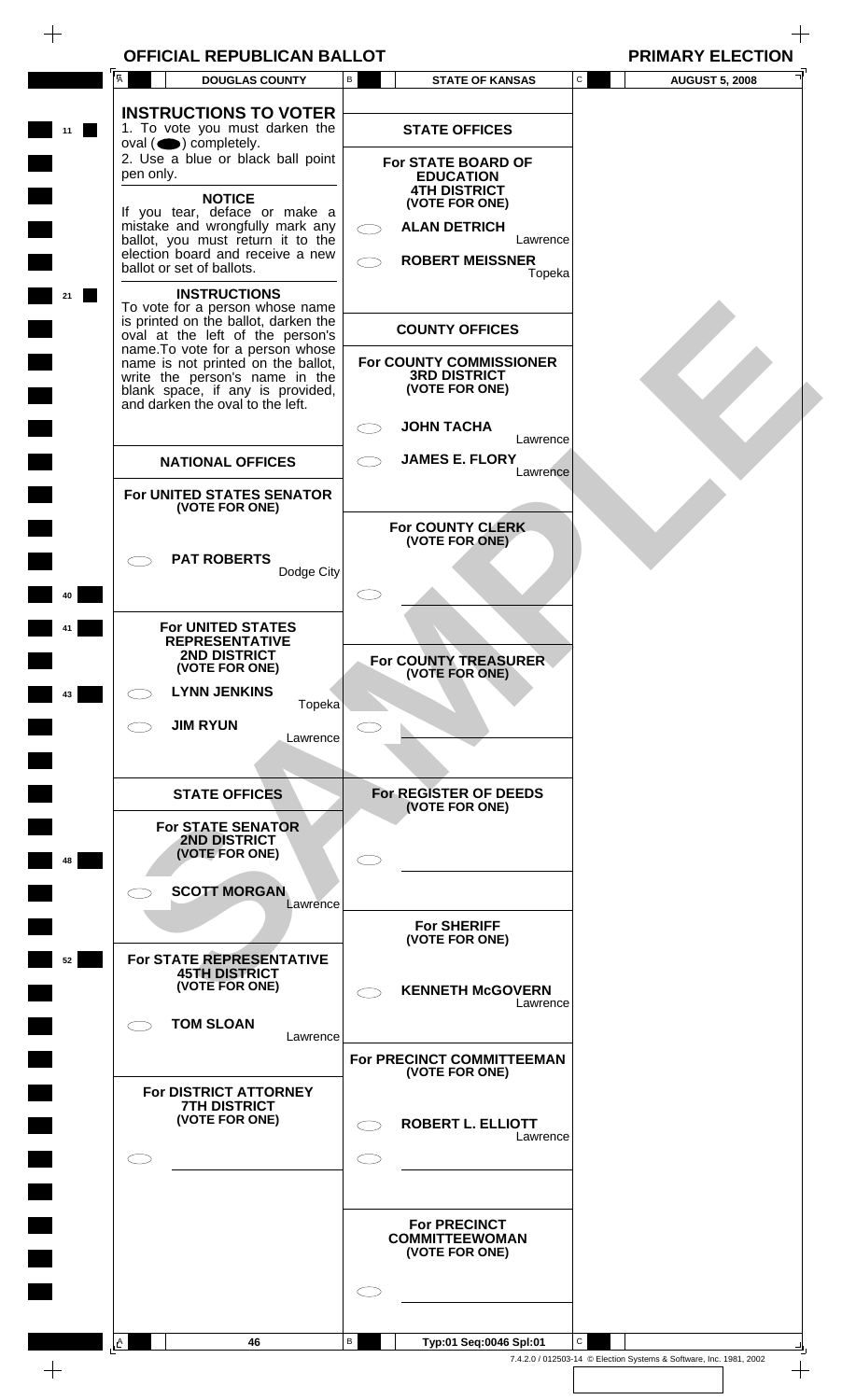|  |  | <b>OFFICIAL REPUBLICAN BALLOT</b> |
|--|--|-----------------------------------|
|--|--|-----------------------------------|

**OFFICIAL REPUBLICAN BANK**<br>**PRIMARY ELECTION** 

|    | Ā                       | <b>DOUGLAS COUNTY</b>                                                                              | В | <b>STATE OF KANSAS</b>                                         | C            | <b>AUGUST 5, 2008</b> |  |
|----|-------------------------|----------------------------------------------------------------------------------------------------|---|----------------------------------------------------------------|--------------|-----------------------|--|
|    |                         | <b>INSTRUCTIONS TO VOTER</b>                                                                       |   |                                                                |              |                       |  |
| 11 |                         | 1. To vote you must darken the<br>$oval(\n\bullet)$ completely.                                    |   | <b>STATE OFFICES</b>                                           |              |                       |  |
|    | pen only.               | 2. Use a blue or black ball point                                                                  |   | For STATE BOARD OF<br><b>EDUCATION</b>                         |              |                       |  |
|    |                         | <b>NOTICE</b>                                                                                      |   | <b>4TH DISTRICT</b><br>(VOTE FOR ONE)                          |              |                       |  |
|    |                         | If you tear, deface or make a<br>mistake and wrongfully mark any                                   |   | <b>ALAN DETRICH</b>                                            |              |                       |  |
|    |                         | ballot, you must return it to the<br>election board and receive a new<br>ballot or set of ballots. |   | <b>ROBERT MEISSNER</b>                                         | Lawrence     |                       |  |
|    |                         | <b>INSTRUCTIONS</b>                                                                                |   |                                                                | Topeka       |                       |  |
|    |                         | To vote for a person whose name<br>is printed on the ballot, darken the                            |   |                                                                |              |                       |  |
|    |                         | oval at the left of the person's<br>name. To vote for a person whose                               |   | <b>COUNTY OFFICES</b>                                          |              |                       |  |
|    |                         | name is not printed on the ballot,<br>write the person's name in the                               |   | For COUNTY COMMISSIONER<br><b>3RD DISTRICT</b>                 |              |                       |  |
|    |                         | blank space, if any is provided,<br>and darken the oval to the left.                               |   | (VOTE FOR ONE)                                                 |              |                       |  |
|    |                         |                                                                                                    |   | <b>JOHN TACHA</b>                                              | Lawrence     |                       |  |
|    |                         | <b>NATIONAL OFFICES</b>                                                                            |   | <b>JAMES E. FLORY</b>                                          | Lawrence     |                       |  |
|    |                         | For UNITED STATES SENATOR                                                                          |   |                                                                |              |                       |  |
|    |                         | (VOTE FOR ONE)                                                                                     |   | For COUNTY CLERK                                               |              |                       |  |
|    |                         | <b>PAT ROBERTS</b>                                                                                 |   | (VOTE FOR ONE)                                                 |              |                       |  |
|    |                         | Dodge City                                                                                         |   |                                                                |              |                       |  |
|    |                         | <b>For UNITED STATES</b>                                                                           |   |                                                                |              |                       |  |
|    |                         | <b>REPRESENTATIVE</b><br><b>2ND DISTRICT</b>                                                       |   |                                                                |              |                       |  |
|    |                         | (VOTE FOR ONE)                                                                                     |   | For COUNTY TREASURER<br>(VOTE FOR ONE)                         |              |                       |  |
| 43 |                         | <b>LYNN JENKINS</b><br>Topeka                                                                      |   |                                                                |              |                       |  |
|    |                         | <b>JIM RYUN</b><br>Lawrence                                                                        |   |                                                                |              |                       |  |
|    |                         |                                                                                                    |   |                                                                |              |                       |  |
|    |                         | <b>STATE OFFICES</b>                                                                               |   | For REGISTER OF DEEDS<br>(VOTE FOR ONE)                        |              |                       |  |
|    |                         | <b>For STATE SENATOR</b><br>2ND DISTRICT                                                           |   |                                                                |              |                       |  |
| 48 |                         | (VOTE FOR ONE)                                                                                     |   |                                                                |              |                       |  |
|    |                         | <b>SCOTT MORGAN</b><br>Lawrence                                                                    |   |                                                                |              |                       |  |
|    |                         |                                                                                                    |   | <b>For SHERIFF</b>                                             |              |                       |  |
| 52 |                         | For STATE REPRESENTATIVE                                                                           |   | (VOTE FOR ONE)                                                 |              |                       |  |
|    |                         | <b>45TH DISTRICT</b><br>(VOTE FOR ONE)                                                             |   | <b>KENNETH McGOVERN</b>                                        |              |                       |  |
|    |                         | <b>TOM SLOAN</b>                                                                                   |   |                                                                | Lawrence     |                       |  |
|    |                         | Lawrence                                                                                           |   | For PRECINCT COMMITTEEMAN                                      |              |                       |  |
|    |                         |                                                                                                    |   | (VOTE FOR ONE)                                                 |              |                       |  |
|    |                         | For DISTRICT ATTORNEY<br><b>7TH DISTRICT</b><br>(VOTE FOR ONE)                                     |   |                                                                |              |                       |  |
|    |                         |                                                                                                    |   | <b>ROBERT L. ELLIOTT</b>                                       | Lawrence     |                       |  |
|    |                         |                                                                                                    |   |                                                                |              |                       |  |
|    |                         |                                                                                                    |   |                                                                |              |                       |  |
|    |                         |                                                                                                    |   | <b>For PRECINCT</b><br><b>COMMITTEEWOMAN</b><br>(VOTE FOR ONE) |              |                       |  |
|    |                         |                                                                                                    |   |                                                                |              |                       |  |
|    |                         |                                                                                                    |   |                                                                |              |                       |  |
|    | $\mathsf{L}^\mathsf{A}$ | 46                                                                                                 | В | Typ:01 Seq:0046 Spl:01                                         | $\mathsf{C}$ |                       |  |

 $\! +$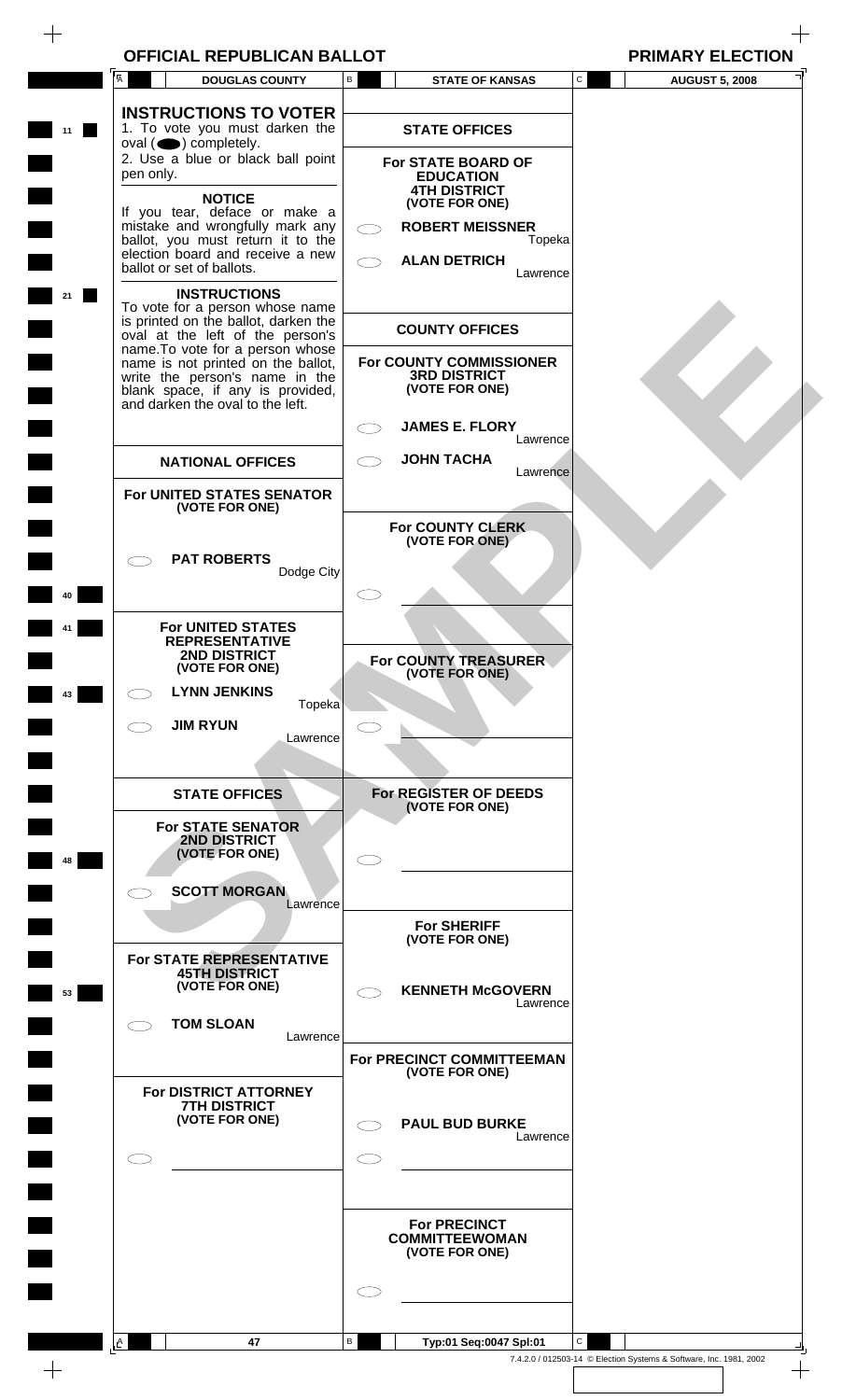| <b>PRIMARY ELECTI</b> |  |  |
|-----------------------|--|--|
|                       |  |  |

| $\overline{A}$<br><b>DOUGLAS COUNTY</b>                                                                                                                                          | $\mathtt{C}$<br>B<br><b>STATE OF KANSAS</b>                      | <b>AUGUST 5, 2008</b> |
|----------------------------------------------------------------------------------------------------------------------------------------------------------------------------------|------------------------------------------------------------------|-----------------------|
|                                                                                                                                                                                  |                                                                  |                       |
| <b>INSTRUCTIONS TO VOTER</b><br>1. To vote you must darken the<br>$oval(\n\bullet)$ completely.                                                                                  | <b>STATE OFFICES</b>                                             |                       |
| 2. Use a blue or black ball point<br>pen only.<br><b>NOTICE</b>                                                                                                                  | For STATE BOARD OF<br><b>EDUCATION</b><br><b>4TH DISTRICT</b>    |                       |
| If you tear, deface or make a<br>mistake and wrongfully mark any                                                                                                                 | (VOTE FOR ONE)<br><b>ROBERT MEISSNER</b>                         |                       |
| ballot, you must return it to the<br>election board and receive a new                                                                                                            | Topeka<br><b>ALAN DETRICH</b>                                    |                       |
| ballot or set of ballots.<br><b>INSTRUCTIONS</b>                                                                                                                                 | Lawrence                                                         |                       |
| To vote for a person whose name<br>is printed on the ballot, darken the<br>oval at the left of the person's                                                                      | <b>COUNTY OFFICES</b>                                            |                       |
| name. To vote for a person whose<br>name is not printed on the ballot,<br>write the person's name in the<br>blank space, if any is provided,<br>and darken the oval to the left. | For COUNTY COMMISSIONER<br><b>3RD DISTRICT</b><br>(VOTE FOR ONE) |                       |
|                                                                                                                                                                                  | <b>JAMES E. FLORY</b><br>Lawrence                                |                       |
| <b>NATIONAL OFFICES</b>                                                                                                                                                          | <b>JOHN TACHA</b><br>Lawrence                                    |                       |
| For UNITED STATES SENATOR<br>(VOTE FOR ONE)                                                                                                                                      |                                                                  |                       |
|                                                                                                                                                                                  | For COUNTY CLERK-<br>(VOTE FOR ONE)                              |                       |
| <b>PAT ROBERTS</b><br>Dodge City                                                                                                                                                 |                                                                  |                       |
|                                                                                                                                                                                  |                                                                  |                       |
| <b>For UNITED STATES</b><br><b>REPRESENTATIVE</b>                                                                                                                                |                                                                  |                       |
| <b>2ND DISTRICT</b><br>(VOTE FOR ONE)                                                                                                                                            | For COUNTY TREASURER<br>(VOTE FOR ONE)                           |                       |
| <b>LYNN JENKINS</b><br>Ο<br>Topeka                                                                                                                                               |                                                                  |                       |
| <b>JIM RYUN</b><br>$\subset$ $\supset$<br>Lawrence                                                                                                                               |                                                                  |                       |
|                                                                                                                                                                                  |                                                                  |                       |
| <b>STATE OFFICES</b>                                                                                                                                                             | For REGISTER OF DEEDS<br>(VOTE FOR ONE)                          |                       |
| <b>For STATE SENATOR</b><br><b>2ND DISTRICT</b>                                                                                                                                  |                                                                  |                       |
| (VOTE FOR ONE)                                                                                                                                                                   | 88                                                               |                       |
| <b>SCOTT MORGAN</b><br>Lawrence                                                                                                                                                  |                                                                  |                       |
|                                                                                                                                                                                  | <b>For SHERIFF</b><br>(VOTE FOR ONE)                             |                       |
| For STATE REPRESENTATIVE<br><b>45TH DISTRICT</b><br>(VOTE FOR ONE)                                                                                                               | <b>KENNETH McGOVERN</b>                                          |                       |
| <b>TOM SLOAN</b><br>CD.                                                                                                                                                          | Lawrence                                                         |                       |
| Lawrence                                                                                                                                                                         | For PRECINCT COMMITTEEMAN                                        |                       |
| For DISTRICT ATTORNEY                                                                                                                                                            | (VOTE FOR ONE)                                                   |                       |
| <b>7TH DISTRICT</b><br>(VOTE FOR ONE)                                                                                                                                            | <b>PAUL BUD BURKE</b>                                            |                       |
|                                                                                                                                                                                  | Lawrence                                                         |                       |
|                                                                                                                                                                                  |                                                                  |                       |
|                                                                                                                                                                                  | <b>For PRECINCT</b><br><b>COMMITTEEWOMAN</b><br>(VOTE FOR ONE)   |                       |
|                                                                                                                                                                                  |                                                                  |                       |
|                                                                                                                                                                                  |                                                                  |                       |
| 47                                                                                                                                                                               | В<br>$\mathbf{C}$<br>Typ:01 Seq:0047 Spl:01                      |                       |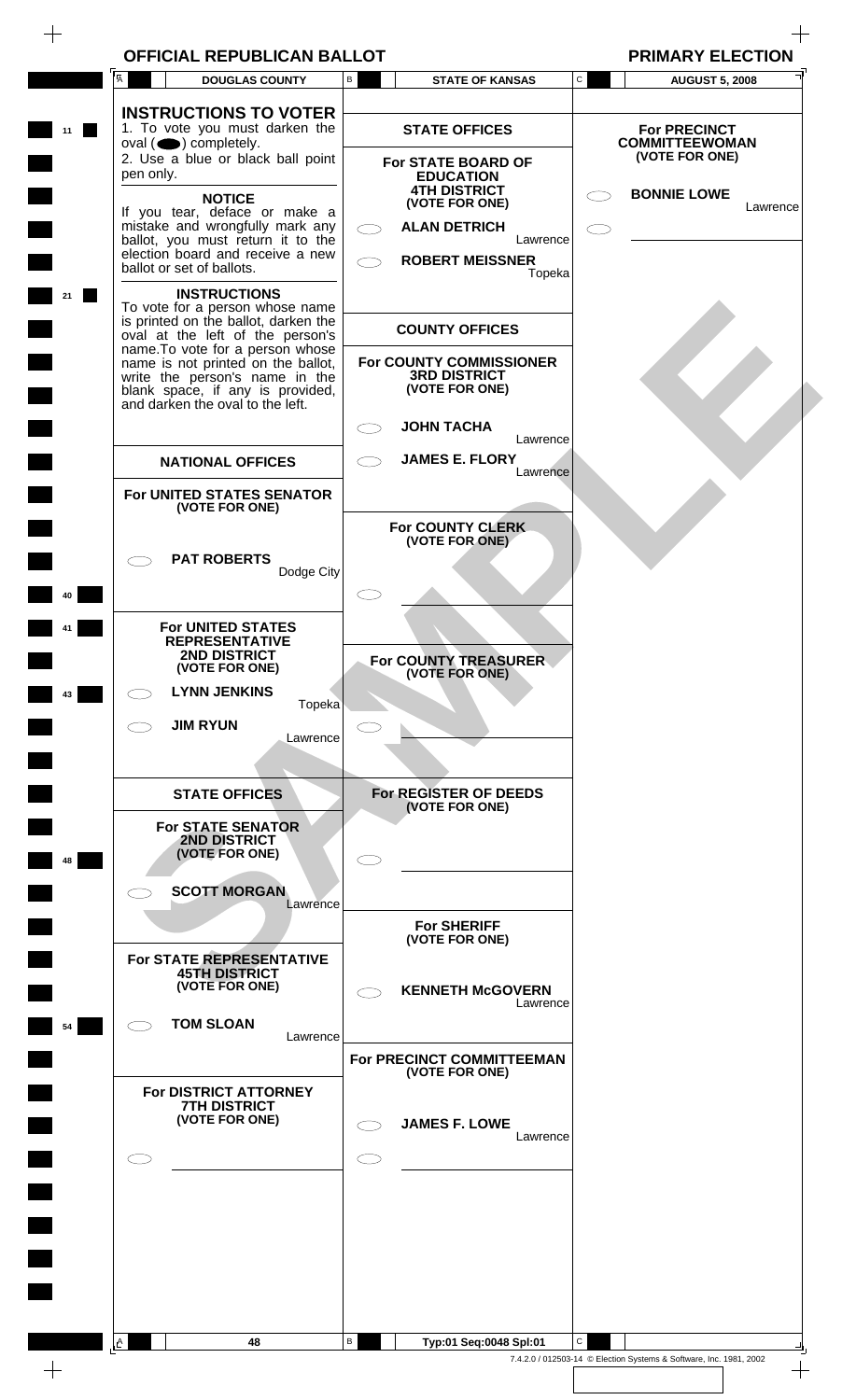| $\overline{A}$<br><b>DOUGLAS COUNTY</b>                                                                                                                                                                                                                                                                                                      | B | <b>STATE OF KANSAS</b>                                                                                                                                               | $\mathtt{C}$<br><b>AUGUST 5, 2008</b>                                                            |
|----------------------------------------------------------------------------------------------------------------------------------------------------------------------------------------------------------------------------------------------------------------------------------------------------------------------------------------------|---|----------------------------------------------------------------------------------------------------------------------------------------------------------------------|--------------------------------------------------------------------------------------------------|
|                                                                                                                                                                                                                                                                                                                                              |   |                                                                                                                                                                      |                                                                                                  |
| <b>INSTRUCTIONS TO VOTER</b><br>1. To vote you must darken the<br>$oval(\n\bullet)$ completely.<br>2. Use a blue or black ball point<br>pen only.<br><b>NOTICE</b><br>If you tear, deface or make a<br>mistake and wrongfully mark any<br>ballot, you must return it to the<br>election board and receive a new<br>ballot or set of ballots. |   | <b>STATE OFFICES</b><br>For STATE BOARD OF<br><b>EDUCATION</b><br><b>4TH DISTRICT</b><br>(VOTE FOR ONE)<br><b>ALAN DETRICH</b><br>Lawrence<br><b>ROBERT MEISSNER</b> | <b>For PRECINCT</b><br><b>COMMITTEEWOMAN</b><br>(VOTE FOR ONE)<br><b>BONNIE LOWE</b><br>Lawrence |
| <b>INSTRUCTIONS</b><br>To vote for a person whose name<br>is printed on the ballot, darken the<br>oval at the left of the person's<br>name. To vote for a person whose<br>name is not printed on the ballot,<br>write the person's name in the                                                                                               |   | Topeka<br><b>COUNTY OFFICES</b><br>For COUNTY COMMISSIONER<br><b>3RD DISTRICT</b>                                                                                    |                                                                                                  |
| blank space, if any is provided,<br>and darken the oval to the left.<br><b>NATIONAL OFFICES</b>                                                                                                                                                                                                                                              |   | (VOTE FOR ONE)<br><b>JOHN TACHA</b><br>Lawrence<br><b>JAMES E. FLORY</b>                                                                                             |                                                                                                  |
| For UNITED STATES SENATOR<br>(VOTE FOR ONE)                                                                                                                                                                                                                                                                                                  |   | Lawrence<br>For COUNTY CLERK                                                                                                                                         |                                                                                                  |
| <b>PAT ROBERTS</b><br>Dodge City                                                                                                                                                                                                                                                                                                             |   | (VOTE FOR ONE)                                                                                                                                                       |                                                                                                  |
| <b>For UNITED STATES</b><br><b>REPRESENTATIVE</b><br>2ND DISTRICT<br>(VOTE FOR ONE)                                                                                                                                                                                                                                                          |   | For COUNTY TREASURER<br>(VOTE FOR ONE)                                                                                                                               |                                                                                                  |
| <b>LYNN JENKINS</b><br>$\subset$ $\supset$<br>Topeka<br><b>JIM RYUN</b><br>$\subset$ $\supset$<br>Lawrence                                                                                                                                                                                                                                   |   |                                                                                                                                                                      |                                                                                                  |
| <b>STATE OFFICES</b>                                                                                                                                                                                                                                                                                                                         |   | For REGISTER OF DEEDS                                                                                                                                                |                                                                                                  |
| <b>For STATE SENATOR</b><br><b>2ND DISTRICT</b><br>(VOTE FOR ONE)<br><b>SCOTT MORGAN</b>                                                                                                                                                                                                                                                     |   | (VOTE FOR ONE)                                                                                                                                                       |                                                                                                  |
| Lawrence<br>For STATE REPRESENTATIVE<br><b>45TH DISTRICT</b>                                                                                                                                                                                                                                                                                 |   | <b>For SHERIFF</b><br>(VOTE FOR ONE)                                                                                                                                 |                                                                                                  |
| (VOTE FOR ONE)<br><b>TOM SLOAN</b><br>Lawrence                                                                                                                                                                                                                                                                                               |   | <b>KENNETH McGOVERN</b><br>Lawrence<br>For PRECINCT COMMITTEEMAN                                                                                                     |                                                                                                  |
| For DISTRICT ATTORNEY<br><b>7TH DISTRICT</b><br>(VOTE FOR ONE)                                                                                                                                                                                                                                                                               |   | (VOTE FOR ONE)<br><b>JAMES F. LOWE</b><br>Lawrence                                                                                                                   |                                                                                                  |
|                                                                                                                                                                                                                                                                                                                                              |   |                                                                                                                                                                      |                                                                                                  |
|                                                                                                                                                                                                                                                                                                                                              |   |                                                                                                                                                                      |                                                                                                  |

 $\overline{+}$ 

| 7.4.2.0 / 012503-14 © Election Systems & Software, Inc. 1981, 2002 |  |  |  |  |
|--------------------------------------------------------------------|--|--|--|--|

<u>ال</u>  $\overline{+}$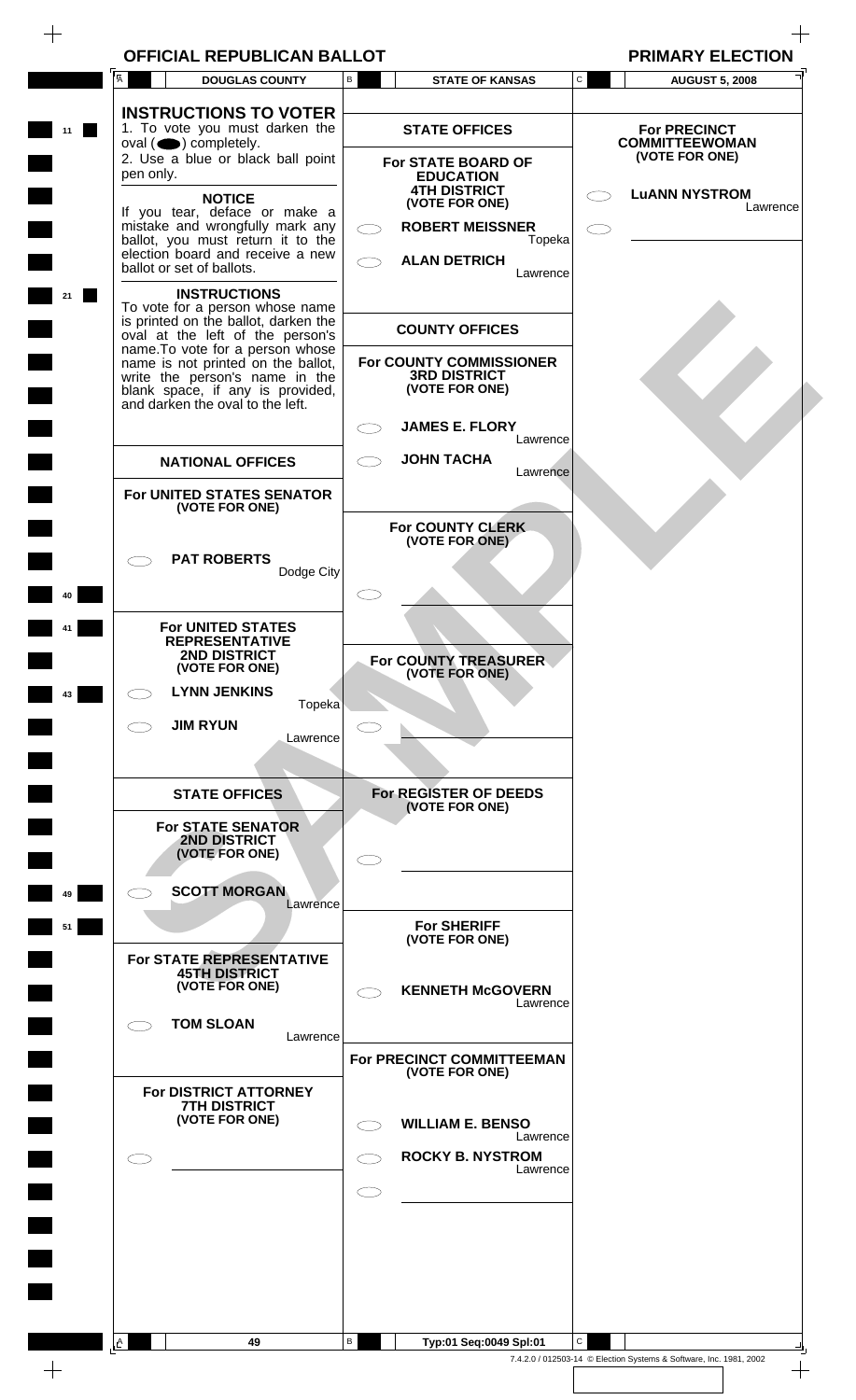|    |                | <b>OFFICIAL REPUBLICAN BALLOT</b>                                                                                                                                                                                                                                                               |   |                                                                                               |              | <b>PRIMARY ELECTION</b>                 |
|----|----------------|-------------------------------------------------------------------------------------------------------------------------------------------------------------------------------------------------------------------------------------------------------------------------------------------------|---|-----------------------------------------------------------------------------------------------|--------------|-----------------------------------------|
|    | $\overline{A}$ | <b>DOUGLAS COUNTY</b>                                                                                                                                                                                                                                                                           | B | <b>STATE OF KANSAS</b>                                                                        | $\mathsf{C}$ | <b>AUGUST 5, 2008</b>                   |
|    |                | <b>INSTRUCTIONS TO VOTER</b><br>1. To vote you must darken the                                                                                                                                                                                                                                  |   | <b>STATE OFFICES</b>                                                                          |              | <b>For PRECINCT</b>                     |
|    | pen only.      | $oval(\n\bullet)$ completely.<br>2. Use a blue or black ball point                                                                                                                                                                                                                              |   | For STATE BOARD OF                                                                            |              | <b>COMMITTEEWOMAN</b><br>(VOTE FOR ONE) |
|    |                | <b>NOTICE</b><br>If you tear, deface or make a<br>mistake and wrongfully mark any<br>ballot, you must return it to the<br>election board and receive a new                                                                                                                                      |   | <b>EDUCATION</b><br><b>4TH DISTRICT</b><br>(VOTE FOR ONE)<br><b>ROBERT MEISSNER</b><br>Topeka |              | <b>LUANN NYSTROM</b><br>Lawrence        |
|    |                | ballot or set of ballots.<br><b>INSTRUCTIONS</b>                                                                                                                                                                                                                                                |   | <b>ALAN DETRICH</b><br>Lawrence                                                               |              |                                         |
|    |                | To vote for a person whose name<br>is printed on the ballot, darken the<br>oval at the left of the person's<br>name. To vote for a person whose<br>name is not printed on the ballot,<br>write the person's name in the<br>blank space, if any is provided,<br>and darken the oval to the left. |   | <b>COUNTY OFFICES</b><br>For COUNTY COMMISSIONER<br><b>3RD DISTRICT</b><br>(VOTE FOR ONE)     |              |                                         |
|    |                |                                                                                                                                                                                                                                                                                                 |   | <b>JAMES E. FLORY</b>                                                                         |              |                                         |
|    |                | <b>NATIONAL OFFICES</b>                                                                                                                                                                                                                                                                         |   | Lawrence<br><b>JOHN TACHA</b><br>Lawrence                                                     |              |                                         |
|    |                | For UNITED STATES SENATOR<br>(VOTE FOR ONE)                                                                                                                                                                                                                                                     |   |                                                                                               |              |                                         |
|    |                |                                                                                                                                                                                                                                                                                                 |   | For COUNTY CLERK<br>(VOTE FOR ONE)                                                            |              |                                         |
|    |                | <b>PAT ROBERTS</b><br>Dodge City                                                                                                                                                                                                                                                                |   |                                                                                               |              |                                         |
|    |                |                                                                                                                                                                                                                                                                                                 |   |                                                                                               |              |                                         |
|    |                | <b>For UNITED STATES</b><br><b>REPRESENTATIVE</b><br><b>2ND DISTRICT</b><br>(VOTE FOR ONE)                                                                                                                                                                                                      |   | For COUNTY TREASURER<br>(VOTE FOR ONE)                                                        |              |                                         |
| 43 |                | <b>LYNN JENKINS</b><br>Topeka                                                                                                                                                                                                                                                                   |   |                                                                                               |              |                                         |
|    |                | <b>JIM RYUN</b><br>Lawrence                                                                                                                                                                                                                                                                     |   |                                                                                               |              |                                         |
|    |                | <b>STATE OFFICES</b>                                                                                                                                                                                                                                                                            |   | For REGISTER OF DEEDS<br>(VOTE FOR ONE)                                                       |              |                                         |
|    |                | <b>For STATE SENATOR</b><br><b>2ND DISTRICT</b><br>(VOTE FOR ONE)                                                                                                                                                                                                                               |   |                                                                                               |              |                                         |
| 49 |                | <b>SCOTT MORGAN</b><br>Lawrence                                                                                                                                                                                                                                                                 |   |                                                                                               |              |                                         |
| 51 |                | For STATE REPRESENTATIVE                                                                                                                                                                                                                                                                        |   | <b>For SHERIFF</b><br>(VOTE FOR ONE)                                                          |              |                                         |
|    |                | <b>45TH DISTRICT</b><br>(VOTE FOR ONE)                                                                                                                                                                                                                                                          |   | <b>KENNETH McGOVERN</b><br>Lawrence                                                           |              |                                         |
|    |                | <b>TOM SLOAN</b><br>Lawrence                                                                                                                                                                                                                                                                    |   | For PRECINCT COMMITTEEMAN<br>(VOTE FOR ONE)                                                   |              |                                         |
|    |                | <b>For DISTRICT ATTORNEY</b><br><b>7TH DISTRICT</b>                                                                                                                                                                                                                                             |   |                                                                                               |              |                                         |
|    |                | (VOTE FOR ONE)                                                                                                                                                                                                                                                                                  |   | <b>WILLIAM E. BENSO</b><br>Lawrence                                                           |              |                                         |
|    |                |                                                                                                                                                                                                                                                                                                 |   | <b>ROCKY B. NYSTROM</b><br>Lawrence                                                           |              |                                         |
|    |                |                                                                                                                                                                                                                                                                                                 |   |                                                                                               |              |                                         |
|    |                |                                                                                                                                                                                                                                                                                                 |   |                                                                                               |              |                                         |
|    | A              | 49                                                                                                                                                                                                                                                                                              | В | Typ:01 Seq:0049 Spl:01                                                                        | C            |                                         |
|    |                |                                                                                                                                                                                                                                                                                                 |   |                                                                                               |              |                                         |

 $\frac{1}{\sqrt{2}}$ 

| 7.4.2.0 / 012503-14 © Election Systems & Software, Inc. 1981, 2002 |  |  |  |
|--------------------------------------------------------------------|--|--|--|
|                                                                    |  |  |  |

 $\frac{1}{+}$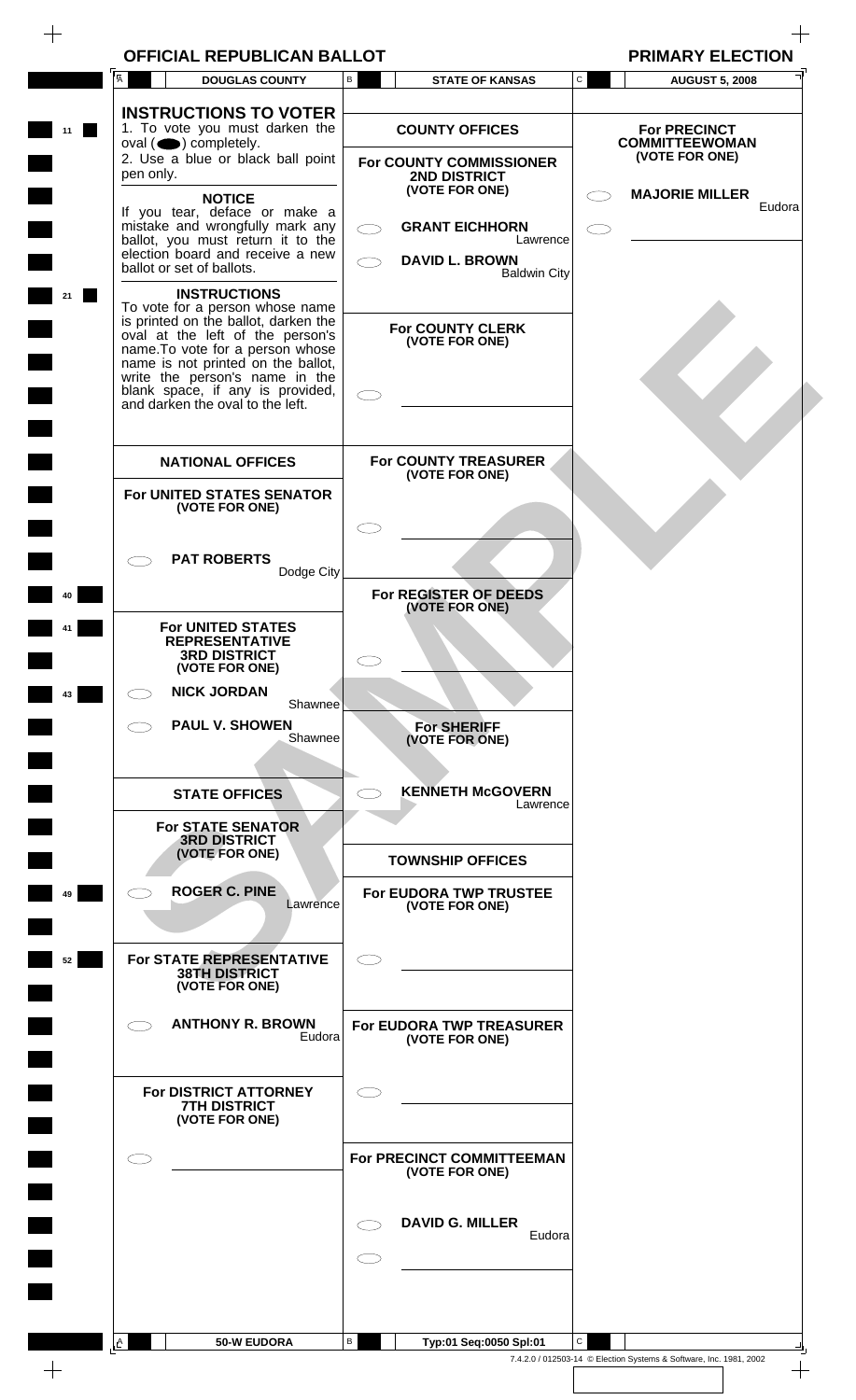| A<br>B<br>$\mathtt{C}$<br><b>STATE OF KANSAS</b><br><b>DOUGLAS COUNTY</b><br><b>AUGUST 5, 2008</b><br><b>INSTRUCTIONS TO VOTER</b><br>1. To vote you must darken the<br><b>COUNTY OFFICES</b><br><b>For PRECINCT</b><br>$oval(\n\bullet)$ completely.<br><b>COMMITTEEWOMAN</b><br>(VOTE FOR ONE)<br>2. Use a blue or black ball point<br>For COUNTY COMMISSIONER<br>pen only.<br>2ND DISTRICT<br>(VOTE FOR ONE)<br><b>MAJORIE MILLER</b><br><b>NOTICE</b><br>If you tear, deface or make a<br>mistake and wrongfully mark any<br><b>GRANT EICHHORN</b><br>ballot, you must return it to the<br>Lawrence<br>election board and receive a new<br><b>DAVID L. BROWN</b><br>ballot or set of ballots.<br><b>Baldwin City</b><br><b>INSTRUCTIONS</b><br>To vote for a person whose name<br>is printed on the ballot, darken the<br><b>For COUNTY CLERK</b><br>oval at the left of the person's<br>(VOTE FOR ONE)<br>name. To vote for a person whose<br>name is not printed on the ballot,<br>write the person's name in the<br>blank space, if any is provided,<br>and darken the oval to the left.<br>For COUNTY TREASURER<br><b>NATIONAL OFFICES</b><br>(VOTE FOR ONE)<br>For UNITED STATES SENATOR<br>(VOTE FOR ONE)<br><b>PAT ROBERTS</b><br>Dodge City<br>For REGISTER OF DEEDS<br>(VOTE FOR ONE)<br>For UNITED STATES<br><b>REPRESENTATIVE</b><br><b>3RD DISTRICT</b><br>(VOTE FOR ONE)<br><b>NICK JORDAN</b> | Eudora |
|-----------------------------------------------------------------------------------------------------------------------------------------------------------------------------------------------------------------------------------------------------------------------------------------------------------------------------------------------------------------------------------------------------------------------------------------------------------------------------------------------------------------------------------------------------------------------------------------------------------------------------------------------------------------------------------------------------------------------------------------------------------------------------------------------------------------------------------------------------------------------------------------------------------------------------------------------------------------------------------------------------------------------------------------------------------------------------------------------------------------------------------------------------------------------------------------------------------------------------------------------------------------------------------------------------------------------------------------------------------------------------------------------------------------|--------|
| 11                                                                                                                                                                                                                                                                                                                                                                                                                                                                                                                                                                                                                                                                                                                                                                                                                                                                                                                                                                                                                                                                                                                                                                                                                                                                                                                                                                                                              |        |
|                                                                                                                                                                                                                                                                                                                                                                                                                                                                                                                                                                                                                                                                                                                                                                                                                                                                                                                                                                                                                                                                                                                                                                                                                                                                                                                                                                                                                 |        |
|                                                                                                                                                                                                                                                                                                                                                                                                                                                                                                                                                                                                                                                                                                                                                                                                                                                                                                                                                                                                                                                                                                                                                                                                                                                                                                                                                                                                                 |        |
| 40<br>43                                                                                                                                                                                                                                                                                                                                                                                                                                                                                                                                                                                                                                                                                                                                                                                                                                                                                                                                                                                                                                                                                                                                                                                                                                                                                                                                                                                                        |        |
| 21                                                                                                                                                                                                                                                                                                                                                                                                                                                                                                                                                                                                                                                                                                                                                                                                                                                                                                                                                                                                                                                                                                                                                                                                                                                                                                                                                                                                              |        |
|                                                                                                                                                                                                                                                                                                                                                                                                                                                                                                                                                                                                                                                                                                                                                                                                                                                                                                                                                                                                                                                                                                                                                                                                                                                                                                                                                                                                                 |        |
|                                                                                                                                                                                                                                                                                                                                                                                                                                                                                                                                                                                                                                                                                                                                                                                                                                                                                                                                                                                                                                                                                                                                                                                                                                                                                                                                                                                                                 |        |
|                                                                                                                                                                                                                                                                                                                                                                                                                                                                                                                                                                                                                                                                                                                                                                                                                                                                                                                                                                                                                                                                                                                                                                                                                                                                                                                                                                                                                 |        |
|                                                                                                                                                                                                                                                                                                                                                                                                                                                                                                                                                                                                                                                                                                                                                                                                                                                                                                                                                                                                                                                                                                                                                                                                                                                                                                                                                                                                                 |        |
|                                                                                                                                                                                                                                                                                                                                                                                                                                                                                                                                                                                                                                                                                                                                                                                                                                                                                                                                                                                                                                                                                                                                                                                                                                                                                                                                                                                                                 |        |
|                                                                                                                                                                                                                                                                                                                                                                                                                                                                                                                                                                                                                                                                                                                                                                                                                                                                                                                                                                                                                                                                                                                                                                                                                                                                                                                                                                                                                 |        |
| Shawnee                                                                                                                                                                                                                                                                                                                                                                                                                                                                                                                                                                                                                                                                                                                                                                                                                                                                                                                                                                                                                                                                                                                                                                                                                                                                                                                                                                                                         |        |
| <b>PAUL V. SHOWEN</b><br><b>For SHERIFF</b><br>Shawnee<br>(VOTE FOR ONE)                                                                                                                                                                                                                                                                                                                                                                                                                                                                                                                                                                                                                                                                                                                                                                                                                                                                                                                                                                                                                                                                                                                                                                                                                                                                                                                                        |        |
| <b>KENNETH McGOVERN</b><br><b>STATE OFFICES</b><br>Lawrence                                                                                                                                                                                                                                                                                                                                                                                                                                                                                                                                                                                                                                                                                                                                                                                                                                                                                                                                                                                                                                                                                                                                                                                                                                                                                                                                                     |        |
| <b>For STATE SENATOR</b><br><b>3RD DISTRICT</b><br>(VOTE FOR ONE)<br><b>TOWNSHIP OFFICES</b>                                                                                                                                                                                                                                                                                                                                                                                                                                                                                                                                                                                                                                                                                                                                                                                                                                                                                                                                                                                                                                                                                                                                                                                                                                                                                                                    |        |
| <b>ROGER C. PINE</b><br>For EUDORA TWP TRUSTEE<br>49<br>Lawrence<br>(VOTE FOR ONE)                                                                                                                                                                                                                                                                                                                                                                                                                                                                                                                                                                                                                                                                                                                                                                                                                                                                                                                                                                                                                                                                                                                                                                                                                                                                                                                              |        |
| For STATE REPRESENTATIVE<br>52<br><b>38TH DISTRICT</b><br>(VOTE FOR ONE)                                                                                                                                                                                                                                                                                                                                                                                                                                                                                                                                                                                                                                                                                                                                                                                                                                                                                                                                                                                                                                                                                                                                                                                                                                                                                                                                        |        |
| <b>ANTHONY R. BROWN</b><br>For EUDORA TWP TREASURER<br>C D<br>Eudora<br>(VOTE FOR ONE)                                                                                                                                                                                                                                                                                                                                                                                                                                                                                                                                                                                                                                                                                                                                                                                                                                                                                                                                                                                                                                                                                                                                                                                                                                                                                                                          |        |
| For DISTRICT ATTORNEY<br><b>7TH DISTRICT</b><br>(VOTE FOR ONE)                                                                                                                                                                                                                                                                                                                                                                                                                                                                                                                                                                                                                                                                                                                                                                                                                                                                                                                                                                                                                                                                                                                                                                                                                                                                                                                                                  |        |
| For PRECINCT COMMITTEEMAN<br>(VOTE FOR ONE)                                                                                                                                                                                                                                                                                                                                                                                                                                                                                                                                                                                                                                                                                                                                                                                                                                                                                                                                                                                                                                                                                                                                                                                                                                                                                                                                                                     |        |
| <b>DAVID G. MILLER</b><br>Eudora                                                                                                                                                                                                                                                                                                                                                                                                                                                                                                                                                                                                                                                                                                                                                                                                                                                                                                                                                                                                                                                                                                                                                                                                                                                                                                                                                                                |        |
|                                                                                                                                                                                                                                                                                                                                                                                                                                                                                                                                                                                                                                                                                                                                                                                                                                                                                                                                                                                                                                                                                                                                                                                                                                                                                                                                                                                                                 |        |
| В<br>C<br>A<br>50-W EUDORA<br>Typ:01 Seq:0050 Spl:01                                                                                                                                                                                                                                                                                                                                                                                                                                                                                                                                                                                                                                                                                                                                                                                                                                                                                                                                                                                                                                                                                                                                                                                                                                                                                                                                                            |        |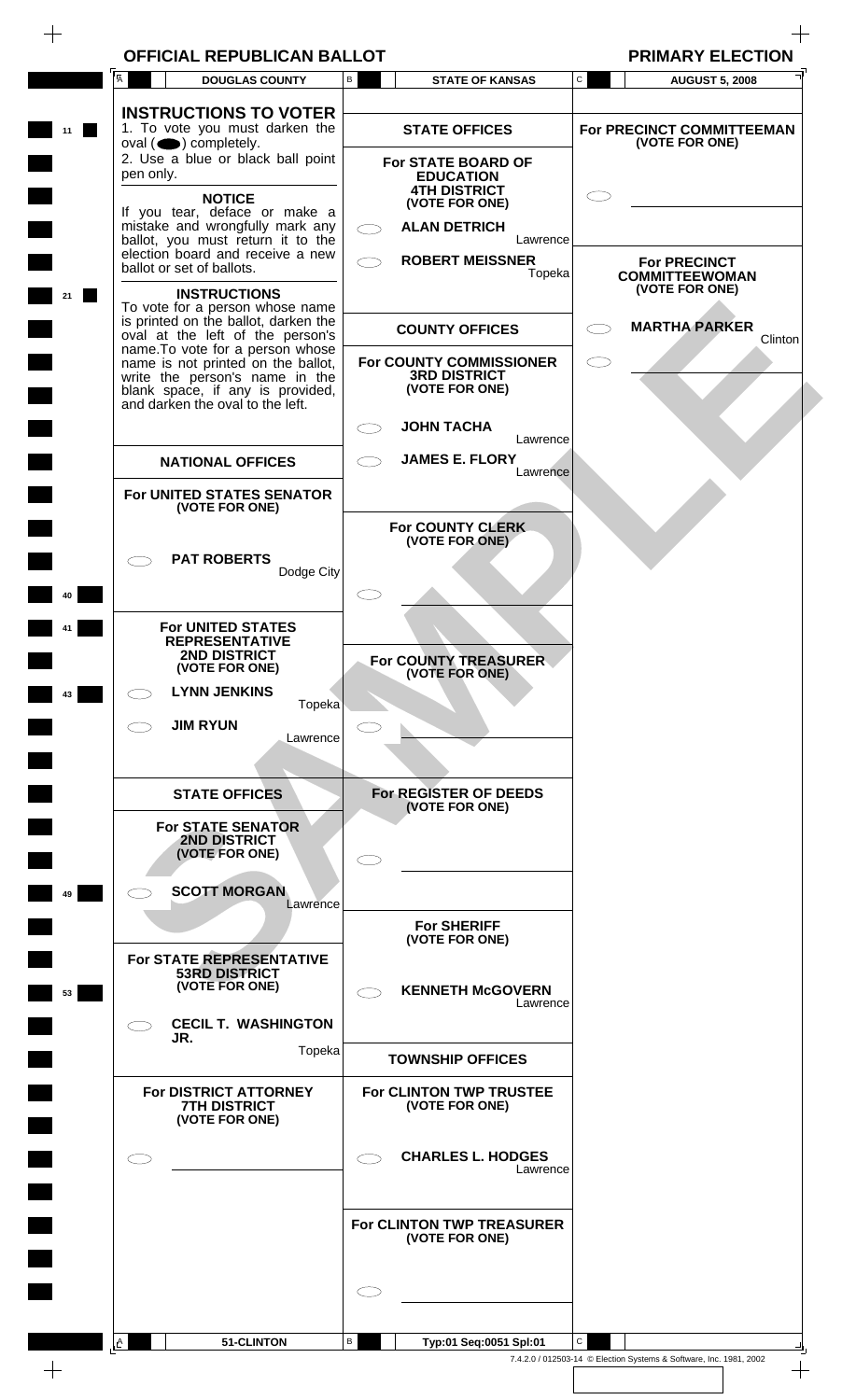$\,$  +  $\,$ 

|    | Ā         | <b>DOUGLAS COUNTY</b>                                                                                                                        | B | <b>STATE OF KANSAS</b>                                         |          | C | <b>AUGUST 5, 2008</b>                                              |         |
|----|-----------|----------------------------------------------------------------------------------------------------------------------------------------------|---|----------------------------------------------------------------|----------|---|--------------------------------------------------------------------|---------|
|    |           | <b>INSTRUCTIONS TO VOTER</b>                                                                                                                 |   |                                                                |          |   |                                                                    |         |
| 11 | pen only. | 1. To vote you must darken the<br>$oval \textcircled{\bullet}$ ) completely.<br>2. Use a blue or black ball point                            |   | <b>STATE OFFICES</b><br>For STATE BOARD OF<br><b>EDUCATION</b> |          |   | For PRECINCT COMMITTEEMAN<br>(VOTE FOR ONE)                        |         |
|    |           | <b>NOTICE</b><br>If you tear, deface or make a<br>mistake and wrongfully mark any<br>ballot, you must return it to the                       |   | <b>4TH DISTRICT</b><br>(VOTE FOR ONE)<br><b>ALAN DETRICH</b>   | Lawrence |   |                                                                    |         |
| 21 |           | election board and receive a new<br>ballot or set of ballots.<br><b>INSTRUCTIONS</b><br>To vote for a person whose name                      |   | <b>ROBERT MEISSNER</b>                                         | Topeka   |   | <b>For PRECINCT</b><br><b>COMMITTEEWOMAN</b><br>(VOTE FOR ONE)     |         |
|    |           | is printed on the ballot, darken the<br>oval at the left of the person's<br>name. To vote for a person whose                                 |   | <b>COUNTY OFFICES</b><br>For COUNTY COMMISSIONER               |          |   | <b>MARTHA PARKER</b>                                               | Clinton |
|    |           | name is not printed on the ballot,<br>write the person's name in the<br>blank space, if any is provided,<br>and darken the oval to the left. |   | <b>3RD DISTRICT</b><br>(VOTE FOR ONE)                          |          |   |                                                                    |         |
|    |           |                                                                                                                                              |   | <b>JOHN TACHA</b>                                              | Lawrence |   |                                                                    |         |
|    |           | <b>NATIONAL OFFICES</b>                                                                                                                      |   | <b>JAMES E. FLORY</b>                                          | Lawrence |   |                                                                    |         |
|    |           | For UNITED STATES SENATOR<br>(VOTE FOR ONE)                                                                                                  |   | For COUNTY CLERK-                                              |          |   |                                                                    |         |
|    |           | <b>PAT ROBERTS</b>                                                                                                                           |   | (VOTE FOR ONE)                                                 |          |   |                                                                    |         |
|    |           | Dodge City                                                                                                                                   |   |                                                                |          |   |                                                                    |         |
|    |           | For UNITED STATES<br><b>REPRESENTATIVE</b>                                                                                                   |   |                                                                |          |   |                                                                    |         |
|    |           | <b>2ND DISTRICT</b><br>(VOTE FOR ONE)                                                                                                        |   | For COUNTY TREASURER<br>(VOTE FOR ONE)                         |          |   |                                                                    |         |
| 43 |           | <b>LYNN JENKINS</b><br>Topeka                                                                                                                |   |                                                                |          |   |                                                                    |         |
|    |           | <b>JIM RYUN</b><br>Lawrence                                                                                                                  |   |                                                                |          |   |                                                                    |         |
|    |           | <b>STATE OFFICES</b>                                                                                                                         |   | For REGISTER OF DEEDS                                          |          |   |                                                                    |         |
|    |           | <b>For STATE SENATOR</b>                                                                                                                     |   | (VOTE FOR ONE)                                                 |          |   |                                                                    |         |
|    |           | 2ND DISTRICT<br>(VOTE FOR ONE)                                                                                                               |   |                                                                |          |   |                                                                    |         |
| 49 |           | <b>SCOTT MORGAN</b><br>Lawrence                                                                                                              |   |                                                                |          |   |                                                                    |         |
|    |           | For STATE REPRESENTATIVE                                                                                                                     |   | <b>For SHERIFF</b><br>(VOTE FOR ONE)                           |          |   |                                                                    |         |
| 53 |           | <b>53RD DISTRICT</b><br>(VOTE FOR ONE)                                                                                                       |   | <b>KENNETH McGOVERN</b>                                        | Lawrence |   |                                                                    |         |
|    |           | <b>CECIL T. WASHINGTON</b><br>JR.                                                                                                            |   |                                                                |          |   |                                                                    |         |
|    |           | Topeka                                                                                                                                       |   | <b>TOWNSHIP OFFICES</b>                                        |          |   |                                                                    |         |
|    |           | For DISTRICT ATTORNEY<br><b>7TH DISTRICT</b><br>(VOTE FOR ONE)                                                                               |   | For CLINTON TWP TRUSTEE<br>(VOTE FOR ONE)                      |          |   |                                                                    |         |
|    |           |                                                                                                                                              |   | <b>CHARLES L. HODGES</b>                                       | Lawrence |   |                                                                    |         |
|    |           |                                                                                                                                              |   | For CLINTON TWP TREASURER<br>(VOTE FOR ONE)                    |          |   |                                                                    |         |
|    |           |                                                                                                                                              |   |                                                                |          |   |                                                                    |         |
| I۴ |           | 51-CLINTON                                                                                                                                   | В | Typ:01 Seq:0051 Spl:01                                         |          | C |                                                                    |         |
|    |           |                                                                                                                                              |   |                                                                |          |   | 7.4.2.0 / 012503-14 © Election Systems & Software, Inc. 1981, 2002 |         |

 $\!+\!$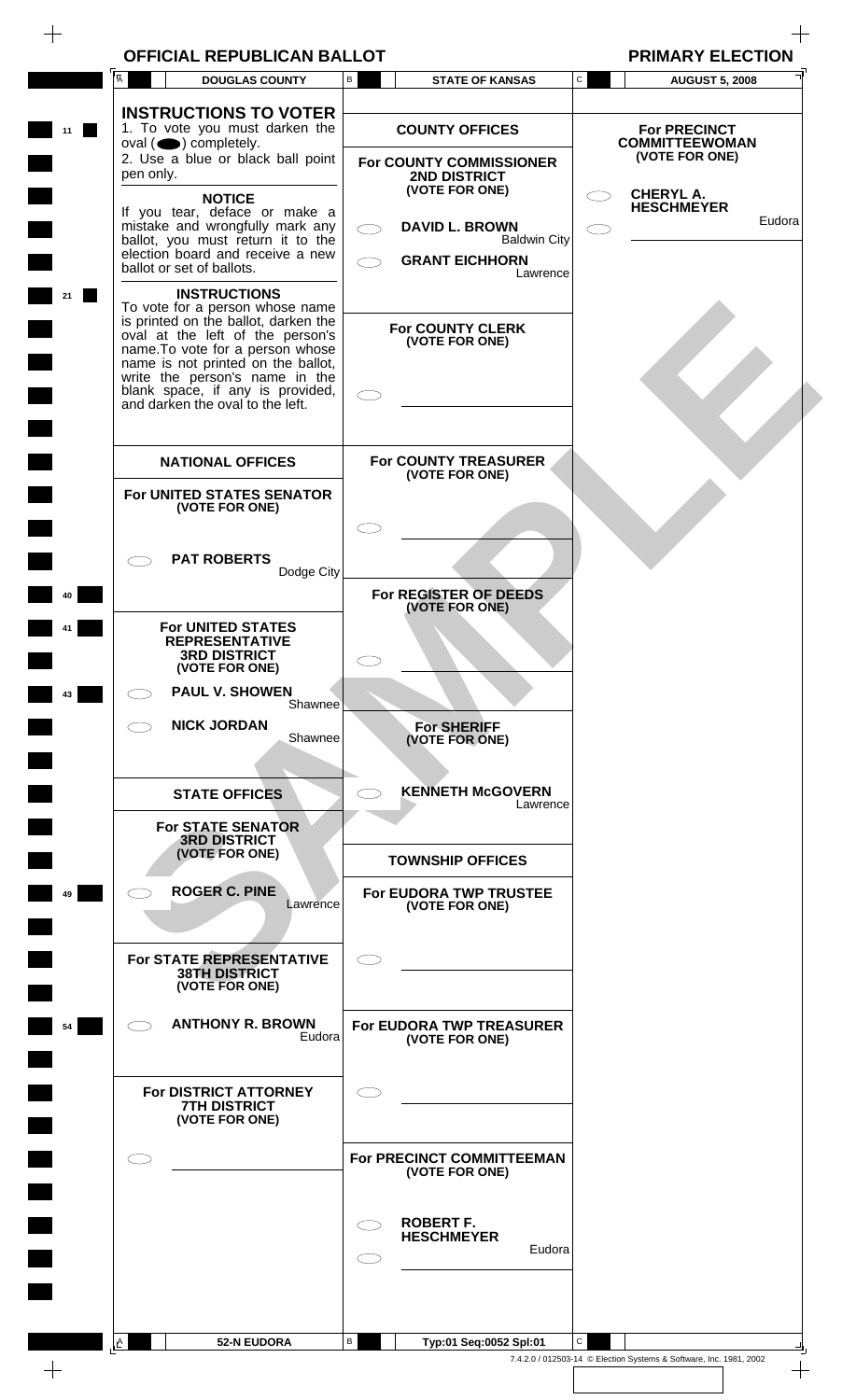| <b>OFFICIAL REPUBLICAN BALLOT</b> | <b>PRIMARY ELECTION</b> |
|-----------------------------------|-------------------------|
|-----------------------------------|-------------------------|

 $\begin{tabular}{c} \multicolumn{1}{c} {\textbf{1}}\\ \multicolumn{1}{c} {\textbf{1}}\\ \multicolumn{1}{c} {\textbf{1}}\\ \multicolumn{1}{c} {\textbf{1}}\\ \multicolumn{1}{c} {\textbf{1}}\\ \multicolumn{1}{c} {\textbf{1}}\\ \multicolumn{1}{c} {\textbf{1}}\\ \multicolumn{1}{c} {\textbf{1}}\\ \multicolumn{1}{c} {\textbf{1}}\\ \multicolumn{1}{c} {\textbf{1}}\\ \multicolumn{1}{c} {\textbf{1}}\\ \multicolumn{1}{c} {\textbf{1}}\\ \multicolumn{1}{c} {\textbf{1}}\\ \multicolumn$ 

| <b>PRIMARY ELECTI</b> |  |
|-----------------------|--|
|-----------------------|--|

|    | A           | <b>DOUGLAS COUNTY</b>                                                                                                                                                                                                                                        | В | <b>STATE OF KANSAS</b>                                         | $\mathbf{C}$ | <b>AUGUST 5, 2008</b>                                              |
|----|-------------|--------------------------------------------------------------------------------------------------------------------------------------------------------------------------------------------------------------------------------------------------------------|---|----------------------------------------------------------------|--------------|--------------------------------------------------------------------|
| 11 |             | <b>INSTRUCTIONS TO VOTER</b><br>1. To vote you must darken the<br>$oval(\n\bullet)$ completely.                                                                                                                                                              |   | <b>COUNTY OFFICES</b>                                          |              | <b>For PRECINCT</b><br><b>COMMITTEEWOMAN</b>                       |
|    | pen only.   | 2. Use a blue or black ball point                                                                                                                                                                                                                            |   | For COUNTY COMMISSIONER<br>2ND DISTRICT                        |              | (VOTE FOR ONE)                                                     |
|    |             | <b>NOTICE</b><br>If you tear, deface or make a<br>mistake and wrongfully mark any<br>ballot, you must return it to the<br>election board and receive a new                                                                                                   |   | (VOTE FOR ONE)<br><b>DAVID L. BROWN</b><br><b>Baldwin City</b> |              | <b>CHERYL A.</b><br><b>HESCHMEYER</b><br>Eudora                    |
|    |             | ballot or set of ballots.<br><b>INSTRUCTIONS</b><br>To vote for a person whose name                                                                                                                                                                          |   | <b>GRANT EICHHORN</b><br>Lawrence                              |              |                                                                    |
|    |             | is printed on the ballot, darken the<br>oval at the left of the person's<br>name. To vote for a person whose<br>name is not printed on the ballot,<br>write the person's name in the<br>blank space, if any is provided,<br>and darken the oval to the left. |   | <b>For COUNTY CLERK</b><br>(VOTE FOR ONE)                      |              |                                                                    |
|    |             | <b>NATIONAL OFFICES</b>                                                                                                                                                                                                                                      |   | For COUNTY TREASURER                                           |              |                                                                    |
|    |             | For UNITED STATES SENATOR<br>(VOTE FOR ONE)                                                                                                                                                                                                                  |   | (VOTE FOR ONE)                                                 |              |                                                                    |
|    |             | <b>PAT ROBERTS</b><br>Dodge City                                                                                                                                                                                                                             |   |                                                                |              |                                                                    |
|    |             |                                                                                                                                                                                                                                                              |   | For REGISTER OF DEEDS<br>(VOTE FOR ONE)                        |              |                                                                    |
|    |             | <b>For UNITED STATES</b><br><b>REPRESENTATIVE</b><br><b>3RD DISTRICT</b><br>(VOTE FOR ONE)                                                                                                                                                                   |   |                                                                |              |                                                                    |
| 43 |             | <b>PAUL V. SHOWEN</b><br>Shawnee                                                                                                                                                                                                                             |   |                                                                |              |                                                                    |
|    |             | <b>NICK JORDAN</b><br>Shawnee                                                                                                                                                                                                                                |   | <b>For SHERIFF</b><br>(VOTE FOR ONE)                           |              |                                                                    |
|    |             | <b>STATE OFFICES</b>                                                                                                                                                                                                                                         |   | <b>KENNETH McGOVERN</b><br>Lawrence                            |              |                                                                    |
|    |             | <b>For STATE SENATOR</b><br><b>3RD DISTRICT</b><br>(VOTE FOR ONE)                                                                                                                                                                                            |   | <b>TOWNSHIP OFFICES</b>                                        |              |                                                                    |
| 49 |             | <b>ROGER C. PINE</b><br>Lawrence                                                                                                                                                                                                                             |   | For EUDORA TWP TRUSTEE<br>(VOTE FOR ONE)                       |              |                                                                    |
|    |             | For STATE REPRESENTATIVE<br><b>38TH DISTRICT</b><br>(VOTE FOR ONE)                                                                                                                                                                                           |   |                                                                |              |                                                                    |
| 54 |             | <b>ANTHONY R. BROWN</b><br>Eudora                                                                                                                                                                                                                            |   | For EUDORA TWP TREASURER<br>(VOTE FOR ONE)                     |              |                                                                    |
|    |             | For DISTRICT ATTORNEY<br><b>7TH DISTRICT</b><br>(VOTE FOR ONE)                                                                                                                                                                                               |   |                                                                |              |                                                                    |
|    |             |                                                                                                                                                                                                                                                              |   | For PRECINCT COMMITTEEMAN<br>(VOTE FOR ONE)                    |              |                                                                    |
|    |             |                                                                                                                                                                                                                                                              |   | <b>ROBERT F.</b><br><b>HESCHMEYER</b><br>Eudora                |              |                                                                    |
|    | $A_{\perp}$ | <b>52-N EUDORA</b>                                                                                                                                                                                                                                           | В | Typ:01 Seq:0052 Spl:01                                         | $\mathbf{C}$ |                                                                    |
|    |             |                                                                                                                                                                                                                                                              |   |                                                                |              | 7.4.2.0 / 012503-14 © Election Systems & Software, Inc. 1981, 2002 |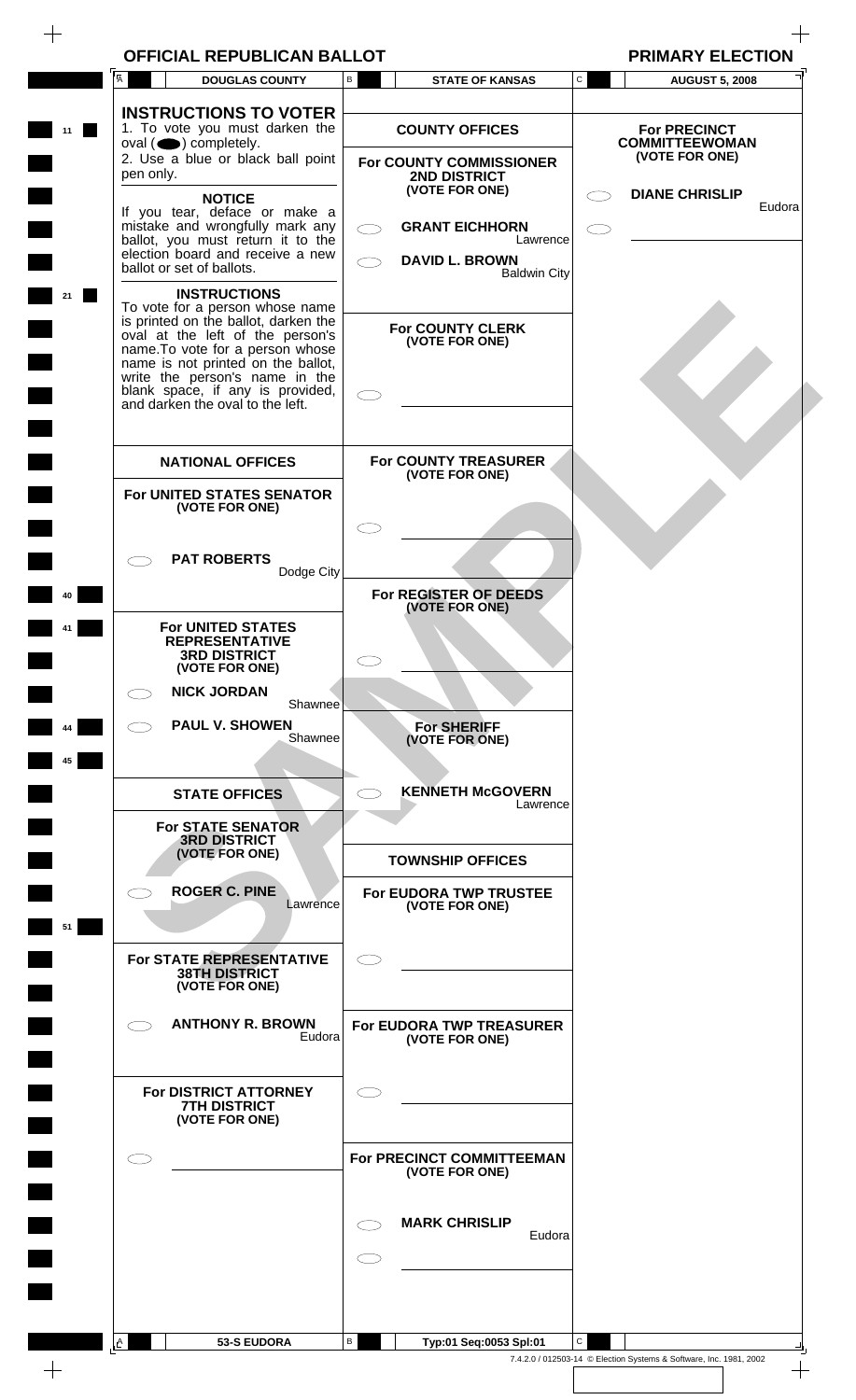| <b>PRIMARY ELECT</b> |  |
|----------------------|--|
|----------------------|--|

| <b>OFFICIAL REPUBLICAN BALLOT</b><br>$\overline{A}$<br><b>DOUGLAS COUNTY</b>                                                                                                                                            | В | <b>STATE OF KANSAS</b>                                     | $\mathtt{C}$ | <b>PRIMARY ELECTION</b><br><b>AUGUST 5, 2008</b> |
|-------------------------------------------------------------------------------------------------------------------------------------------------------------------------------------------------------------------------|---|------------------------------------------------------------|--------------|--------------------------------------------------|
|                                                                                                                                                                                                                         |   |                                                            |              |                                                  |
| <b>INSTRUCTIONS TO VOTER</b><br>1. To vote you must darken the<br>$oval(\n\bullet)$ completely.                                                                                                                         |   | <b>COUNTY OFFICES</b>                                      |              | <b>For PRECINCT</b><br><b>COMMITTEEWOMAN</b>     |
| 2. Use a blue or black ball point<br>pen only.                                                                                                                                                                          |   | For COUNTY COMMISSIONER<br>2ND DISTRICT                    |              | (VOTE FOR ONE)                                   |
| <b>NOTICE</b><br>If you tear, deface or make a                                                                                                                                                                          |   | (VOTE FOR ONE)                                             |              | <b>DIANE CHRISLIP</b><br>Eudora                  |
| mistake and wrongfully mark any<br>ballot, you must return it to the<br>election board and receive a new                                                                                                                |   | <b>GRANT EICHHORN</b><br>Lawrence<br><b>DAVID L. BROWN</b> |              |                                                  |
| ballot or set of ballots.<br><b>INSTRUCTIONS</b>                                                                                                                                                                        |   | <b>Baldwin City</b>                                        |              |                                                  |
| To vote for a person whose name<br>is printed on the ballot, darken the<br>oval at the left of the person's<br>name. To vote for a person whose<br>name is not printed on the ballot,<br>write the person's name in the |   | <b>For COUNTY CLERK</b><br>(VOTE FOR ONE)                  |              |                                                  |
| blank space, if any is provided,<br>and darken the oval to the left.                                                                                                                                                    |   |                                                            |              |                                                  |
| <b>NATIONAL OFFICES</b>                                                                                                                                                                                                 |   | For COUNTY TREASURER<br>(VOTE FOR ONE)                     |              |                                                  |
| For UNITED STATES SENATOR<br>(VOTE FOR ONE)                                                                                                                                                                             |   |                                                            |              |                                                  |
| <b>PAT ROBERTS</b>                                                                                                                                                                                                      |   |                                                            |              |                                                  |
| Dodge City                                                                                                                                                                                                              |   | For REGISTER OF DEEDS<br>(VOTE FOR ONE)                    |              |                                                  |
| For UNITED STATES<br><b>REPRESENTATIVE</b><br><b>3RD DISTRICT</b><br>(VOTE FOR ONE)                                                                                                                                     |   |                                                            |              |                                                  |
| <b>NICK JORDAN</b><br>Shawnee                                                                                                                                                                                           |   |                                                            |              |                                                  |
| <b>PAUL V. SHOWEN</b><br>Shawnee                                                                                                                                                                                        |   | <b>For SHERIFF</b><br>(VOTE FOR ONE)                       |              |                                                  |
| <b>STATE OFFICES</b>                                                                                                                                                                                                    |   | <b>KENNETH McGOVERN</b><br>Lawrence                        |              |                                                  |
| <b>For STATE SENATOR</b><br><b>3RD DISTRICT</b>                                                                                                                                                                         |   |                                                            |              |                                                  |
| (VOTE FOR ONE)                                                                                                                                                                                                          |   | <b>TOWNSHIP OFFICES</b>                                    |              |                                                  |
| <b>ROGER C. PINE</b><br>Lawrence                                                                                                                                                                                        |   | For EUDORA TWP TRUSTEE<br>(VOTE FOR ONE)                   |              |                                                  |
| For STATE REPRESENTATIVE<br><b>38TH DISTRICT</b><br>(VOTE FOR ONE)                                                                                                                                                      |   |                                                            |              |                                                  |
| <b>ANTHONY R. BROWN</b><br>Eudora                                                                                                                                                                                       |   | For EUDORA TWP TREASURER<br>(VOTE FOR ONE)                 |              |                                                  |
| For DISTRICT ATTORNEY<br><b>7TH DISTRICT</b><br>(VOTE FOR ONE)                                                                                                                                                          |   |                                                            |              |                                                  |
|                                                                                                                                                                                                                         |   | For PRECINCT COMMITTEEMAN<br>(VOTE FOR ONE)                |              |                                                  |
|                                                                                                                                                                                                                         |   | <b>MARK CHRISLIP</b><br>Eudora                             |              |                                                  |
|                                                                                                                                                                                                                         |   |                                                            |              |                                                  |
| <b>53-S EUDORA</b><br>Ιê                                                                                                                                                                                                | В | Typ:01 Seq:0053 Spl:01                                     | $\mathbf{C}$ |                                                  |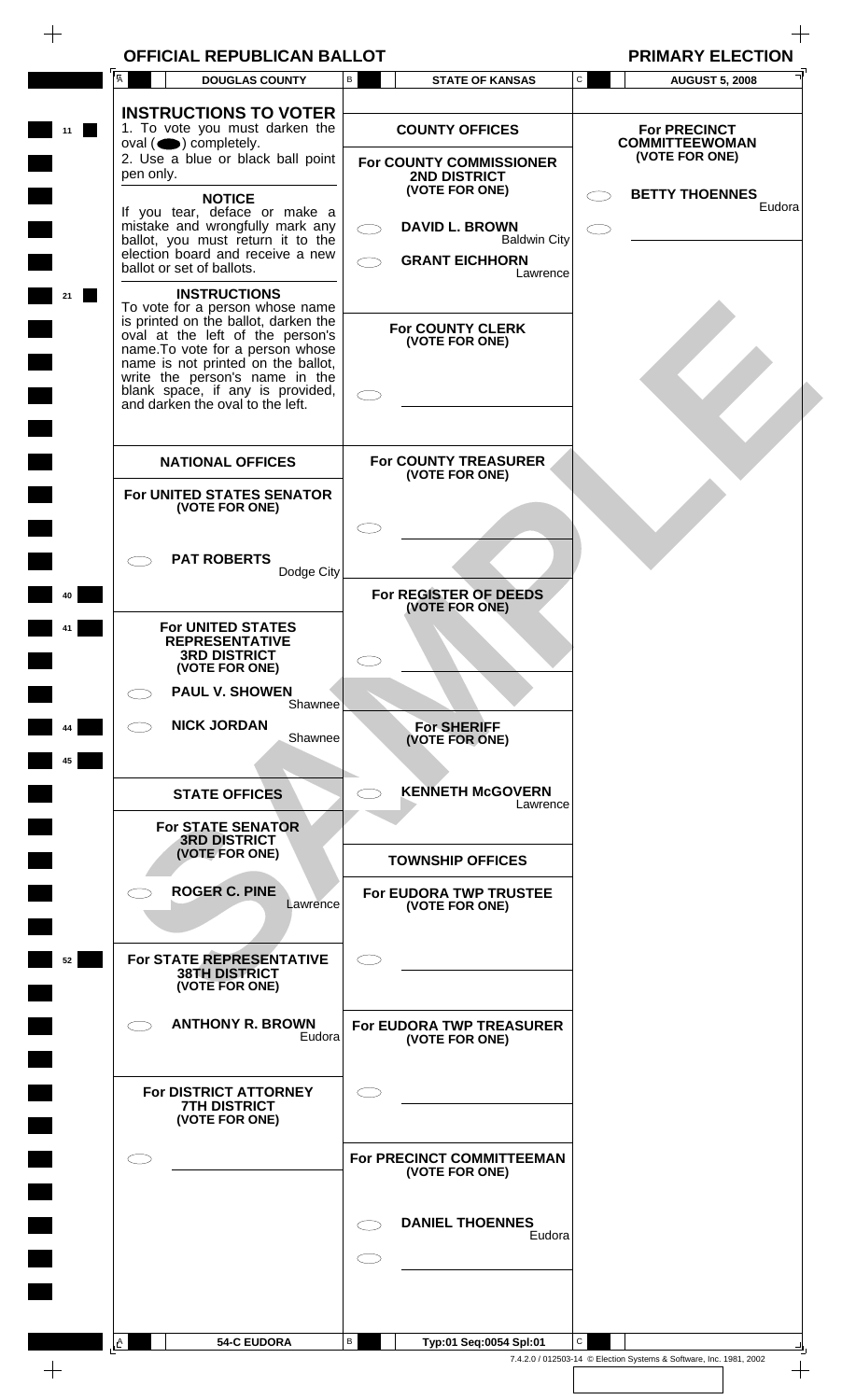$\,$  +

| <b>PRIMARY ELE</b> |  |
|--------------------|--|
|                    |  |

|    | A<br><b>DOUGLAS COUNTY</b>                                                                                                                                                                                                                                                                                             | B | <b>STATE OF KANSAS</b>                                    | $\mathtt{C}$ | <b>AUGUST 5, 2008</b>                        |
|----|------------------------------------------------------------------------------------------------------------------------------------------------------------------------------------------------------------------------------------------------------------------------------------------------------------------------|---|-----------------------------------------------------------|--------------|----------------------------------------------|
| 11 | <b>INSTRUCTIONS TO VOTER</b><br>1. To vote you must darken the<br>$oval(\n\bullet)$ completely.                                                                                                                                                                                                                        |   | <b>COUNTY OFFICES</b>                                     |              | <b>For PRECINCT</b><br><b>COMMITTEEWOMAN</b> |
|    | 2. Use a blue or black ball point<br>pen only.                                                                                                                                                                                                                                                                         |   | For COUNTY COMMISSIONER<br>2ND DISTRICT<br>(VOTE FOR ONE) |              | (VOTE FOR ONE)<br><b>BETTY THOENNES</b>      |
|    | <b>NOTICE</b><br>If you tear, deface or make a<br>mistake and wrongfully mark any<br>ballot, you must return it to the                                                                                                                                                                                                 |   | <b>DAVID L. BROWN</b><br><b>Baldwin City</b>              |              | Eudora                                       |
|    | election board and receive a new<br>ballot or set of ballots.                                                                                                                                                                                                                                                          |   | <b>GRANT EICHHORN</b><br>Lawrence                         |              |                                              |
| 21 | <b>INSTRUCTIONS</b><br>To vote for a person whose name<br>is printed on the ballot, darken the<br>oval at the left of the person's<br>name. To vote for a person whose<br>name is not printed on the ballot,<br>write the person's name in the<br>blank space, if any is provided,<br>and darken the oval to the left. |   | <b>For COUNTY CLERK</b><br>(VOTE FOR ONE)                 |              |                                              |
|    | <b>NATIONAL OFFICES</b>                                                                                                                                                                                                                                                                                                |   | For COUNTY TREASURER                                      |              |                                              |
|    | For UNITED STATES SENATOR<br>(VOTE FOR ONE)                                                                                                                                                                                                                                                                            |   | (VOTE FOR ONE)                                            |              |                                              |
|    |                                                                                                                                                                                                                                                                                                                        |   |                                                           |              |                                              |
|    | <b>PAT ROBERTS</b><br>Dodge City                                                                                                                                                                                                                                                                                       |   |                                                           |              |                                              |
| 40 |                                                                                                                                                                                                                                                                                                                        |   | For REGISTER OF DEEDS<br>(VOTE FOR ONE)                   |              |                                              |
|    | For UNITED STATES<br><b>REPRESENTATIVE</b><br><b>3RD DISTRICT</b><br>(VOTE FOR ONE)                                                                                                                                                                                                                                    |   |                                                           |              |                                              |
|    | <b>PAUL V. SHOWEN</b><br>Shawnee                                                                                                                                                                                                                                                                                       |   |                                                           |              |                                              |
|    | <b>NICK JORDAN</b><br>Shawnee                                                                                                                                                                                                                                                                                          |   | <b>For SHERIFF</b><br>(VOTE FOR ONE)                      |              |                                              |
| 45 | <b>STATE OFFICES</b>                                                                                                                                                                                                                                                                                                   |   | <b>KENNETH McGOVERN</b>                                   |              |                                              |
|    | <b>For STATE SENATOR</b>                                                                                                                                                                                                                                                                                               |   | Lawrence                                                  |              |                                              |
|    | <b>3RD DISTRICT</b><br>(VOTE FOR ONE)                                                                                                                                                                                                                                                                                  |   | <b>TOWNSHIP OFFICES</b>                                   |              |                                              |
|    | <b>ROGER C. PINE</b><br>Lawrence                                                                                                                                                                                                                                                                                       |   | For EUDORA TWP TRUSTEE<br>(VOTE FOR ONE)                  |              |                                              |
| 52 | For STATE REPRESENTATIVE<br><b>38TH DISTRICT</b><br>(VOTE FOR ONE)                                                                                                                                                                                                                                                     |   |                                                           |              |                                              |
|    | <b>ANTHONY R. BROWN</b><br>C D<br>Eudora                                                                                                                                                                                                                                                                               |   | For EUDORA TWP TREASURER<br>(VOTE FOR ONE)                |              |                                              |
|    | For DISTRICT ATTORNEY<br><b>7TH DISTRICT</b><br>(VOTE FOR ONE)                                                                                                                                                                                                                                                         |   |                                                           |              |                                              |
|    |                                                                                                                                                                                                                                                                                                                        |   | For PRECINCT COMMITTEEMAN<br>(VOTE FOR ONE)               |              |                                              |
|    |                                                                                                                                                                                                                                                                                                                        |   |                                                           |              |                                              |
|    |                                                                                                                                                                                                                                                                                                                        |   | <b>DANIEL THOENNES</b><br>Eudora                          |              |                                              |
|    |                                                                                                                                                                                                                                                                                                                        |   |                                                           |              |                                              |
|    | A<br><b>54-C EUDORA</b>                                                                                                                                                                                                                                                                                                | В | Typ:01 Seq:0054 Spl:01                                    | C            |                                              |
|    |                                                                                                                                                                                                                                                                                                                        |   |                                                           |              |                                              |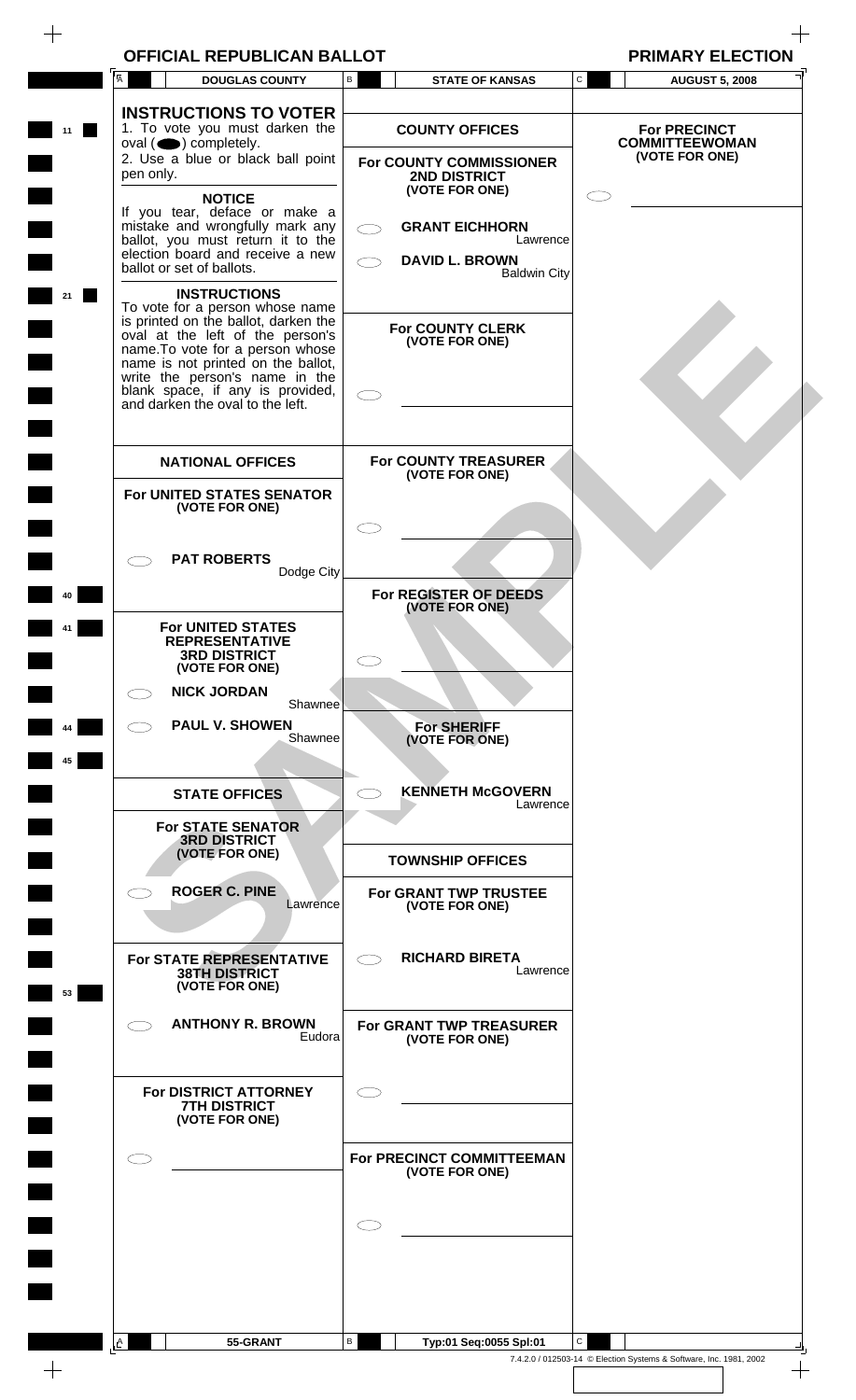| <b>PRIMARY ELECTI</b> |  |  |  |  |  |  |  |  |  |  |
|-----------------------|--|--|--|--|--|--|--|--|--|--|
|-----------------------|--|--|--|--|--|--|--|--|--|--|

| <b>OFFICIAL REPUBLICAN BALLOT</b><br>$\overline{A}$                                                                                                                                                                                                                                             |                                                          |                                                                |
|-------------------------------------------------------------------------------------------------------------------------------------------------------------------------------------------------------------------------------------------------------------------------------------------------|----------------------------------------------------------|----------------------------------------------------------------|
| <b>DOUGLAS COUNTY</b>                                                                                                                                                                                                                                                                           | B<br><b>STATE OF KANSAS</b>                              | $\mathtt{C}$<br><b>AUGUST 5, 2008</b>                          |
| <b>INSTRUCTIONS TO VOTER</b><br>1. To vote you must darken the<br>$oval(\n\bullet)$ completely.<br>2. Use a blue or black ball point                                                                                                                                                            | <b>COUNTY OFFICES</b><br>For COUNTY COMMISSIONER         | <b>For PRECINCT</b><br><b>COMMITTEEWOMAN</b><br>(VOTE FOR ONE) |
| pen only.<br><b>NOTICE</b>                                                                                                                                                                                                                                                                      | 2ND DISTRICT<br>(VOTE FOR ONE)                           |                                                                |
| If you tear, deface or make a<br>mistake and wrongfully mark any<br>ballot, you must return it to the<br>election board and receive a new                                                                                                                                                       | <b>GRANT EICHHORN</b><br>Lawrence                        |                                                                |
| ballot or set of ballots.<br><b>INSTRUCTIONS</b>                                                                                                                                                                                                                                                | <b>DAVID L. BROWN</b><br><b>Baldwin City</b>             |                                                                |
| To vote for a person whose name<br>is printed on the ballot, darken the<br>oval at the left of the person's<br>name. To vote for a person whose<br>name is not printed on the ballot,<br>write the person's name in the<br>blank space, if any is provided,<br>and darken the oval to the left. | <b>For COUNTY CLERK</b><br>(VOTE FOR ONE)                |                                                                |
| <b>NATIONAL OFFICES</b>                                                                                                                                                                                                                                                                         | For COUNTY TREASURER                                     |                                                                |
| For UNITED STATES SENATOR                                                                                                                                                                                                                                                                       | (VOTE FOR ONE)                                           |                                                                |
| (VOTE FOR ONE)                                                                                                                                                                                                                                                                                  |                                                          |                                                                |
| <b>PAT ROBERTS</b><br>Dodge City                                                                                                                                                                                                                                                                |                                                          |                                                                |
|                                                                                                                                                                                                                                                                                                 | For REGISTER OF DEEDS<br>(VOTE FOR ONE)                  |                                                                |
| <b>For UNITED STATES</b><br><b>REPRESENTATIVE</b><br><b>3RD DISTRICT</b><br>(VOTE FOR ONE)                                                                                                                                                                                                      |                                                          |                                                                |
| <b>NICK JORDAN</b><br>Shawnee                                                                                                                                                                                                                                                                   |                                                          |                                                                |
| <b>PAUL V. SHOWEN</b><br>Shawnee                                                                                                                                                                                                                                                                | <b>For SHERIFF</b><br>(VOTE FOR ONE)                     |                                                                |
| <b>STATE OFFICES</b>                                                                                                                                                                                                                                                                            | <b>KENNETH McGOVERN</b><br>Lawrence                      |                                                                |
| <b>For STATE SENATOR</b><br><b>3RD DISTRICT</b><br>(VOTE FOR ONE)                                                                                                                                                                                                                               | <b>TOWNSHIP OFFICES</b>                                  |                                                                |
| <b>ROGER C. PINE</b><br>Lawrence                                                                                                                                                                                                                                                                | <b>For GRANT TWP TRUSTEE</b><br>(VOTE FOR ONE)           |                                                                |
| For STATE REPRESENTATIVE<br><b>38TH DISTRICT</b><br>(VOTE FOR ONE)                                                                                                                                                                                                                              | <b>RICHARD BIRETA</b><br>$\subset$ $\supset$<br>Lawrence |                                                                |
| <b>ANTHONY R. BROWN</b><br>- 2<br>Eudora                                                                                                                                                                                                                                                        | For GRANT TWP TREASURER<br>(VOTE FOR ONE)                |                                                                |
| For DISTRICT ATTORNEY<br><b>7TH DISTRICT</b><br>(VOTE FOR ONE)                                                                                                                                                                                                                                  |                                                          |                                                                |
|                                                                                                                                                                                                                                                                                                 | For PRECINCT COMMITTEEMAN<br>(VOTE FOR ONE)              |                                                                |
|                                                                                                                                                                                                                                                                                                 |                                                          |                                                                |
|                                                                                                                                                                                                                                                                                                 |                                                          |                                                                |
|                                                                                                                                                                                                                                                                                                 |                                                          |                                                                |
| . ام<br>55-GRANT                                                                                                                                                                                                                                                                                | В<br>Typ:01 Seg:0055 Spl:01                              | $\mathsf{C}$                                                   |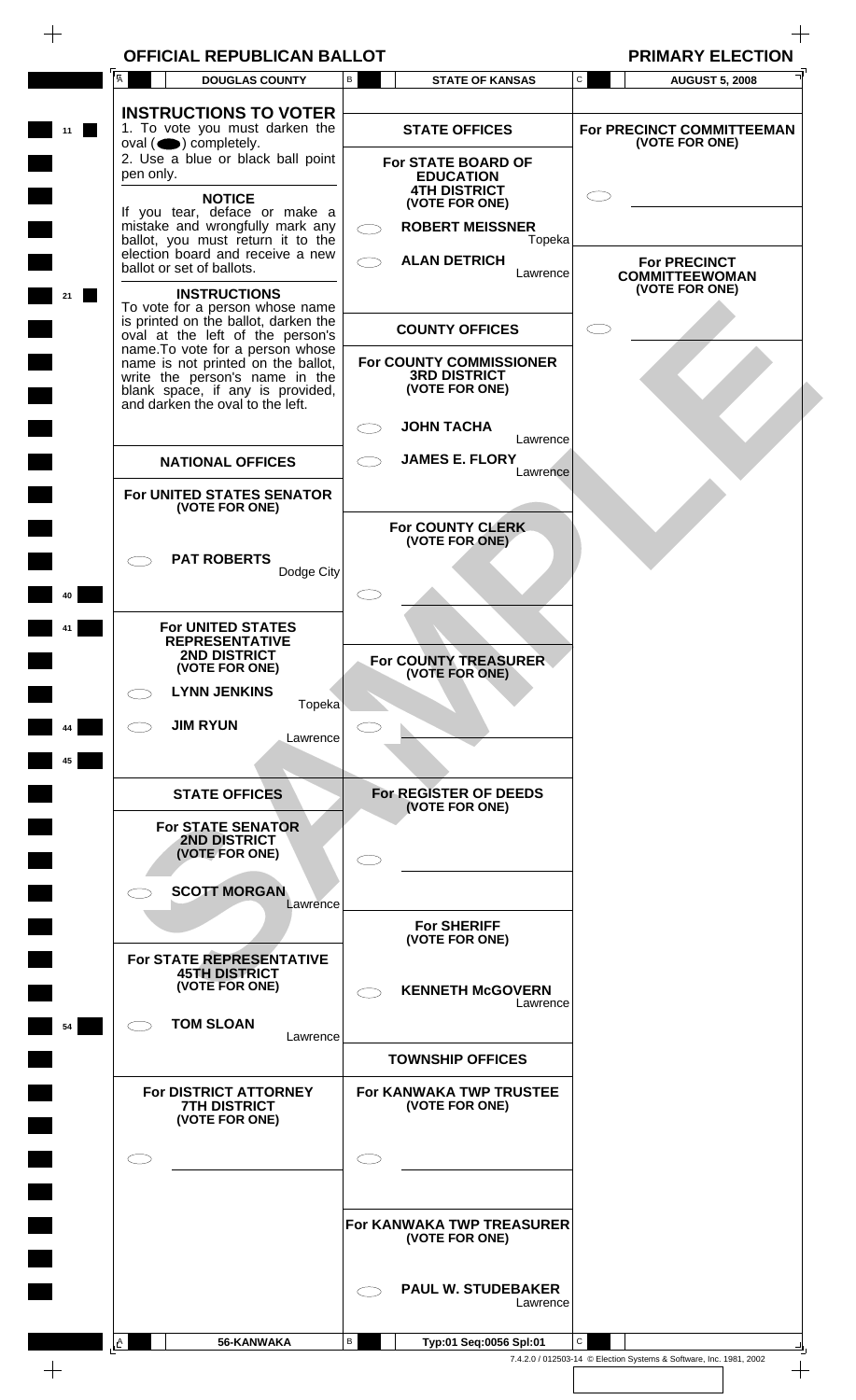| <b>OFFICIAL REPUBLICAN BALLOT</b> |  |
|-----------------------------------|--|
|-----------------------------------|--|

 $\begin{tabular}{c} \multicolumn{1}{c} {\textbf{+}} \\ \multicolumn{1}{c} {\textbf{+}} \\ \multicolumn{1}{c} {\textbf{+}} \\ \multicolumn{1}{c} {\textbf{+}} \\ \multicolumn{1}{c} {\textbf{+}} \\ \multicolumn{1}{c} {\textbf{+}} \\ \multicolumn{1}{c} {\textbf{+}} \\ \multicolumn{1}{c} {\textbf{+}} \\ \multicolumn{1}{c} {\textbf{+}} \\ \multicolumn{1}{c} {\textbf{+}} \\ \multicolumn{1}{c} {\textbf{+}} \\ \multicolumn{1}{c} {\textbf{+}} \\ \multicolumn{1}{c} {\textbf{+}} \\ \multicolumn$ 

T<br>PRIMARY ELECTION<br>External particular primary election

|    | <b>DOUGLAS COUNTY</b>                                                                                      | В<br><b>STATE OF KANSAS</b>                        | ${\tt C}$<br><b>AUGUST 5, 2008</b>      |
|----|------------------------------------------------------------------------------------------------------------|----------------------------------------------------|-----------------------------------------|
|    | <b>INSTRUCTIONS TO VOTER</b><br>1. To vote you must darken the                                             | <b>STATE OFFICES</b>                               | For PRECINCT COMMITTEEMAN               |
| 11 | $oval(\n\bullet)$ completely.<br>2. Use a blue or black ball point                                         | For STATE BOARD OF                                 | (VOTE FOR ONE)                          |
|    | pen only.                                                                                                  | <b>EDUCATION</b><br><b>4TH DISTRICT</b>            |                                         |
|    | <b>NOTICE</b><br>If you tear, deface or make a<br>mistake and wrongfully mark any                          | (VOTE FOR ONE)<br><b>ROBERT MEISSNER</b>           |                                         |
|    | ballot, you must return it to the<br>election board and receive a new                                      | Topeka<br><b>ALAN DETRICH</b>                      | <b>For PRECINCT</b>                     |
|    | ballot or set of ballots.<br><b>INSTRUCTIONS</b>                                                           | Lawrence                                           | <b>COMMITTEEWOMAN</b><br>(VOTE FOR ONE) |
| 21 | To vote for a person whose name<br>is printed on the ballot, darken the                                    | <b>COUNTY OFFICES</b>                              |                                         |
|    | oval at the left of the person's<br>name. To vote for a person whose<br>name is not printed on the ballot, | For COUNTY COMMISSIONER                            |                                         |
|    | write the person's name in the<br>blank space, if any is provided,<br>and darken the oval to the left.     | <b>3RD DISTRICT</b><br>(VOTE FOR ONE)              |                                         |
|    |                                                                                                            | <b>JOHN TACHA</b><br>Lawrence                      |                                         |
|    | <b>NATIONAL OFFICES</b>                                                                                    | <b>JAMES E. FLORY</b><br>Lawrence                  |                                         |
|    | For UNITED STATES SENATOR<br>(VOTE FOR ONE)                                                                |                                                    |                                         |
|    |                                                                                                            | For COUNTY CLERK<br>(VOTE FOR ONE)                 |                                         |
|    | <b>PAT ROBERTS</b><br>Dodge City                                                                           |                                                    |                                         |
| 40 |                                                                                                            |                                                    |                                         |
|    | For UNITED STATES<br><b>REPRESENTATIVE</b>                                                                 |                                                    |                                         |
|    | <b>2ND DISTRICT</b><br>(VOTE FOR ONE)                                                                      | For COUNTY TREASURER<br>(VOTE FOR ONE)             |                                         |
|    | <b>LYNN JENKINS</b><br>Topeka                                                                              |                                                    |                                         |
| 44 | <b>JIM RYUN</b><br>Lawrence                                                                                |                                                    |                                         |
| 45 |                                                                                                            |                                                    |                                         |
|    | <b>STATE OFFICES</b>                                                                                       | For REGISTER OF DEEDS<br>(VOTE FOR ONE)            |                                         |
|    | <b>For STATE SENATOR</b><br><b>2ND DISTRICT</b><br>(VOTE FOR ONE)                                          |                                                    |                                         |
|    | <b>SCOTT MORGAN</b>                                                                                        |                                                    |                                         |
|    | Lawrence                                                                                                   | <b>For SHERIFF</b>                                 |                                         |
|    | For STATE REPRESENTATIVE<br><b>45TH DISTRICT</b>                                                           | (VOTE FOR ONE)                                     |                                         |
|    | (VOTE FOR ONE)                                                                                             | <b>KENNETH McGOVERN</b><br>Lawrence                |                                         |
| 54 | <b>TOM SLOAN</b><br>Lawrence                                                                               |                                                    |                                         |
|    |                                                                                                            | <b>TOWNSHIP OFFICES</b>                            |                                         |
|    | For DISTRICT ATTORNEY<br><b>7TH DISTRICT</b><br>(VOTE FOR ONE)                                             | For KANWAKA TWP TRUSTEE<br>(VOTE FOR ONE)          |                                         |
|    |                                                                                                            |                                                    |                                         |
|    |                                                                                                            |                                                    |                                         |
|    |                                                                                                            | <b>For KANWAKA TWP TREASURER</b><br>(VOTE FOR ONE) |                                         |
|    |                                                                                                            | <b>PAUL W. STUDEBAKER</b>                          |                                         |
|    |                                                                                                            | Lawrence                                           |                                         |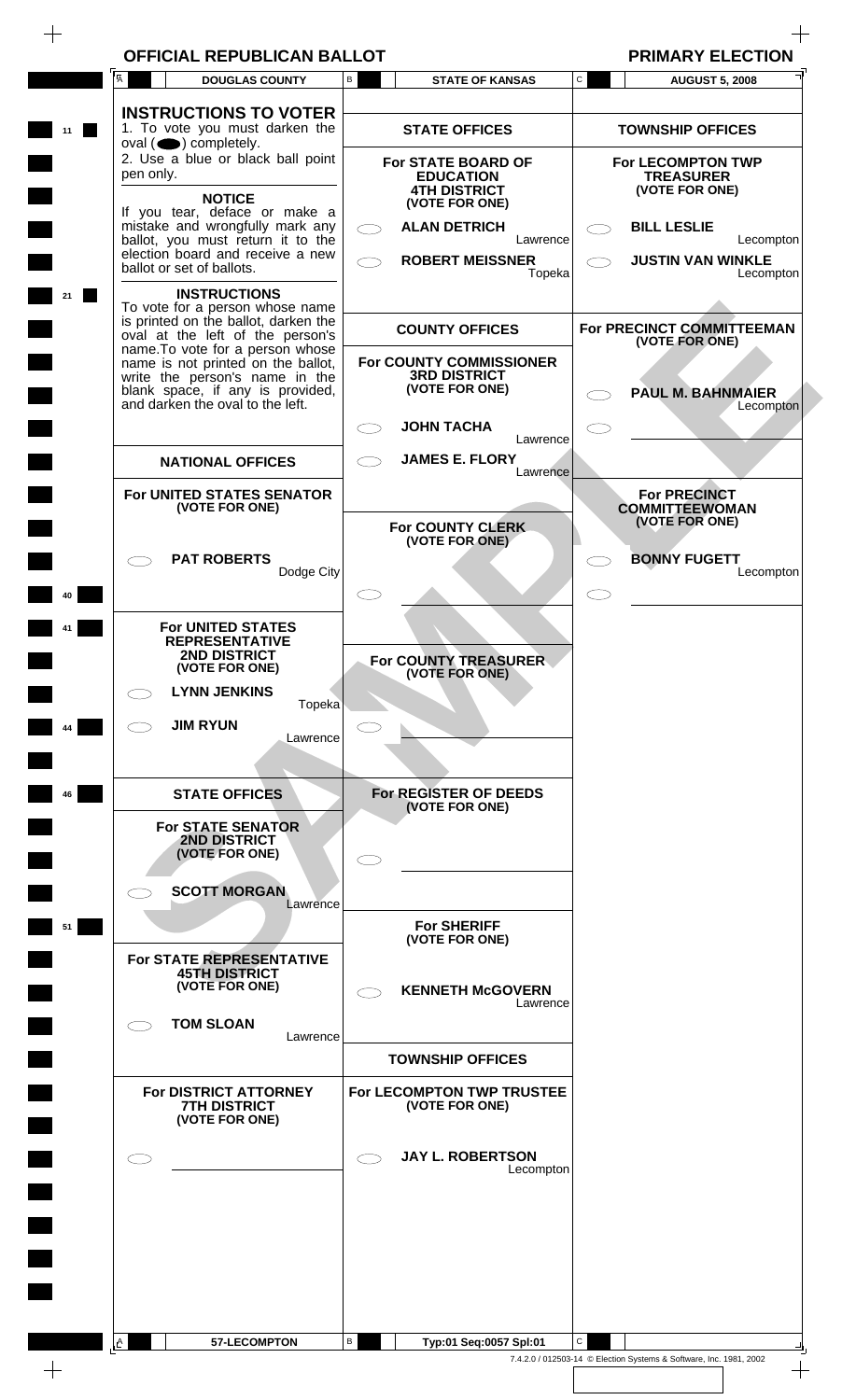$\begin{tabular}{c} \multicolumn{1}{c} {\textbf{+}} \\ \multicolumn{1}{c} {\textbf{+}} \\ \multicolumn{1}{c} {\textbf{+}} \\ \multicolumn{1}{c} {\textbf{+}} \\ \multicolumn{1}{c} {\textbf{+}} \\ \multicolumn{1}{c} {\textbf{+}} \\ \multicolumn{1}{c} {\textbf{+}} \\ \multicolumn{1}{c} {\textbf{+}} \\ \multicolumn{1}{c} {\textbf{+}} \\ \multicolumn{1}{c} {\textbf{+}} \\ \multicolumn{1}{c} {\textbf{+}} \\ \multicolumn{1}{c} {\textbf{+}} \\ \multicolumn{1}{c} {\textbf{+}} \\ \multicolumn$ 

 $\!+\!$ 

|    | A<br><b>DOUGLAS COUNTY</b>                                                                                                                                                                                                                                                                                             | В<br><b>STATE OF KANSAS</b>                                                                                    | C<br><b>AUGUST 5, 2008</b>                                                           |
|----|------------------------------------------------------------------------------------------------------------------------------------------------------------------------------------------------------------------------------------------------------------------------------------------------------------------------|----------------------------------------------------------------------------------------------------------------|--------------------------------------------------------------------------------------|
| 11 | <b>INSTRUCTIONS TO VOTER</b><br>1. To vote you must darken the<br>$oval \textcircled{\bullet}$ ) completely.                                                                                                                                                                                                           | <b>STATE OFFICES</b>                                                                                           | <b>TOWNSHIP OFFICES</b>                                                              |
|    | 2. Use a blue or black ball point<br>pen only.<br><b>NOTICE</b>                                                                                                                                                                                                                                                        | For STATE BOARD OF<br><b>EDUCATION</b><br><b>4TH DISTRICT</b><br>(VOTE FOR ONE)                                | For LECOMPTON TWP<br><b>TREASURER</b><br>(VOTE FOR ONE)                              |
|    | If you tear, deface or make a<br>mistake and wrongfully mark any<br>ballot, you must return it to the                                                                                                                                                                                                                  | <b>ALAN DETRICH</b><br>Lawrence                                                                                | <b>BILL LESLIE</b><br>Lecompton                                                      |
|    | election board and receive a new<br>ballot or set of ballots.                                                                                                                                                                                                                                                          | <b>ROBERT MEISSNER</b><br>Topeka                                                                               | <b>JUSTIN VAN WINKLE</b><br>Lecompton                                                |
| 21 | <b>INSTRUCTIONS</b><br>To vote for a person whose name<br>is printed on the ballot, darken the<br>oval at the left of the person's<br>name. To vote for a person whose<br>name is not printed on the ballot,<br>write the person's name in the<br>blank space, if any is provided,<br>and darken the oval to the left. | <b>COUNTY OFFICES</b><br>For COUNTY COMMISSIONER<br><b>3RD DISTRICT</b><br>(VOTE FOR ONE)<br><b>JOHN TACHA</b> | For PRECINCT COMMITTEEMAN<br>(VOTE FOR ONE)<br><b>PAUL M. BAHNMAIER</b><br>Lecompton |
|    | <b>NATIONAL OFFICES</b>                                                                                                                                                                                                                                                                                                | Lawrence<br><b>JAMES E. FLORY</b>                                                                              |                                                                                      |
|    | For UNITED STATES SENATOR<br>(VOTE FOR ONE)                                                                                                                                                                                                                                                                            | Lawrence<br>For COUNTY CLERK                                                                                   | <b>For PRECINCT</b><br><b>COMMITTEEWOMAN</b><br>(VOTE FOR ONE)                       |
| 40 | <b>PAT ROBERTS</b><br>Dodge City                                                                                                                                                                                                                                                                                       | (VOTE FOR ONE)                                                                                                 | <b>BONNY FUGETT</b><br>Lecompton                                                     |
|    | For UNITED STATES<br><b>REPRESENTATIVE</b><br><b>2ND DISTRICT</b><br>(VOTE FOR ONE)                                                                                                                                                                                                                                    | For COUNTY TREASURER<br>(VOTE FOR ONE)                                                                         |                                                                                      |
|    | <b>LYNN JENKINS</b><br>Topeka                                                                                                                                                                                                                                                                                          |                                                                                                                |                                                                                      |
| 44 | <b>JIM RYUN</b><br>Lawrence                                                                                                                                                                                                                                                                                            |                                                                                                                |                                                                                      |
| 46 | <b>STATE OFFICES</b>                                                                                                                                                                                                                                                                                                   | For REGISTER OF DEEDS<br>(VOTE FOR ONE)                                                                        |                                                                                      |
|    | <b>For STATE SENATOR</b><br>2ND DISTRICT<br>(VOTE FOR ONE)                                                                                                                                                                                                                                                             |                                                                                                                |                                                                                      |
|    | <b>SCOTT MORGAN</b><br>Lawrence                                                                                                                                                                                                                                                                                        | <b>For SHERIFF</b>                                                                                             |                                                                                      |
| 51 | For STATE REPRESENTATIVE                                                                                                                                                                                                                                                                                               | (VOTE FOR ONE)                                                                                                 |                                                                                      |
|    | <b>45TH DISTRICT</b><br>(VOTE FOR ONE)                                                                                                                                                                                                                                                                                 | <b>KENNETH McGOVERN</b><br>Lawrence                                                                            |                                                                                      |
|    | <b>TOM SLOAN</b><br>Lawrence                                                                                                                                                                                                                                                                                           | <b>TOWNSHIP OFFICES</b>                                                                                        |                                                                                      |
|    | For DISTRICT ATTORNEY<br><b>7TH DISTRICT</b><br>(VOTE FOR ONE)                                                                                                                                                                                                                                                         | For LECOMPTON TWP TRUSTEE<br>(VOTE FOR ONE)                                                                    |                                                                                      |
|    |                                                                                                                                                                                                                                                                                                                        | <b>JAY L. ROBERTSON</b><br>Lecompton                                                                           |                                                                                      |
|    |                                                                                                                                                                                                                                                                                                                        |                                                                                                                |                                                                                      |
|    |                                                                                                                                                                                                                                                                                                                        |                                                                                                                |                                                                                      |
|    | A<br>57-LECOMPTON                                                                                                                                                                                                                                                                                                      | В<br>Typ:01 Seq:0057 Spl:01                                                                                    | C                                                                                    |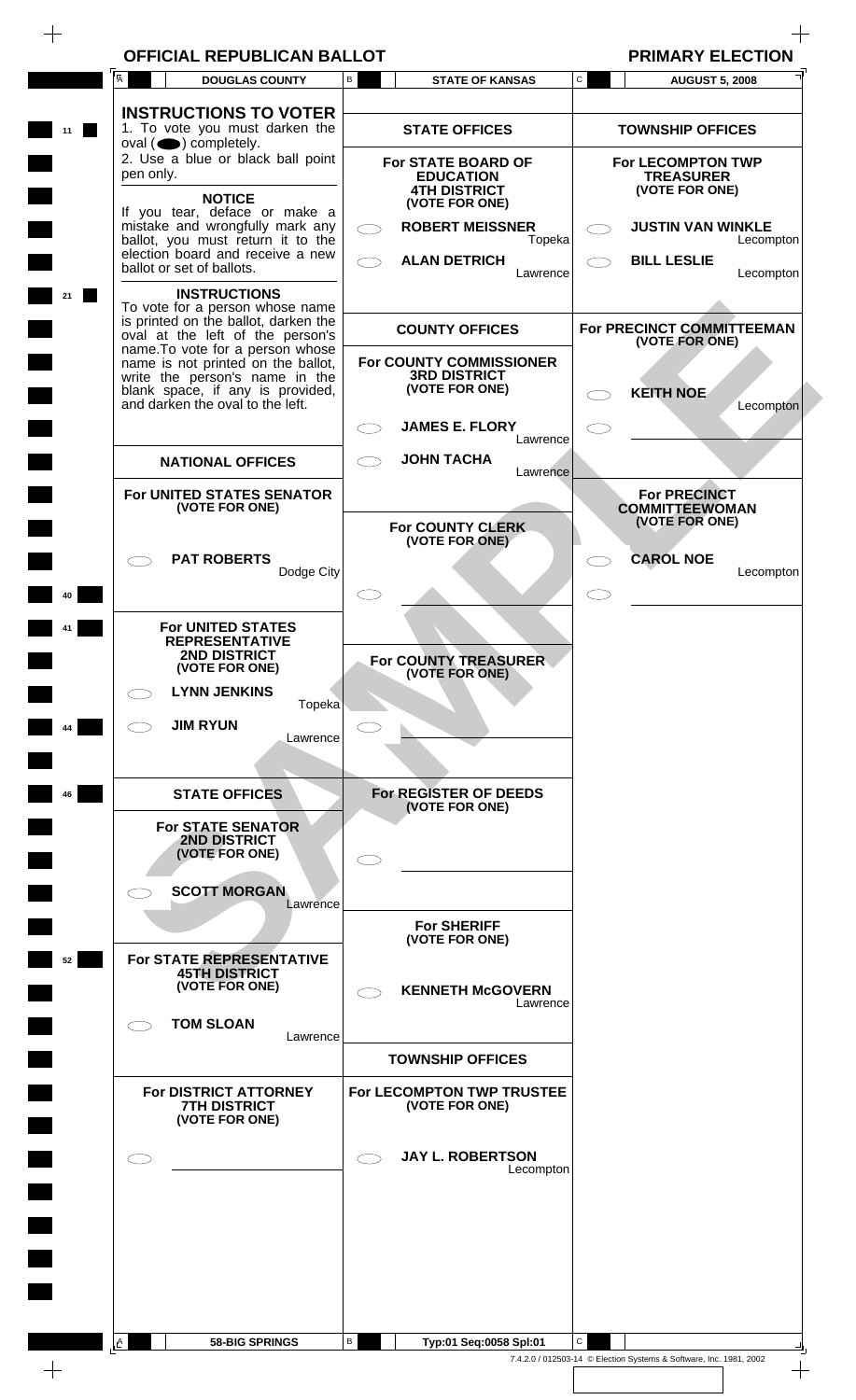| <b>OFFICIAL REPUBLICAN BALLOT</b> |  |  |  |
|-----------------------------------|--|--|--|
|-----------------------------------|--|--|--|

 $\,$  +

**OFFICIAL REPUBLICAN BANK REPUBLICAN BALLOT BALLOTS** 

 $\!+\!$ 

| $\mathtt{C}$<br>$\mathsf{B}$<br><b>STATE OF KANSAS</b><br><b>DOUGLAS COUNTY</b><br><b>AUGUST 5, 2008</b><br><b>INSTRUCTIONS TO VOTER</b><br>1. To vote you must darken the<br><b>STATE OFFICES</b><br><b>TOWNSHIP OFFICES</b><br>11<br>$oval \textcircled{\bullet}$ ) completely.<br>2. Use a blue or black ball point<br>For STATE BOARD OF<br>For LECOMPTON TWP<br>pen only.<br><b>TREASURER</b><br><b>EDUCATION</b><br><b>4TH DISTRICT</b><br>(VOTE FOR ONE)<br><b>NOTICE</b><br>(VOTE FOR ONE)<br>If you tear, deface or make a<br>mistake and wrongfully mark any<br><b>ROBERT MEISSNER</b><br><b>JUSTIN VAN WINKLE</b><br>ballot, you must return it to the<br>Topeka<br>Lecompton<br>election board and receive a new<br><b>ALAN DETRICH</b><br><b>BILL LESLIE</b><br>ballot or set of ballots.<br>Lecompton<br>Lawrence<br><b>INSTRUCTIONS</b><br>21<br>To vote for a person whose name<br>is printed on the ballot, darken the<br><b>COUNTY OFFICES</b><br>For PRECINCT COMMITTEEMAN<br>oval at the left of the person's<br>(VOTE FOR ONE)<br>name. To vote for a person whose<br>name is not printed on the ballot,<br>write the person's name in the<br>For COUNTY COMMISSIONER<br><b>3RD DISTRICT</b><br>(VOTE FOR ONE)<br>blank space, if any is provided,<br><b>KEITH NOE</b><br>and darken the oval to the left.<br>Lecompton<br><b>JAMES E. FLORY</b><br>$\subset$ $\supset$<br>Lawrence<br><b>JOHN TACHA</b><br><b>NATIONAL OFFICES</b><br>Lawrence<br>For UNITED STATES SENATOR<br><b>For PRECINCT</b><br>(VOTE FOR ONE)<br><b>COMMITTEEWOMAN</b><br>(VOTE FOR ONE)<br>For COUNTY CLERK<br>(VOTE FOR ONE)<br><b>PAT ROBERTS</b><br><b>CAROL NOE</b><br>- 7<br>Dodge City<br>Lecompton<br>40<br>For UNITED STATES<br><b>REPRESENTATIVE</b><br><b>2ND DISTRICT</b><br>For COUNTY TREASURER<br>(VOTE FOR ONE)<br>(VOTE FOR ONE)<br><b>LYNN JENKINS</b><br>Topeka<br><b>JIM RYUN</b><br>Lawrence<br><b>STATE OFFICES</b><br>For REGISTER OF DEEDS<br>46<br>(VOTE FOR ONE)<br><b>For STATE SENATOR</b><br>2ND DISTRICT<br>(VOTE FOR ONE)<br><b>SCOTT MORGAN</b><br>Lawrence<br><b>For SHERIFF</b><br>(VOTE FOR ONE)<br>For STATE REPRESENTATIVE<br>52<br><b>45TH DISTRICT</b><br>(VOTE FOR ONE)<br><b>KENNETH McGOVERN</b><br>Lawrence<br><b>TOM SLOAN</b><br>Lawrence<br><b>TOWNSHIP OFFICES</b><br>For DISTRICT ATTORNEY<br>For LECOMPTON TWP TRUSTEE<br>(VOTE FOR ONE)<br><b>7TH DISTRICT</b><br>(VOTE FOR ONE)<br><b>JAY L. ROBERTSON</b><br>Lecompton |                | UPLIVAIT L |  |
|-------------------------------------------------------------------------------------------------------------------------------------------------------------------------------------------------------------------------------------------------------------------------------------------------------------------------------------------------------------------------------------------------------------------------------------------------------------------------------------------------------------------------------------------------------------------------------------------------------------------------------------------------------------------------------------------------------------------------------------------------------------------------------------------------------------------------------------------------------------------------------------------------------------------------------------------------------------------------------------------------------------------------------------------------------------------------------------------------------------------------------------------------------------------------------------------------------------------------------------------------------------------------------------------------------------------------------------------------------------------------------------------------------------------------------------------------------------------------------------------------------------------------------------------------------------------------------------------------------------------------------------------------------------------------------------------------------------------------------------------------------------------------------------------------------------------------------------------------------------------------------------------------------------------------------------------------------------------------------------------------------------------------------------------------------------------------------------------------------------------------------------------------------------------------------------------------------------------------------------------------------------------------------------------------------------------------------------------------------------------------------------------------------------------------------------------------------------------------|----------------|------------|--|
|                                                                                                                                                                                                                                                                                                                                                                                                                                                                                                                                                                                                                                                                                                                                                                                                                                                                                                                                                                                                                                                                                                                                                                                                                                                                                                                                                                                                                                                                                                                                                                                                                                                                                                                                                                                                                                                                                                                                                                                                                                                                                                                                                                                                                                                                                                                                                                                                                                                                         | $\overline{A}$ |            |  |
|                                                                                                                                                                                                                                                                                                                                                                                                                                                                                                                                                                                                                                                                                                                                                                                                                                                                                                                                                                                                                                                                                                                                                                                                                                                                                                                                                                                                                                                                                                                                                                                                                                                                                                                                                                                                                                                                                                                                                                                                                                                                                                                                                                                                                                                                                                                                                                                                                                                                         |                |            |  |
|                                                                                                                                                                                                                                                                                                                                                                                                                                                                                                                                                                                                                                                                                                                                                                                                                                                                                                                                                                                                                                                                                                                                                                                                                                                                                                                                                                                                                                                                                                                                                                                                                                                                                                                                                                                                                                                                                                                                                                                                                                                                                                                                                                                                                                                                                                                                                                                                                                                                         |                |            |  |
|                                                                                                                                                                                                                                                                                                                                                                                                                                                                                                                                                                                                                                                                                                                                                                                                                                                                                                                                                                                                                                                                                                                                                                                                                                                                                                                                                                                                                                                                                                                                                                                                                                                                                                                                                                                                                                                                                                                                                                                                                                                                                                                                                                                                                                                                                                                                                                                                                                                                         |                |            |  |
|                                                                                                                                                                                                                                                                                                                                                                                                                                                                                                                                                                                                                                                                                                                                                                                                                                                                                                                                                                                                                                                                                                                                                                                                                                                                                                                                                                                                                                                                                                                                                                                                                                                                                                                                                                                                                                                                                                                                                                                                                                                                                                                                                                                                                                                                                                                                                                                                                                                                         |                |            |  |
|                                                                                                                                                                                                                                                                                                                                                                                                                                                                                                                                                                                                                                                                                                                                                                                                                                                                                                                                                                                                                                                                                                                                                                                                                                                                                                                                                                                                                                                                                                                                                                                                                                                                                                                                                                                                                                                                                                                                                                                                                                                                                                                                                                                                                                                                                                                                                                                                                                                                         |                |            |  |
|                                                                                                                                                                                                                                                                                                                                                                                                                                                                                                                                                                                                                                                                                                                                                                                                                                                                                                                                                                                                                                                                                                                                                                                                                                                                                                                                                                                                                                                                                                                                                                                                                                                                                                                                                                                                                                                                                                                                                                                                                                                                                                                                                                                                                                                                                                                                                                                                                                                                         |                |            |  |
|                                                                                                                                                                                                                                                                                                                                                                                                                                                                                                                                                                                                                                                                                                                                                                                                                                                                                                                                                                                                                                                                                                                                                                                                                                                                                                                                                                                                                                                                                                                                                                                                                                                                                                                                                                                                                                                                                                                                                                                                                                                                                                                                                                                                                                                                                                                                                                                                                                                                         |                |            |  |
|                                                                                                                                                                                                                                                                                                                                                                                                                                                                                                                                                                                                                                                                                                                                                                                                                                                                                                                                                                                                                                                                                                                                                                                                                                                                                                                                                                                                                                                                                                                                                                                                                                                                                                                                                                                                                                                                                                                                                                                                                                                                                                                                                                                                                                                                                                                                                                                                                                                                         |                |            |  |
|                                                                                                                                                                                                                                                                                                                                                                                                                                                                                                                                                                                                                                                                                                                                                                                                                                                                                                                                                                                                                                                                                                                                                                                                                                                                                                                                                                                                                                                                                                                                                                                                                                                                                                                                                                                                                                                                                                                                                                                                                                                                                                                                                                                                                                                                                                                                                                                                                                                                         |                |            |  |
|                                                                                                                                                                                                                                                                                                                                                                                                                                                                                                                                                                                                                                                                                                                                                                                                                                                                                                                                                                                                                                                                                                                                                                                                                                                                                                                                                                                                                                                                                                                                                                                                                                                                                                                                                                                                                                                                                                                                                                                                                                                                                                                                                                                                                                                                                                                                                                                                                                                                         |                |            |  |
|                                                                                                                                                                                                                                                                                                                                                                                                                                                                                                                                                                                                                                                                                                                                                                                                                                                                                                                                                                                                                                                                                                                                                                                                                                                                                                                                                                                                                                                                                                                                                                                                                                                                                                                                                                                                                                                                                                                                                                                                                                                                                                                                                                                                                                                                                                                                                                                                                                                                         |                |            |  |
|                                                                                                                                                                                                                                                                                                                                                                                                                                                                                                                                                                                                                                                                                                                                                                                                                                                                                                                                                                                                                                                                                                                                                                                                                                                                                                                                                                                                                                                                                                                                                                                                                                                                                                                                                                                                                                                                                                                                                                                                                                                                                                                                                                                                                                                                                                                                                                                                                                                                         |                |            |  |
|                                                                                                                                                                                                                                                                                                                                                                                                                                                                                                                                                                                                                                                                                                                                                                                                                                                                                                                                                                                                                                                                                                                                                                                                                                                                                                                                                                                                                                                                                                                                                                                                                                                                                                                                                                                                                                                                                                                                                                                                                                                                                                                                                                                                                                                                                                                                                                                                                                                                         |                |            |  |
|                                                                                                                                                                                                                                                                                                                                                                                                                                                                                                                                                                                                                                                                                                                                                                                                                                                                                                                                                                                                                                                                                                                                                                                                                                                                                                                                                                                                                                                                                                                                                                                                                                                                                                                                                                                                                                                                                                                                                                                                                                                                                                                                                                                                                                                                                                                                                                                                                                                                         |                |            |  |
|                                                                                                                                                                                                                                                                                                                                                                                                                                                                                                                                                                                                                                                                                                                                                                                                                                                                                                                                                                                                                                                                                                                                                                                                                                                                                                                                                                                                                                                                                                                                                                                                                                                                                                                                                                                                                                                                                                                                                                                                                                                                                                                                                                                                                                                                                                                                                                                                                                                                         |                |            |  |
|                                                                                                                                                                                                                                                                                                                                                                                                                                                                                                                                                                                                                                                                                                                                                                                                                                                                                                                                                                                                                                                                                                                                                                                                                                                                                                                                                                                                                                                                                                                                                                                                                                                                                                                                                                                                                                                                                                                                                                                                                                                                                                                                                                                                                                                                                                                                                                                                                                                                         |                |            |  |
|                                                                                                                                                                                                                                                                                                                                                                                                                                                                                                                                                                                                                                                                                                                                                                                                                                                                                                                                                                                                                                                                                                                                                                                                                                                                                                                                                                                                                                                                                                                                                                                                                                                                                                                                                                                                                                                                                                                                                                                                                                                                                                                                                                                                                                                                                                                                                                                                                                                                         |                |            |  |
|                                                                                                                                                                                                                                                                                                                                                                                                                                                                                                                                                                                                                                                                                                                                                                                                                                                                                                                                                                                                                                                                                                                                                                                                                                                                                                                                                                                                                                                                                                                                                                                                                                                                                                                                                                                                                                                                                                                                                                                                                                                                                                                                                                                                                                                                                                                                                                                                                                                                         |                |            |  |
|                                                                                                                                                                                                                                                                                                                                                                                                                                                                                                                                                                                                                                                                                                                                                                                                                                                                                                                                                                                                                                                                                                                                                                                                                                                                                                                                                                                                                                                                                                                                                                                                                                                                                                                                                                                                                                                                                                                                                                                                                                                                                                                                                                                                                                                                                                                                                                                                                                                                         |                |            |  |
|                                                                                                                                                                                                                                                                                                                                                                                                                                                                                                                                                                                                                                                                                                                                                                                                                                                                                                                                                                                                                                                                                                                                                                                                                                                                                                                                                                                                                                                                                                                                                                                                                                                                                                                                                                                                                                                                                                                                                                                                                                                                                                                                                                                                                                                                                                                                                                                                                                                                         |                |            |  |
|                                                                                                                                                                                                                                                                                                                                                                                                                                                                                                                                                                                                                                                                                                                                                                                                                                                                                                                                                                                                                                                                                                                                                                                                                                                                                                                                                                                                                                                                                                                                                                                                                                                                                                                                                                                                                                                                                                                                                                                                                                                                                                                                                                                                                                                                                                                                                                                                                                                                         |                |            |  |
|                                                                                                                                                                                                                                                                                                                                                                                                                                                                                                                                                                                                                                                                                                                                                                                                                                                                                                                                                                                                                                                                                                                                                                                                                                                                                                                                                                                                                                                                                                                                                                                                                                                                                                                                                                                                                                                                                                                                                                                                                                                                                                                                                                                                                                                                                                                                                                                                                                                                         |                |            |  |
|                                                                                                                                                                                                                                                                                                                                                                                                                                                                                                                                                                                                                                                                                                                                                                                                                                                                                                                                                                                                                                                                                                                                                                                                                                                                                                                                                                                                                                                                                                                                                                                                                                                                                                                                                                                                                                                                                                                                                                                                                                                                                                                                                                                                                                                                                                                                                                                                                                                                         |                |            |  |
|                                                                                                                                                                                                                                                                                                                                                                                                                                                                                                                                                                                                                                                                                                                                                                                                                                                                                                                                                                                                                                                                                                                                                                                                                                                                                                                                                                                                                                                                                                                                                                                                                                                                                                                                                                                                                                                                                                                                                                                                                                                                                                                                                                                                                                                                                                                                                                                                                                                                         |                |            |  |
|                                                                                                                                                                                                                                                                                                                                                                                                                                                                                                                                                                                                                                                                                                                                                                                                                                                                                                                                                                                                                                                                                                                                                                                                                                                                                                                                                                                                                                                                                                                                                                                                                                                                                                                                                                                                                                                                                                                                                                                                                                                                                                                                                                                                                                                                                                                                                                                                                                                                         |                |            |  |
|                                                                                                                                                                                                                                                                                                                                                                                                                                                                                                                                                                                                                                                                                                                                                                                                                                                                                                                                                                                                                                                                                                                                                                                                                                                                                                                                                                                                                                                                                                                                                                                                                                                                                                                                                                                                                                                                                                                                                                                                                                                                                                                                                                                                                                                                                                                                                                                                                                                                         |                |            |  |
| В<br>C<br>A<br><b>58-BIG SPRINGS</b><br>Typ:01 Seq:0058 Spl:01                                                                                                                                                                                                                                                                                                                                                                                                                                                                                                                                                                                                                                                                                                                                                                                                                                                                                                                                                                                                                                                                                                                                                                                                                                                                                                                                                                                                                                                                                                                                                                                                                                                                                                                                                                                                                                                                                                                                                                                                                                                                                                                                                                                                                                                                                                                                                                                                          |                |            |  |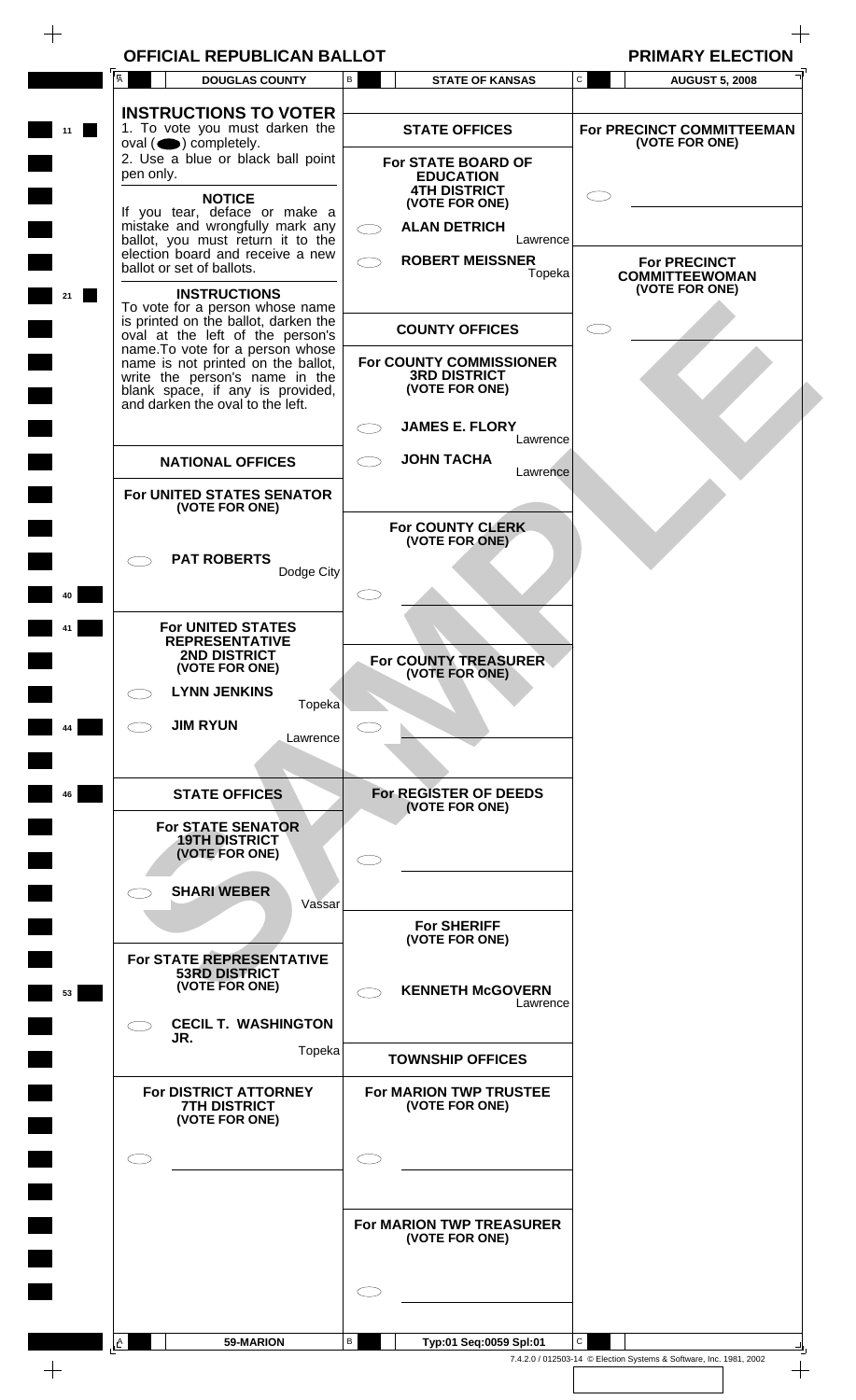$\begin{array}{c} \begin{array}{c} \begin{array}{c} \end{array} \end{array} \end{array}$ 

|    | Ā              | <b>DOUGLAS COUNTY</b>                                                                                                                                                                                          | B                  | <b>STATE OF KANSAS</b>                                                                                       | C | <b>AUGUST 5, 2008</b>                                          |
|----|----------------|----------------------------------------------------------------------------------------------------------------------------------------------------------------------------------------------------------------|--------------------|--------------------------------------------------------------------------------------------------------------|---|----------------------------------------------------------------|
| 11 | pen only.      | <b>INSTRUCTIONS TO VOTER</b><br>1. To vote you must darken the<br>$oval \textcircled{\bullet}$ ) completely.<br>2. Use a blue or black ball point                                                              |                    | <b>STATE OFFICES</b><br>For STATE BOARD OF<br><b>EDUCATION</b>                                               |   | For PRECINCT COMMITTEEMAN<br>(VOTE FOR ONE)                    |
|    |                | <b>NOTICE</b><br>If you tear, deface or make a<br>mistake and wrongfully mark any<br>ballot, you must return it to the<br>election board and receive a new<br>ballot or set of ballots.<br><b>INSTRUCTIONS</b> |                    | <b>4TH DISTRICT</b><br>(VOTE FOR ONE)<br><b>ALAN DETRICH</b><br>Lawrence<br><b>ROBERT MEISSNER</b><br>Topeka |   | <b>For PRECINCT</b><br><b>COMMITTEEWOMAN</b><br>(VOTE FOR ONE) |
|    |                | To vote for a person whose name<br>is printed on the ballot, darken the<br>oval at the left of the person's                                                                                                    |                    | <b>COUNTY OFFICES</b>                                                                                        |   |                                                                |
|    |                | name.To vote for a person whose<br>name is not printed on the ballot,<br>write the person's name in the<br>blank space, if any is provided,<br>and darken the oval to the left.                                |                    | For COUNTY COMMISSIONER<br><b>3RD DISTRICT</b><br>(VOTE FOR ONE)                                             |   |                                                                |
|    |                |                                                                                                                                                                                                                |                    | <b>JAMES E. FLORY</b><br>Lawrence                                                                            |   |                                                                |
|    |                | <b>NATIONAL OFFICES</b>                                                                                                                                                                                        |                    | <b>JOHN TACHA</b><br>Lawrence                                                                                |   |                                                                |
|    |                | For UNITED STATES SENATOR<br>(VOTE FOR ONE)                                                                                                                                                                    |                    |                                                                                                              |   |                                                                |
|    |                | <b>PAT ROBERTS</b><br>Dodge City                                                                                                                                                                               |                    | For COUNTY CLERK<br>(VOTE FOR ONE)                                                                           |   |                                                                |
|    |                | For UNITED STATES<br><b>REPRESENTATIVE</b><br>2ND DISTRICT<br>(VOTE FOR ONE)                                                                                                                                   |                    | For COUNTY TREASURER<br>(VOTE FOR ONE)                                                                       |   |                                                                |
|    |                | <b>LYNN JENKINS</b><br>Topeka                                                                                                                                                                                  |                    |                                                                                                              |   |                                                                |
| 44 |                | <b>JIM RYUN</b><br>Lawrence                                                                                                                                                                                    |                    |                                                                                                              |   |                                                                |
| 46 |                | <b>STATE OFFICES</b>                                                                                                                                                                                           |                    | For REGISTER OF DEEDS<br>(VOTE FOR ONE)                                                                      |   |                                                                |
|    |                | <b>For STATE SENATOR</b><br><b>19TH DISTRICT</b><br>(VOTE FOR ONE)                                                                                                                                             |                    |                                                                                                              |   |                                                                |
|    |                | <b>SHARI WEBER</b><br>Vassar                                                                                                                                                                                   |                    | <b>For SHERIFF</b>                                                                                           |   |                                                                |
|    |                | For STATE REPRESENTATIVE                                                                                                                                                                                       |                    | (VOTE FOR ONE)                                                                                               |   |                                                                |
| 53 |                | <b>53RD DISTRICT</b><br>(VOTE FOR ONE)                                                                                                                                                                         |                    | <b>KENNETH McGOVERN</b><br>Lawrence                                                                          |   |                                                                |
|    |                | <b>CECIL T. WASHINGTON</b><br>JR.<br>Topeka                                                                                                                                                                    |                    |                                                                                                              |   |                                                                |
|    |                | For DISTRICT ATTORNEY                                                                                                                                                                                          |                    | <b>TOWNSHIP OFFICES</b><br>For MARION TWP TRUSTEE                                                            |   |                                                                |
|    |                | <b>7TH DISTRICT</b><br>(VOTE FOR ONE)                                                                                                                                                                          |                    | (VOTE FOR ONE)                                                                                               |   |                                                                |
|    |                |                                                                                                                                                                                                                | $\subset \bar{\ }$ |                                                                                                              |   |                                                                |
|    |                |                                                                                                                                                                                                                |                    |                                                                                                              |   |                                                                |
|    |                |                                                                                                                                                                                                                |                    | <b>For MARION TWP TREASURER</b><br>(VOTE FOR ONE)                                                            |   |                                                                |
|    |                |                                                                                                                                                                                                                |                    |                                                                                                              |   |                                                                |
|    |                |                                                                                                                                                                                                                |                    |                                                                                                              |   |                                                                |
|    | I <sup>A</sup> | 59-MARION                                                                                                                                                                                                      | В                  | Typ:01 Seq:0059 Spl:01                                                                                       | C |                                                                |

 $\hspace{0.1mm} +$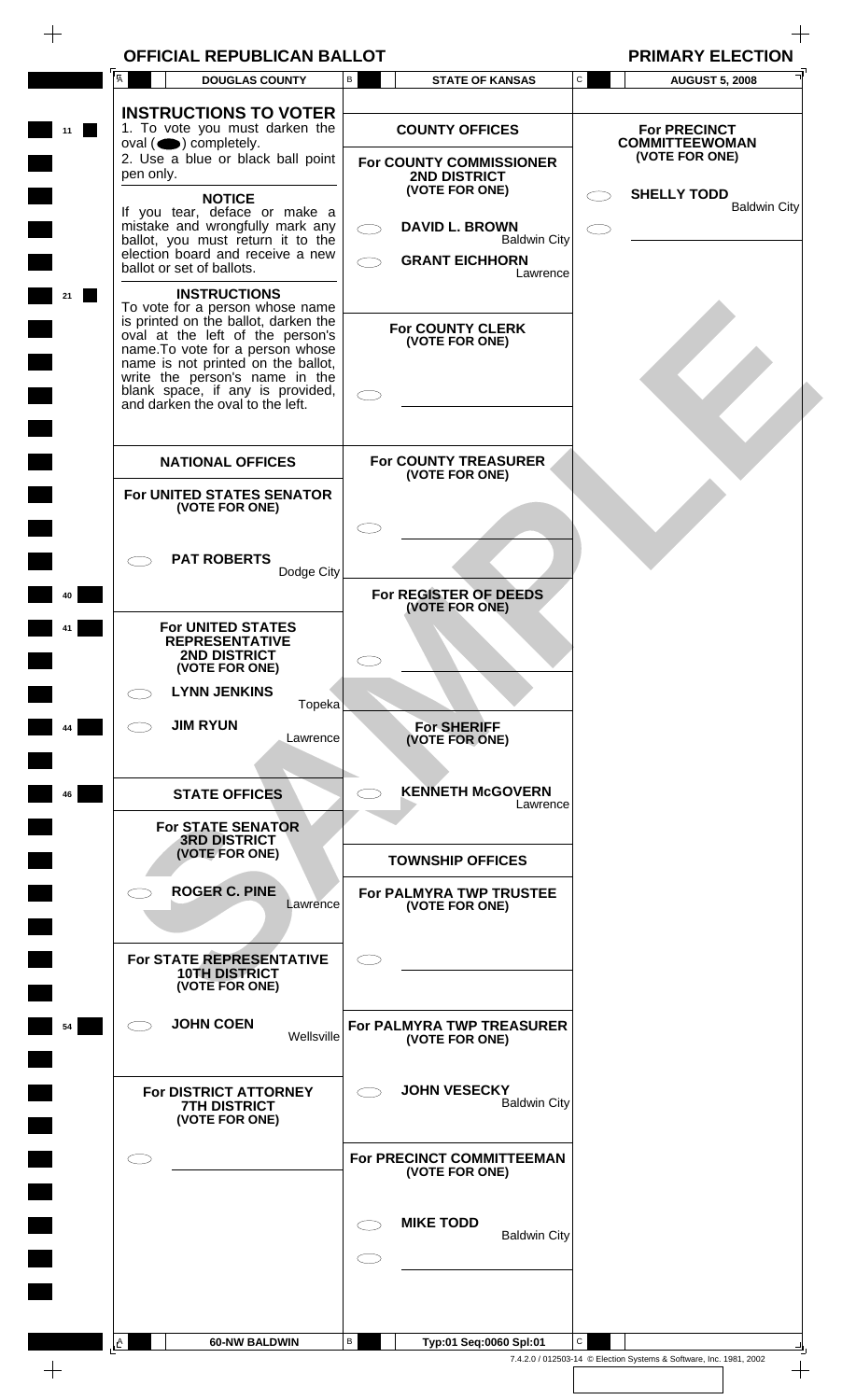| <b>OFFICIAL REPUBLICAN BALLOT</b> |  |  |  |
|-----------------------------------|--|--|--|
|-----------------------------------|--|--|--|

| LLOT | <b>PRIMARY ELECTION</b> |
|------|-------------------------|

|    | OFFICIAL REPUBLICAN BALLOT                                                                                                                                                                                                                                                                                             |                                                                                    | <b>PRIMARY ELECTION</b>                                                                                     |
|----|------------------------------------------------------------------------------------------------------------------------------------------------------------------------------------------------------------------------------------------------------------------------------------------------------------------------|------------------------------------------------------------------------------------|-------------------------------------------------------------------------------------------------------------|
|    | $\overline{A}$<br><b>DOUGLAS COUNTY</b>                                                                                                                                                                                                                                                                                | B<br><b>STATE OF KANSAS</b>                                                        | $\mathtt{C}$<br><b>AUGUST 5, 2008</b>                                                                       |
|    | <b>INSTRUCTIONS TO VOTER</b><br>1. To vote you must darken the<br>$oval(\n\bullet)$ completely.<br>2. Use a blue or black ball point<br>pen only.<br><b>NOTICE</b><br>If you tear, deface or make a                                                                                                                    | <b>COUNTY OFFICES</b><br>For COUNTY COMMISSIONER<br>2ND DISTRICT<br>(VOTE FOR ONE) | <b>For PRECINCT</b><br><b>COMMITTEEWOMAN</b><br>(VOTE FOR ONE)<br><b>SHELLY TODD</b><br><b>Baldwin City</b> |
|    | mistake and wrongfully mark any<br>ballot, you must return it to the<br>election board and receive a new<br>ballot or set of ballots.                                                                                                                                                                                  | <b>DAVID L. BROWN</b><br><b>Baldwin City</b><br><b>GRANT EICHHORN</b><br>Lawrence  |                                                                                                             |
|    | <b>INSTRUCTIONS</b><br>To vote for a person whose name<br>is printed on the ballot, darken the<br>oval at the left of the person's<br>name. To vote for a person whose<br>name is not printed on the ballot,<br>write the person's name in the<br>blank space, if any is provided,<br>and darken the oval to the left. | For COUNTY CLERK<br>(VOTE FOR ONE)                                                 |                                                                                                             |
|    | <b>NATIONAL OFFICES</b>                                                                                                                                                                                                                                                                                                | For COUNTY TREASURER<br>(VOTE FOR ONE)                                             |                                                                                                             |
|    | For UNITED STATES SENATOR<br>(VOTE FOR ONE)                                                                                                                                                                                                                                                                            |                                                                                    |                                                                                                             |
|    | <b>PAT ROBERTS</b><br>Dodge City                                                                                                                                                                                                                                                                                       | For REGISTER OF DEEDS                                                              |                                                                                                             |
|    | For UNITED STATES<br><b>REPRESENTATIVE</b><br><b>2ND DISTRICT</b><br>(VOTE FOR ONE)                                                                                                                                                                                                                                    | (VOTE FOR ONE)                                                                     |                                                                                                             |
|    | <b>LYNN JENKINS</b><br>Topeka                                                                                                                                                                                                                                                                                          |                                                                                    |                                                                                                             |
| 44 | <b>JIM RYUN</b><br>Lawrence                                                                                                                                                                                                                                                                                            | <b>For SHERIFF</b><br>(VOTE FOR ONE)                                               |                                                                                                             |
| 46 | <b>STATE OFFICES</b>                                                                                                                                                                                                                                                                                                   | <b>KENNETH McGOVERN</b><br>Lawrence                                                |                                                                                                             |
|    | <b>For STATE SENATOR</b><br><b>3RD DISTRICT</b><br>(VOTE FOR ONE)                                                                                                                                                                                                                                                      | <b>TOWNSHIP OFFICES</b>                                                            |                                                                                                             |
|    | <b>ROGER C. PINE</b><br>Lawrence                                                                                                                                                                                                                                                                                       | For PALMYRA TWP TRUSTEE<br>(VOTE FOR ONE)                                          |                                                                                                             |
|    | For STATE REPRESENTATIVE<br><b>10TH DISTRICT</b><br>(VOTE FOR ONE)                                                                                                                                                                                                                                                     | C D                                                                                |                                                                                                             |
| 54 | <b>JOHN COEN</b><br>Wellsville                                                                                                                                                                                                                                                                                         | For PALMYRA TWP TREASURER<br>(VOTE FOR ONE)                                        |                                                                                                             |
|    | <b>For DISTRICT ATTORNEY</b><br><b>7TH DISTRICT</b><br>(VOTE FOR ONE)                                                                                                                                                                                                                                                  | <b>JOHN VESECKY</b><br><b>Baldwin City</b>                                         |                                                                                                             |
|    |                                                                                                                                                                                                                                                                                                                        | For PRECINCT COMMITTEEMAN<br>(VOTE FOR ONE)                                        |                                                                                                             |
|    |                                                                                                                                                                                                                                                                                                                        | <b>MIKE TODD</b><br><b>Baldwin City</b>                                            |                                                                                                             |
|    |                                                                                                                                                                                                                                                                                                                        |                                                                                    |                                                                                                             |
|    | $L^A$                                                                                                                                                                                                                                                                                                                  | В<br>Typ:01 Seq:0060 Spl:01                                                        | $\mathbf{C}$                                                                                                |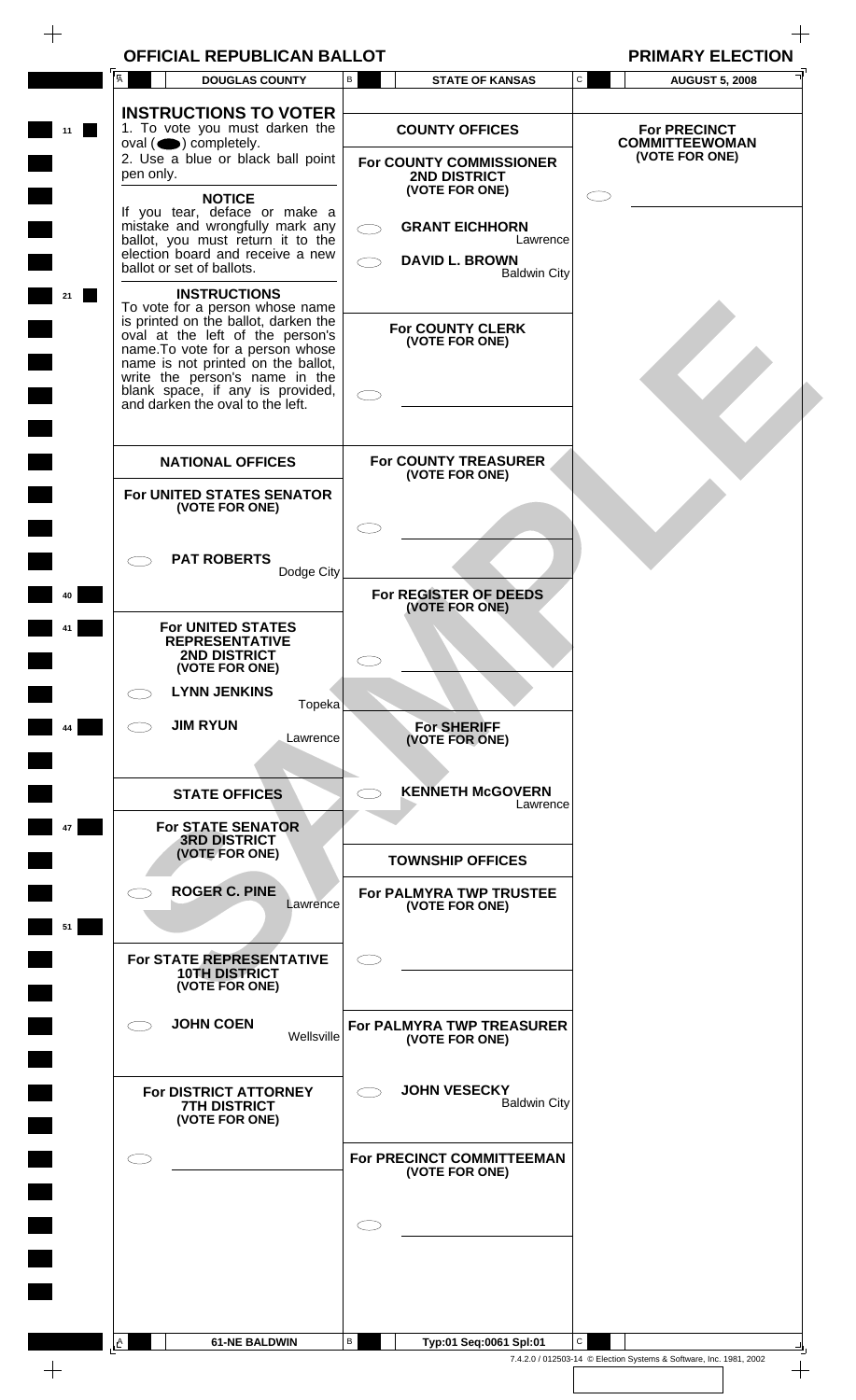|  | <b>PRIMARY ELECTI</b> |  |  |
|--|-----------------------|--|--|
|  |                       |  |  |

|    | Ā         | <b>DOUGLAS COUNTY</b>                                                                                                                                                                                                                                                                                                  | В | <b>STATE OF KANSAS</b>                                           | C                               | <b>AUGUST 5, 2008</b>                                              |  |
|----|-----------|------------------------------------------------------------------------------------------------------------------------------------------------------------------------------------------------------------------------------------------------------------------------------------------------------------------------|---|------------------------------------------------------------------|---------------------------------|--------------------------------------------------------------------|--|
| 11 |           | <b>INSTRUCTIONS TO VOTER</b><br>1. To vote you must darken the                                                                                                                                                                                                                                                         |   | <b>COUNTY OFFICES</b>                                            |                                 | <b>For PRECINCT</b>                                                |  |
|    | pen only. | $oval \textcircled{\bullet}$ ) completely.<br>2. Use a blue or black ball point                                                                                                                                                                                                                                        |   | For COUNTY COMMISSIONER<br>2ND DISTRICT                          |                                 | <b>COMMITTEEWOMAN</b><br>(VOTE FOR ONE)                            |  |
|    |           | <b>NOTICE</b><br>If you tear, deface or make a<br>mistake and wrongfully mark any<br>ballot, you must return it to the<br>election board and receive a new<br>ballot or set of ballots.                                                                                                                                |   | (VOTE FOR ONE)<br><b>GRANT EICHHORN</b><br><b>DAVID L. BROWN</b> | Lawrence<br><b>Baldwin City</b> |                                                                    |  |
|    |           | <b>INSTRUCTIONS</b><br>To vote for a person whose name<br>is printed on the ballot, darken the<br>oval at the left of the person's<br>name. To vote for a person whose<br>name is not printed on the ballot,<br>write the person's name in the<br>blank space, if any is provided,<br>and darken the oval to the left. |   | <b>For COUNTY CLERK</b><br>(VOTE FOR ONE)                        |                                 |                                                                    |  |
|    |           | <b>NATIONAL OFFICES</b>                                                                                                                                                                                                                                                                                                |   | For COUNTY TREASURER<br>(VOTE FOR ONE)                           |                                 |                                                                    |  |
|    |           | For UNITED STATES SENATOR<br>(VOTE FOR ONE)                                                                                                                                                                                                                                                                            |   |                                                                  |                                 |                                                                    |  |
|    |           | <b>PAT ROBERTS</b><br>Dodge City                                                                                                                                                                                                                                                                                       |   | For REGISTER OF DEEDS                                            |                                 |                                                                    |  |
|    |           | <b>For UNITED STATES</b><br><b>REPRESENTATIVE</b><br>2ND DISTRICT<br>(VOTE FOR ONE)                                                                                                                                                                                                                                    |   | (VOTE FOR ONE)                                                   |                                 |                                                                    |  |
|    |           | <b>LYNN JENKINS</b><br>Topeka                                                                                                                                                                                                                                                                                          |   |                                                                  |                                 |                                                                    |  |
| 44 |           | <b>JIM RYUN</b><br>Lawrence                                                                                                                                                                                                                                                                                            |   | <b>For SHERIFF</b><br>(VOTE FOR ONE)                             |                                 |                                                                    |  |
|    |           | <b>STATE OFFICES</b>                                                                                                                                                                                                                                                                                                   |   | <b>KENNETH McGOVERN</b>                                          | Lawrence                        |                                                                    |  |
| 47 |           | <b>For STATE SENATOR</b><br><b>3RD DISTRICT</b><br>(VOTE FOR ONE)                                                                                                                                                                                                                                                      |   | <b>TOWNSHIP OFFICES</b>                                          |                                 |                                                                    |  |
| 51 |           | <b>ROGER C. PINE</b><br>Lawrence                                                                                                                                                                                                                                                                                       |   | For PALMYRA TWP TRUSTEE<br>(VOTE FOR ONE)                        |                                 |                                                                    |  |
|    |           | For STATE REPRESENTATIVE<br><b>10TH DISTRICT</b><br>(VOTE FOR ONE)                                                                                                                                                                                                                                                     |   |                                                                  |                                 |                                                                    |  |
|    |           | <b>JOHN COEN</b><br>Wellsville                                                                                                                                                                                                                                                                                         |   | For PALMYRA TWP TREASURER<br>(VOTE FOR ONE)                      |                                 |                                                                    |  |
|    |           | For DISTRICT ATTORNEY<br><b>7TH DISTRICT</b><br>(VOTE FOR ONE)                                                                                                                                                                                                                                                         |   | <b>JOHN VESECKY</b>                                              | <b>Baldwin City</b>             |                                                                    |  |
|    |           |                                                                                                                                                                                                                                                                                                                        |   | For PRECINCT COMMITTEEMAN<br>(VOTE FOR ONE)                      |                                 |                                                                    |  |
|    |           |                                                                                                                                                                                                                                                                                                                        |   |                                                                  |                                 |                                                                    |  |
|    |           |                                                                                                                                                                                                                                                                                                                        |   |                                                                  |                                 |                                                                    |  |
|    | A         | <b>61-NE BALDWIN</b>                                                                                                                                                                                                                                                                                                   | В | Typ:01 Seq:0061 Spl:01                                           | $\mathsf{C}$                    |                                                                    |  |
|    |           |                                                                                                                                                                                                                                                                                                                        |   |                                                                  |                                 | 7.4.2.0 / 012503-14 © Election Systems & Software, Inc. 1981, 2002 |  |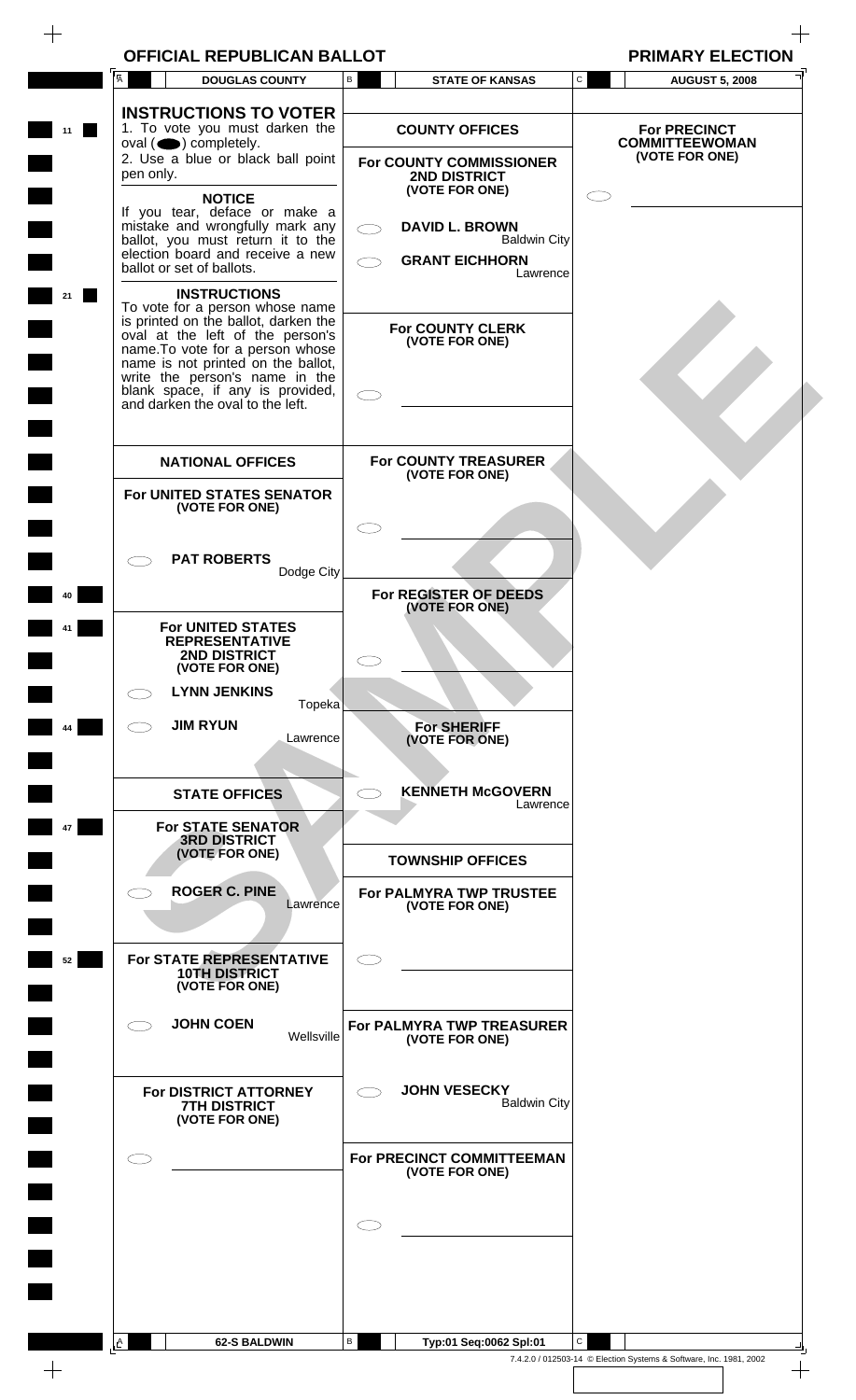| <b>PRIMARY ELECTION</b> |  |
|-------------------------|--|
|-------------------------|--|

| <b>INSTRUCTIONS TO VOTER</b><br>1. To vote you must darken the<br><b>COUNTY OFFICES</b><br><b>For PRECINCT</b><br>11<br>$oval \textcircled{\bullet}$ ) completely.<br><b>COMMITTEEWOMAN</b><br>(VOTE FOR ONE)<br>2. Use a blue or black ball point<br>For COUNTY COMMISSIONER<br>pen only.<br>2ND DISTRICT<br>(VOTE FOR ONE)<br><b>NOTICE</b><br>If you tear, deface or make a<br>mistake and wrongfully mark any<br><b>DAVID L. BROWN</b><br>ballot, you must return it to the<br><b>Baldwin City</b><br>election board and receive a new<br><b>GRANT EICHHORN</b><br>ballot or set of ballots.<br>Lawrence<br><b>INSTRUCTIONS</b><br>To vote for a person whose name<br>is printed on the ballot, darken the<br>For COUNTY CLERK<br>oval at the left of the person's<br>(VOTE FOR ONE)<br>name.To vote for a person whose<br>name is not printed on the ballot,<br>write the person's name in the<br>blank space, if any is provided,<br>and darken the oval to the left.<br>For COUNTY TREASURER<br><b>NATIONAL OFFICES</b><br>(VOTE FOR ONE)<br>For UNITED STATES SENATOR<br>(VOTE FOR ONE)<br><b>PAT ROBERTS</b><br>Dodge City<br>For REGISTER OF DEEDS<br>(VOTE FOR ONE)<br>For UNITED STATES<br><b>REPRESENTATIVE</b><br>2ND DISTRICT<br>(VOTE FOR ONE)<br><b>LYNN JENKINS</b><br>Topeka<br><b>JIM RYUN</b><br><b>For SHERIFF</b><br>44<br>Lawrence<br>(VOTE FOR ONE)<br><b>KENNETH McGOVERN</b><br><b>STATE OFFICES</b><br>Lawrence<br><b>For STATE SENATOR</b><br>47<br><b>3RD DISTRICT</b><br>(VOTE FOR ONE)<br><b>TOWNSHIP OFFICES</b><br><b>ROGER C. PINE</b><br>For PALMYRA TWP TRUSTEE<br>Lawrence<br>(VOTE FOR ONE)<br>For STATE REPRESENTATIVE<br>52<br><b>10TH DISTRICT</b><br>(VOTE FOR ONE)<br><b>JOHN COEN</b><br>For PALMYRA TWP TREASURER<br>- 3<br>Wellsville<br>(VOTE FOR ONE)<br><b>JOHN VESECKY</b><br>For DISTRICT ATTORNEY<br>$\subset$<br><b>Baldwin City</b><br><b>7TH DISTRICT</b><br>(VOTE FOR ONE)<br>For PRECINCT COMMITTEEMAN<br>(VOTE FOR ONE) | Ā | <b>DOUGLAS COUNTY</b> | B | <b>STATE OF KANSAS</b> | C | <b>AUGUST 5, 2008</b> |  |
|------------------------------------------------------------------------------------------------------------------------------------------------------------------------------------------------------------------------------------------------------------------------------------------------------------------------------------------------------------------------------------------------------------------------------------------------------------------------------------------------------------------------------------------------------------------------------------------------------------------------------------------------------------------------------------------------------------------------------------------------------------------------------------------------------------------------------------------------------------------------------------------------------------------------------------------------------------------------------------------------------------------------------------------------------------------------------------------------------------------------------------------------------------------------------------------------------------------------------------------------------------------------------------------------------------------------------------------------------------------------------------------------------------------------------------------------------------------------------------------------------------------------------------------------------------------------------------------------------------------------------------------------------------------------------------------------------------------------------------------------------------------------------------------------------------------------------------------------------------------------------------------------------------------------------------------------------------------------------------|---|-----------------------|---|------------------------|---|-----------------------|--|
|                                                                                                                                                                                                                                                                                                                                                                                                                                                                                                                                                                                                                                                                                                                                                                                                                                                                                                                                                                                                                                                                                                                                                                                                                                                                                                                                                                                                                                                                                                                                                                                                                                                                                                                                                                                                                                                                                                                                                                                    |   |                       |   |                        |   |                       |  |
|                                                                                                                                                                                                                                                                                                                                                                                                                                                                                                                                                                                                                                                                                                                                                                                                                                                                                                                                                                                                                                                                                                                                                                                                                                                                                                                                                                                                                                                                                                                                                                                                                                                                                                                                                                                                                                                                                                                                                                                    |   |                       |   |                        |   |                       |  |
|                                                                                                                                                                                                                                                                                                                                                                                                                                                                                                                                                                                                                                                                                                                                                                                                                                                                                                                                                                                                                                                                                                                                                                                                                                                                                                                                                                                                                                                                                                                                                                                                                                                                                                                                                                                                                                                                                                                                                                                    |   |                       |   |                        |   |                       |  |
|                                                                                                                                                                                                                                                                                                                                                                                                                                                                                                                                                                                                                                                                                                                                                                                                                                                                                                                                                                                                                                                                                                                                                                                                                                                                                                                                                                                                                                                                                                                                                                                                                                                                                                                                                                                                                                                                                                                                                                                    |   |                       |   |                        |   |                       |  |
|                                                                                                                                                                                                                                                                                                                                                                                                                                                                                                                                                                                                                                                                                                                                                                                                                                                                                                                                                                                                                                                                                                                                                                                                                                                                                                                                                                                                                                                                                                                                                                                                                                                                                                                                                                                                                                                                                                                                                                                    |   |                       |   |                        |   |                       |  |
|                                                                                                                                                                                                                                                                                                                                                                                                                                                                                                                                                                                                                                                                                                                                                                                                                                                                                                                                                                                                                                                                                                                                                                                                                                                                                                                                                                                                                                                                                                                                                                                                                                                                                                                                                                                                                                                                                                                                                                                    |   |                       |   |                        |   |                       |  |
|                                                                                                                                                                                                                                                                                                                                                                                                                                                                                                                                                                                                                                                                                                                                                                                                                                                                                                                                                                                                                                                                                                                                                                                                                                                                                                                                                                                                                                                                                                                                                                                                                                                                                                                                                                                                                                                                                                                                                                                    |   |                       |   |                        |   |                       |  |
|                                                                                                                                                                                                                                                                                                                                                                                                                                                                                                                                                                                                                                                                                                                                                                                                                                                                                                                                                                                                                                                                                                                                                                                                                                                                                                                                                                                                                                                                                                                                                                                                                                                                                                                                                                                                                                                                                                                                                                                    |   |                       |   |                        |   |                       |  |
|                                                                                                                                                                                                                                                                                                                                                                                                                                                                                                                                                                                                                                                                                                                                                                                                                                                                                                                                                                                                                                                                                                                                                                                                                                                                                                                                                                                                                                                                                                                                                                                                                                                                                                                                                                                                                                                                                                                                                                                    |   |                       |   |                        |   |                       |  |
|                                                                                                                                                                                                                                                                                                                                                                                                                                                                                                                                                                                                                                                                                                                                                                                                                                                                                                                                                                                                                                                                                                                                                                                                                                                                                                                                                                                                                                                                                                                                                                                                                                                                                                                                                                                                                                                                                                                                                                                    |   |                       |   |                        |   |                       |  |
|                                                                                                                                                                                                                                                                                                                                                                                                                                                                                                                                                                                                                                                                                                                                                                                                                                                                                                                                                                                                                                                                                                                                                                                                                                                                                                                                                                                                                                                                                                                                                                                                                                                                                                                                                                                                                                                                                                                                                                                    |   |                       |   |                        |   |                       |  |
|                                                                                                                                                                                                                                                                                                                                                                                                                                                                                                                                                                                                                                                                                                                                                                                                                                                                                                                                                                                                                                                                                                                                                                                                                                                                                                                                                                                                                                                                                                                                                                                                                                                                                                                                                                                                                                                                                                                                                                                    |   |                       |   |                        |   |                       |  |
|                                                                                                                                                                                                                                                                                                                                                                                                                                                                                                                                                                                                                                                                                                                                                                                                                                                                                                                                                                                                                                                                                                                                                                                                                                                                                                                                                                                                                                                                                                                                                                                                                                                                                                                                                                                                                                                                                                                                                                                    |   |                       |   |                        |   |                       |  |
|                                                                                                                                                                                                                                                                                                                                                                                                                                                                                                                                                                                                                                                                                                                                                                                                                                                                                                                                                                                                                                                                                                                                                                                                                                                                                                                                                                                                                                                                                                                                                                                                                                                                                                                                                                                                                                                                                                                                                                                    |   |                       |   |                        |   |                       |  |
|                                                                                                                                                                                                                                                                                                                                                                                                                                                                                                                                                                                                                                                                                                                                                                                                                                                                                                                                                                                                                                                                                                                                                                                                                                                                                                                                                                                                                                                                                                                                                                                                                                                                                                                                                                                                                                                                                                                                                                                    |   |                       |   |                        |   |                       |  |
|                                                                                                                                                                                                                                                                                                                                                                                                                                                                                                                                                                                                                                                                                                                                                                                                                                                                                                                                                                                                                                                                                                                                                                                                                                                                                                                                                                                                                                                                                                                                                                                                                                                                                                                                                                                                                                                                                                                                                                                    |   |                       |   |                        |   |                       |  |
|                                                                                                                                                                                                                                                                                                                                                                                                                                                                                                                                                                                                                                                                                                                                                                                                                                                                                                                                                                                                                                                                                                                                                                                                                                                                                                                                                                                                                                                                                                                                                                                                                                                                                                                                                                                                                                                                                                                                                                                    |   |                       |   |                        |   |                       |  |
|                                                                                                                                                                                                                                                                                                                                                                                                                                                                                                                                                                                                                                                                                                                                                                                                                                                                                                                                                                                                                                                                                                                                                                                                                                                                                                                                                                                                                                                                                                                                                                                                                                                                                                                                                                                                                                                                                                                                                                                    |   |                       |   |                        |   |                       |  |
| C<br>В<br><sub>A</sub><br><b>62-S BALDWIN</b><br>Typ:01 Seq:0062 Spl:01                                                                                                                                                                                                                                                                                                                                                                                                                                                                                                                                                                                                                                                                                                                                                                                                                                                                                                                                                                                                                                                                                                                                                                                                                                                                                                                                                                                                                                                                                                                                                                                                                                                                                                                                                                                                                                                                                                            |   |                       |   |                        |   |                       |  |
| 7.4.2.0 / 012503-14 © Election Systems & Software, Inc. 1981, 2002                                                                                                                                                                                                                                                                                                                                                                                                                                                                                                                                                                                                                                                                                                                                                                                                                                                                                                                                                                                                                                                                                                                                                                                                                                                                                                                                                                                                                                                                                                                                                                                                                                                                                                                                                                                                                                                                                                                 |   |                       |   |                        |   |                       |  |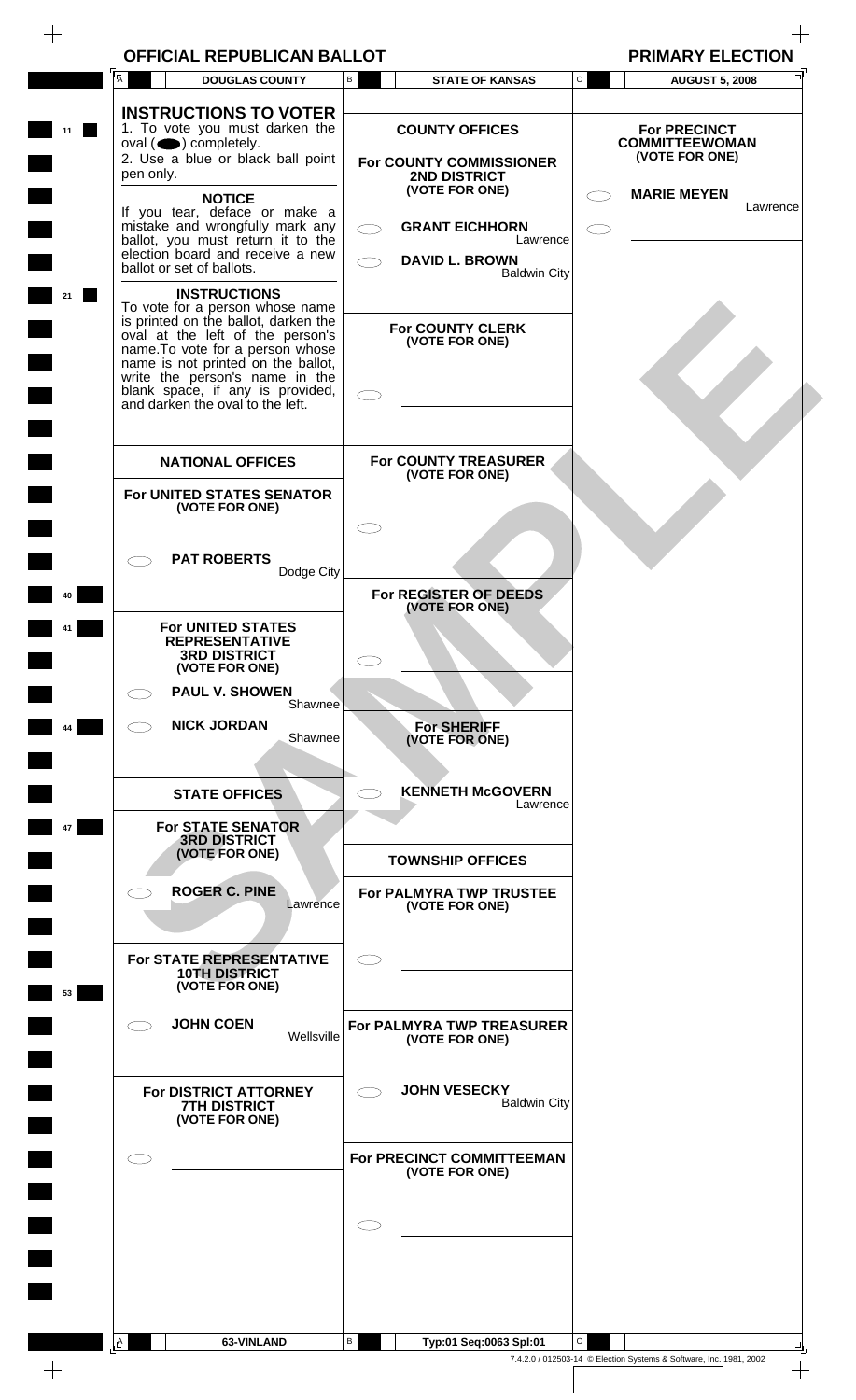| <b>OFFICIAL REPUBLICAN BALLOT</b> |  |  |  |  |
|-----------------------------------|--|--|--|--|
|-----------------------------------|--|--|--|--|

| LOT. | <b>PRIMARY ELECTION</b> |
|------|-------------------------|

| <b>INSTRUCTIONS TO VOTER</b><br>1. To vote you must darken the<br><b>COUNTY OFFICES</b><br><b>For PRECINCT</b><br>$oval(\n\bullet)$ completely.<br><b>COMMITTEEWOMAN</b><br>(VOTE FOR ONE)<br>2. Use a blue or black ball point<br>For COUNTY COMMISSIONER<br>pen only.<br>2ND DISTRICT<br>(VOTE FOR ONE)<br><b>MARIE MEYEN</b><br><b>NOTICE</b><br>Lawrence<br>If you tear, deface or make a<br>mistake and wrongfully mark any<br><b>GRANT EICHHORN</b><br>ballot, you must return it to the<br>Lawrence<br>election board and receive a new<br><b>DAVID L. BROWN</b><br>ballot or set of ballots.<br><b>Baldwin City</b><br><b>INSTRUCTIONS</b><br>To vote for a person whose name<br>is printed on the ballot, darken the<br><b>For COUNTY CLERK</b><br>oval at the left of the person's<br>(VOTE FOR ONE)<br>name. To vote for a person whose<br>name is not printed on the ballot,<br>write the person's name in the<br>blank space, if any is provided,<br>and darken the oval to the left.<br>For COUNTY TREASURER<br><b>NATIONAL OFFICES</b><br>(VOTE FOR ONE)<br>For UNITED STATES SENATOR<br>(VOTE FOR ONE)<br><b>PAT ROBERTS</b><br>Dodge City<br>For REGISTER OF DEEDS<br>(VOTE FOR ONE)<br><b>For UNITED STATES</b><br><b>REPRESENTATIVE</b><br><b>3RD DISTRICT</b><br>(VOTE FOR ONE)<br><b>PAUL V. SHOWEN</b><br>Shawnee<br><b>NICK JORDAN</b><br><b>For SHERIFF</b><br>Shawnee<br>(VOTE FOR ONE)<br><b>KENNETH McGOVERN</b><br><b>STATE OFFICES</b><br>Lawrence<br><b>For STATE SENATOR</b><br>47<br><b>3RD DISTRICT</b><br>(VOTE FOR ONE)<br><b>TOWNSHIP OFFICES</b><br><b>ROGER C. PINE</b><br>For PALMYRA TWP TRUSTEE<br>Lawrence<br>(VOTE FOR ONE)<br>For STATE REPRESENTATIVE<br>CI.<br><b>10TH DISTRICT</b><br>(VOTE FOR ONE)<br>53<br><b>JOHN COEN</b><br>For PALMYRA TWP TREASURER<br>Wellsville<br>(VOTE FOR ONE)<br><b>JOHN VESECKY</b><br>For DISTRICT ATTORNEY<br><b>Baldwin City</b><br><b>7TH DISTRICT</b><br>(VOTE FOR ONE)<br>For PRECINCT COMMITTEEMAN<br>(VOTE FOR ONE)<br>В<br>$\mathsf{C}$<br><u> A</u><br>63-VINLAND<br>Typ:01 Seq:0063 Spl:01 |  | <b>DOUGLAS COUNTY</b> | В | <b>STATE OF KANSAS</b> | С | <b>AUGUST 5, 2008</b> |
|-------------------------------------------------------------------------------------------------------------------------------------------------------------------------------------------------------------------------------------------------------------------------------------------------------------------------------------------------------------------------------------------------------------------------------------------------------------------------------------------------------------------------------------------------------------------------------------------------------------------------------------------------------------------------------------------------------------------------------------------------------------------------------------------------------------------------------------------------------------------------------------------------------------------------------------------------------------------------------------------------------------------------------------------------------------------------------------------------------------------------------------------------------------------------------------------------------------------------------------------------------------------------------------------------------------------------------------------------------------------------------------------------------------------------------------------------------------------------------------------------------------------------------------------------------------------------------------------------------------------------------------------------------------------------------------------------------------------------------------------------------------------------------------------------------------------------------------------------------------------------------------------------------------------------------------------------------------------------------------------------------------------------------------------------------------------------------------|--|-----------------------|---|------------------------|---|-----------------------|
|                                                                                                                                                                                                                                                                                                                                                                                                                                                                                                                                                                                                                                                                                                                                                                                                                                                                                                                                                                                                                                                                                                                                                                                                                                                                                                                                                                                                                                                                                                                                                                                                                                                                                                                                                                                                                                                                                                                                                                                                                                                                                     |  |                       |   |                        |   |                       |
|                                                                                                                                                                                                                                                                                                                                                                                                                                                                                                                                                                                                                                                                                                                                                                                                                                                                                                                                                                                                                                                                                                                                                                                                                                                                                                                                                                                                                                                                                                                                                                                                                                                                                                                                                                                                                                                                                                                                                                                                                                                                                     |  |                       |   |                        |   |                       |
|                                                                                                                                                                                                                                                                                                                                                                                                                                                                                                                                                                                                                                                                                                                                                                                                                                                                                                                                                                                                                                                                                                                                                                                                                                                                                                                                                                                                                                                                                                                                                                                                                                                                                                                                                                                                                                                                                                                                                                                                                                                                                     |  |                       |   |                        |   |                       |
|                                                                                                                                                                                                                                                                                                                                                                                                                                                                                                                                                                                                                                                                                                                                                                                                                                                                                                                                                                                                                                                                                                                                                                                                                                                                                                                                                                                                                                                                                                                                                                                                                                                                                                                                                                                                                                                                                                                                                                                                                                                                                     |  |                       |   |                        |   |                       |
|                                                                                                                                                                                                                                                                                                                                                                                                                                                                                                                                                                                                                                                                                                                                                                                                                                                                                                                                                                                                                                                                                                                                                                                                                                                                                                                                                                                                                                                                                                                                                                                                                                                                                                                                                                                                                                                                                                                                                                                                                                                                                     |  |                       |   |                        |   |                       |
|                                                                                                                                                                                                                                                                                                                                                                                                                                                                                                                                                                                                                                                                                                                                                                                                                                                                                                                                                                                                                                                                                                                                                                                                                                                                                                                                                                                                                                                                                                                                                                                                                                                                                                                                                                                                                                                                                                                                                                                                                                                                                     |  |                       |   |                        |   |                       |
|                                                                                                                                                                                                                                                                                                                                                                                                                                                                                                                                                                                                                                                                                                                                                                                                                                                                                                                                                                                                                                                                                                                                                                                                                                                                                                                                                                                                                                                                                                                                                                                                                                                                                                                                                                                                                                                                                                                                                                                                                                                                                     |  |                       |   |                        |   |                       |
|                                                                                                                                                                                                                                                                                                                                                                                                                                                                                                                                                                                                                                                                                                                                                                                                                                                                                                                                                                                                                                                                                                                                                                                                                                                                                                                                                                                                                                                                                                                                                                                                                                                                                                                                                                                                                                                                                                                                                                                                                                                                                     |  |                       |   |                        |   |                       |
|                                                                                                                                                                                                                                                                                                                                                                                                                                                                                                                                                                                                                                                                                                                                                                                                                                                                                                                                                                                                                                                                                                                                                                                                                                                                                                                                                                                                                                                                                                                                                                                                                                                                                                                                                                                                                                                                                                                                                                                                                                                                                     |  |                       |   |                        |   |                       |
|                                                                                                                                                                                                                                                                                                                                                                                                                                                                                                                                                                                                                                                                                                                                                                                                                                                                                                                                                                                                                                                                                                                                                                                                                                                                                                                                                                                                                                                                                                                                                                                                                                                                                                                                                                                                                                                                                                                                                                                                                                                                                     |  |                       |   |                        |   |                       |
|                                                                                                                                                                                                                                                                                                                                                                                                                                                                                                                                                                                                                                                                                                                                                                                                                                                                                                                                                                                                                                                                                                                                                                                                                                                                                                                                                                                                                                                                                                                                                                                                                                                                                                                                                                                                                                                                                                                                                                                                                                                                                     |  |                       |   |                        |   |                       |
|                                                                                                                                                                                                                                                                                                                                                                                                                                                                                                                                                                                                                                                                                                                                                                                                                                                                                                                                                                                                                                                                                                                                                                                                                                                                                                                                                                                                                                                                                                                                                                                                                                                                                                                                                                                                                                                                                                                                                                                                                                                                                     |  |                       |   |                        |   |                       |
|                                                                                                                                                                                                                                                                                                                                                                                                                                                                                                                                                                                                                                                                                                                                                                                                                                                                                                                                                                                                                                                                                                                                                                                                                                                                                                                                                                                                                                                                                                                                                                                                                                                                                                                                                                                                                                                                                                                                                                                                                                                                                     |  |                       |   |                        |   |                       |
|                                                                                                                                                                                                                                                                                                                                                                                                                                                                                                                                                                                                                                                                                                                                                                                                                                                                                                                                                                                                                                                                                                                                                                                                                                                                                                                                                                                                                                                                                                                                                                                                                                                                                                                                                                                                                                                                                                                                                                                                                                                                                     |  |                       |   |                        |   |                       |
|                                                                                                                                                                                                                                                                                                                                                                                                                                                                                                                                                                                                                                                                                                                                                                                                                                                                                                                                                                                                                                                                                                                                                                                                                                                                                                                                                                                                                                                                                                                                                                                                                                                                                                                                                                                                                                                                                                                                                                                                                                                                                     |  |                       |   |                        |   |                       |
|                                                                                                                                                                                                                                                                                                                                                                                                                                                                                                                                                                                                                                                                                                                                                                                                                                                                                                                                                                                                                                                                                                                                                                                                                                                                                                                                                                                                                                                                                                                                                                                                                                                                                                                                                                                                                                                                                                                                                                                                                                                                                     |  |                       |   |                        |   |                       |
|                                                                                                                                                                                                                                                                                                                                                                                                                                                                                                                                                                                                                                                                                                                                                                                                                                                                                                                                                                                                                                                                                                                                                                                                                                                                                                                                                                                                                                                                                                                                                                                                                                                                                                                                                                                                                                                                                                                                                                                                                                                                                     |  |                       |   |                        |   |                       |
|                                                                                                                                                                                                                                                                                                                                                                                                                                                                                                                                                                                                                                                                                                                                                                                                                                                                                                                                                                                                                                                                                                                                                                                                                                                                                                                                                                                                                                                                                                                                                                                                                                                                                                                                                                                                                                                                                                                                                                                                                                                                                     |  |                       |   |                        |   |                       |
|                                                                                                                                                                                                                                                                                                                                                                                                                                                                                                                                                                                                                                                                                                                                                                                                                                                                                                                                                                                                                                                                                                                                                                                                                                                                                                                                                                                                                                                                                                                                                                                                                                                                                                                                                                                                                                                                                                                                                                                                                                                                                     |  |                       |   |                        |   |                       |
|                                                                                                                                                                                                                                                                                                                                                                                                                                                                                                                                                                                                                                                                                                                                                                                                                                                                                                                                                                                                                                                                                                                                                                                                                                                                                                                                                                                                                                                                                                                                                                                                                                                                                                                                                                                                                                                                                                                                                                                                                                                                                     |  |                       |   |                        |   |                       |
|                                                                                                                                                                                                                                                                                                                                                                                                                                                                                                                                                                                                                                                                                                                                                                                                                                                                                                                                                                                                                                                                                                                                                                                                                                                                                                                                                                                                                                                                                                                                                                                                                                                                                                                                                                                                                                                                                                                                                                                                                                                                                     |  |                       |   |                        |   |                       |
|                                                                                                                                                                                                                                                                                                                                                                                                                                                                                                                                                                                                                                                                                                                                                                                                                                                                                                                                                                                                                                                                                                                                                                                                                                                                                                                                                                                                                                                                                                                                                                                                                                                                                                                                                                                                                                                                                                                                                                                                                                                                                     |  |                       |   |                        |   |                       |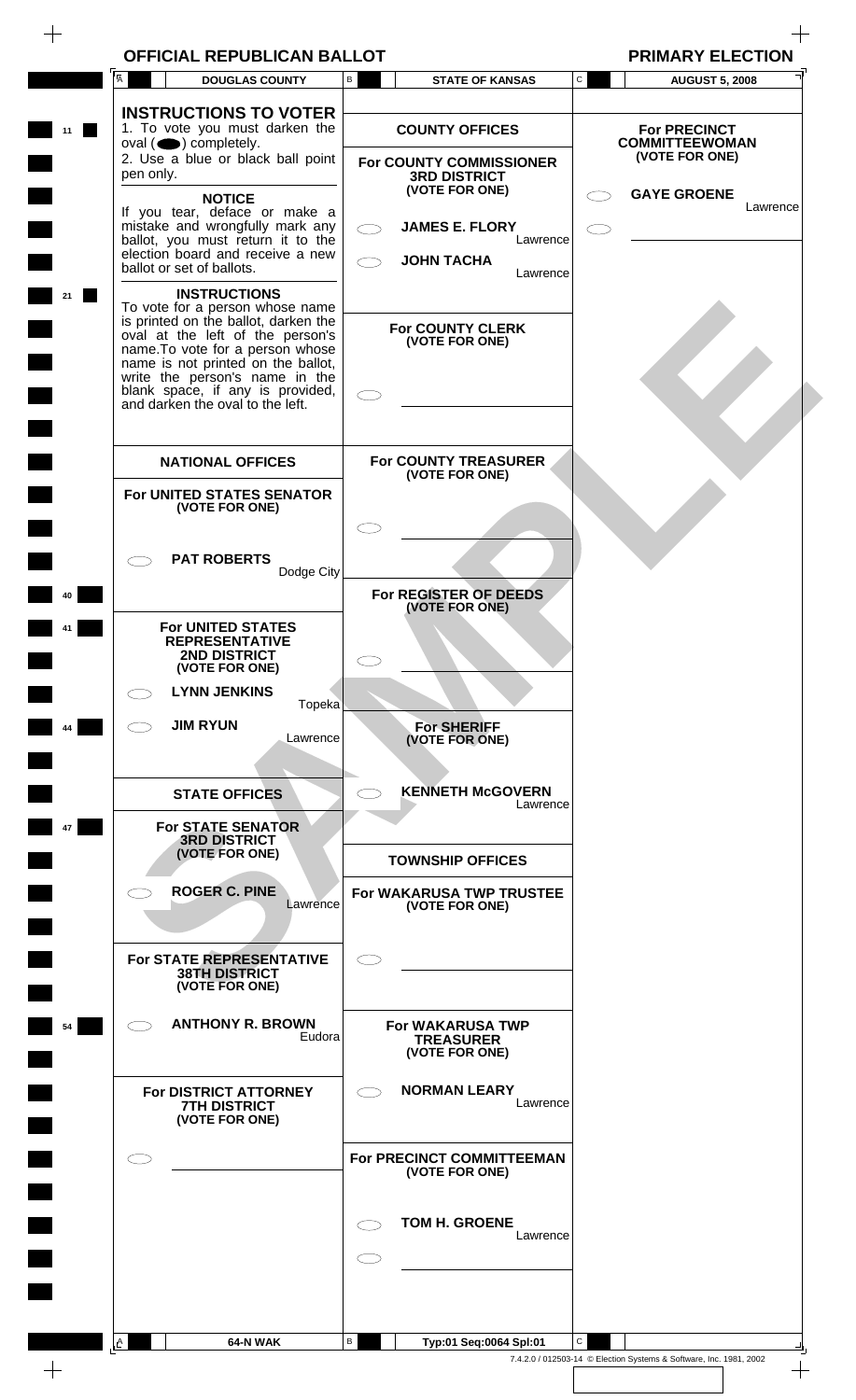| OFFICIAL REPUBLICAN BALLOT | <b>PRIMARY ELECTION</b> |
|----------------------------|-------------------------|
|----------------------------|-------------------------|

| <b>PRIMARY ELECTI</b> |  |
|-----------------------|--|
|-----------------------|--|

|     | A         | <b>DOUGLAS COUNTY</b>                                                                                                                                                                                                                                                                           | в   | <b>STATE OF KANSAS</b>                                           | С            | <b>AUGUST 5, 2008</b>                                              |
|-----|-----------|-------------------------------------------------------------------------------------------------------------------------------------------------------------------------------------------------------------------------------------------------------------------------------------------------|-----|------------------------------------------------------------------|--------------|--------------------------------------------------------------------|
|     |           | <b>INSTRUCTIONS TO VOTER</b><br>1. To vote you must darken the<br>oval $($ $\bullet)$ completely.                                                                                                                                                                                               |     | <b>COUNTY OFFICES</b>                                            |              | <b>For PRECINCT</b><br><b>COMMITTEEWOMAN</b>                       |
|     | pen only. | 2. Use a blue or black ball point<br><b>NOTICE</b>                                                                                                                                                                                                                                              |     | For COUNTY COMMISSIONER<br><b>3RD DISTRICT</b><br>(VOTE FOR ONE) |              | (VOTE FOR ONE)<br><b>GAYE GROENE</b>                               |
|     |           | If you tear, deface or make a<br>mistake and wrongfully mark any<br>ballot, you must return it to the<br>election board and receive a new                                                                                                                                                       |     | <b>JAMES E. FLORY</b><br>Lawrence                                |              | Lawrence                                                           |
|     |           | ballot or set of ballots.<br><b>INSTRUCTIONS</b>                                                                                                                                                                                                                                                |     | <b>JOHN TACHA</b><br>Lawrence                                    |              |                                                                    |
|     |           | To vote for a person whose name<br>is printed on the ballot, darken the<br>oval at the left of the person's<br>name. To vote for a person whose<br>name is not printed on the ballot,<br>write the person's name in the<br>blank space, if any is provided,<br>and darken the oval to the left. |     | <b>For COUNTY CLERK</b><br>(VOTE FOR ONE)                        |              |                                                                    |
|     |           |                                                                                                                                                                                                                                                                                                 |     |                                                                  |              |                                                                    |
|     |           | <b>NATIONAL OFFICES</b><br>For UNITED STATES SENATOR<br>(VOTE FOR ONE)                                                                                                                                                                                                                          |     | For COUNTY TREASURER<br>(VOTE FOR ONE)                           |              |                                                                    |
|     |           | <b>PAT ROBERTS</b>                                                                                                                                                                                                                                                                              |     |                                                                  |              |                                                                    |
|     |           | Dodge City                                                                                                                                                                                                                                                                                      |     | For REGISTER OF DEEDS<br>(VOTE FOR ONE)                          |              |                                                                    |
|     |           | For UNITED STATES<br><b>REPRESENTATIVE</b><br>2ND DISTRICT<br>(VOTE FOR ONE)                                                                                                                                                                                                                    |     |                                                                  |              |                                                                    |
|     | - 7       | <b>LYNN JENKINS</b><br>Topeka                                                                                                                                                                                                                                                                   |     |                                                                  |              |                                                                    |
| 44  |           | <b>JIM RYUN</b><br>Lawrence                                                                                                                                                                                                                                                                     |     | <b>For SHERIFF</b><br>(VOTE FOR ONE)                             |              |                                                                    |
|     |           | <b>STATE OFFICES</b>                                                                                                                                                                                                                                                                            |     | <b>KENNETH McGOVERN</b><br>Lawrence                              |              |                                                                    |
| 47  |           | <b>For STATE SENATOR</b><br><b>3RD DISTRICT</b><br>(VOTE FOR ONE)                                                                                                                                                                                                                               |     | <b>TOWNSHIP OFFICES</b>                                          |              |                                                                    |
|     |           | <b>ROGER C. PINE</b><br>Lawrence                                                                                                                                                                                                                                                                |     | For WAKARUSA TWP TRUSTEE<br>(VOTE FOR ONE)                       |              |                                                                    |
|     |           | For STATE REPRESENTATIVE<br><b>38TH DISTRICT</b><br>(VOTE FOR ONE)                                                                                                                                                                                                                              | C D |                                                                  |              |                                                                    |
| 54  |           | <b>ANTHONY R. BROWN</b><br>Eudora                                                                                                                                                                                                                                                               |     | For WAKARUSA TWP<br><b>TREASURER</b><br>(VOTE FOR ONE)           |              |                                                                    |
|     |           | For DISTRICT ATTORNEY<br><b>7TH DISTRICT</b><br>(VOTE FOR ONE)                                                                                                                                                                                                                                  |     | <b>NORMAN LEARY</b><br>Lawrence                                  |              |                                                                    |
|     |           |                                                                                                                                                                                                                                                                                                 |     | For PRECINCT COMMITTEEMAN<br>(VOTE FOR ONE)                      |              |                                                                    |
|     |           |                                                                                                                                                                                                                                                                                                 |     | <b>TOM H. GROENE</b><br>Lawrence                                 |              |                                                                    |
|     |           |                                                                                                                                                                                                                                                                                                 |     |                                                                  |              |                                                                    |
|     | A         | 64-N WAK                                                                                                                                                                                                                                                                                        | В   | Typ:01 Seq:0064 Spl:01                                           | $\mathbf{C}$ |                                                                    |
| $+$ |           |                                                                                                                                                                                                                                                                                                 |     |                                                                  |              | 7.4.2.0 / 012503-14 © Election Systems & Software, Inc. 1981, 2002 |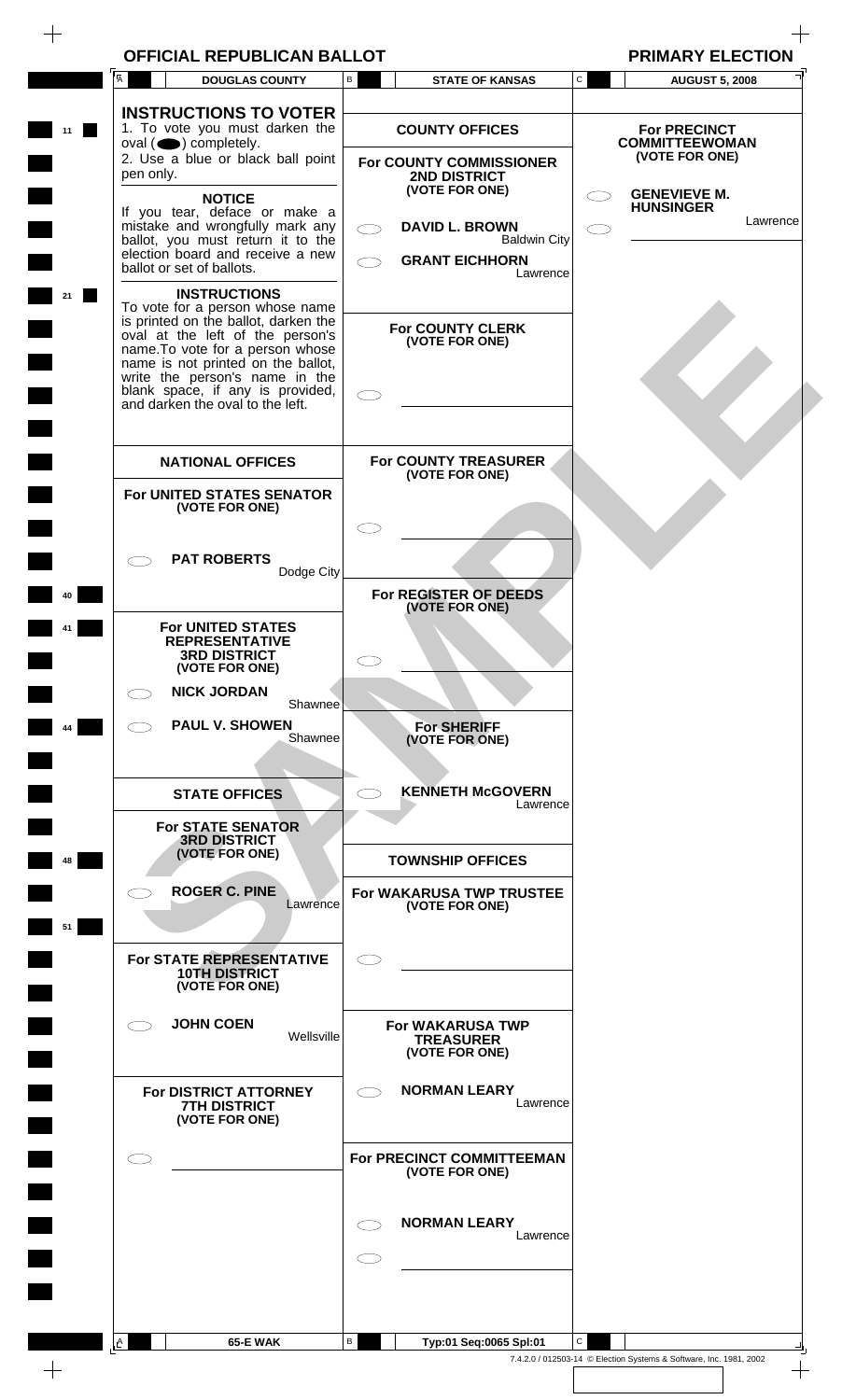| <b>OFFICIAL REPUBLICAN BALLOT</b> |  |  |  |
|-----------------------------------|--|--|--|
|-----------------------------------|--|--|--|

 $\begin{tabular}{c} \multicolumn{1}{c} {\textbf{+}} \\ \multicolumn{1}{c} {\textbf{+}} \\ \multicolumn{1}{c} {\textbf{+}} \\ \multicolumn{1}{c} {\textbf{+}} \\ \multicolumn{1}{c} {\textbf{+}} \\ \multicolumn{1}{c} {\textbf{+}} \\ \multicolumn{1}{c} {\textbf{+}} \\ \multicolumn{1}{c} {\textbf{+}} \\ \multicolumn{1}{c} {\textbf{+}} \\ \multicolumn{1}{c} {\textbf{+}} \\ \multicolumn{1}{c} {\textbf{+}} \\ \multicolumn{1}{c} {\textbf{+}} \\ \multicolumn{1}{c} {\textbf{+}} \\ \multicolumn$ 

| <b>LOT</b> | <b>PRIMARY ELECTION</b> |
|------------|-------------------------|

| <b>INSTRUCTIONS TO VOTER</b><br>1. To vote you must darken the<br><b>For PRECINCT</b><br><b>COUNTY OFFICES</b><br>$oval(\n\bullet)$ completely.<br><b>COMMITTEEWOMAN</b><br>(VOTE FOR ONE)<br>2. Use a blue or black ball point<br>For COUNTY COMMISSIONER<br>pen only.<br>2ND DISTRICT<br>(VOTE FOR ONE)<br><b>GENEVIEVE M.</b><br><b>NOTICE</b><br><b>HUNSINGER</b><br>If you tear, deface or make a<br>mistake and wrongfully mark any<br><b>DAVID L. BROWN</b><br>ballot, you must return it to the<br><b>Baldwin City</b><br>election board and receive a new<br><b>GRANT EICHHORN</b><br>ballot or set of ballots.<br>Lawrence<br><b>INSTRUCTIONS</b><br>To vote for a person whose name<br>is printed on the ballot, darken the<br><b>For COUNTY CLERK</b><br>oval at the left of the person's<br>(VOTE FOR ONE)<br>name. To vote for a person whose<br>name is not printed on the ballot,<br>write the person's name in the<br>blank space, if any is provided,<br>and darken the oval to the left.<br>For COUNTY TREASURER<br><b>NATIONAL OFFICES</b><br>(VOTE FOR ONE)<br>For UNITED STATES SENATOR<br>(VOTE FOR ONE)<br><b>PAT ROBERTS</b><br>Dodge City<br>For REGISTER OF DEEDS<br>(VOTE FOR ONE)<br><b>For UNITED STATES</b><br><b>REPRESENTATIVE</b><br><b>3RD DISTRICT</b><br>(VOTE FOR ONE)<br><b>NICK JORDAN</b><br>$\bigcap$<br>Shawnee<br><b>PAUL V. SHOWEN</b><br><b>For SHERIFF</b><br>Shawnee<br>(VOTE FOR ONE)<br><b>KENNETH McGOVERN</b><br><b>STATE OFFICES</b><br>Lawrence<br><b>For STATE SENATOR</b><br><b>3RD DISTRICT</b><br>(VOTE FOR ONE)<br><b>TOWNSHIP OFFICES</b><br>48<br><b>ROGER C. PINE</b><br><b>For WAKARUSA TWP TRUSTEE</b><br>Lawrence<br>(VOTE FOR ONE)<br>51<br>For STATE REPRESENTATIVE<br>C D<br><b>10TH DISTRICT</b><br>(VOTE FOR ONE)<br><b>JOHN COEN</b><br>For WAKARUSA TWP<br>Wellsville<br><b>TREASURER</b><br>(VOTE FOR ONE)<br><b>NORMAN LEARY</b><br>For DISTRICT ATTORNEY<br>Lawrence<br><b>7TH DISTRICT</b><br>(VOTE FOR ONE)<br>For PRECINCT COMMITTEEMAN<br>- 1<br>(VOTE FOR ONE)<br><b>NORMAN LEARY</b><br>Lawrence |  | <b>DOUGLAS COUNTY</b> | В | <b>STATE OF KANSAS</b> | С | <b>AUGUST 5, 2008</b> |
|-----------------------------------------------------------------------------------------------------------------------------------------------------------------------------------------------------------------------------------------------------------------------------------------------------------------------------------------------------------------------------------------------------------------------------------------------------------------------------------------------------------------------------------------------------------------------------------------------------------------------------------------------------------------------------------------------------------------------------------------------------------------------------------------------------------------------------------------------------------------------------------------------------------------------------------------------------------------------------------------------------------------------------------------------------------------------------------------------------------------------------------------------------------------------------------------------------------------------------------------------------------------------------------------------------------------------------------------------------------------------------------------------------------------------------------------------------------------------------------------------------------------------------------------------------------------------------------------------------------------------------------------------------------------------------------------------------------------------------------------------------------------------------------------------------------------------------------------------------------------------------------------------------------------------------------------------------------------------------------------------------------------------------------------------------------------------------------|--|-----------------------|---|------------------------|---|-----------------------|
|                                                                                                                                                                                                                                                                                                                                                                                                                                                                                                                                                                                                                                                                                                                                                                                                                                                                                                                                                                                                                                                                                                                                                                                                                                                                                                                                                                                                                                                                                                                                                                                                                                                                                                                                                                                                                                                                                                                                                                                                                                                                                   |  |                       |   |                        |   |                       |
|                                                                                                                                                                                                                                                                                                                                                                                                                                                                                                                                                                                                                                                                                                                                                                                                                                                                                                                                                                                                                                                                                                                                                                                                                                                                                                                                                                                                                                                                                                                                                                                                                                                                                                                                                                                                                                                                                                                                                                                                                                                                                   |  |                       |   |                        |   |                       |
|                                                                                                                                                                                                                                                                                                                                                                                                                                                                                                                                                                                                                                                                                                                                                                                                                                                                                                                                                                                                                                                                                                                                                                                                                                                                                                                                                                                                                                                                                                                                                                                                                                                                                                                                                                                                                                                                                                                                                                                                                                                                                   |  |                       |   |                        |   | Lawrence              |
|                                                                                                                                                                                                                                                                                                                                                                                                                                                                                                                                                                                                                                                                                                                                                                                                                                                                                                                                                                                                                                                                                                                                                                                                                                                                                                                                                                                                                                                                                                                                                                                                                                                                                                                                                                                                                                                                                                                                                                                                                                                                                   |  |                       |   |                        |   |                       |
|                                                                                                                                                                                                                                                                                                                                                                                                                                                                                                                                                                                                                                                                                                                                                                                                                                                                                                                                                                                                                                                                                                                                                                                                                                                                                                                                                                                                                                                                                                                                                                                                                                                                                                                                                                                                                                                                                                                                                                                                                                                                                   |  |                       |   |                        |   |                       |
|                                                                                                                                                                                                                                                                                                                                                                                                                                                                                                                                                                                                                                                                                                                                                                                                                                                                                                                                                                                                                                                                                                                                                                                                                                                                                                                                                                                                                                                                                                                                                                                                                                                                                                                                                                                                                                                                                                                                                                                                                                                                                   |  |                       |   |                        |   |                       |
|                                                                                                                                                                                                                                                                                                                                                                                                                                                                                                                                                                                                                                                                                                                                                                                                                                                                                                                                                                                                                                                                                                                                                                                                                                                                                                                                                                                                                                                                                                                                                                                                                                                                                                                                                                                                                                                                                                                                                                                                                                                                                   |  |                       |   |                        |   |                       |
|                                                                                                                                                                                                                                                                                                                                                                                                                                                                                                                                                                                                                                                                                                                                                                                                                                                                                                                                                                                                                                                                                                                                                                                                                                                                                                                                                                                                                                                                                                                                                                                                                                                                                                                                                                                                                                                                                                                                                                                                                                                                                   |  |                       |   |                        |   |                       |
|                                                                                                                                                                                                                                                                                                                                                                                                                                                                                                                                                                                                                                                                                                                                                                                                                                                                                                                                                                                                                                                                                                                                                                                                                                                                                                                                                                                                                                                                                                                                                                                                                                                                                                                                                                                                                                                                                                                                                                                                                                                                                   |  |                       |   |                        |   |                       |
|                                                                                                                                                                                                                                                                                                                                                                                                                                                                                                                                                                                                                                                                                                                                                                                                                                                                                                                                                                                                                                                                                                                                                                                                                                                                                                                                                                                                                                                                                                                                                                                                                                                                                                                                                                                                                                                                                                                                                                                                                                                                                   |  |                       |   |                        |   |                       |
|                                                                                                                                                                                                                                                                                                                                                                                                                                                                                                                                                                                                                                                                                                                                                                                                                                                                                                                                                                                                                                                                                                                                                                                                                                                                                                                                                                                                                                                                                                                                                                                                                                                                                                                                                                                                                                                                                                                                                                                                                                                                                   |  |                       |   |                        |   |                       |
|                                                                                                                                                                                                                                                                                                                                                                                                                                                                                                                                                                                                                                                                                                                                                                                                                                                                                                                                                                                                                                                                                                                                                                                                                                                                                                                                                                                                                                                                                                                                                                                                                                                                                                                                                                                                                                                                                                                                                                                                                                                                                   |  |                       |   |                        |   |                       |
|                                                                                                                                                                                                                                                                                                                                                                                                                                                                                                                                                                                                                                                                                                                                                                                                                                                                                                                                                                                                                                                                                                                                                                                                                                                                                                                                                                                                                                                                                                                                                                                                                                                                                                                                                                                                                                                                                                                                                                                                                                                                                   |  |                       |   |                        |   |                       |
|                                                                                                                                                                                                                                                                                                                                                                                                                                                                                                                                                                                                                                                                                                                                                                                                                                                                                                                                                                                                                                                                                                                                                                                                                                                                                                                                                                                                                                                                                                                                                                                                                                                                                                                                                                                                                                                                                                                                                                                                                                                                                   |  |                       |   |                        |   |                       |
|                                                                                                                                                                                                                                                                                                                                                                                                                                                                                                                                                                                                                                                                                                                                                                                                                                                                                                                                                                                                                                                                                                                                                                                                                                                                                                                                                                                                                                                                                                                                                                                                                                                                                                                                                                                                                                                                                                                                                                                                                                                                                   |  |                       |   |                        |   |                       |
|                                                                                                                                                                                                                                                                                                                                                                                                                                                                                                                                                                                                                                                                                                                                                                                                                                                                                                                                                                                                                                                                                                                                                                                                                                                                                                                                                                                                                                                                                                                                                                                                                                                                                                                                                                                                                                                                                                                                                                                                                                                                                   |  |                       |   |                        |   |                       |
|                                                                                                                                                                                                                                                                                                                                                                                                                                                                                                                                                                                                                                                                                                                                                                                                                                                                                                                                                                                                                                                                                                                                                                                                                                                                                                                                                                                                                                                                                                                                                                                                                                                                                                                                                                                                                                                                                                                                                                                                                                                                                   |  |                       |   |                        |   |                       |
|                                                                                                                                                                                                                                                                                                                                                                                                                                                                                                                                                                                                                                                                                                                                                                                                                                                                                                                                                                                                                                                                                                                                                                                                                                                                                                                                                                                                                                                                                                                                                                                                                                                                                                                                                                                                                                                                                                                                                                                                                                                                                   |  |                       |   |                        |   |                       |
|                                                                                                                                                                                                                                                                                                                                                                                                                                                                                                                                                                                                                                                                                                                                                                                                                                                                                                                                                                                                                                                                                                                                                                                                                                                                                                                                                                                                                                                                                                                                                                                                                                                                                                                                                                                                                                                                                                                                                                                                                                                                                   |  |                       |   |                        |   |                       |
|                                                                                                                                                                                                                                                                                                                                                                                                                                                                                                                                                                                                                                                                                                                                                                                                                                                                                                                                                                                                                                                                                                                                                                                                                                                                                                                                                                                                                                                                                                                                                                                                                                                                                                                                                                                                                                                                                                                                                                                                                                                                                   |  |                       |   |                        |   |                       |
|                                                                                                                                                                                                                                                                                                                                                                                                                                                                                                                                                                                                                                                                                                                                                                                                                                                                                                                                                                                                                                                                                                                                                                                                                                                                                                                                                                                                                                                                                                                                                                                                                                                                                                                                                                                                                                                                                                                                                                                                                                                                                   |  |                       |   |                        |   |                       |
|                                                                                                                                                                                                                                                                                                                                                                                                                                                                                                                                                                                                                                                                                                                                                                                                                                                                                                                                                                                                                                                                                                                                                                                                                                                                                                                                                                                                                                                                                                                                                                                                                                                                                                                                                                                                                                                                                                                                                                                                                                                                                   |  |                       |   |                        |   |                       |
| В<br>C<br><u> A</u><br>65-E WAK<br>Typ:01 Seq:0065 Spl:01                                                                                                                                                                                                                                                                                                                                                                                                                                                                                                                                                                                                                                                                                                                                                                                                                                                                                                                                                                                                                                                                                                                                                                                                                                                                                                                                                                                                                                                                                                                                                                                                                                                                                                                                                                                                                                                                                                                                                                                                                         |  |                       |   |                        |   |                       |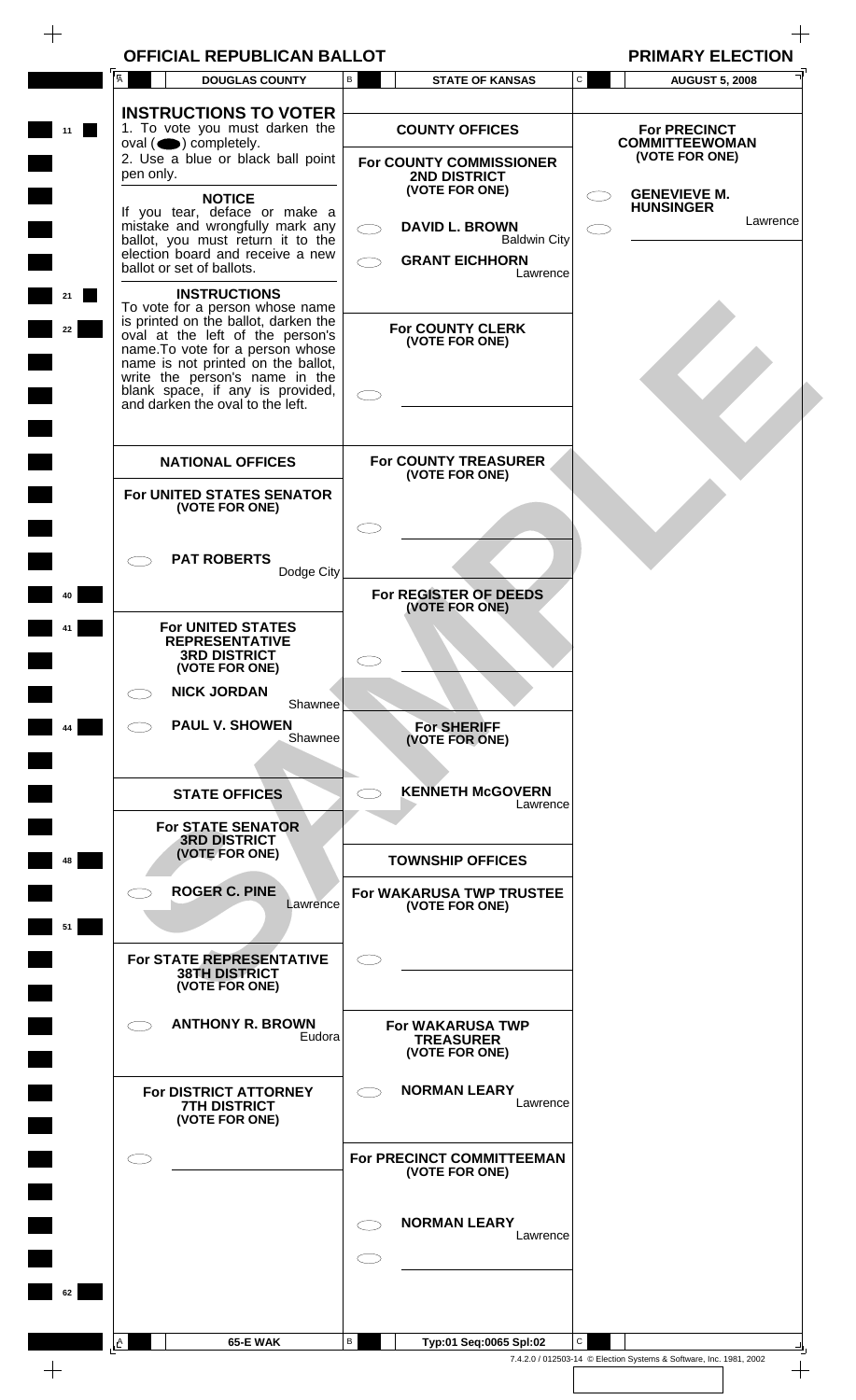| $\overline{A}$<br><b>DOUGLAS COUNTY</b>                                                                                                                                                                                                                      | $\mathsf B$       | <b>STATE OF KANSAS</b>                                                | $\mathtt{C}$ | <b>AUGUST 5, 2008</b>                        |
|--------------------------------------------------------------------------------------------------------------------------------------------------------------------------------------------------------------------------------------------------------------|-------------------|-----------------------------------------------------------------------|--------------|----------------------------------------------|
| <b>INSTRUCTIONS TO VOTER</b><br>1. To vote you must darken the<br>$oval(\n\bullet)$ completely.                                                                                                                                                              |                   | <b>COUNTY OFFICES</b>                                                 |              | <b>For PRECINCT</b><br><b>COMMITTEEWOMAN</b> |
| 2. Use a blue or black ball point<br>pen only.<br><b>NOTICE</b>                                                                                                                                                                                              |                   | For COUNTY COMMISSIONER<br>2ND DISTRICT<br>(VOTE FOR ONE)             |              | (VOTE FOR ONE)<br><b>GENEVIEVE M.</b>        |
| If you tear, deface or make a<br>mistake and wrongfully mark any<br>ballot, you must return it to the<br>election board and receive a new                                                                                                                    | $\subset$ .       | <b>DAVID L. BROWN</b><br><b>Baldwin City</b><br><b>GRANT EICHHORN</b> |              | <b>HUNSINGER</b><br>Lawrence                 |
| ballot or set of ballots.<br><b>INSTRUCTIONS</b><br>To vote for a person whose name                                                                                                                                                                          |                   | Lawrence                                                              |              |                                              |
| is printed on the ballot, darken the<br>oval at the left of the person's<br>name. To vote for a person whose<br>name is not printed on the ballot,<br>write the person's name in the<br>blank space, if any is provided,<br>and darken the oval to the left. |                   | <b>For COUNTY CLERK</b><br>(VOTE FOR ONE)                             |              |                                              |
| <b>NATIONAL OFFICES</b>                                                                                                                                                                                                                                      |                   | For COUNTY TREASURER                                                  |              |                                              |
| For UNITED STATES SENATOR<br>(VOTE FOR ONE)                                                                                                                                                                                                                  |                   | (VOTE FOR ONE)                                                        |              |                                              |
| <b>PAT ROBERTS</b><br>Dodge City                                                                                                                                                                                                                             |                   |                                                                       |              |                                              |
| <b>For UNITED STATES</b><br><b>REPRESENTATIVE</b>                                                                                                                                                                                                            |                   | For REGISTER OF DEEDS<br>(VOTE FOR ONE)                               |              |                                              |
| <b>3RD DISTRICT</b><br>(VOTE FOR ONE)<br><b>NICK JORDAN</b><br>$\subset$ $\supset$<br>Shawnee                                                                                                                                                                | $\subset$         |                                                                       |              |                                              |
| <b>PAUL V. SHOWEN</b><br>- 7<br>Shawnee                                                                                                                                                                                                                      |                   | <b>For SHERIFF</b><br>(VOTE FOR ONE)                                  |              |                                              |
| <b>STATE OFFICES</b><br><b>For STATE SENATOR</b>                                                                                                                                                                                                             |                   | <b>KENNETH McGOVERN</b><br>Lawrence                                   |              |                                              |
| <b>3RD DISTRICT</b><br>(VOTE FOR ONE)<br><b>ROGER C. PINE</b>                                                                                                                                                                                                |                   | <b>TOWNSHIP OFFICES</b>                                               |              |                                              |
| Lawrence                                                                                                                                                                                                                                                     |                   | For WAKARUSA TWP TRUSTEE<br>(VOTE FOR ONE)                            |              |                                              |
| For STATE REPRESENTATIVE<br><b>38TH DISTRICT</b><br>(VOTE FOR ONE)                                                                                                                                                                                           | C D               |                                                                       |              |                                              |
| <b>ANTHONY R. BROWN</b><br>Eudora                                                                                                                                                                                                                            |                   | <b>For WAKARUSA TWP</b><br><b>TREASURER</b><br>(VOTE FOR ONE)         |              |                                              |
| For DISTRICT ATTORNEY<br><b>7TH DISTRICT</b><br>(VOTE FOR ONE)                                                                                                                                                                                               | $\subset \supset$ | <b>NORMAN LEARY</b><br>Lawrence                                       |              |                                              |
|                                                                                                                                                                                                                                                              |                   | For PRECINCT COMMITTEEMAN<br>(VOTE FOR ONE)                           |              |                                              |
|                                                                                                                                                                                                                                                              |                   | <b>NORMAN LEARY</b><br>Lawrence                                       |              |                                              |
|                                                                                                                                                                                                                                                              |                   |                                                                       |              |                                              |
| 65-E WAK<br>LA                                                                                                                                                                                                                                               | В                 | Typ:01 Seq:0065 Spl:02                                                | C            |                                              |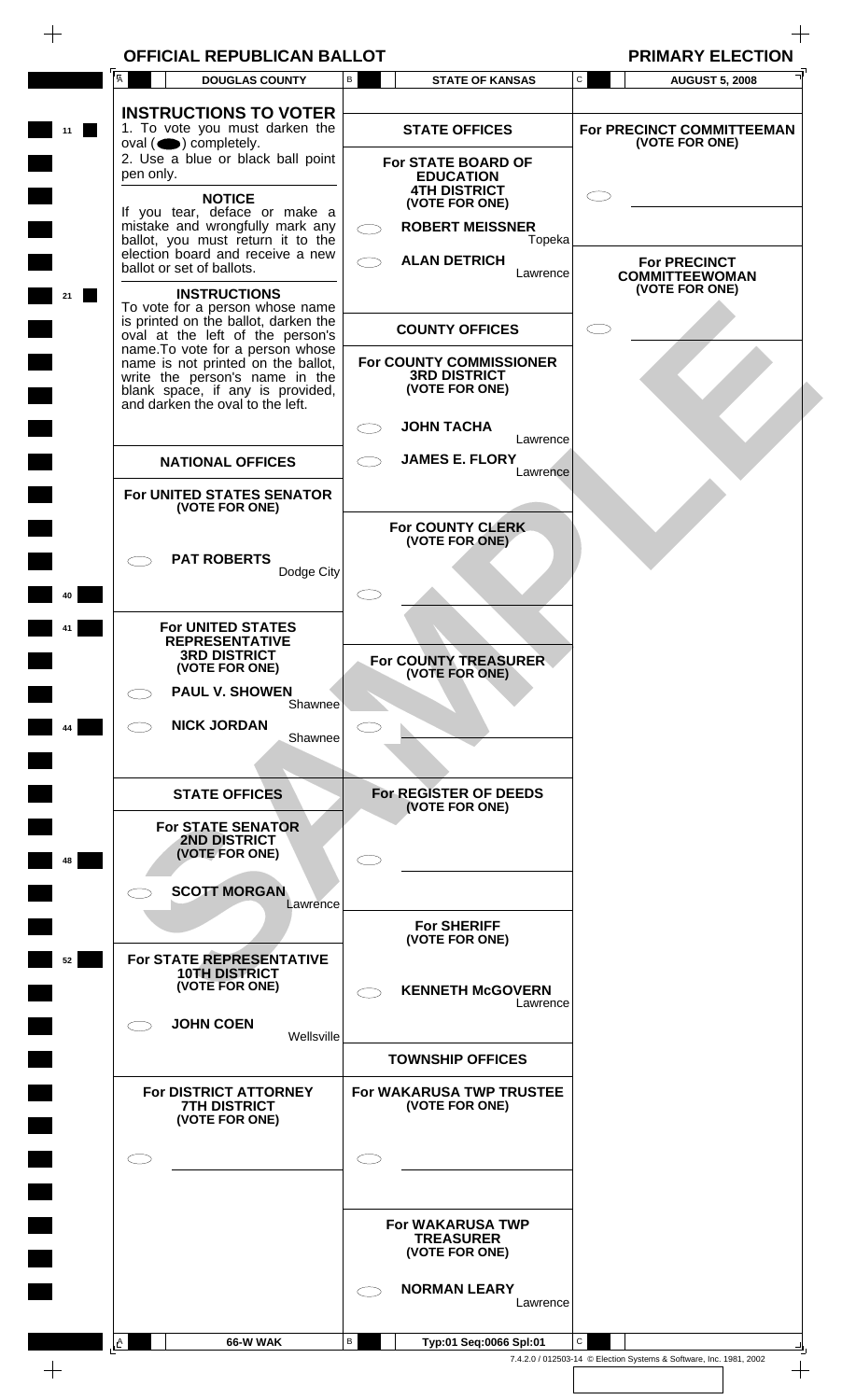## **OFFICIAL REPUBLICAN BALLOT PRIMARY ELECTION**

 $\,$  +  $\,$ 

 $\!+\!$ 

|    | Ā           | <b>DOUGLAS COUNTY</b>                                                                                                                           | В | <b>STATE OF KANSAS</b>                                           |          | C            | <b>AUGUST 5, 2008</b>                                          |
|----|-------------|-------------------------------------------------------------------------------------------------------------------------------------------------|---|------------------------------------------------------------------|----------|--------------|----------------------------------------------------------------|
| 11 |             | <b>INSTRUCTIONS TO VOTER</b><br>1. To vote you must darken the                                                                                  |   | <b>STATE OFFICES</b>                                             |          |              | For PRECINCT COMMITTEEMAN                                      |
|    | pen only.   | $oval(\bigodot)$ completely.<br>2. Use a blue or black ball point<br><b>NOTICE</b>                                                              |   | For STATE BOARD OF<br><b>EDUCATION</b><br><b>4TH DISTRICT</b>    |          |              | (VOTE FOR ONE)                                                 |
|    |             | If you tear, deface or make a<br>mistake and wrongfully mark any<br>ballot, you must return it to the<br>election board and receive a new       |   | (VOTE FOR ONE)<br><b>ROBERT MEISSNER</b>                         | Topeka   |              |                                                                |
|    |             | ballot or set of ballots.<br><b>INSTRUCTIONS</b>                                                                                                |   | <b>ALAN DETRICH</b>                                              | Lawrence |              | <b>For PRECINCT</b><br><b>COMMITTEEWOMAN</b><br>(VOTE FOR ONE) |
|    |             | To vote for a person whose name<br>is printed on the ballot, darken the<br>oval at the left of the person's<br>name. To vote for a person whose |   | <b>COUNTY OFFICES</b>                                            |          |              |                                                                |
|    |             | name is not printed on the ballot,<br>write the person's name in the<br>blank space, if any is provided,<br>and darken the oval to the left.    |   | For COUNTY COMMISSIONER<br><b>3RD DISTRICT</b><br>(VOTE FOR ONE) |          |              |                                                                |
|    |             |                                                                                                                                                 |   | <b>JOHN TACHA</b>                                                | Lawrence |              |                                                                |
|    |             | <b>NATIONAL OFFICES</b>                                                                                                                         |   | <b>JAMES E. FLORY</b>                                            | Lawrence |              |                                                                |
|    |             | For UNITED STATES SENATOR<br>(VOTE FOR ONE)                                                                                                     |   |                                                                  |          |              |                                                                |
|    |             | <b>PAT ROBERTS</b><br>Dodge City                                                                                                                |   | For COUNTY CLERK<br>(VOTE FOR ONE)                               |          |              |                                                                |
|    |             |                                                                                                                                                 |   |                                                                  |          |              |                                                                |
|    |             | <b>For UNITED STATES</b><br><b>REPRESENTATIVE</b><br><b>3RD DISTRICT</b>                                                                        |   | For COUNTY TREASURER                                             |          |              |                                                                |
|    |             | (VOTE FOR ONE)<br><b>PAUL V. SHOWEN</b>                                                                                                         |   | (VOTE FOR ONE)                                                   |          |              |                                                                |
| 44 |             | Shawnee<br><b>NICK JORDAN</b><br>Shawnee                                                                                                        |   |                                                                  |          |              |                                                                |
|    |             |                                                                                                                                                 |   |                                                                  |          |              |                                                                |
|    |             | <b>STATE OFFICES</b>                                                                                                                            |   | For REGISTER OF DEEDS<br>(VOTE FOR ONE)                          |          |              |                                                                |
| 48 |             | <b>For STATE SENATOR</b><br>2ND DISTRICT<br>(VOTE FOR ONE)                                                                                      |   |                                                                  |          |              |                                                                |
|    |             | <b>SCOTT MORGAN</b><br>Lawrence                                                                                                                 |   | <b>For SHERIFF</b>                                               |          |              |                                                                |
| 52 |             | For STATE REPRESENTATIVE<br><b>10TH DISTRICT</b>                                                                                                |   | (VOTE FOR ONE)                                                   |          |              |                                                                |
|    |             | (VOTE FOR ONE)                                                                                                                                  |   | <b>KENNETH McGOVERN</b>                                          | Lawrence |              |                                                                |
|    |             | <b>JOHN COEN</b><br>Wellsville                                                                                                                  |   | <b>TOWNSHIP OFFICES</b>                                          |          |              |                                                                |
|    |             | For DISTRICT ATTORNEY<br><b>7TH DISTRICT</b>                                                                                                    |   | For WAKARUSA TWP TRUSTEE<br>(VOTE FOR ONE)                       |          |              |                                                                |
|    |             | (VOTE FOR ONE)                                                                                                                                  |   |                                                                  |          |              |                                                                |
|    |             |                                                                                                                                                 |   |                                                                  |          |              |                                                                |
|    |             |                                                                                                                                                 |   | <b>For WAKARUSA TWP</b><br><b>TREASURER</b><br>(VOTE FOR ONE)    |          |              |                                                                |
|    |             |                                                                                                                                                 |   | <b>NORMAN LEARY</b>                                              | Lawrence |              |                                                                |
|    | <u>ِ م.</u> | 66-W WAK                                                                                                                                        | В | Typ:01 Seq:0066 Spl:01                                           |          | $\mathsf{C}$ |                                                                |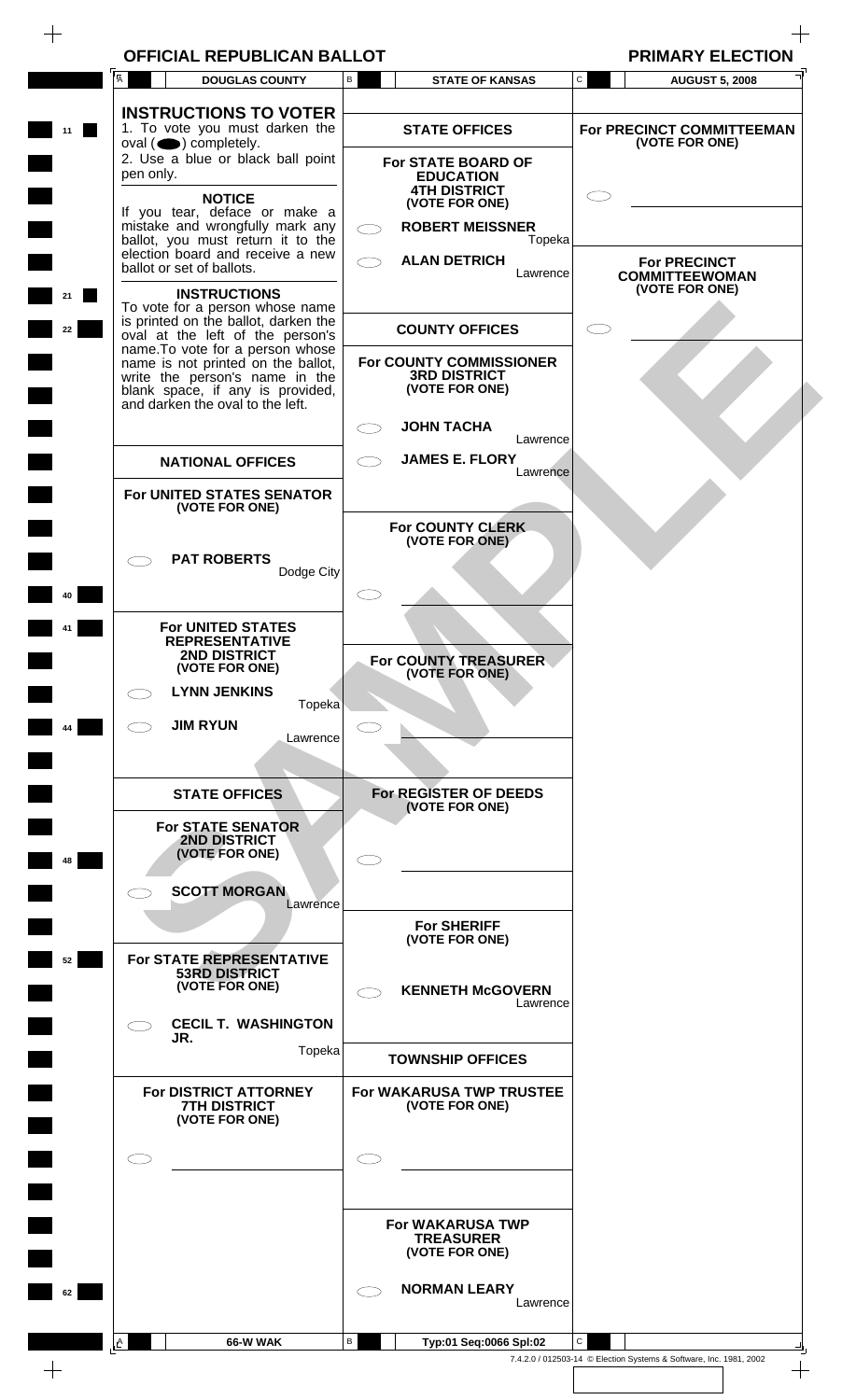| <b>OFFICIAL REPUBLICAN BALLOT</b> |  |  |
|-----------------------------------|--|--|
|-----------------------------------|--|--|

 $\overline{\phantom{a}}$ 

<sup>+</sup><br>PRIMARY ELECTION P

|          | UFFIUIAL KEPUBLIUAN BALLUI                                                                                                                                             |                                                                  |                                                                |
|----------|------------------------------------------------------------------------------------------------------------------------------------------------------------------------|------------------------------------------------------------------|----------------------------------------------------------------|
|          | ГĀ.<br><b>DOUGLAS COUNTY</b>                                                                                                                                           | В<br><b>STATE OF KANSAS</b>                                      | C<br><b>AUGUST 5, 2008</b>                                     |
| 11       | <b>INSTRUCTIONS TO VOTER</b><br>1. To vote you must darken the<br>$oval \textcircled{\bullet}$ ) completely.                                                           | <b>STATE OFFICES</b>                                             | For PRECINCT COMMITTEEMAN<br>(VOTE FOR ONE)                    |
|          | 2. Use a blue or black ball point<br>pen only.                                                                                                                         | For STATE BOARD OF<br><b>EDUCATION</b><br><b>4TH DISTRICT</b>    |                                                                |
|          | <b>NOTICE</b><br>If you tear, deface or make a<br>mistake and wrongfully mark any                                                                                      | (VOTE FOR ONE)                                                   |                                                                |
|          | ballot, you must return it to the<br>election board and receive a new                                                                                                  | <b>ROBERT MEISSNER</b><br>Topeka                                 |                                                                |
|          | ballot or set of ballots.                                                                                                                                              | <b>ALAN DETRICH</b><br>Lawrence                                  | <b>For PRECINCT</b><br><b>COMMITTEEWOMAN</b><br>(VOTE FOR ONE) |
| 21<br>22 | <b>INSTRUCTIONS</b><br>To vote for a person whose name<br>is printed on the ballot, darken the<br>oval at the left of the person's<br>name. To vote for a person whose | <b>COUNTY OFFICES</b>                                            |                                                                |
|          | name is not printed on the ballot,<br>write the person's name in the<br>blank space, if any is provided,<br>and darken the oval to the left.                           | For COUNTY COMMISSIONER<br><b>3RD DISTRICT</b><br>(VOTE FOR ONE) |                                                                |
|          |                                                                                                                                                                        | <b>JOHN TACHA</b><br>Lawrence                                    |                                                                |
|          | <b>NATIONAL OFFICES</b>                                                                                                                                                | <b>JAMES E. FLORY</b><br>Lawrence                                |                                                                |
|          | For UNITED STATES SENATOR<br>(VOTE FOR ONE)                                                                                                                            | For COUNTY CLERK                                                 |                                                                |
|          | <b>PAT ROBERTS</b>                                                                                                                                                     | (VOTE FOR ONE)                                                   |                                                                |
| 40       | Dodge City                                                                                                                                                             |                                                                  |                                                                |
|          | For UNITED STATES<br><b>REPRESENTATIVE</b><br><b>2ND DISTRICT</b><br>(VOTE FOR ONE)                                                                                    | For COUNTY TREASURER                                             |                                                                |
|          | <b>LYNN JENKINS</b>                                                                                                                                                    | (VOTE FOR ONE)                                                   |                                                                |
| 44       | Topeka<br><b>JIM RYUN</b><br>Lawrence                                                                                                                                  |                                                                  |                                                                |
|          | <b>STATE OFFICES</b>                                                                                                                                                   | For REGISTER OF DEEDS<br>(VOTE FOR ONE)                          |                                                                |
| 48       | <b>For STATE SENATOR</b><br><b>2ND DISTRICT</b><br>(VOTE FOR ONE)                                                                                                      |                                                                  |                                                                |
|          | <b>SCOTT MORGAN</b><br>Lawrence                                                                                                                                        |                                                                  |                                                                |
| 52       | For STATE REPRESENTATIVE                                                                                                                                               | <b>For SHERIFF</b><br>(VOTE FOR ONE)                             |                                                                |
|          | <b>53RD DISTRICT</b><br>(VOTE FOR ONE)                                                                                                                                 | <b>KENNETH McGOVERN</b><br>Lawrence                              |                                                                |
|          | <b>CECIL T. WASHINGTON</b><br>JR.                                                                                                                                      |                                                                  |                                                                |
|          | Topeka                                                                                                                                                                 | <b>TOWNSHIP OFFICES</b>                                          |                                                                |
|          | For DISTRICT ATTORNEY<br><b>7TH DISTRICT</b><br>(VOTE FOR ONE)                                                                                                         | <b>For WAKARUSA TWP TRUSTEE</b><br>(VOTE FOR ONE)                |                                                                |
|          |                                                                                                                                                                        |                                                                  |                                                                |
|          |                                                                                                                                                                        |                                                                  |                                                                |
|          |                                                                                                                                                                        | <b>For WAKARUSA TWP</b><br><b>TREASURER</b><br>(VOTE FOR ONE)    |                                                                |
| 62       |                                                                                                                                                                        | <b>NORMAN LEARY</b><br>Lawrence                                  |                                                                |
|          |                                                                                                                                                                        |                                                                  |                                                                |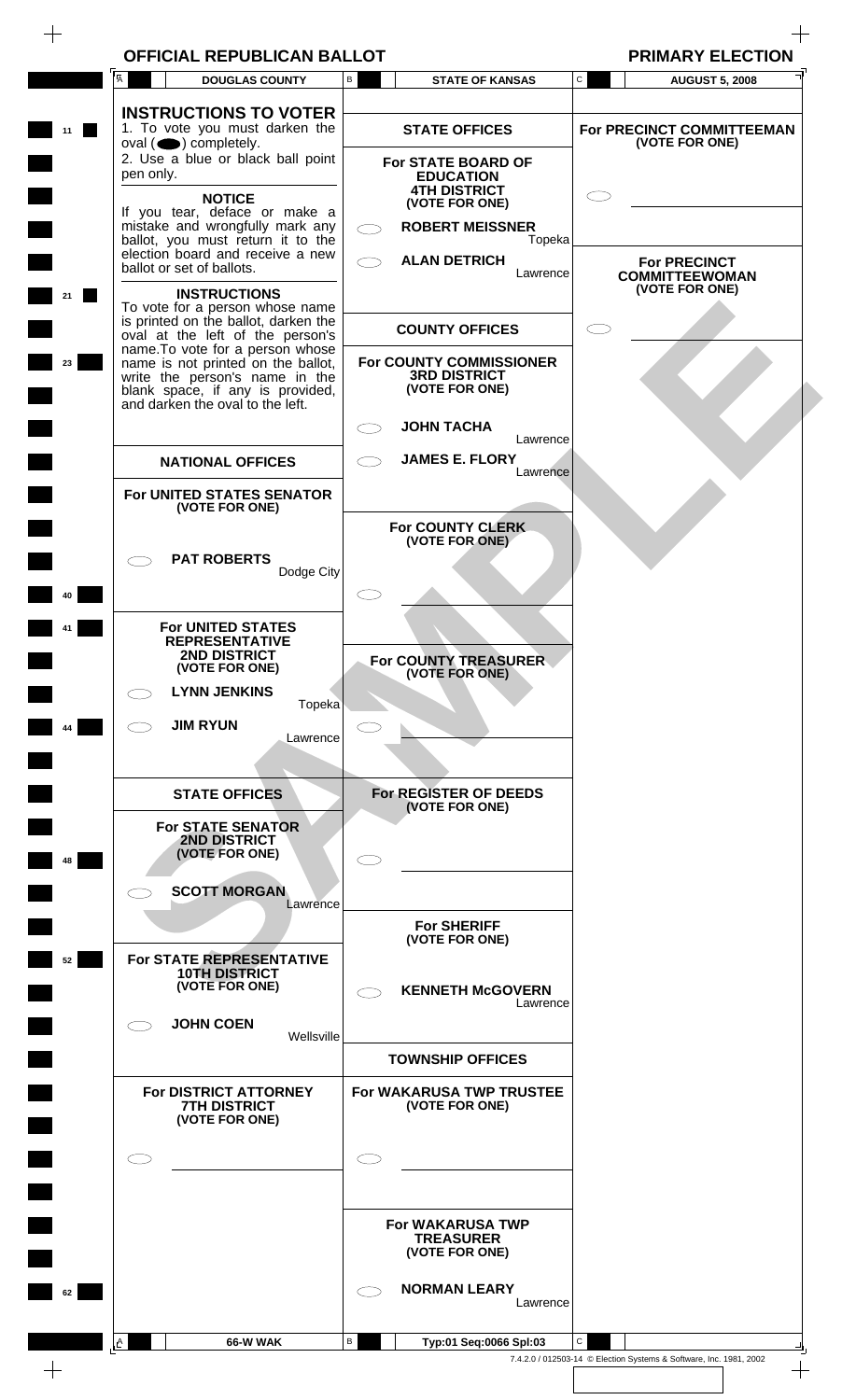## **OFFICIAL REPUBLICAN BALLOT PRIMARY ELECTION**

 $\overline{\phantom{a}}$ 

 $\! +$ 

|    | Ā            | <b>DOUGLAS COUNTY</b>                                                                                                                                                            | B |                                                                  | <b>STATE OF KANSAS</b> | C | <b>AUGUST 5, 2008</b>                                          |
|----|--------------|----------------------------------------------------------------------------------------------------------------------------------------------------------------------------------|---|------------------------------------------------------------------|------------------------|---|----------------------------------------------------------------|
| 11 |              | <b>INSTRUCTIONS TO VOTER</b><br>1. To vote you must darken the                                                                                                                   |   | <b>STATE OFFICES</b>                                             |                        |   | For PRECINCT COMMITTEEMAN                                      |
|    | pen only.    | $oval(\n\bullet)$ completely.<br>2. Use a blue or black ball point                                                                                                               |   | For STATE BOARD OF<br><b>EDUCATION</b><br><b>4TH DISTRICT</b>    |                        |   | (VOTE FOR ONE)                                                 |
|    |              | <b>NOTICE</b><br>If you tear, deface or make a<br>mistake and wrongfully mark any<br>ballot, you must return it to the                                                           |   | (VOTE FOR ONE)<br><b>ROBERT MEISSNER</b>                         | Topeka                 |   |                                                                |
|    |              | election board and receive a new<br>ballot or set of ballots.<br><b>INSTRUCTIONS</b>                                                                                             |   | <b>ALAN DETRICH</b>                                              | Lawrence               |   | <b>For PRECINCT</b><br><b>COMMITTEEWOMAN</b><br>(VOTE FOR ONE) |
|    |              | To vote for a person whose name<br>is printed on the ballot, darken the<br>oval at the left of the person's                                                                      |   | <b>COUNTY OFFICES</b>                                            |                        |   |                                                                |
| 23 |              | name. To vote for a person whose<br>name is not printed on the ballot,<br>write the person's name in the<br>blank space, if any is provided,<br>and darken the oval to the left. |   | For COUNTY COMMISSIONER<br><b>3RD DISTRICT</b><br>(VOTE FOR ONE) |                        |   |                                                                |
|    |              |                                                                                                                                                                                  |   | <b>JOHN TACHA</b>                                                | Lawrence               |   |                                                                |
|    |              | <b>NATIONAL OFFICES</b>                                                                                                                                                          |   | <b>JAMES E. FLORY</b>                                            | Lawrence               |   |                                                                |
|    |              | For UNITED STATES SENATOR<br>(VOTE FOR ONE)                                                                                                                                      |   |                                                                  |                        |   |                                                                |
|    |              | <b>PAT ROBERTS</b><br>Dodge City                                                                                                                                                 |   | For COUNTY CLERK<br>(VOTE FOR ONE)                               |                        |   |                                                                |
|    |              |                                                                                                                                                                                  |   |                                                                  |                        |   |                                                                |
|    |              | For UNITED STATES<br><b>REPRESENTATIVE</b><br><b>2ND DISTRICT</b><br>(VOTE FOR ONE)                                                                                              |   | For COUNTY TREASURER<br>(VOTE FOR ONE)                           |                        |   |                                                                |
|    |              | <b>LYNN JENKINS</b><br>Topeka                                                                                                                                                    |   |                                                                  |                        |   |                                                                |
| 44 |              | <b>JIM RYUN</b><br>Lawrence                                                                                                                                                      |   |                                                                  |                        |   |                                                                |
|    |              | <b>STATE OFFICES</b>                                                                                                                                                             |   | For REGISTER OF DEEDS                                            |                        |   |                                                                |
| 48 |              | <b>For STATE SENATOR</b><br><b>2ND DISTRICT</b><br>(VOTE FOR ONE)                                                                                                                |   | (VOTE FOR ONE)                                                   |                        |   |                                                                |
|    |              | <b>SCOTT MORGAN</b><br>Lawrence                                                                                                                                                  |   |                                                                  |                        |   |                                                                |
| 52 |              | For STATE REPRESENTATIVE                                                                                                                                                         |   | <b>For SHERIFF</b><br>(VOTE FOR ONE)                             |                        |   |                                                                |
|    |              | <b>10TH DISTRICT</b><br>(VOTE FOR ONE)                                                                                                                                           |   | <b>KENNETH McGOVERN</b>                                          | Lawrence               |   |                                                                |
|    |              | <b>JOHN COEN</b><br>Wellsville                                                                                                                                                   |   |                                                                  |                        |   |                                                                |
|    |              |                                                                                                                                                                                  |   | <b>TOWNSHIP OFFICES</b>                                          |                        |   |                                                                |
|    |              | For DISTRICT ATTORNEY<br><b>7TH DISTRICT</b><br>(VOTE FOR ONE)                                                                                                                   |   | For WAKARUSA TWP TRUSTEE<br>(VOTE FOR ONE)                       |                        |   |                                                                |
|    |              |                                                                                                                                                                                  |   |                                                                  |                        |   |                                                                |
|    |              |                                                                                                                                                                                  |   | <b>For WAKARUSA TWP</b><br><b>TREASURER</b><br>(VOTE FOR ONE)    |                        |   |                                                                |
| 62 |              |                                                                                                                                                                                  |   | <b>NORMAN LEARY</b>                                              | Lawrence               |   |                                                                |
|    | $\mathbf{A}$ | 66-W WAK                                                                                                                                                                         | В | Typ:01 Seq:0066 Spl:03                                           |                        | C |                                                                |